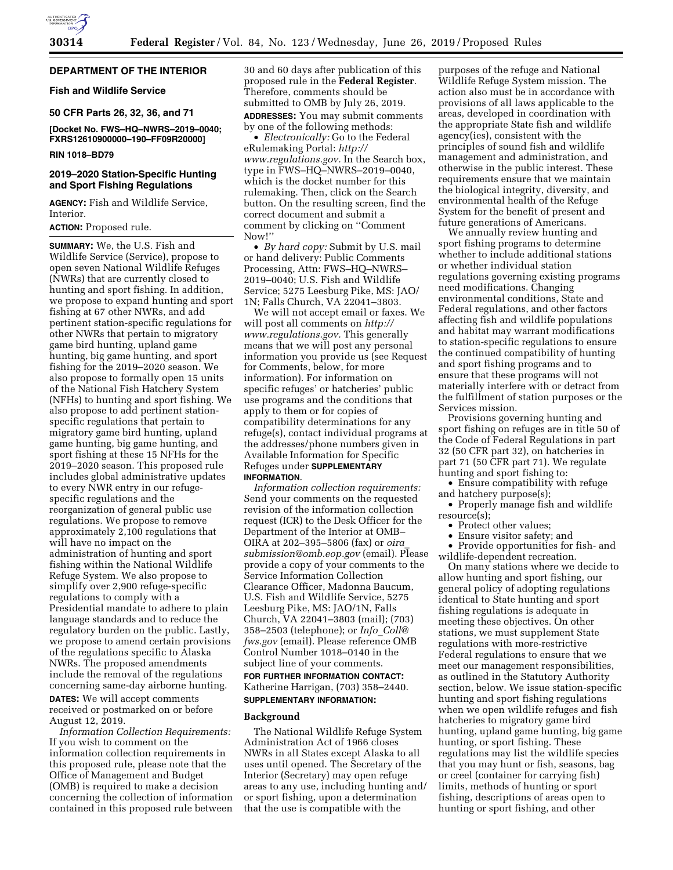

# **DEPARTMENT OF THE INTERIOR**

**Fish and Wildlife Service** 

**50 CFR Parts 26, 32, 36, and 71** 

**[Docket No. FWS–HQ–NWRS–2019–0040; FXRS12610900000–190–FF09R20000]** 

# **RIN 1018–BD79**

# **2019–2020 Station-Specific Hunting and Sport Fishing Regulations**

**AGENCY:** Fish and Wildlife Service, Interior.

#### **ACTION:** Proposed rule.

**SUMMARY:** We, the U.S. Fish and Wildlife Service (Service), propose to open seven National Wildlife Refuges (NWRs) that are currently closed to hunting and sport fishing. In addition, we propose to expand hunting and sport fishing at 67 other NWRs, and add pertinent station-specific regulations for other NWRs that pertain to migratory game bird hunting, upland game hunting, big game hunting, and sport fishing for the 2019–2020 season. We also propose to formally open 15 units of the National Fish Hatchery System (NFHs) to hunting and sport fishing. We also propose to add pertinent stationspecific regulations that pertain to migratory game bird hunting, upland game hunting, big game hunting, and sport fishing at these 15 NFHs for the 2019–2020 season. This proposed rule includes global administrative updates to every NWR entry in our refugespecific regulations and the reorganization of general public use regulations. We propose to remove approximately 2,100 regulations that will have no impact on the administration of hunting and sport fishing within the National Wildlife Refuge System. We also propose to simplify over 2,900 refuge-specific regulations to comply with a Presidential mandate to adhere to plain language standards and to reduce the regulatory burden on the public. Lastly, we propose to amend certain provisions of the regulations specific to Alaska NWRs. The proposed amendments include the removal of the regulations concerning same-day airborne hunting. **DATES:** We will accept comments

received or postmarked on or before August 12, 2019.

*Information Collection Requirements:*  If you wish to comment on the information collection requirements in this proposed rule, please note that the Office of Management and Budget (OMB) is required to make a decision concerning the collection of information contained in this proposed rule between 30 and 60 days after publication of this proposed rule in the **Federal Register**. Therefore, comments should be submitted to OMB by July 26, 2019.

**ADDRESSES:** You may submit comments by one of the following methods:

• *Electronically:* Go to the Federal eRulemaking Portal: *[http://](http://www.regulations.gov) [www.regulations.gov.](http://www.regulations.gov)* In the Search box, type in FWS–HQ–NWRS–2019–0040, which is the docket number for this rulemaking. Then, click on the Search button. On the resulting screen, find the correct document and submit a comment by clicking on ''Comment Now!''

• *By hard copy:* Submit by U.S. mail or hand delivery: Public Comments Processing, Attn: FWS–HQ–NWRS– 2019–0040; U.S. Fish and Wildlife Service; 5275 Leesburg Pike, MS: JAO/ 1N; Falls Church, VA 22041–3803.

We will not accept email or faxes. We will post all comments on *[http://](http://www.regulations.gov) [www.regulations.gov.](http://www.regulations.gov)* This generally means that we will post any personal information you provide us (see Request for Comments, below, for more information). For information on specific refuges' or hatcheries' public use programs and the conditions that apply to them or for copies of compatibility determinations for any refuge(s), contact individual programs at the addresses/phone numbers given in Available Information for Specific Refuges under **SUPPLEMENTARY INFORMATION**.

*Information collection requirements:*  Send your comments on the requested revision of the information collection request (ICR) to the Desk Officer for the Department of the Interior at OMB– OIRA at 202–395–5806 (fax) or *[oira](mailto:oira_submission@omb.eop.gov)*\_ *[submission@omb.eop.gov](mailto:oira_submission@omb.eop.gov)* (email). Please provide a copy of your comments to the Service Information Collection Clearance Officer, Madonna Baucum, U.S. Fish and Wildlife Service, 5275 Leesburg Pike, MS: JAO/1N, Falls Church, VA 22041–3803 (mail); (703) 358–2503 (telephone); or *Info*\_*[Coll@](mailto:Info_Coll@fws.gov) [fws.gov](mailto:Info_Coll@fws.gov)* (email). Please reference OMB Control Number 1018–0140 in the subject line of your comments.

# **FOR FURTHER INFORMATION CONTACT:**  Katherine Harrigan, (703) 358–2440. **SUPPLEMENTARY INFORMATION:**

#### **Background**

The National Wildlife Refuge System Administration Act of 1966 closes NWRs in all States except Alaska to all uses until opened. The Secretary of the Interior (Secretary) may open refuge areas to any use, including hunting and/ or sport fishing, upon a determination that the use is compatible with the

purposes of the refuge and National Wildlife Refuge System mission. The action also must be in accordance with provisions of all laws applicable to the areas, developed in coordination with the appropriate State fish and wildlife agency(ies), consistent with the principles of sound fish and wildlife management and administration, and otherwise in the public interest. These requirements ensure that we maintain the biological integrity, diversity, and environmental health of the Refuge System for the benefit of present and future generations of Americans.

We annually review hunting and sport fishing programs to determine whether to include additional stations or whether individual station regulations governing existing programs need modifications. Changing environmental conditions, State and Federal regulations, and other factors affecting fish and wildlife populations and habitat may warrant modifications to station-specific regulations to ensure the continued compatibility of hunting and sport fishing programs and to ensure that these programs will not materially interfere with or detract from the fulfillment of station purposes or the Services mission.

Provisions governing hunting and sport fishing on refuges are in title 50 of the Code of Federal Regulations in part 32 (50 CFR part 32), on hatcheries in part 71 (50 CFR part 71). We regulate hunting and sport fishing to:

• Ensure compatibility with refuge and hatchery purpose(s);

• Properly manage fish and wildlife resource(s);

- Protect other values;
- Ensure visitor safety; and

• Provide opportunities for fish- and wildlife-dependent recreation.

On many stations where we decide to allow hunting and sport fishing, our general policy of adopting regulations identical to State hunting and sport fishing regulations is adequate in meeting these objectives. On other stations, we must supplement State regulations with more-restrictive Federal regulations to ensure that we meet our management responsibilities, as outlined in the Statutory Authority section, below. We issue station-specific hunting and sport fishing regulations when we open wildlife refuges and fish hatcheries to migratory game bird hunting, upland game hunting, big game hunting, or sport fishing. These regulations may list the wildlife species that you may hunt or fish, seasons, bag or creel (container for carrying fish) limits, methods of hunting or sport fishing, descriptions of areas open to hunting or sport fishing, and other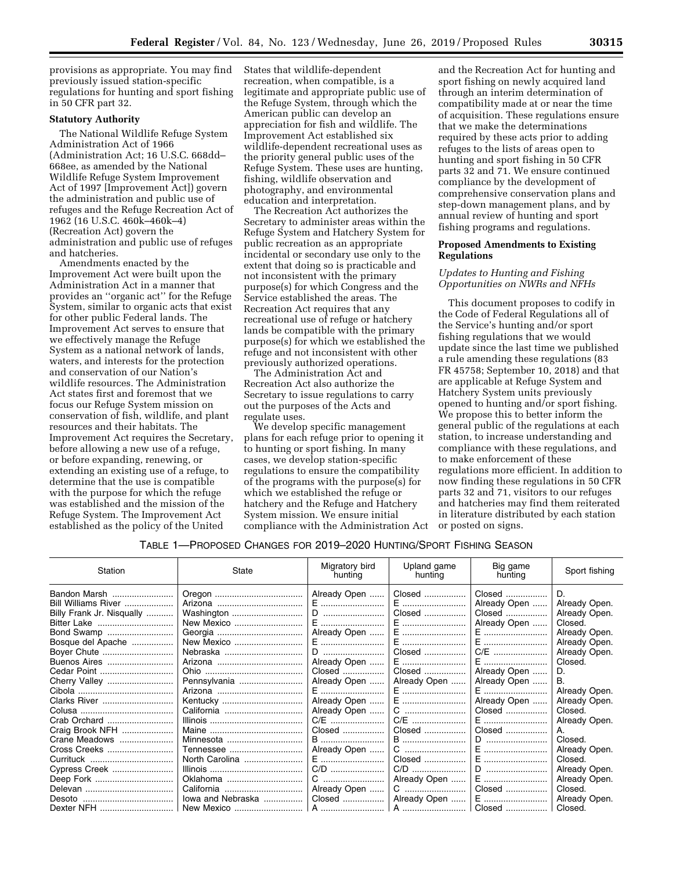provisions as appropriate. You may find previously issued station-specific regulations for hunting and sport fishing in 50 CFR part 32.

#### **Statutory Authority**

The National Wildlife Refuge System Administration Act of 1966 (Administration Act; 16 U.S.C. 668dd– 668ee, as amended by the National Wildlife Refuge System Improvement Act of 1997 [Improvement Act]) govern the administration and public use of refuges and the Refuge Recreation Act of 1962 (16 U.S.C. 460k–460k–4) (Recreation Act) govern the administration and public use of refuges and hatcheries.

Amendments enacted by the Improvement Act were built upon the Administration Act in a manner that provides an ''organic act'' for the Refuge System, similar to organic acts that exist for other public Federal lands. The Improvement Act serves to ensure that we effectively manage the Refuge System as a national network of lands, waters, and interests for the protection and conservation of our Nation's wildlife resources. The Administration Act states first and foremost that we focus our Refuge System mission on conservation of fish, wildlife, and plant resources and their habitats. The Improvement Act requires the Secretary, before allowing a new use of a refuge, or before expanding, renewing, or extending an existing use of a refuge, to determine that the use is compatible with the purpose for which the refuge was established and the mission of the Refuge System. The Improvement Act established as the policy of the United

States that wildlife-dependent recreation, when compatible, is a legitimate and appropriate public use of the Refuge System, through which the American public can develop an appreciation for fish and wildlife. The Improvement Act established six wildlife-dependent recreational uses as the priority general public uses of the Refuge System. These uses are hunting, fishing, wildlife observation and photography, and environmental education and interpretation.

The Recreation Act authorizes the Secretary to administer areas within the Refuge System and Hatchery System for public recreation as an appropriate incidental or secondary use only to the extent that doing so is practicable and not inconsistent with the primary purpose(s) for which Congress and the Service established the areas. The Recreation Act requires that any recreational use of refuge or hatchery lands be compatible with the primary purpose(s) for which we established the refuge and not inconsistent with other previously authorized operations.

The Administration Act and Recreation Act also authorize the Secretary to issue regulations to carry out the purposes of the Acts and regulate uses.

We develop specific management plans for each refuge prior to opening it to hunting or sport fishing. In many cases, we develop station-specific regulations to ensure the compatibility of the programs with the purpose(s) for which we established the refuge or hatchery and the Refuge and Hatchery System mission. We ensure initial compliance with the Administration Act and the Recreation Act for hunting and sport fishing on newly acquired land through an interim determination of compatibility made at or near the time of acquisition. These regulations ensure that we make the determinations required by these acts prior to adding refuges to the lists of areas open to hunting and sport fishing in 50 CFR parts 32 and 71. We ensure continued compliance by the development of comprehensive conservation plans and step-down management plans, and by annual review of hunting and sport fishing programs and regulations.

# **Proposed Amendments to Existing Regulations**

# *Updates to Hunting and Fishing Opportunities on NWRs and NFHs*

This document proposes to codify in the Code of Federal Regulations all of the Service's hunting and/or sport fishing regulations that we would update since the last time we published a rule amending these regulations (83 FR 45758; September 10, 2018) and that are applicable at Refuge System and Hatchery System units previously opened to hunting and/or sport fishing. We propose this to better inform the general public of the regulations at each station, to increase understanding and compliance with these regulations, and to make enforcement of these regulations more efficient. In addition to now finding these regulations in 50 CFR parts 32 and 71, visitors to our refuges and hatcheries may find them reiterated in literature distributed by each station or posted on signs.

# TABLE 1—PROPOSED CHANGES FOR 2019–2020 HUNTING/SPORT FISHING SEASON

| Station                   | State                                                                                  | Migratory bird<br>hunting | Upland game<br>hunting | Big game<br>hunting | Sport fishing |
|---------------------------|----------------------------------------------------------------------------------------|---------------------------|------------------------|---------------------|---------------|
| Bandon Marsh              |                                                                                        | Already Open              | Closed                 | Closed              | D.            |
| Bill Williams River       |                                                                                        | E                         | E                      | Already Open        | Already Open. |
| Billy Frank Jr. Nisqually |                                                                                        |                           | Closed                 | Closed              | Already Open. |
|                           |                                                                                        |                           | E                      | Already Open        | Closed.       |
| Bond Swamp                |                                                                                        | Already Open              | E                      | E                   | Already Open. |
| Bosque del Apache         |                                                                                        |                           | E                      |                     | Already Open. |
| Boyer Chute               |                                                                                        |                           | Closed                 | C/E                 | Already Open. |
| Buenos Aires              |                                                                                        | Already Open              | E                      | E                   | Closed.       |
| Cedar Point               |                                                                                        | Closed                    | Closed                 | Already Open        | D.            |
| Cherry Valley             | Pennsylvania                                                                           | Already Open              | Already Open           | Already Open        | В.            |
|                           |                                                                                        | E                         | E …………………………           | E                   | Already Open. |
| Clarks River              | Kentucky                                                                               | Already Open              | E                      | Already Open        | Already Open. |
|                           |                                                                                        | Already Open              | C                      | Closed              | Closed.       |
| Crab Orchard              |                                                                                        | C/E                       | C/E                    | E                   | Already Open. |
| Craig Brook NFH           |                                                                                        | Closed                    | Closed                 | Closed              | А.            |
| Crane Meadows             | Minnesota                                                                              | B                         | <b>B</b>               | $D$                 | Closed.       |
| Cross Creeks              |                                                                                        | Already Open              |                        |                     | Already Open. |
| Currituck                 |                                                                                        | E                         |                        |                     | Closed.       |
| Cypress Creek             |                                                                                        |                           |                        | D                   | Already Open. |
| Deep Fork                 | Oklahoma                                                                               | C                         | Already Open           | E                   | Already Open. |
|                           |                                                                                        | Already Open              | C                      | Closed              | Closed.       |
|                           | lowa and Nebraska                                                                      |                           | Closed    Already Open | E ………………………!        | Already Open. |
|                           | Dexter NFH …………………………   New Mexico ………………………   A ……………………   A ……………………   Closed ……………… |                           |                        |                     | Closed.       |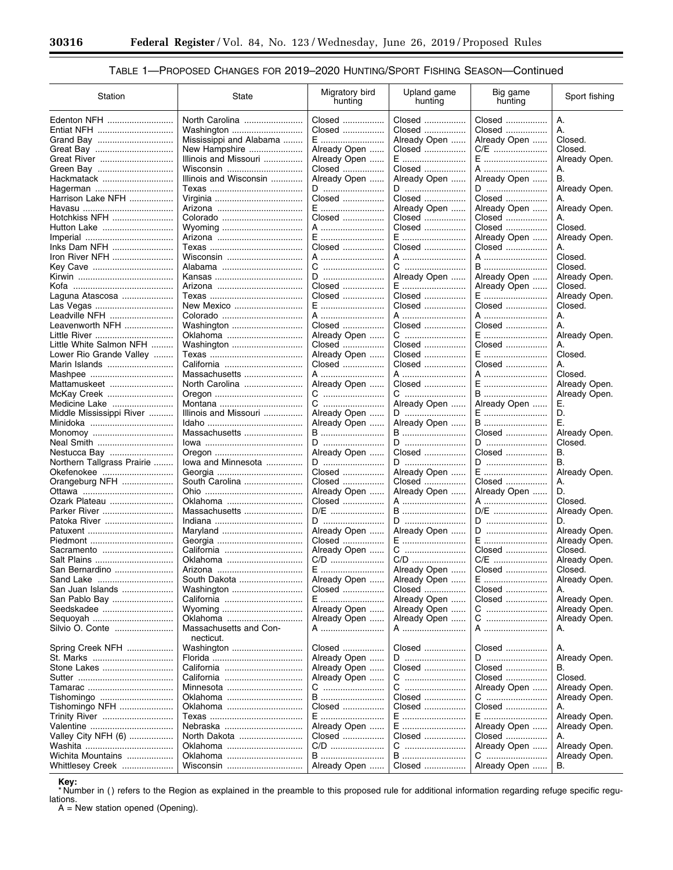۳

# TABLE 1-PROPOSED CHANGES FOR 2019-2020 HUNTING/SPORT FISHING SEASON-Continued

| Station                    | State                        | Migratory bird<br>hunting | Upland game<br>hunting | Big game<br>hunting | Sport fishing |
|----------------------------|------------------------------|---------------------------|------------------------|---------------------|---------------|
| Edenton NFH                | North Carolina<br>Washington | Closed<br>Closed          | Closed<br>Closed       | Closed<br>Closed    | А.<br>А.      |
|                            | Mississippi and Alabama      | E                         | Already Open           | Already Open        | Closed.       |
|                            | New Hampshire                | Already Open              | Closed                 | C/E                 | Closed.       |
|                            | Illinois and Missouri        | Already Open              | E                      | E                   | Already Open. |
|                            | Wisconsin                    | Closed                    | Closed                 | A                   | А.            |
| Hackmatack                 | Illinois and Wisconsin       | Already Open              | Already Open           | Already Open        | В.            |
| Hagerman                   |                              | D                         | D                      | D                   | Already Open. |
| Harrison Lake NFH          |                              | Closed                    | Closed                 | Closed              | А.            |
|                            |                              | $E$                       | Already Open           | Already Open        | Already Open. |
| Hotchkiss NFH              | Colorado                     | Closed                    | Closed                 | Closed              | А.            |
|                            | Wyoming                      | A                         | Closed                 | Closed              | Closed.       |
|                            |                              | E                         | E                      | Already Open        | Already Open. |
| Inks Dam NFH               |                              | Closed                    | Closed                 | Closed              | А.            |
| Iron River NFH             | Wisconsin                    | A                         | A                      | A                   | Closed.       |
| Key Cave                   |                              | C                         | C                      | B                   | Closed.       |
|                            |                              | D                         | Already Open           | Already Open        | Already Open. |
|                            |                              | Closed                    | E                      | Already Open        | Closed.       |
| Laguna Atascosa            |                              | Closed                    | Closed                 | E                   | Already Open. |
| Las Vegas                  | New Mexico                   | E                         | Closed                 | Closed              | Closed.       |
| Leadville NFH              | Colorado                     | A                         | A                      | A                   | А.            |
| Leavenworth NFH            | Washington                   | Closed                    | Closed                 | Closed              | А.            |
| Little River               | Oklahoma                     | Already Open              | C                      | E                   | Already Open. |
| Little White Salmon NFH    | Washington                   | Closed                    | Closed                 | Closed              | А.            |
| Lower Rio Grande Valley    |                              | Already Open              | Closed                 | E                   | Closed.       |
| Marin Islands              |                              | Closed                    | Closed                 | Closed              | А.            |
|                            | Massachusetts                | A                         | A                      | A                   | Closed.       |
| Mattamuskeet               | North Carolina               | Already Open              | Closed                 | E                   | Already Open. |
| McKay Creek                |                              | C                         | C                      | B                   | Already Open. |
| Medicine Lake              |                              | C                         | Already Open           | Already Open        | Е.            |
| Middle Mississippi River   | Illinois and Missouri        | Already Open              | D                      | E                   | D.            |
|                            |                              | Already Open              | Already Open           | B                   | Ε.            |
|                            | Massachusetts                | B                         | B                      | Closed              | Already Open. |
| Neal Smith                 |                              | D                         | D                      | D                   | Closed.       |
| Nestucca Bay               |                              | Already Open              | Closed                 | Closed              | В.            |
| Northern Tallgrass Prairie | lowa and Minnesota           | D                         | D                      | D                   | В.            |
| Okefenokee                 |                              | Closed                    | Already Open           | E                   | Already Open. |
| Orangeburg NFH             | South Carolina               | Closed                    | Closed                 | Closed              | А.            |
|                            |                              | Already Open              | Already Open           | Already Open        | D.            |
| Ozark Plateau              | Oklahoma                     | Closed                    | A                      | A                   | Closed.       |
| Parker River               | Massachusetts                | D/E                       | B                      | D/E                 | Already Open. |
| Patoka River               |                              | D                         | D                      | D                   | D.            |
|                            |                              | Already Open              | Already Open           | D                   | Already Open. |
|                            |                              | Closed                    | E                      | E                   | Already Open. |
| Sacramento                 |                              | Already Open              | C                      | Closed              | Closed.       |
| Salt Plains                | Oklahoma                     | C/D                       | C/D                    | C/E                 | Already Open. |
| San Bernardino             |                              | $E$                       | Already Open           | Closed              | Closed.       |
| Sand Lake                  | South Dakota                 | Already Open              | Already Open           | E                   | Already Open. |
| San Juan Islands           | Washington                   | Closed                    | Closed                 | Closed              | А.            |
| San Pablo Bay              |                              | E                         | Already Open           | Closed              | Already Open. |
| Seedskadee                 | Wyoming                      | Already Open              | Already Open           | C                   | Already Open. |
| Sequoyah                   | Oklahoma                     | Already Open              | Already Open           | C                   | Already Open. |
| Silvio O. Conte            | Massachusetts and Con-       | A                         | A                      | A                   | Α.            |
|                            | necticut.                    |                           |                        |                     |               |
| Spring Creek NFH           | Washington                   | Closed                    | Closed                 | Closed              | А.            |
| St. Marks                  |                              | Already Open              | $D$                    | D                   | Already Open. |
| Stone Lakes                | California                   | Already Open              | Closed                 | Closed              | В.            |
|                            |                              | Already Open              | C                      | Closed              | Closed.       |
|                            | Minnesota                    | C                         | C                      | Already Open        | Already Open. |
| Tishomingo                 | Oklahoma                     | B                         | Closed                 | C                   | Already Open. |
| Tishomingo NFH             | Oklahoma                     | Closed                    | Closed                 | Closed              | А.            |
| <b>Trinity River</b>       |                              | E                         | E                      | E                   | Already Open. |
| Valentine                  | Nebraska                     | Already Open              | E                      | Already Open        | Already Open. |
| Valley City NFH (6)        | North Dakota                 | Closed                    | Closed                 | Closed              | А.            |
|                            | Oklahoma                     | C/D                       | C                      | Already Open        | Already Open. |
| Wichita Mountains          | Oklahoma                     | B                         | <b>B</b>               | C                   | Already Open. |
| Whittlesey Creek           | Wisconsin                    | Already Open              | Closed                 | Already Open        | В.            |
|                            |                              |                           |                        |                     |               |

Key:<br>\*Number in () refers to the Region as explained in the preamble to this proposed rule for additional information regarding refuge specific regulations.

 $A = New station opened (Opening).$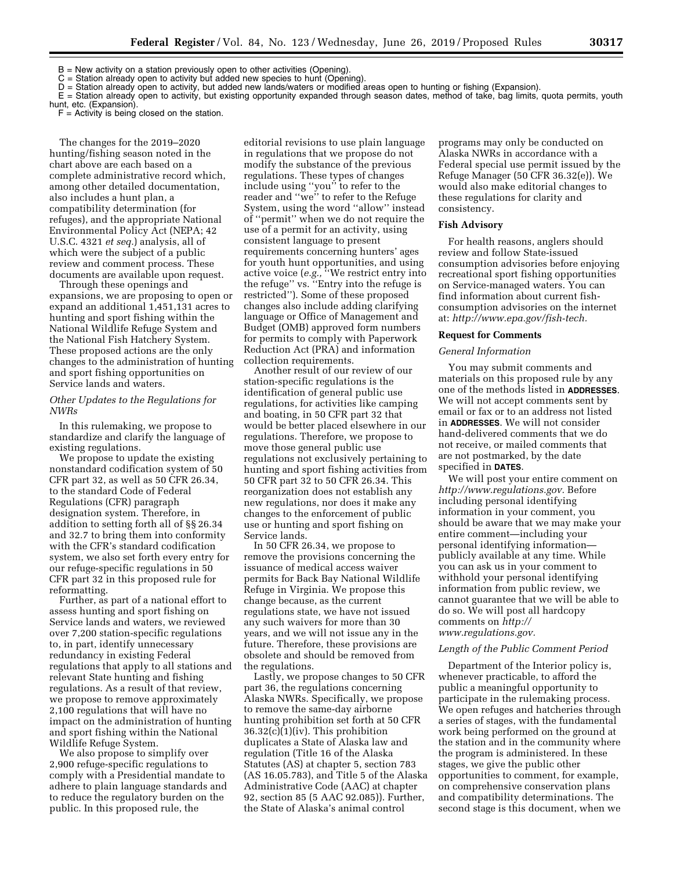B = New activity on a station previously open to other activities (Opening).

C = Station already open to activity but added new species to hunt (Opening).

D = Station already open to activity, but added new lands/waters or modified areas open to hunting or fishing (Expansion).

E = Station already open to activity, but existing opportunity expanded through season dates, method of take, bag limits, quota permits, youth hunt, etc. (Expansion).

 $F =$  Activity is being closed on the station.

The changes for the 2019–2020 hunting/fishing season noted in the chart above are each based on a complete administrative record which, among other detailed documentation, also includes a hunt plan, a compatibility determination (for refuges), and the appropriate National Environmental Policy Act (NEPA; 42 U.S.C. 4321 *et seq.*) analysis, all of which were the subject of a public review and comment process. These documents are available upon request.

Through these openings and expansions, we are proposing to open or expand an additional 1,451,131 acres to hunting and sport fishing within the National Wildlife Refuge System and the National Fish Hatchery System. These proposed actions are the only changes to the administration of hunting and sport fishing opportunities on Service lands and waters.

### *Other Updates to the Regulations for NWRs*

In this rulemaking, we propose to standardize and clarify the language of existing regulations.

We propose to update the existing nonstandard codification system of 50 CFR part 32, as well as 50 CFR 26.34, to the standard Code of Federal Regulations (CFR) paragraph designation system. Therefore, in addition to setting forth all of §§ 26.34 and 32.7 to bring them into conformity with the CFR's standard codification system, we also set forth every entry for our refuge-specific regulations in 50 CFR part 32 in this proposed rule for reformatting.

Further, as part of a national effort to assess hunting and sport fishing on Service lands and waters, we reviewed over 7,200 station-specific regulations to, in part, identify unnecessary redundancy in existing Federal regulations that apply to all stations and relevant State hunting and fishing regulations. As a result of that review, we propose to remove approximately 2,100 regulations that will have no impact on the administration of hunting and sport fishing within the National Wildlife Refuge System.

We also propose to simplify over 2,900 refuge-specific regulations to comply with a Presidential mandate to adhere to plain language standards and to reduce the regulatory burden on the public. In this proposed rule, the

editorial revisions to use plain language in regulations that we propose do not modify the substance of the previous regulations. These types of changes include using ''you'' to refer to the reader and ''we'' to refer to the Refuge System, using the word ''allow'' instead of ''permit'' when we do not require the use of a permit for an activity, using consistent language to present requirements concerning hunters' ages for youth hunt opportunities, and using active voice (*e.g.,* ''We restrict entry into the refuge'' vs. ''Entry into the refuge is restricted''). Some of these proposed changes also include adding clarifying language or Office of Management and Budget (OMB) approved form numbers for permits to comply with Paperwork Reduction Act (PRA) and information collection requirements.

Another result of our review of our station-specific regulations is the identification of general public use regulations, for activities like camping and boating, in 50 CFR part 32 that would be better placed elsewhere in our regulations. Therefore, we propose to move those general public use regulations not exclusively pertaining to hunting and sport fishing activities from 50 CFR part 32 to 50 CFR 26.34. This reorganization does not establish any new regulations, nor does it make any changes to the enforcement of public use or hunting and sport fishing on Service lands.

In 50 CFR 26.34, we propose to remove the provisions concerning the issuance of medical access waiver permits for Back Bay National Wildlife Refuge in Virginia. We propose this change because, as the current regulations state, we have not issued any such waivers for more than 30 years, and we will not issue any in the future. Therefore, these provisions are obsolete and should be removed from the regulations.

Lastly, we propose changes to 50 CFR part 36, the regulations concerning Alaska NWRs. Specifically, we propose to remove the same-day airborne hunting prohibition set forth at 50 CFR 36.32(c)(1)(iv). This prohibition duplicates a State of Alaska law and regulation (Title 16 of the Alaska Statutes (AS) at chapter 5, section 783 (AS 16.05.783), and Title 5 of the Alaska Administrative Code (AAC) at chapter 92, section 85 (5 AAC 92.085)). Further, the State of Alaska's animal control

programs may only be conducted on Alaska NWRs in accordance with a Federal special use permit issued by the Refuge Manager (50 CFR 36.32(e)). We would also make editorial changes to these regulations for clarity and consistency.

#### **Fish Advisory**

For health reasons, anglers should review and follow State-issued consumption advisories before enjoying recreational sport fishing opportunities on Service-managed waters. You can find information about current fishconsumption advisories on the internet at: *[http://www.epa.gov/fish-tech.](http://www.epa.gov/fish-tech)* 

#### **Request for Comments**

#### *General Information*

You may submit comments and materials on this proposed rule by any one of the methods listed in **ADDRESSES**. We will not accept comments sent by email or fax or to an address not listed in **ADDRESSES**. We will not consider hand-delivered comments that we do not receive, or mailed comments that are not postmarked, by the date specified in **DATES**.

We will post your entire comment on *[http://www.regulations.gov.](http://www.regulations.gov)* Before including personal identifying information in your comment, you should be aware that we may make your entire comment—including your personal identifying information publicly available at any time. While you can ask us in your comment to withhold your personal identifying information from public review, we cannot guarantee that we will be able to do so. We will post all hardcopy comments on *[http://](http://www.regulations.gov) [www.regulations.gov.](http://www.regulations.gov)* 

#### *Length of the Public Comment Period*

Department of the Interior policy is, whenever practicable, to afford the public a meaningful opportunity to participate in the rulemaking process. We open refuges and hatcheries through a series of stages, with the fundamental work being performed on the ground at the station and in the community where the program is administered. In these stages, we give the public other opportunities to comment, for example, on comprehensive conservation plans and compatibility determinations. The second stage is this document, when we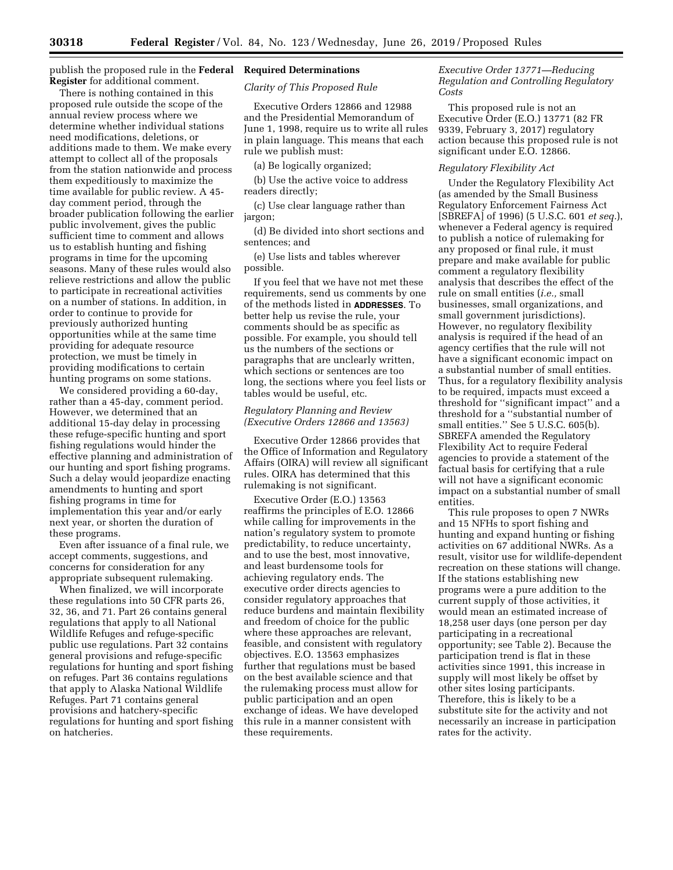publish the proposed rule in the **Federal Required Determinations Register** for additional comment.

There is nothing contained in this proposed rule outside the scope of the annual review process where we determine whether individual stations need modifications, deletions, or additions made to them. We make every attempt to collect all of the proposals from the station nationwide and process them expeditiously to maximize the time available for public review. A 45 day comment period, through the broader publication following the earlier public involvement, gives the public sufficient time to comment and allows us to establish hunting and fishing programs in time for the upcoming seasons. Many of these rules would also relieve restrictions and allow the public to participate in recreational activities on a number of stations. In addition, in order to continue to provide for previously authorized hunting opportunities while at the same time providing for adequate resource protection, we must be timely in providing modifications to certain hunting programs on some stations.

We considered providing a 60-day, rather than a 45-day, comment period. However, we determined that an additional 15-day delay in processing these refuge-specific hunting and sport fishing regulations would hinder the effective planning and administration of our hunting and sport fishing programs. Such a delay would jeopardize enacting amendments to hunting and sport fishing programs in time for implementation this year and/or early next year, or shorten the duration of these programs.

Even after issuance of a final rule, we accept comments, suggestions, and concerns for consideration for any appropriate subsequent rulemaking.

When finalized, we will incorporate these regulations into 50 CFR parts 26, 32, 36, and 71. Part 26 contains general regulations that apply to all National Wildlife Refuges and refuge-specific public use regulations. Part 32 contains general provisions and refuge-specific regulations for hunting and sport fishing on refuges. Part 36 contains regulations that apply to Alaska National Wildlife Refuges. Part 71 contains general provisions and hatchery-specific regulations for hunting and sport fishing on hatcheries.

*Clarity of This Proposed Rule* 

Executive Orders 12866 and 12988 and the Presidential Memorandum of June 1, 1998, require us to write all rules in plain language. This means that each rule we publish must:

(a) Be logically organized;

(b) Use the active voice to address readers directly;

(c) Use clear language rather than jargon;

(d) Be divided into short sections and sentences; and

(e) Use lists and tables wherever possible.

If you feel that we have not met these requirements, send us comments by one of the methods listed in **ADDRESSES**. To better help us revise the rule, your comments should be as specific as possible. For example, you should tell us the numbers of the sections or paragraphs that are unclearly written, which sections or sentences are too long, the sections where you feel lists or tables would be useful, etc.

## *Regulatory Planning and Review (Executive Orders 12866 and 13563)*

Executive Order 12866 provides that the Office of Information and Regulatory Affairs (OIRA) will review all significant rules. OIRA has determined that this rulemaking is not significant.

Executive Order (E.O.) 13563 reaffirms the principles of E.O. 12866 while calling for improvements in the nation's regulatory system to promote predictability, to reduce uncertainty, and to use the best, most innovative, and least burdensome tools for achieving regulatory ends. The executive order directs agencies to consider regulatory approaches that reduce burdens and maintain flexibility and freedom of choice for the public where these approaches are relevant, feasible, and consistent with regulatory objectives. E.O. 13563 emphasizes further that regulations must be based on the best available science and that the rulemaking process must allow for public participation and an open exchange of ideas. We have developed this rule in a manner consistent with these requirements.

# *Executive Order 13771—Reducing Regulation and Controlling Regulatory Costs*

This proposed rule is not an Executive Order (E.O.) 13771 (82 FR 9339, February 3, 2017) regulatory action because this proposed rule is not significant under E.O. 12866.

#### *Regulatory Flexibility Act*

Under the Regulatory Flexibility Act (as amended by the Small Business Regulatory Enforcement Fairness Act [SBREFA] of 1996) (5 U.S.C. 601 *et seq.*), whenever a Federal agency is required to publish a notice of rulemaking for any proposed or final rule, it must prepare and make available for public comment a regulatory flexibility analysis that describes the effect of the rule on small entities (*i.e.,* small businesses, small organizations, and small government jurisdictions). However, no regulatory flexibility analysis is required if the head of an agency certifies that the rule will not have a significant economic impact on a substantial number of small entities. Thus, for a regulatory flexibility analysis to be required, impacts must exceed a threshold for ''significant impact'' and a threshold for a ''substantial number of small entities.'' See 5 U.S.C. 605(b). SBREFA amended the Regulatory Flexibility Act to require Federal agencies to provide a statement of the factual basis for certifying that a rule will not have a significant economic impact on a substantial number of small entities.

This rule proposes to open 7 NWRs and 15 NFHs to sport fishing and hunting and expand hunting or fishing activities on 67 additional NWRs. As a result, visitor use for wildlife-dependent recreation on these stations will change. If the stations establishing new programs were a pure addition to the current supply of those activities, it would mean an estimated increase of 18,258 user days (one person per day participating in a recreational opportunity; see Table 2). Because the participation trend is flat in these activities since 1991, this increase in supply will most likely be offset by other sites losing participants. Therefore, this is likely to be a substitute site for the activity and not necessarily an increase in participation rates for the activity.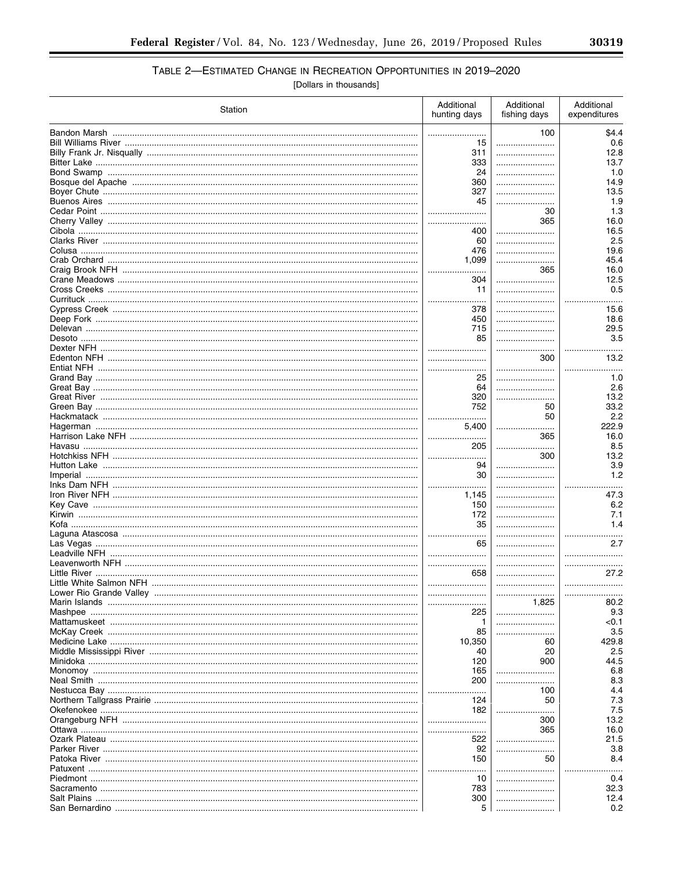# TABLE 2-ESTIMATED CHANGE IN RECREATION OPPORTUNITIES IN 2019-2020

[Dollars in thousands]

| Station                 | Additional<br>hunting days | Additional<br>fishing days | Additional<br>expenditures |
|-------------------------|----------------------------|----------------------------|----------------------------|
|                         |                            | 100                        | \$4.4                      |
|                         | 15                         |                            | 0.6                        |
|                         | 311                        |                            | 12.8                       |
|                         | 333                        |                            | 13.7                       |
|                         | 24                         |                            | 1.0                        |
|                         | 360                        |                            | 14.9                       |
|                         | 327                        |                            | 13.5                       |
|                         | 45                         |                            | 1.9                        |
|                         | <br>                       | 30<br>365                  | 1.3<br>16.0                |
|                         | 400                        |                            | 16.5                       |
|                         | 60                         |                            | 2.5                        |
|                         | 476                        |                            | 19.6                       |
|                         | 1,099                      |                            | 45.4                       |
|                         |                            | 365                        | 16.0                       |
|                         | 304                        |                            | 12.5                       |
|                         | 11                         |                            | 0.5                        |
|                         |                            |                            |                            |
|                         | 378                        |                            | 15.6                       |
|                         | 450                        |                            | 18.6                       |
|                         | 715                        |                            | 29.5                       |
|                         | 85                         |                            | 3.5                        |
|                         |                            |                            |                            |
|                         |                            | 300                        | 13.2                       |
|                         | <br>25                     |                            | <br>1.0                    |
|                         | 64                         |                            | 2.6                        |
|                         | 320                        | .                          | 13.2                       |
|                         | 752                        | 50                         | 33.2                       |
|                         |                            | 50                         | 2.2                        |
|                         | 5,400                      |                            | 222.9                      |
|                         |                            | 365                        | 16.0                       |
|                         | 205                        | .<br>.                     | 8.5                        |
|                         |                            | 300                        | 13.2                       |
|                         | 94                         |                            | 3.9                        |
|                         | 30                         |                            | 1.2                        |
|                         |                            |                            |                            |
|                         | 1,145                      |                            | 47.3                       |
|                         | 150                        |                            | 6.2                        |
|                         | 172<br>35                  |                            | 7.1<br>1.4                 |
|                         |                            |                            |                            |
|                         | 65                         |                            | 2.7                        |
|                         |                            |                            |                            |
|                         |                            |                            |                            |
|                         | 658                        |                            | 27.2                       |
|                         |                            |                            |                            |
| Lower Rio Grande Valley |                            |                            |                            |
|                         |                            | 1,825                      | 80.2                       |
|                         | 225                        |                            | 9.3                        |
|                         | 1                          |                            | < 0.1                      |
|                         | 85                         |                            | 3.5                        |
|                         | 10,350                     | 60                         | 429.8                      |
|                         | 40                         | 20                         | 2.5                        |
|                         | 120                        | 900                        | 44.5                       |
|                         | 165<br>200                 |                            | 6.8<br>8.3                 |
|                         |                            | 100                        | 4.4                        |
|                         | 124                        | 50                         | 7.3                        |
|                         | 182                        |                            | 7.5                        |
|                         |                            | 300                        | 13.2                       |
|                         | .                          | 365                        | 16.0                       |
|                         | 522                        |                            | 21.5                       |
|                         | 92                         |                            | 3.8                        |
|                         | 150                        | 50                         | 8.4                        |
|                         |                            |                            |                            |
|                         | 10                         |                            | 0.4                        |
|                         | 783                        |                            | 32.3                       |
|                         | 300                        |                            | 12.4                       |
|                         | 5                          |                            | 0.2                        |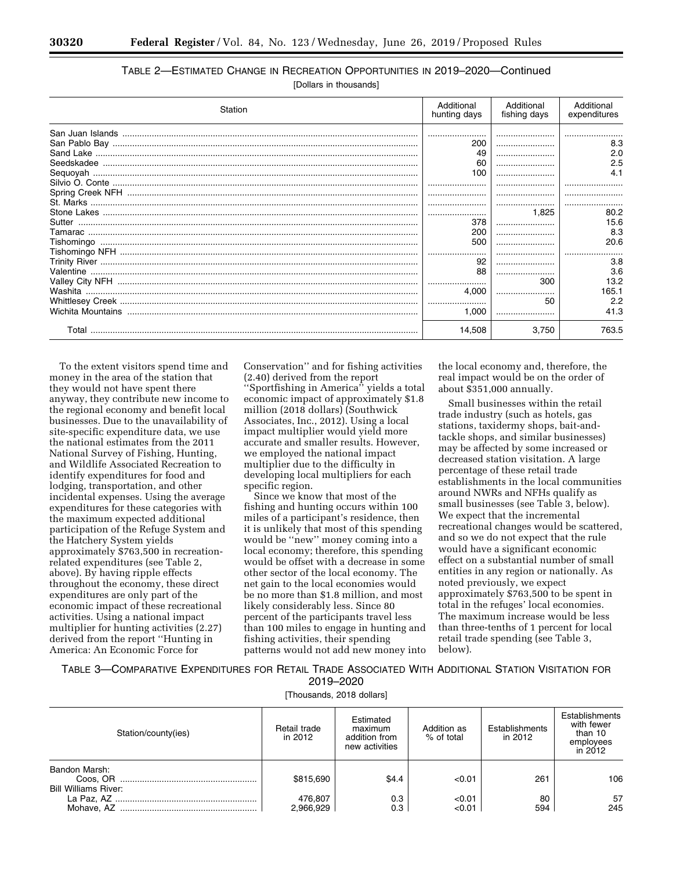# TABLE 2—ESTIMATED CHANGE IN RECREATION OPPORTUNITIES IN 2019–2020—Continued

[Dollars in thousands]

| Station | Additional<br>hunting days | Additional<br>fishing days | Additional<br>expenditures |
|---------|----------------------------|----------------------------|----------------------------|
|         |                            |                            |                            |
|         | 200                        |                            | 8.3                        |
|         | 49                         |                            | 2.0                        |
|         | 60                         |                            | 2.5                        |
|         | 100                        |                            | 4.1                        |
|         |                            |                            |                            |
|         |                            |                            |                            |
|         |                            |                            |                            |
|         |                            | 1,825                      | 80.2                       |
|         | 378                        |                            | 15.6                       |
|         | 200                        |                            | 8.3                        |
|         | 500                        |                            | 20.6                       |
|         |                            |                            |                            |
|         | 92                         |                            | 3.8                        |
|         | 88                         |                            | 3.6                        |
|         |                            | 300                        | 13.2                       |
|         | 4.000                      |                            | 165.1                      |
|         |                            | 50                         | 2.2                        |
|         | 1.000                      |                            | 41.3                       |
| Total   | 14,508                     | 3.750                      | 763.5                      |

To the extent visitors spend time and money in the area of the station that they would not have spent there anyway, they contribute new income to the regional economy and benefit local businesses. Due to the unavailability of site-specific expenditure data, we use the national estimates from the 2011 National Survey of Fishing, Hunting, and Wildlife Associated Recreation to identify expenditures for food and lodging, transportation, and other incidental expenses. Using the average expenditures for these categories with the maximum expected additional participation of the Refuge System and the Hatchery System yields approximately \$763,500 in recreationrelated expenditures (see Table 2, above). By having ripple effects throughout the economy, these direct expenditures are only part of the economic impact of these recreational activities. Using a national impact multiplier for hunting activities (2.27) derived from the report ''Hunting in America: An Economic Force for

Conservation'' and for fishing activities (2.40) derived from the report ''Sportfishing in America'' yields a total economic impact of approximately \$1.8 million (2018 dollars) (Southwick Associates, Inc., 2012). Using a local impact multiplier would yield more accurate and smaller results. However, we employed the national impact multiplier due to the difficulty in developing local multipliers for each specific region.

Since we know that most of the fishing and hunting occurs within 100 miles of a participant's residence, then it is unlikely that most of this spending would be ''new'' money coming into a local economy; therefore, this spending would be offset with a decrease in some other sector of the local economy. The net gain to the local economies would be no more than \$1.8 million, and most likely considerably less. Since 80 percent of the participants travel less than 100 miles to engage in hunting and fishing activities, their spending patterns would not add new money into

the local economy and, therefore, the real impact would be on the order of about \$351,000 annually.

Small businesses within the retail trade industry (such as hotels, gas stations, taxidermy shops, bait-andtackle shops, and similar businesses) may be affected by some increased or decreased station visitation. A large percentage of these retail trade establishments in the local communities around NWRs and NFHs qualify as small businesses (see Table 3, below). We expect that the incremental recreational changes would be scattered, and so we do not expect that the rule would have a significant economic effect on a substantial number of small entities in any region or nationally. As noted previously, we expect approximately \$763,500 to be spent in total in the refuges' local economies. The maximum increase would be less than three-tenths of 1 percent for local retail trade spending (see Table 3, below).

TABLE 3—COMPARATIVE EXPENDITURES FOR RETAIL TRADE ASSOCIATED WITH ADDITIONAL STATION VISITATION FOR 2019–2020

[Thousands, 2018 dollars]

| Station/county(ies)                          | Retail trade<br>in 2012 | Estimated<br>maximum<br>addition from<br>new activities | Addition as<br>% of total | Establishments<br>in 2012 | <b>Establishments</b><br>with fewer<br>than 10<br>employees<br>in $2012$ |
|----------------------------------------------|-------------------------|---------------------------------------------------------|---------------------------|---------------------------|--------------------------------------------------------------------------|
| Bandon Marsh:<br><b>Bill Williams River:</b> | \$815,690               | \$4.4                                                   | < 0.01                    | 261                       | 106                                                                      |
|                                              | 476,807<br>2,966,929    | 0.3<br>0.3                                              | < 0.01<br>< 0.01          | 80<br>594                 | 57<br>245                                                                |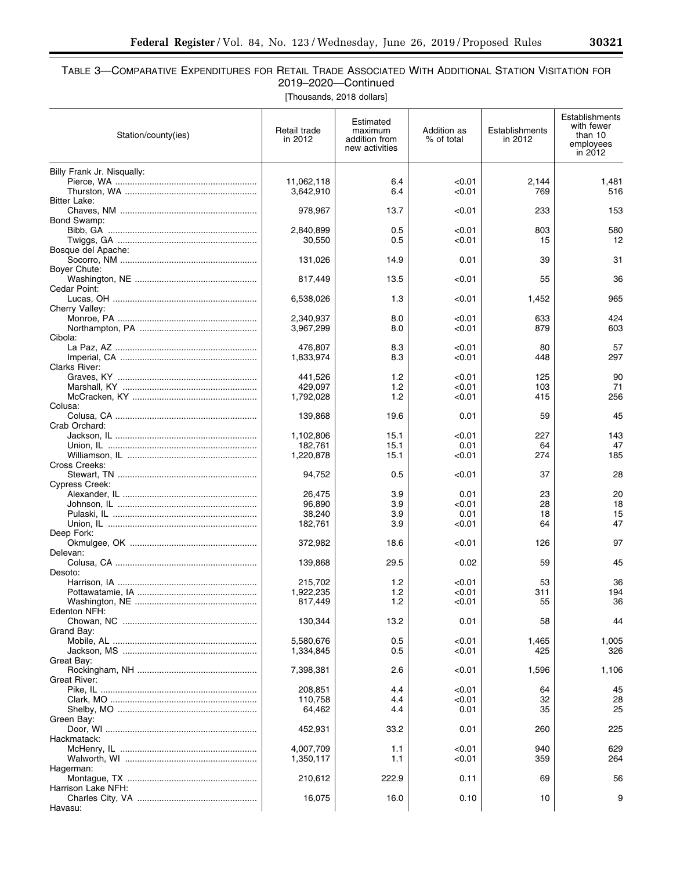$\equiv$ 

# TABLE 3—COMPARATIVE EXPENDITURES FOR RETAIL TRADE ASSOCIATED WITH ADDITIONAL STATION VISITATION FOR 2019–2020—Continued

[Thousands, 2018 dollars]

| Station/county(ies)        | Retail trade<br>in 2012 | Estimated<br>maximum<br>addition from<br>new activities | Addition as<br>% of total | Establishments<br>in 2012 | Establishments<br>with fewer<br>than 10<br>employees<br>in 2012 |
|----------------------------|-------------------------|---------------------------------------------------------|---------------------------|---------------------------|-----------------------------------------------------------------|
| Billy Frank Jr. Nisqually: |                         |                                                         |                           |                           |                                                                 |
|                            | 11,062,118              | 6.4                                                     | < 0.01                    | 2,144                     | 1,481                                                           |
| Bitter Lake:               | 3,642,910               | 6.4                                                     | < 0.01                    | 769                       | 516                                                             |
|                            | 978,967                 | 13.7                                                    | < 0.01                    | 233                       | 153                                                             |
| Bond Swamp:                |                         |                                                         |                           |                           |                                                                 |
|                            | 2,840,899               | 0.5                                                     | < 0.01                    | 803                       | 580                                                             |
|                            | 30,550                  | 0.5                                                     | < 0.01                    | 15                        | 12                                                              |
| Bosque del Apache:         | 131,026                 | 14.9                                                    | 0.01                      | 39                        | 31                                                              |
| Boyer Chute:               |                         |                                                         |                           |                           |                                                                 |
|                            | 817,449                 | 13.5                                                    | < 0.01                    | 55                        | 36                                                              |
| Cedar Point:               |                         |                                                         |                           |                           |                                                                 |
| Cherry Valley:             | 6,538,026               | 1.3                                                     | < 0.01                    | 1,452                     | 965                                                             |
|                            | 2,340,937               | 8.0                                                     | < 0.01                    | 633                       | 424                                                             |
|                            | 3,967,299               | 8.0                                                     | < 0.01                    | 879                       | 603                                                             |
| Cibola:                    |                         |                                                         |                           |                           |                                                                 |
|                            | 476.807<br>1,833,974    | 8.3<br>8.3                                              | < 0.01<br>< 0.01          | 80                        | 57<br>297                                                       |
| <b>Clarks River:</b>       |                         |                                                         |                           | 448                       |                                                                 |
|                            | 441,526                 | 1.2                                                     | < 0.01                    | 125                       | 90                                                              |
|                            | 429,097                 | 1.2                                                     | < 0.01                    | 103                       | 71                                                              |
|                            | 1,792,028               | 1.2                                                     | < 0.01                    | 415                       | 256                                                             |
| Colusa:                    | 139,868                 | 19.6                                                    | 0.01                      | 59                        | 45                                                              |
| Crab Orchard:              |                         |                                                         |                           |                           |                                                                 |
|                            | 1,102,806               | 15.1                                                    | < 0.01                    | 227                       | 143                                                             |
|                            | 182,761                 | 15.1                                                    | 0.01                      | 64                        | 47                                                              |
| Cross Creeks:              | 1,220,878               | 15.1                                                    | < 0.01                    | 274                       | 185                                                             |
|                            | 94,752                  | 0.5                                                     | < 0.01                    | 37                        | 28                                                              |
| Cypress Creek:             |                         |                                                         |                           |                           |                                                                 |
|                            | 26,475                  | 3.9                                                     | 0.01                      | 23                        | 20                                                              |
|                            | 96,890                  | 3.9                                                     | < 0.01                    | 28                        | 18<br>15                                                        |
|                            | 38,240<br>182,761       | 3.9<br>3.9                                              | 0.01<br>< 0.01            | 18<br>64                  | 47                                                              |
| Deep Fork:                 |                         |                                                         |                           |                           |                                                                 |
|                            | 372,982                 | 18.6                                                    | < 0.01                    | 126                       | 97                                                              |
| Delevan:                   |                         |                                                         |                           |                           | 45                                                              |
| Desoto:                    | 139,868                 | 29.5                                                    | 0.02                      | 59                        |                                                                 |
|                            | 215,702                 | 1.2                                                     | < 0.01                    | 53                        | 36                                                              |
|                            | 1,922,235               | 1.2                                                     | 0.01                      | 311                       | 194                                                             |
| Edenton NFH:               | 817,449                 | 1.2                                                     | <0.01                     | 55                        | 36                                                              |
|                            | 130,344                 | 13.2                                                    | 0.01                      | 58                        | 44                                                              |
| Grand Bay:                 |                         |                                                         |                           |                           |                                                                 |
|                            | 5,580,676               | 0.5                                                     | < 0.01                    | 1,465                     | 1,005                                                           |
|                            | 1,334,845               | 0.5                                                     | 0.01                      | 425                       | 326                                                             |
| Great Bay:                 | 7,398,381               | 2.6                                                     | < 0.01                    | 1,596                     | 1,106                                                           |
| Great River:               |                         |                                                         |                           |                           |                                                                 |
|                            | 208,851                 | 4.4                                                     | 0.01                      | 64                        | 45                                                              |
|                            | 110,758                 | 4.4                                                     | < 0.01                    | 32                        | 28                                                              |
| Green Bay:                 | 64,462                  | 4.4                                                     | 0.01                      | 35                        | 25                                                              |
|                            | 452,931                 | 33.2                                                    | 0.01                      | 260                       | 225                                                             |
| Hackmatack:                |                         |                                                         |                           |                           |                                                                 |
|                            | 4,007,709               | 1.1                                                     | < 0.01                    | 940                       | 629                                                             |
|                            | 1,350,117               | 1.1                                                     | < 0.01                    | 359                       | 264                                                             |
| Hagerman:                  | 210,612                 | 222.9                                                   | 0.11                      | 69                        | 56                                                              |
| Harrison Lake NFH:         |                         |                                                         |                           |                           |                                                                 |
|                            | 16,075                  | 16.0                                                    | 0.10                      | 10                        | 9                                                               |
| Havasu:                    |                         |                                                         |                           |                           |                                                                 |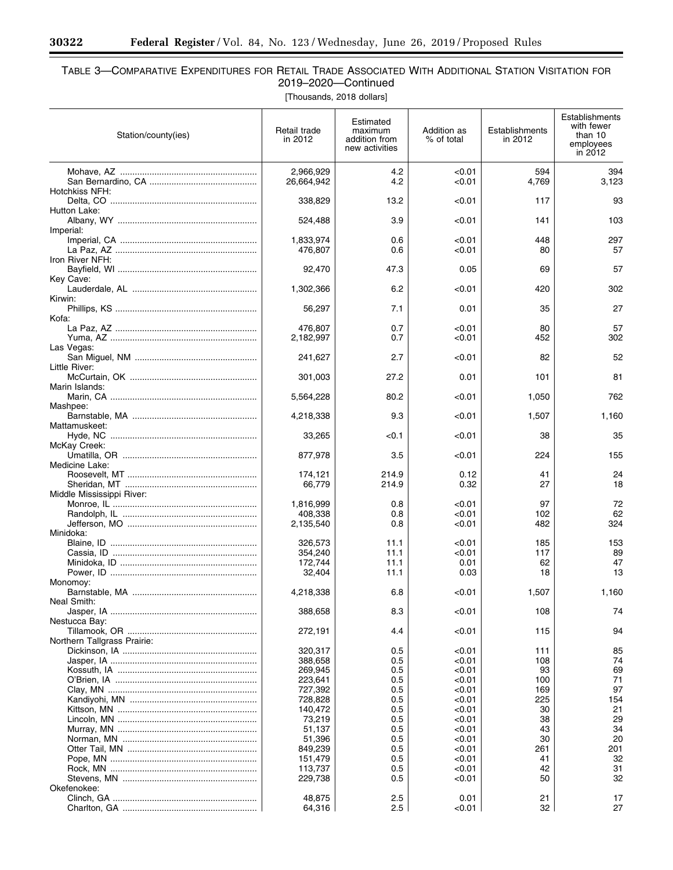$\equiv$ 

۰

# TABLE 3—COMPARATIVE EXPENDITURES FOR RETAIL TRADE ASSOCIATED WITH ADDITIONAL STATION VISITATION FOR 2019–2020—Continued

[Thousands, 2018 dollars]

| Station/county(ies)         | Retail trade<br>in 2012 | Estimated<br>maximum<br>addition from<br>new activities | Addition as<br>% of total | Establishments<br>in 2012 | Establishments<br>with fewer<br>than 10<br>employees<br>in 2012 |
|-----------------------------|-------------------------|---------------------------------------------------------|---------------------------|---------------------------|-----------------------------------------------------------------|
|                             | 2,966,929               | 4.2                                                     | < 0.01                    | 594                       | 394                                                             |
| Hotchkiss NFH:              | 26,664,942              | 4.2                                                     | < 0.01                    | 4,769                     | 3,123                                                           |
| Hutton Lake:                | 338,829                 | 13.2                                                    | < 0.01                    | 117                       | 93                                                              |
|                             | 524,488                 | 3.9                                                     | < 0.01                    | 141                       | 103                                                             |
| Imperial:                   | 1,833,974               | 0.6                                                     | < 0.01                    | 448                       | 297                                                             |
|                             | 476,807                 | 0.6                                                     | < 0.01                    | 80                        | 57                                                              |
| Iron River NFH:             | 92,470                  | 47.3                                                    | 0.05                      | 69                        | 57                                                              |
| Key Cave:                   |                         |                                                         |                           |                           |                                                                 |
| Kirwin:                     | 1,302,366               | 6.2                                                     | < 0.01                    | 420                       | 302                                                             |
|                             | 56,297                  | 7.1                                                     | 0.01                      | 35                        | 27                                                              |
| Kofa:                       | 476,807                 | 0.7                                                     | < 0.01                    | 80                        | 57                                                              |
|                             | 2,182,997               | 0.7                                                     | < 0.01                    | 452                       | 302                                                             |
| Las Vegas:                  | 241,627                 | 2.7                                                     | < 0.01                    | 82                        | 52                                                              |
| Little River:               |                         |                                                         |                           |                           |                                                                 |
| Marin Islands:              | 301,003                 | 27.2                                                    | 0.01                      | 101                       | 81                                                              |
|                             | 5,564,228               | 80.2                                                    | < 0.01                    | 1,050                     | 762                                                             |
| Mashpee:                    | 4,218,338               | 9.3                                                     | < 0.01                    | 1,507                     | 1,160                                                           |
| Mattamuskeet:               |                         |                                                         |                           |                           |                                                                 |
| McKay Creek:                | 33,265                  | < 0.1                                                   | < 0.01                    | 38                        | 35                                                              |
|                             | 877,978                 | 3.5                                                     | < 0.01                    | 224                       | 155                                                             |
| Medicine Lake:              | 174,121                 | 214.9                                                   | 0.12                      | 41                        | 24                                                              |
|                             | 66,779                  | 214.9                                                   | 0.32                      | 27                        | 18                                                              |
| Middle Mississippi River:   | 1,816,999               | 0.8                                                     | < 0.01                    | 97                        | 72                                                              |
|                             | 408,338                 | 0.8                                                     | <0.01                     | 102                       | 62<br>324                                                       |
| Minidoka:                   | 2,135,540               | 0.8                                                     | < 0.01                    | 482                       |                                                                 |
|                             | 326.573                 | 11.1<br>11.1                                            | < 0.01<br><0.01           | 185<br>117                | 153<br>89                                                       |
|                             | 354,240<br>172,744      | 11.1                                                    | 0.01                      | 62                        | 47                                                              |
|                             | 32,404                  | 11.1                                                    | 0.03                      | 18                        | 13                                                              |
| Monomoy:                    | 4,218,338               | 6.8                                                     | < 0.01                    | 1,507                     | 1,160                                                           |
| Neal Smith:                 | 388,658                 | 8.3                                                     | < 0.01                    | 108                       | 74                                                              |
| Nestucca Bay:               |                         |                                                         |                           |                           |                                                                 |
| Northern Tallgrass Prairie: | 272,191                 | 4.4                                                     | < 0.01                    | 115                       | 94                                                              |
|                             | 320,317                 | 0.5                                                     | < 0.01                    | 111                       | 85                                                              |
|                             | 388,658                 | 0.5                                                     | <0.01                     | 108                       | 74                                                              |
|                             | 269,945<br>223,641      | 0.5<br>0.5                                              | <0.01<br>< 0.01           | 93<br>100                 | 69<br>71                                                        |
|                             | 727,392                 | 0.5                                                     | < 0.01                    | 169                       | 97                                                              |
|                             | 728,828                 | 0.5                                                     | < 0.01                    | 225                       | 154                                                             |
|                             | 140,472                 | 0.5                                                     | < 0.01                    | 30                        | 21                                                              |
|                             | 73,219                  | 0.5                                                     | < 0.01                    | 38                        | 29                                                              |
|                             | 51,137                  | 0.5                                                     | < 0.01                    | 43                        | 34                                                              |
|                             | 51,396                  | 0.5                                                     | < 0.01                    | 30                        | 20                                                              |
|                             | 849,239                 | 0.5                                                     | < 0.01                    | 261                       | 201                                                             |
|                             | 151,479                 | 0.5                                                     | < 0.01                    | 41                        | 32                                                              |
|                             | 113,737                 | 0.5                                                     | < 0.01                    | 42                        | 31                                                              |
|                             | 229,738                 | 0.5                                                     | < 0.01                    | 50                        | 32                                                              |
| Okefenokee:                 |                         |                                                         |                           |                           |                                                                 |
|                             | 48,875                  | 2.5                                                     | 0.01                      | 21                        | 17                                                              |
|                             | 64,316                  | 2.5                                                     | < 0.01                    | 32                        | 27                                                              |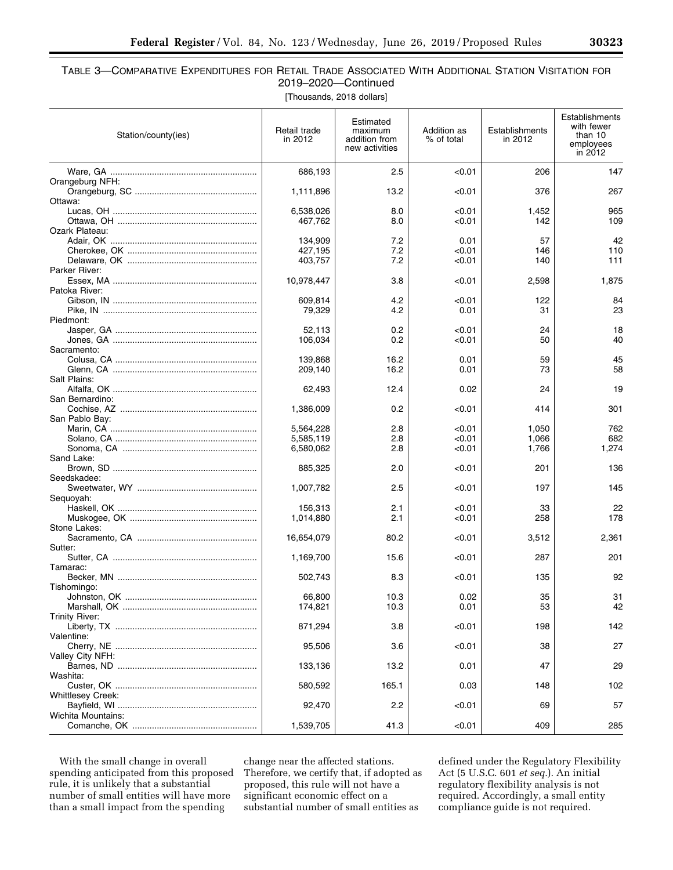# TABLE 3—COMPARATIVE EXPENDITURES FOR RETAIL TRADE ASSOCIATED WITH ADDITIONAL STATION VISITATION FOR 2019–2020—Continued

[Thousands, 2018 dollars]

| Station/county(ies)      | Retail trade<br>in 2012 | Estimated<br>maximum<br>addition from<br>new activities | Addition as<br>% of total | Establishments<br>in 2012 | Establishments<br>with fewer<br>than 10<br>employees<br>in 2012 |
|--------------------------|-------------------------|---------------------------------------------------------|---------------------------|---------------------------|-----------------------------------------------------------------|
|                          | 686,193                 | 2.5                                                     | < 0.01                    | 206                       | 147                                                             |
| Orangeburg NFH:          | 1,111,896               | 13.2                                                    | < 0.01                    | 376                       | 267                                                             |
| Ottawa:                  |                         |                                                         |                           |                           |                                                                 |
|                          | 6,538,026<br>467,762    | 8.0<br>8.0                                              | < 0.01<br>< 0.01          | 1,452<br>142              | 965<br>109                                                      |
| Ozark Plateau:           |                         |                                                         |                           |                           |                                                                 |
|                          | 134,909                 | 7.2                                                     | 0.01                      | 57                        | 42                                                              |
|                          | 427,195                 | 7.2                                                     | < 0.01                    | 146                       | 110<br>111                                                      |
| Parker River:            | 403,757                 | 7.2                                                     | < 0.01                    | 140                       |                                                                 |
|                          | 10,978,447              | 3.8                                                     | < 0.01                    | 2,598                     | 1,875                                                           |
| Patoka River:            |                         |                                                         |                           |                           |                                                                 |
|                          | 609,814<br>79,329       | 4.2<br>4.2                                              | < 0.01<br>0.01            | 122<br>31                 | 84<br>23                                                        |
| Piedmont:                |                         |                                                         |                           |                           |                                                                 |
|                          | 52.113                  | 0.2                                                     | < 0.01                    | 24                        | 18                                                              |
| Sacramento:              | 106,034                 | 0.2                                                     | < 0.01                    | 50                        | 40                                                              |
|                          | 139,868                 | 16.2                                                    | 0.01                      | 59                        | 45                                                              |
|                          | 209,140                 | 16.2                                                    | 0.01                      | 73                        | 58                                                              |
| Salt Plains:             |                         |                                                         |                           |                           |                                                                 |
| San Bernardino:          | 62,493                  | 12.4                                                    | 0.02                      | 24                        | 19                                                              |
|                          | 1,386,009               | 0.2                                                     | < 0.01                    | 414                       | 301                                                             |
| San Pablo Bay:           |                         |                                                         |                           |                           |                                                                 |
|                          | 5,564,228<br>5,585,119  | 2.8<br>2.8                                              | < 0.01<br>< 0.01          | 1,050<br>1,066            | 762<br>682                                                      |
|                          | 6,580,062               | 2.8                                                     | < 0.01                    | 1,766                     | 1,274                                                           |
| Sand Lake:               |                         |                                                         |                           |                           |                                                                 |
| Seedskadee:              | 885,325                 | 2.0                                                     | < 0.01                    | 201                       | 136                                                             |
|                          | 1,007,782               | 2.5                                                     | < 0.01                    | 197                       | 145                                                             |
| Sequoyah:                |                         |                                                         |                           |                           |                                                                 |
|                          | 156,313                 | 2.1                                                     | < 0.01                    | 33                        | 22                                                              |
| Stone Lakes:             | 1,014,880               | 2.1                                                     | < 0.01                    | 258                       | 178                                                             |
|                          | 16,654,079              | 80.2                                                    | < 0.01                    | 3,512                     | 2,361                                                           |
| Sutter:                  |                         |                                                         |                           |                           |                                                                 |
| Tamarac:                 | 1,169,700               | 15.6                                                    | < 0.01                    | 287                       | 201                                                             |
|                          | 502,743                 | 8.3                                                     | < 0.01                    | 135                       | 92                                                              |
| Tishomingo:              |                         |                                                         |                           |                           |                                                                 |
|                          | 66,800<br>174,821       | 10.3<br>10.3                                            | 0.02<br>0.01              | 35<br>53                  | 31<br>42                                                        |
| Trinity River:           |                         |                                                         |                           |                           |                                                                 |
|                          | 871,294                 | 3.8                                                     | < 0.01                    | 198                       | 142                                                             |
| Valentine:               | 95,506                  | 3.6                                                     | < 0.01                    | 38                        | 27                                                              |
| Valley City NFH:         |                         |                                                         |                           |                           |                                                                 |
|                          | 133,136                 | 13.2                                                    | 0.01                      | 47                        | 29                                                              |
| Washita:                 | 580,592                 | 165.1                                                   | 0.03                      | 148                       | 102                                                             |
| <b>Whittlesey Creek:</b> |                         |                                                         |                           |                           |                                                                 |
|                          | 92,470                  | 2.2                                                     | < 0.01                    | 69                        | 57                                                              |
| Wichita Mountains:       |                         |                                                         |                           |                           |                                                                 |
|                          | 1,539,705               | 41.3                                                    | < 0.01                    | 409                       | 285                                                             |

With the small change in overall spending anticipated from this proposed rule, it is unlikely that a substantial number of small entities will have more than a small impact from the spending

change near the affected stations. Therefore, we certify that, if adopted as proposed, this rule will not have a significant economic effect on a substantial number of small entities as

defined under the Regulatory Flexibility Act (5 U.S.C. 601 *et seq.*). An initial regulatory flexibility analysis is not required. Accordingly, a small entity compliance guide is not required.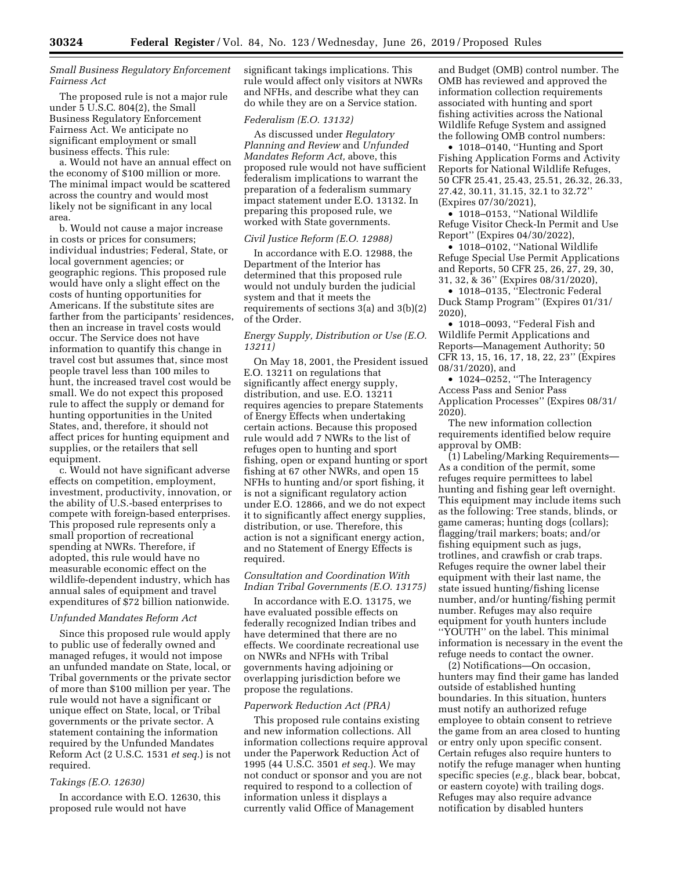# *Small Business Regulatory Enforcement Fairness Act*

The proposed rule is not a major rule under 5 U.S.C. 804(2), the Small Business Regulatory Enforcement Fairness Act. We anticipate no significant employment or small business effects. This rule:

a. Would not have an annual effect on the economy of \$100 million or more. The minimal impact would be scattered across the country and would most likely not be significant in any local area.

b. Would not cause a major increase in costs or prices for consumers; individual industries; Federal, State, or local government agencies; or geographic regions. This proposed rule would have only a slight effect on the costs of hunting opportunities for Americans. If the substitute sites are farther from the participants' residences, then an increase in travel costs would occur. The Service does not have information to quantify this change in travel cost but assumes that, since most people travel less than 100 miles to hunt, the increased travel cost would be small. We do not expect this proposed rule to affect the supply or demand for hunting opportunities in the United States, and, therefore, it should not affect prices for hunting equipment and supplies, or the retailers that sell equipment.

c. Would not have significant adverse effects on competition, employment, investment, productivity, innovation, or the ability of U.S.-based enterprises to compete with foreign-based enterprises. This proposed rule represents only a small proportion of recreational spending at NWRs. Therefore, if adopted, this rule would have no measurable economic effect on the wildlife-dependent industry, which has annual sales of equipment and travel expenditures of \$72 billion nationwide.

#### *Unfunded Mandates Reform Act*

Since this proposed rule would apply to public use of federally owned and managed refuges, it would not impose an unfunded mandate on State, local, or Tribal governments or the private sector of more than \$100 million per year. The rule would not have a significant or unique effect on State, local, or Tribal governments or the private sector. A statement containing the information required by the Unfunded Mandates Reform Act (2 U.S.C. 1531 *et seq.*) is not required.

#### *Takings (E.O. 12630)*

In accordance with E.O. 12630, this proposed rule would not have

significant takings implications. This rule would affect only visitors at NWRs and NFHs, and describe what they can do while they are on a Service station.

#### *Federalism (E.O. 13132)*

As discussed under *Regulatory Planning and Review* and *Unfunded Mandates Reform Act,* above, this proposed rule would not have sufficient federalism implications to warrant the preparation of a federalism summary impact statement under E.O. 13132. In preparing this proposed rule, we worked with State governments.

#### *Civil Justice Reform (E.O. 12988)*

In accordance with E.O. 12988, the Department of the Interior has determined that this proposed rule would not unduly burden the judicial system and that it meets the requirements of sections 3(a) and 3(b)(2) of the Order.

## *Energy Supply, Distribution or Use (E.O. 13211)*

On May 18, 2001, the President issued E.O. 13211 on regulations that significantly affect energy supply, distribution, and use. E.O. 13211 requires agencies to prepare Statements of Energy Effects when undertaking certain actions. Because this proposed rule would add 7 NWRs to the list of refuges open to hunting and sport fishing, open or expand hunting or sport fishing at 67 other NWRs, and open 15 NFHs to hunting and/or sport fishing, it is not a significant regulatory action under E.O. 12866, and we do not expect it to significantly affect energy supplies, distribution, or use. Therefore, this action is not a significant energy action, and no Statement of Energy Effects is required.

# *Consultation and Coordination With Indian Tribal Governments (E.O. 13175)*

In accordance with E.O. 13175, we have evaluated possible effects on federally recognized Indian tribes and have determined that there are no effects. We coordinate recreational use on NWRs and NFHs with Tribal governments having adjoining or overlapping jurisdiction before we propose the regulations.

#### *Paperwork Reduction Act (PRA)*

This proposed rule contains existing and new information collections. All information collections require approval under the Paperwork Reduction Act of 1995 (44 U.S.C. 3501 *et seq.*). We may not conduct or sponsor and you are not required to respond to a collection of information unless it displays a currently valid Office of Management

and Budget (OMB) control number. The OMB has reviewed and approved the information collection requirements associated with hunting and sport fishing activities across the National Wildlife Refuge System and assigned the following OMB control numbers:

• 1018–0140, "Hunting and Sport" Fishing Application Forms and Activity Reports for National Wildlife Refuges, 50 CFR 25.41, 25.43, 25.51, 26.32, 26.33, 27.42, 30.11, 31.15, 32.1 to 32.72'' (Expires 07/30/2021),

• 1018–0153, ''National Wildlife Refuge Visitor Check-In Permit and Use Report'' (Expires 04/30/2022),

• 1018–0102, ''National Wildlife Refuge Special Use Permit Applications and Reports, 50 CFR 25, 26, 27, 29, 30, 31, 32, & 36'' (Expires 08/31/2020),

• 1018–0135, ''Electronic Federal Duck Stamp Program'' (Expires 01/31/ 2020),

• 1018–0093, ''Federal Fish and Wildlife Permit Applications and Reports—Management Authority; 50 CFR 13, 15, 16, 17, 18, 22, 23'' (Expires 08/31/2020), and

• 1024–0252, ''The Interagency Access Pass and Senior Pass Application Processes'' (Expires 08/31/ 2020).

The new information collection requirements identified below require approval by OMB:

(1) Labeling/Marking Requirements— As a condition of the permit, some refuges require permittees to label hunting and fishing gear left overnight. This equipment may include items such as the following: Tree stands, blinds, or game cameras; hunting dogs (collars); flagging/trail markers; boats; and/or fishing equipment such as jugs, trotlines, and crawfish or crab traps. Refuges require the owner label their equipment with their last name, the state issued hunting/fishing license number, and/or hunting/fishing permit number. Refuges may also require equipment for youth hunters include ''YOUTH'' on the label. This minimal information is necessary in the event the refuge needs to contact the owner.

(2) Notifications—On occasion, hunters may find their game has landed outside of established hunting boundaries. In this situation, hunters must notify an authorized refuge employee to obtain consent to retrieve the game from an area closed to hunting or entry only upon specific consent. Certain refuges also require hunters to notify the refuge manager when hunting specific species (*e.g.,* black bear, bobcat, or eastern coyote) with trailing dogs. Refuges may also require advance notification by disabled hunters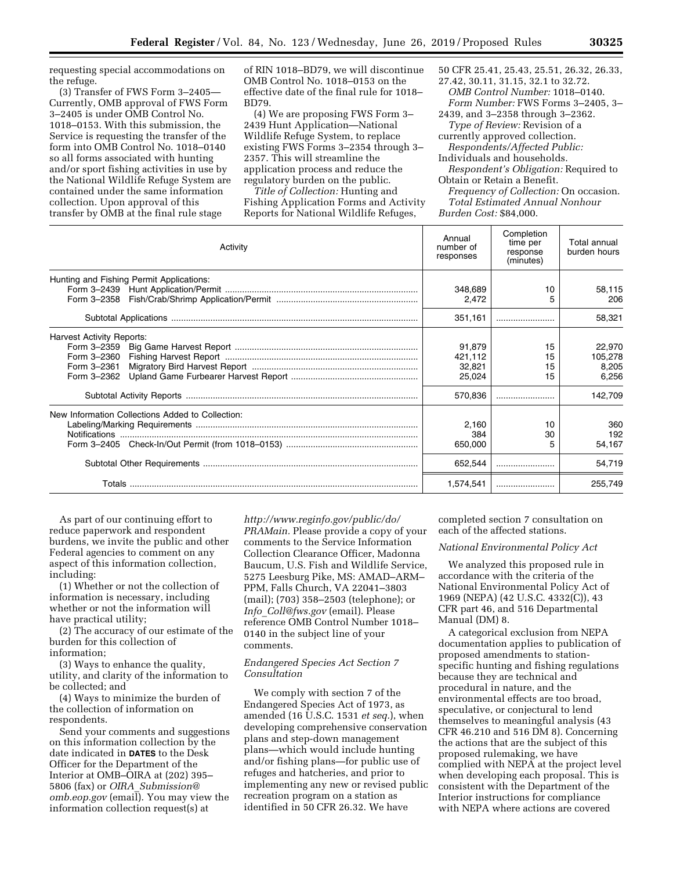requesting special accommodations on the refuge.

(3) Transfer of FWS Form 3–2405— Currently, OMB approval of FWS Form 3–2405 is under OMB Control No. 1018–0153. With this submission, the Service is requesting the transfer of the form into OMB Control No. 1018–0140 so all forms associated with hunting and/or sport fishing activities in use by the National Wildlife Refuge System are contained under the same information collection. Upon approval of this transfer by OMB at the final rule stage

of RIN 1018–BD79, we will discontinue OMB Control No. 1018–0153 on the effective date of the final rule for 1018– BD79.

(4) We are proposing FWS Form 3– 2439 Hunt Application—National Wildlife Refuge System, to replace existing FWS Forms 3–2354 through 3– 2357. This will streamline the application process and reduce the regulatory burden on the public.

*Title of Collection:* Hunting and Fishing Application Forms and Activity Reports for National Wildlife Refuges,

50 CFR 25.41, 25.43, 25.51, 26.32, 26.33, 27.42, 30.11, 31.15, 32.1 to 32.72.

*OMB Control Number:* 1018–0140. *Form Number:* FWS Forms 3–2405, 3–

2439, and 3–2358 through 3–2362. *Type of Review:* Revision of a

currently approved collection. *Respondents/Affected Public:* 

Individuals and households.

*Respondent's Obligation:* Required to Obtain or Retain a Benefit.

*Frequency of Collection:* On occasion. *Total Estimated Annual Nonhour Burden Cost:* \$84,000.

| Activity                                         | Annual<br>number of<br>responses | Completion<br>time per<br>response<br>(minutes) | Total annual<br>burden hours |
|--------------------------------------------------|----------------------------------|-------------------------------------------------|------------------------------|
| Hunting and Fishing Permit Applications:         |                                  |                                                 |                              |
|                                                  | 348,689                          | 10                                              | 58,115                       |
|                                                  | 2.472                            |                                                 | 206                          |
|                                                  | 351,161                          |                                                 | 58,321                       |
| <b>Harvest Activity Reports:</b>                 |                                  |                                                 |                              |
|                                                  | 91.879                           | 15                                              | 22,970                       |
|                                                  | 421,112                          | 15                                              | 105,278                      |
| Form 3-2361                                      | 32,821                           | 15                                              | 8,205                        |
|                                                  | 25,024                           | 15                                              | 6,256                        |
|                                                  | 570,836                          |                                                 | 142,709                      |
| New Information Collections Added to Collection: |                                  |                                                 |                              |
|                                                  | 2.160                            | 10                                              | 360                          |
|                                                  | 384                              | 30                                              | 192                          |
|                                                  | 650,000                          | 5                                               | 54,167                       |
|                                                  | 652,544                          |                                                 | 54,719                       |
|                                                  | 1,574,541                        |                                                 | 255,749                      |

As part of our continuing effort to reduce paperwork and respondent burdens, we invite the public and other Federal agencies to comment on any aspect of this information collection, including:

(1) Whether or not the collection of information is necessary, including whether or not the information will have practical utility;

(2) The accuracy of our estimate of the burden for this collection of information;

(3) Ways to enhance the quality, utility, and clarity of the information to be collected; and

(4) Ways to minimize the burden of the collection of information on respondents.

Send your comments and suggestions on this information collection by the date indicated in **DATES** to the Desk Officer for the Department of the Interior at OMB–OIRA at (202) 395– 5806 (fax) or *OIRA*\_*[Submission@](mailto:OIRA_Submission@omb.eop.gov) [omb.eop.gov](mailto:OIRA_Submission@omb.eop.gov)* (email). You may view the information collection request(s) at

*[http://www.reginfo.gov/public/do/](http://www.reginfo.gov/public/do/PRAMain) [PRAMain.](http://www.reginfo.gov/public/do/PRAMain)* Please provide a copy of your comments to the Service Information Collection Clearance Officer, Madonna Baucum, U.S. Fish and Wildlife Service, 5275 Leesburg Pike, MS: AMAD–ARM– PPM, Falls Church, VA 22041–3803 (mail); (703) 358–2503 (telephone); or *Info*\_*[Coll@fws.gov](mailto:Info_Coll@fws.gov)* (email). Please reference OMB Control Number 1018– 0140 in the subject line of your comments.

# *Endangered Species Act Section 7 Consultation*

We comply with section 7 of the Endangered Species Act of 1973, as amended (16 U.S.C. 1531 *et seq.*), when developing comprehensive conservation plans and step-down management plans—which would include hunting and/or fishing plans—for public use of refuges and hatcheries, and prior to implementing any new or revised public recreation program on a station as identified in 50 CFR 26.32. We have

completed section 7 consultation on each of the affected stations.

# *National Environmental Policy Act*

We analyzed this proposed rule in accordance with the criteria of the National Environmental Policy Act of 1969 (NEPA) (42 U.S.C. 4332(C)), 43 CFR part 46, and 516 Departmental Manual (DM) 8.

A categorical exclusion from NEPA documentation applies to publication of proposed amendments to stationspecific hunting and fishing regulations because they are technical and procedural in nature, and the environmental effects are too broad, speculative, or conjectural to lend themselves to meaningful analysis (43 CFR 46.210 and 516 DM 8). Concerning the actions that are the subject of this proposed rulemaking, we have complied with NEPA at the project level when developing each proposal. This is consistent with the Department of the Interior instructions for compliance with NEPA where actions are covered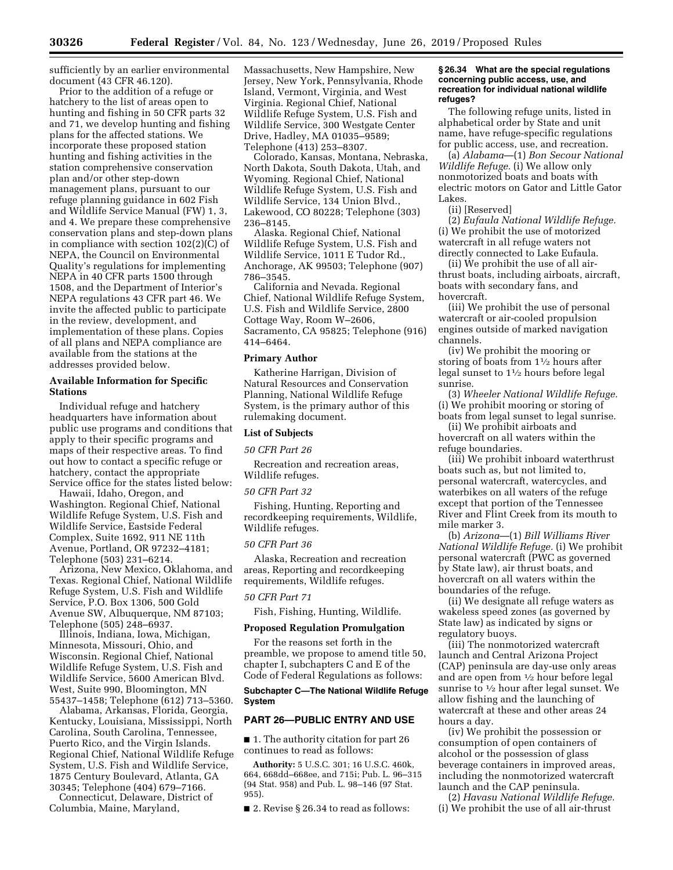sufficiently by an earlier environmental document (43 CFR 46.120).

Prior to the addition of a refuge or hatchery to the list of areas open to hunting and fishing in 50 CFR parts 32 and 71, we develop hunting and fishing plans for the affected stations. We incorporate these proposed station hunting and fishing activities in the station comprehensive conservation plan and/or other step-down management plans, pursuant to our refuge planning guidance in 602 Fish and Wildlife Service Manual (FW) 1, 3, and 4. We prepare these comprehensive conservation plans and step-down plans in compliance with section 102(2)(C) of NEPA, the Council on Environmental Quality's regulations for implementing NEPA in 40 CFR parts 1500 through 1508, and the Department of Interior's NEPA regulations 43 CFR part 46. We invite the affected public to participate in the review, development, and implementation of these plans. Copies of all plans and NEPA compliance are available from the stations at the addresses provided below.

# **Available Information for Specific Stations**

Individual refuge and hatchery headquarters have information about public use programs and conditions that apply to their specific programs and maps of their respective areas. To find out how to contact a specific refuge or hatchery, contact the appropriate Service office for the states listed below:

Hawaii, Idaho, Oregon, and Washington. Regional Chief, National Wildlife Refuge System, U.S. Fish and Wildlife Service, Eastside Federal Complex, Suite 1692, 911 NE 11th Avenue, Portland, OR 97232–4181; Telephone (503) 231–6214.

Arizona, New Mexico, Oklahoma, and Texas. Regional Chief, National Wildlife Refuge System, U.S. Fish and Wildlife Service, P.O. Box 1306, 500 Gold Avenue SW, Albuquerque, NM 87103; Telephone (505) 248–6937.

Illinois, Indiana, Iowa, Michigan, Minnesota, Missouri, Ohio, and Wisconsin. Regional Chief, National Wildlife Refuge System, U.S. Fish and Wildlife Service, 5600 American Blvd. West, Suite 990, Bloomington, MN 55437–1458; Telephone (612) 713–5360.

Alabama, Arkansas, Florida, Georgia, Kentucky, Louisiana, Mississippi, North Carolina, South Carolina, Tennessee, Puerto Rico, and the Virgin Islands. Regional Chief, National Wildlife Refuge System, U.S. Fish and Wildlife Service, 1875 Century Boulevard, Atlanta, GA 30345; Telephone (404) 679–7166.

Connecticut, Delaware, District of Columbia, Maine, Maryland,

Massachusetts, New Hampshire, New Jersey, New York, Pennsylvania, Rhode Island, Vermont, Virginia, and West Virginia. Regional Chief, National Wildlife Refuge System, U.S. Fish and Wildlife Service, 300 Westgate Center Drive, Hadley, MA 01035–9589; Telephone (413) 253–8307.

Colorado, Kansas, Montana, Nebraska, North Dakota, South Dakota, Utah, and Wyoming. Regional Chief, National Wildlife Refuge System, U.S. Fish and Wildlife Service, 134 Union Blvd., Lakewood, CO 80228; Telephone (303) 236–8145.

Alaska. Regional Chief, National Wildlife Refuge System, U.S. Fish and Wildlife Service, 1011 E Tudor Rd., Anchorage, AK 99503; Telephone (907) 786–3545.

California and Nevada. Regional Chief, National Wildlife Refuge System, U.S. Fish and Wildlife Service, 2800 Cottage Way, Room W–2606, Sacramento, CA 95825; Telephone (916) 414–6464.

#### **Primary Author**

Katherine Harrigan, Division of Natural Resources and Conservation Planning, National Wildlife Refuge System, is the primary author of this rulemaking document.

#### **List of Subjects**

#### *50 CFR Part 26*

Recreation and recreation areas, Wildlife refuges.

#### *50 CFR Part 32*

Fishing, Hunting, Reporting and recordkeeping requirements, Wildlife, Wildlife refuges.

### *50 CFR Part 36*

Alaska, Recreation and recreation areas, Reporting and recordkeeping requirements, Wildlife refuges.

### *50 CFR Part 71*

Fish, Fishing, Hunting, Wildlife.

#### **Proposed Regulation Promulgation**

For the reasons set forth in the preamble, we propose to amend title 50, chapter I, subchapters C and E of the Code of Federal Regulations as follows:

#### **Subchapter C—The National Wildlife Refuge System**

#### **PART 26—PUBLIC ENTRY AND USE**

■ 1. The authority citation for part 26 continues to read as follows:

**Authority:** 5 U.S.C. 301; 16 U.S.C. 460k, 664, 668dd–668ee, and 715i; Pub. L. 96–315 (94 Stat. 958) and Pub. L. 98–146 (97 Stat. 955).

■ 2. Revise § 26.34 to read as follows:

#### **§ 26.34 What are the special regulations concerning public access, use, and recreation for individual national wildlife refuges?**

The following refuge units, listed in alphabetical order by State and unit name, have refuge-specific regulations for public access, use, and recreation.

(a) *Alabama*—(1) *Bon Secour National Wildlife Refuge.* (i) We allow only nonmotorized boats and boats with electric motors on Gator and Little Gator Lakes.

(ii) [Reserved]

(2) *Eufaula National Wildlife Refuge.*  (i) We prohibit the use of motorized watercraft in all refuge waters not directly connected to Lake Eufaula.

(ii) We prohibit the use of all airthrust boats, including airboats, aircraft, boats with secondary fans, and hovercraft.

(iii) We prohibit the use of personal watercraft or air-cooled propulsion engines outside of marked navigation channels.

(iv) We prohibit the mooring or storing of boats from  $1\frac{1}{2}$  hours after legal sunset to 11⁄2 hours before legal sunrise.

(3) *Wheeler National Wildlife Refuge.*  (i) We prohibit mooring or storing of boats from legal sunset to legal sunrise.

(ii) We prohibit airboats and hovercraft on all waters within the refuge boundaries.

(iii) We prohibit inboard waterthrust boats such as, but not limited to, personal watercraft, watercycles, and waterbikes on all waters of the refuge except that portion of the Tennessee River and Flint Creek from its mouth to mile marker 3.

(b) *Arizona*—(1) *Bill Williams River National Wildlife Refuge.* (i) We prohibit personal watercraft (PWC as governed by State law), air thrust boats, and hovercraft on all waters within the boundaries of the refuge.

(ii) We designate all refuge waters as wakeless speed zones (as governed by State law) as indicated by signs or regulatory buoys.

(iii) The nonmotorized watercraft launch and Central Arizona Project (CAP) peninsula are day-use only areas and are open from 1⁄2 hour before legal sunrise to 1⁄2 hour after legal sunset. We allow fishing and the launching of watercraft at these and other areas 24 hours a day.

(iv) We prohibit the possession or consumption of open containers of alcohol or the possession of glass beverage containers in improved areas, including the nonmotorized watercraft launch and the CAP peninsula.

(2) *Havasu National Wildlife Refuge.*  (i) We prohibit the use of all air-thrust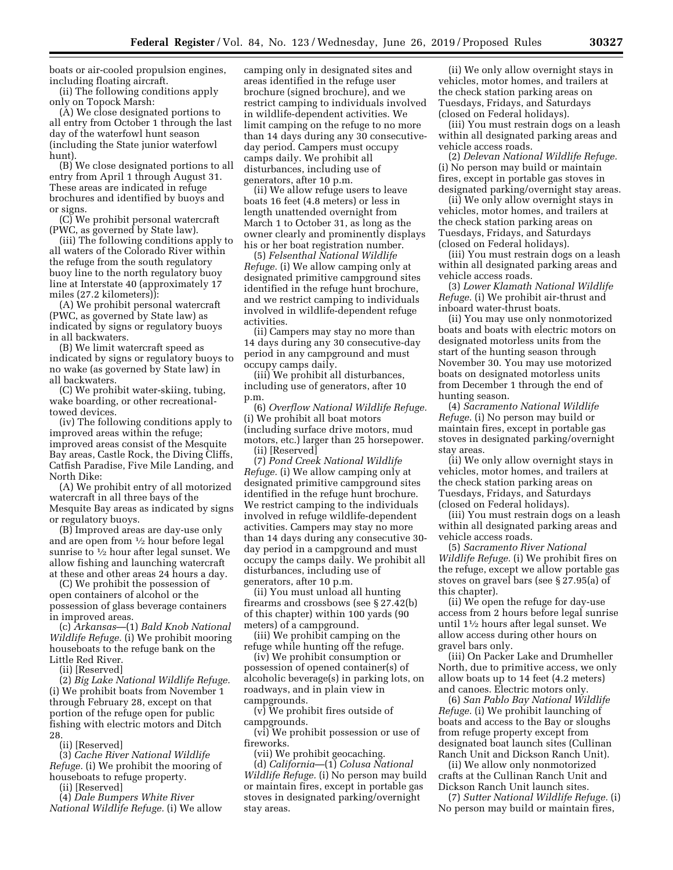boats or air-cooled propulsion engines, including floating aircraft.

(ii) The following conditions apply only on Topock Marsh:

(A) We close designated portions to all entry from October 1 through the last day of the waterfowl hunt season (including the State junior waterfowl hunt).

(B) We close designated portions to all entry from April 1 through August 31. These areas are indicated in refuge brochures and identified by buoys and or signs.

(C) We prohibit personal watercraft (PWC, as governed by State law).

(iii) The following conditions apply to all waters of the Colorado River within the refuge from the south regulatory buoy line to the north regulatory buoy line at Interstate 40 (approximately 17 miles (27.2 kilometers)):

(A) We prohibit personal watercraft (PWC, as governed by State law) as indicated by signs or regulatory buoys in all backwaters.

(B) We limit watercraft speed as indicated by signs or regulatory buoys to no wake (as governed by State law) in all backwaters.

(C) We prohibit water-skiing, tubing, wake boarding, or other recreationaltowed devices.

(iv) The following conditions apply to improved areas within the refuge; improved areas consist of the Mesquite Bay areas, Castle Rock, the Diving Cliffs, Catfish Paradise, Five Mile Landing, and North Dike:

(A) We prohibit entry of all motorized watercraft in all three bays of the Mesquite Bay areas as indicated by signs or regulatory buoys.

(B) Improved areas are day-use only and are open from 1⁄2 hour before legal sunrise to  $\frac{1}{2}$  hour after legal sunset. We allow fishing and launching watercraft at these and other areas 24 hours a day.

(C) We prohibit the possession of open containers of alcohol or the possession of glass beverage containers in improved areas.

(c) *Arkansas*—(1) *Bald Knob National Wildlife Refuge.* (i) We prohibit mooring houseboats to the refuge bank on the Little Red River.

(ii) [Reserved]

(2) *Big Lake National Wildlife Refuge.*  (i) We prohibit boats from November 1 through February 28, except on that portion of the refuge open for public fishing with electric motors and Ditch 28.

(ii) [Reserved]

(3) *Cache River National Wildlife Refuge.* (i) We prohibit the mooring of houseboats to refuge property.

(ii) [Reserved]

(4) *Dale Bumpers White River National Wildlife Refuge.* (i) We allow

camping only in designated sites and areas identified in the refuge user brochure (signed brochure), and we restrict camping to individuals involved in wildlife-dependent activities. We limit camping on the refuge to no more than 14 days during any 30 consecutiveday period. Campers must occupy camps daily. We prohibit all disturbances, including use of generators, after 10 p.m.

(ii) We allow refuge users to leave boats 16 feet (4.8 meters) or less in length unattended overnight from March 1 to October 31, as long as the owner clearly and prominently displays his or her boat registration number.

(5) *Felsenthal National Wildlife Refuge.* (i) We allow camping only at designated primitive campground sites identified in the refuge hunt brochure, and we restrict camping to individuals involved in wildlife-dependent refuge activities.

(ii) Campers may stay no more than 14 days during any 30 consecutive-day period in any campground and must occupy camps daily.

(iii) We prohibit all disturbances, including use of generators, after 10 p.m.

(6) *Overflow National Wildlife Refuge.*  (i) We prohibit all boat motors (including surface drive motors, mud motors, etc.) larger than 25 horsepower. (ii) [Reserved]

(7) *Pond Creek National Wildlife Refuge.* (i) We allow camping only at designated primitive campground sites identified in the refuge hunt brochure. We restrict camping to the individuals involved in refuge wildlife-dependent activities. Campers may stay no more than 14 days during any consecutive 30 day period in a campground and must occupy the camps daily. We prohibit all disturbances, including use of generators, after 10 p.m.

(ii) You must unload all hunting firearms and crossbows (see § 27.42(b) of this chapter) within 100 yards (90 meters) of a campground.

(iii) We prohibit camping on the refuge while hunting off the refuge.

(iv) We prohibit consumption or possession of opened container(s) of alcoholic beverage(s) in parking lots, on roadways, and in plain view in campgrounds.

(v) We prohibit fires outside of campgrounds.

(vi) We prohibit possession or use of fireworks.

(vii) We prohibit geocaching.

(d) *California*—(1) *Colusa National Wildlife Refuge.* (i) No person may build or maintain fires, except in portable gas stoves in designated parking/overnight stay areas.

(ii) We only allow overnight stays in vehicles, motor homes, and trailers at the check station parking areas on Tuesdays, Fridays, and Saturdays (closed on Federal holidays).

(iii) You must restrain dogs on a leash within all designated parking areas and vehicle access roads.

(2) *Delevan National Wildlife Refuge.*  (i) No person may build or maintain fires, except in portable gas stoves in designated parking/overnight stay areas.

(ii) We only allow overnight stays in vehicles, motor homes, and trailers at the check station parking areas on Tuesdays, Fridays, and Saturdays (closed on Federal holidays).

(iii) You must restrain dogs on a leash within all designated parking areas and vehicle access roads.

(3) *Lower Klamath National Wildlife Refuge.* (i) We prohibit air-thrust and inboard water-thrust boats.

(ii) You may use only nonmotorized boats and boats with electric motors on designated motorless units from the start of the hunting season through November 30. You may use motorized boats on designated motorless units from December 1 through the end of hunting season.

(4) *Sacramento National Wildlife Refuge.* (i) No person may build or maintain fires, except in portable gas stoves in designated parking/overnight stay areas.

(ii) We only allow overnight stays in vehicles, motor homes, and trailers at the check station parking areas on Tuesdays, Fridays, and Saturdays (closed on Federal holidays).

(iii) You must restrain dogs on a leash within all designated parking areas and vehicle access roads.

(5) *Sacramento River National Wildlife Refuge.* (i) We prohibit fires on the refuge, except we allow portable gas stoves on gravel bars (see § 27.95(a) of this chapter).

(ii) We open the refuge for day-use access from 2 hours before legal sunrise until 11⁄2 hours after legal sunset. We allow access during other hours on gravel bars only.

(iii) On Packer Lake and Drumheller North, due to primitive access, we only allow boats up to 14 feet (4.2 meters) and canoes. Electric motors only.

(6) *San Pablo Bay National Wildlife Refuge.* (i) We prohibit launching of boats and access to the Bay or sloughs from refuge property except from designated boat launch sites (Cullinan Ranch Unit and Dickson Ranch Unit).

(ii) We allow only nonmotorized crafts at the Cullinan Ranch Unit and Dickson Ranch Unit launch sites.

(7) *Sutter National Wildlife Refuge.* (i) No person may build or maintain fires,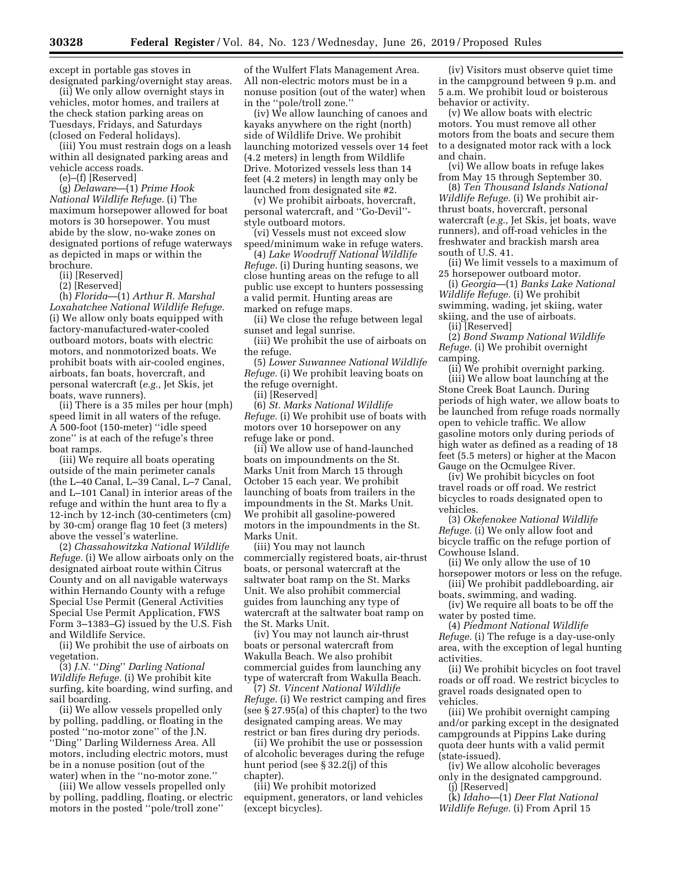except in portable gas stoves in designated parking/overnight stay areas.

(ii) We only allow overnight stays in vehicles, motor homes, and trailers at the check station parking areas on Tuesdays, Fridays, and Saturdays (closed on Federal holidays).

(iii) You must restrain dogs on a leash within all designated parking areas and vehicle access roads.

(e)–(f) [Reserved]

(g) *Delaware*—(1) *Prime Hook National Wildlife Refuge.* (i) The maximum horsepower allowed for boat motors is 30 horsepower. You must abide by the slow, no-wake zones on designated portions of refuge waterways as depicted in maps or within the brochure.

(ii) [Reserved]

(2) [Reserved]

(h) *Florida*—(1) *Arthur R. Marshal Loxahatchee National Wildlife Refuge.*  (i) We allow only boats equipped with factory-manufactured-water-cooled outboard motors, boats with electric motors, and nonmotorized boats. We prohibit boats with air-cooled engines, airboats, fan boats, hovercraft, and personal watercraft (*e.g.,* Jet Skis, jet boats, wave runners).

(ii) There is a 35 miles per hour (mph) speed limit in all waters of the refuge. A 500-foot (150-meter) ''idle speed zone'' is at each of the refuge's three boat ramps.

(iii) We require all boats operating outside of the main perimeter canals (the L–40 Canal, L–39 Canal, L–7 Canal, and L–101 Canal) in interior areas of the refuge and within the hunt area to fly a 12-inch by 12-inch (30-centimeters (cm) by 30-cm) orange flag 10 feet (3 meters) above the vessel's waterline.

(2) *Chassahowitzka National Wildlife Refuge.* (i) We allow airboats only on the designated airboat route within Citrus County and on all navigable waterways within Hernando County with a refuge Special Use Permit (General Activities Special Use Permit Application, FWS Form 3–1383–G) issued by the U.S. Fish and Wildlife Service.

(ii) We prohibit the use of airboats on vegetation.

(3) *J.N.* ''*Ding*'' *Darling National Wildlife Refuge.* (i) We prohibit kite surfing, kite boarding, wind surfing, and sail boarding.

(ii) We allow vessels propelled only by polling, paddling, or floating in the posted ''no-motor zone'' of the J.N. ''Ding'' Darling Wilderness Area. All motors, including electric motors, must be in a nonuse position (out of the water) when in the ''no-motor zone.''

(iii) We allow vessels propelled only by polling, paddling, floating, or electric motors in the posted ''pole/troll zone''

of the Wulfert Flats Management Area. All non-electric motors must be in a nonuse position (out of the water) when in the ''pole/troll zone.''

(iv) We allow launching of canoes and kayaks anywhere on the right (north) side of Wildlife Drive. We prohibit launching motorized vessels over 14 feet (4.2 meters) in length from Wildlife Drive. Motorized vessels less than 14 feet (4.2 meters) in length may only be launched from designated site #2.

(v) We prohibit airboats, hovercraft, personal watercraft, and ''Go-Devil'' style outboard motors.

(vi) Vessels must not exceed slow speed/minimum wake in refuge waters.

(4) *Lake Woodruff National Wildlife Refuge.* (i) During hunting seasons, we close hunting areas on the refuge to all public use except to hunters possessing a valid permit. Hunting areas are marked on refuge maps.

(ii) We close the refuge between legal sunset and legal sunrise.

(iii) We prohibit the use of airboats on the refuge.

(5) *Lower Suwannee National Wildlife Refuge.* (i) We prohibit leaving boats on the refuge overnight.

(ii) [Reserved]

(6) *St. Marks National Wildlife Refuge.* (i) We prohibit use of boats with motors over 10 horsepower on any refuge lake or pond.

(ii) We allow use of hand-launched boats on impoundments on the St. Marks Unit from March 15 through October 15 each year. We prohibit launching of boats from trailers in the impoundments in the St. Marks Unit. We prohibit all gasoline-powered motors in the impoundments in the St. Marks Unit.

(iii) You may not launch commercially registered boats, air-thrust boats, or personal watercraft at the saltwater boat ramp on the St. Marks Unit. We also prohibit commercial guides from launching any type of watercraft at the saltwater boat ramp on the St. Marks Unit.

(iv) You may not launch air-thrust boats or personal watercraft from Wakulla Beach. We also prohibit commercial guides from launching any type of watercraft from Wakulla Beach.

(7) *St. Vincent National Wildlife Refuge.* (i) We restrict camping and fires (see § 27.95(a) of this chapter) to the two designated camping areas. We may restrict or ban fires during dry periods.

(ii) We prohibit the use or possession of alcoholic beverages during the refuge hunt period (see § 32.2(j) of this chapter).

(iii) We prohibit motorized equipment, generators, or land vehicles (except bicycles).

(iv) Visitors must observe quiet time in the campground between 9 p.m. and 5 a.m. We prohibit loud or boisterous behavior or activity.

(v) We allow boats with electric motors. You must remove all other motors from the boats and secure them to a designated motor rack with a lock and chain.

(vi) We allow boats in refuge lakes from May 15 through September 30.

(8) *Ten Thousand Islands National Wildlife Refuge.* (i) We prohibit airthrust boats, hovercraft, personal watercraft (*e.g.,* Jet Skis, jet boats, wave runners), and off-road vehicles in the freshwater and brackish marsh area south of U.S. 41.

(ii) We limit vessels to a maximum of 25 horsepower outboard motor.

(i) *Georgia*—(1) *Banks Lake National Wildlife Refuge.* (i) We prohibit swimming, wading, jet skiing, water skiing, and the use of airboats.

(ii) [Reserved]

(2) *Bond Swamp National Wildlife Refuge.* (i) We prohibit overnight camping.

(ii) We prohibit overnight parking. (iii) We allow boat launching at the Stone Creek Boat Launch. During periods of high water, we allow boats to be launched from refuge roads normally open to vehicle traffic. We allow gasoline motors only during periods of high water as defined as a reading of 18 feet (5.5 meters) or higher at the Macon Gauge on the Ocmulgee River.

(iv) We prohibit bicycles on foot travel roads or off road. We restrict bicycles to roads designated open to vehicles.

(3) *Okefenokee National Wildlife Refuge.* (i) We only allow foot and bicycle traffic on the refuge portion of Cowhouse Island.

(ii) We only allow the use of 10 horsepower motors or less on the refuge.

(iii) We prohibit paddleboarding, air boats, swimming, and wading.

(iv) We require all boats to be off the water by posted time.

(4) *Piedmont National Wildlife Refuge.* (i) The refuge is a day-use-only area, with the exception of legal hunting activities.

(ii) We prohibit bicycles on foot travel roads or off road. We restrict bicycles to gravel roads designated open to vehicles.

(iii) We prohibit overnight camping and/or parking except in the designated campgrounds at Pippins Lake during quota deer hunts with a valid permit (state-issued).

(iv) We allow alcoholic beverages only in the designated campground. (j) [Reserved]

(k) *Idaho*—(1) *Deer Flat National Wildlife Refuge.* (i) From April 15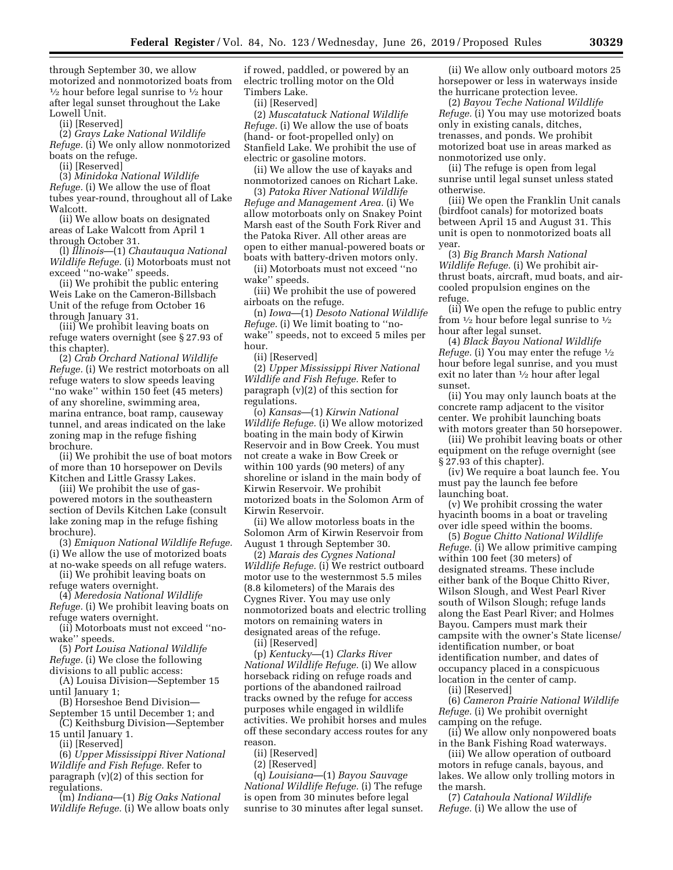through September 30, we allow motorized and nonmotorized boats from 1⁄2 hour before legal sunrise to 1⁄2 hour after legal sunset throughout the Lake Lowell Unit.

(ii) [Reserved]

(2) *Grays Lake National Wildlife Refuge.* (i) We only allow nonmotorized boats on the refuge.

(ii) [Reserved]

(3) *Minidoka National Wildlife Refuge.* (i) We allow the use of float tubes year-round, throughout all of Lake Walcott.

(ii) We allow boats on designated areas of Lake Walcott from April 1 through October 31.

(l) *Illinois*—(1) *Chautauqua National Wildlife Refuge.* (i) Motorboats must not exceed ''no-wake'' speeds.

(ii) We prohibit the public entering Weis Lake on the Cameron-Billsbach Unit of the refuge from October 16 through January 31.

(iii) We prohibit leaving boats on refuge waters overnight (see § 27.93 of this chapter).

(2) *Crab Orchard National Wildlife Refuge.* (i) We restrict motorboats on all refuge waters to slow speeds leaving ''no wake'' within 150 feet (45 meters) of any shoreline, swimming area, marina entrance, boat ramp, causeway tunnel, and areas indicated on the lake zoning map in the refuge fishing brochure.

(ii) We prohibit the use of boat motors of more than 10 horsepower on Devils Kitchen and Little Grassy Lakes.

(iii) We prohibit the use of gaspowered motors in the southeastern section of Devils Kitchen Lake (consult lake zoning map in the refuge fishing brochure).

(3) *Emiquon National Wildlife Refuge.*  (i) We allow the use of motorized boats at no-wake speeds on all refuge waters.

(ii) We prohibit leaving boats on refuge waters overnight.

(4) *Meredosia National Wildlife Refuge.* (i) We prohibit leaving boats on refuge waters overnight.

(ii) Motorboats must not exceed ''nowake'' speeds.

(5) *Port Louisa National Wildlife* 

*Refuge.* (i) We close the following divisions to all public access:

(A) Louisa Division—September 15 until January 1;

(B) Horseshoe Bend Division—

September 15 until December 1; and (C) Keithsburg Division—September

15 until January 1. (ii) [Reserved]

(6) *Upper Mississippi River National Wildlife and Fish Refuge.* Refer to paragraph (v)(2) of this section for regulations.

(m) *Indiana*—(1) *Big Oaks National Wildlife Refuge.* (i) We allow boats only

if rowed, paddled, or powered by an electric trolling motor on the Old Timbers Lake.

(ii) [Reserved]

(2) *Muscatatuck National Wildlife Refuge.* (i) We allow the use of boats (hand- or foot-propelled only) on Stanfield Lake. We prohibit the use of electric or gasoline motors.

(ii) We allow the use of kayaks and nonmotorized canoes on Richart Lake.

(3) *Patoka River National Wildlife Refuge and Management Area.* (i) We allow motorboats only on Snakey Point Marsh east of the South Fork River and the Patoka River. All other areas are open to either manual-powered boats or boats with battery-driven motors only.

(ii) Motorboats must not exceed ''no wake'' speeds.

(iii) We prohibit the use of powered airboats on the refuge.

(n) *Iowa*—(1) *Desoto National Wildlife Refuge.* (i) We limit boating to ''nowake'' speeds, not to exceed 5 miles per hour.

(ii) [Reserved]

(2) *Upper Mississippi River National Wildlife and Fish Refuge.* Refer to paragraph (v)(2) of this section for regulations.

(o) *Kansas*—(1) *Kirwin National Wildlife Refuge.* (i) We allow motorized boating in the main body of Kirwin Reservoir and in Bow Creek. You must not create a wake in Bow Creek or within 100 yards (90 meters) of any shoreline or island in the main body of Kirwin Reservoir. We prohibit motorized boats in the Solomon Arm of Kirwin Reservoir.

(ii) We allow motorless boats in the Solomon Arm of Kirwin Reservoir from August 1 through September 30.

(2) *Marais des Cygnes National Wildlife Refuge.* (i) We restrict outboard motor use to the westernmost 5.5 miles (8.8 kilometers) of the Marais des Cygnes River. You may use only nonmotorized boats and electric trolling motors on remaining waters in designated areas of the refuge.

(ii) [Reserved]

(p) *Kentucky*—(1) *Clarks River National Wildlife Refuge.* (i) We allow horseback riding on refuge roads and portions of the abandoned railroad tracks owned by the refuge for access purposes while engaged in wildlife activities. We prohibit horses and mules off these secondary access routes for any reason.

(ii) [Reserved]

(2) [Reserved]

(q) *Louisiana*—(1) *Bayou Sauvage National Wildlife Refuge.* (i) The refuge is open from 30 minutes before legal sunrise to 30 minutes after legal sunset.

(ii) We allow only outboard motors 25 horsepower or less in waterways inside the hurricane protection levee.

(2) *Bayou Teche National Wildlife Refuge.* (i) You may use motorized boats only in existing canals, ditches, trenasses, and ponds. We prohibit motorized boat use in areas marked as nonmotorized use only.

(ii) The refuge is open from legal sunrise until legal sunset unless stated otherwise.

(iii) We open the Franklin Unit canals (birdfoot canals) for motorized boats between April 15 and August 31. This unit is open to nonmotorized boats all year.

(3) *Big Branch Marsh National Wildlife Refuge.* (i) We prohibit airthrust boats, aircraft, mud boats, and aircooled propulsion engines on the refuge.

(ii) We open the refuge to public entry from  $\frac{1}{2}$  hour before legal sunrise to  $\frac{1}{2}$ hour after legal sunset.

(4) *Black Bayou National Wildlife Refuge.* (i) You may enter the refuge  $\frac{1}{2}$ hour before legal sunrise, and you must exit no later than 1⁄2 hour after legal sunset.

(ii) You may only launch boats at the concrete ramp adjacent to the visitor center. We prohibit launching boats with motors greater than 50 horsepower.

(iii) We prohibit leaving boats or other equipment on the refuge overnight (see § 27.93 of this chapter).

(iv) We require a boat launch fee. You must pay the launch fee before launching boat.

(v) We prohibit crossing the water hyacinth booms in a boat or traveling over idle speed within the booms.

(5) *Bogue Chitto National Wildlife Refuge.* (i) We allow primitive camping within 100 feet (30 meters) of designated streams. These include either bank of the Boque Chitto River, Wilson Slough, and West Pearl River south of Wilson Slough; refuge lands along the East Pearl River; and Holmes Bayou. Campers must mark their campsite with the owner's State license/ identification number, or boat identification number, and dates of occupancy placed in a conspicuous location in the center of camp.

(ii) [Reserved]

(6) *Cameron Prairie National Wildlife Refuge.* (i) We prohibit overnight camping on the refuge.

(ii) We allow only nonpowered boats in the Bank Fishing Road waterways.

(iii) We allow operation of outboard motors in refuge canals, bayous, and lakes. We allow only trolling motors in the marsh.

(7) *Catahoula National Wildlife Refuge.* (i) We allow the use of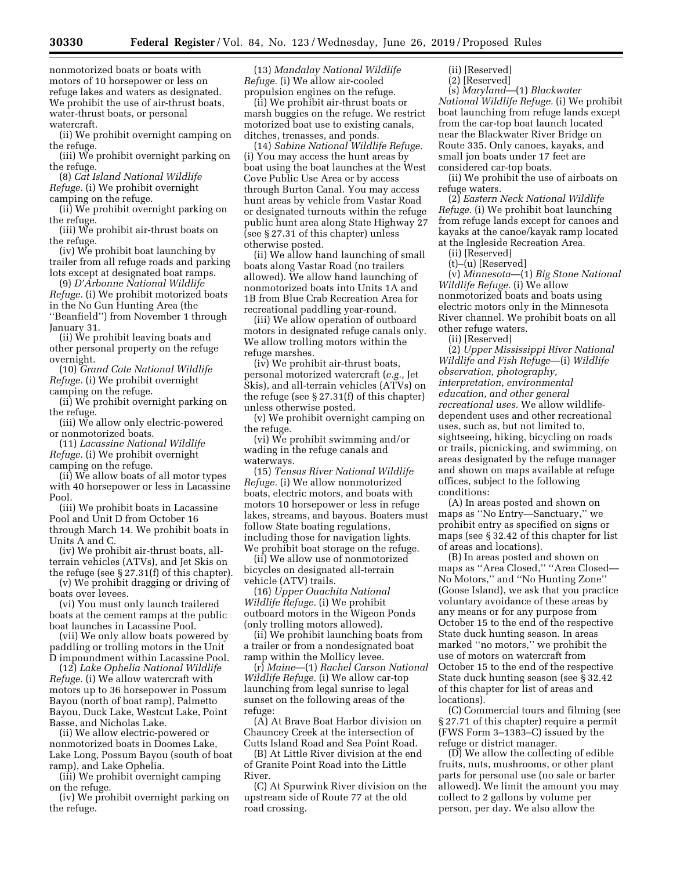nonmotorized boats or boats with motors of 10 horsepower or less on refuge lakes and waters as designated. We prohibit the use of air-thrust boats, water-thrust boats, or personal watercraft.

(ii) We prohibit overnight camping on the refuge.

(iii) We prohibit overnight parking on the refuge.

(8) *Cat Island National Wildlife Refuge.* (i) We prohibit overnight camping on the refuge.

(ii) We prohibit overnight parking on the refuge.

(iii) We prohibit air-thrust boats on the refuge.

(iv) We prohibit boat launching by trailer from all refuge roads and parking lots except at designated boat ramps.

(9) *D'Arbonne National Wildlife Refuge.* (i) We prohibit motorized boats in the No Gun Hunting Area (the ''Beanfield'') from November 1 through January 31.

(ii) We prohibit leaving boats and other personal property on the refuge overnight.

(10) *Grand Cote National Wildlife Refuge.* (i) We prohibit overnight camping on the refuge.

(ii) We prohibit overnight parking on the refuge.

(iii) We allow only electric-powered or nonmotorized boats.

(11) *Lacassine National Wildlife Refuge.* (i) We prohibit overnight camping on the refuge.

(ii) We allow boats of all motor types with 40 horsepower or less in Lacassine Pool.

(iii) We prohibit boats in Lacassine Pool and Unit D from October 16 through March 14. We prohibit boats in Units A and C.

(iv) We prohibit air-thrust boats, allterrain vehicles (ATVs), and Jet Skis on the refuge (see § 27.31(f) of this chapter).

(v) We prohibit dragging or driving of boats over levees.

(vi) You must only launch trailered boats at the cement ramps at the public boat launches in Lacassine Pool.

(vii) We only allow boats powered by paddling or trolling motors in the Unit D impoundment within Lacassine Pool.

(12) *Lake Ophelia National Wildlife Refuge.* (i) We allow watercraft with motors up to 36 horsepower in Possum Bayou (north of boat ramp), Palmetto Bayou, Duck Lake, Westcut Lake, Point Basse, and Nicholas Lake.

(ii) We allow electric-powered or nonmotorized boats in Doomes Lake, Lake Long, Possum Bayou (south of boat ramp), and Lake Ophelia.

(iii) We prohibit overnight camping on the refuge.

(iv) We prohibit overnight parking on the refuge.

(13) *Mandalay National Wildlife Refuge.* (i) We allow air-cooled propulsion engines on the refuge.

(ii) We prohibit air-thrust boats or marsh buggies on the refuge. We restrict motorized boat use to existing canals, ditches, trenasses, and ponds.

(14) *Sabine National Wildlife Refuge.*  (i) You may access the hunt areas by boat using the boat launches at the West Cove Public Use Area or by access through Burton Canal. You may access hunt areas by vehicle from Vastar Road or designated turnouts within the refuge public hunt area along State Highway 27 (see § 27.31 of this chapter) unless otherwise posted.

(ii) We allow hand launching of small boats along Vastar Road (no trailers allowed). We allow hand launching of nonmotorized boats into Units 1A and 1B from Blue Crab Recreation Area for recreational paddling year-round.

(iii) We allow operation of outboard motors in designated refuge canals only. We allow trolling motors within the refuge marshes.

(iv) We prohibit air-thrust boats, personal motorized watercraft (*e.g.,* Jet Skis), and all-terrain vehicles (ATVs) on the refuge (see § 27.31(f) of this chapter) unless otherwise posted.

(v) We prohibit overnight camping on the refuge.

(vi) We prohibit swimming and/or wading in the refuge canals and waterways.

(15) *Tensas River National Wildlife Refuge.* (i) We allow nonmotorized boats, electric motors, and boats with motors 10 horsepower or less in refuge lakes, streams, and bayous. Boaters must follow State boating regulations, including those for navigation lights. We prohibit boat storage on the refuge.

(ii) We allow use of nonmotorized bicycles on designated all-terrain vehicle (ATV) trails.

(16) *Upper Ouachita National Wildlife Refuge.* (i) We prohibit outboard motors in the Wigeon Ponds (only trolling motors allowed).

(ii) We prohibit launching boats from a trailer or from a nondesignated boat ramp within the Mollicy levee.

(r) *Maine*—(1) *Rachel Carson National Wildlife Refuge.* (i) We allow car-top launching from legal sunrise to legal sunset on the following areas of the refuge:

(A) At Brave Boat Harbor division on Chauncey Creek at the intersection of Cutts Island Road and Sea Point Road.

(B) At Little River division at the end of Granite Point Road into the Little River.

(C) At Spurwink River division on the upstream side of Route 77 at the old road crossing.

(ii) [Reserved]

(2) [Reserved]

(s) *Maryland*—(1) *Blackwater National Wildlife Refuge.* (i) We prohibit boat launching from refuge lands except from the car-top boat launch located near the Blackwater River Bridge on Route 335. Only canoes, kayaks, and small jon boats under 17 feet are considered car-top boats.

(ii) We prohibit the use of airboats on refuge waters.

(2) *Eastern Neck National Wildlife Refuge.* (i) We prohibit boat launching from refuge lands except for canoes and kayaks at the canoe/kayak ramp located at the Ingleside Recreation Area.

(ii) [Reserved]

(t)–(u) [Reserved]

(v) *Minnesota*—(1) *Big Stone National Wildlife Refuge.* (i) We allow nonmotorized boats and boats using electric motors only in the Minnesota River channel. We prohibit boats on all other refuge waters.

(ii) [Reserved]

(2) *Upper Mississippi River National Wildlife and Fish Refuge*—(i) *Wildlife observation, photography, interpretation, environmental education, and other general recreational uses.* We allow wildlifedependent uses and other recreational uses, such as, but not limited to, sightseeing, hiking, bicycling on roads or trails, picnicking, and swimming, on areas designated by the refuge manager and shown on maps available at refuge offices, subject to the following conditions:

(A) In areas posted and shown on maps as ''No Entry—Sanctuary,'' we prohibit entry as specified on signs or maps (see § 32.42 of this chapter for list of areas and locations).

(B) In areas posted and shown on maps as ''Area Closed,'' ''Area Closed— No Motors,'' and ''No Hunting Zone'' (Goose Island), we ask that you practice voluntary avoidance of these areas by any means or for any purpose from October 15 to the end of the respective State duck hunting season. In areas marked ''no motors,'' we prohibit the use of motors on watercraft from October 15 to the end of the respective State duck hunting season (see § 32.42 of this chapter for list of areas and locations).

(C) Commercial tours and filming (see § 27.71 of this chapter) require a permit (FWS Form 3–1383–C) issued by the refuge or district manager.

(D) We allow the collecting of edible fruits, nuts, mushrooms, or other plant parts for personal use (no sale or barter allowed). We limit the amount you may collect to 2 gallons by volume per person, per day. We also allow the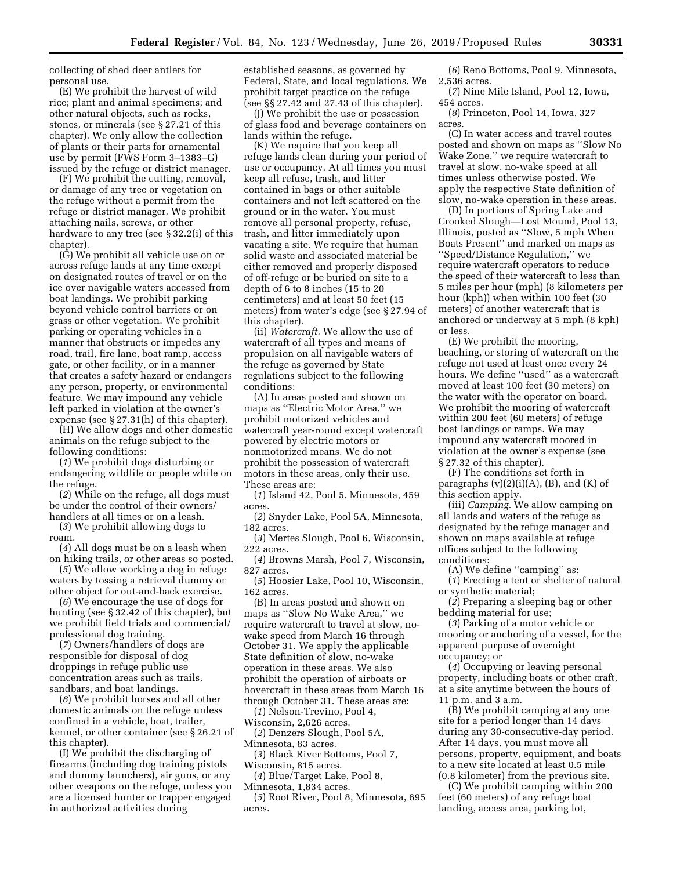collecting of shed deer antlers for personal use.

(E) We prohibit the harvest of wild rice; plant and animal specimens; and other natural objects, such as rocks, stones, or minerals (see § 27.21 of this chapter). We only allow the collection of plants or their parts for ornamental use by permit (FWS Form 3–1383–G) issued by the refuge or district manager.

(F) We prohibit the cutting, removal, or damage of any tree or vegetation on the refuge without a permit from the refuge or district manager. We prohibit attaching nails, screws, or other hardware to any tree (see § 32.2(i) of this chapter).

(G) We prohibit all vehicle use on or across refuge lands at any time except on designated routes of travel or on the ice over navigable waters accessed from boat landings. We prohibit parking beyond vehicle control barriers or on grass or other vegetation. We prohibit parking or operating vehicles in a manner that obstructs or impedes any road, trail, fire lane, boat ramp, access gate, or other facility, or in a manner that creates a safety hazard or endangers any person, property, or environmental feature. We may impound any vehicle left parked in violation at the owner's expense (see § 27.31(h) of this chapter).

(H) We allow dogs and other domestic animals on the refuge subject to the following conditions:

(*1*) We prohibit dogs disturbing or endangering wildlife or people while on the refuge.

(*2*) While on the refuge, all dogs must be under the control of their owners/ handlers at all times or on a leash.

(*3*) We prohibit allowing dogs to roam.

(*4*) All dogs must be on a leash when on hiking trails, or other areas so posted.

(*5*) We allow working a dog in refuge waters by tossing a retrieval dummy or other object for out-and-back exercise.

(*6*) We encourage the use of dogs for hunting (see § 32.42 of this chapter), but we prohibit field trials and commercial/ professional dog training.

(*7*) Owners/handlers of dogs are responsible for disposal of dog droppings in refuge public use concentration areas such as trails, sandbars, and boat landings.

(*8*) We prohibit horses and all other domestic animals on the refuge unless confined in a vehicle, boat, trailer, kennel, or other container (see § 26.21 of this chapter).

(I) We prohibit the discharging of firearms (including dog training pistols and dummy launchers), air guns, or any other weapons on the refuge, unless you are a licensed hunter or trapper engaged in authorized activities during

established seasons, as governed by Federal, State, and local regulations. We prohibit target practice on the refuge (see §§ 27.42 and 27.43 of this chapter).

(J) We prohibit the use or possession of glass food and beverage containers on lands within the refuge.

(K) We require that you keep all refuge lands clean during your period of use or occupancy. At all times you must keep all refuse, trash, and litter contained in bags or other suitable containers and not left scattered on the ground or in the water. You must remove all personal property, refuse, trash, and litter immediately upon vacating a site. We require that human solid waste and associated material be either removed and properly disposed of off-refuge or be buried on site to a depth of 6 to 8 inches (15 to 20 centimeters) and at least 50 feet (15 meters) from water's edge (see § 27.94 of this chapter).

(ii) *Watercraft.* We allow the use of watercraft of all types and means of propulsion on all navigable waters of the refuge as governed by State regulations subject to the following conditions:

(A) In areas posted and shown on maps as ''Electric Motor Area,'' we prohibit motorized vehicles and watercraft year-round except watercraft powered by electric motors or nonmotorized means. We do not prohibit the possession of watercraft motors in these areas, only their use. These areas are:

(*1*) Island 42, Pool 5, Minnesota, 459 acres.

(*2*) Snyder Lake, Pool 5A, Minnesota, 182 acres.

(*3*) Mertes Slough, Pool 6, Wisconsin, 222 acres.

(*4*) Browns Marsh, Pool 7, Wisconsin, 827 acres.

(*5*) Hoosier Lake, Pool 10, Wisconsin, 162 acres.

(B) In areas posted and shown on maps as ''Slow No Wake Area,'' we require watercraft to travel at slow, nowake speed from March 16 through October 31. We apply the applicable State definition of slow, no-wake operation in these areas. We also prohibit the operation of airboats or hovercraft in these areas from March 16 through October 31. These areas are:

(*1*) Nelson-Trevino, Pool 4, Wisconsin, 2,626 acres.

(*2*) Denzers Slough, Pool 5A, Minnesota, 83 acres.

(*3*) Black River Bottoms, Pool 7, Wisconsin, 815 acres.

(*4*) Blue/Target Lake, Pool 8, Minnesota, 1,834 acres.

(*5*) Root River, Pool 8, Minnesota, 695 acres.

(*6*) Reno Bottoms, Pool 9, Minnesota, 2,536 acres.

(*7*) Nine Mile Island, Pool 12, Iowa, 454 acres.

(*8*) Princeton, Pool 14, Iowa, 327 acres.

(C) In water access and travel routes posted and shown on maps as ''Slow No Wake Zone,'' we require watercraft to travel at slow, no-wake speed at all times unless otherwise posted. We apply the respective State definition of slow, no-wake operation in these areas.

(D) In portions of Spring Lake and Crooked Slough—Lost Mound, Pool 13, Illinois, posted as ''Slow, 5 mph When Boats Present'' and marked on maps as ''Speed/Distance Regulation,'' we require watercraft operators to reduce the speed of their watercraft to less than 5 miles per hour (mph) (8 kilometers per hour (kph)) when within 100 feet (30 meters) of another watercraft that is anchored or underway at 5 mph (8 kph) or less.

(E) We prohibit the mooring, beaching, or storing of watercraft on the refuge not used at least once every 24 hours. We define ''used'' as a watercraft moved at least 100 feet (30 meters) on the water with the operator on board. We prohibit the mooring of watercraft within 200 feet (60 meters) of refuge boat landings or ramps. We may impound any watercraft moored in violation at the owner's expense (see § 27.32 of this chapter).

(F) The conditions set forth in paragraphs  $(v)(2)(i)(A)$ ,  $(B)$ , and  $(K)$  of this section apply.

(iii) *Camping.* We allow camping on all lands and waters of the refuge as designated by the refuge manager and shown on maps available at refuge offices subject to the following conditions:

(A) We define ''camping'' as:

(*1*) Erecting a tent or shelter of natural or synthetic material;

(*2*) Preparing a sleeping bag or other bedding material for use;

(*3*) Parking of a motor vehicle or mooring or anchoring of a vessel, for the apparent purpose of overnight occupancy; or

(*4*) Occupying or leaving personal property, including boats or other craft, at a site anytime between the hours of 11 p.m. and 3 a.m.

(B) We prohibit camping at any one site for a period longer than 14 days during any 30-consecutive-day period. After 14 days, you must move all persons, property, equipment, and boats to a new site located at least 0.5 mile (0.8 kilometer) from the previous site.

(C) We prohibit camping within 200 feet (60 meters) of any refuge boat landing, access area, parking lot,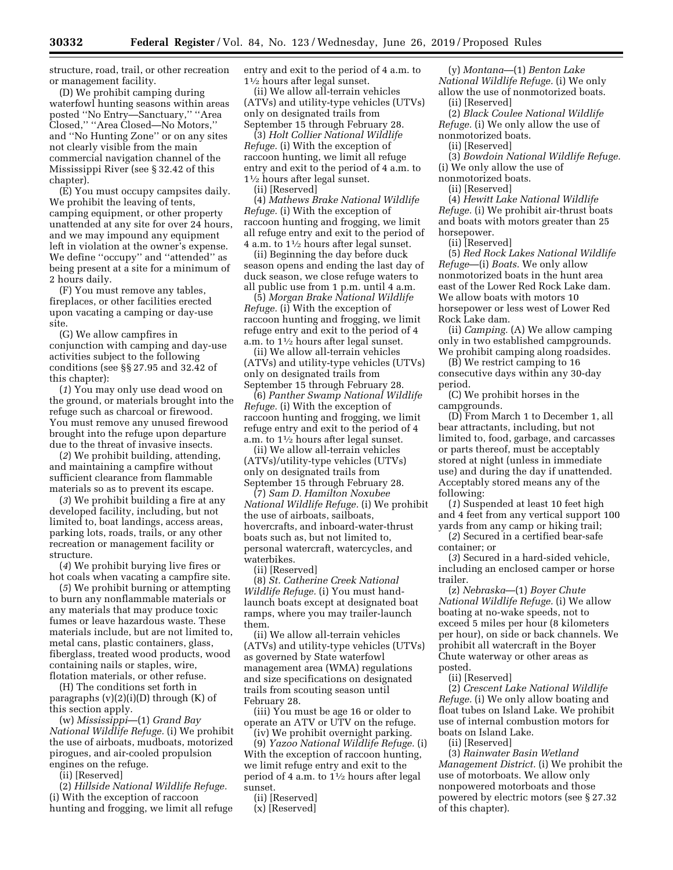structure, road, trail, or other recreation or management facility.

(D) We prohibit camping during waterfowl hunting seasons within areas posted ''No Entry—Sanctuary,'' ''Area Closed,'' ''Area Closed—No Motors,'' and ''No Hunting Zone'' or on any sites not clearly visible from the main commercial navigation channel of the Mississippi River (see § 32.42 of this chapter).

(E) You must occupy campsites daily. We prohibit the leaving of tents, camping equipment, or other property unattended at any site for over 24 hours, and we may impound any equipment left in violation at the owner's expense. We define ''occupy'' and ''attended'' as being present at a site for a minimum of 2 hours daily.

(F) You must remove any tables, fireplaces, or other facilities erected upon vacating a camping or day-use site.

(G) We allow campfires in conjunction with camping and day-use activities subject to the following conditions (see §§ 27.95 and 32.42 of this chapter):

(*1*) You may only use dead wood on the ground, or materials brought into the refuge such as charcoal or firewood. You must remove any unused firewood brought into the refuge upon departure due to the threat of invasive insects.

(*2*) We prohibit building, attending, and maintaining a campfire without sufficient clearance from flammable materials so as to prevent its escape.

(*3*) We prohibit building a fire at any developed facility, including, but not limited to, boat landings, access areas, parking lots, roads, trails, or any other recreation or management facility or structure.

(*4*) We prohibit burying live fires or hot coals when vacating a campfire site.

(*5*) We prohibit burning or attempting to burn any nonflammable materials or any materials that may produce toxic fumes or leave hazardous waste. These materials include, but are not limited to, metal cans, plastic containers, glass, fiberglass, treated wood products, wood containing nails or staples, wire, flotation materials, or other refuse.

(H) The conditions set forth in

paragraphs  $(v)(2)(i)(D)$  through  $(K)$  of this section apply.

(w) *Mississippi*—(1) *Grand Bay National Wildlife Refuge.* (i) We prohibit the use of airboats, mudboats, motorized pirogues, and air-cooled propulsion engines on the refuge.

(ii) [Reserved]

(2) *Hillside National Wildlife Refuge.*  (i) With the exception of raccoon hunting and frogging, we limit all refuge entry and exit to the period of 4 a.m. to 11⁄2 hours after legal sunset.

(ii) We allow all-terrain vehicles (ATVs) and utility-type vehicles (UTVs) only on designated trails from September 15 through February 28.

(3) *Holt Collier National Wildlife Refuge.* (i) With the exception of raccoon hunting, we limit all refuge entry and exit to the period of 4 a.m. to 11⁄2 hours after legal sunset.

(ii) [Reserved]

(4) *Mathews Brake National Wildlife Refuge.* (i) With the exception of raccoon hunting and frogging, we limit all refuge entry and exit to the period of 4 a.m. to  $1\frac{1}{2}$  hours after legal sunset.

(ii) Beginning the day before duck season opens and ending the last day of duck season, we close refuge waters to all public use from 1 p.m. until 4 a.m.

(5) *Morgan Brake National Wildlife Refuge.* (i) With the exception of raccoon hunting and frogging, we limit refuge entry and exit to the period of 4 a.m. to  $1\frac{1}{2}$  hours after legal sunset.

(ii) We allow all-terrain vehicles (ATVs) and utility-type vehicles (UTVs) only on designated trails from September 15 through February 28.

(6) *Panther Swamp National Wildlife Refuge.* (i) With the exception of raccoon hunting and frogging, we limit refuge entry and exit to the period of 4 a.m. to  $1\frac{1}{2}$  hours after legal sunset.

(ii) We allow all-terrain vehicles (ATVs)/utility-type vehicles (UTVs) only on designated trails from September 15 through February 28.

(7) *Sam D. Hamilton Noxubee National Wildlife Refuge.* (i) We prohibit the use of airboats, sailboats, hovercrafts, and inboard-water-thrust boats such as, but not limited to, personal watercraft, watercycles, and waterbikes.

(ii) [Reserved]

(8) *St. Catherine Creek National Wildlife Refuge.* (i) You must handlaunch boats except at designated boat ramps, where you may trailer-launch them.

(ii) We allow all-terrain vehicles (ATVs) and utility-type vehicles (UTVs) as governed by State waterfowl management area (WMA) regulations and size specifications on designated trails from scouting season until February 28.

(iii) You must be age 16 or older to operate an ATV or UTV on the refuge. (iv) We prohibit overnight parking.

(9) *Yazoo National Wildlife Refuge.* (i) With the exception of raccoon hunting, we limit refuge entry and exit to the period of 4 a.m. to  $1\frac{1}{2}$  hours after legal sunset.

(ii) [Reserved]

(y) *Montana*—(1) *Benton Lake National Wildlife Refuge.* (i) We only allow the use of nonmotorized boats.

(ii) [Reserved]

(2) *Black Coulee National Wildlife Refuge.* (i) We only allow the use of nonmotorized boats.

(ii) [Reserved]

(3) *Bowdoin National Wildlife Refuge.*  (i) We only allow the use of

nonmotorized boats.

(ii) [Reserved]

(4) *Hewitt Lake National Wildlife Refuge.* (i) We prohibit air-thrust boats and boats with motors greater than 25 horsepower.

(ii) [Reserved]

(5) *Red Rock Lakes National Wildlife Refuge*—(i) *Boats.* We only allow nonmotorized boats in the hunt area east of the Lower Red Rock Lake dam. We allow boats with motors 10 horsepower or less west of Lower Red Rock Lake dam.

(ii) *Camping.* (A) We allow camping only in two established campgrounds. We prohibit camping along roadsides.

(B) We restrict camping to 16 consecutive days within any 30-day period.

(C) We prohibit horses in the campgrounds.

(D) From March 1 to December 1, all bear attractants, including, but not limited to, food, garbage, and carcasses or parts thereof, must be acceptably stored at night (unless in immediate use) and during the day if unattended. Acceptably stored means any of the following:

(*1*) Suspended at least 10 feet high and 4 feet from any vertical support 100 yards from any camp or hiking trail;

(*2*) Secured in a certified bear-safe container; or

(*3*) Secured in a hard-sided vehicle, including an enclosed camper or horse trailer.

(z) *Nebraska*—(1) *Boyer Chute National Wildlife Refuge.* (i) We allow boating at no-wake speeds, not to exceed 5 miles per hour (8 kilometers per hour), on side or back channels. We prohibit all watercraft in the Boyer Chute waterway or other areas as posted.

(ii) [Reserved]

(2) *Crescent Lake National Wildlife Refuge.* (i) We only allow boating and float tubes on Island Lake. We prohibit use of internal combustion motors for boats on Island Lake.

(ii) [Reserved]

(3) *Rainwater Basin Wetland Management District.* (i) We prohibit the use of motorboats. We allow only nonpowered motorboats and those powered by electric motors (see § 27.32 of this chapter).

<sup>(</sup>x) [Reserved]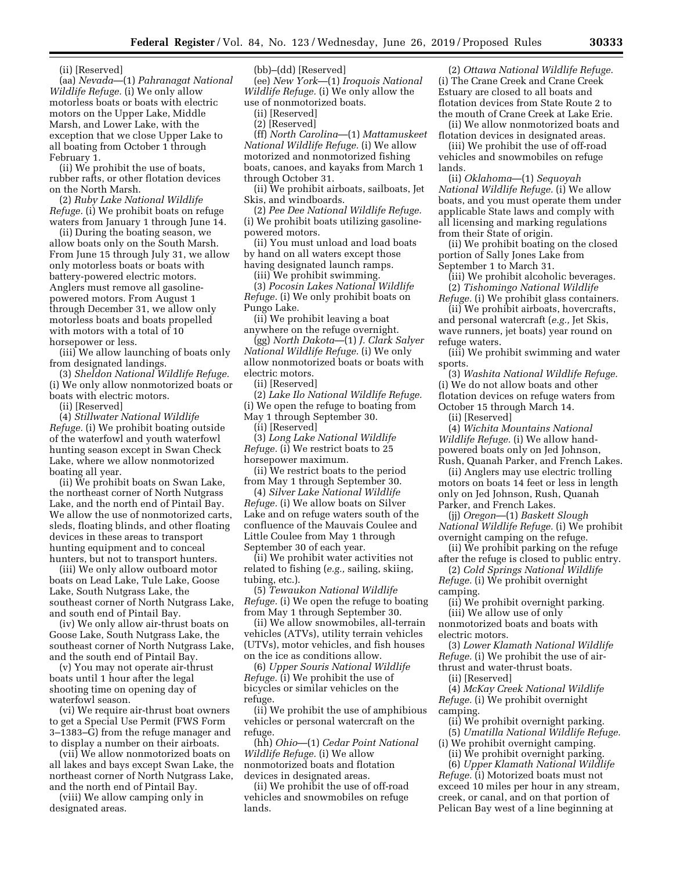(ii) [Reserved]

(aa) *Nevada*—(1) *Pahranagat National Wildlife Refuge.* (i) We only allow motorless boats or boats with electric motors on the Upper Lake, Middle Marsh, and Lower Lake, with the exception that we close Upper Lake to all boating from October 1 through February 1.

(ii) We prohibit the use of boats, rubber rafts, or other flotation devices on the North Marsh.

(2) *Ruby Lake National Wildlife Refuge.* (i) We prohibit boats on refuge waters from January 1 through June 14.

(ii) During the boating season, we allow boats only on the South Marsh. From June 15 through July 31, we allow only motorless boats or boats with battery-powered electric motors. Anglers must remove all gasolinepowered motors. From August 1 through December 31, we allow only motorless boats and boats propelled with motors with a total of 10 horsepower or less.

(iii) We allow launching of boats only from designated landings.

(3) *Sheldon National Wildlife Refuge.*  (i) We only allow nonmotorized boats or boats with electric motors.

(ii) [Reserved]

(4) *Stillwater National Wildlife Refuge.* (i) We prohibit boating outside of the waterfowl and youth waterfowl hunting season except in Swan Check Lake, where we allow nonmotorized boating all year.

(ii) We prohibit boats on Swan Lake, the northeast corner of North Nutgrass Lake, and the north end of Pintail Bay. We allow the use of nonmotorized carts, sleds, floating blinds, and other floating devices in these areas to transport hunting equipment and to conceal hunters, but not to transport hunters.

(iii) We only allow outboard motor boats on Lead Lake, Tule Lake, Goose Lake, South Nutgrass Lake, the southeast corner of North Nutgrass Lake, and south end of Pintail Bay.

(iv) We only allow air-thrust boats on Goose Lake, South Nutgrass Lake, the southeast corner of North Nutgrass Lake, and the south end of Pintail Bay.

(v) You may not operate air-thrust boats until 1 hour after the legal shooting time on opening day of waterfowl season.

(vi) We require air-thrust boat owners to get a Special Use Permit (FWS Form 3–1383–G) from the refuge manager and to display a number on their airboats.

(vii) We allow nonmotorized boats on all lakes and bays except Swan Lake, the northeast corner of North Nutgrass Lake, and the north end of Pintail Bay.

(viii) We allow camping only in designated areas.

(bb)–(dd) [Reserved]

(ee) *New York*—(1) *Iroquois National Wildlife Refuge.* (i) We only allow the use of nonmotorized boats.

(ii) [Reserved]

(2) [Reserved]

(ff) *North Carolina*—(1) *Mattamuskeet National Wildlife Refuge.* (i) We allow motorized and nonmotorized fishing boats, canoes, and kayaks from March 1 through October 31.

(ii) We prohibit airboats, sailboats, Jet Skis, and windboards.

(2) *Pee Dee National Wildlife Refuge.*  (i) We prohibit boats utilizing gasolinepowered motors.

(ii) You must unload and load boats by hand on all waters except those having designated launch ramps.

(iii) We prohibit swimming.

(3) *Pocosin Lakes National Wildlife Refuge.* (i) We only prohibit boats on Pungo Lake.

(ii) We prohibit leaving a boat anywhere on the refuge overnight.

(gg) *North Dakota*—(1) *J. Clark Salyer National Wildlife Refuge.* (i) We only allow nonmotorized boats or boats with electric motors.

(ii) [Reserved]

(2) *Lake Ilo National Wildlife Refuge.*  (i) We open the refuge to boating from

May 1 through September 30.

(ii) [Reserved]

(3) *Long Lake National Wildlife Refuge.* (i) We restrict boats to 25 horsepower maximum.

(ii) We restrict boats to the period from May 1 through September 30.

(4) *Silver Lake National Wildlife Refuge.* (i) We allow boats on Silver Lake and on refuge waters south of the confluence of the Mauvais Coulee and Little Coulee from May 1 through September 30 of each year.

(ii) We prohibit water activities not related to fishing (*e.g.,* sailing, skiing, tubing, etc.).

(5) *Tewaukon National Wildlife Refuge.* (i) We open the refuge to boating from May 1 through September 30.

(ii) We allow snowmobiles, all-terrain vehicles (ATVs), utility terrain vehicles (UTVs), motor vehicles, and fish houses on the ice as conditions allow.

(6) *Upper Souris National Wildlife Refuge.* (i) We prohibit the use of bicycles or similar vehicles on the refuge.

(ii) We prohibit the use of amphibious vehicles or personal watercraft on the refuge.

(hh) *Ohio*—(1) *Cedar Point National Wildlife Refuge.* (i) We allow nonmotorized boats and flotation devices in designated areas.

(ii) We prohibit the use of off-road vehicles and snowmobiles on refuge lands.

(2) *Ottawa National Wildlife Refuge.*  (i) The Crane Creek and Crane Creek Estuary are closed to all boats and flotation devices from State Route 2 to the mouth of Crane Creek at Lake Erie.

(ii) We allow nonmotorized boats and flotation devices in designated areas.

(iii) We prohibit the use of off-road vehicles and snowmobiles on refuge lands.

(ii) *Oklahoma*—(1) *Sequoyah National Wildlife Refuge.* (i) We allow boats, and you must operate them under applicable State laws and comply with all licensing and marking regulations from their State of origin.

(ii) We prohibit boating on the closed portion of Sally Jones Lake from September 1 to March 31.

(iii) We prohibit alcoholic beverages. (2) *Tishomingo National Wildlife* 

*Refuge.* (i) We prohibit glass containers. (ii) We prohibit airboats, hovercrafts, and personal watercraft (*e.g.,* Jet Skis,

wave runners, jet boats) year round on refuge waters.

(iii) We prohibit swimming and water sports.

(3) *Washita National Wildlife Refuge.*  (i) We do not allow boats and other flotation devices on refuge waters from October 15 through March 14.

(ii) [Reserved]

(4) *Wichita Mountains National Wildlife Refuge.* (i) We allow handpowered boats only on Jed Johnson, Rush, Quanah Parker, and French Lakes.

(ii) Anglers may use electric trolling motors on boats 14 feet or less in length only on Jed Johnson, Rush, Quanah Parker, and French Lakes.

(jj) *Oregon*—(1) *Baskett Slough National Wildlife Refuge.* (i) We prohibit overnight camping on the refuge.

(ii) We prohibit parking on the refuge after the refuge is closed to public entry.

(2) *Cold Springs National Wildlife Refuge.* (i) We prohibit overnight

camping. (ii) We prohibit overnight parking.

(iii) We allow use of only nonmotorized boats and boats with electric motors.

(3) *Lower Klamath National Wildlife Refuge.* (i) We prohibit the use of airthrust and water-thrust boats.

(ii) [Reserved]

(4) *McKay Creek National Wildlife Refuge.* (i) We prohibit overnight camping.

(ii) We prohibit overnight parking.

(5) *Umatilla National Wildlife Refuge.*  (i) We prohibit overnight camping.

(ii) We prohibit overnight parking. (6) *Upper Klamath National Wildlife Refuge.* (i) Motorized boats must not exceed 10 miles per hour in any stream, creek, or canal, and on that portion of Pelican Bay west of a line beginning at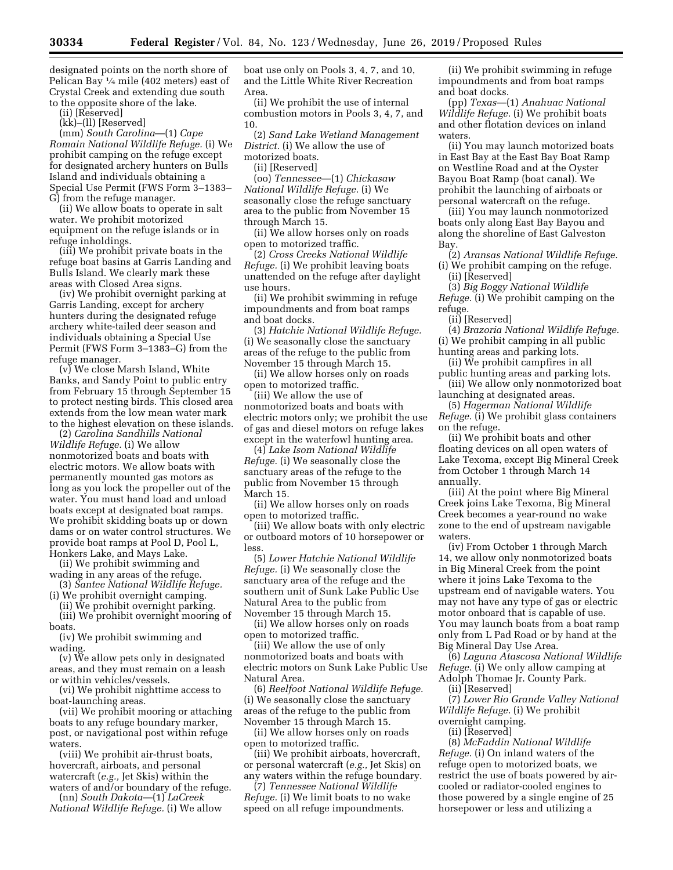designated points on the north shore of Pelican Bay 1⁄4 mile (402 meters) east of Crystal Creek and extending due south to the opposite shore of the lake.

(ii) [Reserved]

(kk)–(ll) [Reserved]

(mm) *South Carolina*—(1) *Cape Romain National Wildlife Refuge.* (i) We prohibit camping on the refuge except for designated archery hunters on Bulls Island and individuals obtaining a Special Use Permit (FWS Form 3–1383– G) from the refuge manager.

(ii) We allow boats to operate in salt water. We prohibit motorized equipment on the refuge islands or in refuge inholdings.

(iii) We prohibit private boats in the refuge boat basins at Garris Landing and Bulls Island. We clearly mark these areas with Closed Area signs.

(iv) We prohibit overnight parking at Garris Landing, except for archery hunters during the designated refuge archery white-tailed deer season and individuals obtaining a Special Use Permit (FWS Form 3–1383–G) from the refuge manager.

(v) We close Marsh Island, White Banks, and Sandy Point to public entry from February 15 through September 15 to protect nesting birds. This closed area extends from the low mean water mark to the highest elevation on these islands.

(2) *Carolina Sandhills National Wildlife Refuge.* (i) We allow nonmotorized boats and boats with electric motors. We allow boats with permanently mounted gas motors as long as you lock the propeller out of the water. You must hand load and unload boats except at designated boat ramps. We prohibit skidding boats up or down dams or on water control structures. We provide boat ramps at Pool D, Pool L, Honkers Lake, and Mays Lake.

(ii) We prohibit swimming and wading in any areas of the refuge.

(3) *Santee National Wildlife Refuge.*  (i) We prohibit overnight camping.

(ii) We prohibit overnight parking.

(iii) We prohibit overnight mooring of boats.

(iv) We prohibit swimming and wading.

(v) We allow pets only in designated areas, and they must remain on a leash or within vehicles/vessels.

(vi) We prohibit nighttime access to boat-launching areas.

(vii) We prohibit mooring or attaching boats to any refuge boundary marker, post, or navigational post within refuge waters.

(viii) We prohibit air-thrust boats, hovercraft, airboats, and personal watercraft (*e.g.,* Jet Skis) within the waters of and/or boundary of the refuge.

(nn) *South Dakota*—(1) *LaCreek National Wildlife Refuge.* (i) We allow boat use only on Pools 3, 4, 7, and 10, and the Little White River Recreation Area.

(ii) We prohibit the use of internal combustion motors in Pools 3, 4, 7, and 10.

(2) *Sand Lake Wetland Management District.* (i) We allow the use of motorized boats.

(ii) [Reserved]

(oo) *Tennessee*—(1) *Chickasaw National Wildlife Refuge.* (i) We seasonally close the refuge sanctuary area to the public from November 15 through March 15.

(ii) We allow horses only on roads open to motorized traffic.

(2) *Cross Creeks National Wildlife Refuge.* (i) We prohibit leaving boats unattended on the refuge after daylight use hours.

(ii) We prohibit swimming in refuge impoundments and from boat ramps and boat docks.

(3) *Hatchie National Wildlife Refuge.*  (i) We seasonally close the sanctuary areas of the refuge to the public from November 15 through March 15.

(ii) We allow horses only on roads open to motorized traffic.

(iii) We allow the use of nonmotorized boats and boats with electric motors only; we prohibit the use of gas and diesel motors on refuge lakes except in the waterfowl hunting area.

(4) *Lake Isom National Wildlife Refuge.* (i) We seasonally close the sanctuary areas of the refuge to the public from November 15 through March 15.

(ii) We allow horses only on roads open to motorized traffic.

(iii) We allow boats with only electric or outboard motors of 10 horsepower or less.

(5) *Lower Hatchie National Wildlife Refuge.* (i) We seasonally close the sanctuary area of the refuge and the southern unit of Sunk Lake Public Use Natural Area to the public from November 15 through March 15.

(ii) We allow horses only on roads open to motorized traffic.

(iii) We allow the use of only nonmotorized boats and boats with electric motors on Sunk Lake Public Use Natural Area.

(6) *Reelfoot National Wildlife Refuge.*  (i) We seasonally close the sanctuary areas of the refuge to the public from November 15 through March 15.

(ii) We allow horses only on roads open to motorized traffic.

(iii) We prohibit airboats, hovercraft, or personal watercraft (*e.g.,* Jet Skis) on any waters within the refuge boundary.

(7) *Tennessee National Wildlife Refuge.* (i) We limit boats to no wake speed on all refuge impoundments.

(ii) We prohibit swimming in refuge impoundments and from boat ramps and boat docks.

(pp) *Texas*—(1) *Anahuac National Wildlife Refuge.* (i) We prohibit boats and other flotation devices on inland waters.

(ii) You may launch motorized boats in East Bay at the East Bay Boat Ramp on Westline Road and at the Oyster Bayou Boat Ramp (boat canal). We prohibit the launching of airboats or personal watercraft on the refuge.

(iii) You may launch nonmotorized boats only along East Bay Bayou and along the shoreline of East Galveston Bay.

(2) *Aransas National Wildlife Refuge.*  (i) We prohibit camping on the refuge. (ii) [Reserved]

(3) *Big Boggy National Wildlife Refuge.* (i) We prohibit camping on the refuge.

(ii) [Reserved]

(4) *Brazoria National Wildlife Refuge.*  (i) We prohibit camping in all public hunting areas and parking lots.

(ii) We prohibit campfires in all public hunting areas and parking lots.

(iii) We allow only nonmotorized boat launching at designated areas.

(5) *Hagerman National Wildlife Refuge.* (i) We prohibit glass containers on the refuge.

(ii) We prohibit boats and other floating devices on all open waters of Lake Texoma, except Big Mineral Creek from October 1 through March 14 annually.

(iii) At the point where Big Mineral Creek joins Lake Texoma, Big Mineral Creek becomes a year-round no wake zone to the end of upstream navigable waters.

(iv) From October 1 through March 14, we allow only nonmotorized boats in Big Mineral Creek from the point where it joins Lake Texoma to the upstream end of navigable waters. You may not have any type of gas or electric motor onboard that is capable of use. You may launch boats from a boat ramp only from L Pad Road or by hand at the Big Mineral Day Use Area.

(6) *Laguna Atascosa National Wildlife Refuge.* (i) We only allow camping at Adolph Thomae Jr. County Park.

(ii) [Reserved]

(7) *Lower Rio Grande Valley National Wildlife Refuge.* (i) We prohibit overnight camping.

(ii) [Reserved]

(8) *McFaddin National Wildlife Refuge.* (i) On inland waters of the refuge open to motorized boats, we restrict the use of boats powered by aircooled or radiator-cooled engines to those powered by a single engine of 25 horsepower or less and utilizing a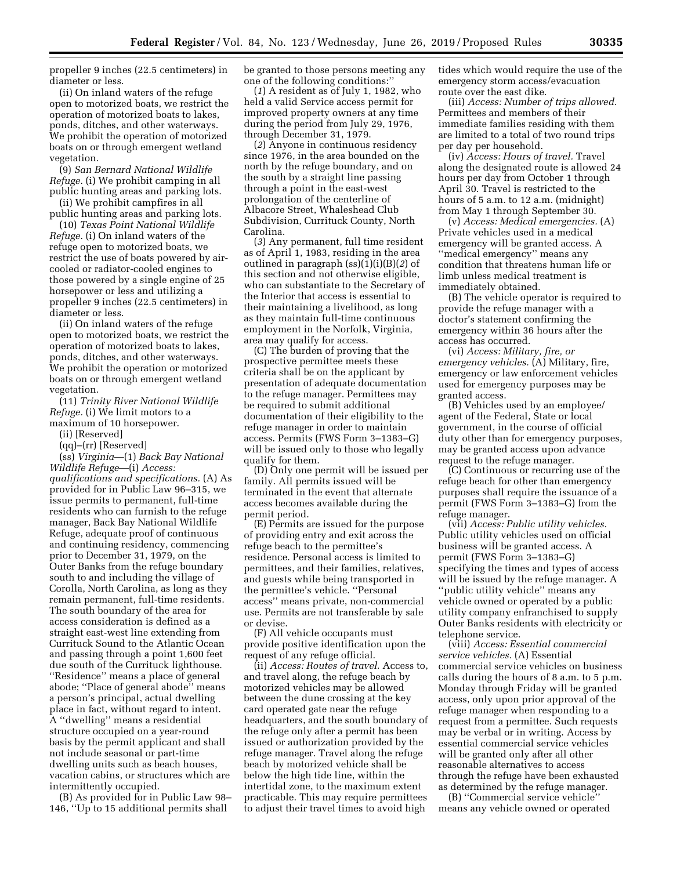propeller 9 inches (22.5 centimeters) in diameter or less.

(ii) On inland waters of the refuge open to motorized boats, we restrict the operation of motorized boats to lakes, ponds, ditches, and other waterways. We prohibit the operation of motorized boats on or through emergent wetland vegetation.

(9) *San Bernard National Wildlife Refuge.* (i) We prohibit camping in all public hunting areas and parking lots.

(ii) We prohibit campfires in all public hunting areas and parking lots.

(10) *Texas Point National Wildlife Refuge.* (i) On inland waters of the refuge open to motorized boats, we restrict the use of boats powered by aircooled or radiator-cooled engines to those powered by a single engine of 25 horsepower or less and utilizing a propeller 9 inches (22.5 centimeters) in diameter or less.

(ii) On inland waters of the refuge open to motorized boats, we restrict the operation of motorized boats to lakes, ponds, ditches, and other waterways. We prohibit the operation or motorized boats on or through emergent wetland vegetation.

(11) *Trinity River National Wildlife Refuge.* (i) We limit motors to a maximum of 10 horsepower.

(ii) [Reserved]

(qq)–(rr) [Reserved]

(ss) *Virginia*—(1) *Back Bay National Wildlife Refuge*—(i) *Access: qualifications and specifications.* (A) As provided for in Public Law 96–315, we issue permits to permanent, full-time residents who can furnish to the refuge manager, Back Bay National Wildlife Refuge, adequate proof of continuous and continuing residency, commencing prior to December 31, 1979, on the Outer Banks from the refuge boundary south to and including the village of Corolla, North Carolina, as long as they remain permanent, full-time residents. The south boundary of the area for access consideration is defined as a straight east-west line extending from Currituck Sound to the Atlantic Ocean and passing through a point 1,600 feet due south of the Currituck lighthouse. ''Residence'' means a place of general abode; ''Place of general abode'' means a person's principal, actual dwelling place in fact, without regard to intent. A ''dwelling'' means a residential structure occupied on a year-round basis by the permit applicant and shall not include seasonal or part-time dwelling units such as beach houses, vacation cabins, or structures which are intermittently occupied.

(B) As provided for in Public Law 98– 146, ''Up to 15 additional permits shall

be granted to those persons meeting any one of the following conditions:''

(*1*) A resident as of July 1, 1982, who held a valid Service access permit for improved property owners at any time during the period from July 29, 1976, through December 31, 1979.

(*2*) Anyone in continuous residency since 1976, in the area bounded on the north by the refuge boundary, and on the south by a straight line passing through a point in the east-west prolongation of the centerline of Albacore Street, Whaleshead Club Subdivision, Currituck County, North Carolina.

(*3*) Any permanent, full time resident as of April 1, 1983, residing in the area outlined in paragraph (ss)(1)(i)(B)(*2*) of this section and not otherwise eligible, who can substantiate to the Secretary of the Interior that access is essential to their maintaining a livelihood, as long as they maintain full-time continuous employment in the Norfolk, Virginia, area may qualify for access.

(C) The burden of proving that the prospective permittee meets these criteria shall be on the applicant by presentation of adequate documentation to the refuge manager. Permittees may be required to submit additional documentation of their eligibility to the refuge manager in order to maintain access. Permits (FWS Form 3–1383–G) will be issued only to those who legally qualify for them.

(D) Only one permit will be issued per family. All permits issued will be terminated in the event that alternate access becomes available during the permit period.

(E) Permits are issued for the purpose of providing entry and exit across the refuge beach to the permittee's residence. Personal access is limited to permittees, and their families, relatives, and guests while being transported in the permittee's vehicle. ''Personal access'' means private, non-commercial use. Permits are not transferable by sale or devise.

(F) All vehicle occupants must provide positive identification upon the request of any refuge official.

(ii) *Access: Routes of travel.* Access to, and travel along, the refuge beach by motorized vehicles may be allowed between the dune crossing at the key card operated gate near the refuge headquarters, and the south boundary of the refuge only after a permit has been issued or authorization provided by the refuge manager. Travel along the refuge beach by motorized vehicle shall be below the high tide line, within the intertidal zone, to the maximum extent practicable. This may require permittees to adjust their travel times to avoid high

tides which would require the use of the emergency storm access/evacuation route over the east dike.

(iii) *Access: Number of trips allowed.*  Permittees and members of their immediate families residing with them are limited to a total of two round trips per day per household.

(iv) *Access: Hours of travel.* Travel along the designated route is allowed 24 hours per day from October 1 through April 30. Travel is restricted to the hours of 5 a.m. to 12 a.m. (midnight) from May 1 through September 30.

(v) *Access: Medical emergencies.* (A) Private vehicles used in a medical emergency will be granted access. A ''medical emergency'' means any condition that threatens human life or limb unless medical treatment is immediately obtained.

(B) The vehicle operator is required to provide the refuge manager with a doctor's statement confirming the emergency within 36 hours after the access has occurred.

(vi) *Access: Military, fire, or emergency vehicles.* (A) Military, fire, emergency or law enforcement vehicles used for emergency purposes may be granted access.

(B) Vehicles used by an employee/ agent of the Federal, State or local government, in the course of official duty other than for emergency purposes, may be granted access upon advance request to the refuge manager.

(C) Continuous or recurring use of the refuge beach for other than emergency purposes shall require the issuance of a permit (FWS Form 3–1383–G) from the refuge manager.

(vii) *Access: Public utility vehicles.*  Public utility vehicles used on official business will be granted access. A permit (FWS Form 3–1383–G) specifying the times and types of access will be issued by the refuge manager. A ''public utility vehicle'' means any vehicle owned or operated by a public utility company enfranchised to supply Outer Banks residents with electricity or telephone service.

(viii) *Access: Essential commercial service vehicles.* (A) Essential commercial service vehicles on business calls during the hours of 8 a.m. to 5 p.m. Monday through Friday will be granted access, only upon prior approval of the refuge manager when responding to a request from a permittee. Such requests may be verbal or in writing. Access by essential commercial service vehicles will be granted only after all other reasonable alternatives to access through the refuge have been exhausted as determined by the refuge manager.

(B) ''Commercial service vehicle'' means any vehicle owned or operated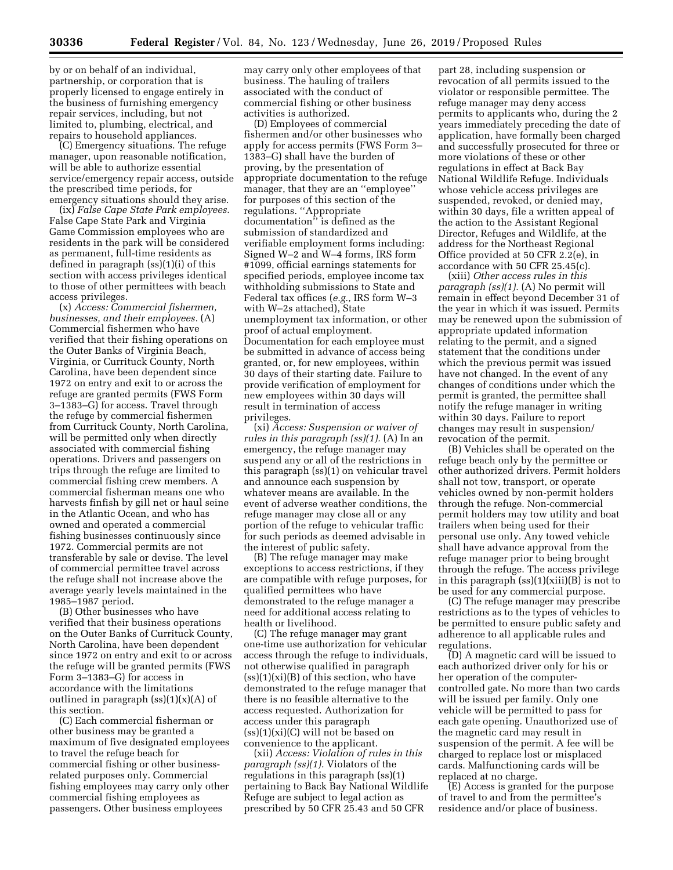by or on behalf of an individual, partnership, or corporation that is properly licensed to engage entirely in the business of furnishing emergency repair services, including, but not limited to, plumbing, electrical, and repairs to household appliances.

(C) Emergency situations. The refuge manager, upon reasonable notification, will be able to authorize essential service/emergency repair access, outside the prescribed time periods, for emergency situations should they arise.

(ix) *False Cape State Park employees.*  False Cape State Park and Virginia Game Commission employees who are residents in the park will be considered as permanent, full-time residents as defined in paragraph (ss)(1)(i) of this section with access privileges identical to those of other permittees with beach access privileges.

(x) *Access: Commercial fishermen, businesses, and their employees.* (A) Commercial fishermen who have verified that their fishing operations on the Outer Banks of Virginia Beach, Virginia, or Currituck County, North Carolina, have been dependent since 1972 on entry and exit to or across the refuge are granted permits (FWS Form 3–1383–G) for access. Travel through the refuge by commercial fishermen from Currituck County, North Carolina, will be permitted only when directly associated with commercial fishing operations. Drivers and passengers on trips through the refuge are limited to commercial fishing crew members. A commercial fisherman means one who harvests finfish by gill net or haul seine in the Atlantic Ocean, and who has owned and operated a commercial fishing businesses continuously since 1972. Commercial permits are not transferable by sale or devise. The level of commercial permittee travel across the refuge shall not increase above the average yearly levels maintained in the 1985–1987 period.

(B) Other businesses who have verified that their business operations on the Outer Banks of Currituck County, North Carolina, have been dependent since 1972 on entry and exit to or across the refuge will be granted permits (FWS Form 3–1383–G) for access in accordance with the limitations outlined in paragraph  $(ss)(1)(x)(A)$  of this section.

(C) Each commercial fisherman or other business may be granted a maximum of five designated employees to travel the refuge beach for commercial fishing or other businessrelated purposes only. Commercial fishing employees may carry only other commercial fishing employees as passengers. Other business employees

may carry only other employees of that business. The hauling of trailers associated with the conduct of commercial fishing or other business activities is authorized.

(D) Employees of commercial fishermen and/or other businesses who apply for access permits (FWS Form 3– 1383–G) shall have the burden of proving, by the presentation of appropriate documentation to the refuge manager, that they are an ''employee'' for purposes of this section of the regulations. ''Appropriate documentation'' is defined as the submission of standardized and verifiable employment forms including: Signed W–2 and W–4 forms, IRS form #1099, official earnings statements for specified periods, employee income tax withholding submissions to State and Federal tax offices (*e.g.,* IRS form W–3 with W–2s attached), State unemployment tax information, or other proof of actual employment. Documentation for each employee must be submitted in advance of access being granted, or, for new employees, within 30 days of their starting date. Failure to provide verification of employment for new employees within 30 days will result in termination of access privileges.

(xi) *Access: Suspension or waiver of rules in this paragraph (ss)(1).* (A) In an emergency, the refuge manager may suspend any or all of the restrictions in this paragraph (ss)(1) on vehicular travel and announce each suspension by whatever means are available. In the event of adverse weather conditions, the refuge manager may close all or any portion of the refuge to vehicular traffic for such periods as deemed advisable in the interest of public safety.

(B) The refuge manager may make exceptions to access restrictions, if they are compatible with refuge purposes, for qualified permittees who have demonstrated to the refuge manager a need for additional access relating to health or livelihood.

(C) The refuge manager may grant one-time use authorization for vehicular access through the refuge to individuals, not otherwise qualified in paragraph  $(ss)(1)(xi)(B)$  of this section, who have demonstrated to the refuge manager that there is no feasible alternative to the access requested. Authorization for access under this paragraph  $(ss)(1)(xi)(C)$  will not be based on convenience to the applicant.

(xii) *Access: Violation of rules in this paragraph (ss)(1).* Violators of the regulations in this paragraph (ss)(1) pertaining to Back Bay National Wildlife Refuge are subject to legal action as prescribed by 50 CFR 25.43 and 50 CFR

part 28, including suspension or revocation of all permits issued to the violator or responsible permittee. The refuge manager may deny access permits to applicants who, during the 2 years immediately preceding the date of application, have formally been charged and successfully prosecuted for three or more violations of these or other regulations in effect at Back Bay National Wildlife Refuge. Individuals whose vehicle access privileges are suspended, revoked, or denied may, within 30 days, file a written appeal of the action to the Assistant Regional Director, Refuges and Wildlife, at the address for the Northeast Regional Office provided at 50 CFR 2.2(e), in accordance with 50 CFR 25.45(c).

(xiii) *Other access rules in this paragraph (ss)(1).* (A) No permit will remain in effect beyond December 31 of the year in which it was issued. Permits may be renewed upon the submission of appropriate updated information relating to the permit, and a signed statement that the conditions under which the previous permit was issued have not changed. In the event of any changes of conditions under which the permit is granted, the permittee shall notify the refuge manager in writing within 30 days. Failure to report changes may result in suspension/ revocation of the permit.

(B) Vehicles shall be operated on the refuge beach only by the permittee or other authorized drivers. Permit holders shall not tow, transport, or operate vehicles owned by non-permit holders through the refuge. Non-commercial permit holders may tow utility and boat trailers when being used for their personal use only. Any towed vehicle shall have advance approval from the refuge manager prior to being brought through the refuge. The access privilege in this paragraph  $(ss)(1)(xiii)(B)$  is not to be used for any commercial purpose.

(C) The refuge manager may prescribe restrictions as to the types of vehicles to be permitted to ensure public safety and adherence to all applicable rules and regulations.

(D) A magnetic card will be issued to each authorized driver only for his or her operation of the computercontrolled gate. No more than two cards will be issued per family. Only one vehicle will be permitted to pass for each gate opening. Unauthorized use of the magnetic card may result in suspension of the permit. A fee will be charged to replace lost or misplaced cards. Malfunctioning cards will be replaced at no charge.

(E) Access is granted for the purpose of travel to and from the permittee's residence and/or place of business.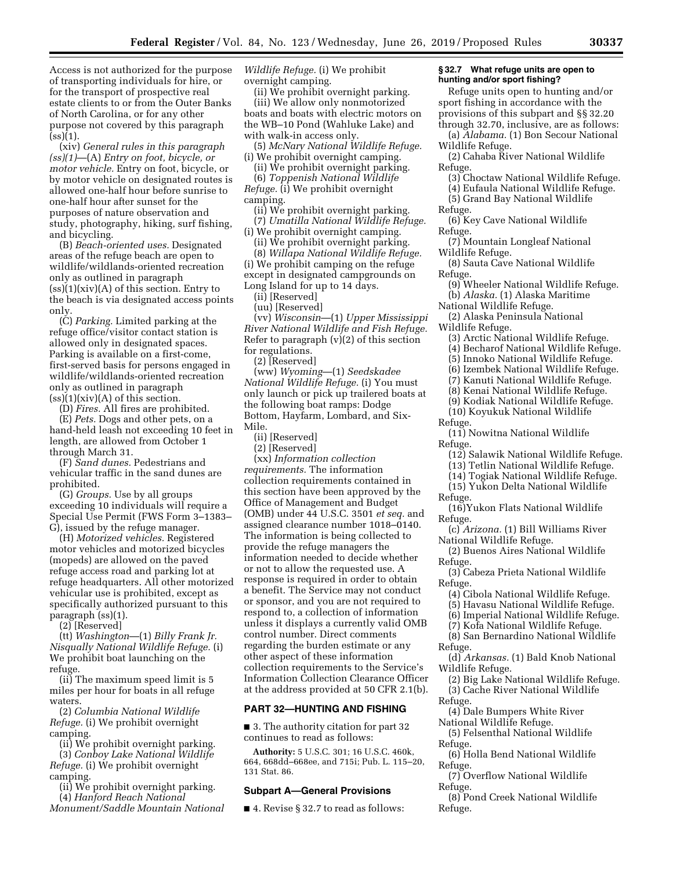Access is not authorized for the purpose of transporting individuals for hire, or for the transport of prospective real estate clients to or from the Outer Banks of North Carolina, or for any other purpose not covered by this paragraph  $(ss)(1)$ .

(xiv) *General rules in this paragraph (ss)(1)*—(A) *Entry on foot, bicycle, or motor vehicle.* Entry on foot, bicycle, or by motor vehicle on designated routes is allowed one-half hour before sunrise to one-half hour after sunset for the purposes of nature observation and study, photography, hiking, surf fishing, and bicycling.

(B) *Beach-oriented uses.* Designated areas of the refuge beach are open to wildlife/wildlands-oriented recreation only as outlined in paragraph  $(s)$ (1)(xiv)(A) of this section. Entry to the beach is via designated access points only.

(C) *Parking.* Limited parking at the refuge office/visitor contact station is allowed only in designated spaces. Parking is available on a first-come, first-served basis for persons engaged in wildlife/wildlands-oriented recreation only as outlined in paragraph  $(ss)(1)(xiv)(A)$  of this section.

(D) *Fires.* All fires are prohibited.

(E) *Pets.* Dogs and other pets, on a hand-held leash not exceeding 10 feet in length, are allowed from October 1 through March 31.

(F) *Sand dunes.* Pedestrians and vehicular traffic in the sand dunes are prohibited.

(G) *Groups.* Use by all groups exceeding 10 individuals will require a Special Use Permit (FWS Form 3–1383– G), issued by the refuge manager.

(H) *Motorized vehicles.* Registered motor vehicles and motorized bicycles (mopeds) are allowed on the paved refuge access road and parking lot at refuge headquarters. All other motorized vehicular use is prohibited, except as specifically authorized pursuant to this paragraph (ss)(1).

(2) [Reserved]

(tt) *Washington*—(1) *Billy Frank Jr. Nisqually National Wildlife Refuge.* (i) We prohibit boat launching on the refuge.

(ii) The maximum speed limit is 5 miles per hour for boats in all refuge waters.

(2) *Columbia National Wildlife Refuge.* (i) We prohibit overnight camping.

(ii) We prohibit overnight parking. (3) *Conboy Lake National Wildlife Refuge.* (i) We prohibit overnight camping.

(ii) We prohibit overnight parking. (4) *Hanford Reach National* 

*Monument/Saddle Mountain National* 

*Wildlife Refuge.* (i) We prohibit overnight camping.

(ii) We prohibit overnight parking. (iii) We allow only nonmotorized boats and boats with electric motors on the WB–10 Pond (Wahluke Lake) and with walk-in access only.

(5) *McNary National Wildlife Refuge.*  (i) We prohibit overnight camping.

(ii) We prohibit overnight parking.

(6) *Toppenish National Wildlife Refuge.* (i) We prohibit overnight camping.

(ii) We prohibit overnight parking. (7) *Umatilla National Wildlife Refuge.* 

(i) We prohibit overnight camping.

(ii) We prohibit overnight parking.

(8) *Willapa National Wildlife Refuge.*  (i) We prohibit camping on the refuge except in designated campgrounds on Long Island for up to 14 days.

(ii) [Reserved] (uu) [Reserved]

(vv) *Wisconsin*—(1) *Upper Mississippi River National Wildlife and Fish Refuge.*  Refer to paragraph  $(v)(2)$  of this section for regulations.

(2) [Reserved]

(ww) *Wyoming*—(1) *Seedskadee National Wildlife Refuge.* (i) You must only launch or pick up trailered boats at the following boat ramps: Dodge Bottom, Hayfarm, Lombard, and Six-Mile.

(ii) [Reserved]

(2) [Reserved]

(xx) *Information collection requirements.* The information collection requirements contained in this section have been approved by the Office of Management and Budget (OMB) under 44 U.S.C. 3501 *et seq.* and assigned clearance number 1018–0140. The information is being collected to provide the refuge managers the information needed to decide whether or not to allow the requested use. A response is required in order to obtain a benefit. The Service may not conduct or sponsor, and you are not required to respond to, a collection of information unless it displays a currently valid OMB control number. Direct comments regarding the burden estimate or any other aspect of these information collection requirements to the Service's Information Collection Clearance Officer at the address provided at 50 CFR 2.1(b).

#### **PART 32—HUNTING AND FISHING**

■ 3. The authority citation for part 32 continues to read as follows:

**Authority:** 5 U.S.C. 301; 16 U.S.C. 460k, 664, 668dd–668ee, and 715i; Pub. L. 115–20, 131 Stat. 86.

#### **Subpart A—General Provisions**

■ 4. Revise § 32.7 to read as follows:

#### **§ 32.7 What refuge units are open to hunting and/or sport fishing?**

Refuge units open to hunting and/or sport fishing in accordance with the provisions of this subpart and §§ 32.20 through 32.70, inclusive, are as follows:

(a) *Alabama.* (1) Bon Secour National Wildlife Refuge.

(2) Cahaba River National Wildlife Refuge.

- (3) Choctaw National Wildlife Refuge.
- (4) Eufaula National Wildlife Refuge.
- (5) Grand Bay National Wildlife Refuge.
- (6) Key Cave National Wildlife Refuge.
- (7) Mountain Longleaf National Wildlife Refuge.
- (8) Sauta Cave National Wildlife Refuge.
- (9) Wheeler National Wildlife Refuge. (b) *Alaska.* (1) Alaska Maritime
- National Wildlife Refuge.

(2) Alaska Peninsula National Wildlife Refuge.

- (3) Arctic National Wildlife Refuge. (4) Becharof National Wildlife Refuge.
- (5) Innoko National Wildlife Refuge.
- (6) Izembek National Wildlife Refuge.
- (7) Kanuti National Wildlife Refuge.
- (8) Kenai National Wildlife Refuge.
- (9) Kodiak National Wildlife Refuge.
- (10) Koyukuk National Wildlife
- Refuge.
- (11) Nowitna National Wildlife Refuge.
	- (12) Salawik National Wildlife Refuge.
	- (13) Tetlin National Wildlife Refuge.
	- (14) Togiak National Wildlife Refuge.
	- (15) Yukon Delta National Wildlife
- Refuge.

(16)Yukon Flats National Wildlife Refuge.

(c) *Arizona.* (1) Bill Williams River National Wildlife Refuge.

(2) Buenos Aires National Wildlife Refuge.

(3) Cabeza Prieta National Wildlife Refuge.

- (4) Cibola National Wildlife Refuge.
- (5) Havasu National Wildlife Refuge.
- (6) Imperial National Wildlife Refuge.
- (7) Kofa National Wildlife Refuge.
- (8) San Bernardino National Wildlife Refuge.
- (d) *Arkansas.* (1) Bald Knob National Wildlife Refuge.
- (2) Big Lake National Wildlife Refuge. (3) Cache River National Wildlife
- Refuge.
	- (4) Dale Bumpers White River National Wildlife Refuge.
- (5) Felsenthal National Wildlife Refuge.
- (6) Holla Bend National Wildlife Refuge.
- (7) Overflow National Wildlife Refuge.
- (8) Pond Creek National Wildlife Refuge.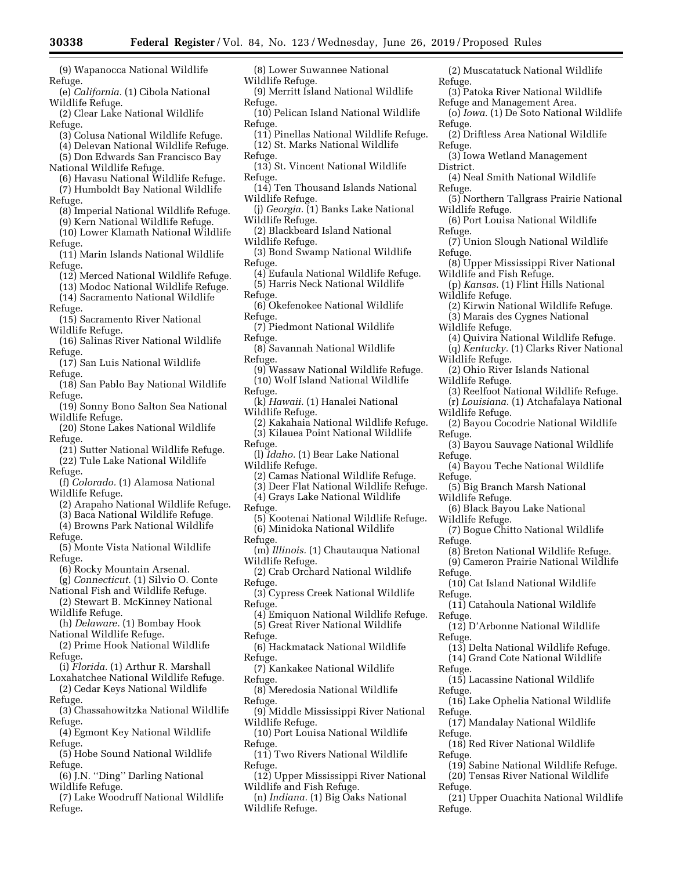- (9) Wapanocca National Wildlife Refuge.
- (e) *California.* (1) Cibola National Wildlife Refuge.
- (2) Clear Lake National Wildlife Refuge.
- (3) Colusa National Wildlife Refuge.
- (4) Delevan National Wildlife Refuge.
- (5) Don Edwards San Francisco Bay
- National Wildlife Refuge.
- (6) Havasu National Wildlife Refuge. (7) Humboldt Bay National Wildlife
- Refuge.
- (8) Imperial National Wildlife Refuge. (9) Kern National Wildlife Refuge.
- (10) Lower Klamath National Wildlife
- Refuge.
- (11) Marin Islands National Wildlife Refuge.
	- (12) Merced National Wildlife Refuge.
- (13) Modoc National Wildlife Refuge. (14) Sacramento National Wildlife
- Refuge.
- (15) Sacramento River National Wildlife Refuge.
- (16) Salinas River National Wildlife Refuge.
- (17) San Luis National Wildlife Refuge.
- (18) San Pablo Bay National Wildlife Refuge.
- (19) Sonny Bono Salton Sea National Wildlife Refuge.
- (20) Stone Lakes National Wildlife Refuge.
- (21) Sutter National Wildlife Refuge. (22) Tule Lake National Wildlife
- Refuge.
- (f) *Colorado.* (1) Alamosa National Wildlife Refuge.
- (2) Arapaho National Wildlife Refuge.
- (3) Baca National Wildlife Refuge. (4) Browns Park National Wildlife
- Refuge.
- (5) Monte Vista National Wildlife Refuge.
- (6) Rocky Mountain Arsenal.
- (g) *Connecticut.* (1) Silvio O. Conte National Fish and Wildlife Refuge.
- (2) Stewart B. McKinney National Wildlife Refuge.
- (h) *Delaware.* (1) Bombay Hook
- National Wildlife Refuge. (2) Prime Hook National Wildlife Refuge.
- (i) *Florida.* (1) Arthur R. Marshall
- Loxahatchee National Wildlife Refuge. (2) Cedar Keys National Wildlife
- Refuge.
- (3) Chassahowitzka National Wildlife Refuge.
- (4) Egmont Key National Wildlife Refuge.
- (5) Hobe Sound National Wildlife Refuge.
- (6) J.N. ''Ding'' Darling National Wildlife Refuge.
- (7) Lake Woodruff National Wildlife Refuge.
- (8) Lower Suwannee National Wildlife Refuge.
- (9) Merritt Island National Wildlife Refuge.
- (10) Pelican Island National Wildlife Refuge.
- (11) Pinellas National Wildlife Refuge. (12) St. Marks National Wildlife
- Refuge.
- (13) St. Vincent National Wildlife Refuge.
- (14) Ten Thousand Islands National Wildlife Refuge.
- (j) *Georgia.* (1) Banks Lake National Wildlife Refuge.
- (2) Blackbeard Island National Wildlife Refuge.
- (3) Bond Swamp National Wildlife Refuge.
- (4) Eufaula National Wildlife Refuge. (5) Harris Neck National Wildlife
- Refuge. (6) Okefenokee National Wildlife
- Refuge.
- (7) Piedmont National Wildlife Refuge.
- (8) Savannah National Wildlife Refuge.
- (9) Wassaw National Wildlife Refuge. (10) Wolf Island National Wildlife
- Refuge.
- (k) *Hawaii.* (1) Hanalei National
- Wildlife Refuge.
- (2) Kakahaia National Wildlife Refuge. (3) Kilauea Point National Wildlife Refuge.
- (l) *Idaho.* (1) Bear Lake National Wildlife Refuge.
	- (2) Camas National Wildlife Refuge.
	- (3) Deer Flat National Wildlife Refuge.
	- (4) Grays Lake National Wildlife
- Refuge.
- (5) Kootenai National Wildlife Refuge. (6) Minidoka National Wildlife Refuge.
- (m) *Illinois.* (1) Chautauqua National Wildlife Refuge.
- (2) Crab Orchard National Wildlife Refuge.
- (3) Cypress Creek National Wildlife Refuge.
- (4) Emiquon National Wildlife Refuge. (5) Great River National Wildlife
- Refuge.
- (6) Hackmatack National Wildlife Refuge.
- (7) Kankakee National Wildlife Refuge.
- (8) Meredosia National Wildlife Refuge.
- (9) Middle Mississippi River National Wildlife Refuge.
- (10) Port Louisa National Wildlife Refuge.
- (11) Two Rivers National Wildlife Refuge.
- (12) Upper Mississippi River National Wildlife and Fish Refuge.
- (n) *Indiana.* (1) Big Oaks National Wildlife Refuge.
- (2) Muscatatuck National Wildlife Refuge.
- (3) Patoka River National Wildlife Refuge and Management Area.
- (o) *Iowa.* (1) De Soto National Wildlife Refuge.
- (2) Driftless Area National Wildlife Refuge.
- (3) Iowa Wetland Management District.
- (4) Neal Smith National Wildlife Refuge.
- (5) Northern Tallgrass Prairie National Wildlife Refuge.
- (6) Port Louisa National Wildlife Refuge.
- (7) Union Slough National Wildlife Refuge.
- (8) Upper Mississippi River National Wildlife and Fish Refuge.
- (p) *Kansas.* (1) Flint Hills National Wildlife Refuge.
- (2) Kirwin National Wildlife Refuge.
- (3) Marais des Cygnes National
- Wildlife Refuge.

Wildlife Refuge.

Wildlife Refuge.

Wildlife Refuge.

Refuge.

Refuge.

Refuge.

Refuge.

Refuge.

Refuge.

Refuge.

Refuge.

Refuge.

Refuge.

Refuge.

Refuge.

Refuge.

Refuge.

Refuge.

- (4) Quivira National Wildlife Refuge.
- (q) *Kentucky.* (1) Clarks River National Wildlife Refuge.

(2) Ohio River Islands National Wildlife Refuge.

(3) Reelfoot National Wildlife Refuge. (r) *Louisiana.* (1) Atchafalaya National

(2) Bayou Cocodrie National Wildlife

(3) Bayou Sauvage National Wildlife

(4) Bayou Teche National Wildlife

(7) Bogue Chitto National Wildlife

(8) Breton National Wildlife Refuge. (9) Cameron Prairie National Wildlife

(10) Cat Island National Wildlife

(11) Catahoula National Wildlife

(12) D'Arbonne National Wildlife

(15) Lacassine National Wildlife

(17) Mandalay National Wildlife

(18) Red River National Wildlife

(19) Sabine National Wildlife Refuge. (20) Tensas River National Wildlife

(21) Upper Ouachita National Wildlife

(13) Delta National Wildlife Refuge. (14) Grand Cote National Wildlife

(16) Lake Ophelia National Wildlife

(5) Big Branch Marsh National

(6) Black Bayou Lake National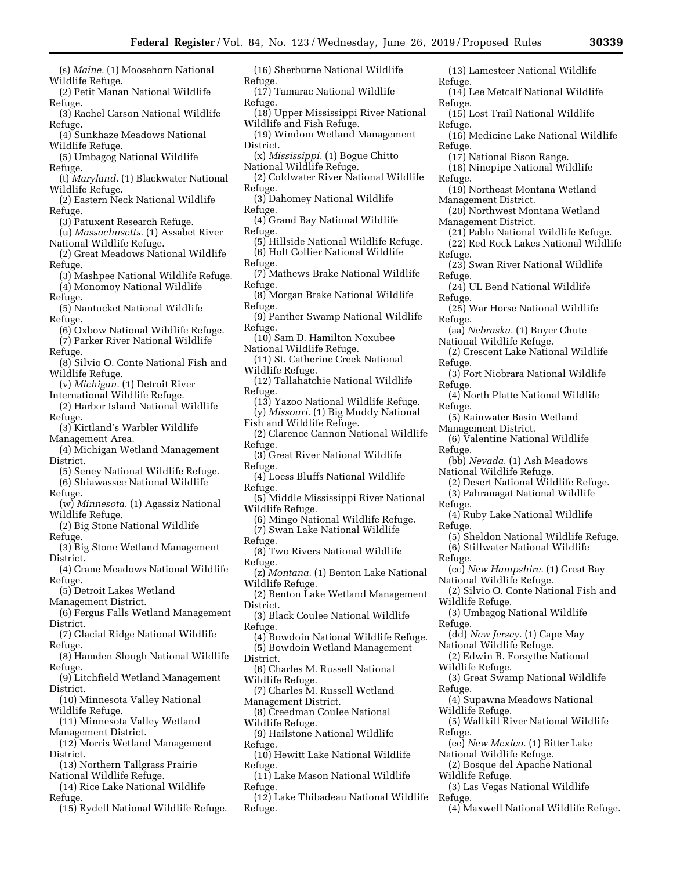- (s) *Maine.* (1) Moosehorn National Wildlife Refuge.
- (2) Petit Manan National Wildlife Refuge.
- (3) Rachel Carson National Wildlife Refuge.
- (4) Sunkhaze Meadows National Wildlife Refuge.
- (5) Umbagog National Wildlife Refuge.
- (t) *Maryland.* (1) Blackwater National Wildlife Refuge.
- (2) Eastern Neck National Wildlife Refuge.
- (3) Patuxent Research Refuge.
- (u) *Massachusetts.* (1) Assabet River National Wildlife Refuge.
- (2) Great Meadows National Wildlife Refuge.
- (3) Mashpee National Wildlife Refuge. (4) Monomoy National Wildlife
- Refuge.
- (5) Nantucket National Wildlife Refuge.
- (6) Oxbow National Wildlife Refuge. (7) Parker River National Wildlife
- Refuge.
- (8) Silvio O. Conte National Fish and Wildlife Refuge.
- (v) *Michigan.* (1) Detroit River
- International Wildlife Refuge. (2) Harbor Island National Wildlife Refuge.
- (3) Kirtland's Warbler Wildlife Management Area.
- (4) Michigan Wetland Management District.
- (5) Seney National Wildlife Refuge. (6) Shiawassee National Wildlife
- Refuge.
- (w) *Minnesota.* (1) Agassiz National Wildlife Refuge.
- (2) Big Stone National Wildlife Refuge.
- (3) Big Stone Wetland Management District.
- (4) Crane Meadows National Wildlife Refuge.
- (5) Detroit Lakes Wetland
- Management District. (6) Fergus Falls Wetland Management
- District. (7) Glacial Ridge National Wildlife
- Refuge. (8) Hamden Slough National Wildlife
- Refuge.
- (9) Litchfield Wetland Management District.
- (10) Minnesota Valley National Wildlife Refuge.
- (11) Minnesota Valley Wetland Management District.
- (12) Morris Wetland Management District.
- (13) Northern Tallgrass Prairie National Wildlife Refuge.
- (14) Rice Lake National Wildlife Refuge.
- (15) Rydell National Wildlife Refuge.
- (16) Sherburne National Wildlife Refuge.
- (17) Tamarac National Wildlife Refuge.
- (18) Upper Mississippi River National Wildlife and Fish Refuge.
- (19) Windom Wetland Management District.
- (x) *Mississippi.* (1) Bogue Chitto National Wildlife Refuge.
- (2) Coldwater River National Wildlife Refuge.
- (3) Dahomey National Wildlife Refuge.
- (4) Grand Bay National Wildlife Refuge.
- (5) Hillside National Wildlife Refuge. (6) Holt Collier National Wildlife
- Refuge.
- (7) Mathews Brake National Wildlife Refuge.
- (8) Morgan Brake National Wildlife Refuge.
- (9) Panther Swamp National Wildlife Refuge.
- (10) Sam D. Hamilton Noxubee National Wildlife Refuge.
- (11) St. Catherine Creek National Wildlife Refuge.
- (12) Tallahatchie National Wildlife Refuge.
- (13) Yazoo National Wildlife Refuge. (y) *Missouri.* (1) Big Muddy National
- Fish and Wildlife Refuge.
- (2) Clarence Cannon National Wildlife Refuge.
- (3) Great River National Wildlife Refuge.
- (4) Loess Bluffs National Wildlife Refuge.
- (5) Middle Mississippi River National Wildlife Refuge.
- (6) Mingo National Wildlife Refuge. (7) Swan Lake National Wildlife Refuge.
- (8) Two Rivers National Wildlife Refuge.
- (z) *Montana.* (1) Benton Lake National Wildlife Refuge.
- (2) Benton Lake Wetland Management District.
- (3) Black Coulee National Wildlife Refuge.
- (4) Bowdoin National Wildlife Refuge. (5) Bowdoin Wetland Management
- District.
- (6) Charles M. Russell National Wildlife Refuge.
- (7) Charles M. Russell Wetland Management District.
- (8) Creedman Coulee National
- Wildlife Refuge. (9) Hailstone National Wildlife Refuge.
- (10) Hewitt Lake National Wildlife Refuge.
- (11) Lake Mason National Wildlife Refuge.
- (12) Lake Thibadeau National Wildlife Refuge.
- (13) Lamesteer National Wildlife Refuge. (14) Lee Metcalf National Wildlife
- Refuge. (15) Lost Trail National Wildlife
- Refuge.
- (16) Medicine Lake National Wildlife Refuge.
- (17) National Bison Range.
- (18) Ninepipe National Wildlife Refuge.
- (19) Northeast Montana Wetland Management District.
- (20) Northwest Montana Wetland Management District.
- (21) Pablo National Wildlife Refuge.
- (22) Red Rock Lakes National Wildlife Refuge.
- (23) Swan River National Wildlife Refuge.
- (24) UL Bend National Wildlife Refuge.
- (25) War Horse National Wildlife Refuge.
- (aa) *Nebraska.* (1) Boyer Chute National Wildlife Refuge.
- (2) Crescent Lake National Wildlife Refuge.
- (3) Fort Niobrara National Wildlife Refuge.
- (4) North Platte National Wildlife Refuge.
- (5) Rainwater Basin Wetland
- Management District.
- (6) Valentine National Wildlife Refuge.
- (bb) *Nevada.* (1) Ash Meadows National Wildlife Refuge.
- (2) Desert National Wildlife Refuge. (3) Pahranagat National Wildlife
- Refuge.
- (4) Ruby Lake National Wildlife Refuge.

National Wildlife Refuge.

National Wildlife Refuge.

National Wildlife Refuge.

Wildlife Refuge.

Wildlife Refuge.

Wildlife Refuge.

Wildlife Refuge.

Refuge.

Refuge.

Refuge.

Refuge.

Refuge.

(5) Sheldon National Wildlife Refuge. (6) Stillwater National Wildlife

(cc) *New Hampshire.* (1) Great Bay

(3) Umbagog National Wildlife

(dd) *New Jersey.* (1) Cape May

(2) Edwin B. Forsythe National

(4) Supawna Meadows National

(ee) *New Mexico.* (1) Bitter Lake

(2) Bosque del Apache National

(3) Las Vegas National Wildlife

(4) Maxwell National Wildlife Refuge.

(3) Great Swamp National Wildlife

(5) Wallkill River National Wildlife

(2) Silvio O. Conte National Fish and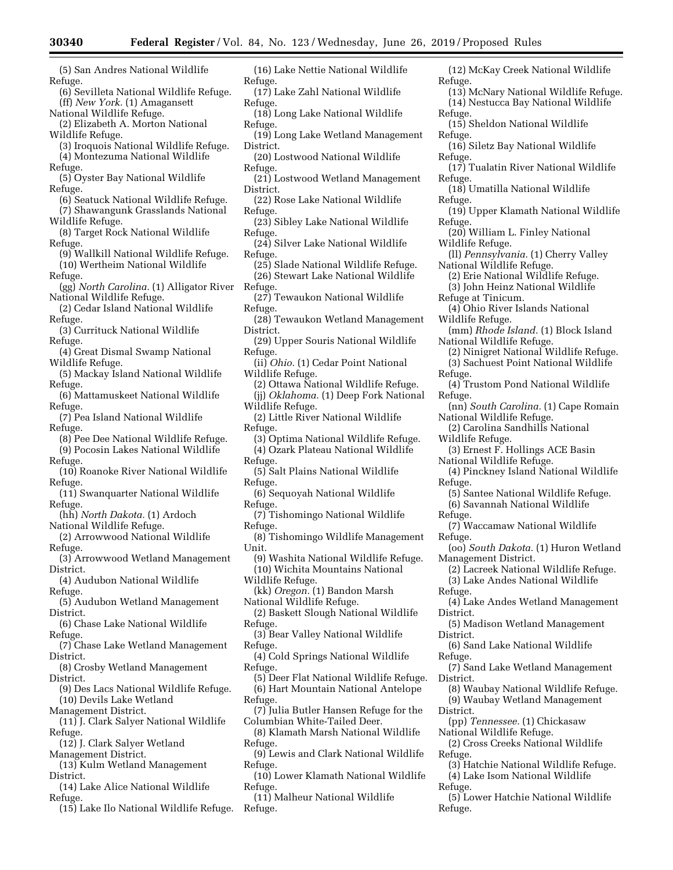(5) San Andres National Wildlife Refuge.

(6) Sevilleta National Wildlife Refuge. (ff) *New York.* (1) Amagansett

National Wildlife Refuge. (2) Elizabeth A. Morton National

Wildlife Refuge.

(3) Iroquois National Wildlife Refuge. (4) Montezuma National Wildlife

Refuge.

(5) Oyster Bay National Wildlife Refuge.

(6) Seatuck National Wildlife Refuge.

(7) Shawangunk Grasslands National Wildlife Refuge.

(8) Target Rock National Wildlife Refuge.

(9) Wallkill National Wildlife Refuge. (10) Wertheim National Wildlife

Refuge.

(gg) *North Carolina.* (1) Alligator River National Wildlife Refuge.

(2) Cedar Island National Wildlife Refuge.

(3) Currituck National Wildlife Refuge.

(4) Great Dismal Swamp National Wildlife Refuge.

(5) Mackay Island National Wildlife Refuge.

(6) Mattamuskeet National Wildlife Refuge.

(7) Pea Island National Wildlife Refuge.

(8) Pee Dee National Wildlife Refuge. (9) Pocosin Lakes National Wildlife

Refuge.

- (10) Roanoke River National Wildlife Refuge.
- (11) Swanquarter National Wildlife Refuge.
- (hh) *North Dakota.* (1) Ardoch National Wildlife Refuge.
- (2) Arrowwood National Wildlife Refuge.
- (3) Arrowwood Wetland Management District.

(4) Audubon National Wildlife Refuge.

(5) Audubon Wetland Management District.

(6) Chase Lake National Wildlife Refuge.

- (7) Chase Lake Wetland Management District.
- (8) Crosby Wetland Management District.
- (9) Des Lacs National Wildlife Refuge. (10) Devils Lake Wetland

Management District.

- (11) J. Clark Salyer National Wildlife Refuge.
- (12) J. Clark Salyer Wetland Management District.
- (13) Kulm Wetland Management
- District.
- (14) Lake Alice National Wildlife Refuge.
- (15) Lake Ilo National Wildlife Refuge.
- (16) Lake Nettie National Wildlife Refuge.
- (17) Lake Zahl National Wildlife Refuge.

(18) Long Lake National Wildlife Refuge.

- (19) Long Lake Wetland Management District.
- (20) Lostwood National Wildlife Refuge.
- (21) Lostwood Wetland Management District.
- (22) Rose Lake National Wildlife Refuge.
- (23) Sibley Lake National Wildlife Refuge.
- (24) Silver Lake National Wildlife Refuge.
- (25) Slade National Wildlife Refuge. (26) Stewart Lake National Wildlife Refuge.

(27) Tewaukon National Wildlife Refuge.

- (28) Tewaukon Wetland Management District.
- (29) Upper Souris National Wildlife Refuge.
- (ii) *Ohio.* (1) Cedar Point National Wildlife Refuge.
- (2) Ottawa National Wildlife Refuge. (jj) *Oklahoma.* (1) Deep Fork National Wildlife Refuge.
- (2) Little River National Wildlife Refuge.
	- (3) Optima National Wildlife Refuge.
	- (4) Ozark Plateau National Wildlife
- Refuge.
- (5) Salt Plains National Wildlife Refuge.
- (6) Sequoyah National Wildlife Refuge.
- (7) Tishomingo National Wildlife Refuge.
- (8) Tishomingo Wildlife Management Unit.
- (9) Washita National Wildlife Refuge. (10) Wichita Mountains National
- Wildlife Refuge.
- (kk) *Oregon.* (1) Bandon Marsh National Wildlife Refuge.
- (2) Baskett Slough National Wildlife Refuge.
- (3) Bear Valley National Wildlife Refuge.
- (4) Cold Springs National Wildlife Refuge.
- (5) Deer Flat National Wildlife Refuge. (6) Hart Mountain National Antelope Refuge.
- (7) Julia Butler Hansen Refuge for the Columbian White-Tailed Deer.
- (8) Klamath Marsh National Wildlife Refuge.
- (9) Lewis and Clark National Wildlife Refuge.
- (10) Lower Klamath National Wildlife Refuge.
- (11) Malheur National Wildlife Refuge.
- (12) McKay Creek National Wildlife Refuge.
- (13) McNary National Wildlife Refuge. (14) Nestucca Bay National Wildlife
- Refuge. (15) Sheldon National Wildlife
- Refuge.
- (16) Siletz Bay National Wildlife Refuge.
- (17) Tualatin River National Wildlife Refuge.
- (18) Umatilla National Wildlife Refuge.
- (19) Upper Klamath National Wildlife Refuge.
- (20) William L. Finley National Wildlife Refuge.
- (ll) *Pennsylvania.* (1) Cherry Valley National Wildlife Refuge.
	- (2) Erie National Wildlife Refuge.
	- (3) John Heinz National Wildlife
- Refuge at Tinicum.
- (4) Ohio River Islands National Wildlife Refuge.
- (mm) *Rhode Island.* (1) Block Island National Wildlife Refuge.
- (2) Ninigret National Wildlife Refuge. (3) Sachuest Point National Wildlife
- Refuge.
	- (4) Trustom Pond National Wildlife Refuge.
	- (nn) *South Carolina.* (1) Cape Romain National Wildlife Refuge.
	- (2) Carolina Sandhills National Wildlife Refuge.
	- (3) Ernest F. Hollings ACE Basin National Wildlife Refuge.
	- (4) Pinckney Island National Wildlife Refuge.
	- (5) Santee National Wildlife Refuge. (6) Savannah National Wildlife

(7) Waccamaw National Wildlife

(oo) *South Dakota.* (1) Huron Wetland

(2) Lacreek National Wildlife Refuge. (3) Lake Andes National Wildlife

(4) Lake Andes Wetland Management

(5) Madison Wetland Management

(7) Sand Lake Wetland Management

(8) Waubay National Wildlife Refuge. (9) Waubay Wetland Management

(6) Sand Lake National Wildlife

(pp) *Tennessee.* (1) Chickasaw

(2) Cross Creeks National Wildlife

(3) Hatchie National Wildlife Refuge. (4) Lake Isom National Wildlife

(5) Lower Hatchie National Wildlife

National Wildlife Refuge.

Refuge.

Refuge.

Refuge.

District.

District.

Refuge.

District.

District.

Refuge.

Refuge.

Refuge.

Management District.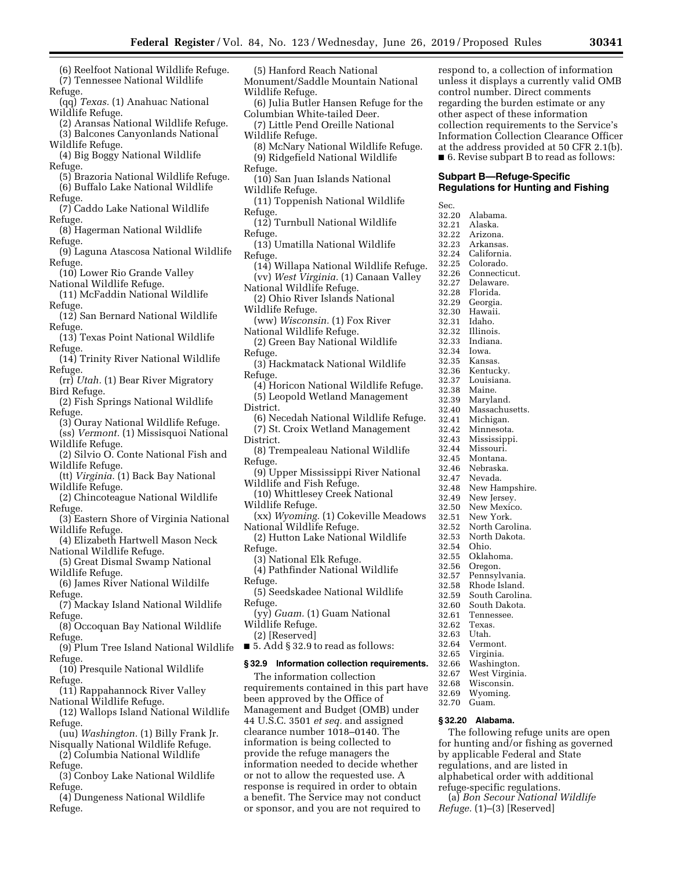(5) Hanford Reach National

- (6) Reelfoot National Wildlife Refuge. (7) Tennessee National Wildlife
- Refuge.
- (qq) *Texas.* (1) Anahuac National Wildlife Refuge.
- (2) Aransas National Wildlife Refuge. (3) Balcones Canyonlands National
- Wildlife Refuge. (4) Big Boggy National Wildlife
- Refuge. (5) Brazoria National Wildlife Refuge. (6) Buffalo Lake National Wildlife
- Refuge.
- (7) Caddo Lake National Wildlife Refuge.
- (8) Hagerman National Wildlife Refuge.
- (9) Laguna Atascosa National Wildlife Refuge.
- (10) Lower Rio Grande Valley
- National Wildlife Refuge. (11) McFaddin National Wildlife
- Refuge. (12) San Bernard National Wildlife
- Refuge.
- (13) Texas Point National Wildlife Refuge.
- (14) Trinity River National Wildlife Refuge.
- (rr) *Utah.* (1) Bear River Migratory Bird Refuge.
- (2) Fish Springs National Wildlife Refuge.
- (3) Ouray National Wildlife Refuge. (ss) *Vermont.* (1) Missisquoi National
- Wildlife Refuge.
- (2) Silvio O. Conte National Fish and Wildlife Refuge.
- (tt) *Virginia.* (1) Back Bay National Wildlife Refuge.
- (2) Chincoteague National Wildlife Refuge.
- (3) Eastern Shore of Virginia National Wildlife Refuge.
- (4) Elizabeth Hartwell Mason Neck National Wildlife Refuge.
- (5) Great Dismal Swamp National Wildlife Refuge.
- (6) James River National Wildilfe Refuge.
- (7) Mackay Island National Wildlife Refuge.
- (8) Occoquan Bay National Wildlife Refuge.
- (9) Plum Tree Island National Wildlife Refuge.
- (10) Presquile National Wildlife Refuge.
- (11) Rappahannock River Valley National Wildlife Refuge.
- (12) Wallops Island National Wildlife Refuge.
- (uu) *Washington.* (1) Billy Frank Jr. Nisqually National Wildlife Refuge.
- (2) Columbia National Wildlife Refuge.
- (3) Conboy Lake National Wildlife Refuge.
- (4) Dungeness National Wildlife Refuge.
- Monument/Saddle Mountain National Wildlife Refuge. (6) Julia Butler Hansen Refuge for the Columbian White-tailed Deer. (7) Little Pend Oreille National Wildlife Refuge. (8) McNary National Wildlife Refuge. (9) Ridgefield National Wildlife Refuge. (10) San Juan Islands National Wildlife Refuge. (11) Toppenish National Wildlife Refuge. (12) Turnbull National Wildlife Refuge. (13) Umatilla National Wildlife Refuge. (14) Willapa National Wildlife Refuge. (vv) *West Virginia.* (1) Canaan Valley National Wildlife Refuge. (2) Ohio River Islands National Wildlife Refuge. (ww) *Wisconsin.* (1) Fox River National Wildlife Refuge. (2) Green Bay National Wildlife Refuge. (3) Hackmatack National Wildlife Refuge. (4) Horicon National Wildlife Refuge. (5) Leopold Wetland Management District. (6) Necedah National Wildlife Refuge. (7) St. Croix Wetland Management District. (8) Trempealeau National Wildlife Refuge. (9) Upper Mississippi River National Wildlife and Fish Refuge. (10) Whittlesey Creek National Wildlife Refuge. (xx) *Wyoming.* (1) Cokeville Meadows National Wildlife Refuge. (2) Hutton Lake National Wildlife Refuge. (3) National Elk Refuge. (4) Pathfinder National Wildlife Refuge. (5) Seedskadee National Wildlife Refuge. (yy) *Guam.* (1) Guam National Wildlife Refuge. (2) [Reserved] ■ 5. Add § 32.9 to read as follows: **§ 32.9 Information collection requirements.**  The information collection requirements contained in this part have been approved by the Office of Management and Budget (OMB) under 44 U.S.C. 3501 *et seq.* and assigned Sec.<br>32.20

clearance number 1018–0140. The information is being collected to provide the refuge managers the information needed to decide whether or not to allow the requested use. A response is required in order to obtain a benefit. The Service may not conduct or sponsor, and you are not required to respond to, a collection of information unless it displays a currently valid OMB control number. Direct comments regarding the burden estimate or any other aspect of these information collection requirements to the Service's Information Collection Clearance Officer at the address provided at 50 CFR 2.1(b). ■ 6. Revise subpart B to read as follows:

# **Subpart B—Refuge-Specific Regulations for Hunting and Fishing**

Alabama. 32.21 Alaska. Arizona. 32.23 Arkansas. 32.24 California. 32.25 Colorado. Connecticut. 32.27 Delaware. 32.28 Florida.<br>32.29 Georgia. 32.29 Georgia.<br>32.30 Hawaii. Hawaii. 32.31 Idaho.<br>32.32 Illinois Illinois. 32.33 Indiana. 32.34 Iowa. 32.35 Kansas. 32.36 Kentucky. Louisiana. 32.38 Maine. 32.39 Maryland.<br>32.40 Massachus Massachusetts. 32.41 Michigan. 32.42 Minnesota.<br>32.43 Mississinni 32.43 Mississippi. 32.44 Missouri. Montana. 32.46 Nebraska. 32.47 Nevada.<br>32.48 New Ha New Hampshire. 32.49 New Jersey.<br>32.50 New Mexic 32.50 New Mexico.<br>32.51 New York 32.51 New York. 32.52 North Carolina. North Dakota. 32.54 Ohio.<br>32.55 Oklah 32.55 Oklahoma.<br>32.56 Oregon. Oregon. 32.57 Pennsylvania.<br>32.58 Rhode Island. 32.58 Rhode Island.<br>32.59 South Carolin South Carolina. 32.60 South Dakota. Tennessee. 32.62 Texas. 32.63 Utah. Vermont. 32.65 Virginia. Washington. 32.67 West Virginia. 32.68 Wisconsin.<br>32.69 Wyoming. Wyoming. 32.70 Guam.

# **§ 32.20 Alabama.**

The following refuge units are open for hunting and/or fishing as governed by applicable Federal and State regulations, and are listed in alphabetical order with additional refuge-specific regulations.

(a) *Bon Secour National Wildlife Refuge.* (1)–(3) [Reserved]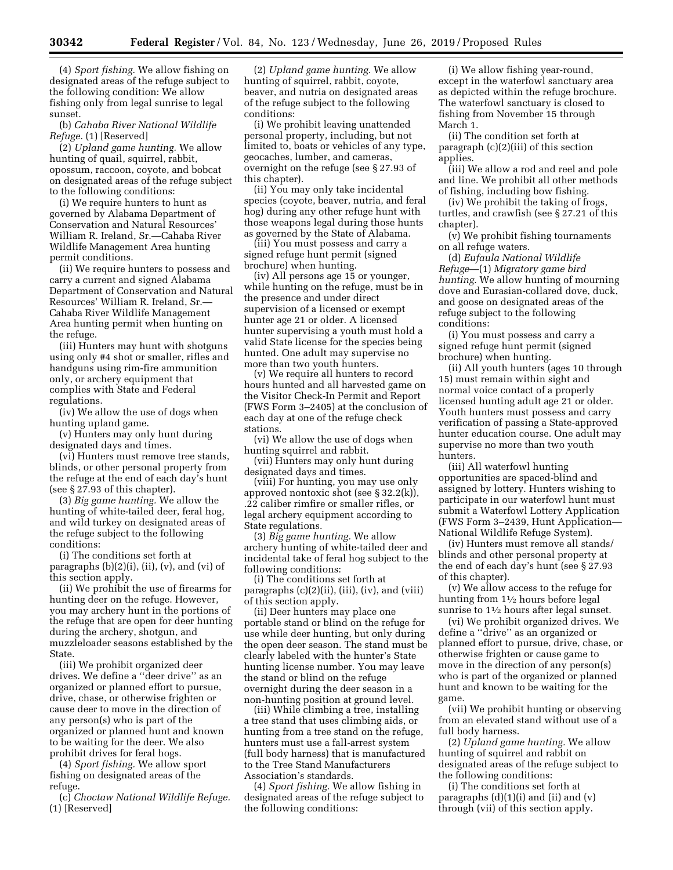(4) *Sport fishing.* We allow fishing on designated areas of the refuge subject to the following condition: We allow fishing only from legal sunrise to legal sunset.

(b) *Cahaba River National Wildlife Refuge.* (1) [Reserved]

(2) *Upland game hunting.* We allow hunting of quail, squirrel, rabbit, opossum, raccoon, coyote, and bobcat on designated areas of the refuge subject to the following conditions:

(i) We require hunters to hunt as governed by Alabama Department of Conservation and Natural Resources' William R. Ireland, Sr.—Cahaba River Wildlife Management Area hunting permit conditions.

(ii) We require hunters to possess and carry a current and signed Alabama Department of Conservation and Natural Resources' William R. Ireland, Sr.— Cahaba River Wildlife Management Area hunting permit when hunting on the refuge.

(iii) Hunters may hunt with shotguns using only #4 shot or smaller, rifles and handguns using rim-fire ammunition only, or archery equipment that complies with State and Federal regulations.

(iv) We allow the use of dogs when hunting upland game.

(v) Hunters may only hunt during designated days and times.

(vi) Hunters must remove tree stands, blinds, or other personal property from the refuge at the end of each day's hunt (see § 27.93 of this chapter).

(3) *Big game hunting.* We allow the hunting of white-tailed deer, feral hog, and wild turkey on designated areas of the refuge subject to the following conditions:

(i) The conditions set forth at paragraphs  $(b)(2)(i)$ ,  $(ii)$ ,  $(v)$ , and  $(vi)$  of this section apply.

(ii) We prohibit the use of firearms for hunting deer on the refuge. However, you may archery hunt in the portions of the refuge that are open for deer hunting during the archery, shotgun, and muzzleloader seasons established by the State.

(iii) We prohibit organized deer drives. We define a ''deer drive'' as an organized or planned effort to pursue, drive, chase, or otherwise frighten or cause deer to move in the direction of any person(s) who is part of the organized or planned hunt and known to be waiting for the deer. We also prohibit drives for feral hogs.

(4) *Sport fishing.* We allow sport fishing on designated areas of the refuge.

(c) *Choctaw National Wildlife Refuge.*  (1) [Reserved]

(2) *Upland game hunting.* We allow hunting of squirrel, rabbit, coyote, beaver, and nutria on designated areas of the refuge subject to the following conditions:

(i) We prohibit leaving unattended personal property, including, but not limited to, boats or vehicles of any type, geocaches, lumber, and cameras, overnight on the refuge (see § 27.93 of this chapter).

(ii) You may only take incidental species (coyote, beaver, nutria, and feral hog) during any other refuge hunt with those weapons legal during those hunts as governed by the State of Alabama.

(iii) You must possess and carry a signed refuge hunt permit (signed brochure) when hunting.

(iv) All persons age 15 or younger, while hunting on the refuge, must be in the presence and under direct supervision of a licensed or exempt hunter age 21 or older. A licensed hunter supervising a youth must hold a valid State license for the species being hunted. One adult may supervise no more than two youth hunters.

(v) We require all hunters to record hours hunted and all harvested game on the Visitor Check-In Permit and Report (FWS Form 3–2405) at the conclusion of each day at one of the refuge check stations.

(vi) We allow the use of dogs when hunting squirrel and rabbit.

(vii) Hunters may only hunt during designated days and times.

(viii) For hunting, you may use only approved nontoxic shot (see § 32.2(k)), .22 caliber rimfire or smaller rifles, or legal archery equipment according to State regulations.

(3) *Big game hunting.* We allow archery hunting of white-tailed deer and incidental take of feral hog subject to the following conditions:

(i) The conditions set forth at paragraphs  $(c)(2)(ii)$ ,  $(iii)$ ,  $(iv)$ , and  $(viii)$ of this section apply.

(ii) Deer hunters may place one portable stand or blind on the refuge for use while deer hunting, but only during the open deer season. The stand must be clearly labeled with the hunter's State hunting license number. You may leave the stand or blind on the refuge overnight during the deer season in a non-hunting position at ground level.

(iii) While climbing a tree, installing a tree stand that uses climbing aids, or hunting from a tree stand on the refuge, hunters must use a fall-arrest system (full body harness) that is manufactured to the Tree Stand Manufacturers Association's standards.

(4) *Sport fishing.* We allow fishing in designated areas of the refuge subject to the following conditions:

(i) We allow fishing year-round, except in the waterfowl sanctuary area as depicted within the refuge brochure. The waterfowl sanctuary is closed to fishing from November 15 through March 1.

(ii) The condition set forth at paragraph (c)(2)(iii) of this section applies.

(iii) We allow a rod and reel and pole and line. We prohibit all other methods of fishing, including bow fishing.

(iv) We prohibit the taking of frogs, turtles, and crawfish (see § 27.21 of this chapter).

(v) We prohibit fishing tournaments on all refuge waters.

(d) *Eufaula National Wildlife Refuge*—(1) *Migratory game bird hunting.* We allow hunting of mourning dove and Eurasian-collared dove, duck, and goose on designated areas of the refuge subject to the following conditions:

(i) You must possess and carry a signed refuge hunt permit (signed brochure) when hunting.

(ii) All youth hunters (ages 10 through 15) must remain within sight and normal voice contact of a properly licensed hunting adult age 21 or older. Youth hunters must possess and carry verification of passing a State-approved hunter education course. One adult may supervise no more than two youth hunters.

(iii) All waterfowl hunting opportunities are spaced-blind and assigned by lottery. Hunters wishing to participate in our waterfowl hunt must submit a Waterfowl Lottery Application (FWS Form 3–2439, Hunt Application— National Wildlife Refuge System).

(iv) Hunters must remove all stands/ blinds and other personal property at the end of each day's hunt (see § 27.93 of this chapter).

(v) We allow access to the refuge for hunting from 11⁄2 hours before legal sunrise to  $1\frac{1}{2}$  hours after legal sunset.

(vi) We prohibit organized drives. We define a ''drive'' as an organized or planned effort to pursue, drive, chase, or otherwise frighten or cause game to move in the direction of any person(s) who is part of the organized or planned hunt and known to be waiting for the game.

(vii) We prohibit hunting or observing from an elevated stand without use of a full body harness.

(2) *Upland game hunting.* We allow hunting of squirrel and rabbit on designated areas of the refuge subject to the following conditions:

(i) The conditions set forth at paragraphs  $(d)(1)(i)$  and  $(ii)$  and  $(v)$ through (vii) of this section apply.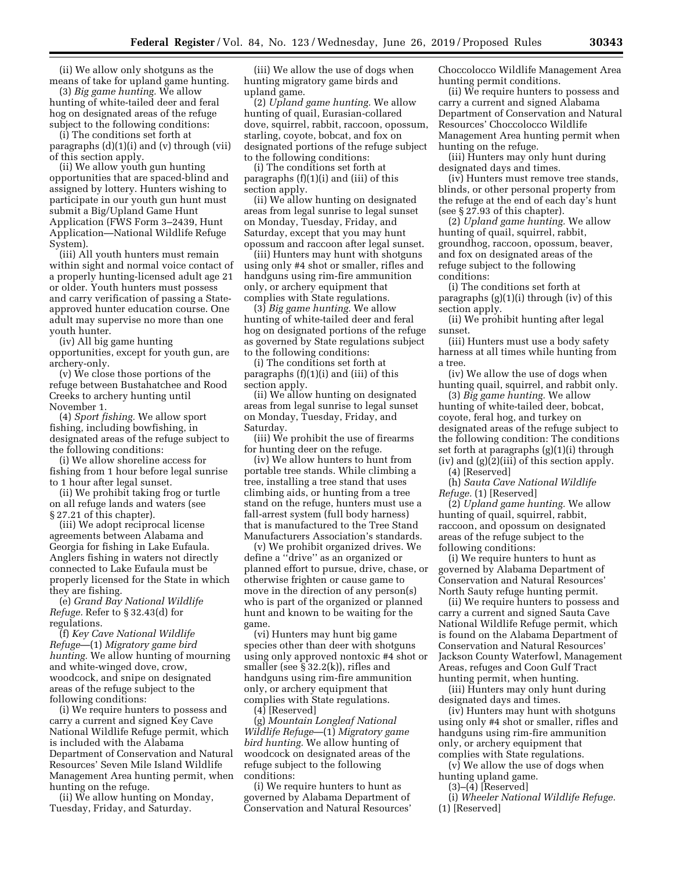(ii) We allow only shotguns as the means of take for upland game hunting.

(3) *Big game hunting.* We allow hunting of white-tailed deer and feral hog on designated areas of the refuge subject to the following conditions:

(i) The conditions set forth at paragraphs (d)(1)(i) and (v) through (vii) of this section apply.

(ii) We allow youth gun hunting opportunities that are spaced-blind and assigned by lottery. Hunters wishing to participate in our youth gun hunt must submit a Big/Upland Game Hunt Application (FWS Form 3–2439, Hunt Application—National Wildlife Refuge System).

(iii) All youth hunters must remain within sight and normal voice contact of a properly hunting-licensed adult age 21 or older. Youth hunters must possess and carry verification of passing a Stateapproved hunter education course. One adult may supervise no more than one youth hunter.

(iv) All big game hunting opportunities, except for youth gun, are archery-only.

(v) We close those portions of the refuge between Bustahatchee and Rood Creeks to archery hunting until November 1.

(4) *Sport fishing.* We allow sport fishing, including bowfishing, in designated areas of the refuge subject to the following conditions:

(i) We allow shoreline access for fishing from 1 hour before legal sunrise to 1 hour after legal sunset.

(ii) We prohibit taking frog or turtle on all refuge lands and waters (see § 27.21 of this chapter).

(iii) We adopt reciprocal license agreements between Alabama and Georgia for fishing in Lake Eufaula. Anglers fishing in waters not directly connected to Lake Eufaula must be properly licensed for the State in which they are fishing.

(e) *Grand Bay National Wildlife Refuge.* Refer to § 32.43(d) for regulations.

(f) *Key Cave National Wildlife Refuge*—(1) *Migratory game bird hunting.* We allow hunting of mourning and white-winged dove, crow, woodcock, and snipe on designated areas of the refuge subject to the following conditions:

(i) We require hunters to possess and carry a current and signed Key Cave National Wildlife Refuge permit, which is included with the Alabama Department of Conservation and Natural Resources' Seven Mile Island Wildlife Management Area hunting permit, when hunting on the refuge.

(ii) We allow hunting on Monday, Tuesday, Friday, and Saturday.

(iii) We allow the use of dogs when hunting migratory game birds and upland game.

(2) *Upland game hunting.* We allow hunting of quail, Eurasian-collared dove, squirrel, rabbit, raccoon, opossum, starling, coyote, bobcat, and fox on designated portions of the refuge subject to the following conditions:

(i) The conditions set forth at paragraphs (f)(1)(i) and (iii) of this section apply.

(ii) We allow hunting on designated areas from legal sunrise to legal sunset on Monday, Tuesday, Friday, and Saturday, except that you may hunt opossum and raccoon after legal sunset.

(iii) Hunters may hunt with shotguns using only #4 shot or smaller, rifles and handguns using rim-fire ammunition only, or archery equipment that complies with State regulations.

(3) *Big game hunting.* We allow hunting of white-tailed deer and feral hog on designated portions of the refuge as governed by State regulations subject to the following conditions:

(i) The conditions set forth at paragraphs (f)(1)(i) and (iii) of this section apply.

(ii) We allow hunting on designated areas from legal sunrise to legal sunset on Monday, Tuesday, Friday, and Saturday.

(iii) We prohibit the use of firearms for hunting deer on the refuge.

(iv) We allow hunters to hunt from portable tree stands. While climbing a tree, installing a tree stand that uses climbing aids, or hunting from a tree stand on the refuge, hunters must use a fall-arrest system (full body harness) that is manufactured to the Tree Stand Manufacturers Association's standards.

(v) We prohibit organized drives. We define a ''drive'' as an organized or planned effort to pursue, drive, chase, or otherwise frighten or cause game to move in the direction of any person(s) who is part of the organized or planned hunt and known to be waiting for the game.

(vi) Hunters may hunt big game species other than deer with shotguns using only approved nontoxic #4 shot or smaller (see § 32.2(k)), rifles and handguns using rim-fire ammunition only, or archery equipment that complies with State regulations.

(4) [Reserved]

(g) *Mountain Longleaf National Wildlife Refuge*—(1) *Migratory game bird hunting.* We allow hunting of woodcock on designated areas of the refuge subject to the following conditions:

(i) We require hunters to hunt as governed by Alabama Department of Conservation and Natural Resources'

Choccolocco Wildlife Management Area hunting permit conditions.

(ii) We require hunters to possess and carry a current and signed Alabama Department of Conservation and Natural Resources' Choccolocco Wildlife Management Area hunting permit when hunting on the refuge.

(iii) Hunters may only hunt during designated days and times.

(iv) Hunters must remove tree stands, blinds, or other personal property from the refuge at the end of each day's hunt (see § 27.93 of this chapter).

(2) *Upland game hunting.* We allow hunting of quail, squirrel, rabbit, groundhog, raccoon, opossum, beaver, and fox on designated areas of the refuge subject to the following conditions:

(i) The conditions set forth at paragraphs (g)(1)(i) through (iv) of this section apply.

(ii) We prohibit hunting after legal sunset.

(iii) Hunters must use a body safety harness at all times while hunting from a tree.

(iv) We allow the use of dogs when hunting quail, squirrel, and rabbit only.

(3) *Big game hunting.* We allow hunting of white-tailed deer, bobcat, coyote, feral hog, and turkey on designated areas of the refuge subject to the following condition: The conditions set forth at paragraphs (g)(1)(i) through  $(iv)$  and  $(g)(2)(iii)$  of this section apply.

(4) [Reserved]

(h) *Sauta Cave National Wildlife Refuge.* (1) [Reserved]

(2) *Upland game hunting.* We allow hunting of quail, squirrel, rabbit, raccoon, and opossum on designated areas of the refuge subject to the following conditions:

(i) We require hunters to hunt as governed by Alabama Department of Conservation and Natural Resources' North Sauty refuge hunting permit.

(ii) We require hunters to possess and carry a current and signed Sauta Cave National Wildlife Refuge permit, which is found on the Alabama Department of Conservation and Natural Resources' Jackson County Waterfowl, Management Areas, refuges and Coon Gulf Tract hunting permit, when hunting.

(iii) Hunters may only hunt during designated days and times.

(iv) Hunters may hunt with shotguns using only #4 shot or smaller, rifles and handguns using rim-fire ammunition only, or archery equipment that complies with State regulations.

(v) We allow the use of dogs when hunting upland game.

 $(3)$ – $(\overline{4})$  [Reserved]

(i) *Wheeler National Wildlife Refuge.*  (1) [Reserved]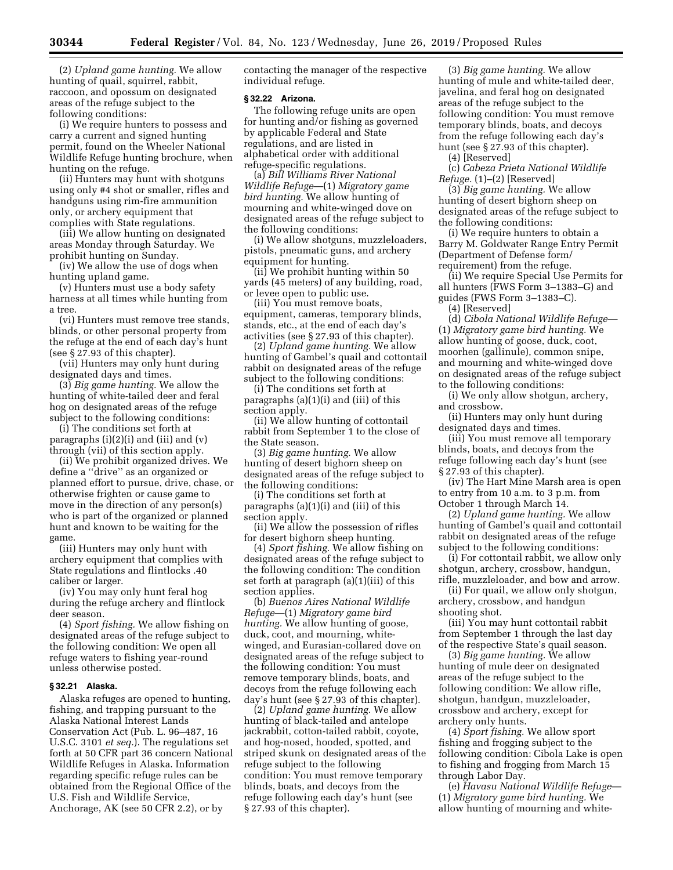(2) *Upland game hunting.* We allow hunting of quail, squirrel, rabbit, raccoon, and opossum on designated areas of the refuge subject to the following conditions:

(i) We require hunters to possess and carry a current and signed hunting permit, found on the Wheeler National Wildlife Refuge hunting brochure, when hunting on the refuge.

(ii) Hunters may hunt with shotguns using only #4 shot or smaller, rifles and handguns using rim-fire ammunition only, or archery equipment that complies with State regulations.

(iii) We allow hunting on designated areas Monday through Saturday. We prohibit hunting on Sunday.

(iv) We allow the use of dogs when hunting upland game.

(v) Hunters must use a body safety harness at all times while hunting from a tree.

(vi) Hunters must remove tree stands, blinds, or other personal property from the refuge at the end of each day's hunt (see § 27.93 of this chapter).

(vii) Hunters may only hunt during designated days and times.

(3) *Big game hunting.* We allow the hunting of white-tailed deer and feral hog on designated areas of the refuge subject to the following conditions:

(i) The conditions set forth at paragraphs  $(i)(2)(i)$  and  $(iii)$  and  $(v)$ through (vii) of this section apply.

(ii) We prohibit organized drives. We define a ''drive'' as an organized or planned effort to pursue, drive, chase, or otherwise frighten or cause game to move in the direction of any person(s) who is part of the organized or planned hunt and known to be waiting for the game.

(iii) Hunters may only hunt with archery equipment that complies with State regulations and flintlocks .40 caliber or larger.

(iv) You may only hunt feral hog during the refuge archery and flintlock deer season.

(4) *Sport fishing.* We allow fishing on designated areas of the refuge subject to the following condition: We open all refuge waters to fishing year-round unless otherwise posted.

# **§ 32.21 Alaska.**

Alaska refuges are opened to hunting, fishing, and trapping pursuant to the Alaska National Interest Lands Conservation Act (Pub. L. 96–487, 16 U.S.C. 3101 *et seq.*). The regulations set forth at 50 CFR part 36 concern National Wildlife Refuges in Alaska. Information regarding specific refuge rules can be obtained from the Regional Office of the U.S. Fish and Wildlife Service, Anchorage, AK (see 50 CFR 2.2), or by

contacting the manager of the respective individual refuge.

#### **§ 32.22 Arizona.**

The following refuge units are open for hunting and/or fishing as governed by applicable Federal and State regulations, and are listed in alphabetical order with additional refuge-specific regulations.

(a) *Bill Williams River National Wildlife Refuge*—(1) *Migratory game bird hunting.* We allow hunting of mourning and white-winged dove on designated areas of the refuge subject to the following conditions:

(i) We allow shotguns, muzzleloaders, pistols, pneumatic guns, and archery equipment for hunting.

(ii) We prohibit hunting within 50 yards (45 meters) of any building, road, or levee open to public use.

(iii) You must remove boats, equipment, cameras, temporary blinds, stands, etc., at the end of each day's activities (see § 27.93 of this chapter).

(2) *Upland game hunting.* We allow hunting of Gambel's quail and cottontail rabbit on designated areas of the refuge subject to the following conditions:

(i) The conditions set forth at paragraphs (a)(1)(i) and (iii) of this section apply.

(ii) We allow hunting of cottontail rabbit from September 1 to the close of the State season.

(3) *Big game hunting.* We allow hunting of desert bighorn sheep on designated areas of the refuge subject to the following conditions:

(i) The conditions set forth at paragraphs (a)(1)(i) and (iii) of this section apply.

(ii) We allow the possession of rifles for desert bighorn sheep hunting.

(4) *Sport fishing.* We allow fishing on designated areas of the refuge subject to the following condition: The condition set forth at paragraph (a)(1)(iii) of this section applies.

(b) *Buenos Aires National Wildlife Refuge*—(1) *Migratory game bird hunting.* We allow hunting of goose, duck, coot, and mourning, whitewinged, and Eurasian-collared dove on designated areas of the refuge subject to the following condition: You must remove temporary blinds, boats, and decoys from the refuge following each day's hunt (see § 27.93 of this chapter).

(2) *Upland game hunting.* We allow hunting of black-tailed and antelope jackrabbit, cotton-tailed rabbit, coyote, and hog-nosed, hooded, spotted, and striped skunk on designated areas of the refuge subject to the following condition: You must remove temporary blinds, boats, and decoys from the refuge following each day's hunt (see § 27.93 of this chapter).

(3) *Big game hunting.* We allow hunting of mule and white-tailed deer, javelina, and feral hog on designated areas of the refuge subject to the following condition: You must remove temporary blinds, boats, and decoys from the refuge following each day's hunt (see § 27.93 of this chapter).

(4) [Reserved]

(c) *Cabeza Prieta National Wildlife Refuge.* (1)–(2) [Reserved]

(3) *Big game hunting.* We allow hunting of desert bighorn sheep on designated areas of the refuge subject to the following conditions:

(i) We require hunters to obtain a Barry M. Goldwater Range Entry Permit (Department of Defense form/ requirement) from the refuge.

(ii) We require Special Use Permits for all hunters (FWS Form 3–1383–G) and guides (FWS Form 3–1383–C).

(4) [Reserved]

(d) *Cibola National Wildlife Refuge*— (1) *Migratory game bird hunting.* We allow hunting of goose, duck, coot, moorhen (gallinule), common snipe, and mourning and white-winged dove on designated areas of the refuge subject to the following conditions:

(i) We only allow shotgun, archery, and crossbow.

(ii) Hunters may only hunt during designated days and times.

(iii) You must remove all temporary blinds, boats, and decoys from the refuge following each day's hunt (see § 27.93 of this chapter).

(iv) The Hart Mine Marsh area is open to entry from 10 a.m. to 3 p.m. from October 1 through March 14.

(2) *Upland game hunting.* We allow hunting of Gambel's quail and cottontail rabbit on designated areas of the refuge subject to the following conditions:

(i) For cottontail rabbit, we allow only shotgun, archery, crossbow, handgun, rifle, muzzleloader, and bow and arrow.

(ii) For quail, we allow only shotgun, archery, crossbow, and handgun shooting shot.

(iii) You may hunt cottontail rabbit from September 1 through the last day of the respective State's quail season.

(3) *Big game hunting.* We allow hunting of mule deer on designated areas of the refuge subject to the following condition: We allow rifle, shotgun, handgun, muzzleloader, crossbow and archery, except for archery only hunts.

(4) *Sport fishing.* We allow sport fishing and frogging subject to the following condition: Cibola Lake is open to fishing and frogging from March 15 through Labor Day.

(e) *Havasu National Wildlife Refuge*— (1) *Migratory game bird hunting.* We allow hunting of mourning and white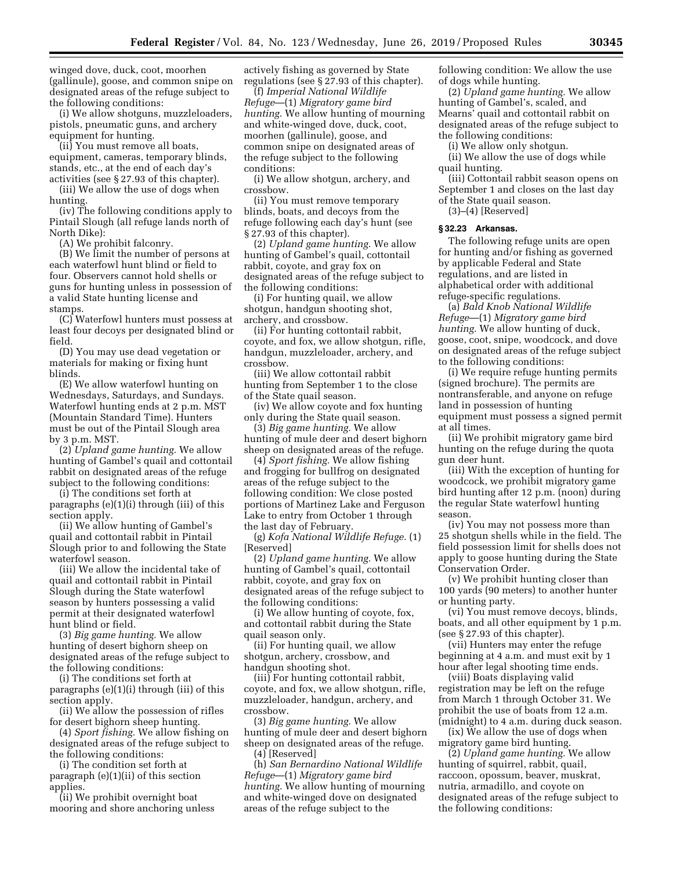winged dove, duck, coot, moorhen (gallinule), goose, and common snipe on designated areas of the refuge subject to the following conditions:

(i) We allow shotguns, muzzleloaders, pistols, pneumatic guns, and archery equipment for hunting.

(ii) You must remove all boats, equipment, cameras, temporary blinds, stands, etc., at the end of each day's activities (see § 27.93 of this chapter).

(iii) We allow the use of dogs when hunting.

(iv) The following conditions apply to Pintail Slough (all refuge lands north of North Dike):

(A) We prohibit falconry.

(B) We limit the number of persons at each waterfowl hunt blind or field to four. Observers cannot hold shells or guns for hunting unless in possession of a valid State hunting license and stamps.

(C) Waterfowl hunters must possess at least four decoys per designated blind or field.

(D) You may use dead vegetation or materials for making or fixing hunt blinds.

(E) We allow waterfowl hunting on Wednesdays, Saturdays, and Sundays. Waterfowl hunting ends at 2 p.m. MST (Mountain Standard Time). Hunters must be out of the Pintail Slough area by 3 p.m. MST.

(2) *Upland game hunting.* We allow hunting of Gambel's quail and cottontail rabbit on designated areas of the refuge subject to the following conditions:

(i) The conditions set forth at paragraphs (e)(1)(i) through (iii) of this section apply.

(ii) We allow hunting of Gambel's quail and cottontail rabbit in Pintail Slough prior to and following the State waterfowl season.

(iii) We allow the incidental take of quail and cottontail rabbit in Pintail Slough during the State waterfowl season by hunters possessing a valid permit at their designated waterfowl hunt blind or field.

(3) *Big game hunting.* We allow hunting of desert bighorn sheep on designated areas of the refuge subject to the following conditions:

(i) The conditions set forth at paragraphs (e)(1)(i) through (iii) of this section apply.

(ii) We allow the possession of rifles for desert bighorn sheep hunting.

(4) *Sport fishing.* We allow fishing on designated areas of the refuge subject to the following conditions:

(i) The condition set forth at paragraph (e)(1)(ii) of this section applies.

(ii) We prohibit overnight boat mooring and shore anchoring unless

actively fishing as governed by State regulations (see § 27.93 of this chapter).

(f) *Imperial National Wildlife Refuge*—(1) *Migratory game bird hunting.* We allow hunting of mourning and white-winged dove, duck, coot, moorhen (gallinule), goose, and common snipe on designated areas of the refuge subject to the following conditions:

(i) We allow shotgun, archery, and crossbow.

(ii) You must remove temporary blinds, boats, and decoys from the refuge following each day's hunt (see § 27.93 of this chapter).

(2) *Upland game hunting.* We allow hunting of Gambel's quail, cottontail rabbit, coyote, and gray fox on designated areas of the refuge subject to the following conditions:

(i) For hunting quail, we allow shotgun, handgun shooting shot, archery, and crossbow.

(ii) For hunting cottontail rabbit, coyote, and fox, we allow shotgun, rifle, handgun, muzzleloader, archery, and crossbow.

(iii) We allow cottontail rabbit hunting from September 1 to the close of the State quail season.

(iv) We allow coyote and fox hunting only during the State quail season.

(3) *Big game hunting.* We allow hunting of mule deer and desert bighorn sheep on designated areas of the refuge.

(4) *Sport fishing.* We allow fishing and frogging for bullfrog on designated areas of the refuge subject to the following condition: We close posted portions of Martinez Lake and Ferguson Lake to entry from October 1 through the last day of February.

(g) *Kofa National Wildlife Refuge.* (1) [Reserved]

(2) *Upland game hunting.* We allow hunting of Gambel's quail, cottontail rabbit, coyote, and gray fox on designated areas of the refuge subject to the following conditions:

(i) We allow hunting of coyote, fox, and cottontail rabbit during the State quail season only.

(ii) For hunting quail, we allow shotgun, archery, crossbow, and handgun shooting shot.

(iii) For hunting cottontail rabbit, coyote, and fox, we allow shotgun, rifle, muzzleloader, handgun, archery, and crossbow.

(3) *Big game hunting.* We allow hunting of mule deer and desert bighorn sheep on designated areas of the refuge. (4) [Reserved]

(h) *San Bernardino National Wildlife Refuge*—(1) *Migratory game bird hunting.* We allow hunting of mourning and white-winged dove on designated areas of the refuge subject to the

following condition: We allow the use of dogs while hunting.

(2) *Upland game hunting.* We allow hunting of Gambel's, scaled, and Mearns' quail and cottontail rabbit on designated areas of the refuge subject to the following conditions:

(i) We allow only shotgun. (ii) We allow the use of dogs while

quail hunting.

(iii) Cottontail rabbit season opens on September 1 and closes on the last day of the State quail season.

(3)–(4) [Reserved]

### **§ 32.23 Arkansas.**

The following refuge units are open for hunting and/or fishing as governed by applicable Federal and State regulations, and are listed in alphabetical order with additional refuge-specific regulations.

(a) *Bald Knob National Wildlife Refuge*—(1) *Migratory game bird hunting.* We allow hunting of duck, goose, coot, snipe, woodcock, and dove on designated areas of the refuge subject to the following conditions:

(i) We require refuge hunting permits (signed brochure). The permits are nontransferable, and anyone on refuge land in possession of hunting equipment must possess a signed permit at all times.

(ii) We prohibit migratory game bird hunting on the refuge during the quota gun deer hunt.

(iii) With the exception of hunting for woodcock, we prohibit migratory game bird hunting after 12 p.m. (noon) during the regular State waterfowl hunting season.

(iv) You may not possess more than 25 shotgun shells while in the field. The field possession limit for shells does not apply to goose hunting during the State Conservation Order.

(v) We prohibit hunting closer than 100 yards (90 meters) to another hunter or hunting party.

(vi) You must remove decoys, blinds, boats, and all other equipment by 1 p.m. (see § 27.93 of this chapter).

(vii) Hunters may enter the refuge beginning at 4 a.m. and must exit by 1 hour after legal shooting time ends.

(viii) Boats displaying valid registration may be left on the refuge from March 1 through October 31. We prohibit the use of boats from 12 a.m. (midnight) to 4 a.m. during duck season.

(ix) We allow the use of dogs when migratory game bird hunting.

(2) *Upland game hunting.* We allow hunting of squirrel, rabbit, quail, raccoon, opossum, beaver, muskrat, nutria, armadillo, and coyote on designated areas of the refuge subject to the following conditions: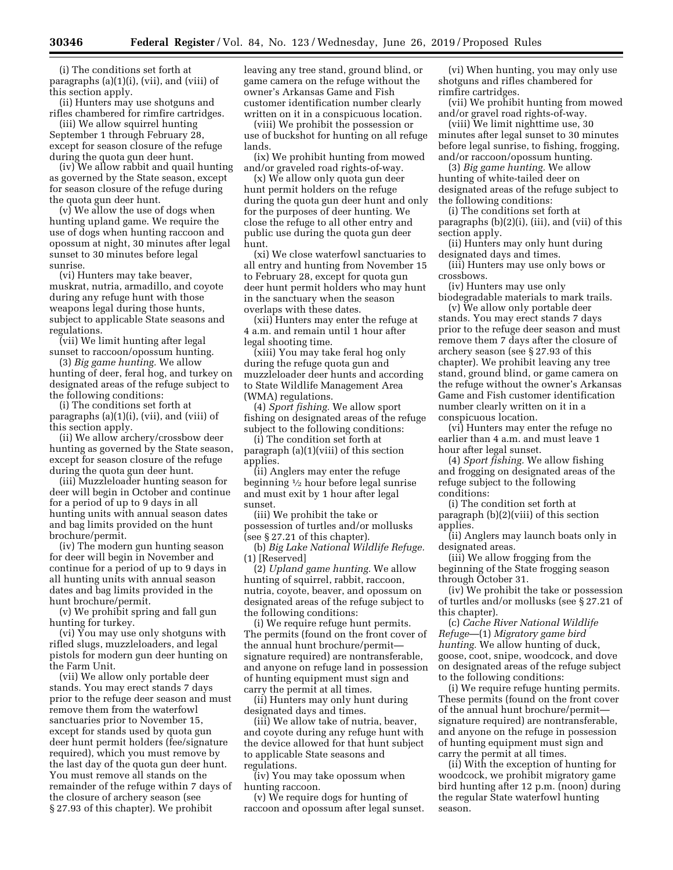(i) The conditions set forth at paragraphs (a)(1)(i), (vii), and (viii) of this section apply.

(ii) Hunters may use shotguns and rifles chambered for rimfire cartridges.

(iii) We allow squirrel hunting September 1 through February 28, except for season closure of the refuge during the quota gun deer hunt.

(iv) We allow rabbit and quail hunting as governed by the State season, except for season closure of the refuge during the quota gun deer hunt.

(v) We allow the use of dogs when hunting upland game. We require the use of dogs when hunting raccoon and opossum at night, 30 minutes after legal sunset to 30 minutes before legal sunrise.

(vi) Hunters may take beaver, muskrat, nutria, armadillo, and coyote during any refuge hunt with those weapons legal during those hunts, subject to applicable State seasons and regulations.

(vii) We limit hunting after legal sunset to raccoon/opossum hunting.

(3) *Big game hunting.* We allow hunting of deer, feral hog, and turkey on designated areas of the refuge subject to the following conditions:

(i) The conditions set forth at paragraphs (a)(1)(i), (vii), and (viii) of this section apply.

(ii) We allow archery/crossbow deer hunting as governed by the State season, except for season closure of the refuge during the quota gun deer hunt.

(iii) Muzzleloader hunting season for deer will begin in October and continue for a period of up to 9 days in all hunting units with annual season dates and bag limits provided on the hunt brochure/permit.

(iv) The modern gun hunting season for deer will begin in November and continue for a period of up to 9 days in all hunting units with annual season dates and bag limits provided in the hunt brochure/permit.

(v) We prohibit spring and fall gun hunting for turkey.

(vi) You may use only shotguns with rifled slugs, muzzleloaders, and legal pistols for modern gun deer hunting on the Farm Unit.

(vii) We allow only portable deer stands. You may erect stands 7 days prior to the refuge deer season and must remove them from the waterfowl sanctuaries prior to November 15, except for stands used by quota gun deer hunt permit holders (fee/signature required), which you must remove by the last day of the quota gun deer hunt. You must remove all stands on the remainder of the refuge within 7 days of the closure of archery season (see § 27.93 of this chapter). We prohibit

leaving any tree stand, ground blind, or game camera on the refuge without the owner's Arkansas Game and Fish customer identification number clearly written on it in a conspicuous location.

(viii) We prohibit the possession or use of buckshot for hunting on all refuge lands.

(ix) We prohibit hunting from mowed and/or graveled road rights-of-way.

(x) We allow only quota gun deer hunt permit holders on the refuge during the quota gun deer hunt and only for the purposes of deer hunting. We close the refuge to all other entry and public use during the quota gun deer hunt.

(xi) We close waterfowl sanctuaries to all entry and hunting from November 15 to February 28, except for quota gun deer hunt permit holders who may hunt in the sanctuary when the season overlaps with these dates.

(xii) Hunters may enter the refuge at 4 a.m. and remain until 1 hour after legal shooting time.

(xiii) You may take feral hog only during the refuge quota gun and muzzleloader deer hunts and according to State Wildlife Management Area (WMA) regulations.

(4) *Sport fishing.* We allow sport fishing on designated areas of the refuge subject to the following conditions:

(i) The condition set forth at paragraph (a)(1)(viii) of this section applies.

(ii) Anglers may enter the refuge beginning 1⁄2 hour before legal sunrise and must exit by 1 hour after legal sunset.

(iii) We prohibit the take or possession of turtles and/or mollusks (see § 27.21 of this chapter).

(b) *Big Lake National Wildlife Refuge.*  (1) [Reserved]

(2) *Upland game hunting.* We allow hunting of squirrel, rabbit, raccoon, nutria, coyote, beaver, and opossum on designated areas of the refuge subject to the following conditions:

(i) We require refuge hunt permits. The permits (found on the front cover of the annual hunt brochure/permit signature required) are nontransferable, and anyone on refuge land in possession of hunting equipment must sign and carry the permit at all times.

(ii) Hunters may only hunt during designated days and times.

(iii) We allow take of nutria, beaver, and coyote during any refuge hunt with the device allowed for that hunt subject to applicable State seasons and regulations.

(iv) You may take opossum when hunting raccoon.

(v) We require dogs for hunting of raccoon and opossum after legal sunset.

(vi) When hunting, you may only use shotguns and rifles chambered for rimfire cartridges.

(vii) We prohibit hunting from mowed and/or gravel road rights-of-way.

(viii) We limit nighttime use, 30 minutes after legal sunset to 30 minutes before legal sunrise, to fishing, frogging, and/or raccoon/opossum hunting.

(3) *Big game hunting.* We allow hunting of white-tailed deer on designated areas of the refuge subject to the following conditions:

(i) The conditions set forth at paragraphs (b)(2)(i), (iii), and (vii) of this section apply.

(ii) Hunters may only hunt during designated days and times.

(iii) Hunters may use only bows or crossbows.

(iv) Hunters may use only biodegradable materials to mark trails.

(v) We allow only portable deer stands. You may erect stands 7 days prior to the refuge deer season and must remove them 7 days after the closure of archery season (see § 27.93 of this chapter). We prohibit leaving any tree stand, ground blind, or game camera on the refuge without the owner's Arkansas Game and Fish customer identification number clearly written on it in a conspicuous location.

(vi) Hunters may enter the refuge no earlier than 4 a.m. and must leave 1 hour after legal sunset.

(4) *Sport fishing.* We allow fishing and frogging on designated areas of the refuge subject to the following conditions:

(i) The condition set forth at paragraph (b)(2)(viii) of this section applies.

(ii) Anglers may launch boats only in designated areas.

(iii) We allow frogging from the beginning of the State frogging season through October 31.

(iv) We prohibit the take or possession of turtles and/or mollusks (see § 27.21 of this chapter).

(c) *Cache River National Wildlife Refuge*—(1) *Migratory game bird hunting.* We allow hunting of duck, goose, coot, snipe, woodcock, and dove on designated areas of the refuge subject to the following conditions:

(i) We require refuge hunting permits. These permits (found on the front cover of the annual hunt brochure/permit signature required) are nontransferable, and anyone on the refuge in possession of hunting equipment must sign and carry the permit at all times.

(ii) With the exception of hunting for woodcock, we prohibit migratory game bird hunting after 12 p.m. (noon) during the regular State waterfowl hunting season.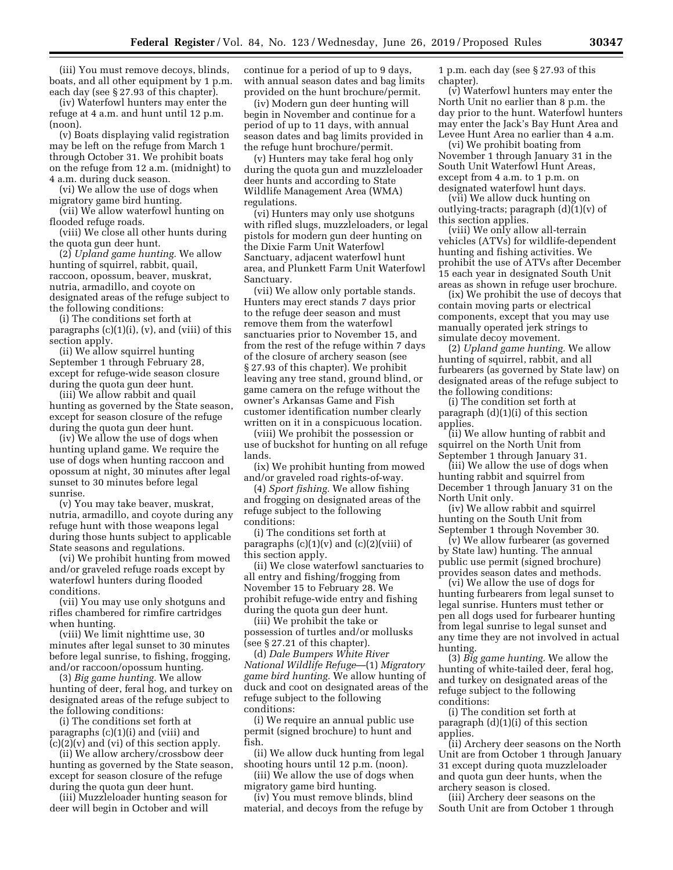(iii) You must remove decoys, blinds, boats, and all other equipment by 1 p.m. each day (see § 27.93 of this chapter).

(iv) Waterfowl hunters may enter the refuge at 4 a.m. and hunt until 12 p.m. (noon).

(v) Boats displaying valid registration may be left on the refuge from March 1 through October 31. We prohibit boats on the refuge from 12 a.m. (midnight) to 4 a.m. during duck season.

(vi) We allow the use of dogs when migratory game bird hunting.

(vii) We allow waterfowl hunting on flooded refuge roads.

(viii) We close all other hunts during the quota gun deer hunt.

(2) *Upland game hunting.* We allow hunting of squirrel, rabbit, quail, raccoon, opossum, beaver, muskrat, nutria, armadillo, and coyote on designated areas of the refuge subject to the following conditions:

(i) The conditions set forth at paragraphs  $(c)(1)(i)$ ,  $(v)$ , and  $(viii)$  of this section apply.

(ii) We allow squirrel hunting September 1 through February 28, except for refuge-wide season closure during the quota gun deer hunt.

(iii) We allow rabbit and quail hunting as governed by the State season, except for season closure of the refuge during the quota gun deer hunt.

(iv) We allow the use of dogs when hunting upland game. We require the use of dogs when hunting raccoon and opossum at night, 30 minutes after legal sunset to 30 minutes before legal sunrise.

(v) You may take beaver, muskrat, nutria, armadillo, and coyote during any refuge hunt with those weapons legal during those hunts subject to applicable State seasons and regulations.

(vi) We prohibit hunting from mowed and/or graveled refuge roads except by waterfowl hunters during flooded conditions.

(vii) You may use only shotguns and rifles chambered for rimfire cartridges when hunting.

(viii) We limit nighttime use, 30 minutes after legal sunset to 30 minutes before legal sunrise, to fishing, frogging, and/or raccoon/opossum hunting.

(3) *Big game hunting.* We allow hunting of deer, feral hog, and turkey on designated areas of the refuge subject to the following conditions:

(i) The conditions set forth at paragraphs (c)(1)(i) and (viii) and  $(c)(2)(v)$  and  $(vi)$  of this section apply.

(ii) We allow archery/crossbow deer hunting as governed by the State season, except for season closure of the refuge during the quota gun deer hunt.

(iii) Muzzleloader hunting season for deer will begin in October and will

continue for a period of up to 9 days, with annual season dates and bag limits provided on the hunt brochure/permit.

(iv) Modern gun deer hunting will begin in November and continue for a period of up to 11 days, with annual season dates and bag limits provided in the refuge hunt brochure/permit.

(v) Hunters may take feral hog only during the quota gun and muzzleloader deer hunts and according to State Wildlife Management Area (WMA) regulations.

(vi) Hunters may only use shotguns with rifled slugs, muzzleloaders, or legal pistols for modern gun deer hunting on the Dixie Farm Unit Waterfowl Sanctuary, adjacent waterfowl hunt area, and Plunkett Farm Unit Waterfowl Sanctuary.

(vii) We allow only portable stands. Hunters may erect stands 7 days prior to the refuge deer season and must remove them from the waterfowl sanctuaries prior to November 15, and from the rest of the refuge within 7 days of the closure of archery season (see § 27.93 of this chapter). We prohibit leaving any tree stand, ground blind, or game camera on the refuge without the owner's Arkansas Game and Fish customer identification number clearly written on it in a conspicuous location.

(viii) We prohibit the possession or use of buckshot for hunting on all refuge lands.

(ix) We prohibit hunting from mowed and/or graveled road rights-of-way.

(4) *Sport fishing.* We allow fishing and frogging on designated areas of the refuge subject to the following conditions:

(i) The conditions set forth at paragraphs (c)(1)(v) and (c)(2)(viii) of this section apply.

(ii) We close waterfowl sanctuaries to all entry and fishing/frogging from November 15 to February 28. We prohibit refuge-wide entry and fishing during the quota gun deer hunt.

(iii) We prohibit the take or possession of turtles and/or mollusks (see § 27.21 of this chapter).

(d) *Dale Bumpers White River National Wildlife Refuge*—(1) *Migratory game bird hunting.* We allow hunting of duck and coot on designated areas of the refuge subject to the following conditions:

(i) We require an annual public use permit (signed brochure) to hunt and fish.

(ii) We allow duck hunting from legal shooting hours until 12 p.m. (noon).

(iii) We allow the use of dogs when migratory game bird hunting.

(iv) You must remove blinds, blind material, and decoys from the refuge by

1 p.m. each day (see § 27.93 of this chapter).

(v) Waterfowl hunters may enter the North Unit no earlier than 8 p.m. the day prior to the hunt. Waterfowl hunters may enter the Jack's Bay Hunt Area and Levee Hunt Area no earlier than 4 a.m.

(vi) We prohibit boating from November 1 through January 31 in the South Unit Waterfowl Hunt Areas, except from 4 a.m. to 1 p.m. on designated waterfowl hunt days.

(vii) We allow duck hunting on outlying-tracts; paragraph (d)(1)(v) of this section applies.

(viii) We only allow all-terrain vehicles (ATVs) for wildlife-dependent hunting and fishing activities. We prohibit the use of ATVs after December 15 each year in designated South Unit areas as shown in refuge user brochure.

(ix) We prohibit the use of decoys that contain moving parts or electrical components, except that you may use manually operated jerk strings to simulate decoy movement.

(2) *Upland game hunting.* We allow hunting of squirrel, rabbit, and all furbearers (as governed by State law) on designated areas of the refuge subject to the following conditions:

(i) The condition set forth at paragraph (d)(1)(i) of this section applies.

(ii) We allow hunting of rabbit and squirrel on the North Unit from September 1 through January 31.

(iii) We allow the use of dogs when hunting rabbit and squirrel from December 1 through January 31 on the North Unit only.

(iv) We allow rabbit and squirrel hunting on the South Unit from September 1 through November 30.

(v) We allow furbearer (as governed by State law) hunting. The annual public use permit (signed brochure) provides season dates and methods.

(vi) We allow the use of dogs for hunting furbearers from legal sunset to legal sunrise. Hunters must tether or pen all dogs used for furbearer hunting from legal sunrise to legal sunset and any time they are not involved in actual hunting.

(3) *Big game hunting.* We allow the hunting of white-tailed deer, feral hog, and turkey on designated areas of the refuge subject to the following conditions:

(i) The condition set forth at paragraph  $(d)(1)(i)$  of this section applies.

(ii) Archery deer seasons on the North Unit are from October 1 through January 31 except during quota muzzleloader and quota gun deer hunts, when the archery season is closed.

(iii) Archery deer seasons on the South Unit are from October 1 through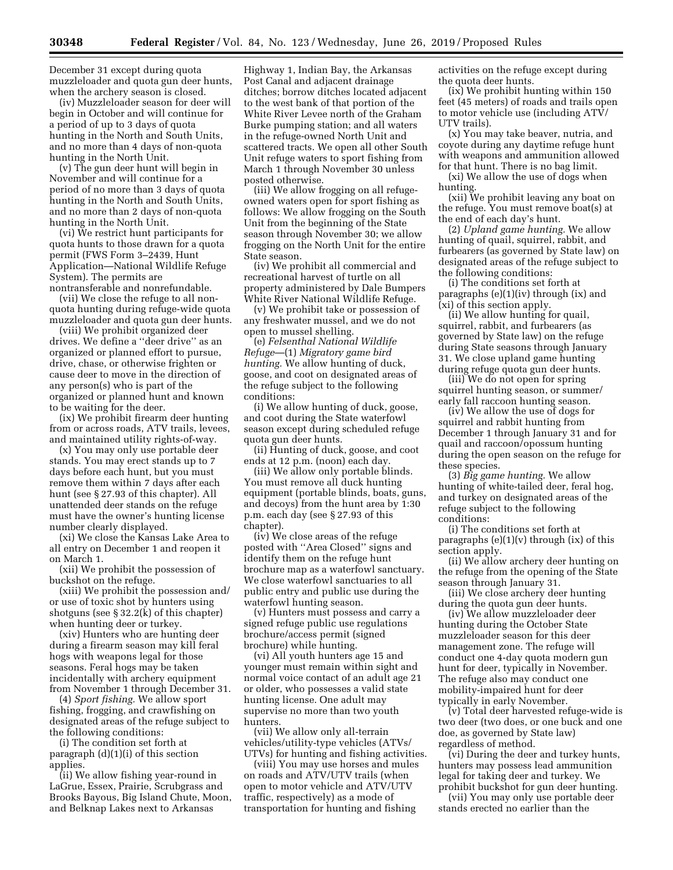December 31 except during quota muzzleloader and quota gun deer hunts, when the archery season is closed.

(iv) Muzzleloader season for deer will begin in October and will continue for a period of up to 3 days of quota hunting in the North and South Units, and no more than 4 days of non-quota hunting in the North Unit.

(v) The gun deer hunt will begin in November and will continue for a period of no more than 3 days of quota hunting in the North and South Units, and no more than 2 days of non-quota hunting in the North Unit.

(vi) We restrict hunt participants for quota hunts to those drawn for a quota permit (FWS Form 3–2439, Hunt Application—National Wildlife Refuge System). The permits are nontransferable and nonrefundable.

(vii) We close the refuge to all nonquota hunting during refuge-wide quota muzzleloader and quota gun deer hunts.

(viii) We prohibit organized deer drives. We define a ''deer drive'' as an organized or planned effort to pursue, drive, chase, or otherwise frighten or cause deer to move in the direction of any person(s) who is part of the organized or planned hunt and known to be waiting for the deer.

(ix) We prohibit firearm deer hunting from or across roads, ATV trails, levees, and maintained utility rights-of-way.

(x) You may only use portable deer stands. You may erect stands up to 7 days before each hunt, but you must remove them within 7 days after each hunt (see § 27.93 of this chapter). All unattended deer stands on the refuge must have the owner's hunting license number clearly displayed.

(xi) We close the Kansas Lake Area to all entry on December 1 and reopen it on March 1.

(xii) We prohibit the possession of buckshot on the refuge.

(xiii) We prohibit the possession and/ or use of toxic shot by hunters using shotguns (see § 32.2(k) of this chapter) when hunting deer or turkey.

(xiv) Hunters who are hunting deer during a firearm season may kill feral hogs with weapons legal for those seasons. Feral hogs may be taken incidentally with archery equipment from November 1 through December 31.

(4) *Sport fishing.* We allow sport fishing, frogging, and crawfishing on designated areas of the refuge subject to the following conditions:

(i) The condition set forth at paragraph  $(d)(1)(i)$  of this section applies.

(ii) We allow fishing year-round in LaGrue, Essex, Prairie, Scrubgrass and Brooks Bayous, Big Island Chute, Moon, and Belknap Lakes next to Arkansas

Highway 1, Indian Bay, the Arkansas Post Canal and adjacent drainage ditches; borrow ditches located adjacent to the west bank of that portion of the White River Levee north of the Graham Burke pumping station; and all waters in the refuge-owned North Unit and scattered tracts. We open all other South Unit refuge waters to sport fishing from March 1 through November 30 unless posted otherwise.

(iii) We allow frogging on all refugeowned waters open for sport fishing as follows: We allow frogging on the South Unit from the beginning of the State season through November 30; we allow frogging on the North Unit for the entire State season.

(iv) We prohibit all commercial and recreational harvest of turtle on all property administered by Dale Bumpers White River National Wildlife Refuge.

(v) We prohibit take or possession of any freshwater mussel, and we do not open to mussel shelling.

(e) *Felsenthal National Wildlife Refuge*—(1) *Migratory game bird hunting.* We allow hunting of duck, goose, and coot on designated areas of the refuge subject to the following conditions:

(i) We allow hunting of duck, goose, and coot during the State waterfowl season except during scheduled refuge quota gun deer hunts.

(ii) Hunting of duck, goose, and coot ends at 12 p.m. (noon) each day.

(iii) We allow only portable blinds. You must remove all duck hunting equipment (portable blinds, boats, guns, and decoys) from the hunt area by 1:30 p.m. each day (see § 27.93 of this chapter).

(iv) We close areas of the refuge posted with ''Area Closed'' signs and identify them on the refuge hunt brochure map as a waterfowl sanctuary. We close waterfowl sanctuaries to all public entry and public use during the waterfowl hunting season.

(v) Hunters must possess and carry a signed refuge public use regulations brochure/access permit (signed brochure) while hunting.

(vi) All youth hunters age 15 and younger must remain within sight and normal voice contact of an adult age 21 or older, who possesses a valid state hunting license. One adult may supervise no more than two youth hunters.

(vii) We allow only all-terrain vehicles/utility-type vehicles (ATVs/ UTVs) for hunting and fishing activities.

(viii) You may use horses and mules on roads and ATV/UTV trails (when open to motor vehicle and ATV/UTV traffic, respectively) as a mode of transportation for hunting and fishing

activities on the refuge except during the quota deer hunts.

(ix) We prohibit hunting within 150 feet (45 meters) of roads and trails open to motor vehicle use (including ATV/ UTV trails).

(x) You may take beaver, nutria, and coyote during any daytime refuge hunt with weapons and ammunition allowed for that hunt. There is no bag limit.

(xi) We allow the use of dogs when hunting.

(xii) We prohibit leaving any boat on the refuge. You must remove boat(s) at the end of each day's hunt.

(2) *Upland game hunting.* We allow hunting of quail, squirrel, rabbit, and furbearers (as governed by State law) on designated areas of the refuge subject to the following conditions:

(i) The conditions set forth at paragraphs (e)(1)(iv) through (ix) and (xi) of this section apply.

(ii) We allow hunting for quail, squirrel, rabbit, and furbearers (as governed by State law) on the refuge during State seasons through January 31. We close upland game hunting during refuge quota gun deer hunts.

(iii) We do not open for spring squirrel hunting season, or summer/ early fall raccoon hunting season.

(iv) We allow the use of dogs for squirrel and rabbit hunting from December 1 through January 31 and for quail and raccoon/opossum hunting during the open season on the refuge for these species.

(3) *Big game hunting.* We allow hunting of white-tailed deer, feral hog, and turkey on designated areas of the refuge subject to the following conditions:

(i) The conditions set forth at paragraphs  $(e)(1)(v)$  through  $(ix)$  of this section apply.

(ii) We allow archery deer hunting on the refuge from the opening of the State season through January 31.

(iii) We close archery deer hunting during the quota gun deer hunts.

(iv) We allow muzzleloader deer hunting during the October State muzzleloader season for this deer management zone. The refuge will conduct one 4-day quota modern gun hunt for deer, typically in November. The refuge also may conduct one mobility-impaired hunt for deer typically in early November.

(v) Total deer harvested refuge-wide is two deer (two does, or one buck and one doe, as governed by State law) regardless of method.

(vi) During the deer and turkey hunts, hunters may possess lead ammunition legal for taking deer and turkey. We prohibit buckshot for gun deer hunting.

(vii) You may only use portable deer stands erected no earlier than the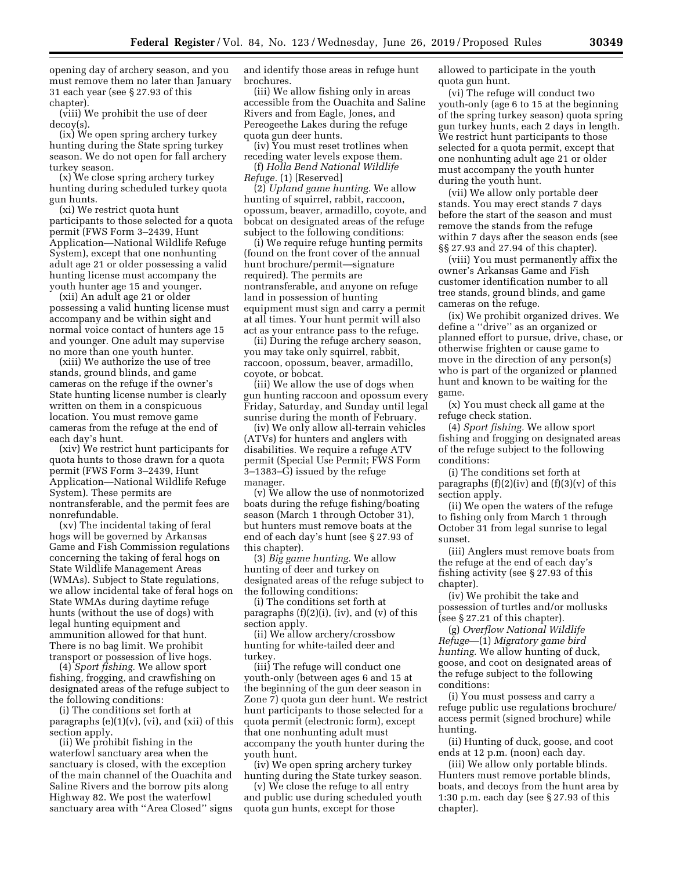opening day of archery season, and you must remove them no later than January 31 each year (see § 27.93 of this chapter).

(viii) We prohibit the use of deer decoy(s).

(ix) We open spring archery turkey hunting during the State spring turkey season. We do not open for fall archery turkey season.

(x) We close spring archery turkey hunting during scheduled turkey quota gun hunts.

(xi) We restrict quota hunt participants to those selected for a quota permit (FWS Form 3–2439, Hunt Application—National Wildlife Refuge System), except that one nonhunting adult age 21 or older possessing a valid hunting license must accompany the youth hunter age 15 and younger.

(xii) An adult age 21 or older possessing a valid hunting license must accompany and be within sight and normal voice contact of hunters age 15 and younger. One adult may supervise no more than one youth hunter.

(xiii) We authorize the use of tree stands, ground blinds, and game cameras on the refuge if the owner's State hunting license number is clearly written on them in a conspicuous location. You must remove game cameras from the refuge at the end of each day's hunt.

(xiv) We restrict hunt participants for quota hunts to those drawn for a quota permit (FWS Form 3–2439, Hunt Application—National Wildlife Refuge System). These permits are nontransferable, and the permit fees are nonrefundable.

(xv) The incidental taking of feral hogs will be governed by Arkansas Game and Fish Commission regulations concerning the taking of feral hogs on State Wildlife Management Areas (WMAs). Subject to State regulations, we allow incidental take of feral hogs on State WMAs during daytime refuge hunts (without the use of dogs) with legal hunting equipment and ammunition allowed for that hunt. There is no bag limit. We prohibit transport or possession of live hogs.

(4) *Sport fishing.* We allow sport fishing, frogging, and crawfishing on designated areas of the refuge subject to the following conditions:

(i) The conditions set forth at paragraphs  $(e)(1)(v)$ ,  $(vi)$ , and  $(xii)$  of this section apply.

(ii) We prohibit fishing in the waterfowl sanctuary area when the sanctuary is closed, with the exception of the main channel of the Ouachita and Saline Rivers and the borrow pits along Highway 82. We post the waterfowl sanctuary area with ''Area Closed'' signs and identify those areas in refuge hunt brochures.

(iii) We allow fishing only in areas accessible from the Ouachita and Saline Rivers and from Eagle, Jones, and Pereogeethe Lakes during the refuge quota gun deer hunts.

(iv) You must reset trotlines when receding water levels expose them. (f) *Holla Bend National Wildlife* 

*Refuge.* (1) [Reserved]

(2) *Upland game hunting.* We allow hunting of squirrel, rabbit, raccoon, opossum, beaver, armadillo, coyote, and bobcat on designated areas of the refuge subject to the following conditions:

(i) We require refuge hunting permits (found on the front cover of the annual hunt brochure/permit—signature required). The permits are nontransferable, and anyone on refuge land in possession of hunting equipment must sign and carry a permit at all times. Your hunt permit will also act as your entrance pass to the refuge.

(ii) During the refuge archery season, you may take only squirrel, rabbit, raccoon, opossum, beaver, armadillo, coyote, or bobcat.

(iii) We allow the use of dogs when gun hunting raccoon and opossum every Friday, Saturday, and Sunday until legal sunrise during the month of February.

(iv) We only allow all-terrain vehicles (ATVs) for hunters and anglers with disabilities. We require a refuge ATV permit (Special Use Permit; FWS Form 3–1383–G) issued by the refuge manager.

(v) We allow the use of nonmotorized boats during the refuge fishing/boating season (March 1 through October 31), but hunters must remove boats at the end of each day's hunt (see § 27.93 of this chapter).

(3) *Big game hunting.* We allow hunting of deer and turkey on designated areas of the refuge subject to the following conditions:

(i) The conditions set forth at paragraphs (f)(2)(i), (iv), and (v) of this section apply.

(ii) We allow archery/crossbow hunting for white-tailed deer and turkey.

(iii) The refuge will conduct one youth-only (between ages 6 and 15 at the beginning of the gun deer season in Zone 7) quota gun deer hunt. We restrict hunt participants to those selected for a quota permit (electronic form), except that one nonhunting adult must accompany the youth hunter during the youth hunt.

(iv) We open spring archery turkey hunting during the State turkey season.

(v) We close the refuge to all entry and public use during scheduled youth quota gun hunts, except for those

allowed to participate in the youth quota gun hunt.

(vi) The refuge will conduct two youth-only (age 6 to 15 at the beginning of the spring turkey season) quota spring gun turkey hunts, each 2 days in length. We restrict hunt participants to those selected for a quota permit, except that one nonhunting adult age 21 or older must accompany the youth hunter during the youth hunt.

(vii) We allow only portable deer stands. You may erect stands 7 days before the start of the season and must remove the stands from the refuge within 7 days after the season ends (see §§ 27.93 and 27.94 of this chapter).

(viii) You must permanently affix the owner's Arkansas Game and Fish customer identification number to all tree stands, ground blinds, and game cameras on the refuge.

(ix) We prohibit organized drives. We define a ''drive'' as an organized or planned effort to pursue, drive, chase, or otherwise frighten or cause game to move in the direction of any person(s) who is part of the organized or planned hunt and known to be waiting for the game.

(x) You must check all game at the refuge check station.

(4) *Sport fishing.* We allow sport fishing and frogging on designated areas of the refuge subject to the following conditions:

(i) The conditions set forth at paragraphs  $(f)(2)(iv)$  and  $(f)(3)(v)$  of this section apply.

(ii) We open the waters of the refuge to fishing only from March 1 through October 31 from legal sunrise to legal sunset.

(iii) Anglers must remove boats from the refuge at the end of each day's fishing activity (see § 27.93 of this chapter).

(iv) We prohibit the take and possession of turtles and/or mollusks (see § 27.21 of this chapter).

(g) *Overflow National Wildlife Refuge*—(1) *Migratory game bird hunting.* We allow hunting of duck, goose, and coot on designated areas of the refuge subject to the following conditions:

(i) You must possess and carry a refuge public use regulations brochure/ access permit (signed brochure) while hunting.

(ii) Hunting of duck, goose, and coot ends at 12 p.m. (noon) each day.

(iii) We allow only portable blinds. Hunters must remove portable blinds, boats, and decoys from the hunt area by 1:30 p.m. each day (see § 27.93 of this chapter).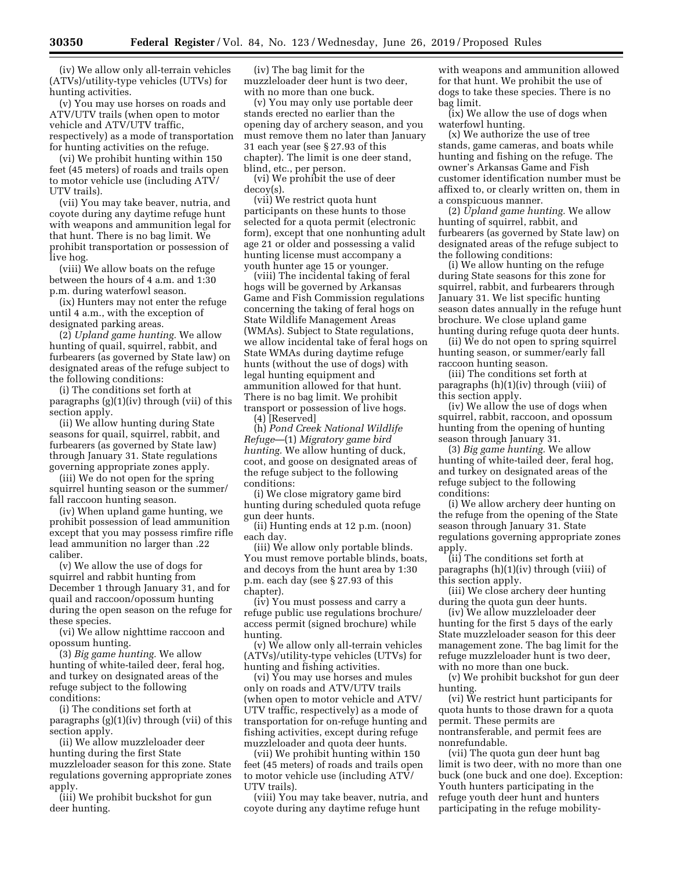(iv) We allow only all-terrain vehicles (ATVs)/utility-type vehicles (UTVs) for hunting activities.

(v) You may use horses on roads and ATV/UTV trails (when open to motor vehicle and ATV/UTV traffic, respectively) as a mode of transportation for hunting activities on the refuge.

(vi) We prohibit hunting within 150 feet (45 meters) of roads and trails open to motor vehicle use (including ATV/ UTV trails).

(vii) You may take beaver, nutria, and coyote during any daytime refuge hunt with weapons and ammunition legal for that hunt. There is no bag limit. We prohibit transportation or possession of live hog.

(viii) We allow boats on the refuge between the hours of 4 a.m. and 1:30 p.m. during waterfowl season.

(ix) Hunters may not enter the refuge until 4 a.m., with the exception of designated parking areas.

(2) *Upland game hunting.* We allow hunting of quail, squirrel, rabbit, and furbearers (as governed by State law) on designated areas of the refuge subject to the following conditions:

(i) The conditions set forth at paragraphs (g)(1)(iv) through (vii) of this section apply.

(ii) We allow hunting during State seasons for quail, squirrel, rabbit, and furbearers (as governed by State law) through January 31. State regulations governing appropriate zones apply.

(iii) We do not open for the spring squirrel hunting season or the summer/ fall raccoon hunting season.

(iv) When upland game hunting, we prohibit possession of lead ammunition except that you may possess rimfire rifle lead ammunition no larger than .22 caliber.

(v) We allow the use of dogs for squirrel and rabbit hunting from December 1 through January 31, and for quail and raccoon/opossum hunting during the open season on the refuge for these species.

(vi) We allow nighttime raccoon and opossum hunting.

(3) *Big game hunting.* We allow hunting of white-tailed deer, feral hog, and turkey on designated areas of the refuge subject to the following conditions:

(i) The conditions set forth at paragraphs (g)(1)(iv) through (vii) of this section apply.

(ii) We allow muzzleloader deer hunting during the first State muzzleloader season for this zone. State regulations governing appropriate zones apply.

(iii) We prohibit buckshot for gun deer hunting.

(iv) The bag limit for the muzzleloader deer hunt is two deer, with no more than one buck.

(v) You may only use portable deer stands erected no earlier than the opening day of archery season, and you must remove them no later than January 31 each year (see § 27.93 of this chapter). The limit is one deer stand, blind, etc., per person.

(vi) We prohibit the use of deer decoy(s).

(vii) We restrict quota hunt participants on these hunts to those selected for a quota permit (electronic form), except that one nonhunting adult age 21 or older and possessing a valid hunting license must accompany a youth hunter age 15 or younger.

(viii) The incidental taking of feral hogs will be governed by Arkansas Game and Fish Commission regulations concerning the taking of feral hogs on State Wildlife Management Areas (WMAs). Subject to State regulations, we allow incidental take of feral hogs on State WMAs during daytime refuge hunts (without the use of dogs) with legal hunting equipment and ammunition allowed for that hunt. There is no bag limit. We prohibit transport or possession of live hogs.

(4) [Reserved]

(h) *Pond Creek National Wildlife Refuge*—(1) *Migratory game bird hunting.* We allow hunting of duck, coot, and goose on designated areas of the refuge subject to the following conditions:

(i) We close migratory game bird hunting during scheduled quota refuge gun deer hunts.

(ii) Hunting ends at 12 p.m. (noon) each day.

(iii) We allow only portable blinds. You must remove portable blinds, boats, and decoys from the hunt area by 1:30 p.m. each day (see § 27.93 of this chapter).

(iv) You must possess and carry a refuge public use regulations brochure/ access permit (signed brochure) while hunting.

(v) We allow only all-terrain vehicles (ATVs)/utility-type vehicles (UTVs) for hunting and fishing activities.

(vi) You may use horses and mules only on roads and ATV/UTV trails (when open to motor vehicle and ATV/ UTV traffic, respectively) as a mode of transportation for on-refuge hunting and fishing activities, except during refuge muzzleloader and quota deer hunts.

(vii) We prohibit hunting within 150 feet (45 meters) of roads and trails open to motor vehicle use (including ATV/ UTV trails).

(viii) You may take beaver, nutria, and coyote during any daytime refuge hunt

with weapons and ammunition allowed for that hunt. We prohibit the use of dogs to take these species. There is no bag limit.

(ix) We allow the use of dogs when waterfowl hunting.

(x) We authorize the use of tree stands, game cameras, and boats while hunting and fishing on the refuge. The owner's Arkansas Game and Fish customer identification number must be affixed to, or clearly written on, them in a conspicuous manner.

(2) *Upland game hunting.* We allow hunting of squirrel, rabbit, and furbearers (as governed by State law) on designated areas of the refuge subject to the following conditions:

(i) We allow hunting on the refuge during State seasons for this zone for squirrel, rabbit, and furbearers through January 31. We list specific hunting season dates annually in the refuge hunt brochure. We close upland game hunting during refuge quota deer hunts.

(ii) We do not open to spring squirrel hunting season, or summer/early fall raccoon hunting season.

(iii) The conditions set forth at paragraphs (h)(1)(iv) through (viii) of this section apply.

(iv) We allow the use of dogs when squirrel, rabbit, raccoon, and opossum hunting from the opening of hunting season through January 31.

(3) *Big game hunting.* We allow hunting of white-tailed deer, feral hog, and turkey on designated areas of the refuge subject to the following conditions:

(i) We allow archery deer hunting on the refuge from the opening of the State season through January 31. State regulations governing appropriate zones apply.

(ii) The conditions set forth at paragraphs (h)(1)(iv) through (viii) of this section apply.

(iii) We close archery deer hunting during the quota gun deer hunts.

(iv) We allow muzzleloader deer hunting for the first 5 days of the early State muzzleloader season for this deer management zone. The bag limit for the refuge muzzleloader hunt is two deer, with no more than one buck.

(v) We prohibit buckshot for gun deer hunting.

(vi) We restrict hunt participants for quota hunts to those drawn for a quota permit. These permits are nontransferable, and permit fees are nonrefundable.

(vii) The quota gun deer hunt bag limit is two deer, with no more than one buck (one buck and one doe). Exception: Youth hunters participating in the refuge youth deer hunt and hunters participating in the refuge mobility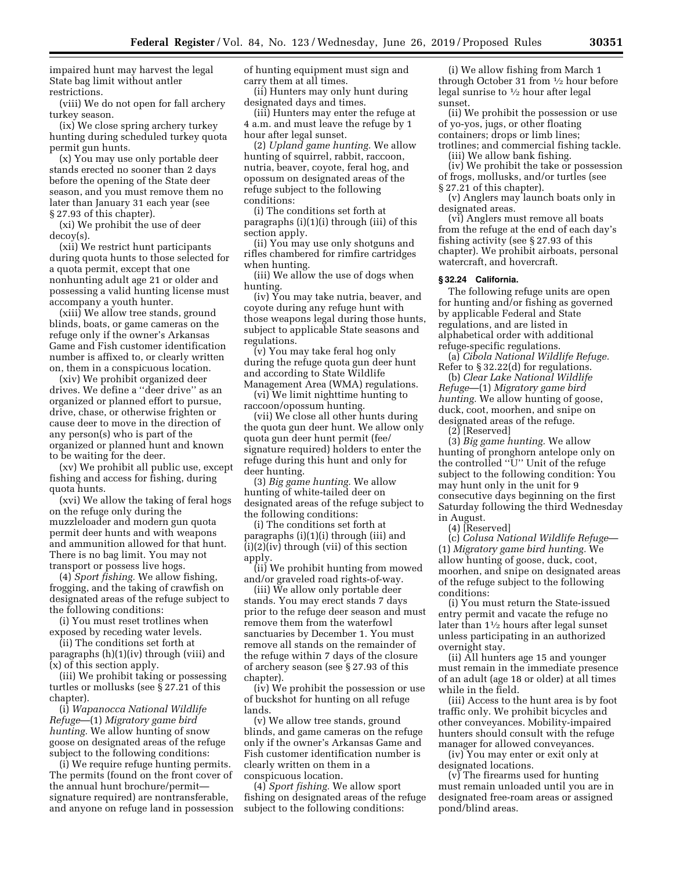impaired hunt may harvest the legal State bag limit without antler restrictions.

(viii) We do not open for fall archery turkey season.

(ix) We close spring archery turkey hunting during scheduled turkey quota permit gun hunts.

(x) You may use only portable deer stands erected no sooner than 2 days before the opening of the State deer season, and you must remove them no later than January 31 each year (see § 27.93 of this chapter).

(xi) We prohibit the use of deer decoy(s).

(xii) We restrict hunt participants during quota hunts to those selected for a quota permit, except that one nonhunting adult age 21 or older and possessing a valid hunting license must accompany a youth hunter.

(xiii) We allow tree stands, ground blinds, boats, or game cameras on the refuge only if the owner's Arkansas Game and Fish customer identification number is affixed to, or clearly written on, them in a conspicuous location.

(xiv) We prohibit organized deer drives. We define a ''deer drive'' as an organized or planned effort to pursue, drive, chase, or otherwise frighten or cause deer to move in the direction of any person(s) who is part of the organized or planned hunt and known to be waiting for the deer.

(xv) We prohibit all public use, except fishing and access for fishing, during quota hunts.

(xvi) We allow the taking of feral hogs on the refuge only during the muzzleloader and modern gun quota permit deer hunts and with weapons and ammunition allowed for that hunt. There is no bag limit. You may not transport or possess live hogs.

(4) *Sport fishing.* We allow fishing, frogging, and the taking of crawfish on designated areas of the refuge subject to the following conditions:

(i) You must reset trotlines when exposed by receding water levels.

(ii) The conditions set forth at paragraphs (h)(1)(iv) through (viii) and (x) of this section apply.

(iii) We prohibit taking or possessing turtles or mollusks (see  $\S 27.21$  of this chapter).

(i) *Wapanocca National Wildlife Refuge*—(1) *Migratory game bird hunting.* We allow hunting of snow goose on designated areas of the refuge subject to the following conditions:

(i) We require refuge hunting permits. The permits (found on the front cover of the annual hunt brochure/permit signature required) are nontransferable, and anyone on refuge land in possession of hunting equipment must sign and carry them at all times.

(ii) Hunters may only hunt during designated days and times.

(iii) Hunters may enter the refuge at 4 a.m. and must leave the refuge by 1 hour after legal sunset.

(2) *Upland game hunting.* We allow hunting of squirrel, rabbit, raccoon, nutria, beaver, coyote, feral hog, and opossum on designated areas of the refuge subject to the following conditions:

(i) The conditions set forth at paragraphs (i)(1)(i) through (iii) of this section apply.

(ii) You may use only shotguns and rifles chambered for rimfire cartridges when hunting.

(iii) We allow the use of dogs when hunting.

(iv) You may take nutria, beaver, and coyote during any refuge hunt with those weapons legal during those hunts, subject to applicable State seasons and regulations.

(v) You may take feral hog only during the refuge quota gun deer hunt and according to State Wildlife Management Area (WMA) regulations.

(vi) We limit nighttime hunting to raccoon/opossum hunting.

(vii) We close all other hunts during the quota gun deer hunt. We allow only quota gun deer hunt permit (fee/ signature required) holders to enter the refuge during this hunt and only for deer hunting.

(3) *Big game hunting.* We allow hunting of white-tailed deer on designated areas of the refuge subject to the following conditions:

(i) The conditions set forth at paragraphs (i)(1)(i) through (iii) and (i)(2)(iv) through (vii) of this section apply.

(ii) We prohibit hunting from mowed and/or graveled road rights-of-way.

(iii) We allow only portable deer stands. You may erect stands 7 days prior to the refuge deer season and must remove them from the waterfowl sanctuaries by December 1. You must remove all stands on the remainder of the refuge within 7 days of the closure of archery season (see § 27.93 of this chapter).

(iv) We prohibit the possession or use of buckshot for hunting on all refuge lands.

(v) We allow tree stands, ground blinds, and game cameras on the refuge only if the owner's Arkansas Game and Fish customer identification number is clearly written on them in a conspicuous location.

(4) *Sport fishing.* We allow sport fishing on designated areas of the refuge subject to the following conditions:

(i) We allow fishing from March 1 through October 31 from 1⁄2 hour before legal sunrise to 1⁄2 hour after legal sunset.

(ii) We prohibit the possession or use of yo-yos, jugs, or other floating containers; drops or limb lines; trotlines; and commercial fishing tackle.

(iii) We allow bank fishing. (iv) We prohibit the take or possession

of frogs, mollusks, and/or turtles (see § 27.21 of this chapter).

(v) Anglers may launch boats only in designated areas.

(vi) Anglers must remove all boats from the refuge at the end of each day's fishing activity (see § 27.93 of this chapter). We prohibit airboats, personal watercraft, and hovercraft.

### **§ 32.24 California.**

The following refuge units are open for hunting and/or fishing as governed by applicable Federal and State regulations, and are listed in alphabetical order with additional refuge-specific regulations.

(a) *Cibola National Wildlife Refuge.*  Refer to § 32.22(d) for regulations.

(b) *Clear Lake National Wildlife Refuge*—(1) *Migratory game bird hunting.* We allow hunting of goose, duck, coot, moorhen, and snipe on designated areas of the refuge.

(2) [Reserved]

(3) *Big game hunting.* We allow hunting of pronghorn antelope only on the controlled ''U'' Unit of the refuge subject to the following condition: You may hunt only in the unit for 9 consecutive days beginning on the first Saturday following the third Wednesday in August.

(4) [Reserved]

(c) *Colusa National Wildlife Refuge*— (1) *Migratory game bird hunting.* We allow hunting of goose, duck, coot, moorhen, and snipe on designated areas of the refuge subject to the following conditions:

(i) You must return the State-issued entry permit and vacate the refuge no later than 11⁄2 hours after legal sunset unless participating in an authorized overnight stay.

(ii) All hunters age 15 and younger must remain in the immediate presence of an adult (age 18 or older) at all times while in the field.

(iii) Access to the hunt area is by foot traffic only. We prohibit bicycles and other conveyances. Mobility-impaired hunters should consult with the refuge manager for allowed conveyances.

(iv) You may enter or exit only at designated locations.

(v) The firearms used for hunting must remain unloaded until you are in designated free-roam areas or assigned pond/blind areas.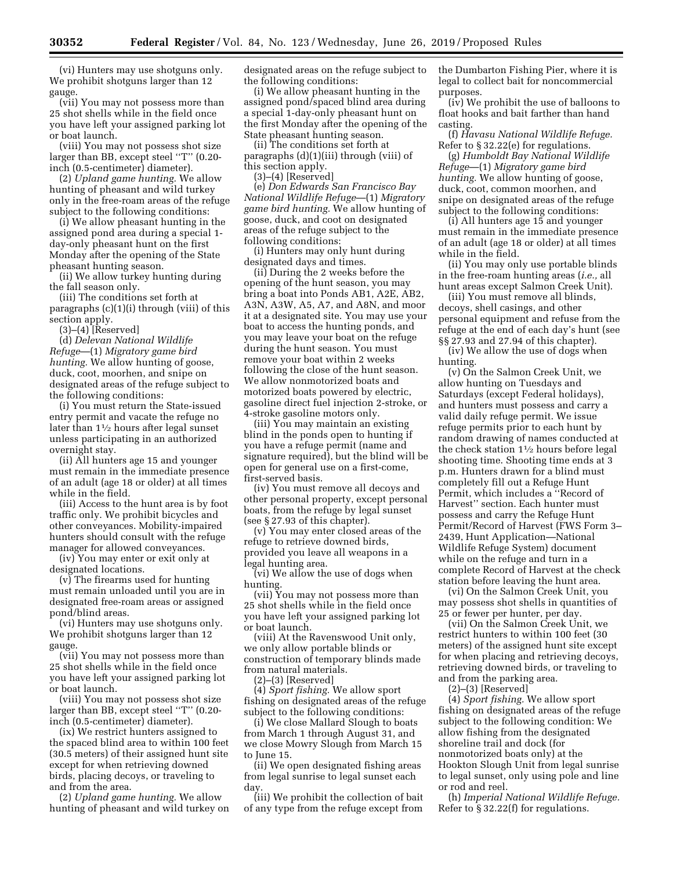(vi) Hunters may use shotguns only. We prohibit shotguns larger than 12 gauge.

(vii) You may not possess more than 25 shot shells while in the field once you have left your assigned parking lot or boat launch.

(viii) You may not possess shot size larger than BB, except steel ''T'' (0.20 inch (0.5-centimeter) diameter).

(2) *Upland game hunting.* We allow hunting of pheasant and wild turkey only in the free-roam areas of the refuge subject to the following conditions:

(i) We allow pheasant hunting in the assigned pond area during a special 1 day-only pheasant hunt on the first Monday after the opening of the State pheasant hunting season.

(ii) We allow turkey hunting during the fall season only.

(iii) The conditions set forth at paragraphs (c)(1)(i) through (viii) of this section apply.

(3)–(4) [Reserved]

(d) *Delevan National Wildlife Refuge*—(1) *Migratory game bird hunting.* We allow hunting of goose, duck, coot, moorhen, and snipe on designated areas of the refuge subject to the following conditions:

(i) You must return the State-issued entry permit and vacate the refuge no later than 11⁄2 hours after legal sunset unless participating in an authorized overnight stay.

(ii) All hunters age 15 and younger must remain in the immediate presence of an adult (age 18 or older) at all times while in the field.

(iii) Access to the hunt area is by foot traffic only. We prohibit bicycles and other conveyances. Mobility-impaired hunters should consult with the refuge manager for allowed conveyances.

(iv) You may enter or exit only at designated locations.

(v) The firearms used for hunting must remain unloaded until you are in designated free-roam areas or assigned pond/blind areas.

(vi) Hunters may use shotguns only. We prohibit shotguns larger than 12 gauge.

(vii) You may not possess more than 25 shot shells while in the field once you have left your assigned parking lot or boat launch.

(viii) You may not possess shot size larger than BB, except steel ''T'' (0.20 inch (0.5-centimeter) diameter).

(ix) We restrict hunters assigned to the spaced blind area to within 100 feet (30.5 meters) of their assigned hunt site except for when retrieving downed birds, placing decoys, or traveling to and from the area.

(2) *Upland game hunting.* We allow hunting of pheasant and wild turkey on designated areas on the refuge subject to the following conditions:

(i) We allow pheasant hunting in the assigned pond/spaced blind area during a special 1-day-only pheasant hunt on the first Monday after the opening of the State pheasant hunting season.

(ii) The conditions set forth at paragraphs (d)(1)(iii) through (viii) of this section apply.

(3)–(4) [Reserved]

(e) *Don Edwards San Francisco Bay National Wildlife Refuge*—(1) *Migratory game bird hunting.* We allow hunting of goose, duck, and coot on designated areas of the refuge subject to the following conditions:

(i) Hunters may only hunt during designated days and times.

(ii) During the 2 weeks before the opening of the hunt season, you may bring a boat into Ponds AB1, A2E, AB2, A3N, A3W, A5, A7, and A8N, and moor it at a designated site. You may use your boat to access the hunting ponds, and you may leave your boat on the refuge during the hunt season. You must remove your boat within 2 weeks following the close of the hunt season. We allow nonmotorized boats and motorized boats powered by electric, gasoline direct fuel injection 2-stroke, or 4-stroke gasoline motors only.

(iii) You may maintain an existing blind in the ponds open to hunting if you have a refuge permit (name and signature required), but the blind will be open for general use on a first-come, first-served basis.

(iv) You must remove all decoys and other personal property, except personal boats, from the refuge by legal sunset (see § 27.93 of this chapter).

(v) You may enter closed areas of the refuge to retrieve downed birds, provided you leave all weapons in a legal hunting area.

(vi) We allow the use of dogs when hunting.

(vii) You may not possess more than 25 shot shells while in the field once you have left your assigned parking lot or boat launch.

(viii) At the Ravenswood Unit only, we only allow portable blinds or construction of temporary blinds made from natural materials.

(2)–(3) [Reserved]

(4) *Sport fishing.* We allow sport fishing on designated areas of the refuge subject to the following conditions:

(i) We close Mallard Slough to boats from March 1 through August 31, and we close Mowry Slough from March 15 to June 15.

(ii) We open designated fishing areas from legal sunrise to legal sunset each day.

(iii) We prohibit the collection of bait of any type from the refuge except from the Dumbarton Fishing Pier, where it is legal to collect bait for noncommercial purposes.

(iv) We prohibit the use of balloons to float hooks and bait farther than hand casting.

(f) *Havasu National Wildlife Refuge.*  Refer to § 32.22(e) for regulations.

(g) *Humboldt Bay National Wildlife Refuge*—(1) *Migratory game bird hunting.* We allow hunting of goose, duck, coot, common moorhen, and snipe on designated areas of the refuge subject to the following conditions:

(i) All hunters age 15 and younger must remain in the immediate presence of an adult (age 18 or older) at all times while in the field.

(ii) You may only use portable blinds in the free-roam hunting areas (*i.e.,* all hunt areas except Salmon Creek Unit).

(iii) You must remove all blinds, decoys, shell casings, and other personal equipment and refuse from the refuge at the end of each day's hunt (see §§ 27.93 and 27.94 of this chapter).

(iv) We allow the use of dogs when hunting.

(v) On the Salmon Creek Unit, we allow hunting on Tuesdays and Saturdays (except Federal holidays), and hunters must possess and carry a valid daily refuge permit. We issue refuge permits prior to each hunt by random drawing of names conducted at the check station  $1\frac{1}{2}$  hours before legal shooting time. Shooting time ends at 3 p.m. Hunters drawn for a blind must completely fill out a Refuge Hunt Permit, which includes a ''Record of Harvest'' section. Each hunter must possess and carry the Refuge Hunt Permit/Record of Harvest (FWS Form 3– 2439, Hunt Application—National Wildlife Refuge System) document while on the refuge and turn in a complete Record of Harvest at the check station before leaving the hunt area.

(vi) On the Salmon Creek Unit, you may possess shot shells in quantities of 25 or fewer per hunter, per day.

(vii) On the Salmon Creek Unit, we restrict hunters to within 100 feet (30 meters) of the assigned hunt site except for when placing and retrieving decoys, retrieving downed birds, or traveling to and from the parking area.

(2)–(3) [Reserved]

(4) *Sport fishing.* We allow sport fishing on designated areas of the refuge subject to the following condition: We allow fishing from the designated shoreline trail and dock (for nonmotorized boats only) at the Hookton Slough Unit from legal sunrise to legal sunset, only using pole and line or rod and reel.

(h) *Imperial National Wildlife Refuge.*  Refer to § 32.22(f) for regulations.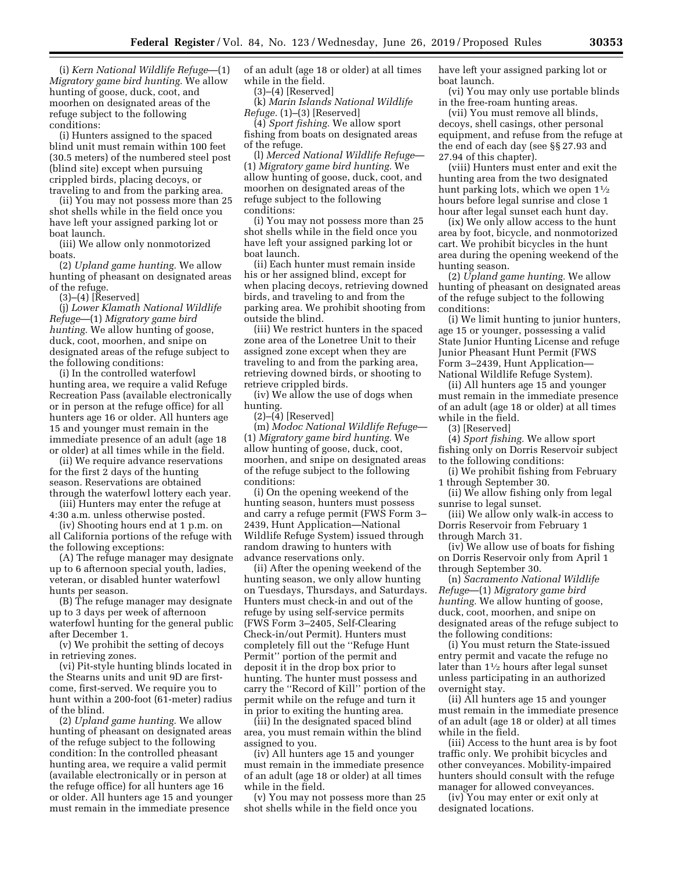(i) *Kern National Wildlife Refuge*—(1) *Migratory game bird hunting.* We allow hunting of goose, duck, coot, and moorhen on designated areas of the refuge subject to the following conditions:

(i) Hunters assigned to the spaced blind unit must remain within 100 feet (30.5 meters) of the numbered steel post (blind site) except when pursuing crippled birds, placing decoys, or traveling to and from the parking area.

(ii) You may not possess more than 25 shot shells while in the field once you have left your assigned parking lot or boat launch.

(iii) We allow only nonmotorized boats.

(2) *Upland game hunting.* We allow hunting of pheasant on designated areas of the refuge.

(3)–(4) [Reserved]

(j) *Lower Klamath National Wildlife Refuge*—(1) *Migratory game bird hunting.* We allow hunting of goose, duck, coot, moorhen, and snipe on designated areas of the refuge subject to the following conditions:

(i) In the controlled waterfowl hunting area, we require a valid Refuge Recreation Pass (available electronically or in person at the refuge office) for all hunters age 16 or older. All hunters age 15 and younger must remain in the immediate presence of an adult (age 18 or older) at all times while in the field.

(ii) We require advance reservations for the first 2 days of the hunting season. Reservations are obtained through the waterfowl lottery each year.

(iii) Hunters may enter the refuge at 4:30 a.m. unless otherwise posted.

(iv) Shooting hours end at 1 p.m. on all California portions of the refuge with the following exceptions:

(A) The refuge manager may designate up to 6 afternoon special youth, ladies, veteran, or disabled hunter waterfowl hunts per season.

(B) The refuge manager may designate up to 3 days per week of afternoon waterfowl hunting for the general public after December 1.

(v) We prohibit the setting of decoys in retrieving zones.

(vi) Pit-style hunting blinds located in the Stearns units and unit 9D are firstcome, first-served. We require you to hunt within a 200-foot (61-meter) radius of the blind.

(2) *Upland game hunting.* We allow hunting of pheasant on designated areas of the refuge subject to the following condition: In the controlled pheasant hunting area, we require a valid permit (available electronically or in person at the refuge office) for all hunters age 16 or older. All hunters age 15 and younger must remain in the immediate presence

of an adult (age 18 or older) at all times while in the field.

(3)–(4) [Reserved]

(k) *Marin Islands National Wildlife Refuge.* (1)–(3) [Reserved]

(4) *Sport fishing.* We allow sport fishing from boats on designated areas of the refuge.

(l) *Merced National Wildlife Refuge*— (1) *Migratory game bird hunting.* We allow hunting of goose, duck, coot, and moorhen on designated areas of the refuge subject to the following conditions:

(i) You may not possess more than 25 shot shells while in the field once you have left your assigned parking lot or boat launch.

(ii) Each hunter must remain inside his or her assigned blind, except for when placing decoys, retrieving downed birds, and traveling to and from the parking area. We prohibit shooting from outside the blind.

(iii) We restrict hunters in the spaced zone area of the Lonetree Unit to their assigned zone except when they are traveling to and from the parking area, retrieving downed birds, or shooting to retrieve crippled birds.

(iv) We allow the use of dogs when hunting.

 $(2)$ – $(\check{4})$  [Reserved]

(m) *Modoc National Wildlife Refuge*— (1) *Migratory game bird hunting.* We allow hunting of goose, duck, coot, moorhen, and snipe on designated areas of the refuge subject to the following conditions:

(i) On the opening weekend of the hunting season, hunters must possess and carry a refuge permit (FWS Form 3– 2439, Hunt Application—National Wildlife Refuge System) issued through random drawing to hunters with advance reservations only.

(ii) After the opening weekend of the hunting season, we only allow hunting on Tuesdays, Thursdays, and Saturdays. Hunters must check-in and out of the refuge by using self-service permits (FWS Form 3–2405, Self-Clearing Check-in/out Permit). Hunters must completely fill out the ''Refuge Hunt Permit'' portion of the permit and deposit it in the drop box prior to hunting. The hunter must possess and carry the ''Record of Kill'' portion of the permit while on the refuge and turn it in prior to exiting the hunting area.

(iii) In the designated spaced blind area, you must remain within the blind assigned to you.

(iv) All hunters age 15 and younger must remain in the immediate presence of an adult (age 18 or older) at all times while in the field.

(v) You may not possess more than 25 shot shells while in the field once you

have left your assigned parking lot or boat launch.

(vi) You may only use portable blinds in the free-roam hunting areas.

(vii) You must remove all blinds, decoys, shell casings, other personal equipment, and refuse from the refuge at the end of each day (see §§ 27.93 and 27.94 of this chapter).

(viii) Hunters must enter and exit the hunting area from the two designated hunt parking lots, which we open  $1\frac{1}{2}$ hours before legal sunrise and close 1 hour after legal sunset each hunt day.

(ix) We only allow access to the hunt area by foot, bicycle, and nonmotorized cart. We prohibit bicycles in the hunt area during the opening weekend of the hunting season.

(2) *Upland game hunting.* We allow hunting of pheasant on designated areas of the refuge subject to the following conditions:

(i) We limit hunting to junior hunters, age 15 or younger, possessing a valid State Junior Hunting License and refuge Junior Pheasant Hunt Permit (FWS Form 3–2439, Hunt Application— National Wildlife Refuge System).

(ii) All hunters age 15 and younger must remain in the immediate presence of an adult (age 18 or older) at all times while in the field.

(3) [Reserved]

(4) *Sport fishing.* We allow sport fishing only on Dorris Reservoir subject to the following conditions:

(i) We prohibit fishing from February 1 through September 30.

(ii) We allow fishing only from legal sunrise to legal sunset.

(iii) We allow only walk-in access to Dorris Reservoir from February 1 through March 31.

(iv) We allow use of boats for fishing on Dorris Reservoir only from April 1 through September 30.

(n) *Sacramento National Wildlife Refuge*—(1) *Migratory game bird hunting.* We allow hunting of goose, duck, coot, moorhen, and snipe on designated areas of the refuge subject to the following conditions:

(i) You must return the State-issued entry permit and vacate the refuge no later than 11⁄2 hours after legal sunset unless participating in an authorized overnight stay.

(ii) All hunters age 15 and younger must remain in the immediate presence of an adult (age 18 or older) at all times while in the field.

(iii) Access to the hunt area is by foot traffic only. We prohibit bicycles and other conveyances. Mobility-impaired hunters should consult with the refuge manager for allowed conveyances.

(iv) You may enter or exit only at designated locations.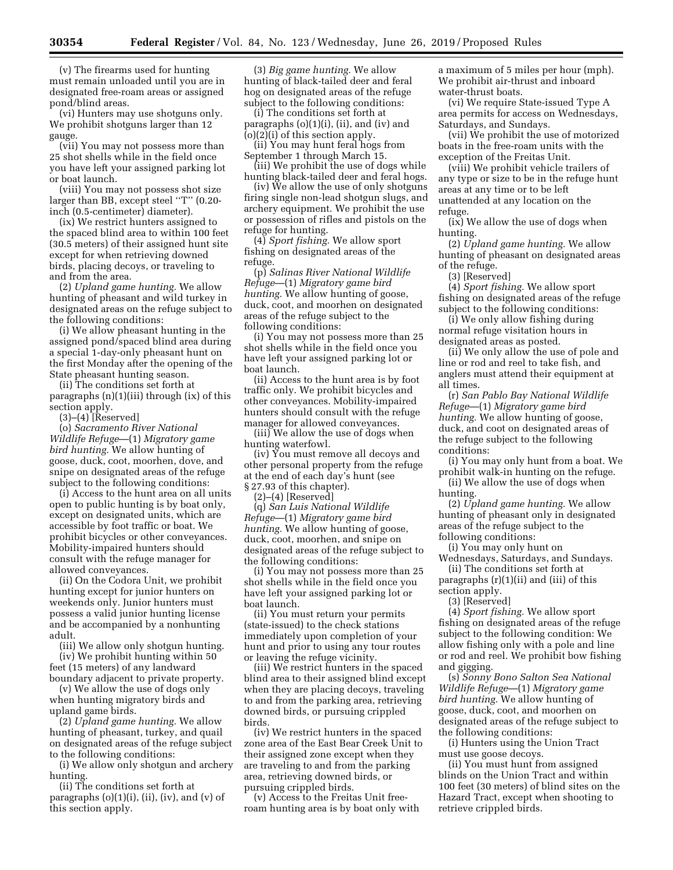(v) The firearms used for hunting must remain unloaded until you are in designated free-roam areas or assigned pond/blind areas.

(vi) Hunters may use shotguns only. We prohibit shotguns larger than 12 gauge.

(vii) You may not possess more than 25 shot shells while in the field once you have left your assigned parking lot or boat launch.

(viii) You may not possess shot size larger than BB, except steel ''T'' (0.20 inch (0.5-centimeter) diameter).

(ix) We restrict hunters assigned to the spaced blind area to within 100 feet (30.5 meters) of their assigned hunt site except for when retrieving downed birds, placing decoys, or traveling to and from the area.

(2) *Upland game hunting.* We allow hunting of pheasant and wild turkey in designated areas on the refuge subject to the following conditions:

(i) We allow pheasant hunting in the assigned pond/spaced blind area during a special 1-day-only pheasant hunt on the first Monday after the opening of the State pheasant hunting season.

(ii) The conditions set forth at paragraphs (n)(1)(iii) through (ix) of this section apply.

(3)–(4) [Reserved]

(o) *Sacramento River National Wildlife Refuge*—(1) *Migratory game bird hunting.* We allow hunting of goose, duck, coot, moorhen, dove, and snipe on designated areas of the refuge subject to the following conditions:

(i) Access to the hunt area on all units open to public hunting is by boat only, except on designated units, which are accessible by foot traffic or boat. We prohibit bicycles or other conveyances. Mobility-impaired hunters should consult with the refuge manager for allowed conveyances.

(ii) On the Codora Unit, we prohibit hunting except for junior hunters on weekends only. Junior hunters must possess a valid junior hunting license and be accompanied by a nonhunting adult.

(iii) We allow only shotgun hunting. (iv) We prohibit hunting within 50 feet (15 meters) of any landward

boundary adjacent to private property. (v) We allow the use of dogs only

when hunting migratory birds and upland game birds.

(2) *Upland game hunting.* We allow hunting of pheasant, turkey, and quail on designated areas of the refuge subject to the following conditions:

(i) We allow only shotgun and archery hunting.

(ii) The conditions set forth at paragraphs  $(o)(1)(i)$ ,  $(ii)$ ,  $(iv)$ , and  $(v)$  of this section apply.

(3) *Big game hunting.* We allow hunting of black-tailed deer and feral hog on designated areas of the refuge subject to the following conditions:

(i) The conditions set forth at paragraphs (o)(1)(i), (ii), and (iv) and (o)(2)(i) of this section apply.

(ii) You may hunt feral hogs from September 1 through March 15.

(iii) We prohibit the use of dogs while hunting black-tailed deer and feral hogs.

(iv) We allow the use of only shotguns firing single non-lead shotgun slugs, and archery equipment. We prohibit the use or possession of rifles and pistols on the refuge for hunting.

(4) *Sport fishing.* We allow sport fishing on designated areas of the refuge.

(p) *Salinas River National Wildlife Refuge*—(1) *Migratory game bird hunting.* We allow hunting of goose, duck, coot, and moorhen on designated areas of the refuge subject to the following conditions:

(i) You may not possess more than 25 shot shells while in the field once you have left your assigned parking lot or boat launch.

(ii) Access to the hunt area is by foot traffic only. We prohibit bicycles and other conveyances. Mobility-impaired hunters should consult with the refuge manager for allowed conveyances.

(iii) We allow the use of dogs when hunting waterfowl.

(iv) You must remove all decoys and other personal property from the refuge at the end of each day's hunt (see § 27.93 of this chapter).

(2)–(4) [Reserved]

(q) *San Luis National Wildlife Refuge*—(1) *Migratory game bird hunting.* We allow hunting of goose, duck, coot, moorhen, and snipe on designated areas of the refuge subject to the following conditions:

(i) You may not possess more than 25 shot shells while in the field once you have left your assigned parking lot or boat launch.

(ii) You must return your permits (state-issued) to the check stations immediately upon completion of your hunt and prior to using any tour routes or leaving the refuge vicinity.

(iii) We restrict hunters in the spaced blind area to their assigned blind except when they are placing decoys, traveling to and from the parking area, retrieving downed birds, or pursuing crippled birds.

(iv) We restrict hunters in the spaced zone area of the East Bear Creek Unit to their assigned zone except when they are traveling to and from the parking area, retrieving downed birds, or pursuing crippled birds.

(v) Access to the Freitas Unit freeroam hunting area is by boat only with a maximum of 5 miles per hour (mph). We prohibit air-thrust and inboard water-thrust boats.

(vi) We require State-issued Type A area permits for access on Wednesdays, Saturdays, and Sundays.

(vii) We prohibit the use of motorized boats in the free-roam units with the exception of the Freitas Unit.

(viii) We prohibit vehicle trailers of any type or size to be in the refuge hunt areas at any time or to be left unattended at any location on the refuge.

(ix) We allow the use of dogs when hunting.

(2) *Upland game hunting.* We allow hunting of pheasant on designated areas of the refuge.

(3) [Reserved]

(4) *Sport fishing.* We allow sport fishing on designated areas of the refuge subject to the following conditions:

(i) We only allow fishing during normal refuge visitation hours in designated areas as posted.

(ii) We only allow the use of pole and line or rod and reel to take fish, and anglers must attend their equipment at all times.

(r) *San Pablo Bay National Wildlife Refuge*—(1) *Migratory game bird hunting.* We allow hunting of goose, duck, and coot on designated areas of the refuge subject to the following conditions:

(i) You may only hunt from a boat. We prohibit walk-in hunting on the refuge.

(ii) We allow the use of dogs when hunting.

(2) *Upland game hunting.* We allow hunting of pheasant only in designated areas of the refuge subject to the following conditions:

(i) You may only hunt on Wednesdays, Saturdays, and Sundays.

(ii) The conditions set forth at paragraphs  $(r)(1)(ii)$  and  $(iii)$  of this

section apply. (3) [Reserved]

(4) *Sport fishing.* We allow sport fishing on designated areas of the refuge subject to the following condition: We allow fishing only with a pole and line or rod and reel. We prohibit bow fishing and gigging.

(s) *Sonny Bono Salton Sea National Wildlife Refuge*—(1) *Migratory game bird hunting.* We allow hunting of goose, duck, coot, and moorhen on designated areas of the refuge subject to the following conditions:

(i) Hunters using the Union Tract must use goose decoys.

(ii) You must hunt from assigned blinds on the Union Tract and within 100 feet (30 meters) of blind sites on the Hazard Tract, except when shooting to retrieve crippled birds.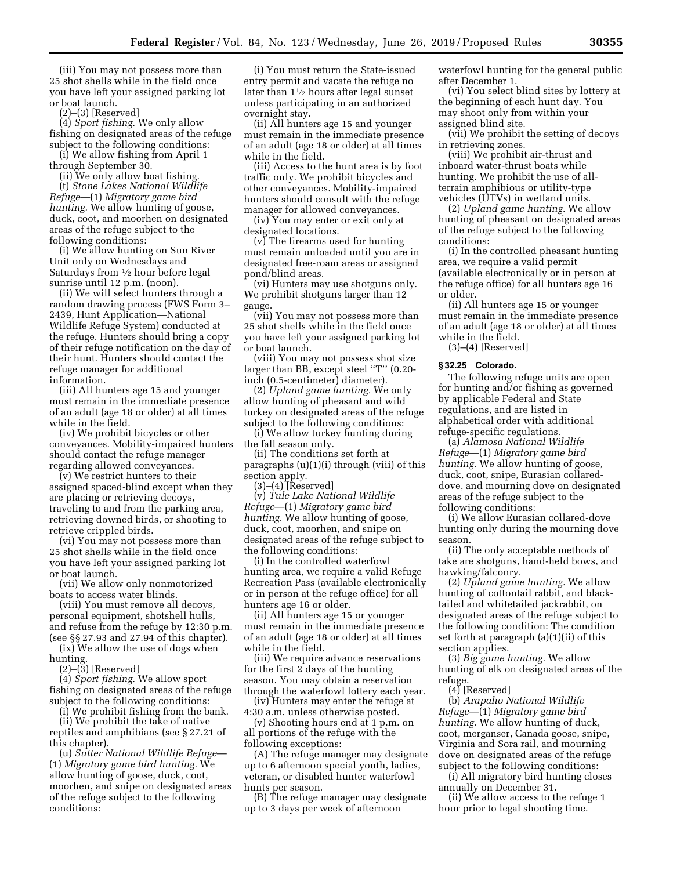(iii) You may not possess more than 25 shot shells while in the field once you have left your assigned parking lot or boat launch.

(2)–(3) [Reserved]

(4) *Sport fishing.* We only allow fishing on designated areas of the refuge subject to the following conditions:

(i) We allow fishing from April 1 through September 30.

(ii) We only allow boat fishing. (t) *Stone Lakes National Wildlife Refuge*—(1) *Migratory game bird hunting.* We allow hunting of goose, duck, coot, and moorhen on designated areas of the refuge subject to the following conditions:

(i) We allow hunting on Sun River Unit only on Wednesdays and Saturdays from  $\frac{1}{2}$  hour before legal sunrise until 12 p.m. (noon).

(ii) We will select hunters through a random drawing process (FWS Form 3– 2439, Hunt Application—National Wildlife Refuge System) conducted at the refuge. Hunters should bring a copy of their refuge notification on the day of their hunt. Hunters should contact the refuge manager for additional information.

(iii) All hunters age 15 and younger must remain in the immediate presence of an adult (age 18 or older) at all times while in the field.

(iv) We prohibit bicycles or other conveyances. Mobility-impaired hunters should contact the refuge manager regarding allowed conveyances.

(v) We restrict hunters to their assigned spaced-blind except when they are placing or retrieving decoys, traveling to and from the parking area, retrieving downed birds, or shooting to retrieve crippled birds.

(vi) You may not possess more than 25 shot shells while in the field once you have left your assigned parking lot or boat launch.

(vii) We allow only nonmotorized boats to access water blinds.

(viii) You must remove all decoys, personal equipment, shotshell hulls, and refuse from the refuge by 12:30 p.m. (see §§ 27.93 and 27.94 of this chapter).

(ix) We allow the use of dogs when hunting.

(2)–(3) [Reserved]

(4) *Sport fishing.* We allow sport fishing on designated areas of the refuge subject to the following conditions:

(i) We prohibit fishing from the bank.

(ii) We prohibit the take of native reptiles and amphibians (see § 27.21 of this chapter).

(u) *Sutter National Wildlife Refuge*— (1) *Migratory game bird hunting.* We allow hunting of goose, duck, coot, moorhen, and snipe on designated areas of the refuge subject to the following conditions:

(i) You must return the State-issued entry permit and vacate the refuge no later than 11⁄2 hours after legal sunset unless participating in an authorized overnight stay.

(ii) All hunters age 15 and younger must remain in the immediate presence of an adult (age 18 or older) at all times while in the field.

(iii) Access to the hunt area is by foot traffic only. We prohibit bicycles and other conveyances. Mobility-impaired hunters should consult with the refuge manager for allowed conveyances.

(iv) You may enter or exit only at designated locations.

(v) The firearms used for hunting must remain unloaded until you are in designated free-roam areas or assigned pond/blind areas.

(vi) Hunters may use shotguns only. We prohibit shotguns larger than 12 gauge.

(vii) You may not possess more than 25 shot shells while in the field once you have left your assigned parking lot or boat launch.

(viii) You may not possess shot size larger than BB, except steel ''T'' (0.20 inch (0.5-centimeter) diameter).

(2) *Upland game hunting.* We only allow hunting of pheasant and wild turkey on designated areas of the refuge subject to the following conditions:

(i) We allow turkey hunting during the fall season only.

(ii) The conditions set forth at paragraphs (u)(1)(i) through (viii) of this section apply.

(3)–(4) [Reserved] (v) *Tule Lake National Wildlife Refuge*—(1) *Migratory game bird hunting.* We allow hunting of goose, duck, coot, moorhen, and snipe on designated areas of the refuge subject to the following conditions:

(i) In the controlled waterfowl hunting area, we require a valid Refuge Recreation Pass (available electronically or in person at the refuge office) for all hunters age 16 or older.

(ii) All hunters age 15 or younger must remain in the immediate presence of an adult (age 18 or older) at all times while in the field.

(iii) We require advance reservations for the first 2 days of the hunting season. You may obtain a reservation through the waterfowl lottery each year.

(iv) Hunters may enter the refuge at 4:30 a.m. unless otherwise posted.

(v) Shooting hours end at 1 p.m. on all portions of the refuge with the following exceptions:

(A) The refuge manager may designate up to 6 afternoon special youth, ladies, veteran, or disabled hunter waterfowl hunts per season.

(B) The refuge manager may designate up to 3 days per week of afternoon

waterfowl hunting for the general public after December 1.

(vi) You select blind sites by lottery at the beginning of each hunt day. You may shoot only from within your assigned blind site.

(vii) We prohibit the setting of decoys in retrieving zones.

(viii) We prohibit air-thrust and inboard water-thrust boats while hunting. We prohibit the use of allterrain amphibious or utility-type vehicles (UTVs) in wetland units.

(2) *Upland game hunting.* We allow hunting of pheasant on designated areas of the refuge subject to the following conditions:

(i) In the controlled pheasant hunting area, we require a valid permit (available electronically or in person at the refuge office) for all hunters age 16 or older.

(ii) All hunters age 15 or younger must remain in the immediate presence of an adult (age 18 or older) at all times while in the field.

(3)–(4) [Reserved]

## **§ 32.25 Colorado.**

The following refuge units are open for hunting and/or fishing as governed by applicable Federal and State regulations, and are listed in alphabetical order with additional refuge-specific regulations.

(a) *Alamosa National Wildlife Refuge*—(1) *Migratory game bird hunting.* We allow hunting of goose, duck, coot, snipe, Eurasian collareddove, and mourning dove on designated areas of the refuge subject to the following conditions:

(i) We allow Eurasian collared-dove hunting only during the mourning dove season.

(ii) The only acceptable methods of take are shotguns, hand-held bows, and hawking/falconry.

(2) *Upland game hunting.* We allow hunting of cottontail rabbit, and blacktailed and whitetailed jackrabbit, on designated areas of the refuge subject to the following condition: The condition set forth at paragraph (a)(1)(ii) of this section applies.

(3) *Big game hunting.* We allow hunting of elk on designated areas of the refuge.

(4) [Reserved]

(b) *Arapaho National Wildlife Refuge*—(1) *Migratory game bird hunting.* We allow hunting of duck, coot, merganser, Canada goose, snipe, Virginia and Sora rail, and mourning dove on designated areas of the refuge subject to the following conditions:

(i) All migratory bird hunting closes annually on December 31.

(ii) We allow access to the refuge 1 hour prior to legal shooting time.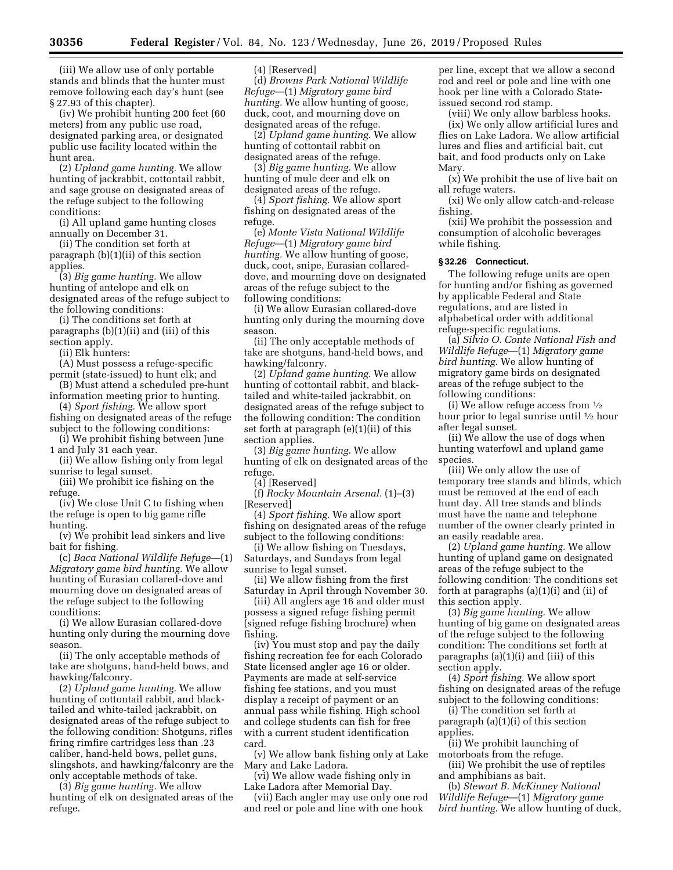(iii) We allow use of only portable stands and blinds that the hunter must remove following each day's hunt (see § 27.93 of this chapter).

(iv) We prohibit hunting 200 feet (60 meters) from any public use road, designated parking area, or designated public use facility located within the hunt area.

(2) *Upland game hunting.* We allow hunting of jackrabbit, cottontail rabbit, and sage grouse on designated areas of the refuge subject to the following conditions:

(i) All upland game hunting closes annually on December 31.

(ii) The condition set forth at paragraph (b)(1)(ii) of this section applies.

(3) *Big game hunting.* We allow hunting of antelope and elk on designated areas of the refuge subject to the following conditions:

(i) The conditions set forth at paragraphs (b)(1)(ii) and (iii) of this section apply.

(ii) Elk hunters:

(A) Must possess a refuge-specific permit (state-issued) to hunt elk; and

(B) Must attend a scheduled pre-hunt information meeting prior to hunting.

(4) *Sport fishing.* We allow sport

fishing on designated areas of the refuge subject to the following conditions: (i) We prohibit fishing between June

1 and July 31 each year.

(ii) We allow fishing only from legal sunrise to legal sunset.

(iii) We prohibit ice fishing on the refuge.

(iv) We close Unit C to fishing when the refuge is open to big game rifle hunting.

(v) We prohibit lead sinkers and live bait for fishing.

(c) *Baca National Wildlife Refuge*—(1) *Migratory game bird hunting.* We allow hunting of Eurasian collared-dove and mourning dove on designated areas of the refuge subject to the following conditions:

(i) We allow Eurasian collared-dove hunting only during the mourning dove season.

(ii) The only acceptable methods of take are shotguns, hand-held bows, and hawking/falconry.

(2) *Upland game hunting.* We allow hunting of cottontail rabbit, and blacktailed and white-tailed jackrabbit, on designated areas of the refuge subject to the following condition: Shotguns, rifles firing rimfire cartridges less than .23 caliber, hand-held bows, pellet guns, slingshots, and hawking/falconry are the only acceptable methods of take.

(3) *Big game hunting.* We allow hunting of elk on designated areas of the refuge.

(4) [Reserved]

(d) *Browns Park National Wildlife Refuge*—(1) *Migratory game bird hunting.* We allow hunting of goose, duck, coot, and mourning dove on designated areas of the refuge.

(2) *Upland game hunting.* We allow hunting of cottontail rabbit on designated areas of the refuge.

(3) *Big game hunting.* We allow hunting of mule deer and elk on designated areas of the refuge.

(4) *Sport fishing.* We allow sport fishing on designated areas of the refuge.

(e) *Monte Vista National Wildlife Refuge*—(1) *Migratory game bird hunting.* We allow hunting of goose, duck, coot, snipe, Eurasian collareddove, and mourning dove on designated areas of the refuge subject to the following conditions:

(i) We allow Eurasian collared-dove hunting only during the mourning dove season.

(ii) The only acceptable methods of take are shotguns, hand-held bows, and hawking/falconry.

(2) *Upland game hunting.* We allow hunting of cottontail rabbit, and blacktailed and white-tailed jackrabbit, on designated areas of the refuge subject to the following condition: The condition set forth at paragraph (e)(1)(ii) of this section applies.

(3) *Big game hunting.* We allow hunting of elk on designated areas of the refuge.

(4) [Reserved]

(f) *Rocky Mountain Arsenal.* (1)–(3) [Reserved]

(4) *Sport fishing.* We allow sport fishing on designated areas of the refuge subject to the following conditions:

(i) We allow fishing on Tuesdays, Saturdays, and Sundays from legal sunrise to legal sunset.

(ii) We allow fishing from the first Saturday in April through November 30.

(iii) All anglers age 16 and older must possess a signed refuge fishing permit (signed refuge fishing brochure) when fishing.

(iv) You must stop and pay the daily fishing recreation fee for each Colorado State licensed angler age 16 or older. Payments are made at self-service fishing fee stations, and you must display a receipt of payment or an annual pass while fishing. High school and college students can fish for free with a current student identification card.

(v) We allow bank fishing only at Lake Mary and Lake Ladora.

(vi) We allow wade fishing only in Lake Ladora after Memorial Day.

(vii) Each angler may use only one rod and reel or pole and line with one hook

per line, except that we allow a second rod and reel or pole and line with one hook per line with a Colorado Stateissued second rod stamp.

(viii) We only allow barbless hooks. (ix) We only allow artificial lures and flies on Lake Ladora. We allow artificial lures and flies and artificial bait, cut bait, and food products only on Lake Mary.

(x) We prohibit the use of live bait on all refuge waters.

(xi) We only allow catch-and-release fishing.

(xii) We prohibit the possession and consumption of alcoholic beverages while fishing.

# **§ 32.26 Connecticut.**

The following refuge units are open for hunting and/or fishing as governed by applicable Federal and State regulations, and are listed in alphabetical order with additional refuge-specific regulations.

(a) *Silvio O. Conte National Fish and Wildlife Refuge*—(1) *Migratory game bird hunting.* We allow hunting of migratory game birds on designated areas of the refuge subject to the following conditions:

(i) We allow refuge access from 1⁄2 hour prior to legal sunrise until 1⁄2 hour after legal sunset.

(ii) We allow the use of dogs when hunting waterfowl and upland game species.

(iii) We only allow the use of temporary tree stands and blinds, which must be removed at the end of each hunt day. All tree stands and blinds must have the name and telephone number of the owner clearly printed in an easily readable area.

(2) *Upland game hunting.* We allow hunting of upland game on designated areas of the refuge subject to the following condition: The conditions set forth at paragraphs (a)(1)(i) and (ii) of this section apply.

(3) *Big game hunting.* We allow hunting of big game on designated areas of the refuge subject to the following condition: The conditions set forth at paragraphs (a)(1)(i) and (iii) of this section apply.

(4) *Sport fishing.* We allow sport fishing on designated areas of the refuge subject to the following conditions:

(i) The condition set forth at paragraph (a)(1)(i) of this section applies.

(ii) We prohibit launching of motorboats from the refuge.

(iii) We prohibit the use of reptiles and amphibians as bait.

(b) *Stewart B. McKinney National Wildlife Refuge*—(1) *Migratory game bird hunting.* We allow hunting of duck,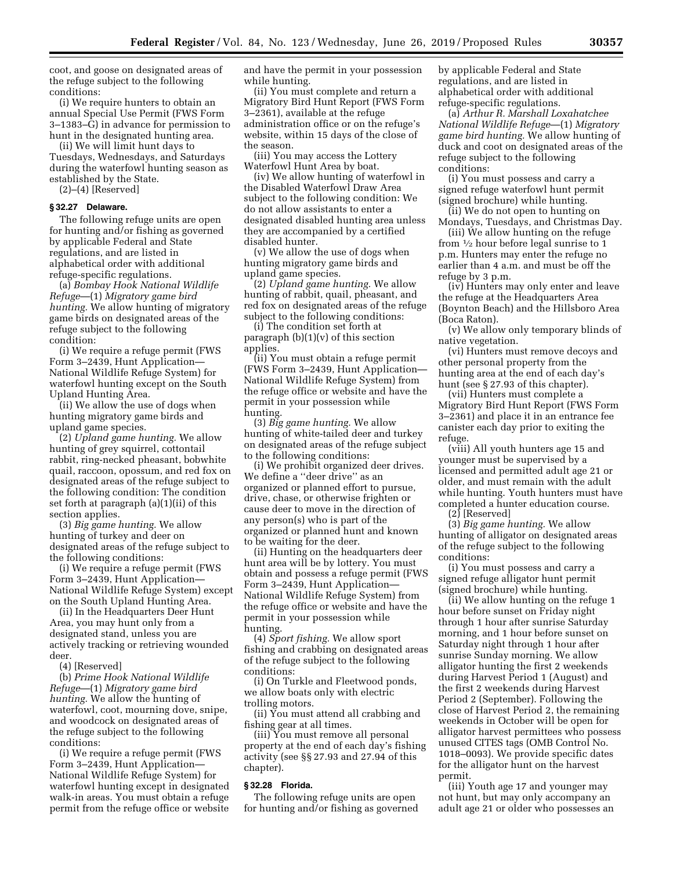coot, and goose on designated areas of the refuge subject to the following conditions:

(i) We require hunters to obtain an annual Special Use Permit (FWS Form 3–1383–G) in advance for permission to hunt in the designated hunting area.

(ii) We will limit hunt days to Tuesdays, Wednesdays, and Saturdays during the waterfowl hunting season as established by the State.

(2)–(4) [Reserved]

### **§ 32.27 Delaware.**

The following refuge units are open for hunting and/or fishing as governed by applicable Federal and State regulations, and are listed in alphabetical order with additional refuge-specific regulations.

(a) *Bombay Hook National Wildlife Refuge*—(1) *Migratory game bird hunting.* We allow hunting of migratory game birds on designated areas of the refuge subject to the following condition:

(i) We require a refuge permit (FWS Form 3–2439, Hunt Application— National Wildlife Refuge System) for waterfowl hunting except on the South Upland Hunting Area.

(ii) We allow the use of dogs when hunting migratory game birds and upland game species.

(2) *Upland game hunting.* We allow hunting of grey squirrel, cottontail rabbit, ring-necked pheasant, bobwhite quail, raccoon, opossum, and red fox on designated areas of the refuge subject to the following condition: The condition set forth at paragraph (a)(1)(ii) of this section applies.

(3) *Big game hunting.* We allow hunting of turkey and deer on designated areas of the refuge subject to the following conditions:

(i) We require a refuge permit (FWS Form 3–2439, Hunt Application— National Wildlife Refuge System) except on the South Upland Hunting Area.

(ii) In the Headquarters Deer Hunt Area, you may hunt only from a designated stand, unless you are actively tracking or retrieving wounded deer.

(4) [Reserved]

(b) *Prime Hook National Wildlife Refuge*—(1) *Migratory game bird hunting.* We allow the hunting of waterfowl, coot, mourning dove, snipe, and woodcock on designated areas of the refuge subject to the following conditions:

(i) We require a refuge permit (FWS Form 3–2439, Hunt Application— National Wildlife Refuge System) for waterfowl hunting except in designated walk-in areas. You must obtain a refuge permit from the refuge office or website

and have the permit in your possession while hunting.

(ii) You must complete and return a Migratory Bird Hunt Report (FWS Form 3–2361), available at the refuge administration office or on the refuge's website, within 15 days of the close of the season.

(iii) You may access the Lottery Waterfowl Hunt Area by boat.

(iv) We allow hunting of waterfowl in the Disabled Waterfowl Draw Area subject to the following condition: We do not allow assistants to enter a designated disabled hunting area unless they are accompanied by a certified disabled hunter.

(v) We allow the use of dogs when hunting migratory game birds and upland game species.

(2) *Upland game hunting.* We allow hunting of rabbit, quail, pheasant, and red fox on designated areas of the refuge subject to the following conditions:

(i) The condition set forth at paragraph (b)(1)(v) of this section applies.

(ii) You must obtain a refuge permit (FWS Form 3–2439, Hunt Application— National Wildlife Refuge System) from the refuge office or website and have the permit in your possession while hunting.

(3) *Big game hunting.* We allow hunting of white-tailed deer and turkey on designated areas of the refuge subject to the following conditions:

(i) We prohibit organized deer drives. We define a ''deer drive'' as an organized or planned effort to pursue, drive, chase, or otherwise frighten or cause deer to move in the direction of any person(s) who is part of the organized or planned hunt and known to be waiting for the deer.

(ii) Hunting on the headquarters deer hunt area will be by lottery. You must obtain and possess a refuge permit (FWS Form 3–2439, Hunt Application— National Wildlife Refuge System) from the refuge office or website and have the permit in your possession while hunting.

(4) *Sport fishing.* We allow sport fishing and crabbing on designated areas of the refuge subject to the following conditions:

(i) On Turkle and Fleetwood ponds, we allow boats only with electric trolling motors.

(ii) You must attend all crabbing and fishing gear at all times.

(iii) You must remove all personal property at the end of each day's fishing activity (see §§ 27.93 and 27.94 of this chapter).

# **§ 32.28 Florida.**

The following refuge units are open for hunting and/or fishing as governed by applicable Federal and State regulations, and are listed in alphabetical order with additional refuge-specific regulations.

(a) *Arthur R. Marshall Loxahatchee National Wildlife Refuge*—(1) *Migratory game bird hunting.* We allow hunting of duck and coot on designated areas of the refuge subject to the following conditions:

(i) You must possess and carry a signed refuge waterfowl hunt permit (signed brochure) while hunting.

(ii) We do not open to hunting on Mondays, Tuesdays, and Christmas Day. (iii) We allow hunting on the refuge

from 1⁄2 hour before legal sunrise to 1 p.m. Hunters may enter the refuge no earlier than 4 a.m. and must be off the refuge by 3 p.m.

(iv) Hunters may only enter and leave the refuge at the Headquarters Area (Boynton Beach) and the Hillsboro Area (Boca Raton).

(v) We allow only temporary blinds of native vegetation.

(vi) Hunters must remove decoys and other personal property from the hunting area at the end of each day's hunt (see § 27.93 of this chapter).

(vii) Hunters must complete a Migratory Bird Hunt Report (FWS Form 3–2361) and place it in an entrance fee canister each day prior to exiting the refuge.

(viii) All youth hunters age 15 and younger must be supervised by a licensed and permitted adult age 21 or older, and must remain with the adult while hunting. Youth hunters must have completed a hunter education course.

(2) [Reserved]

(3) *Big game hunting.* We allow hunting of alligator on designated areas of the refuge subject to the following conditions:

(i) You must possess and carry a signed refuge alligator hunt permit (signed brochure) while hunting.

(ii) We allow hunting on the refuge 1 hour before sunset on Friday night through 1 hour after sunrise Saturday morning, and 1 hour before sunset on Saturday night through 1 hour after sunrise Sunday morning. We allow alligator hunting the first 2 weekends during Harvest Period 1 (August) and the first 2 weekends during Harvest Period 2 (September). Following the close of Harvest Period 2, the remaining weekends in October will be open for alligator harvest permittees who possess unused CITES tags (OMB Control No. 1018–0093). We provide specific dates for the alligator hunt on the harvest permit.

(iii) Youth age 17 and younger may not hunt, but may only accompany an adult age 21 or older who possesses an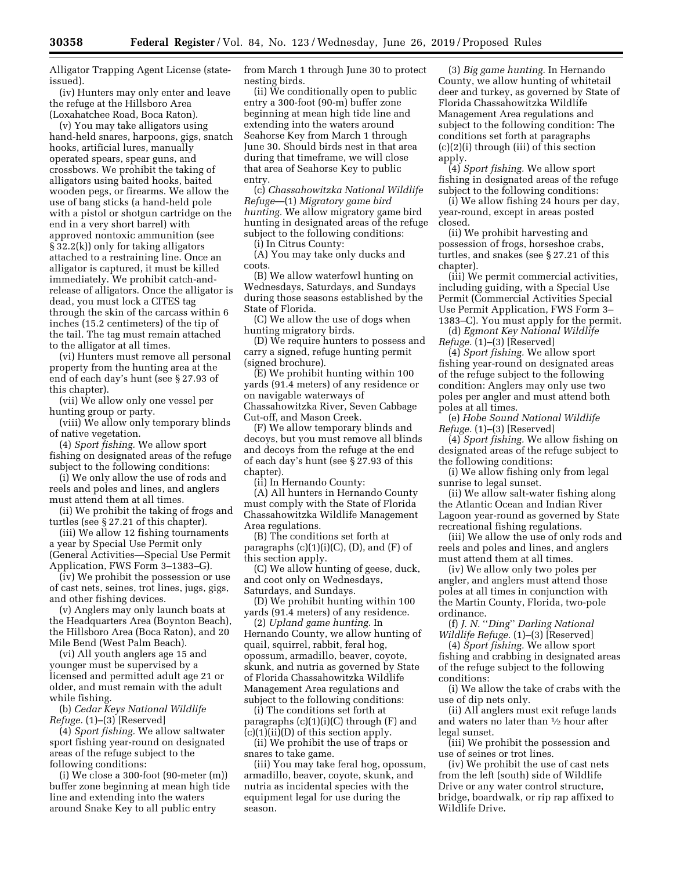Alligator Trapping Agent License (stateissued).

(iv) Hunters may only enter and leave the refuge at the Hillsboro Area (Loxahatchee Road, Boca Raton).

(v) You may take alligators using hand-held snares, harpoons, gigs, snatch hooks, artificial lures, manually operated spears, spear guns, and crossbows. We prohibit the taking of alligators using baited hooks, baited wooden pegs, or firearms. We allow the use of bang sticks (a hand-held pole with a pistol or shotgun cartridge on the end in a very short barrel) with approved nontoxic ammunition (see § 32.2(k)) only for taking alligators attached to a restraining line. Once an alligator is captured, it must be killed immediately. We prohibit catch-andrelease of alligators. Once the alligator is dead, you must lock a CITES tag through the skin of the carcass within 6 inches (15.2 centimeters) of the tip of the tail. The tag must remain attached to the alligator at all times.

(vi) Hunters must remove all personal property from the hunting area at the end of each day's hunt (see § 27.93 of this chapter).

(vii) We allow only one vessel per hunting group or party.

(viii) We allow only temporary blinds of native vegetation.

(4) *Sport fishing.* We allow sport fishing on designated areas of the refuge subject to the following conditions:

(i) We only allow the use of rods and reels and poles and lines, and anglers must attend them at all times.

(ii) We prohibit the taking of frogs and turtles (see § 27.21 of this chapter).

(iii) We allow 12 fishing tournaments a year by Special Use Permit only (General Activities—Special Use Permit Application, FWS Form 3–1383–G).

(iv) We prohibit the possession or use of cast nets, seines, trot lines, jugs, gigs, and other fishing devices.

(v) Anglers may only launch boats at the Headquarters Area (Boynton Beach), the Hillsboro Area (Boca Raton), and 20 Mile Bend (West Palm Beach).

(vi) All youth anglers age 15 and younger must be supervised by a licensed and permitted adult age 21 or older, and must remain with the adult while fishing.

(b) *Cedar Keys National Wildlife Refuge.* (1)–(3) [Reserved]

(4) *Sport fishing.* We allow saltwater sport fishing year-round on designated areas of the refuge subject to the following conditions:

(i) We close a 300-foot (90-meter (m)) buffer zone beginning at mean high tide line and extending into the waters around Snake Key to all public entry

from March 1 through June 30 to protect nesting birds.

(ii) We conditionally open to public entry a 300-foot (90-m) buffer zone beginning at mean high tide line and extending into the waters around Seahorse Key from March 1 through June 30. Should birds nest in that area during that timeframe, we will close that area of Seahorse Key to public entry.

(c) *Chassahowitzka National Wildlife Refuge*—(1) *Migratory game bird hunting.* We allow migratory game bird hunting in designated areas of the refuge subject to the following conditions:

(i) In Citrus County:

(A) You may take only ducks and coots.

(B) We allow waterfowl hunting on Wednesdays, Saturdays, and Sundays during those seasons established by the State of Florida.

(C) We allow the use of dogs when hunting migratory birds.

(D) We require hunters to possess and carry a signed, refuge hunting permit (signed brochure).

(E) We prohibit hunting within 100 yards (91.4 meters) of any residence or on navigable waterways of Chassahowitzka River, Seven Cabbage Cut-off, and Mason Creek.

(F) We allow temporary blinds and decoys, but you must remove all blinds and decoys from the refuge at the end of each day's hunt (see § 27.93 of this chapter).

(ii) In Hernando County:

(A) All hunters in Hernando County must comply with the State of Florida Chassahowitzka Wildlife Management Area regulations.

(B) The conditions set forth at paragraphs  $(c)(1)(i)(C)$ ,  $(D)$ , and  $(F)$  of this section apply.

(C) We allow hunting of geese, duck, and coot only on Wednesdays, Saturdays, and Sundays.

(D) We prohibit hunting within 100 yards (91.4 meters) of any residence.

(2) *Upland game hunting.* In Hernando County, we allow hunting of quail, squirrel, rabbit, feral hog, opossum, armadillo, beaver, coyote, skunk, and nutria as governed by State of Florida Chassahowitzka Wildlife Management Area regulations and subject to the following conditions:

(i) The conditions set forth at paragraphs  $(c)(1)(i)(C)$  through  $(F)$  and  $(c)(1)(ii)(D)$  of this section apply.

(ii) We prohibit the use of traps or snares to take game.

(iii) You may take feral hog, opossum, armadillo, beaver, coyote, skunk, and nutria as incidental species with the equipment legal for use during the season.

(3) *Big game hunting.* In Hernando County, we allow hunting of whitetail deer and turkey, as governed by State of Florida Chassahowitzka Wildlife Management Area regulations and subject to the following condition: The conditions set forth at paragraphs (c)(2)(i) through (iii) of this section apply.

(4) *Sport fishing.* We allow sport fishing in designated areas of the refuge subject to the following conditions:

(i) We allow fishing 24 hours per day, year-round, except in areas posted closed.

(ii) We prohibit harvesting and possession of frogs, horseshoe crabs, turtles, and snakes (see § 27.21 of this chapter).

(iii) We permit commercial activities, including guiding, with a Special Use Permit (Commercial Activities Special Use Permit Application, FWS Form 3– 1383–C). You must apply for the permit.

(d) *Egmont Key National Wildlife Refuge.* (1)–(3) [Reserved]

(4) *Sport fishing.* We allow sport fishing year-round on designated areas of the refuge subject to the following condition: Anglers may only use two poles per angler and must attend both poles at all times.

(e) *Hobe Sound National Wildlife Refuge.* (1)–(3) [Reserved]

(4) *Sport fishing.* We allow fishing on designated areas of the refuge subject to the following conditions:

(i) We allow fishing only from legal sunrise to legal sunset.

(ii) We allow salt-water fishing along the Atlantic Ocean and Indian River Lagoon year-round as governed by State recreational fishing regulations.

(iii) We allow the use of only rods and reels and poles and lines, and anglers must attend them at all times.

(iv) We allow only two poles per angler, and anglers must attend those poles at all times in conjunction with the Martin County, Florida, two-pole ordinance.

(f) *J. N.* ''*Ding*'' *Darling National Wildlife Refuge.* (1)–(3) [Reserved]

(4) *Sport fishing.* We allow sport fishing and crabbing in designated areas of the refuge subject to the following conditions:

(i) We allow the take of crabs with the use of dip nets only.

(ii) All anglers must exit refuge lands and waters no later than 1⁄2 hour after legal sunset.

(iii) We prohibit the possession and use of seines or trot lines.

(iv) We prohibit the use of cast nets from the left (south) side of Wildlife Drive or any water control structure, bridge, boardwalk, or rip rap affixed to Wildlife Drive.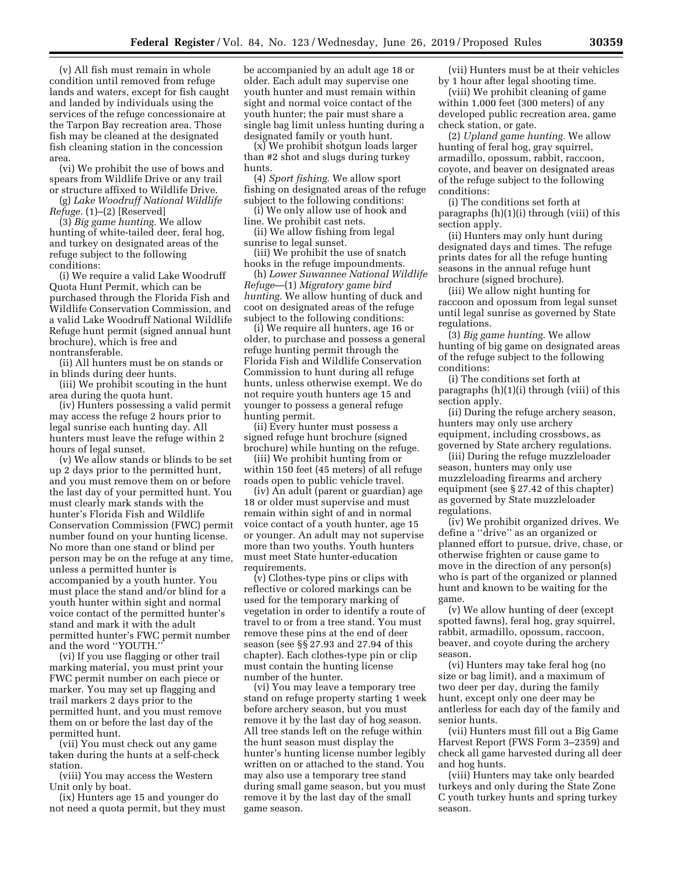(v) All fish must remain in whole condition until removed from refuge lands and waters, except for fish caught and landed by individuals using the services of the refuge concessionaire at the Tarpon Bay recreation area. Those fish may be cleaned at the designated fish cleaning station in the concession area.

(vi) We prohibit the use of bows and spears from Wildlife Drive or any trail or structure affixed to Wildlife Drive.

(g) *Lake Woodruff National Wildlife Refuge.* (1)–(2) [Reserved]

(3) *Big game hunting.* We allow hunting of white-tailed deer, feral hog, and turkey on designated areas of the refuge subject to the following conditions:

(i) We require a valid Lake Woodruff Quota Hunt Permit, which can be purchased through the Florida Fish and Wildlife Conservation Commission, and a valid Lake Woodruff National Wildlife Refuge hunt permit (signed annual hunt brochure), which is free and nontransferable.

(ii) All hunters must be on stands or in blinds during deer hunts.

(iii) We prohibit scouting in the hunt area during the quota hunt.

(iv) Hunters possessing a valid permit may access the refuge 2 hours prior to legal sunrise each hunting day. All hunters must leave the refuge within 2 hours of legal sunset.

(v) We allow stands or blinds to be set up 2 days prior to the permitted hunt, and you must remove them on or before the last day of your permitted hunt. You must clearly mark stands with the hunter's Florida Fish and Wildlife Conservation Commission (FWC) permit number found on your hunting license. No more than one stand or blind per person may be on the refuge at any time, unless a permitted hunter is accompanied by a youth hunter. You must place the stand and/or blind for a youth hunter within sight and normal voice contact of the permitted hunter's stand and mark it with the adult permitted hunter's FWC permit number and the word ''YOUTH.''

(vi) If you use flagging or other trail marking material, you must print your FWC permit number on each piece or marker. You may set up flagging and trail markers 2 days prior to the permitted hunt, and you must remove them on or before the last day of the permitted hunt.

(vii) You must check out any game taken during the hunts at a self-check station.

(viii) You may access the Western Unit only by boat.

(ix) Hunters age 15 and younger do not need a quota permit, but they must be accompanied by an adult age 18 or older. Each adult may supervise one youth hunter and must remain within sight and normal voice contact of the youth hunter; the pair must share a single bag limit unless hunting during a designated family or youth hunt.

(x) We prohibit shotgun loads larger than #2 shot and slugs during turkey hunts.

(4) *Sport fishing.* We allow sport fishing on designated areas of the refuge subject to the following conditions:

(i) We only allow use of hook and line. We prohibit cast nets.

(ii) We allow fishing from legal sunrise to legal sunset.

(iii) We prohibit the use of snatch hooks in the refuge impoundments.

(h) *Lower Suwannee National Wildlife Refuge*—(1) *Migratory game bird hunting.* We allow hunting of duck and coot on designated areas of the refuge subject to the following conditions:

(i) We require all hunters, age 16 or older, to purchase and possess a general refuge hunting permit through the Florida Fish and Wildlife Conservation Commission to hunt during all refuge hunts, unless otherwise exempt. We do not require youth hunters age 15 and younger to possess a general refuge hunting permit.

(ii) Every hunter must possess a signed refuge hunt brochure (signed brochure) while hunting on the refuge.

(iii) We prohibit hunting from or within 150 feet (45 meters) of all refuge roads open to public vehicle travel.

(iv) An adult (parent or guardian) age 18 or older must supervise and must remain within sight of and in normal voice contact of a youth hunter, age 15 or younger. An adult may not supervise more than two youths. Youth hunters must meet State hunter-education requirements.

(v) Clothes-type pins or clips with reflective or colored markings can be used for the temporary marking of vegetation in order to identify a route of travel to or from a tree stand. You must remove these pins at the end of deer season (see §§ 27.93 and 27.94 of this chapter). Each clothes-type pin or clip must contain the hunting license number of the hunter.

(vi) You may leave a temporary tree stand on refuge property starting 1 week before archery season, but you must remove it by the last day of hog season. All tree stands left on the refuge within the hunt season must display the hunter's hunting license number legibly written on or attached to the stand. You may also use a temporary tree stand during small game season, but you must remove it by the last day of the small game season.

(vii) Hunters must be at their vehicles by 1 hour after legal shooting time.

(viii) We prohibit cleaning of game within 1,000 feet (300 meters) of any developed public recreation area, game check station, or gate.

(2) *Upland game hunting.* We allow hunting of feral hog, gray squirrel, armadillo, opossum, rabbit, raccoon, coyote, and beaver on designated areas of the refuge subject to the following conditions:

(i) The conditions set forth at paragraphs (h)(1)(i) through (viii) of this section apply.

(ii) Hunters may only hunt during designated days and times. The refuge prints dates for all the refuge hunting seasons in the annual refuge hunt brochure (signed brochure).

(iii) We allow night hunting for raccoon and opossum from legal sunset until legal sunrise as governed by State regulations.

(3) *Big game hunting.* We allow hunting of big game on designated areas of the refuge subject to the following conditions:

(i) The conditions set forth at paragraphs (h)(1)(i) through (viii) of this section apply.

(ii) During the refuge archery season, hunters may only use archery equipment, including crossbows, as governed by State archery regulations.

(iii) During the refuge muzzleloader season, hunters may only use muzzleloading firearms and archery equipment (see § 27.42 of this chapter) as governed by State muzzleloader regulations.

(iv) We prohibit organized drives. We define a ''drive'' as an organized or planned effort to pursue, drive, chase, or otherwise frighten or cause game to move in the direction of any person(s) who is part of the organized or planned hunt and known to be waiting for the game.

(v) We allow hunting of deer (except spotted fawns), feral hog, gray squirrel, rabbit, armadillo, opossum, raccoon, beaver, and coyote during the archery season.

(vi) Hunters may take feral hog (no size or bag limit), and a maximum of two deer per day, during the family hunt, except only one deer may be antlerless for each day of the family and senior hunts.

(vii) Hunters must fill out a Big Game Harvest Report (FWS Form 3–2359) and check all game harvested during all deer and hog hunts.

(viii) Hunters may take only bearded turkeys and only during the State Zone C youth turkey hunts and spring turkey season.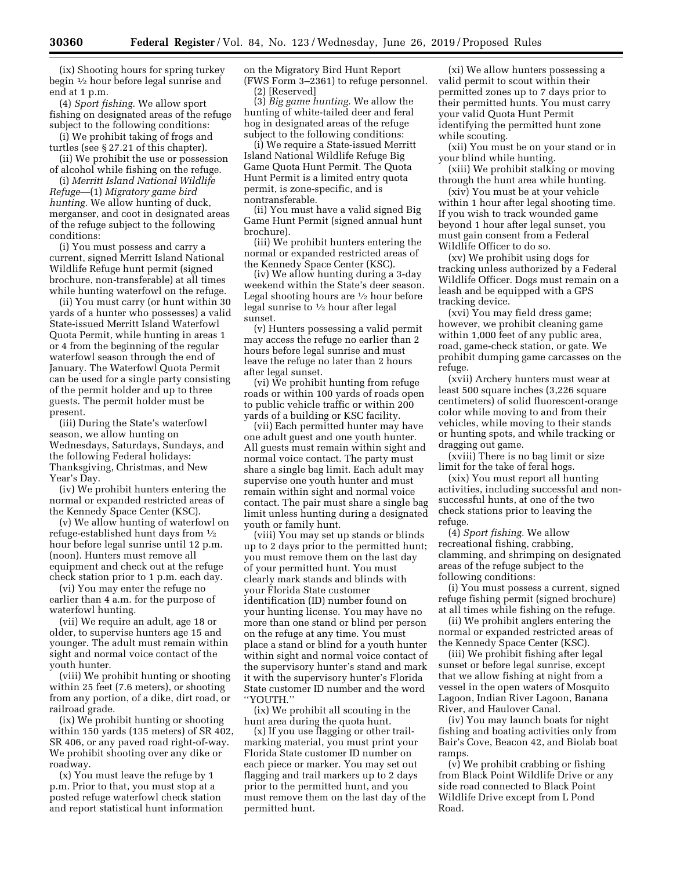(ix) Shooting hours for spring turkey begin 1⁄2 hour before legal sunrise and end at 1 p.m.

(4) *Sport fishing.* We allow sport fishing on designated areas of the refuge subject to the following conditions:

(i) We prohibit taking of frogs and turtles (see § 27.21 of this chapter).

(ii) We prohibit the use or possession of alcohol while fishing on the refuge.

(i) *Merritt Island National Wildlife Refuge*—(1) *Migratory game bird hunting.* We allow hunting of duck, merganser, and coot in designated areas of the refuge subject to the following conditions:

(i) You must possess and carry a current, signed Merritt Island National Wildlife Refuge hunt permit (signed brochure, non-transferable) at all times while hunting waterfowl on the refuge.

(ii) You must carry (or hunt within 30 yards of a hunter who possesses) a valid State-issued Merritt Island Waterfowl Quota Permit, while hunting in areas 1 or 4 from the beginning of the regular waterfowl season through the end of January. The Waterfowl Quota Permit can be used for a single party consisting of the permit holder and up to three guests. The permit holder must be present.

(iii) During the State's waterfowl season, we allow hunting on Wednesdays, Saturdays, Sundays, and the following Federal holidays: Thanksgiving, Christmas, and New Year's Day.

(iv) We prohibit hunters entering the normal or expanded restricted areas of the Kennedy Space Center (KSC).

(v) We allow hunting of waterfowl on refuge-established hunt days from 1⁄2 hour before legal sunrise until 12 p.m. (noon). Hunters must remove all equipment and check out at the refuge check station prior to 1 p.m. each day.

(vi) You may enter the refuge no earlier than 4 a.m. for the purpose of waterfowl hunting.

(vii) We require an adult, age 18 or older, to supervise hunters age 15 and younger. The adult must remain within sight and normal voice contact of the youth hunter.

(viii) We prohibit hunting or shooting within 25 feet (7.6 meters), or shooting from any portion, of a dike, dirt road, or railroad grade.

(ix) We prohibit hunting or shooting within 150 yards (135 meters) of SR 402, SR 406, or any paved road right-of-way. We prohibit shooting over any dike or roadway.

(x) You must leave the refuge by 1 p.m. Prior to that, you must stop at a posted refuge waterfowl check station and report statistical hunt information on the Migratory Bird Hunt Report (FWS Form 3–2361) to refuge personnel.

(2) [Reserved]

(3) *Big game hunting.* We allow the hunting of white-tailed deer and feral hog in designated areas of the refuge subject to the following conditions:

(i) We require a State-issued Merritt Island National Wildlife Refuge Big Game Quota Hunt Permit. The Quota Hunt Permit is a limited entry quota permit, is zone-specific, and is nontransferable.

(ii) You must have a valid signed Big Game Hunt Permit (signed annual hunt brochure).

(iii) We prohibit hunters entering the normal or expanded restricted areas of the Kennedy Space Center (KSC).

(iv) We allow hunting during a 3-day weekend within the State's deer season. Legal shooting hours are 1⁄2 hour before legal sunrise to 1⁄2 hour after legal sunset.

(v) Hunters possessing a valid permit may access the refuge no earlier than 2 hours before legal sunrise and must leave the refuge no later than 2 hours after legal sunset.

(vi) We prohibit hunting from refuge roads or within 100 yards of roads open to public vehicle traffic or within 200 yards of a building or KSC facility.

(vii) Each permitted hunter may have one adult guest and one youth hunter. All guests must remain within sight and normal voice contact. The party must share a single bag limit. Each adult may supervise one youth hunter and must remain within sight and normal voice contact. The pair must share a single bag limit unless hunting during a designated youth or family hunt.

(viii) You may set up stands or blinds up to 2 days prior to the permitted hunt; you must remove them on the last day of your permitted hunt. You must clearly mark stands and blinds with your Florida State customer identification (ID) number found on your hunting license. You may have no more than one stand or blind per person on the refuge at any time. You must place a stand or blind for a youth hunter within sight and normal voice contact of the supervisory hunter's stand and mark it with the supervisory hunter's Florida State customer ID number and the word ''YOUTH.''

(ix) We prohibit all scouting in the hunt area during the quota hunt.

(x) If you use flagging or other trailmarking material, you must print your Florida State customer ID number on each piece or marker. You may set out flagging and trail markers up to 2 days prior to the permitted hunt, and you must remove them on the last day of the permitted hunt.

(xi) We allow hunters possessing a valid permit to scout within their permitted zones up to 7 days prior to their permitted hunts. You must carry your valid Quota Hunt Permit identifying the permitted hunt zone while scouting.

(xii) You must be on your stand or in your blind while hunting.

(xiii) We prohibit stalking or moving through the hunt area while hunting.

(xiv) You must be at your vehicle within 1 hour after legal shooting time. If you wish to track wounded game beyond 1 hour after legal sunset, you must gain consent from a Federal Wildlife Officer to do so.

(xv) We prohibit using dogs for tracking unless authorized by a Federal Wildlife Officer. Dogs must remain on a leash and be equipped with a GPS tracking device.

(xvi) You may field dress game; however, we prohibit cleaning game within 1,000 feet of any public area, road, game-check station, or gate. We prohibit dumping game carcasses on the refuge.

(xvii) Archery hunters must wear at least 500 square inches (3,226 square centimeters) of solid fluorescent-orange color while moving to and from their vehicles, while moving to their stands or hunting spots, and while tracking or dragging out game.

(xviii) There is no bag limit or size limit for the take of feral hogs.

(xix) You must report all hunting activities, including successful and nonsuccessful hunts, at one of the two check stations prior to leaving the refuge.

(4) *Sport fishing.* We allow recreational fishing, crabbing, clamming, and shrimping on designated areas of the refuge subject to the following conditions:

(i) You must possess a current, signed refuge fishing permit (signed brochure) at all times while fishing on the refuge.

(ii) We prohibit anglers entering the normal or expanded restricted areas of the Kennedy Space Center (KSC).

(iii) We prohibit fishing after legal sunset or before legal sunrise, except that we allow fishing at night from a vessel in the open waters of Mosquito Lagoon, Indian River Lagoon, Banana River, and Haulover Canal.

(iv) You may launch boats for night fishing and boating activities only from Bair's Cove, Beacon 42, and Biolab boat ramps.

(v) We prohibit crabbing or fishing from Black Point Wildlife Drive or any side road connected to Black Point Wildlife Drive except from L Pond Road.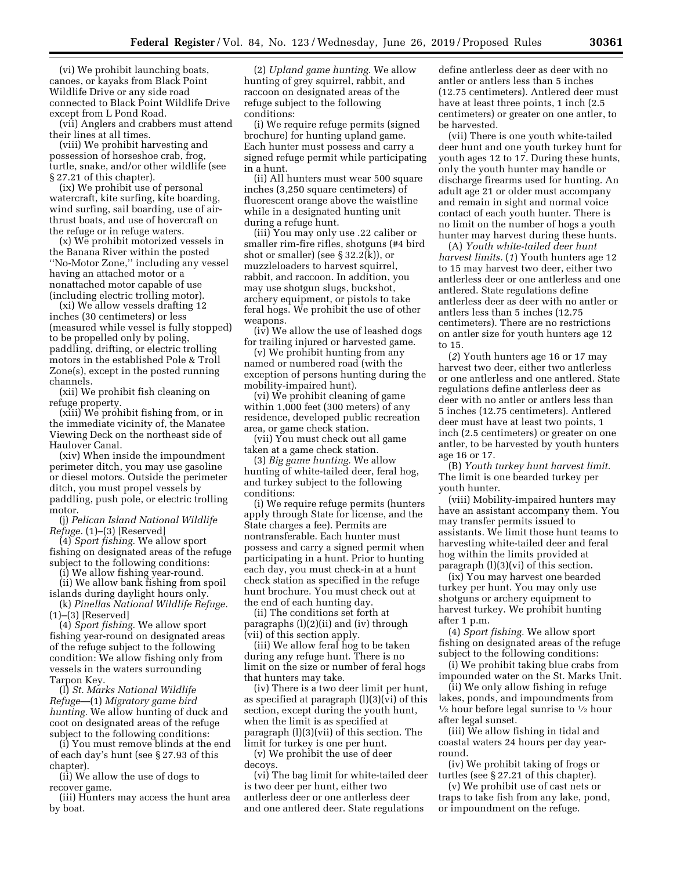(vi) We prohibit launching boats, canoes, or kayaks from Black Point Wildlife Drive or any side road connected to Black Point Wildlife Drive except from L Pond Road.

(vii) Anglers and crabbers must attend their lines at all times.

(viii) We prohibit harvesting and possession of horseshoe crab, frog, turtle, snake, and/or other wildlife (see § 27.21 of this chapter).

(ix) We prohibit use of personal watercraft, kite surfing, kite boarding, wind surfing, sail boarding, use of airthrust boats, and use of hovercraft on the refuge or in refuge waters.

(x) We prohibit motorized vessels in the Banana River within the posted ''No-Motor Zone,'' including any vessel having an attached motor or a nonattached motor capable of use (including electric trolling motor).

(xi) We allow vessels drafting 12 inches (30 centimeters) or less (measured while vessel is fully stopped) to be propelled only by poling, paddling, drifting, or electric trolling motors in the established Pole & Troll Zone(s), except in the posted running channels.

(xii) We prohibit fish cleaning on refuge property.

(xiii) We prohibit fishing from, or in the immediate vicinity of, the Manatee Viewing Deck on the northeast side of Haulover Canal.

(xiv) When inside the impoundment perimeter ditch, you may use gasoline or diesel motors. Outside the perimeter ditch, you must propel vessels by paddling, push pole, or electric trolling motor.

(j) *Pelican Island National Wildlife Refuge.* (1)–(3) [Reserved]

(4) *Sport fishing.* We allow sport fishing on designated areas of the refuge subject to the following conditions:

(i) We allow fishing year-round.

(ii) We allow bank fishing from spoil islands during daylight hours only. (k) *Pinellas National Wildlife Refuge.* 

 $(1)$ – $(3)$  [Reserved]

(4) *Sport fishing.* We allow sport fishing year-round on designated areas of the refuge subject to the following condition: We allow fishing only from vessels in the waters surrounding Tarpon Key.

(l) *St. Marks National Wildlife Refuge*—(1) *Migratory game bird hunting.* We allow hunting of duck and coot on designated areas of the refuge subject to the following conditions:

(i) You must remove blinds at the end of each day's hunt (see § 27.93 of this chapter).

(ii) We allow the use of dogs to recover game.

(iii) Hunters may access the hunt area by boat.

(2) *Upland game hunting.* We allow hunting of grey squirrel, rabbit, and raccoon on designated areas of the refuge subject to the following conditions:

(i) We require refuge permits (signed brochure) for hunting upland game. Each hunter must possess and carry a signed refuge permit while participating in a hunt.

(ii) All hunters must wear 500 square inches (3,250 square centimeters) of fluorescent orange above the waistline while in a designated hunting unit during a refuge hunt.

(iii) You may only use .22 caliber or smaller rim-fire rifles, shotguns (#4 bird shot or smaller) (see § 32.2(k)), or muzzleloaders to harvest squirrel, rabbit, and raccoon. In addition, you may use shotgun slugs, buckshot, archery equipment, or pistols to take feral hogs. We prohibit the use of other weapons.

(iv) We allow the use of leashed dogs for trailing injured or harvested game.

(v) We prohibit hunting from any named or numbered road (with the exception of persons hunting during the mobility-impaired hunt).

(vi) We prohibit cleaning of game within 1,000 feet (300 meters) of any residence, developed public recreation area, or game check station.

(vii) You must check out all game taken at a game check station.

(3) *Big game hunting.* We allow hunting of white-tailed deer, feral hog, and turkey subject to the following conditions:

(i) We require refuge permits (hunters apply through State for license, and the State charges a fee). Permits are nontransferable. Each hunter must possess and carry a signed permit when participating in a hunt. Prior to hunting each day, you must check-in at a hunt check station as specified in the refuge hunt brochure. You must check out at the end of each hunting day.

(ii) The conditions set forth at paragraphs (l)(2)(ii) and (iv) through (vii) of this section apply.

(iii) We allow feral hog to be taken during any refuge hunt. There is no limit on the size or number of feral hogs that hunters may take.

(iv) There is a two deer limit per hunt, as specified at paragraph (l)(3)(vi) of this section, except during the youth hunt, when the limit is as specified at paragraph (l)(3)(vii) of this section. The limit for turkey is one per hunt.

(v) We prohibit the use of deer decoys.

(vi) The bag limit for white-tailed deer is two deer per hunt, either two antlerless deer or one antlerless deer and one antlered deer. State regulations

define antlerless deer as deer with no antler or antlers less than 5 inches (12.75 centimeters). Antlered deer must have at least three points, 1 inch (2.5 centimeters) or greater on one antler, to be harvested.

(vii) There is one youth white-tailed deer hunt and one youth turkey hunt for youth ages 12 to 17. During these hunts, only the youth hunter may handle or discharge firearms used for hunting. An adult age 21 or older must accompany and remain in sight and normal voice contact of each youth hunter. There is no limit on the number of hogs a youth hunter may harvest during these hunts.

(A) *Youth white-tailed deer hunt harvest limits.* (*1*) Youth hunters age 12 to 15 may harvest two deer, either two antlerless deer or one antlerless and one antlered. State regulations define antlerless deer as deer with no antler or antlers less than 5 inches (12.75 centimeters). There are no restrictions on antler size for youth hunters age 12 to 15.

(*2*) Youth hunters age 16 or 17 may harvest two deer, either two antlerless or one antlerless and one antlered. State regulations define antlerless deer as deer with no antler or antlers less than 5 inches (12.75 centimeters). Antlered deer must have at least two points, 1 inch (2.5 centimeters) or greater on one antler, to be harvested by youth hunters age 16 or 17.

(B) *Youth turkey hunt harvest limit.*  The limit is one bearded turkey per youth hunter.

(viii) Mobility-impaired hunters may have an assistant accompany them. You may transfer permits issued to assistants. We limit those hunt teams to harvesting white-tailed deer and feral hog within the limits provided at paragraph (l)(3)(vi) of this section.

(ix) You may harvest one bearded turkey per hunt. You may only use shotguns or archery equipment to harvest turkey. We prohibit hunting after 1 p.m.

(4) *Sport fishing.* We allow sport fishing on designated areas of the refuge subject to the following conditions:

(i) We prohibit taking blue crabs from impounded water on the St. Marks Unit.

(ii) We only allow fishing in refuge lakes, ponds, and impoundments from  $\frac{1}{2}$  hour before legal sunrise to  $\frac{1}{2}$  hour after legal sunset.

(iii) We allow fishing in tidal and coastal waters 24 hours per day yearround.

(iv) We prohibit taking of frogs or turtles (see § 27.21 of this chapter).

(v) We prohibit use of cast nets or traps to take fish from any lake, pond, or impoundment on the refuge.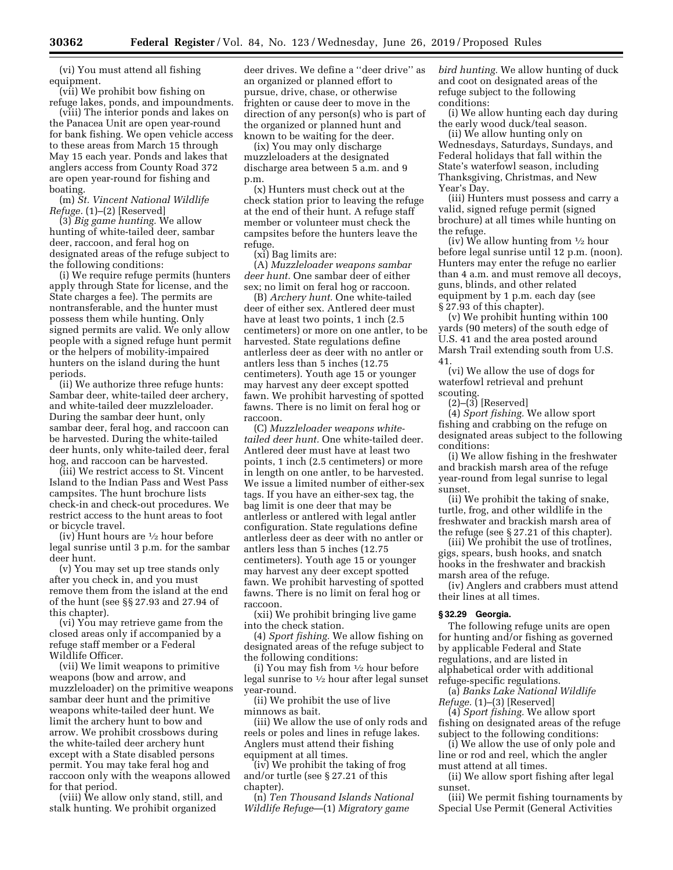(vi) You must attend all fishing equipment.

(vii) We prohibit bow fishing on refuge lakes, ponds, and impoundments.

(viii) The interior ponds and lakes on the Panacea Unit are open year-round for bank fishing. We open vehicle access to these areas from March 15 through May 15 each year. Ponds and lakes that anglers access from County Road 372 are open year-round for fishing and boating.

(m) *St. Vincent National Wildlife Refuge.* (1)–(2) [Reserved]

(3) *Big game hunting.* We allow hunting of white-tailed deer, sambar deer, raccoon, and feral hog on designated areas of the refuge subject to the following conditions:

(i) We require refuge permits (hunters apply through State for license, and the State charges a fee). The permits are nontransferable, and the hunter must possess them while hunting. Only signed permits are valid. We only allow people with a signed refuge hunt permit or the helpers of mobility-impaired hunters on the island during the hunt periods.

(ii) We authorize three refuge hunts: Sambar deer, white-tailed deer archery, and white-tailed deer muzzleloader. During the sambar deer hunt, only sambar deer, feral hog, and raccoon can be harvested. During the white-tailed deer hunts, only white-tailed deer, feral hog, and raccoon can be harvested.

(iii) We restrict access to St. Vincent Island to the Indian Pass and West Pass campsites. The hunt brochure lists check-in and check-out procedures. We restrict access to the hunt areas to foot or bicycle travel.

(iv) Hunt hours are  $\frac{1}{2}$  hour before legal sunrise until 3 p.m. for the sambar deer hunt.

(v) You may set up tree stands only after you check in, and you must remove them from the island at the end of the hunt (see §§ 27.93 and 27.94 of this chapter).

(vi) You may retrieve game from the closed areas only if accompanied by a refuge staff member or a Federal Wildlife Officer.

(vii) We limit weapons to primitive weapons (bow and arrow, and muzzleloader) on the primitive weapons sambar deer hunt and the primitive weapons white-tailed deer hunt. We limit the archery hunt to bow and arrow. We prohibit crossbows during the white-tailed deer archery hunt except with a State disabled persons permit. You may take feral hog and raccoon only with the weapons allowed for that period.

(viii) We allow only stand, still, and stalk hunting. We prohibit organized

deer drives. We define a ''deer drive'' as an organized or planned effort to pursue, drive, chase, or otherwise frighten or cause deer to move in the direction of any person(s) who is part of the organized or planned hunt and known to be waiting for the deer.

(ix) You may only discharge muzzleloaders at the designated discharge area between 5 a.m. and 9 p.m.

(x) Hunters must check out at the check station prior to leaving the refuge at the end of their hunt. A refuge staff member or volunteer must check the campsites before the hunters leave the refuge.

(xi) Bag limits are:

(A) *Muzzleloader weapons sambar deer hunt.* One sambar deer of either sex; no limit on feral hog or raccoon.

(B) *Archery hunt.* One white-tailed deer of either sex. Antlered deer must have at least two points, 1 inch (2.5 centimeters) or more on one antler, to be harvested. State regulations define antlerless deer as deer with no antler or antlers less than 5 inches (12.75 centimeters). Youth age 15 or younger may harvest any deer except spotted fawn. We prohibit harvesting of spotted fawns. There is no limit on feral hog or raccoon.

(C) *Muzzleloader weapons whitetailed deer hunt.* One white-tailed deer. Antlered deer must have at least two points, 1 inch (2.5 centimeters) or more in length on one antler, to be harvested. We issue a limited number of either-sex tags. If you have an either-sex tag, the bag limit is one deer that may be antlerless or antlered with legal antler configuration. State regulations define antlerless deer as deer with no antler or antlers less than 5 inches (12.75 centimeters). Youth age 15 or younger may harvest any deer except spotted fawn. We prohibit harvesting of spotted fawns. There is no limit on feral hog or raccoon.

(xii) We prohibit bringing live game into the check station.

(4) *Sport fishing.* We allow fishing on designated areas of the refuge subject to the following conditions:

(i) You may fish from  $\frac{1}{2}$  hour before legal sunrise to 1⁄2 hour after legal sunset year-round.

(ii) We prohibit the use of live minnows as bait.

(iii) We allow the use of only rods and reels or poles and lines in refuge lakes. Anglers must attend their fishing equipment at all times.

(iv) We prohibit the taking of frog and/or turtle (see § 27.21 of this chapter).

(n) *Ten Thousand Islands National Wildlife Refuge*—(1) *Migratory game* 

*bird hunting.* We allow hunting of duck and coot on designated areas of the refuge subject to the following conditions:

(i) We allow hunting each day during the early wood duck/teal season.

(ii) We allow hunting only on Wednesdays, Saturdays, Sundays, and Federal holidays that fall within the State's waterfowl season, including Thanksgiving, Christmas, and New Year's Day.

(iii) Hunters must possess and carry a valid, signed refuge permit (signed brochure) at all times while hunting on the refuge.

(iv) We allow hunting from  $\frac{1}{2}$  hour before legal sunrise until 12 p.m. (noon). Hunters may enter the refuge no earlier than 4 a.m. and must remove all decoys, guns, blinds, and other related equipment by 1 p.m. each day (see § 27.93 of this chapter).

(v) We prohibit hunting within 100 yards (90 meters) of the south edge of U.S. 41 and the area posted around Marsh Trail extending south from U.S. 41.

(vi) We allow the use of dogs for waterfowl retrieval and prehunt scouting.

 $(2)$ – $(3)$  [Reserved]

(4) *Sport fishing.* We allow sport fishing and crabbing on the refuge on designated areas subject to the following conditions:

(i) We allow fishing in the freshwater and brackish marsh area of the refuge year-round from legal sunrise to legal sunset.

(ii) We prohibit the taking of snake, turtle, frog, and other wildlife in the freshwater and brackish marsh area of the refuge (see § 27.21 of this chapter).

(iii) We prohibit the use of trotlines, gigs, spears, bush hooks, and snatch hooks in the freshwater and brackish marsh area of the refuge.

(iv) Anglers and crabbers must attend their lines at all times.

## **§ 32.29 Georgia.**

The following refuge units are open for hunting and/or fishing as governed by applicable Federal and State regulations, and are listed in alphabetical order with additional refuge-specific regulations.

(a) *Banks Lake National Wildlife Refuge.* (1)–(3) [Reserved]

(4) *Sport fishing.* We allow sport fishing on designated areas of the refuge subject to the following conditions:

(i) We allow the use of only pole and line or rod and reel, which the angler must attend at all times.

(ii) We allow sport fishing after legal sunset.

(iii) We permit fishing tournaments by Special Use Permit (General Activities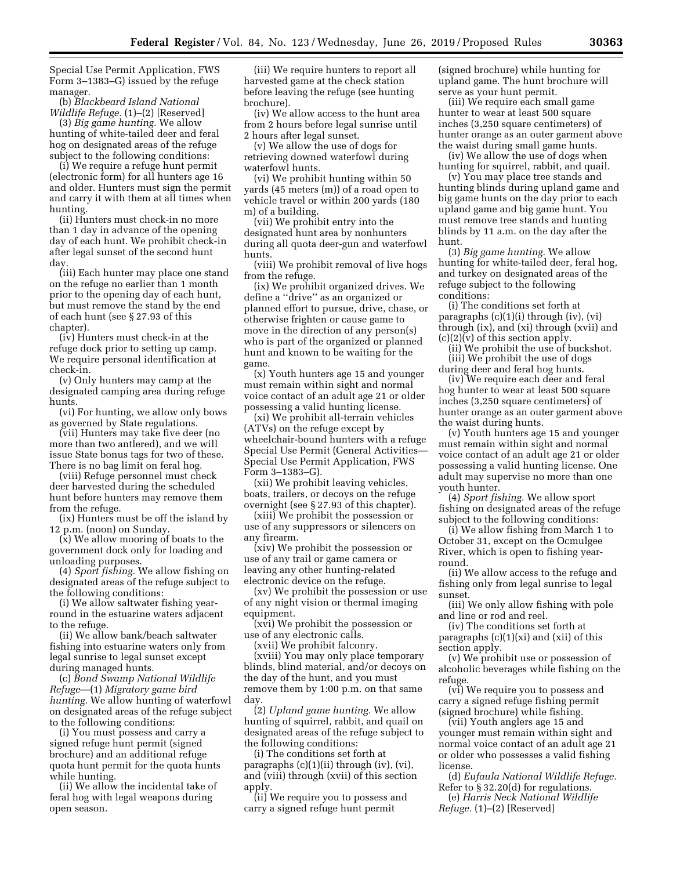Special Use Permit Application, FWS Form 3–1383–G) issued by the refuge manager.

(b) *Blackbeard Island National Wildlife Refuge.* (1)–(2) [Reserved]

(3) *Big game hunting.* We allow hunting of white-tailed deer and feral hog on designated areas of the refuge subject to the following conditions:

(i) We require a refuge hunt permit (electronic form) for all hunters age 16 and older. Hunters must sign the permit and carry it with them at all times when hunting.

(ii) Hunters must check-in no more than 1 day in advance of the opening day of each hunt. We prohibit check-in after legal sunset of the second hunt day.

(iii) Each hunter may place one stand on the refuge no earlier than 1 month prior to the opening day of each hunt, but must remove the stand by the end of each hunt (see § 27.93 of this chapter).

(iv) Hunters must check-in at the refuge dock prior to setting up camp. We require personal identification at check-in.

(v) Only hunters may camp at the designated camping area during refuge hunts.

(vi) For hunting, we allow only bows as governed by State regulations.

(vii) Hunters may take five deer (no more than two antlered), and we will issue State bonus tags for two of these. There is no bag limit on feral hog.

(viii) Refuge personnel must check deer harvested during the scheduled hunt before hunters may remove them from the refuge.

(ix) Hunters must be off the island by 12 p.m. (noon) on Sunday.

(x) We allow mooring of boats to the government dock only for loading and unloading purposes.

(4) *Sport fishing.* We allow fishing on designated areas of the refuge subject to the following conditions:

(i) We allow saltwater fishing yearround in the estuarine waters adjacent to the refuge.

(ii) We allow bank/beach saltwater fishing into estuarine waters only from legal sunrise to legal sunset except during managed hunts.

(c) *Bond Swamp National Wildlife Refuge*—(1) *Migratory game bird hunting.* We allow hunting of waterfowl on designated areas of the refuge subject to the following conditions:

(i) You must possess and carry a signed refuge hunt permit (signed brochure) and an additional refuge quota hunt permit for the quota hunts while hunting.

(ii) We allow the incidental take of feral hog with legal weapons during open season.

(iii) We require hunters to report all harvested game at the check station before leaving the refuge (see hunting brochure).

(iv) We allow access to the hunt area from 2 hours before legal sunrise until 2 hours after legal sunset.

(v) We allow the use of dogs for retrieving downed waterfowl during waterfowl hunts.

(vi) We prohibit hunting within 50 yards (45 meters (m)) of a road open to vehicle travel or within 200 yards (180 m) of a building.

(vii) We prohibit entry into the designated hunt area by nonhunters during all quota deer-gun and waterfowl hunts.

(viii) We prohibit removal of live hogs from the refuge.

(ix) We prohibit organized drives. We define a ''drive'' as an organized or planned effort to pursue, drive, chase, or otherwise frighten or cause game to move in the direction of any person(s) who is part of the organized or planned hunt and known to be waiting for the game.

(x) Youth hunters age 15 and younger must remain within sight and normal voice contact of an adult age 21 or older possessing a valid hunting license.

(xi) We prohibit all-terrain vehicles (ATVs) on the refuge except by wheelchair-bound hunters with a refuge Special Use Permit (General Activities— Special Use Permit Application, FWS Form 3–1383–G).

(xii) We prohibit leaving vehicles, boats, trailers, or decoys on the refuge overnight (see § 27.93 of this chapter).

(xiii) We prohibit the possession or use of any suppressors or silencers on any firearm.

(xiv) We prohibit the possession or use of any trail or game camera or leaving any other hunting-related electronic device on the refuge.

(xv) We prohibit the possession or use of any night vision or thermal imaging equipment.

(xvi) We prohibit the possession or use of any electronic calls.

(xvii) We prohibit falconry.

(xviii) You may only place temporary blinds, blind material, and/or decoys on the day of the hunt, and you must remove them by 1:00 p.m. on that same day.

(2) *Upland game hunting.* We allow hunting of squirrel, rabbit, and quail on designated areas of the refuge subject to the following conditions:

(i) The conditions set forth at paragraphs (c)(1)(ii) through (iv), (vi), and (viii) through (xvii) of this section apply.

(ii) We require you to possess and carry a signed refuge hunt permit

(signed brochure) while hunting for upland game. The hunt brochure will serve as your hunt permit.

(iii) We require each small game hunter to wear at least 500 square inches (3,250 square centimeters) of hunter orange as an outer garment above the waist during small game hunts.

(iv) We allow the use of dogs when hunting for squirrel, rabbit, and quail.

(v) You may place tree stands and hunting blinds during upland game and big game hunts on the day prior to each upland game and big game hunt. You must remove tree stands and hunting blinds by 11 a.m. on the day after the hunt.

(3) *Big game hunting.* We allow hunting for white-tailed deer, feral hog, and turkey on designated areas of the refuge subject to the following conditions:

(i) The conditions set forth at paragraphs (c)(1)(i) through (iv), (vi) through (ix), and (xi) through (xvii) and (c)(2)(v) of this section apply.

(ii) We prohibit the use of buckshot. (iii) We prohibit the use of dogs

during deer and feral hog hunts.

(iv) We require each deer and feral hog hunter to wear at least 500 square inches (3,250 square centimeters) of hunter orange as an outer garment above the waist during hunts.

(v) Youth hunters age 15 and younger must remain within sight and normal voice contact of an adult age 21 or older possessing a valid hunting license. One adult may supervise no more than one youth hunter.

(4) *Sport fishing.* We allow sport fishing on designated areas of the refuge subject to the following conditions:

(i) We allow fishing from March 1 to October 31, except on the Ocmulgee River, which is open to fishing yearround.

(ii) We allow access to the refuge and fishing only from legal sunrise to legal sunset.

(iii) We only allow fishing with pole and line or rod and reel.

(iv) The conditions set forth at paragraphs (c)(1)(xi) and (xii) of this section apply.

(v) We prohibit use or possession of alcoholic beverages while fishing on the refuge.

(vi) We require you to possess and carry a signed refuge fishing permit (signed brochure) while fishing.

(vii) Youth anglers age 15 and younger must remain within sight and normal voice contact of an adult age 21 or older who possesses a valid fishing license.

(d) *Eufaula National Wildlife Refuge.*  Refer to § 32.20(d) for regulations.

(e) *Harris Neck National Wildlife Refuge.* (1)–(2) [Reserved]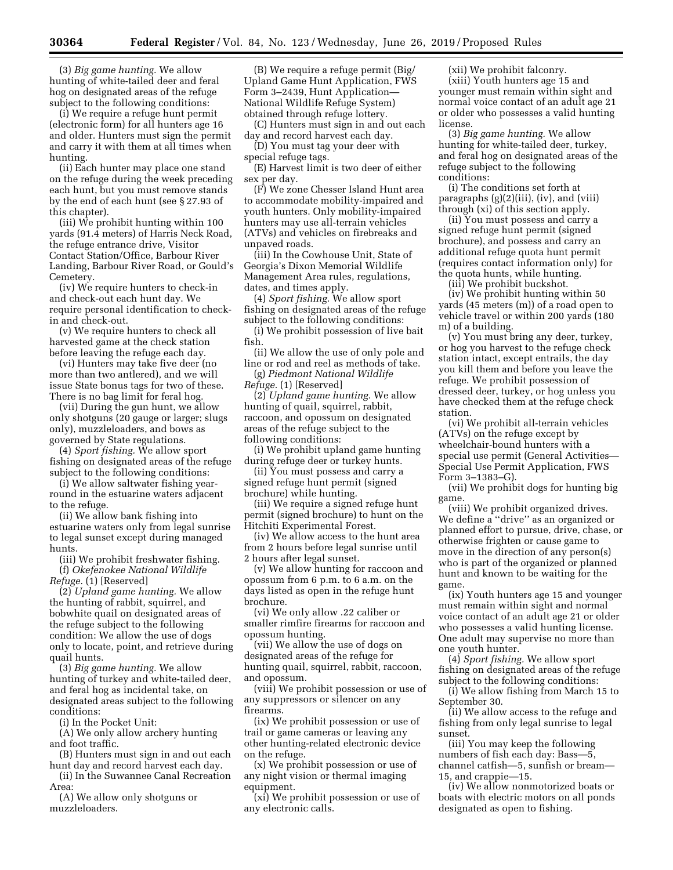(3) *Big game hunting.* We allow hunting of white-tailed deer and feral hog on designated areas of the refuge subject to the following conditions:

(i) We require a refuge hunt permit (electronic form) for all hunters age 16 and older. Hunters must sign the permit and carry it with them at all times when hunting.

(ii) Each hunter may place one stand on the refuge during the week preceding each hunt, but you must remove stands by the end of each hunt (see § 27.93 of this chapter).

(iii) We prohibit hunting within 100 yards (91.4 meters) of Harris Neck Road, the refuge entrance drive, Visitor Contact Station/Office, Barbour River Landing, Barbour River Road, or Gould's Cemetery.

(iv) We require hunters to check-in and check-out each hunt day. We require personal identification to checkin and check-out.

(v) We require hunters to check all harvested game at the check station before leaving the refuge each day.

(vi) Hunters may take five deer (no more than two antlered), and we will issue State bonus tags for two of these. There is no bag limit for feral hog.

(vii) During the gun hunt, we allow only shotguns (20 gauge or larger; slugs only), muzzleloaders, and bows as governed by State regulations.

(4) *Sport fishing.* We allow sport fishing on designated areas of the refuge subject to the following conditions:

(i) We allow saltwater fishing yearround in the estuarine waters adjacent to the refuge.

(ii) We allow bank fishing into estuarine waters only from legal sunrise to legal sunset except during managed hunts.

(iii) We prohibit freshwater fishing. (f) *Okefenokee National Wildlife Refuge.* (1) [Reserved]

(2) *Upland game hunting.* We allow the hunting of rabbit, squirrel, and bobwhite quail on designated areas of the refuge subject to the following condition: We allow the use of dogs only to locate, point, and retrieve during quail hunts.

(3) *Big game hunting.* We allow hunting of turkey and white-tailed deer, and feral hog as incidental take, on designated areas subject to the following conditions:

(i) In the Pocket Unit:

(A) We only allow archery hunting and foot traffic.

(B) Hunters must sign in and out each hunt day and record harvest each day. (ii) In the Suwannee Canal Recreation

Area:

(A) We allow only shotguns or muzzleloaders.

(B) We require a refuge permit (Big/ Upland Game Hunt Application, FWS Form 3–2439, Hunt Application— National Wildlife Refuge System) obtained through refuge lottery.

(C) Hunters must sign in and out each day and record harvest each day.

(D) You must tag your deer with special refuge tags.

(E) Harvest limit is two deer of either sex per day.

(F) We zone Chesser Island Hunt area to accommodate mobility-impaired and youth hunters. Only mobility-impaired hunters may use all-terrain vehicles (ATVs) and vehicles on firebreaks and unpaved roads.

(iii) In the Cowhouse Unit, State of Georgia's Dixon Memorial Wildlife Management Area rules, regulations, dates, and times apply.

(4) *Sport fishing.* We allow sport fishing on designated areas of the refuge subject to the following conditions:

(i) We prohibit possession of live bait fish.

(ii) We allow the use of only pole and line or rod and reel as methods of take.

(g) *Piedmont National Wildlife Refuge.* (1) [Reserved]

(2) *Upland game hunting.* We allow hunting of quail, squirrel, rabbit, raccoon, and opossum on designated areas of the refuge subject to the following conditions:

(i) We prohibit upland game hunting during refuge deer or turkey hunts.

(ii) You must possess and carry a signed refuge hunt permit (signed brochure) while hunting.

(iii) We require a signed refuge hunt permit (signed brochure) to hunt on the Hitchiti Experimental Forest.

(iv) We allow access to the hunt area from 2 hours before legal sunrise until 2 hours after legal sunset.

(v) We allow hunting for raccoon and opossum from 6 p.m. to 6 a.m. on the days listed as open in the refuge hunt brochure.

(vi) We only allow .22 caliber or smaller rimfire firearms for raccoon and opossum hunting.

(vii) We allow the use of dogs on designated areas of the refuge for hunting quail, squirrel, rabbit, raccoon, and opossum.

(viii) We prohibit possession or use of any suppressors or silencer on any firearms.

(ix) We prohibit possession or use of trail or game cameras or leaving any other hunting-related electronic device on the refuge.

(x) We prohibit possession or use of any night vision or thermal imaging equipment.

(xi) We prohibit possession or use of any electronic calls.

(xii) We prohibit falconry. (xiii) Youth hunters age 15 and younger must remain within sight and normal voice contact of an adult age 21 or older who possesses a valid hunting license.

(3) *Big game hunting.* We allow hunting for white-tailed deer, turkey, and feral hog on designated areas of the refuge subject to the following conditions:

(i) The conditions set forth at paragraphs (g)(2)(iii), (iv), and (viii) through (xi) of this section apply.

(ii) You must possess and carry a signed refuge hunt permit (signed brochure), and possess and carry an additional refuge quota hunt permit (requires contact information only) for the quota hunts, while hunting.

(iii) We prohibit buckshot.

(iv) We prohibit hunting within 50 yards (45 meters (m)) of a road open to vehicle travel or within 200 yards (180 m) of a building.

(v) You must bring any deer, turkey, or hog you harvest to the refuge check station intact, except entrails, the day you kill them and before you leave the refuge. We prohibit possession of dressed deer, turkey, or hog unless you have checked them at the refuge check station.

(vi) We prohibit all-terrain vehicles (ATVs) on the refuge except by wheelchair-bound hunters with a special use permit (General Activities— Special Use Permit Application, FWS Form 3–1383–G).

(vii) We prohibit dogs for hunting big game.

(viii) We prohibit organized drives. We define a ''drive'' as an organized or planned effort to pursue, drive, chase, or otherwise frighten or cause game to move in the direction of any person(s) who is part of the organized or planned hunt and known to be waiting for the game.

(ix) Youth hunters age 15 and younger must remain within sight and normal voice contact of an adult age 21 or older who possesses a valid hunting license. One adult may supervise no more than one youth hunter.

(4) *Sport fishing.* We allow sport fishing on designated areas of the refuge subject to the following conditions:

(i) We allow fishing from March 15 to September 30.

(ii) We allow access to the refuge and fishing from only legal sunrise to legal sunset.

(iii) You may keep the following numbers of fish each day: Bass—5, channel catfish—5, sunfish or bream— 15, and crappie—15.

(iv) We allow nonmotorized boats or boats with electric motors on all ponds designated as open to fishing.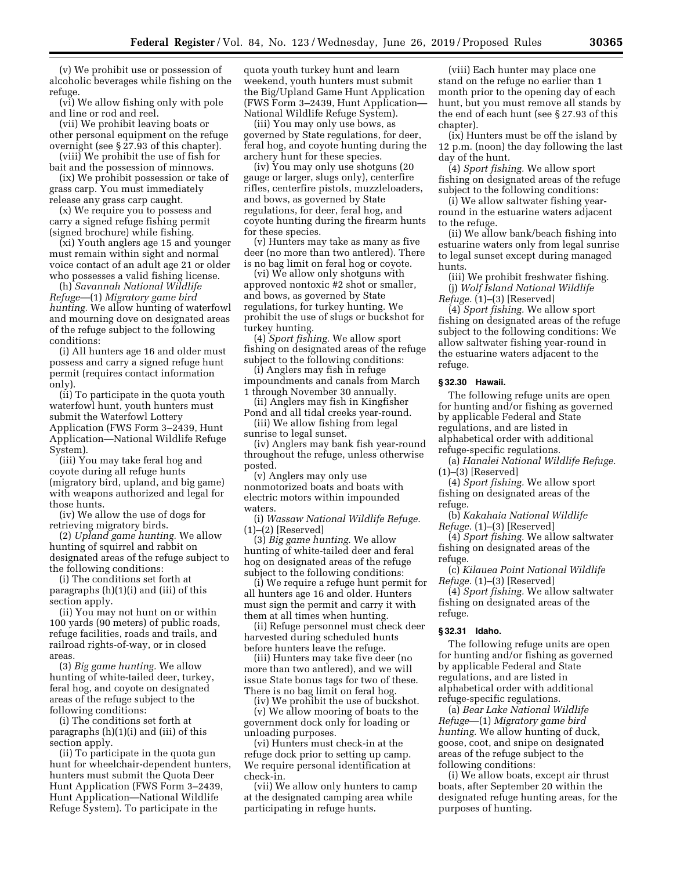(v) We prohibit use or possession of alcoholic beverages while fishing on the refuge.

(vi) We allow fishing only with pole and line or rod and reel.

(vii) We prohibit leaving boats or other personal equipment on the refuge overnight (see § 27.93 of this chapter).

(viii) We prohibit the use of fish for bait and the possession of minnows. (ix) We prohibit possession or take of

grass carp. You must immediately release any grass carp caught.

(x) We require you to possess and carry a signed refuge fishing permit (signed brochure) while fishing.

(xi) Youth anglers age 15 and younger must remain within sight and normal voice contact of an adult age 21 or older who possesses a valid fishing license.

(h) *Savannah National Wildlife Refuge*—(1) *Migratory game bird hunting.* We allow hunting of waterfowl and mourning dove on designated areas of the refuge subject to the following conditions:

(i) All hunters age 16 and older must possess and carry a signed refuge hunt permit (requires contact information only).

(ii) To participate in the quota youth waterfowl hunt, youth hunters must submit the Waterfowl Lottery Application (FWS Form 3–2439, Hunt Application—National Wildlife Refuge System).

(iii) You may take feral hog and coyote during all refuge hunts (migratory bird, upland, and big game) with weapons authorized and legal for those hunts.

(iv) We allow the use of dogs for retrieving migratory birds.

(2) *Upland game hunting.* We allow hunting of squirrel and rabbit on designated areas of the refuge subject to the following conditions:

(i) The conditions set forth at paragraphs (h)(1)(i) and (iii) of this section apply.

(ii) You may not hunt on or within 100 yards (90 meters) of public roads, refuge facilities, roads and trails, and railroad rights-of-way, or in closed areas.

(3) *Big game hunting.* We allow hunting of white-tailed deer, turkey, feral hog, and coyote on designated areas of the refuge subject to the following conditions:

(i) The conditions set forth at paragraphs (h)(1)(i) and (iii) of this section apply.

(ii) To participate in the quota gun hunt for wheelchair-dependent hunters, hunters must submit the Quota Deer Hunt Application (FWS Form 3–2439, Hunt Application—National Wildlife Refuge System). To participate in the

quota youth turkey hunt and learn weekend, youth hunters must submit the Big/Upland Game Hunt Application (FWS Form 3–2439, Hunt Application— National Wildlife Refuge System).

(iii) You may only use bows, as governed by State regulations, for deer, feral hog, and coyote hunting during the archery hunt for these species.

(iv) You may only use shotguns (20 gauge or larger, slugs only), centerfire rifles, centerfire pistols, muzzleloaders, and bows, as governed by State regulations, for deer, feral hog, and coyote hunting during the firearm hunts for these species.

(v) Hunters may take as many as five deer (no more than two antlered). There is no bag limit on feral hog or coyote.

(vi) We allow only shotguns with approved nontoxic #2 shot or smaller, and bows, as governed by State regulations, for turkey hunting. We prohibit the use of slugs or buckshot for turkey hunting.

(4) *Sport fishing.* We allow sport fishing on designated areas of the refuge subject to the following conditions: (i) Anglers may fish in refuge

impoundments and canals from March 1 through November 30 annually.

(ii) Anglers may fish in Kingfisher Pond and all tidal creeks year-round.

(iii) We allow fishing from legal sunrise to legal sunset.

(iv) Anglers may bank fish year-round throughout the refuge, unless otherwise posted.

(v) Anglers may only use nonmotorized boats and boats with electric motors within impounded waters.

(i) *Wassaw National Wildlife Refuge.*   $(1)$ – $(2)$  [Reserved]

(3) *Big game hunting.* We allow hunting of white-tailed deer and feral hog on designated areas of the refuge subject to the following conditions:

(i) We require a refuge hunt permit for all hunters age 16 and older. Hunters must sign the permit and carry it with them at all times when hunting.

(ii) Refuge personnel must check deer harvested during scheduled hunts before hunters leave the refuge.

(iii) Hunters may take five deer (no more than two antlered), and we will issue State bonus tags for two of these. There is no bag limit on feral hog.

(iv) We prohibit the use of buckshot. (v) We allow mooring of boats to the government dock only for loading or unloading purposes.

(vi) Hunters must check-in at the refuge dock prior to setting up camp. We require personal identification at check-in.

(vii) We allow only hunters to camp at the designated camping area while participating in refuge hunts.

(viii) Each hunter may place one stand on the refuge no earlier than 1 month prior to the opening day of each hunt, but you must remove all stands by the end of each hunt (see § 27.93 of this chapter).

(ix) Hunters must be off the island by 12 p.m. (noon) the day following the last day of the hunt.

(4) *Sport fishing.* We allow sport fishing on designated areas of the refuge subject to the following conditions:

(i) We allow saltwater fishing yearround in the estuarine waters adjacent to the refuge.

(ii) We allow bank/beach fishing into estuarine waters only from legal sunrise to legal sunset except during managed hunts.

(iii) We prohibit freshwater fishing. (j) *Wolf Island National Wildlife Refuge.* (1)–(3) [Reserved]

(4) *Sport fishing.* We allow sport fishing on designated areas of the refuge subject to the following conditions: We allow saltwater fishing year-round in the estuarine waters adjacent to the refuge.

#### **§ 32.30 Hawaii.**

The following refuge units are open for hunting and/or fishing as governed by applicable Federal and State regulations, and are listed in alphabetical order with additional refuge-specific regulations.

(a) *Hanalei National Wildlife Refuge.*  (1)–(3) [Reserved]

(4) *Sport fishing.* We allow sport fishing on designated areas of the refuge.

(b) *Kakahaia National Wildlife Refuge.* (1)–(3) [Reserved]

(4) *Sport fishing.* We allow saltwater fishing on designated areas of the refuge.

(c) *Kilauea Point National Wildlife Refuge.* (1)–(3) [Reserved]

(4) *Sport fishing.* We allow saltwater fishing on designated areas of the refuge.

#### **§ 32.31 Idaho.**

The following refuge units are open for hunting and/or fishing as governed by applicable Federal and State regulations, and are listed in alphabetical order with additional refuge-specific regulations.

(a) *Bear Lake National Wildlife Refuge*—(1) *Migratory game bird hunting.* We allow hunting of duck, goose, coot, and snipe on designated areas of the refuge subject to the following conditions:

(i) We allow boats, except air thrust boats, after September 20 within the designated refuge hunting areas, for the purposes of hunting.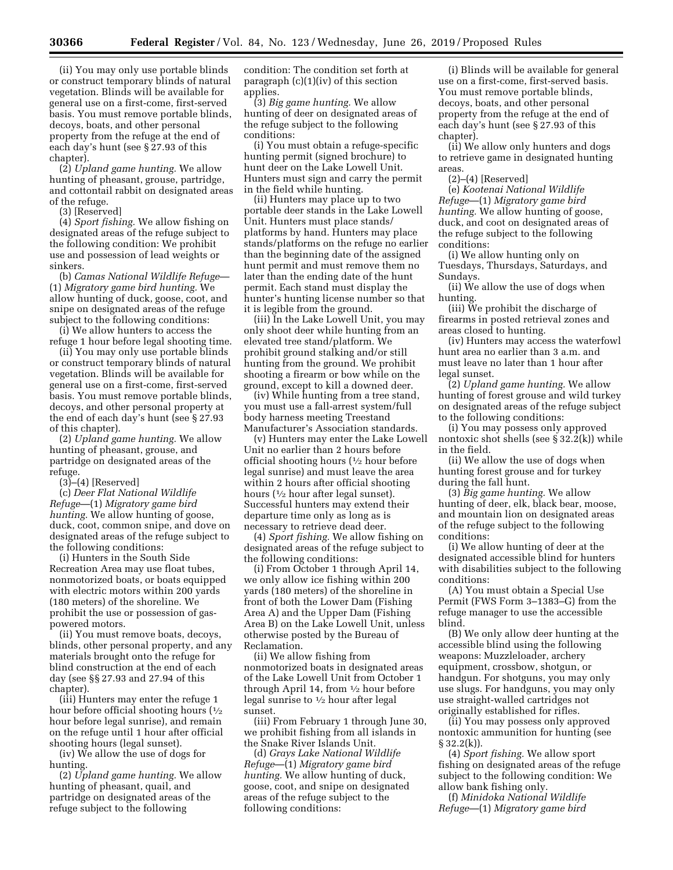(ii) You may only use portable blinds or construct temporary blinds of natural vegetation. Blinds will be available for general use on a first-come, first-served basis. You must remove portable blinds, decoys, boats, and other personal property from the refuge at the end of each day's hunt (see § 27.93 of this chapter).

(2) *Upland game hunting.* We allow hunting of pheasant, grouse, partridge, and cottontail rabbit on designated areas of the refuge.

(3) [Reserved]

(4) *Sport fishing.* We allow fishing on designated areas of the refuge subject to the following condition: We prohibit use and possession of lead weights or sinkers.

(b) *Camas National Wildlife Refuge*— (1) *Migratory game bird hunting.* We allow hunting of duck, goose, coot, and snipe on designated areas of the refuge subject to the following conditions:

(i) We allow hunters to access the refuge 1 hour before legal shooting time.

(ii) You may only use portable blinds or construct temporary blinds of natural vegetation. Blinds will be available for general use on a first-come, first-served basis. You must remove portable blinds, decoys, and other personal property at the end of each day's hunt (see § 27.93 of this chapter).

(2) *Upland game hunting.* We allow hunting of pheasant, grouse, and partridge on designated areas of the refuge.

(3)–(4) [Reserved]

(c) *Deer Flat National Wildlife Refuge*—(1) *Migratory game bird hunting.* We allow hunting of goose, duck, coot, common snipe, and dove on designated areas of the refuge subject to the following conditions:

(i) Hunters in the South Side Recreation Area may use float tubes, nonmotorized boats, or boats equipped with electric motors within 200 yards (180 meters) of the shoreline. We prohibit the use or possession of gaspowered motors.

(ii) You must remove boats, decoys, blinds, other personal property, and any materials brought onto the refuge for blind construction at the end of each day (see §§ 27.93 and 27.94 of this chapter).

(iii) Hunters may enter the refuge 1 hour before official shooting hours  $(1/2)$ hour before legal sunrise), and remain on the refuge until 1 hour after official shooting hours (legal sunset).

(iv) We allow the use of dogs for hunting.

(2) *Upland game hunting.* We allow hunting of pheasant, quail, and partridge on designated areas of the refuge subject to the following

condition: The condition set forth at paragraph (c)(1)(iv) of this section applies.

(3) *Big game hunting.* We allow hunting of deer on designated areas of the refuge subject to the following conditions:

(i) You must obtain a refuge-specific hunting permit (signed brochure) to hunt deer on the Lake Lowell Unit. Hunters must sign and carry the permit in the field while hunting.

(ii) Hunters may place up to two portable deer stands in the Lake Lowell Unit. Hunters must place stands/ platforms by hand. Hunters may place stands/platforms on the refuge no earlier than the beginning date of the assigned hunt permit and must remove them no later than the ending date of the hunt permit. Each stand must display the hunter's hunting license number so that it is legible from the ground.

(iii) In the Lake Lowell Unit, you may only shoot deer while hunting from an elevated tree stand/platform. We prohibit ground stalking and/or still hunting from the ground. We prohibit shooting a firearm or bow while on the ground, except to kill a downed deer.

(iv) While hunting from a tree stand, you must use a fall-arrest system/full body harness meeting Treestand Manufacturer's Association standards.

(v) Hunters may enter the Lake Lowell Unit no earlier than 2 hours before official shooting hours  $(1/2)$  hour before legal sunrise) and must leave the area within 2 hours after official shooting hours (<sup>1</sup>/<sub>2</sub> hour after legal sunset). Successful hunters may extend their departure time only as long as is necessary to retrieve dead deer.

(4) *Sport fishing.* We allow fishing on designated areas of the refuge subject to the following conditions:

(i) From October 1 through April 14, we only allow ice fishing within 200 yards (180 meters) of the shoreline in front of both the Lower Dam (Fishing Area A) and the Upper Dam (Fishing Area B) on the Lake Lowell Unit, unless otherwise posted by the Bureau of Reclamation.

(ii) We allow fishing from nonmotorized boats in designated areas of the Lake Lowell Unit from October 1 through April 14, from  $\frac{1}{2}$  hour before legal sunrise to 1⁄2 hour after legal sunset.

(iii) From February 1 through June 30, we prohibit fishing from all islands in the Snake River Islands Unit.

(d) *Grays Lake National Wildlife Refuge*—(1) *Migratory game bird hunting.* We allow hunting of duck, goose, coot, and snipe on designated areas of the refuge subject to the following conditions:

(i) Blinds will be available for general use on a first-come, first-served basis. You must remove portable blinds, decoys, boats, and other personal property from the refuge at the end of each day's hunt (see § 27.93 of this chapter).

(ii) We allow only hunters and dogs to retrieve game in designated hunting areas.

 $(2)–(4)$  [Reserved]

(e) *Kootenai National Wildlife Refuge*—(1) *Migratory game bird hunting.* We allow hunting of goose, duck, and coot on designated areas of the refuge subject to the following conditions:

(i) We allow hunting only on Tuesdays, Thursdays, Saturdays, and Sundays.

(ii) We allow the use of dogs when hunting.

(iii) We prohibit the discharge of firearms in posted retrieval zones and areas closed to hunting.

(iv) Hunters may access the waterfowl hunt area no earlier than 3 a.m. and must leave no later than 1 hour after legal sunset.

(2) *Upland game hunting.* We allow hunting of forest grouse and wild turkey on designated areas of the refuge subject to the following conditions:

(i) You may possess only approved nontoxic shot shells (see § 32.2(k)) while in the field.

(ii) We allow the use of dogs when hunting forest grouse and for turkey during the fall hunt.

(3) *Big game hunting.* We allow hunting of deer, elk, black bear, moose, and mountain lion on designated areas of the refuge subject to the following conditions:

(i) We allow hunting of deer at the designated accessible blind for hunters with disabilities subject to the following conditions:

(A) You must obtain a Special Use Permit (FWS Form 3–1383–G) from the refuge manager to use the accessible blind.

(B) We only allow deer hunting at the accessible blind using the following weapons: Muzzleloader, archery equipment, crossbow, shotgun, or handgun. For shotguns, you may only use slugs. For handguns, you may only use straight-walled cartridges not originally established for rifles.

(ii) You may possess only approved nontoxic ammunition for hunting (see § 32.2(k)).

(4) *Sport fishing.* We allow sport fishing on designated areas of the refuge subject to the following condition: We allow bank fishing only.

(f) *Minidoka National Wildlife Refuge*—(1) *Migratory game bird*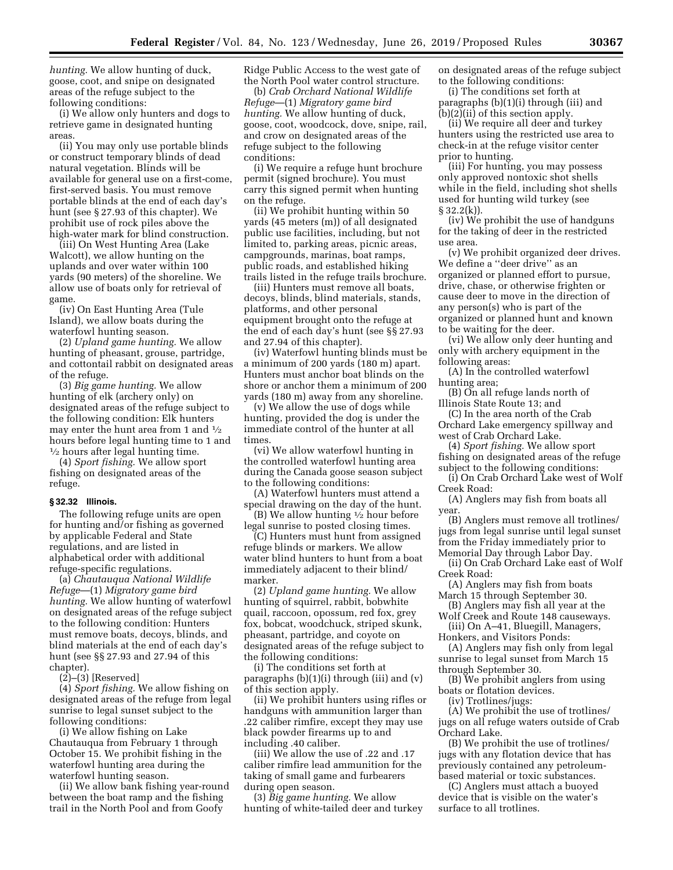*hunting.* We allow hunting of duck, goose, coot, and snipe on designated areas of the refuge subject to the following conditions:

(i) We allow only hunters and dogs to retrieve game in designated hunting areas.

(ii) You may only use portable blinds or construct temporary blinds of dead natural vegetation. Blinds will be available for general use on a first-come, first-served basis. You must remove portable blinds at the end of each day's hunt (see § 27.93 of this chapter). We prohibit use of rock piles above the high-water mark for blind construction.

(iii) On West Hunting Area (Lake Walcott), we allow hunting on the uplands and over water within 100 yards (90 meters) of the shoreline. We allow use of boats only for retrieval of game.

(iv) On East Hunting Area (Tule Island), we allow boats during the waterfowl hunting season.

(2) *Upland game hunting.* We allow hunting of pheasant, grouse, partridge, and cottontail rabbit on designated areas of the refuge.

(3) *Big game hunting.* We allow hunting of elk (archery only) on designated areas of the refuge subject to the following condition: Elk hunters may enter the hunt area from 1 and 1⁄2 hours before legal hunting time to 1 and  $\frac{1}{2}$  hours after legal hunting time.

(4) *Sport fishing.* We allow sport fishing on designated areas of the refuge.

# **§ 32.32 Illinois.**

The following refuge units are open for hunting and/or fishing as governed by applicable Federal and State regulations, and are listed in alphabetical order with additional refuge-specific regulations.

(a) *Chautauqua National Wildlife Refuge*—(1) *Migratory game bird hunting.* We allow hunting of waterfowl on designated areas of the refuge subject to the following condition: Hunters must remove boats, decoys, blinds, and blind materials at the end of each day's hunt (see §§ 27.93 and 27.94 of this chapter).

(2)–(3) [Reserved]

(4) *Sport fishing.* We allow fishing on designated areas of the refuge from legal sunrise to legal sunset subject to the following conditions:

(i) We allow fishing on Lake Chautauqua from February 1 through October 15. We prohibit fishing in the waterfowl hunting area during the waterfowl hunting season.

(ii) We allow bank fishing year-round between the boat ramp and the fishing trail in the North Pool and from Goofy

Ridge Public Access to the west gate of the North Pool water control structure.

(b) *Crab Orchard National Wildlife Refuge*—(1) *Migratory game bird hunting.* We allow hunting of duck, goose, coot, woodcock, dove, snipe, rail, and crow on designated areas of the refuge subject to the following conditions:

(i) We require a refuge hunt brochure permit (signed brochure). You must carry this signed permit when hunting on the refuge.

(ii) We prohibit hunting within 50 yards (45 meters (m)) of all designated public use facilities, including, but not limited to, parking areas, picnic areas, campgrounds, marinas, boat ramps, public roads, and established hiking trails listed in the refuge trails brochure.

(iii) Hunters must remove all boats, decoys, blinds, blind materials, stands, platforms, and other personal equipment brought onto the refuge at the end of each day's hunt (see §§ 27.93 and 27.94 of this chapter).

(iv) Waterfowl hunting blinds must be a minimum of 200 yards (180 m) apart. Hunters must anchor boat blinds on the shore or anchor them a minimum of 200 yards (180 m) away from any shoreline.

(v) We allow the use of dogs while hunting, provided the dog is under the immediate control of the hunter at all times.

(vi) We allow waterfowl hunting in the controlled waterfowl hunting area during the Canada goose season subject to the following conditions:

(A) Waterfowl hunters must attend a special drawing on the day of the hunt.

(B) We allow hunting  $\frac{1}{2}$  hour before legal sunrise to posted closing times.

(C) Hunters must hunt from assigned refuge blinds or markers. We allow water blind hunters to hunt from a boat immediately adjacent to their blind/ marker.

(2) *Upland game hunting.* We allow hunting of squirrel, rabbit, bobwhite quail, raccoon, opossum, red fox, grey fox, bobcat, woodchuck, striped skunk, pheasant, partridge, and coyote on designated areas of the refuge subject to the following conditions:

(i) The conditions set forth at paragraphs (b)(1)(i) through (iii) and (v) of this section apply.

(ii) We prohibit hunters using rifles or handguns with ammunition larger than .22 caliber rimfire, except they may use black powder firearms up to and including .40 caliber.

(iii) We allow the use of .22 and .17 caliber rimfire lead ammunition for the taking of small game and furbearers during open season.

(3) *Big game hunting.* We allow hunting of white-tailed deer and turkey on designated areas of the refuge subject to the following conditions:

(i) The conditions set forth at paragraphs (b)(1)(i) through (iii) and  $(b)(2)$ (ii) of this section apply.

(ii) We require all deer and turkey hunters using the restricted use area to check-in at the refuge visitor center prior to hunting.

(iii) For hunting, you may possess only approved nontoxic shot shells while in the field, including shot shells used for hunting wild turkey (see § 32.2(k)).

(iv) We prohibit the use of handguns for the taking of deer in the restricted use area.

(v) We prohibit organized deer drives. We define a ''deer drive'' as an organized or planned effort to pursue, drive, chase, or otherwise frighten or cause deer to move in the direction of any person(s) who is part of the organized or planned hunt and known to be waiting for the deer.

(vi) We allow only deer hunting and only with archery equipment in the following areas:

(A) In the controlled waterfowl hunting area;

(B) On all refuge lands north of Illinois State Route 13; and

(C) In the area north of the Crab Orchard Lake emergency spillway and west of Crab Orchard Lake.

- (4) *Sport fishing.* We allow sport fishing on designated areas of the refuge
- subject to the following conditions: (i) On Crab Orchard Lake west of Wolf Creek Road:

(A) Anglers may fish from boats all year.

(B) Anglers must remove all trotlines/ jugs from legal sunrise until legal sunset from the Friday immediately prior to Memorial Day through Labor Day.

(ii) On Crab Orchard Lake east of Wolf Creek Road:

(A) Anglers may fish from boats March 15 through September 30.

(B) Anglers may fish all year at the Wolf Creek and Route 148 causeways.

(iii) On A–41, Bluegill, Managers, Honkers, and Visitors Ponds:

(A) Anglers may fish only from legal sunrise to legal sunset from March 15 through September 30.

(B) We prohibit anglers from using boats or flotation devices.

(iv) Trotlines/jugs:

(A) We prohibit the use of trotlines/ jugs on all refuge waters outside of Crab Orchard Lake.

(B) We prohibit the use of trotlines/ jugs with any flotation device that has previously contained any petroleumbased material or toxic substances.

(C) Anglers must attach a buoyed device that is visible on the water's surface to all trotlines.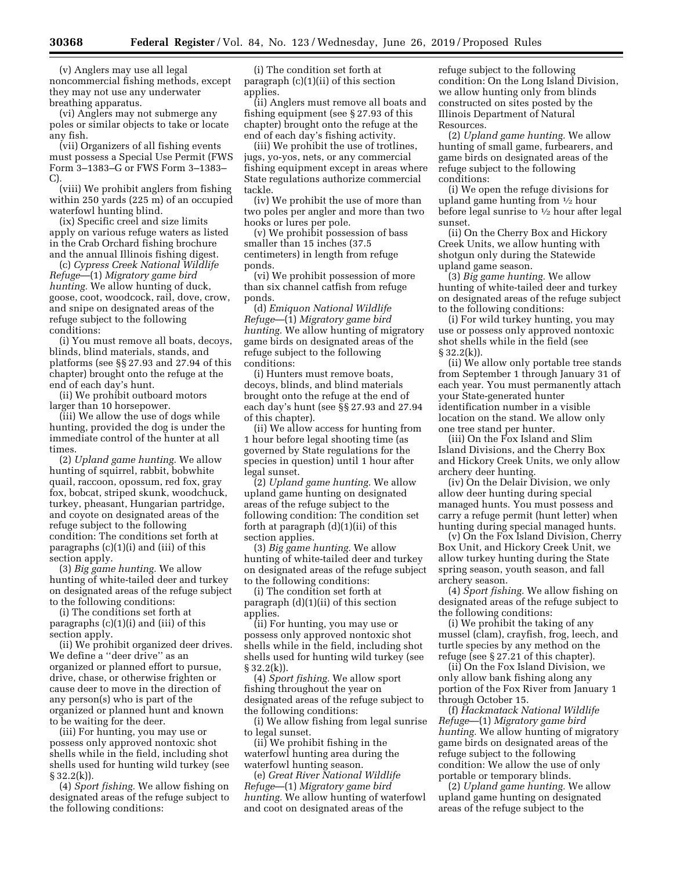(v) Anglers may use all legal noncommercial fishing methods, except they may not use any underwater breathing apparatus.

(vi) Anglers may not submerge any poles or similar objects to take or locate any fish.

(vii) Organizers of all fishing events must possess a Special Use Permit (FWS Form 3–1383–G or FWS Form 3–1383– C).

(viii) We prohibit anglers from fishing within 250 yards (225 m) of an occupied waterfowl hunting blind.

(ix) Specific creel and size limits apply on various refuge waters as listed in the Crab Orchard fishing brochure and the annual Illinois fishing digest.

(c) *Cypress Creek National Wildlife Refuge*—(1) *Migratory game bird hunting.* We allow hunting of duck, goose, coot, woodcock, rail, dove, crow, and snipe on designated areas of the refuge subject to the following conditions:

(i) You must remove all boats, decoys, blinds, blind materials, stands, and platforms (see §§ 27.93 and 27.94 of this chapter) brought onto the refuge at the end of each day's hunt.

(ii) We prohibit outboard motors larger than 10 horsepower.

(iii) We allow the use of dogs while hunting, provided the dog is under the immediate control of the hunter at all times.

(2) *Upland game hunting.* We allow hunting of squirrel, rabbit, bobwhite quail, raccoon, opossum, red fox, gray fox, bobcat, striped skunk, woodchuck, turkey, pheasant, Hungarian partridge, and coyote on designated areas of the refuge subject to the following condition: The conditions set forth at paragraphs (c)(1)(i) and (iii) of this section apply.

(3) *Big game hunting.* We allow hunting of white-tailed deer and turkey on designated areas of the refuge subject to the following conditions:

(i) The conditions set forth at paragraphs (c)(1)(i) and (iii) of this section apply.

(ii) We prohibit organized deer drives. We define a ''deer drive'' as an organized or planned effort to pursue, drive, chase, or otherwise frighten or cause deer to move in the direction of any person(s) who is part of the organized or planned hunt and known to be waiting for the deer.

(iii) For hunting, you may use or possess only approved nontoxic shot shells while in the field, including shot shells used for hunting wild turkey (see  $§ 32.2(k)$ .

(4) *Sport fishing.* We allow fishing on designated areas of the refuge subject to the following conditions:

(i) The condition set forth at paragraph (c)(1)(ii) of this section applies.

(ii) Anglers must remove all boats and fishing equipment (see § 27.93 of this chapter) brought onto the refuge at the end of each day's fishing activity.

(iii) We prohibit the use of trotlines, jugs, yo-yos, nets, or any commercial fishing equipment except in areas where State regulations authorize commercial tackle.

(iv) We prohibit the use of more than two poles per angler and more than two hooks or lures per pole.

(v) We prohibit possession of bass smaller than 15 inches (37.5 centimeters) in length from refuge ponds.

(vi) We prohibit possession of more than six channel catfish from refuge ponds.

(d) *Emiquon National Wildlife Refuge*—(1) *Migratory game bird hunting.* We allow hunting of migratory game birds on designated areas of the refuge subject to the following conditions:

(i) Hunters must remove boats, decoys, blinds, and blind materials brought onto the refuge at the end of each day's hunt (see §§ 27.93 and 27.94 of this chapter).

(ii) We allow access for hunting from 1 hour before legal shooting time (as governed by State regulations for the species in question) until 1 hour after legal sunset.

(2) *Upland game hunting.* We allow upland game hunting on designated areas of the refuge subject to the following condition: The condition set forth at paragraph (d)(1)(ii) of this section applies.

(3) *Big game hunting.* We allow hunting of white-tailed deer and turkey on designated areas of the refuge subject to the following conditions:

(i) The condition set forth at paragraph (d)(1)(ii) of this section applies.

(ii) For hunting, you may use or possess only approved nontoxic shot shells while in the field, including shot shells used for hunting wild turkey (see § 32.2(k)).

(4) *Sport fishing.* We allow sport fishing throughout the year on designated areas of the refuge subject to the following conditions:

(i) We allow fishing from legal sunrise to legal sunset.

(ii) We prohibit fishing in the waterfowl hunting area during the waterfowl hunting season.

(e) *Great River National Wildlife Refuge*—(1) *Migratory game bird hunting.* We allow hunting of waterfowl and coot on designated areas of the

refuge subject to the following condition: On the Long Island Division, we allow hunting only from blinds constructed on sites posted by the Illinois Department of Natural Resources.

(2) *Upland game hunting.* We allow hunting of small game, furbearers, and game birds on designated areas of the refuge subject to the following conditions:

(i) We open the refuge divisions for upland game hunting from 1⁄2 hour before legal sunrise to 1⁄2 hour after legal sunset.

(ii) On the Cherry Box and Hickory Creek Units, we allow hunting with shotgun only during the Statewide upland game season.

(3) *Big game hunting.* We allow hunting of white-tailed deer and turkey on designated areas of the refuge subject to the following conditions:

(i) For wild turkey hunting, you may use or possess only approved nontoxic shot shells while in the field (see  $§ 32.2(k)$ .

(ii) We allow only portable tree stands from September 1 through January 31 of each year. You must permanently attach your State-generated hunter identification number in a visible location on the stand. We allow only one tree stand per hunter.

(iii) On the Fox Island and Slim Island Divisions, and the Cherry Box and Hickory Creek Units, we only allow archery deer hunting.

(iv) On the Delair Division, we only allow deer hunting during special managed hunts. You must possess and carry a refuge permit (hunt letter) when hunting during special managed hunts.

(v) On the Fox Island Division, Cherry Box Unit, and Hickory Creek Unit, we allow turkey hunting during the State spring season, youth season, and fall archery season.

(4) *Sport fishing.* We allow fishing on designated areas of the refuge subject to the following conditions:

(i) We prohibit the taking of any mussel (clam), crayfish, frog, leech, and turtle species by any method on the refuge (see § 27.21 of this chapter).

(ii) On the Fox Island Division, we only allow bank fishing along any portion of the Fox River from January 1 through October 15.

(f) *Hackmatack National Wildlife Refuge*—(1) *Migratory game bird hunting.* We allow hunting of migratory game birds on designated areas of the refuge subject to the following condition: We allow the use of only portable or temporary blinds.

(2) *Upland game hunting.* We allow upland game hunting on designated areas of the refuge subject to the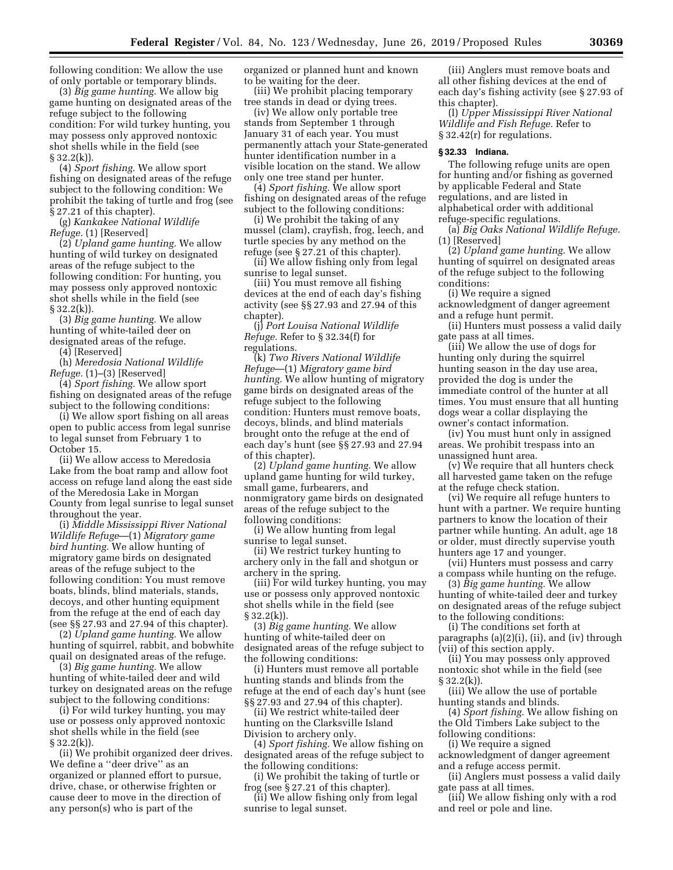following condition: We allow the use of only portable or temporary blinds.

(3) *Big game hunting.* We allow big game hunting on designated areas of the refuge subject to the following condition: For wild turkey hunting, you may possess only approved nontoxic shot shells while in the field (see  $§ 32.2(k)$ .

(4) *Sport fishing.* We allow sport fishing on designated areas of the refuge subject to the following condition: We prohibit the taking of turtle and frog (see § 27.21 of this chapter).

(g) *Kankakee National Wildlife Refuge.* (1) [Reserved]

(2) *Upland game hunting.* We allow hunting of wild turkey on designated areas of the refuge subject to the following condition: For hunting, you may possess only approved nontoxic shot shells while in the field (see § 32.2(k)).

(3) *Big game hunting.* We allow hunting of white-tailed deer on designated areas of the refuge.

(4) [Reserved]

(h) *Meredosia National Wildlife Refuge.* (1)–(3) [Reserved]

(4) *Sport fishing.* We allow sport fishing on designated areas of the refuge subject to the following conditions:

(i) We allow sport fishing on all areas open to public access from legal sunrise to legal sunset from February 1 to October 15.

(ii) We allow access to Meredosia Lake from the boat ramp and allow foot access on refuge land along the east side of the Meredosia Lake in Morgan County from legal sunrise to legal sunset throughout the year.

(i) *Middle Mississippi River National Wildlife Refuge*—(1) *Migratory game bird hunting.* We allow hunting of migratory game birds on designated areas of the refuge subject to the following condition: You must remove boats, blinds, blind materials, stands, decoys, and other hunting equipment from the refuge at the end of each day (see §§ 27.93 and 27.94 of this chapter).

(2) *Upland game hunting.* We allow hunting of squirrel, rabbit, and bobwhite quail on designated areas of the refuge.

(3) *Big game hunting.* We allow hunting of white-tailed deer and wild turkey on designated areas on the refuge subject to the following conditions:

(i) For wild turkey hunting, you may use or possess only approved nontoxic shot shells while in the field (see  $§ 32.2(k)$ .

(ii) We prohibit organized deer drives. We define a ''deer drive'' as an organized or planned effort to pursue, drive, chase, or otherwise frighten or cause deer to move in the direction of any person(s) who is part of the

organized or planned hunt and known to be waiting for the deer.

(iii) We prohibit placing temporary tree stands in dead or dying trees.

(iv) We allow only portable tree stands from September 1 through January 31 of each year. You must permanently attach your State-generated hunter identification number in a visible location on the stand. We allow only one tree stand per hunter.

(4) *Sport fishing.* We allow sport fishing on designated areas of the refuge subject to the following conditions:

(i) We prohibit the taking of any mussel (clam), crayfish, frog, leech, and turtle species by any method on the refuge (see § 27.21 of this chapter).

(ii) We allow fishing only from legal sunrise to legal sunset.

(iii) You must remove all fishing devices at the end of each day's fishing activity (see §§ 27.93 and 27.94 of this chapter).

(j) *Port Louisa National Wildlife Refuge.* Refer to § 32.34(f) for regulations.

(k) *Two Rivers National Wildlife Refuge*—(1) *Migratory game bird hunting.* We allow hunting of migratory game birds on designated areas of the refuge subject to the following condition: Hunters must remove boats, decoys, blinds, and blind materials brought onto the refuge at the end of each day's hunt (see §§ 27.93 and 27.94 of this chapter).

(2) *Upland game hunting.* We allow upland game hunting for wild turkey, small game, furbearers, and nonmigratory game birds on designated areas of the refuge subject to the following conditions:

(i) We allow hunting from legal sunrise to legal sunset.

(ii) We restrict turkey hunting to archery only in the fall and shotgun or archery in the spring.

(iii) For wild turkey hunting, you may use or possess only approved nontoxic shot shells while in the field (see § 32.2(k)).

(3) *Big game hunting.* We allow hunting of white-tailed deer on designated areas of the refuge subject to the following conditions:

(i) Hunters must remove all portable hunting stands and blinds from the refuge at the end of each day's hunt (see §§ 27.93 and 27.94 of this chapter).

(ii) We restrict white-tailed deer hunting on the Clarksville Island Division to archery only.

(4) *Sport fishing.* We allow fishing on designated areas of the refuge subject to the following conditions:

(i) We prohibit the taking of turtle or frog (see § 27.21 of this chapter).

(ii) We allow fishing only from legal sunrise to legal sunset.

(iii) Anglers must remove boats and all other fishing devices at the end of each day's fishing activity (see § 27.93 of this chapter).

(l) *Upper Mississippi River National Wildlife and Fish Refuge.* Refer to § 32.42(r) for regulations.

#### **§ 32.33 Indiana.**

The following refuge units are open for hunting and/or fishing as governed by applicable Federal and State regulations, and are listed in alphabetical order with additional refuge-specific regulations.

(a) *Big Oaks National Wildlife Refuge.*  (1) [Reserved]

(2) *Upland game hunting.* We allow hunting of squirrel on designated areas of the refuge subject to the following conditions:

(i) We require a signed acknowledgment of danger agreement and a refuge hunt permit.

(ii) Hunters must possess a valid daily gate pass at all times.

(iii) We allow the use of dogs for hunting only during the squirrel hunting season in the day use area, provided the dog is under the immediate control of the hunter at all times. You must ensure that all hunting dogs wear a collar displaying the owner's contact information.

(iv) You must hunt only in assigned areas. We prohibit trespass into an unassigned hunt area.

(v) We require that all hunters check all harvested game taken on the refuge at the refuge check station.

(vi) We require all refuge hunters to hunt with a partner. We require hunting partners to know the location of their partner while hunting. An adult, age 18 or older, must directly supervise youth hunters age 17 and younger.

(vii) Hunters must possess and carry a compass while hunting on the refuge.

(3) *Big game hunting.* We allow hunting of white-tailed deer and turkey on designated areas of the refuge subject to the following conditions:

(i) The conditions set forth at paragraphs (a)(2)(i), (ii), and (iv) through (vii) of this section apply.

(ii) You may possess only approved nontoxic shot while in the field (see § 32.2(k)).

(iii) We allow the use of portable hunting stands and blinds.

(4) *Sport fishing.* We allow fishing on the Old Timbers Lake subject to the

following conditions:

(i) We require a signed acknowledgment of danger agreement and a refuge access permit.

(ii) Anglers must possess a valid daily gate pass at all times.

(iii) We allow fishing only with a rod and reel or pole and line.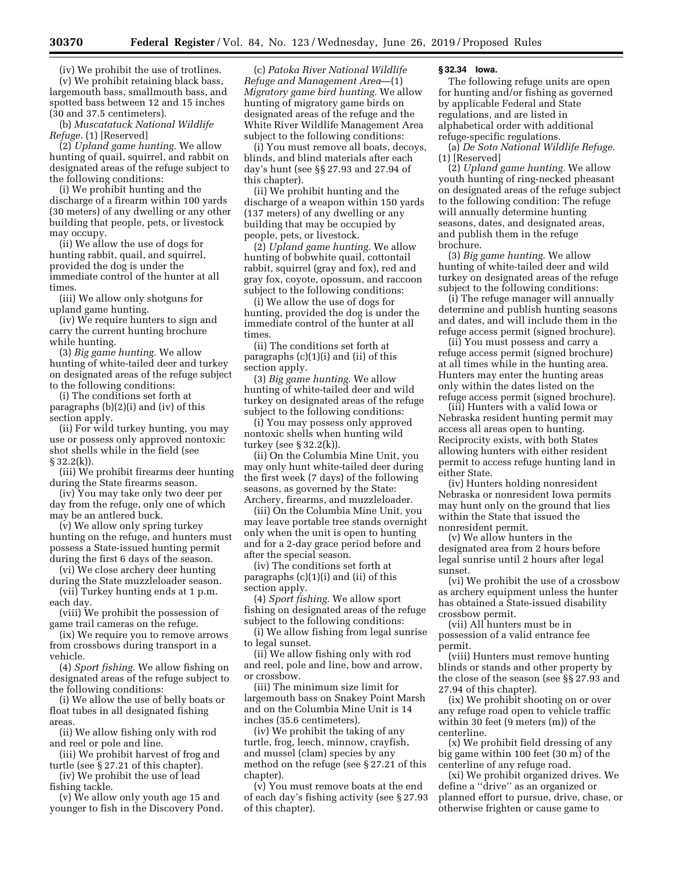(iv) We prohibit the use of trotlines. (v) We prohibit retaining black bass, largemouth bass, smallmouth bass, and spotted bass between 12 and 15 inches (30 and 37.5 centimeters).

(b) *Muscatatuck National Wildlife Refuge.* (1) [Reserved]

(2) *Upland game hunting.* We allow hunting of quail, squirrel, and rabbit on designated areas of the refuge subject to the following conditions:

(i) We prohibit hunting and the discharge of a firearm within 100 yards (30 meters) of any dwelling or any other building that people, pets, or livestock may occupy.

(ii) We allow the use of dogs for hunting rabbit, quail, and squirrel, provided the dog is under the immediate control of the hunter at all times.

(iii) We allow only shotguns for upland game hunting.

(iv) We require hunters to sign and carry the current hunting brochure while hunting.

(3) *Big game hunting.* We allow hunting of white-tailed deer and turkey on designated areas of the refuge subject to the following conditions:

(i) The conditions set forth at paragraphs (b)(2)(i) and (iv) of this section apply.

(ii) For wild turkey hunting, you may use or possess only approved nontoxic shot shells while in the field (see § 32.2(k)).

(iii) We prohibit firearms deer hunting during the State firearms season.

(iv) You may take only two deer per day from the refuge, only one of which may be an antlered buck.

(v) We allow only spring turkey hunting on the refuge, and hunters must possess a State-issued hunting permit during the first 6 days of the season.

(vi) We close archery deer hunting during the State muzzleloader season.

(vii) Turkey hunting ends at 1 p.m. each day.

(viii) We prohibit the possession of game trail cameras on the refuge.

(ix) We require you to remove arrows from crossbows during transport in a vehicle.

(4) *Sport fishing.* We allow fishing on designated areas of the refuge subject to the following conditions:

(i) We allow the use of belly boats or float tubes in all designated fishing areas.

(ii) We allow fishing only with rod and reel or pole and line.

(iii) We prohibit harvest of frog and turtle (see § 27.21 of this chapter).

(iv) We prohibit the use of lead fishing tackle.

(v) We allow only youth age 15 and younger to fish in the Discovery Pond.

(c) *Patoka River National Wildlife Refuge and Management Area*—(1) *Migratory game bird hunting.* We allow hunting of migratory game birds on designated areas of the refuge and the White River Wildlife Management Area subject to the following conditions:

(i) You must remove all boats, decoys, blinds, and blind materials after each day's hunt (see §§ 27.93 and 27.94 of this chapter).

(ii) We prohibit hunting and the discharge of a weapon within 150 yards (137 meters) of any dwelling or any building that may be occupied by people, pets, or livestock.

(2) *Upland game hunting.* We allow hunting of bobwhite quail, cottontail rabbit, squirrel (gray and fox), red and gray fox, coyote, opossum, and raccoon subject to the following conditions:

(i) We allow the use of dogs for hunting, provided the dog is under the immediate control of the hunter at all times.

(ii) The conditions set forth at paragraphs  $(c)(1)(i)$  and  $(ii)$  of this section apply.

(3) *Big game hunting.* We allow hunting of white-tailed deer and wild turkey on designated areas of the refuge subject to the following conditions:

(i) You may possess only approved nontoxic shells when hunting wild turkey (see § 32.2(k)).

(ii) On the Columbia Mine Unit, you may only hunt white-tailed deer during the first week (7 days) of the following seasons, as governed by the State: Archery, firearms, and muzzleloader.

(iii) On the Columbia Mine Unit, you may leave portable tree stands overnight only when the unit is open to hunting and for a 2-day grace period before and after the special season.

(iv) The conditions set forth at paragraphs (c)(1)(i) and (ii) of this section apply.

(4) *Sport fishing.* We allow sport fishing on designated areas of the refuge subject to the following conditions:

(i) We allow fishing from legal sunrise to legal sunset.

(ii) We allow fishing only with rod and reel, pole and line, bow and arrow, or crossbow.

(iii) The minimum size limit for largemouth bass on Snakey Point Marsh and on the Columbia Mine Unit is 14 inches (35.6 centimeters).

(iv) We prohibit the taking of any turtle, frog, leech, minnow, crayfish, and mussel (clam) species by any method on the refuge (see § 27.21 of this chapter).

(v) You must remove boats at the end of each day's fishing activity (see § 27.93 of this chapter).

### **§ 32.34 Iowa.**

The following refuge units are open for hunting and/or fishing as governed by applicable Federal and State regulations, and are listed in alphabetical order with additional refuge-specific regulations.

(a) *De Soto National Wildlife Refuge.*  (1) [Reserved]

(2) *Upland game hunting.* We allow youth hunting of ring-necked pheasant on designated areas of the refuge subject to the following condition: The refuge will annually determine hunting seasons, dates, and designated areas, and publish them in the refuge brochure.

(3) *Big game hunting.* We allow hunting of white-tailed deer and wild turkey on designated areas of the refuge subject to the following conditions:

(i) The refuge manager will annually determine and publish hunting seasons and dates, and will include them in the refuge access permit (signed brochure).

(ii) You must possess and carry a refuge access permit (signed brochure) at all times while in the hunting area. Hunters may enter the hunting areas only within the dates listed on the refuge access permit (signed brochure).

(iii) Hunters with a valid Iowa or Nebraska resident hunting permit may access all areas open to hunting. Reciprocity exists, with both States allowing hunters with either resident permit to access refuge hunting land in either State.

(iv) Hunters holding nonresident Nebraska or nonresident Iowa permits may hunt only on the ground that lies within the State that issued the nonresident permit.

(v) We allow hunters in the designated area from 2 hours before legal sunrise until 2 hours after legal sunset.

(vi) We prohibit the use of a crossbow as archery equipment unless the hunter has obtained a State-issued disability crossbow permit.

(vii) All hunters must be in possession of a valid entrance fee permit.

(viii) Hunters must remove hunting blinds or stands and other property by the close of the season (see §§ 27.93 and 27.94 of this chapter).

(ix) We prohibit shooting on or over any refuge road open to vehicle traffic within 30 feet (9 meters (m)) of the centerline.

(x) We prohibit field dressing of any big game within 100 feet (30 m) of the centerline of any refuge road.

(xi) We prohibit organized drives. We define a ''drive'' as an organized or planned effort to pursue, drive, chase, or otherwise frighten or cause game to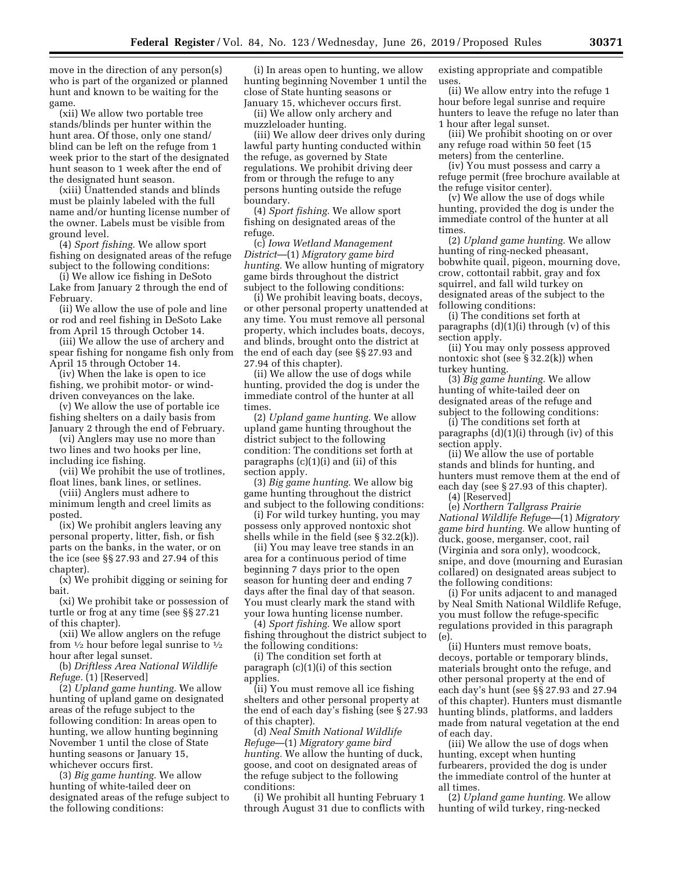move in the direction of any person(s) who is part of the organized or planned hunt and known to be waiting for the game.

(xii) We allow two portable tree stands/blinds per hunter within the hunt area. Of those, only one stand/ blind can be left on the refuge from 1 week prior to the start of the designated hunt season to 1 week after the end of the designated hunt season.

(xiii) Unattended stands and blinds must be plainly labeled with the full name and/or hunting license number of the owner. Labels must be visible from ground level.

(4) *Sport fishing.* We allow sport fishing on designated areas of the refuge subject to the following conditions:

(i) We allow ice fishing in DeSoto Lake from January 2 through the end of February.

(ii) We allow the use of pole and line or rod and reel fishing in DeSoto Lake from April 15 through October 14.

(iii) We allow the use of archery and spear fishing for nongame fish only from April 15 through October 14.

(iv) When the lake is open to ice fishing, we prohibit motor- or winddriven conveyances on the lake.

(v) We allow the use of portable ice fishing shelters on a daily basis from January 2 through the end of February.

(vi) Anglers may use no more than two lines and two hooks per line, including ice fishing.

(vii) We prohibit the use of trotlines, float lines, bank lines, or setlines.

(viii) Anglers must adhere to minimum length and creel limits as posted.

(ix) We prohibit anglers leaving any personal property, litter, fish, or fish parts on the banks, in the water, or on the ice (see §§ 27.93 and 27.94 of this chapter).

(x) We prohibit digging or seining for bait.

(xi) We prohibit take or possession of turtle or frog at any time (see §§ 27.21 of this chapter).

(xii) We allow anglers on the refuge from  $\frac{1}{2}$  hour before legal sunrise to  $\frac{1}{2}$ hour after legal sunset.

(b) *Driftless Area National Wildlife Refuge.* (1) [Reserved]

(2) *Upland game hunting.* We allow hunting of upland game on designated areas of the refuge subject to the following condition: In areas open to hunting, we allow hunting beginning November 1 until the close of State hunting seasons or January 15, whichever occurs first.

(3) *Big game hunting.* We allow hunting of white-tailed deer on designated areas of the refuge subject to the following conditions:

(i) In areas open to hunting, we allow hunting beginning November 1 until the close of State hunting seasons or January 15, whichever occurs first.

(ii) We allow only archery and muzzleloader hunting.

(iii) We allow deer drives only during lawful party hunting conducted within the refuge, as governed by State regulations. We prohibit driving deer from or through the refuge to any persons hunting outside the refuge boundary.

(4) *Sport fishing.* We allow sport fishing on designated areas of the refuge.

(c) *Iowa Wetland Management District*—(1) *Migratory game bird hunting.* We allow hunting of migratory game birds throughout the district subject to the following conditions:

(i) We prohibit leaving boats, decoys, or other personal property unattended at any time. You must remove all personal property, which includes boats, decoys, and blinds, brought onto the district at the end of each day (see §§ 27.93 and 27.94 of this chapter).

(ii) We allow the use of dogs while hunting, provided the dog is under the immediate control of the hunter at all times.

(2) *Upland game hunting.* We allow upland game hunting throughout the district subject to the following condition: The conditions set forth at paragraphs  $(c)(1)(i)$  and  $(ii)$  of this section apply.

(3) *Big game hunting.* We allow big game hunting throughout the district and subject to the following conditions:

(i) For wild turkey hunting, you may possess only approved nontoxic shot shells while in the field (see § 32.2(k)).

(ii) You may leave tree stands in an area for a continuous period of time beginning 7 days prior to the open season for hunting deer and ending 7 days after the final day of that season. You must clearly mark the stand with your Iowa hunting license number.

(4) *Sport fishing.* We allow sport fishing throughout the district subject to the following conditions:

(i) The condition set forth at paragraph (c)(1)(i) of this section applies.

(ii) You must remove all ice fishing shelters and other personal property at the end of each day's fishing (see § 27.93 of this chapter).

(d) *Neal Smith National Wildlife Refuge*—(1) *Migratory game bird hunting.* We allow the hunting of duck, goose, and coot on designated areas of the refuge subject to the following conditions:

(i) We prohibit all hunting February 1 through August 31 due to conflicts with

existing appropriate and compatible uses.

(ii) We allow entry into the refuge 1 hour before legal sunrise and require hunters to leave the refuge no later than 1 hour after legal sunset.

(iii) We prohibit shooting on or over any refuge road within 50 feet (15 meters) from the centerline.

(iv) You must possess and carry a refuge permit (free brochure available at the refuge visitor center).

(v) We allow the use of dogs while hunting, provided the dog is under the immediate control of the hunter at all times

(2) *Upland game hunting.* We allow hunting of ring-necked pheasant, bobwhite quail, pigeon, mourning dove, crow, cottontail rabbit, gray and fox squirrel, and fall wild turkey on designated areas of the subject to the following conditions:

(i) The conditions set forth at paragraphs  $(d)(1)(i)$  through  $(v)$  of this section apply.

(ii) You may only possess approved nontoxic shot (see § 32.2(k)) when turkey hunting.

(3) *Big game hunting.* We allow hunting of white-tailed deer on designated areas of the refuge and subject to the following conditions:

(i) The conditions set forth at paragraphs (d)(1)(i) through (iv) of this section apply.

(ii) We allow the use of portable stands and blinds for hunting, and hunters must remove them at the end of each day (see § 27.93 of this chapter).

(4) [Reserved]

(e) *Northern Tallgrass Prairie National Wildlife Refuge*—(1) *Migratory game bird hunting.* We allow hunting of duck, goose, merganser, coot, rail (Virginia and sora only), woodcock, snipe, and dove (mourning and Eurasian collared) on designated areas subject to the following conditions:

(i) For units adjacent to and managed by Neal Smith National Wildlife Refuge, you must follow the refuge-specific regulations provided in this paragraph (e).

(ii) Hunters must remove boats, decoys, portable or temporary blinds, materials brought onto the refuge, and other personal property at the end of each day's hunt (see §§ 27.93 and 27.94 of this chapter). Hunters must dismantle hunting blinds, platforms, and ladders made from natural vegetation at the end of each day.

(iii) We allow the use of dogs when hunting, except when hunting furbearers, provided the dog is under the immediate control of the hunter at all times.

(2) *Upland game hunting.* We allow hunting of wild turkey, ring-necked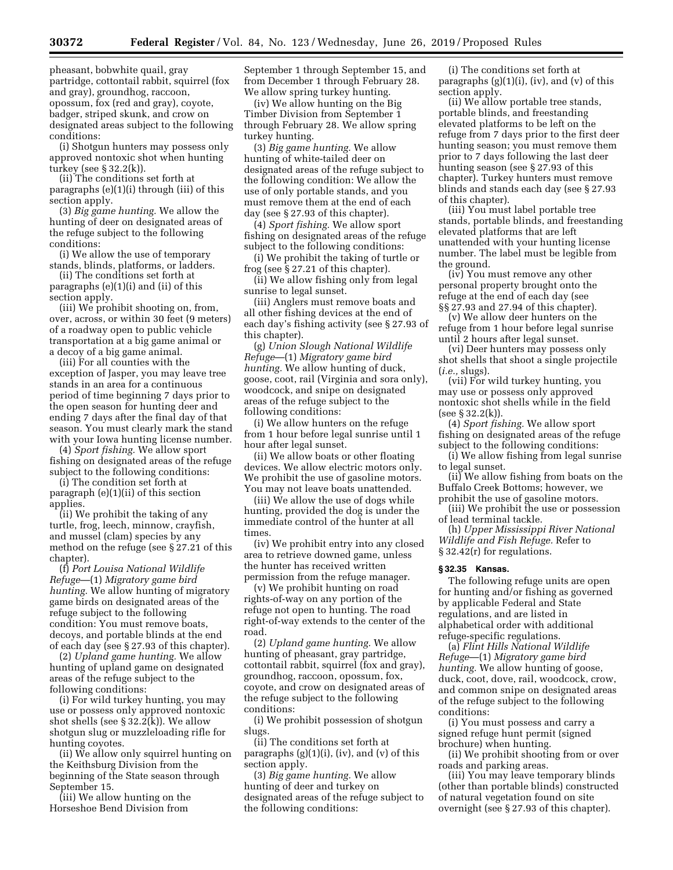pheasant, bobwhite quail, gray partridge, cottontail rabbit, squirrel (fox and gray), groundhog, raccoon, opossum, fox (red and gray), coyote, badger, striped skunk, and crow on designated areas subject to the following conditions:

(i) Shotgun hunters may possess only approved nontoxic shot when hunting turkey (see § 32.2(k)).

(ii) The conditions set forth at paragraphs (e)(1)(i) through (iii) of this section apply.

(3) *Big game hunting.* We allow the hunting of deer on designated areas of the refuge subject to the following conditions:

(i) We allow the use of temporary stands, blinds, platforms, or ladders.

(ii) The conditions set forth at paragraphs (e)(1)(i) and (ii) of this section apply.

(iii) We prohibit shooting on, from, over, across, or within 30 feet (9 meters) of a roadway open to public vehicle transportation at a big game animal or a decoy of a big game animal.

(iii) For all counties with the exception of Jasper, you may leave tree stands in an area for a continuous period of time beginning 7 days prior to the open season for hunting deer and ending 7 days after the final day of that season. You must clearly mark the stand with your Iowa hunting license number.

(4) *Sport fishing.* We allow sport fishing on designated areas of the refuge subject to the following conditions:

(i) The condition set forth at paragraph (e)(1)(ii) of this section applies.

(ii) We prohibit the taking of any turtle, frog, leech, minnow, crayfish, and mussel (clam) species by any method on the refuge (see § 27.21 of this chapter).

(f) *Port Louisa National Wildlife Refuge*—(1) *Migratory game bird hunting.* We allow hunting of migratory game birds on designated areas of the refuge subject to the following condition: You must remove boats, decoys, and portable blinds at the end of each day (see § 27.93 of this chapter).

(2) *Upland game hunting.* We allow hunting of upland game on designated areas of the refuge subject to the following conditions:

(i) For wild turkey hunting, you may use or possess only approved nontoxic shot shells (see § 32.2(k)). We allow shotgun slug or muzzleloading rifle for hunting coyotes.

(ii) We allow only squirrel hunting on the Keithsburg Division from the beginning of the State season through September 15.

(iii) We allow hunting on the Horseshoe Bend Division from

September 1 through September 15, and from December 1 through February 28. We allow spring turkey hunting.

(iv) We allow hunting on the Big Timber Division from September 1 through February 28. We allow spring turkey hunting.

(3) *Big game hunting.* We allow hunting of white-tailed deer on designated areas of the refuge subject to the following condition: We allow the use of only portable stands, and you must remove them at the end of each day (see § 27.93 of this chapter).

(4) *Sport fishing.* We allow sport fishing on designated areas of the refuge subject to the following conditions:

(i) We prohibit the taking of turtle or frog (see § 27.21 of this chapter).

(ii) We allow fishing only from legal sunrise to legal sunset.

(iii) Anglers must remove boats and all other fishing devices at the end of each day's fishing activity (see § 27.93 of this chapter).

(g) *Union Slough National Wildlife Refuge*—(1) *Migratory game bird hunting.* We allow hunting of duck, goose, coot, rail (Virginia and sora only), woodcock, and snipe on designated areas of the refuge subject to the following conditions:

(i) We allow hunters on the refuge from 1 hour before legal sunrise until 1 hour after legal sunset.

(ii) We allow boats or other floating devices. We allow electric motors only. We prohibit the use of gasoline motors. You may not leave boats unattended.

(iii) We allow the use of dogs while hunting, provided the dog is under the immediate control of the hunter at all times.

(iv) We prohibit entry into any closed area to retrieve downed game, unless the hunter has received written permission from the refuge manager.

(v) We prohibit hunting on road rights-of-way on any portion of the refuge not open to hunting. The road right-of-way extends to the center of the road.

(2) *Upland game hunting.* We allow hunting of pheasant, gray partridge, cottontail rabbit, squirrel (fox and gray), groundhog, raccoon, opossum, fox, coyote, and crow on designated areas of the refuge subject to the following conditions:

(i) We prohibit possession of shotgun slugs.

(ii) The conditions set forth at paragraphs  $(g)(1)(i)$ ,  $(iv)$ , and  $(v)$  of this section apply.

(3) *Big game hunting.* We allow hunting of deer and turkey on designated areas of the refuge subject to the following conditions:

(i) The conditions set forth at paragraphs (g)(1)(i), (iv), and (v) of this section apply.

(ii) We allow portable tree stands, portable blinds, and freestanding elevated platforms to be left on the refuge from 7 days prior to the first deer hunting season; you must remove them prior to 7 days following the last deer hunting season (see § 27.93 of this chapter). Turkey hunters must remove blinds and stands each day (see § 27.93 of this chapter).

(iii) You must label portable tree stands, portable blinds, and freestanding elevated platforms that are left unattended with your hunting license number. The label must be legible from the ground.

(iv) You must remove any other personal property brought onto the refuge at the end of each day (see §§ 27.93 and 27.94 of this chapter).

(v) We allow deer hunters on the refuge from 1 hour before legal sunrise until 2 hours after legal sunset.

(vi) Deer hunters may possess only shot shells that shoot a single projectile (*i.e.,* slugs).

(vii) For wild turkey hunting, you may use or possess only approved nontoxic shot shells while in the field  $($ see  $\S 32.2(k)$ ).

(4) *Sport fishing.* We allow sport fishing on designated areas of the refuge subject to the following conditions:

(i) We allow fishing from legal sunrise to legal sunset.

(ii) We allow fishing from boats on the Buffalo Creek Bottoms; however, we prohibit the use of gasoline motors.

(iii) We prohibit the use or possession of lead terminal tackle.

(h) *Upper Mississippi River National Wildlife and Fish Refuge.* Refer to § 32.42(r) for regulations.

## **§ 32.35 Kansas.**

The following refuge units are open for hunting and/or fishing as governed by applicable Federal and State regulations, and are listed in alphabetical order with additional refuge-specific regulations.

(a) *Flint Hills National Wildlife Refuge*—(1) *Migratory game bird hunting.* We allow hunting of goose, duck, coot, dove, rail, woodcock, crow, and common snipe on designated areas of the refuge subject to the following conditions:

(i) You must possess and carry a signed refuge hunt permit (signed brochure) when hunting.

(ii) We prohibit shooting from or over roads and parking areas.

(iii) You may leave temporary blinds (other than portable blinds) constructed of natural vegetation found on site overnight (see § 27.93 of this chapter).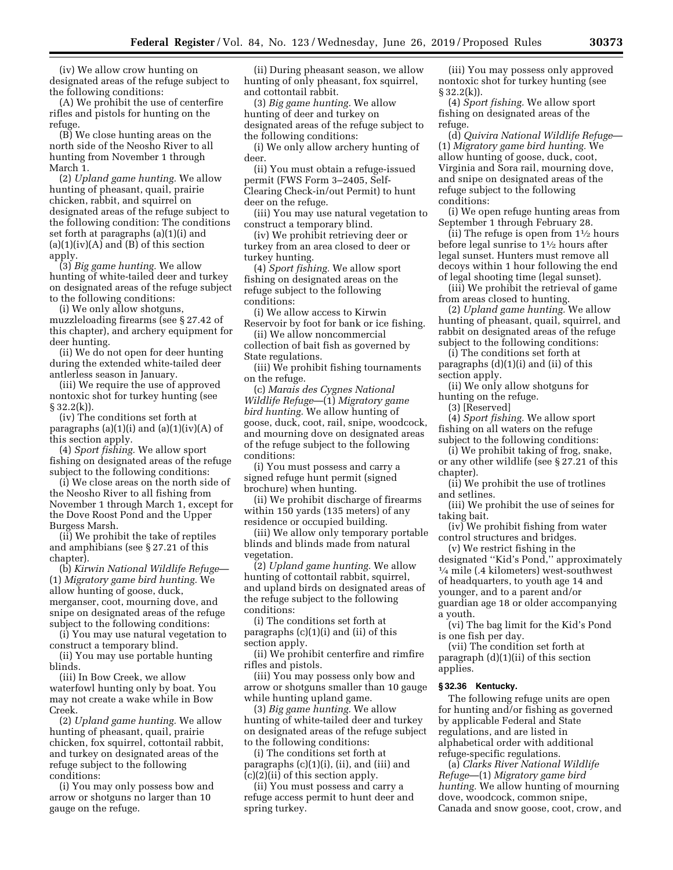(iv) We allow crow hunting on designated areas of the refuge subject to the following conditions:

(A) We prohibit the use of centerfire rifles and pistols for hunting on the refuge.

(B) We close hunting areas on the north side of the Neosho River to all hunting from November 1 through March 1.

(2) *Upland game hunting.* We allow hunting of pheasant, quail, prairie chicken, rabbit, and squirrel on designated areas of the refuge subject to the following condition: The conditions set forth at paragraphs (a)(1)(i) and  $(a)(1)(iv)(A)$  and  $(B)$  of this section apply.

(3) *Big game hunting.* We allow hunting of white-tailed deer and turkey on designated areas of the refuge subject to the following conditions:

(i) We only allow shotguns, muzzleloading firearms (see § 27.42 of this chapter), and archery equipment for deer hunting.

(ii) We do not open for deer hunting during the extended white-tailed deer antlerless season in January.

(iii) We require the use of approved nontoxic shot for turkey hunting (see  $§ 32.2(k)$ .

(iv) The conditions set forth at paragraphs  $(a)(1)(i)$  and  $(a)(1)(iv)(A)$  of this section apply.

(4) *Sport fishing.* We allow sport fishing on designated areas of the refuge subject to the following conditions:

(i) We close areas on the north side of the Neosho River to all fishing from November 1 through March 1, except for the Dove Roost Pond and the Upper Burgess Marsh.

(ii) We prohibit the take of reptiles and amphibians (see § 27.21 of this chapter).

(b) *Kirwin National Wildlife Refuge*— (1) *Migratory game bird hunting.* We allow hunting of goose, duck, merganser, coot, mourning dove, and snipe on designated areas of the refuge subject to the following conditions:

(i) You may use natural vegetation to construct a temporary blind.

(ii) You may use portable hunting blinds.

(iii) In Bow Creek, we allow waterfowl hunting only by boat. You may not create a wake while in Bow Creek.

(2) *Upland game hunting.* We allow hunting of pheasant, quail, prairie chicken, fox squirrel, cottontail rabbit, and turkey on designated areas of the refuge subject to the following conditions:

(i) You may only possess bow and arrow or shotguns no larger than 10 gauge on the refuge.

(ii) During pheasant season, we allow hunting of only pheasant, fox squirrel, and cottontail rabbit.

(3) *Big game hunting.* We allow hunting of deer and turkey on designated areas of the refuge subject to the following conditions:

(i) We only allow archery hunting of deer.

(ii) You must obtain a refuge-issued permit (FWS Form 3–2405, Self-Clearing Check-in/out Permit) to hunt deer on the refuge.

(iii) You may use natural vegetation to construct a temporary blind.

(iv) We prohibit retrieving deer or turkey from an area closed to deer or turkey hunting.

(4) *Sport fishing.* We allow sport fishing on designated areas on the refuge subject to the following conditions:

(i) We allow access to Kirwin Reservoir by foot for bank or ice fishing.

(ii) We allow noncommercial collection of bait fish as governed by State regulations.

(iii) We prohibit fishing tournaments on the refuge.

(c) *Marais des Cygnes National Wildlife Refuge*—(1) *Migratory game bird hunting.* We allow hunting of goose, duck, coot, rail, snipe, woodcock, and mourning dove on designated areas of the refuge subject to the following conditions:

(i) You must possess and carry a signed refuge hunt permit (signed brochure) when hunting.

(ii) We prohibit discharge of firearms within 150 yards (135 meters) of any residence or occupied building.

(iii) We allow only temporary portable blinds and blinds made from natural vegetation.

(2) *Upland game hunting.* We allow hunting of cottontail rabbit, squirrel, and upland birds on designated areas of the refuge subject to the following conditions:

(i) The conditions set forth at paragraphs  $(c)(1)(i)$  and  $(ii)$  of this section apply.

(ii) We prohibit centerfire and rimfire rifles and pistols.

(iii) You may possess only bow and arrow or shotguns smaller than 10 gauge while hunting upland game.

(3) *Big game hunting.* We allow hunting of white-tailed deer and turkey on designated areas of the refuge subject to the following conditions:

(i) The conditions set forth at paragraphs (c)(1)(i), (ii), and (iii) and (c)(2)(ii) of this section apply.

(ii) You must possess and carry a refuge access permit to hunt deer and spring turkey.

(iii) You may possess only approved nontoxic shot for turkey hunting (see  $§ 32.2(k)$ .

(4) *Sport fishing.* We allow sport fishing on designated areas of the refuge.

(d) *Quivira National Wildlife Refuge*— (1) *Migratory game bird hunting.* We allow hunting of goose, duck, coot, Virginia and Sora rail, mourning dove, and snipe on designated areas of the refuge subject to the following conditions:

(i) We open refuge hunting areas from September 1 through February 28.

(ii) The refuge is open from  $1\frac{1}{2}$  hours before legal sunrise to 11⁄2 hours after legal sunset. Hunters must remove all decoys within 1 hour following the end of legal shooting time (legal sunset).

(iii) We prohibit the retrieval of game from areas closed to hunting.

(2) *Upland game hunting.* We allow hunting of pheasant, quail, squirrel, and rabbit on designated areas of the refuge subject to the following conditions:

(i) The conditions set forth at paragraphs (d)(1)(i) and (ii) of this section apply.

(ii) We only allow shotguns for hunting on the refuge.

(3) [Reserved]

(4) *Sport fishing.* We allow sport fishing on all waters on the refuge subject to the following conditions:

(i) We prohibit taking of frog, snake, or any other wildlife (see § 27.21 of this chapter).

(ii) We prohibit the use of trotlines and setlines.

(iii) We prohibit the use of seines for taking bait.

(iv) We prohibit fishing from water control structures and bridges.

(v) We restrict fishing in the designated ''Kid's Pond,'' approximately  $\frac{1}{4}$  mile (.4 kilometers) west-southwest of headquarters, to youth age 14 and younger, and to a parent and/or guardian age 18 or older accompanying a youth.

(vi) The bag limit for the Kid's Pond is one fish per day.

(vii) The condition set forth at paragraph (d)(1)(ii) of this section applies.

# **§ 32.36 Kentucky.**

The following refuge units are open for hunting and/or fishing as governed by applicable Federal and State regulations, and are listed in alphabetical order with additional refuge-specific regulations.

(a) *Clarks River National Wildlife Refuge*—(1) *Migratory game bird hunting.* We allow hunting of mourning dove, woodcock, common snipe, Canada and snow goose, coot, crow, and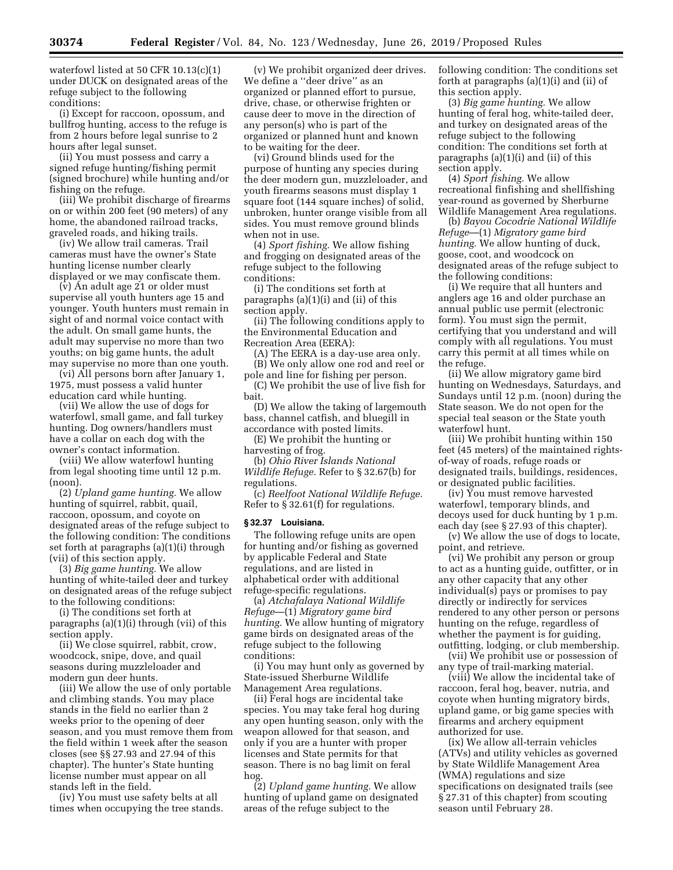waterfowl listed at 50 CFR 10.13(c)(1) under DUCK on designated areas of the refuge subject to the following conditions:

(i) Except for raccoon, opossum, and bullfrog hunting, access to the refuge is from 2 hours before legal sunrise to 2 hours after legal sunset.

(ii) You must possess and carry a signed refuge hunting/fishing permit (signed brochure) while hunting and/or fishing on the refuge.

(iii) We prohibit discharge of firearms on or within 200 feet (90 meters) of any home, the abandoned railroad tracks, graveled roads, and hiking trails.

(iv) We allow trail cameras. Trail cameras must have the owner's State hunting license number clearly displayed or we may confiscate them.

(v) An adult age 21 or older must supervise all youth hunters age 15 and younger. Youth hunters must remain in sight of and normal voice contact with the adult. On small game hunts, the adult may supervise no more than two youths; on big game hunts, the adult may supervise no more than one youth.

(vi) All persons born after January 1, 1975, must possess a valid hunter education card while hunting.

(vii) We allow the use of dogs for waterfowl, small game, and fall turkey hunting. Dog owners/handlers must have a collar on each dog with the owner's contact information.

(viii) We allow waterfowl hunting from legal shooting time until 12 p.m. (noon).

(2) *Upland game hunting.* We allow hunting of squirrel, rabbit, quail, raccoon, opossum, and coyote on designated areas of the refuge subject to the following condition: The conditions set forth at paragraphs (a)(1)(i) through (vii) of this section apply.

(3) *Big game hunting.* We allow hunting of white-tailed deer and turkey on designated areas of the refuge subject to the following conditions:

(i) The conditions set forth at paragraphs (a)(1)(i) through (vii) of this section apply.

(ii) We close squirrel, rabbit, crow, woodcock, snipe, dove, and quail seasons during muzzleloader and modern gun deer hunts.

(iii) We allow the use of only portable and climbing stands. You may place stands in the field no earlier than 2 weeks prior to the opening of deer season, and you must remove them from the field within 1 week after the season closes (see §§ 27.93 and 27.94 of this chapter). The hunter's State hunting license number must appear on all stands left in the field.

(iv) You must use safety belts at all times when occupying the tree stands.

(v) We prohibit organized deer drives. We define a ''deer drive'' as an organized or planned effort to pursue, drive, chase, or otherwise frighten or cause deer to move in the direction of any person(s) who is part of the organized or planned hunt and known to be waiting for the deer.

(vi) Ground blinds used for the purpose of hunting any species during the deer modern gun, muzzleloader, and youth firearms seasons must display 1 square foot (144 square inches) of solid, unbroken, hunter orange visible from all sides. You must remove ground blinds when not in use.

(4) *Sport fishing.* We allow fishing and frogging on designated areas of the refuge subject to the following conditions:

(i) The conditions set forth at paragraphs (a)(1)(i) and (ii) of this section apply.

(ii) The following conditions apply to the Environmental Education and Recreation Area (EERA):

(A) The EERA is a day-use area only. (B) We only allow one rod and reel or pole and line for fishing per person.

(C) We prohibit the use of live fish for bait.

(D) We allow the taking of largemouth bass, channel catfish, and bluegill in accordance with posted limits.

(E) We prohibit the hunting or harvesting of frog.

(b) *Ohio River Islands National Wildlife Refuge.* Refer to § 32.67(b) for regulations.

(c) *Reelfoot National Wildlife Refuge.*  Refer to § 32.61(f) for regulations.

#### **§ 32.37 Louisiana.**

The following refuge units are open for hunting and/or fishing as governed by applicable Federal and State regulations, and are listed in alphabetical order with additional refuge-specific regulations.

(a) *Atchafalaya National Wildlife Refuge*—(1) *Migratory game bird hunting.* We allow hunting of migratory game birds on designated areas of the refuge subject to the following conditions:

(i) You may hunt only as governed by State-issued Sherburne Wildlife Management Area regulations.

(ii) Feral hogs are incidental take species. You may take feral hog during any open hunting season, only with the weapon allowed for that season, and only if you are a hunter with proper licenses and State permits for that season. There is no bag limit on feral hog.

(2) *Upland game hunting.* We allow hunting of upland game on designated areas of the refuge subject to the

following condition: The conditions set forth at paragraphs (a)(1)(i) and (ii) of this section apply.

(3) *Big game hunting.* We allow hunting of feral hog, white-tailed deer, and turkey on designated areas of the refuge subject to the following condition: The conditions set forth at paragraphs (a)(1)(i) and (ii) of this section apply.

(4) *Sport fishing.* We allow recreational finfishing and shellfishing year-round as governed by Sherburne Wildlife Management Area regulations.

(b) *Bayou Cocodrie National Wildlife Refuge*—(1) *Migratory game bird hunting.* We allow hunting of duck, goose, coot, and woodcock on designated areas of the refuge subject to the following conditions:

(i) We require that all hunters and anglers age 16 and older purchase an annual public use permit (electronic form). You must sign the permit, certifying that you understand and will comply with all regulations. You must carry this permit at all times while on the refuge.

(ii) We allow migratory game bird hunting on Wednesdays, Saturdays, and Sundays until 12 p.m. (noon) during the State season. We do not open for the special teal season or the State youth waterfowl hunt.

(iii) We prohibit hunting within 150 feet (45 meters) of the maintained rightsof-way of roads, refuge roads or designated trails, buildings, residences, or designated public facilities.

(iv) You must remove harvested waterfowl, temporary blinds, and decoys used for duck hunting by 1 p.m. each day (see § 27.93 of this chapter).

(v) We allow the use of dogs to locate, point, and retrieve.

(vi) We prohibit any person or group to act as a hunting guide, outfitter, or in any other capacity that any other individual(s) pays or promises to pay directly or indirectly for services rendered to any other person or persons hunting on the refuge, regardless of whether the payment is for guiding, outfitting, lodging, or club membership.

(vii) We prohibit use or possession of any type of trail-marking material.

(viii) We allow the incidental take of raccoon, feral hog, beaver, nutria, and coyote when hunting migratory birds, upland game, or big game species with firearms and archery equipment authorized for use.

(ix) We allow all-terrain vehicles (ATVs) and utility vehicles as governed by State Wildlife Management Area (WMA) regulations and size specifications on designated trails (see § 27.31 of this chapter) from scouting season until February 28.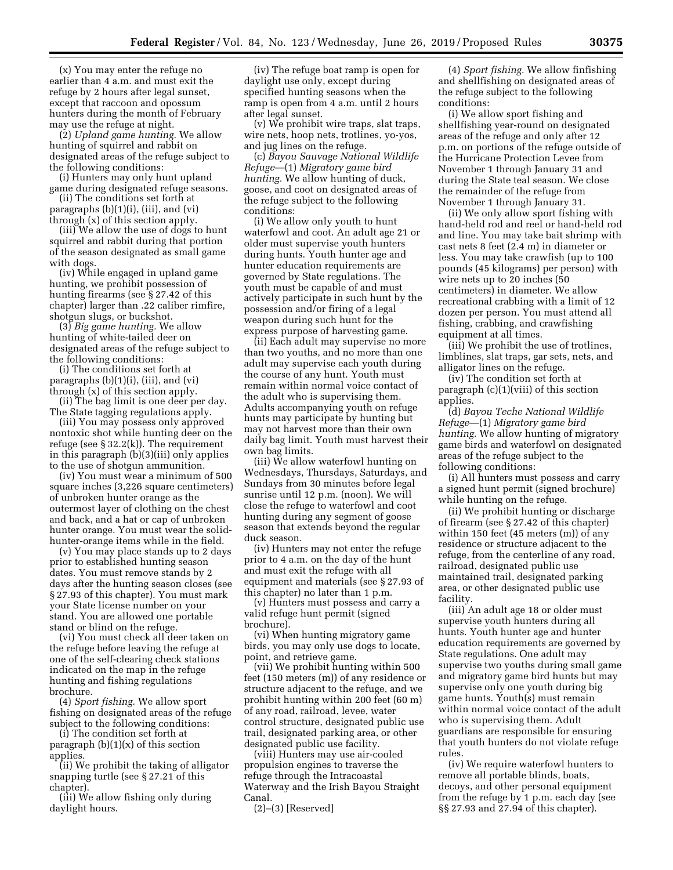(x) You may enter the refuge no earlier than 4 a.m. and must exit the refuge by 2 hours after legal sunset, except that raccoon and opossum hunters during the month of February may use the refuge at night.

(2) *Upland game hunting.* We allow hunting of squirrel and rabbit on designated areas of the refuge subject to the following conditions:

(i) Hunters may only hunt upland game during designated refuge seasons.

(ii) The conditions set forth at paragraphs (b)(1)(i), (iii), and (vi) through (x) of this section apply.

(iii) We allow the use of dogs to hunt squirrel and rabbit during that portion of the season designated as small game with dogs.

(iv) While engaged in upland game hunting, we prohibit possession of hunting firearms (see § 27.42 of this chapter) larger than .22 caliber rimfire, shotgun slugs, or buckshot.

(3) *Big game hunting.* We allow hunting of white-tailed deer on designated areas of the refuge subject to the following conditions:

(i) The conditions set forth at paragraphs (b)(1)(i), (iii), and (vi) through (x) of this section apply.

(ii) The bag limit is one deer per day. The State tagging regulations apply.

(iii) You may possess only approved nontoxic shot while hunting deer on the refuge (see § 32.2(k)). The requirement in this paragraph (b)(3)(iii) only applies to the use of shotgun ammunition.

(iv) You must wear a minimum of 500 square inches (3,226 square centimeters) of unbroken hunter orange as the outermost layer of clothing on the chest and back, and a hat or cap of unbroken hunter orange. You must wear the solidhunter-orange items while in the field.

(v) You may place stands up to 2 days prior to established hunting season dates. You must remove stands by 2 days after the hunting season closes (see § 27.93 of this chapter). You must mark your State license number on your stand. You are allowed one portable stand or blind on the refuge.

(vi) You must check all deer taken on the refuge before leaving the refuge at one of the self-clearing check stations indicated on the map in the refuge hunting and fishing regulations brochure.

(4) *Sport fishing.* We allow sport fishing on designated areas of the refuge subject to the following conditions:

(i) The condition set forth at paragraph  $(b)(1)(x)$  of this section applies.

(ii) We prohibit the taking of alligator snapping turtle (see § 27.21 of this chapter).

(iii) We allow fishing only during daylight hours.

(iv) The refuge boat ramp is open for daylight use only, except during specified hunting seasons when the ramp is open from 4 a.m. until 2 hours after legal sunset.

(v) We prohibit wire traps, slat traps, wire nets, hoop nets, trotlines, yo-yos, and jug lines on the refuge.

(c) *Bayou Sauvage National Wildlife Refuge*—(1) *Migratory game bird hunting.* We allow hunting of duck, goose, and coot on designated areas of the refuge subject to the following conditions:

(i) We allow only youth to hunt waterfowl and coot. An adult age 21 or older must supervise youth hunters during hunts. Youth hunter age and hunter education requirements are governed by State regulations. The youth must be capable of and must actively participate in such hunt by the possession and/or firing of a legal weapon during such hunt for the express purpose of harvesting game.

(ii) Each adult may supervise no more than two youths, and no more than one adult may supervise each youth during the course of any hunt. Youth must remain within normal voice contact of the adult who is supervising them. Adults accompanying youth on refuge hunts may participate by hunting but may not harvest more than their own daily bag limit. Youth must harvest their own bag limits.

(iii) We allow waterfowl hunting on Wednesdays, Thursdays, Saturdays, and Sundays from 30 minutes before legal sunrise until 12 p.m. (noon). We will close the refuge to waterfowl and coot hunting during any segment of goose season that extends beyond the regular duck season.

(iv) Hunters may not enter the refuge prior to 4 a.m. on the day of the hunt and must exit the refuge with all equipment and materials (see § 27.93 of this chapter) no later than 1 p.m.

(v) Hunters must possess and carry a valid refuge hunt permit (signed brochure).

(vi) When hunting migratory game birds, you may only use dogs to locate, point, and retrieve game.

(vii) We prohibit hunting within 500 feet (150 meters (m)) of any residence or structure adjacent to the refuge, and we prohibit hunting within 200 feet (60 m) of any road, railroad, levee, water control structure, designated public use trail, designated parking area, or other designated public use facility.

(viii) Hunters may use air-cooled propulsion engines to traverse the refuge through the Intracoastal Waterway and the Irish Bayou Straight Canal.

(2)–(3) [Reserved]

(4) *Sport fishing.* We allow finfishing and shellfishing on designated areas of the refuge subject to the following conditions:

(i) We allow sport fishing and shellfishing year-round on designated areas of the refuge and only after 12 p.m. on portions of the refuge outside of the Hurricane Protection Levee from November 1 through January 31 and during the State teal season. We close the remainder of the refuge from November 1 through January 31.

(ii) We only allow sport fishing with hand-held rod and reel or hand-held rod and line. You may take bait shrimp with cast nets 8 feet (2.4 m) in diameter or less. You may take crawfish (up to 100 pounds (45 kilograms) per person) with wire nets up to 20 inches (50 centimeters) in diameter. We allow recreational crabbing with a limit of 12 dozen per person. You must attend all fishing, crabbing, and crawfishing equipment at all times.

(iii) We prohibit the use of trotlines, limblines, slat traps, gar sets, nets, and alligator lines on the refuge.

(iv) The condition set forth at paragraph (c)(1)(viii) of this section applies.

(d) *Bayou Teche National Wildlife Refuge*—(1) *Migratory game bird hunting.* We allow hunting of migratory game birds and waterfowl on designated areas of the refuge subject to the following conditions:

(i) All hunters must possess and carry a signed hunt permit (signed brochure) while hunting on the refuge.

(ii) We prohibit hunting or discharge of firearm (see § 27.42 of this chapter) within 150 feet (45 meters (m)) of any residence or structure adjacent to the refuge, from the centerline of any road, railroad, designated public use maintained trail, designated parking area, or other designated public use facility.

(iii) An adult age 18 or older must supervise youth hunters during all hunts. Youth hunter age and hunter education requirements are governed by State regulations. One adult may supervise two youths during small game and migratory game bird hunts but may supervise only one youth during big game hunts. Youth(s) must remain within normal voice contact of the adult who is supervising them. Adult guardians are responsible for ensuring that youth hunters do not violate refuge rules.

(iv) We require waterfowl hunters to remove all portable blinds, boats, decoys, and other personal equipment from the refuge by 1 p.m. each day (see §§ 27.93 and 27.94 of this chapter).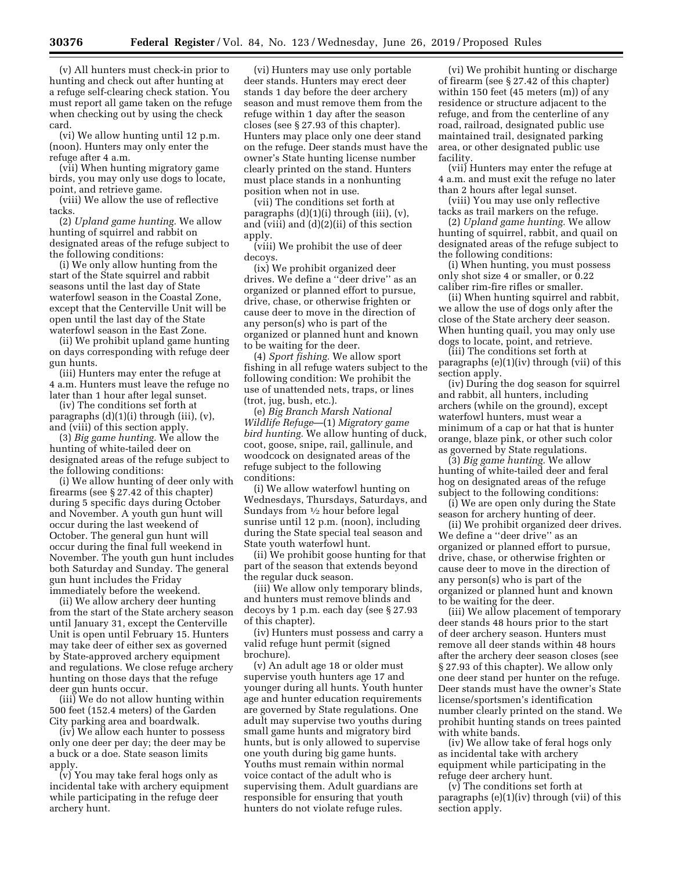(v) All hunters must check-in prior to hunting and check out after hunting at a refuge self-clearing check station. You must report all game taken on the refuge when checking out by using the check card.

(vi) We allow hunting until 12 p.m. (noon). Hunters may only enter the refuge after 4 a.m.

(vii) When hunting migratory game birds, you may only use dogs to locate, point, and retrieve game.

(viii) We allow the use of reflective tacks.

(2) *Upland game hunting.* We allow hunting of squirrel and rabbit on designated areas of the refuge subject to the following conditions:

(i) We only allow hunting from the start of the State squirrel and rabbit seasons until the last day of State waterfowl season in the Coastal Zone, except that the Centerville Unit will be open until the last day of the State waterfowl season in the East Zone.

(ii) We prohibit upland game hunting on days corresponding with refuge deer gun hunts.

(iii) Hunters may enter the refuge at 4 a.m. Hunters must leave the refuge no later than 1 hour after legal sunset.

(iv) The conditions set forth at paragraphs (d)(1)(i) through (iii), (v), and (viii) of this section apply.

(3) *Big game hunting.* We allow the hunting of white-tailed deer on designated areas of the refuge subject to the following conditions:

(i) We allow hunting of deer only with firearms (see § 27.42 of this chapter) during 5 specific days during October and November. A youth gun hunt will occur during the last weekend of October. The general gun hunt will occur during the final full weekend in November. The youth gun hunt includes both Saturday and Sunday. The general gun hunt includes the Friday immediately before the weekend.

(ii) We allow archery deer hunting from the start of the State archery season until January 31, except the Centerville Unit is open until February 15. Hunters may take deer of either sex as governed by State-approved archery equipment and regulations. We close refuge archery hunting on those days that the refuge deer gun hunts occur.

(iii) We do not allow hunting within 500 feet (152.4 meters) of the Garden City parking area and boardwalk.

(iv) We allow each hunter to possess only one deer per day; the deer may be a buck or a doe. State season limits apply.

(v) You may take feral hogs only as incidental take with archery equipment while participating in the refuge deer archery hunt.

(vi) Hunters may use only portable deer stands. Hunters may erect deer stands 1 day before the deer archery season and must remove them from the refuge within 1 day after the season closes (see § 27.93 of this chapter). Hunters may place only one deer stand on the refuge. Deer stands must have the owner's State hunting license number clearly printed on the stand. Hunters must place stands in a nonhunting position when not in use.

(vii) The conditions set forth at paragraphs (d)(1)(i) through (iii), (v), and (viii) and (d)(2)(ii) of this section apply.

(viii) We prohibit the use of deer decoys.

(ix) We prohibit organized deer drives. We define a ''deer drive'' as an organized or planned effort to pursue, drive, chase, or otherwise frighten or cause deer to move in the direction of any person(s) who is part of the organized or planned hunt and known to be waiting for the deer.

(4) *Sport fishing.* We allow sport fishing in all refuge waters subject to the following condition: We prohibit the use of unattended nets, traps, or lines (trot, jug, bush, etc.).

(e) *Big Branch Marsh National Wildlife Refuge*—(1) *Migratory game bird hunting.* We allow hunting of duck, coot, goose, snipe, rail, gallinule, and woodcock on designated areas of the refuge subject to the following conditions:

(i) We allow waterfowl hunting on Wednesdays, Thursdays, Saturdays, and Sundays from 1⁄2 hour before legal sunrise until 12 p.m. (noon), including during the State special teal season and State youth waterfowl hunt.

(ii) We prohibit goose hunting for that part of the season that extends beyond the regular duck season.

(iii) We allow only temporary blinds, and hunters must remove blinds and decoys by 1 p.m. each day (see § 27.93 of this chapter).

(iv) Hunters must possess and carry a valid refuge hunt permit (signed brochure).

(v) An adult age 18 or older must supervise youth hunters age 17 and younger during all hunts. Youth hunter age and hunter education requirements are governed by State regulations. One adult may supervise two youths during small game hunts and migratory bird hunts, but is only allowed to supervise one youth during big game hunts. Youths must remain within normal voice contact of the adult who is supervising them. Adult guardians are responsible for ensuring that youth hunters do not violate refuge rules.

(vi) We prohibit hunting or discharge of firearm (see § 27.42 of this chapter) within 150 feet (45 meters (m)) of any residence or structure adjacent to the refuge, and from the centerline of any road, railroad, designated public use maintained trail, designated parking area, or other designated public use facility.

(vii) Hunters may enter the refuge at 4 a.m. and must exit the refuge no later than 2 hours after legal sunset.

(viii) You may use only reflective tacks as trail markers on the refuge.

(2) *Upland game hunting.* We allow hunting of squirrel, rabbit, and quail on designated areas of the refuge subject to the following conditions:

(i) When hunting, you must possess only shot size 4 or smaller, or 0.22 caliber rim-fire rifles or smaller.

(ii) When hunting squirrel and rabbit, we allow the use of dogs only after the close of the State archery deer season. When hunting quail, you may only use dogs to locate, point, and retrieve.

(iii) The conditions set forth at paragraphs (e)(1)(iv) through (vii) of this section apply.

(iv) During the dog season for squirrel and rabbit, all hunters, including archers (while on the ground), except waterfowl hunters, must wear a minimum of a cap or hat that is hunter orange, blaze pink, or other such color as governed by State regulations.

(3) *Big game hunting.* We allow hunting of white-tailed deer and feral hog on designated areas of the refuge subject to the following conditions:

(i) We are open only during the State season for archery hunting of deer.

(ii) We prohibit organized deer drives. We define a ''deer drive'' as an organized or planned effort to pursue, drive, chase, or otherwise frighten or cause deer to move in the direction of any person(s) who is part of the organized or planned hunt and known to be waiting for the deer.

(iii) We allow placement of temporary deer stands 48 hours prior to the start of deer archery season. Hunters must remove all deer stands within 48 hours after the archery deer season closes (see § 27.93 of this chapter). We allow only one deer stand per hunter on the refuge. Deer stands must have the owner's State license/sportsmen's identification number clearly printed on the stand. We prohibit hunting stands on trees painted with white bands.

(iv) We allow take of feral hogs only as incidental take with archery equipment while participating in the refuge deer archery hunt.

(v) The conditions set forth at paragraphs (e)(1)(iv) through (vii) of this section apply.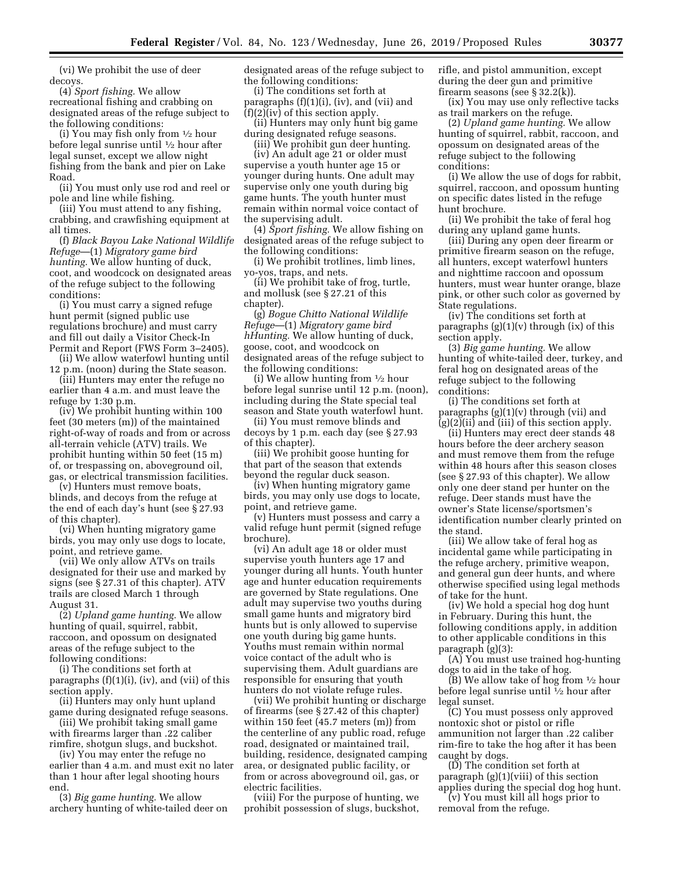(vi) We prohibit the use of deer decoys.

(4) *Sport fishing.* We allow recreational fishing and crabbing on designated areas of the refuge subject to the following conditions:

(i) You may fish only from 1⁄2 hour before legal sunrise until 1⁄2 hour after legal sunset, except we allow night fishing from the bank and pier on Lake Road.

(ii) You must only use rod and reel or pole and line while fishing.

(iii) You must attend to any fishing, crabbing, and crawfishing equipment at all times.

(f) *Black Bayou Lake National Wildlife Refuge*—(1) *Migratory game bird hunting.* We allow hunting of duck, coot, and woodcock on designated areas of the refuge subject to the following conditions:

(i) You must carry a signed refuge hunt permit (signed public use regulations brochure) and must carry and fill out daily a Visitor Check-In Permit and Report (FWS Form 3–2405).

(ii) We allow waterfowl hunting until 12 p.m. (noon) during the State season.

(iii) Hunters may enter the refuge no earlier than 4 a.m. and must leave the refuge by 1:30 p.m.

(iv) We prohibit hunting within 100 feet (30 meters (m)) of the maintained right-of-way of roads and from or across all-terrain vehicle (ATV) trails. We prohibit hunting within 50 feet (15 m) of, or trespassing on, aboveground oil, gas, or electrical transmission facilities.

(v) Hunters must remove boats, blinds, and decoys from the refuge at the end of each day's hunt (see § 27.93 of this chapter).

(vi) When hunting migratory game birds, you may only use dogs to locate, point, and retrieve game.

(vii) We only allow ATVs on trails designated for their use and marked by signs (see § 27.31 of this chapter). ATV trails are closed March 1 through August 31.

(2) *Upland game hunting.* We allow hunting of quail, squirrel, rabbit, raccoon, and opossum on designated areas of the refuge subject to the following conditions:

(i) The conditions set forth at paragraphs  $(f)(1)(i)$ ,  $(iv)$ , and  $(vii)$  of this section apply.

(ii) Hunters may only hunt upland game during designated refuge seasons.

(iii) We prohibit taking small game with firearms larger than .22 caliber rimfire, shotgun slugs, and buckshot.

(iv) You may enter the refuge no earlier than 4 a.m. and must exit no later than 1 hour after legal shooting hours end.

(3) *Big game hunting.* We allow archery hunting of white-tailed deer on designated areas of the refuge subject to the following conditions:

(i) The conditions set forth at paragraphs (f)(1)(i), (iv), and (vii) and  $(f)(2)(iv)$  of this section apply.

(ii) Hunters may only hunt big game during designated refuge seasons.

(iii) We prohibit gun deer hunting.

(iv) An adult age 21 or older must supervise a youth hunter age 15 or younger during hunts. One adult may supervise only one youth during big game hunts. The youth hunter must remain within normal voice contact of the supervising adult.

(4) *Sport fishing.* We allow fishing on designated areas of the refuge subject to the following conditions:

(i) We prohibit trotlines, limb lines, yo-yos, traps, and nets.

(ii) We prohibit take of frog, turtle, and mollusk (see § 27.21 of this chapter).

(g) *Bogue Chitto National Wildlife Refuge*—(1) *Migratory game bird hHunting.* We allow hunting of duck, goose, coot, and woodcock on designated areas of the refuge subject to the following conditions:

(i) We allow hunting from  $\frac{1}{2}$  hour before legal sunrise until 12 p.m. (noon), including during the State special teal season and State youth waterfowl hunt.

(ii) You must remove blinds and decoys by 1 p.m. each day (see § 27.93 of this chapter).

(iii) We prohibit goose hunting for that part of the season that extends beyond the regular duck season.

(iv) When hunting migratory game birds, you may only use dogs to locate, point, and retrieve game.

(v) Hunters must possess and carry a valid refuge hunt permit (signed refuge brochure).

(vi) An adult age 18 or older must supervise youth hunters age 17 and younger during all hunts. Youth hunter age and hunter education requirements are governed by State regulations. One adult may supervise two youths during small game hunts and migratory bird hunts but is only allowed to supervise one youth during big game hunts. Youths must remain within normal voice contact of the adult who is supervising them. Adult guardians are responsible for ensuring that youth hunters do not violate refuge rules.

(vii) We prohibit hunting or discharge of firearms (see § 27.42 of this chapter) within 150 feet (45.7 meters (m)) from the centerline of any public road, refuge road, designated or maintained trail, building, residence, designated camping area, or designated public facility, or from or across aboveground oil, gas, or electric facilities.

(viii) For the purpose of hunting, we prohibit possession of slugs, buckshot, rifle, and pistol ammunition, except during the deer gun and primitive firearm seasons (see § 32.2(k)).

(ix) You may use only reflective tacks as trail markers on the refuge.

(2) *Upland game hunting.* We allow hunting of squirrel, rabbit, raccoon, and opossum on designated areas of the refuge subject to the following conditions:

(i) We allow the use of dogs for rabbit, squirrel, raccoon, and opossum hunting on specific dates listed in the refuge hunt brochure.

(ii) We prohibit the take of feral hog during any upland game hunts.

(iii) During any open deer firearm or primitive firearm season on the refuge, all hunters, except waterfowl hunters and nighttime raccoon and opossum hunters, must wear hunter orange, blaze pink, or other such color as governed by State regulations.

(iv) The conditions set forth at paragraphs  $(g)(1)(v)$  through  $(ix)$  of this section apply.

(3) *Big game hunting.* We allow hunting of white-tailed deer, turkey, and feral hog on designated areas of the refuge subject to the following conditions:

(i) The conditions set forth at paragraphs  $(g)(1)(v)$  through (vii) and  $(g)(2)(ii)$  and  $(iii)$  of this section apply.

(ii) Hunters may erect deer stands 48 hours before the deer archery season and must remove them from the refuge within 48 hours after this season closes (see § 27.93 of this chapter). We allow only one deer stand per hunter on the refuge. Deer stands must have the owner's State license/sportsmen's identification number clearly printed on the stand.

(iii) We allow take of feral hog as incidental game while participating in the refuge archery, primitive weapon, and general gun deer hunts, and where otherwise specified using legal methods of take for the hunt.

(iv) We hold a special hog dog hunt in February. During this hunt, the following conditions apply, in addition to other applicable conditions in this paragraph (g)(3):

(A) You must use trained hog-hunting dogs to aid in the take of hog.

(B) We allow take of hog from 1⁄2 hour before legal sunrise until 1⁄2 hour after legal sunset.

(C) You must possess only approved nontoxic shot or pistol or rifle ammunition not larger than .22 caliber rim-fire to take the hog after it has been caught by dogs.

(D) The condition set forth at paragraph (g)(1)(viii) of this section applies during the special dog hog hunt.

(v) You must kill all hogs prior to removal from the refuge.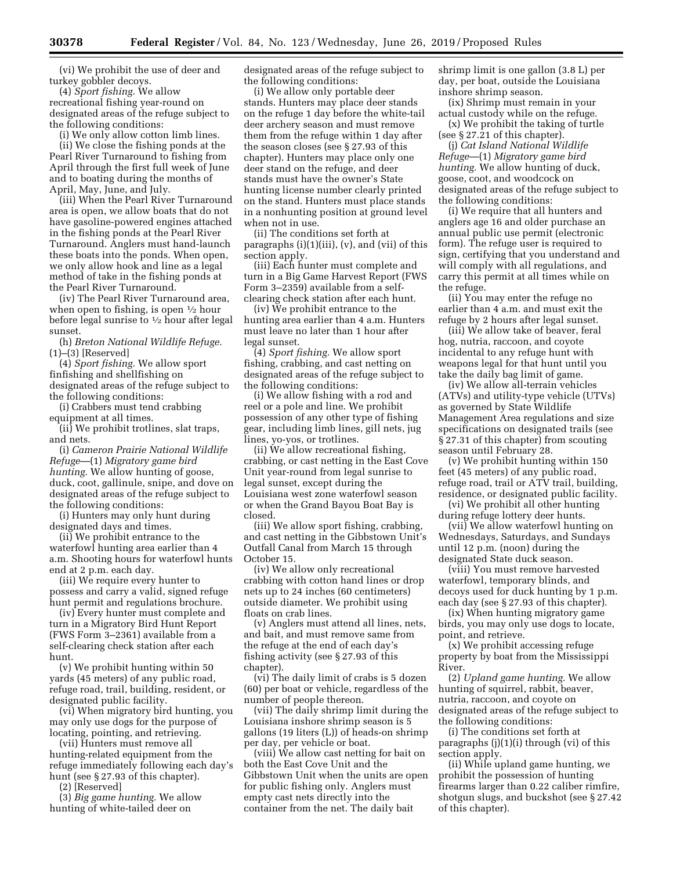(vi) We prohibit the use of deer and turkey gobbler decoys.

(4) *Sport fishing.* We allow recreational fishing year-round on designated areas of the refuge subject to the following conditions:

(i) We only allow cotton limb lines. (ii) We close the fishing ponds at the Pearl River Turnaround to fishing from April through the first full week of June and to boating during the months of April, May, June, and July.

(iii) When the Pearl River Turnaround area is open, we allow boats that do not have gasoline-powered engines attached in the fishing ponds at the Pearl River Turnaround. Anglers must hand-launch these boats into the ponds. When open, we only allow hook and line as a legal method of take in the fishing ponds at the Pearl River Turnaround.

(iv) The Pearl River Turnaround area, when open to fishing, is open  $\frac{1}{2}$  hour before legal sunrise to 1⁄2 hour after legal sunset.

(h) *Breton National Wildlife Refuge.*  (1)–(3) [Reserved]

(4) *Sport fishing.* We allow sport finfishing and shellfishing on designated areas of the refuge subject to the following conditions:

(i) Crabbers must tend crabbing equipment at all times.

(ii) We prohibit trotlines, slat traps, and nets.

(i) *Cameron Prairie National Wildlife Refuge*—(1) *Migratory game bird hunting.* We allow hunting of goose, duck, coot, gallinule, snipe, and dove on designated areas of the refuge subject to the following conditions:

(i) Hunters may only hunt during designated days and times.

(ii) We prohibit entrance to the waterfowl hunting area earlier than 4 a.m. Shooting hours for waterfowl hunts end at 2 p.m. each day.

(iii) We require every hunter to possess and carry a valid, signed refuge hunt permit and regulations brochure.

(iv) Every hunter must complete and turn in a Migratory Bird Hunt Report (FWS Form 3–2361) available from a self-clearing check station after each hunt.

(v) We prohibit hunting within 50 yards (45 meters) of any public road, refuge road, trail, building, resident, or designated public facility.

(vi) When migratory bird hunting, you may only use dogs for the purpose of locating, pointing, and retrieving.

(vii) Hunters must remove all hunting-related equipment from the refuge immediately following each day's hunt (see § 27.93 of this chapter).

(2) [Reserved]

(3) *Big game hunting.* We allow hunting of white-tailed deer on

designated areas of the refuge subject to the following conditions:

(i) We allow only portable deer stands. Hunters may place deer stands on the refuge 1 day before the white-tail deer archery season and must remove them from the refuge within 1 day after the season closes (see § 27.93 of this chapter). Hunters may place only one deer stand on the refuge, and deer stands must have the owner's State hunting license number clearly printed on the stand. Hunters must place stands in a nonhunting position at ground level when not in use.

(ii) The conditions set forth at paragraphs (i)(1)(iii), (v), and (vii) of this section apply.

(iii) Each hunter must complete and turn in a Big Game Harvest Report (FWS Form 3–2359) available from a selfclearing check station after each hunt.

(iv) We prohibit entrance to the hunting area earlier than 4 a.m. Hunters must leave no later than 1 hour after legal sunset.

(4) *Sport fishing.* We allow sport fishing, crabbing, and cast netting on designated areas of the refuge subject to the following conditions:

(i) We allow fishing with a rod and reel or a pole and line. We prohibit possession of any other type of fishing gear, including limb lines, gill nets, jug lines, yo-yos, or trotlines.

(ii) We allow recreational fishing, crabbing, or cast netting in the East Cove Unit year-round from legal sunrise to legal sunset, except during the Louisiana west zone waterfowl season or when the Grand Bayou Boat Bay is closed.

(iii) We allow sport fishing, crabbing, and cast netting in the Gibbstown Unit's Outfall Canal from March 15 through October 15.

(iv) We allow only recreational crabbing with cotton hand lines or drop nets up to 24 inches (60 centimeters) outside diameter. We prohibit using floats on crab lines.

(v) Anglers must attend all lines, nets, and bait, and must remove same from the refuge at the end of each day's fishing activity (see § 27.93 of this chapter).

(vi) The daily limit of crabs is 5 dozen (60) per boat or vehicle, regardless of the number of people thereon.

(vii) The daily shrimp limit during the Louisiana inshore shrimp season is 5 gallons (19 liters (L)) of heads-on shrimp per day, per vehicle or boat.

(viii) We allow cast netting for bait on both the East Cove Unit and the Gibbstown Unit when the units are open for public fishing only. Anglers must empty cast nets directly into the container from the net. The daily bait

shrimp limit is one gallon (3.8 L) per day, per boat, outside the Louisiana inshore shrimp season.

(ix) Shrimp must remain in your actual custody while on the refuge.

(x) We prohibit the taking of turtle (see § 27.21 of this chapter).

(j) *Cat Island National Wildlife Refuge*—(1) *Migratory game bird hunting.* We allow hunting of duck, goose, coot, and woodcock on designated areas of the refuge subject to the following conditions:

(i) We require that all hunters and anglers age 16 and older purchase an annual public use permit (electronic form). The refuge user is required to sign, certifying that you understand and will comply with all regulations, and carry this permit at all times while on the refuge.

(ii) You may enter the refuge no earlier than 4 a.m. and must exit the refuge by 2 hours after legal sunset.

(iii) We allow take of beaver, feral hog, nutria, raccoon, and coyote incidental to any refuge hunt with weapons legal for that hunt until you take the daily bag limit of game.

(iv) We allow all-terrain vehicles (ATVs) and utility-type vehicle (UTVs) as governed by State Wildlife Management Area regulations and size specifications on designated trails (see § 27.31 of this chapter) from scouting season until February 28.

(v) We prohibit hunting within 150 feet (45 meters) of any public road, refuge road, trail or ATV trail, building, residence, or designated public facility.

(vi) We prohibit all other hunting during refuge lottery deer hunts.

(vii) We allow waterfowl hunting on Wednesdays, Saturdays, and Sundays until 12 p.m. (noon) during the designated State duck season.

(viii) You must remove harvested waterfowl, temporary blinds, and decoys used for duck hunting by 1 p.m. each day (see § 27.93 of this chapter).

(ix) When hunting migratory game birds, you may only use dogs to locate, point, and retrieve.

(x) We prohibit accessing refuge property by boat from the Mississippi River.

(2) *Upland game hunting.* We allow hunting of squirrel, rabbit, beaver, nutria, raccoon, and coyote on designated areas of the refuge subject to the following conditions:

(i) The conditions set forth at paragraphs (j)(1)(i) through (vi) of this section apply.

(ii) While upland game hunting, we prohibit the possession of hunting firearms larger than 0.22 caliber rimfire, shotgun slugs, and buckshot (see § 27.42 of this chapter).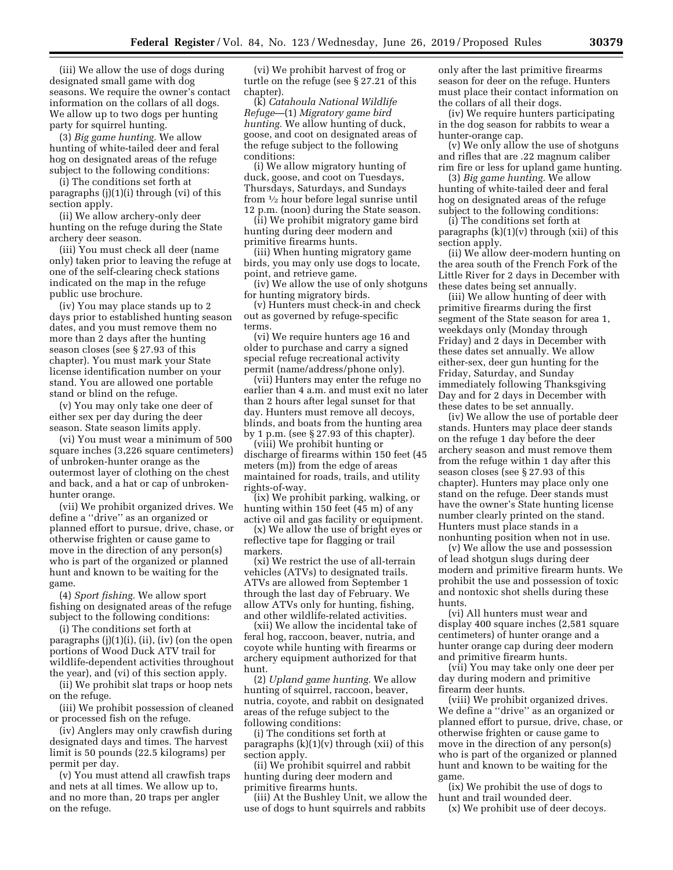(iii) We allow the use of dogs during designated small game with dog seasons. We require the owner's contact information on the collars of all dogs. We allow up to two dogs per hunting party for squirrel hunting.

(3) *Big game hunting.* We allow hunting of white-tailed deer and feral hog on designated areas of the refuge subject to the following conditions:

(i) The conditions set forth at paragraphs (j)(1)(i) through (vi) of this section apply.

(ii) We allow archery-only deer hunting on the refuge during the State archery deer season.

(iii) You must check all deer (name only) taken prior to leaving the refuge at one of the self-clearing check stations indicated on the map in the refuge public use brochure.

(iv) You may place stands up to 2 days prior to established hunting season dates, and you must remove them no more than 2 days after the hunting season closes (see § 27.93 of this chapter). You must mark your State license identification number on your stand. You are allowed one portable stand or blind on the refuge.

(v) You may only take one deer of either sex per day during the deer season. State season limits apply.

(vi) You must wear a minimum of 500 square inches (3,226 square centimeters) of unbroken-hunter orange as the outermost layer of clothing on the chest and back, and a hat or cap of unbrokenhunter orange.

(vii) We prohibit organized drives. We define a ''drive'' as an organized or planned effort to pursue, drive, chase, or otherwise frighten or cause game to move in the direction of any person(s) who is part of the organized or planned hunt and known to be waiting for the game.

(4) *Sport fishing.* We allow sport fishing on designated areas of the refuge subject to the following conditions:

(i) The conditions set forth at paragraphs (j)(1)(i), (ii), (iv) (on the open portions of Wood Duck ATV trail for wildlife-dependent activities throughout the year), and (vi) of this section apply.

(ii) We prohibit slat traps or hoop nets on the refuge.

(iii) We prohibit possession of cleaned or processed fish on the refuge.

(iv) Anglers may only crawfish during designated days and times. The harvest limit is 50 pounds (22.5 kilograms) per permit per day.

(v) You must attend all crawfish traps and nets at all times. We allow up to, and no more than, 20 traps per angler on the refuge.

(vi) We prohibit harvest of frog or turtle on the refuge (see § 27.21 of this chapter).

(k) *Catahoula National Wildlife Refuge*—(1) *Migratory game bird hunting.* We allow hunting of duck, goose, and coot on designated areas of the refuge subject to the following conditions:

(i) We allow migratory hunting of duck, goose, and coot on Tuesdays, Thursdays, Saturdays, and Sundays from 1⁄2 hour before legal sunrise until 12 p.m. (noon) during the State season.

(ii) We prohibit migratory game bird hunting during deer modern and primitive firearms hunts.

(iii) When hunting migratory game birds, you may only use dogs to locate, point, and retrieve game.

(iv) We allow the use of only shotguns for hunting migratory birds.

(v) Hunters must check-in and check out as governed by refuge-specific terms.

(vi) We require hunters age 16 and older to purchase and carry a signed special refuge recreational activity permit (name/address/phone only).

(vii) Hunters may enter the refuge no earlier than 4 a.m. and must exit no later than 2 hours after legal sunset for that day. Hunters must remove all decoys, blinds, and boats from the hunting area by 1 p.m. (see § 27.93 of this chapter).

(viii) We prohibit hunting or discharge of firearms within 150 feet (45 meters (m)) from the edge of areas maintained for roads, trails, and utility rights-of-way.

(ix) We prohibit parking, walking, or hunting within 150 feet  $(45 \text{ m})$  of any active oil and gas facility or equipment.

(x) We allow the use of bright eyes or reflective tape for flagging or trail markers.

(xi) We restrict the use of all-terrain vehicles (ATVs) to designated trails. ATVs are allowed from September 1 through the last day of February. We allow ATVs only for hunting, fishing, and other wildlife-related activities.

(xii) We allow the incidental take of feral hog, raccoon, beaver, nutria, and coyote while hunting with firearms or archery equipment authorized for that hunt.

(2) *Upland game hunting.* We allow hunting of squirrel, raccoon, beaver, nutria, coyote, and rabbit on designated areas of the refuge subject to the following conditions:

(i) The conditions set forth at paragraphs  $(k)(1)(v)$  through (xii) of this section apply.

(ii) We prohibit squirrel and rabbit hunting during deer modern and primitive firearms hunts.

(iii) At the Bushley Unit, we allow the use of dogs to hunt squirrels and rabbits

only after the last primitive firearms season for deer on the refuge. Hunters must place their contact information on the collars of all their dogs.

(iv) We require hunters participating in the dog season for rabbits to wear a hunter-orange cap.

(v) We only allow the use of shotguns and rifles that are .22 magnum caliber rim fire or less for upland game hunting.

(3) *Big game hunting.* We allow hunting of white-tailed deer and feral hog on designated areas of the refuge subject to the following conditions:

(i) The conditions set forth at paragraphs  $(k)(1)(v)$  through (xii) of this section apply.

(ii) We allow deer-modern hunting on the area south of the French Fork of the Little River for 2 days in December with these dates being set annually.

(iii) We allow hunting of deer with primitive firearms during the first segment of the State season for area 1, weekdays only (Monday through Friday) and 2 days in December with these dates set annually. We allow either-sex, deer gun hunting for the Friday, Saturday, and Sunday immediately following Thanksgiving Day and for 2 days in December with these dates to be set annually.

(iv) We allow the use of portable deer stands. Hunters may place deer stands on the refuge 1 day before the deer archery season and must remove them from the refuge within 1 day after this season closes (see § 27.93 of this chapter). Hunters may place only one stand on the refuge. Deer stands must have the owner's State hunting license number clearly printed on the stand. Hunters must place stands in a nonhunting position when not in use.

(v) We allow the use and possession of lead shotgun slugs during deer modern and primitive firearm hunts. We prohibit the use and possession of toxic and nontoxic shot shells during these hunts.

(vi) All hunters must wear and display 400 square inches (2,581 square centimeters) of hunter orange and a hunter orange cap during deer modern and primitive firearm hunts.

(vii) You may take only one deer per day during modern and primitive firearm deer hunts.

(viii) We prohibit organized drives. We define a ''drive'' as an organized or planned effort to pursue, drive, chase, or otherwise frighten or cause game to move in the direction of any person(s) who is part of the organized or planned hunt and known to be waiting for the game.

(ix) We prohibit the use of dogs to hunt and trail wounded deer.

(x) We prohibit use of deer decoys.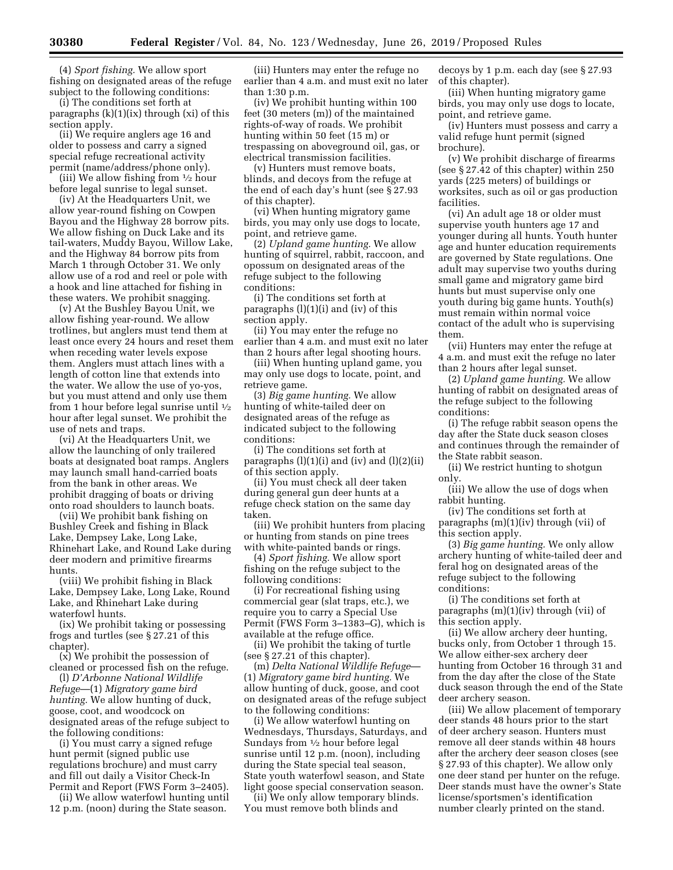(4) *Sport fishing.* We allow sport fishing on designated areas of the refuge subject to the following conditions:

(i) The conditions set forth at paragraphs (k)(1)(ix) through (xi) of this section apply.

(ii) We require anglers age 16 and older to possess and carry a signed special refuge recreational activity permit (name/address/phone only).

(iii) We allow fishing from  $\frac{1}{2}$  hour before legal sunrise to legal sunset.

(iv) At the Headquarters Unit, we allow year-round fishing on Cowpen Bayou and the Highway 28 borrow pits. We allow fishing on Duck Lake and its tail-waters, Muddy Bayou, Willow Lake, and the Highway 84 borrow pits from March 1 through October 31. We only allow use of a rod and reel or pole with a hook and line attached for fishing in these waters. We prohibit snagging.

(v) At the Bushley Bayou Unit, we allow fishing year-round. We allow trotlines, but anglers must tend them at least once every 24 hours and reset them when receding water levels expose them. Anglers must attach lines with a length of cotton line that extends into the water. We allow the use of yo-yos, but you must attend and only use them from 1 hour before legal sunrise until 1⁄2 hour after legal sunset. We prohibit the use of nets and traps.

(vi) At the Headquarters Unit, we allow the launching of only trailered boats at designated boat ramps. Anglers may launch small hand-carried boats from the bank in other areas. We prohibit dragging of boats or driving onto road shoulders to launch boats.

(vii) We prohibit bank fishing on Bushley Creek and fishing in Black Lake, Dempsey Lake, Long Lake, Rhinehart Lake, and Round Lake during deer modern and primitive firearms hunts.

(viii) We prohibit fishing in Black Lake, Dempsey Lake, Long Lake, Round Lake, and Rhinehart Lake during waterfowl hunts.

(ix) We prohibit taking or possessing frogs and turtles (see § 27.21 of this chapter).

(x) We prohibit the possession of cleaned or processed fish on the refuge.

(l) *D'Arbonne National Wildlife Refuge*—(1) *Migratory game bird hunting.* We allow hunting of duck, goose, coot, and woodcock on designated areas of the refuge subject to the following conditions:

(i) You must carry a signed refuge hunt permit (signed public use regulations brochure) and must carry and fill out daily a Visitor Check-In Permit and Report (FWS Form 3–2405).

(ii) We allow waterfowl hunting until 12 p.m. (noon) during the State season.

(iii) Hunters may enter the refuge no earlier than 4 a.m. and must exit no later than 1:30 p.m.

(iv) We prohibit hunting within 100 feet (30 meters (m)) of the maintained rights-of-way of roads. We prohibit hunting within 50 feet (15 m) or trespassing on aboveground oil, gas, or electrical transmission facilities.

(v) Hunters must remove boats, blinds, and decoys from the refuge at the end of each day's hunt (see § 27.93 of this chapter).

(vi) When hunting migratory game birds, you may only use dogs to locate, point, and retrieve game.

(2) *Upland game hunting.* We allow hunting of squirrel, rabbit, raccoon, and opossum on designated areas of the refuge subject to the following conditions:

(i) The conditions set forth at paragraphs  $(l)(1)(i)$  and  $(iv)$  of this section apply.

(ii) You may enter the refuge no earlier than 4 a.m. and must exit no later than 2 hours after legal shooting hours.

(iii) When hunting upland game, you may only use dogs to locate, point, and retrieve game.

(3) *Big game hunting.* We allow hunting of white-tailed deer on designated areas of the refuge as indicated subject to the following conditions:

(i) The conditions set forth at paragraphs  $(l)(1)(i)$  and  $(iv)$  and  $(l)(2)(ii)$ of this section apply.

(ii) You must check all deer taken during general gun deer hunts at a refuge check station on the same day taken.

(iii) We prohibit hunters from placing or hunting from stands on pine trees with white-painted bands or rings.

(4) *Sport fishing.* We allow sport fishing on the refuge subject to the following conditions:

(i) For recreational fishing using commercial gear (slat traps, etc.), we require you to carry a Special Use Permit (FWS Form 3–1383–G), which is available at the refuge office.

(ii) We prohibit the taking of turtle (see § 27.21 of this chapter).

(m) *Delta National Wildlife Refuge*— (1) *Migratory game bird hunting.* We allow hunting of duck, goose, and coot on designated areas of the refuge subject to the following conditions:

(i) We allow waterfowl hunting on Wednesdays, Thursdays, Saturdays, and Sundays from 1⁄2 hour before legal sunrise until 12 p.m. (noon), including during the State special teal season, State youth waterfowl season, and State light goose special conservation season.

(ii) We only allow temporary blinds. You must remove both blinds and

decoys by 1 p.m. each day (see § 27.93 of this chapter).

(iii) When hunting migratory game birds, you may only use dogs to locate, point, and retrieve game.

(iv) Hunters must possess and carry a valid refuge hunt permit (signed brochure).

(v) We prohibit discharge of firearms (see § 27.42 of this chapter) within 250 yards (225 meters) of buildings or worksites, such as oil or gas production facilities.

(vi) An adult age 18 or older must supervise youth hunters age 17 and younger during all hunts. Youth hunter age and hunter education requirements are governed by State regulations. One adult may supervise two youths during small game and migratory game bird hunts but must supervise only one youth during big game hunts. Youth(s) must remain within normal voice contact of the adult who is supervising them.

(vii) Hunters may enter the refuge at 4 a.m. and must exit the refuge no later than 2 hours after legal sunset.

(2) *Upland game hunting.* We allow hunting of rabbit on designated areas of the refuge subject to the following conditions:

(i) The refuge rabbit season opens the day after the State duck season closes and continues through the remainder of the State rabbit season.

(ii) We restrict hunting to shotgun only.

(iii) We allow the use of dogs when rabbit hunting.

(iv) The conditions set forth at paragraphs (m)(1)(iv) through (vii) of this section apply.

(3) *Big game hunting.* We only allow archery hunting of white-tailed deer and feral hog on designated areas of the refuge subject to the following conditions:

(i) The conditions set forth at paragraphs (m)(1)(iv) through (vii) of this section apply.

(ii) We allow archery deer hunting, bucks only, from October 1 through 15. We allow either-sex archery deer hunting from October 16 through 31 and from the day after the close of the State duck season through the end of the State deer archery season.

(iii) We allow placement of temporary deer stands 48 hours prior to the start of deer archery season. Hunters must remove all deer stands within 48 hours after the archery deer season closes (see § 27.93 of this chapter). We allow only one deer stand per hunter on the refuge. Deer stands must have the owner's State license/sportsmen's identification number clearly printed on the stand.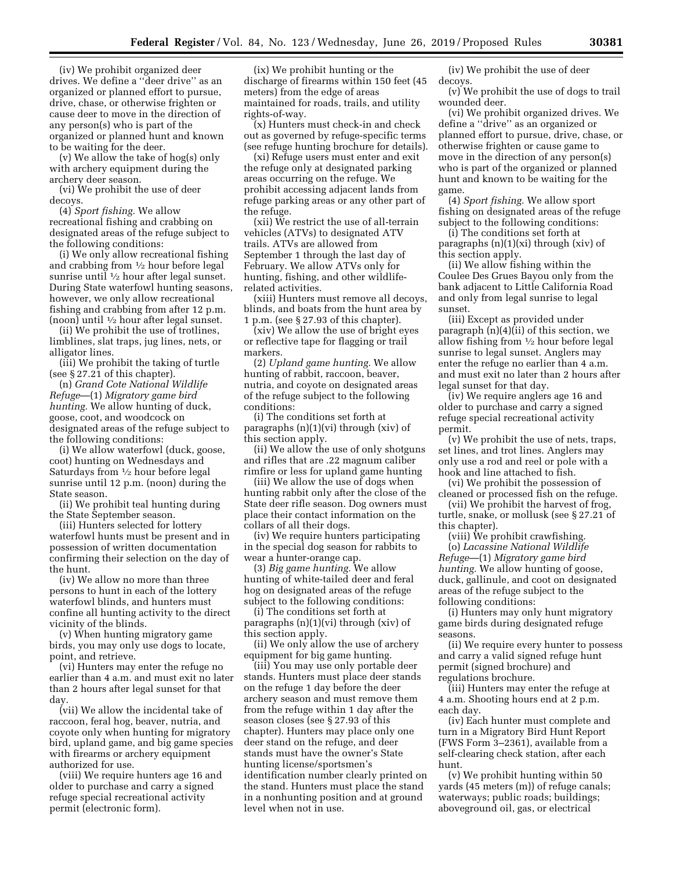(iv) We prohibit organized deer drives. We define a ''deer drive'' as an organized or planned effort to pursue, drive, chase, or otherwise frighten or cause deer to move in the direction of any person(s) who is part of the organized or planned hunt and known to be waiting for the deer.

(v) We allow the take of hog(s) only with archery equipment during the archery deer season.

(vi) We prohibit the use of deer decoys.

(4) *Sport fishing.* We allow recreational fishing and crabbing on designated areas of the refuge subject to the following conditions:

(i) We only allow recreational fishing and crabbing from 1⁄2 hour before legal sunrise until 1/2 hour after legal sunset. During State waterfowl hunting seasons, however, we only allow recreational fishing and crabbing from after 12 p.m. (noon) until 1⁄2 hour after legal sunset.

(ii) We prohibit the use of trotlines, limblines, slat traps, jug lines, nets, or alligator lines.

(iii) We prohibit the taking of turtle (see § 27.21 of this chapter).

(n) *Grand Cote National Wildlife Refuge*—(1) *Migratory game bird hunting.* We allow hunting of duck, goose, coot, and woodcock on designated areas of the refuge subject to the following conditions:

(i) We allow waterfowl (duck, goose, coot) hunting on Wednesdays and Saturdays from 1⁄2 hour before legal sunrise until 12 p.m. (noon) during the State season.

(ii) We prohibit teal hunting during the State September season.

(iii) Hunters selected for lottery waterfowl hunts must be present and in possession of written documentation confirming their selection on the day of the hunt.

(iv) We allow no more than three persons to hunt in each of the lottery waterfowl blinds, and hunters must confine all hunting activity to the direct vicinity of the blinds.

(v) When hunting migratory game birds, you may only use dogs to locate, point, and retrieve.

(vi) Hunters may enter the refuge no earlier than 4 a.m. and must exit no later than 2 hours after legal sunset for that day.

(vii) We allow the incidental take of raccoon, feral hog, beaver, nutria, and coyote only when hunting for migratory bird, upland game, and big game species with firearms or archery equipment authorized for use.

(viii) We require hunters age 16 and older to purchase and carry a signed refuge special recreational activity permit (electronic form).

(ix) We prohibit hunting or the discharge of firearms within 150 feet (45 meters) from the edge of areas maintained for roads, trails, and utility rights-of-way.

(x) Hunters must check-in and check out as governed by refuge-specific terms (see refuge hunting brochure for details).

(xi) Refuge users must enter and exit the refuge only at designated parking areas occurring on the refuge. We prohibit accessing adjacent lands from refuge parking areas or any other part of the refuge.

(xii) We restrict the use of all-terrain vehicles (ATVs) to designated ATV trails. ATVs are allowed from September 1 through the last day of February. We allow ATVs only for hunting, fishing, and other wildliferelated activities.

(xiii) Hunters must remove all decoys, blinds, and boats from the hunt area by 1 p.m. (see § 27.93 of this chapter).

(xiv) We allow the use of bright eyes or reflective tape for flagging or trail markers.

(2) *Upland game hunting.* We allow hunting of rabbit, raccoon, beaver, nutria, and coyote on designated areas of the refuge subject to the following conditions:

(i) The conditions set forth at paragraphs (n)(1)(vi) through (xiv) of this section apply.

(ii) We allow the use of only shotguns and rifles that are .22 magnum caliber rimfire or less for upland game hunting

(iii) We allow the use of dogs when hunting rabbit only after the close of the State deer rifle season. Dog owners must place their contact information on the collars of all their dogs.

(iv) We require hunters participating in the special dog season for rabbits to wear a hunter-orange cap.

(3) *Big game hunting.* We allow hunting of white-tailed deer and feral hog on designated areas of the refuge subject to the following conditions:

(i) The conditions set forth at paragraphs  $(n)(1)(vi)$  through  $(xiv)$  of this section apply.

(ii) We only allow the use of archery equipment for big game hunting.

(iii) You may use only portable deer stands. Hunters must place deer stands on the refuge 1 day before the deer archery season and must remove them from the refuge within 1 day after the season closes (see § 27.93 of this chapter). Hunters may place only one deer stand on the refuge, and deer stands must have the owner's State hunting license/sportsmen's identification number clearly printed on the stand. Hunters must place the stand in a nonhunting position and at ground level when not in use.

(iv) We prohibit the use of deer decoys.

(v) We prohibit the use of dogs to trail wounded deer.

(vi) We prohibit organized drives. We define a ''drive'' as an organized or planned effort to pursue, drive, chase, or otherwise frighten or cause game to move in the direction of any person(s) who is part of the organized or planned hunt and known to be waiting for the game.

(4) *Sport fishing.* We allow sport fishing on designated areas of the refuge subject to the following conditions:

(i) The conditions set forth at paragraphs (n)(1)(xi) through (xiv) of this section apply.

(ii) We allow fishing within the Coulee Des Grues Bayou only from the bank adjacent to Little California Road and only from legal sunrise to legal sunset.

(iii) Except as provided under paragraph (n)(4)(ii) of this section, we allow fishing from 1⁄2 hour before legal sunrise to legal sunset. Anglers may enter the refuge no earlier than 4 a.m. and must exit no later than 2 hours after legal sunset for that day.

(iv) We require anglers age 16 and older to purchase and carry a signed refuge special recreational activity permit.

(v) We prohibit the use of nets, traps, set lines, and trot lines. Anglers may only use a rod and reel or pole with a hook and line attached to fish.

(vi) We prohibit the possession of cleaned or processed fish on the refuge.

(vii) We prohibit the harvest of frog, turtle, snake, or mollusk (see § 27.21 of this chapter).

(viii) We prohibit crawfishing. (o) *Lacassine National Wildlife Refuge*—(1) *Migratory game bird hunting.* We allow hunting of goose, duck, gallinule, and coot on designated areas of the refuge subject to the following conditions:

(i) Hunters may only hunt migratory game birds during designated refuge seasons.

(ii) We require every hunter to possess and carry a valid signed refuge hunt permit (signed brochure) and regulations brochure.

(iii) Hunters may enter the refuge at 4 a.m. Shooting hours end at 2 p.m. each day.

(iv) Each hunter must complete and turn in a Migratory Bird Hunt Report (FWS Form 3–2361), available from a self-clearing check station, after each hunt.

(v) We prohibit hunting within 50 yards (45 meters (m)) of refuge canals; waterways; public roads; buildings; aboveground oil, gas, or electrical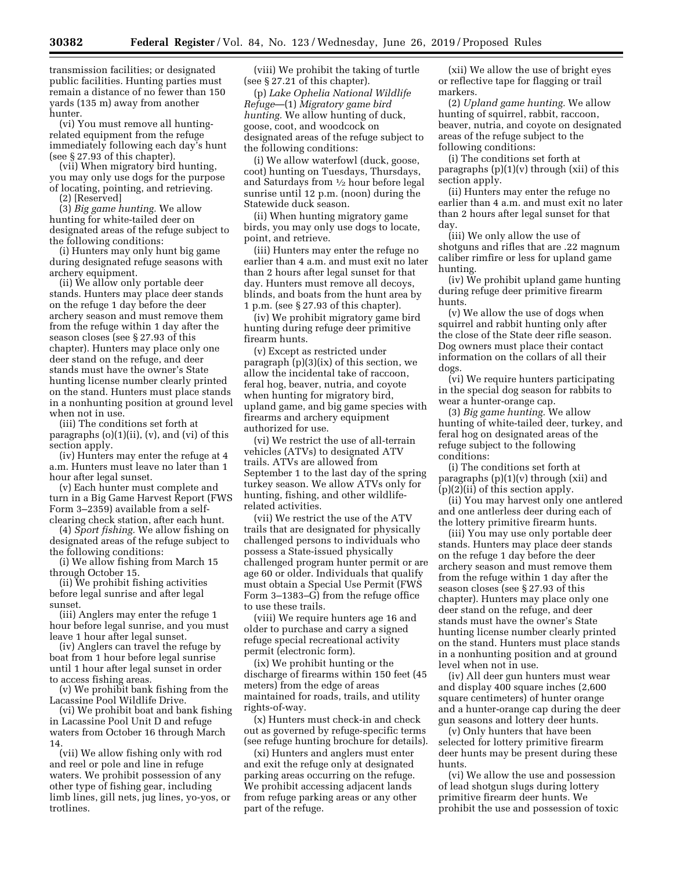transmission facilities; or designated public facilities. Hunting parties must remain a distance of no fewer than 150 yards (135 m) away from another hunter.

(vi) You must remove all huntingrelated equipment from the refuge immediately following each day's hunt (see § 27.93 of this chapter).

(vii) When migratory bird hunting, you may only use dogs for the purpose of locating, pointing, and retrieving. (2) [Reserved]

(3) *Big game hunting.* We allow hunting for white-tailed deer on designated areas of the refuge subject to the following conditions:

(i) Hunters may only hunt big game during designated refuge seasons with archery equipment.

(ii) We allow only portable deer stands. Hunters may place deer stands on the refuge 1 day before the deer archery season and must remove them from the refuge within 1 day after the season closes (see § 27.93 of this chapter). Hunters may place only one deer stand on the refuge, and deer stands must have the owner's State hunting license number clearly printed on the stand. Hunters must place stands in a nonhunting position at ground level when not in use.

(iii) The conditions set forth at paragraphs (o)(1)(ii), (v), and (vi) of this section apply.

(iv) Hunters may enter the refuge at 4 a.m. Hunters must leave no later than 1 hour after legal sunset.

(v) Each hunter must complete and turn in a Big Game Harvest Report (FWS Form 3–2359) available from a selfclearing check station, after each hunt.

(4) *Sport fishing.* We allow fishing on designated areas of the refuge subject to the following conditions:

(i) We allow fishing from March 15 through October 15.

(ii) We prohibit fishing activities before legal sunrise and after legal sunset.

(iii) Anglers may enter the refuge 1 hour before legal sunrise, and you must leave 1 hour after legal sunset.

(iv) Anglers can travel the refuge by boat from 1 hour before legal sunrise until 1 hour after legal sunset in order to access fishing areas.

(v) We prohibit bank fishing from the Lacassine Pool Wildlife Drive.

(vi) We prohibit boat and bank fishing in Lacassine Pool Unit D and refuge waters from October 16 through March 14.

(vii) We allow fishing only with rod and reel or pole and line in refuge waters. We prohibit possession of any other type of fishing gear, including limb lines, gill nets, jug lines, yo-yos, or trotlines.

(viii) We prohibit the taking of turtle (see § 27.21 of this chapter).

(p) *Lake Ophelia National Wildlife Refuge*—(1) *Migratory game bird hunting.* We allow hunting of duck, goose, coot, and woodcock on designated areas of the refuge subject to the following conditions:

(i) We allow waterfowl (duck, goose, coot) hunting on Tuesdays, Thursdays, and Saturdays from 1⁄2 hour before legal sunrise until 12 p.m. (noon) during the Statewide duck season.

(ii) When hunting migratory game birds, you may only use dogs to locate, point, and retrieve.

(iii) Hunters may enter the refuge no earlier than 4 a.m. and must exit no later than 2 hours after legal sunset for that day. Hunters must remove all decoys, blinds, and boats from the hunt area by 1 p.m. (see § 27.93 of this chapter).

(iv) We prohibit migratory game bird hunting during refuge deer primitive firearm hunts.

(v) Except as restricted under paragraph (p)(3)(ix) of this section, we allow the incidental take of raccoon, feral hog, beaver, nutria, and coyote when hunting for migratory bird, upland game, and big game species with firearms and archery equipment authorized for use.

(vi) We restrict the use of all-terrain vehicles (ATVs) to designated ATV trails. ATVs are allowed from September 1 to the last day of the spring turkey season. We allow ATVs only for hunting, fishing, and other wildliferelated activities.

(vii) We restrict the use of the ATV trails that are designated for physically challenged persons to individuals who possess a State-issued physically challenged program hunter permit or are age 60 or older. Individuals that qualify must obtain a Special Use Permit (FWS Form 3–1383–G) from the refuge office to use these trails.

(viii) We require hunters age 16 and older to purchase and carry a signed refuge special recreational activity permit (electronic form).

(ix) We prohibit hunting or the discharge of firearms within 150 feet (45 meters) from the edge of areas maintained for roads, trails, and utility rights-of-way.

(x) Hunters must check-in and check out as governed by refuge-specific terms (see refuge hunting brochure for details).

(xi) Hunters and anglers must enter and exit the refuge only at designated parking areas occurring on the refuge. We prohibit accessing adjacent lands from refuge parking areas or any other part of the refuge.

(xii) We allow the use of bright eyes or reflective tape for flagging or trail markers.

(2) *Upland game hunting.* We allow hunting of squirrel, rabbit, raccoon, beaver, nutria, and coyote on designated areas of the refuge subject to the following conditions:

(i) The conditions set forth at paragraphs  $(p)(1)(v)$  through  $(xii)$  of this section apply.

(ii) Hunters may enter the refuge no earlier than 4 a.m. and must exit no later than 2 hours after legal sunset for that day.

(iii) We only allow the use of shotguns and rifles that are .22 magnum caliber rimfire or less for upland game hunting.

(iv) We prohibit upland game hunting during refuge deer primitive firearm hunts.

(v) We allow the use of dogs when squirrel and rabbit hunting only after the close of the State deer rifle season. Dog owners must place their contact information on the collars of all their dogs.

(vi) We require hunters participating in the special dog season for rabbits to wear a hunter-orange cap.

(3) *Big game hunting.* We allow hunting of white-tailed deer, turkey, and feral hog on designated areas of the refuge subject to the following conditions:

(i) The conditions set forth at paragraphs  $(p)(1)(v)$  through  $(xii)$  and (p)(2)(ii) of this section apply.

(ii) You may harvest only one antlered and one antlerless deer during each of the lottery primitive firearm hunts.

(iii) You may use only portable deer stands. Hunters may place deer stands on the refuge 1 day before the deer archery season and must remove them from the refuge within 1 day after the season closes (see § 27.93 of this chapter). Hunters may place only one deer stand on the refuge, and deer stands must have the owner's State hunting license number clearly printed on the stand. Hunters must place stands in a nonhunting position and at ground level when not in use.

(iv) All deer gun hunters must wear and display 400 square inches (2,600 square centimeters) of hunter orange and a hunter-orange cap during the deer gun seasons and lottery deer hunts.

(v) Only hunters that have been selected for lottery primitive firearm deer hunts may be present during these hunts.

(vi) We allow the use and possession of lead shotgun slugs during lottery primitive firearm deer hunts. We prohibit the use and possession of toxic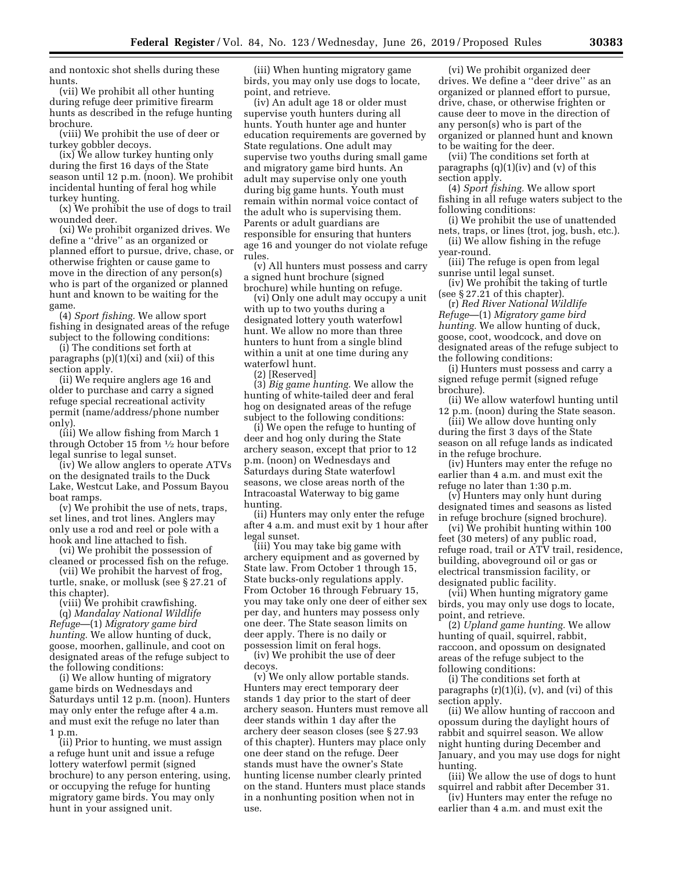and nontoxic shot shells during these hunts.

(vii) We prohibit all other hunting during refuge deer primitive firearm hunts as described in the refuge hunting brochure.

(viii) We prohibit the use of deer or turkey gobbler decoys.

(ix) We allow turkey hunting only during the first 16 days of the State season until 12 p.m. (noon). We prohibit incidental hunting of feral hog while turkey hunting.

(x) We prohibit the use of dogs to trail wounded deer.

(xi) We prohibit organized drives. We define a ''drive'' as an organized or planned effort to pursue, drive, chase, or otherwise frighten or cause game to move in the direction of any person(s) who is part of the organized or planned hunt and known to be waiting for the game.

(4) *Sport fishing.* We allow sport fishing in designated areas of the refuge subject to the following conditions:

(i) The conditions set forth at paragraphs (p)(1)(xi) and (xii) of this section apply.

(ii) We require anglers age 16 and older to purchase and carry a signed refuge special recreational activity permit (name/address/phone number only).

(iii) We allow fishing from March 1 through October 15 from 1⁄2 hour before legal sunrise to legal sunset.

(iv) We allow anglers to operate ATVs on the designated trails to the Duck Lake, Westcut Lake, and Possum Bayou boat ramps.

(v) We prohibit the use of nets, traps, set lines, and trot lines. Anglers may only use a rod and reel or pole with a hook and line attached to fish.

(vi) We prohibit the possession of cleaned or processed fish on the refuge.

(vii) We prohibit the harvest of frog, turtle, snake, or mollusk (see § 27.21 of this chapter).

(viii) We prohibit crawfishing.

(q) *Mandalay National Wildlife Refuge*—(1) *Migratory game bird hunting.* We allow hunting of duck, goose, moorhen, gallinule, and coot on designated areas of the refuge subject to the following conditions:

(i) We allow hunting of migratory game birds on Wednesdays and Saturdays until 12 p.m. (noon). Hunters may only enter the refuge after 4 a.m. and must exit the refuge no later than 1 p.m.

(ii) Prior to hunting, we must assign a refuge hunt unit and issue a refuge lottery waterfowl permit (signed brochure) to any person entering, using, or occupying the refuge for hunting migratory game birds. You may only hunt in your assigned unit.

(iii) When hunting migratory game birds, you may only use dogs to locate, point, and retrieve.

(iv) An adult age 18 or older must supervise youth hunters during all hunts. Youth hunter age and hunter education requirements are governed by State regulations. One adult may supervise two youths during small game and migratory game bird hunts. An adult may supervise only one youth during big game hunts. Youth must remain within normal voice contact of the adult who is supervising them. Parents or adult guardians are responsible for ensuring that hunters age 16 and younger do not violate refuge rules.

(v) All hunters must possess and carry a signed hunt brochure (signed brochure) while hunting on refuge.

(vi) Only one adult may occupy a unit with up to two youths during a designated lottery youth waterfowl hunt. We allow no more than three hunters to hunt from a single blind within a unit at one time during any waterfowl hunt.

(2) [Reserved]

(3) *Big game hunting.* We allow the hunting of white-tailed deer and feral hog on designated areas of the refuge subject to the following conditions:

(i) We open the refuge to hunting of deer and hog only during the State archery season, except that prior to 12 p.m. (noon) on Wednesdays and Saturdays during State waterfowl seasons, we close areas north of the Intracoastal Waterway to big game hunting.

(ii) Hunters may only enter the refuge after 4 a.m. and must exit by 1 hour after legal sunset.

(iii) You may take big game with archery equipment and as governed by State law. From October 1 through 15, State bucks-only regulations apply. From October 16 through February 15, you may take only one deer of either sex per day, and hunters may possess only one deer. The State season limits on deer apply. There is no daily or possession limit on feral hogs.

(iv) We prohibit the use of deer decoys.

(v) We only allow portable stands. Hunters may erect temporary deer stands 1 day prior to the start of deer archery season. Hunters must remove all deer stands within 1 day after the archery deer season closes (see § 27.93 of this chapter). Hunters may place only one deer stand on the refuge. Deer stands must have the owner's State hunting license number clearly printed on the stand. Hunters must place stands in a nonhunting position when not in use.

(vi) We prohibit organized deer drives. We define a ''deer drive'' as an organized or planned effort to pursue, drive, chase, or otherwise frighten or cause deer to move in the direction of any person(s) who is part of the organized or planned hunt and known to be waiting for the deer.

(vii) The conditions set forth at paragraphs  $(q)(1)(iv)$  and  $(v)$  of this section apply.

(4) *Sport fishing.* We allow sport fishing in all refuge waters subject to the following conditions:

(i) We prohibit the use of unattended nets, traps, or lines (trot, jog, bush, etc.).

(ii) We allow fishing in the refuge year-round.

(iii) The refuge is open from legal sunrise until legal sunset.

(iv) We prohibit the taking of turtle (see § 27.21 of this chapter).

(r) *Red River National Wildlife Refuge*—(1) *Migratory game bird hunting.* We allow hunting of duck, goose, coot, woodcock, and dove on designated areas of the refuge subject to the following conditions:

(i) Hunters must possess and carry a signed refuge permit (signed refuge brochure).

(ii) We allow waterfowl hunting until 12 p.m. (noon) during the State season.

(iii) We allow dove hunting only during the first 3 days of the State season on all refuge lands as indicated in the refuge brochure.

(iv) Hunters may enter the refuge no earlier than 4 a.m. and must exit the refuge no later than 1:30 p.m.

(v) Hunters may only hunt during designated times and seasons as listed in refuge brochure (signed brochure).

(vi) We prohibit hunting within 100 feet (30 meters) of any public road, refuge road, trail or ATV trail, residence, building, aboveground oil or gas or electrical transmission facility, or designated public facility.

(vii) When hunting migratory game birds, you may only use dogs to locate, point, and retrieve.

(2) *Upland game hunting.* We allow hunting of quail, squirrel, rabbit, raccoon, and opossum on designated areas of the refuge subject to the following conditions:

(i) The conditions set forth at paragraphs  $(r)(1)(i)$ ,  $(v)$ , and  $(vi)$  of this section apply.

(ii) We allow hunting of raccoon and opossum during the daylight hours of rabbit and squirrel season. We allow night hunting during December and January, and you may use dogs for night hunting.

(iii) We allow the use of dogs to hunt squirrel and rabbit after December 31.

(iv) Hunters may enter the refuge no earlier than 4 a.m. and must exit the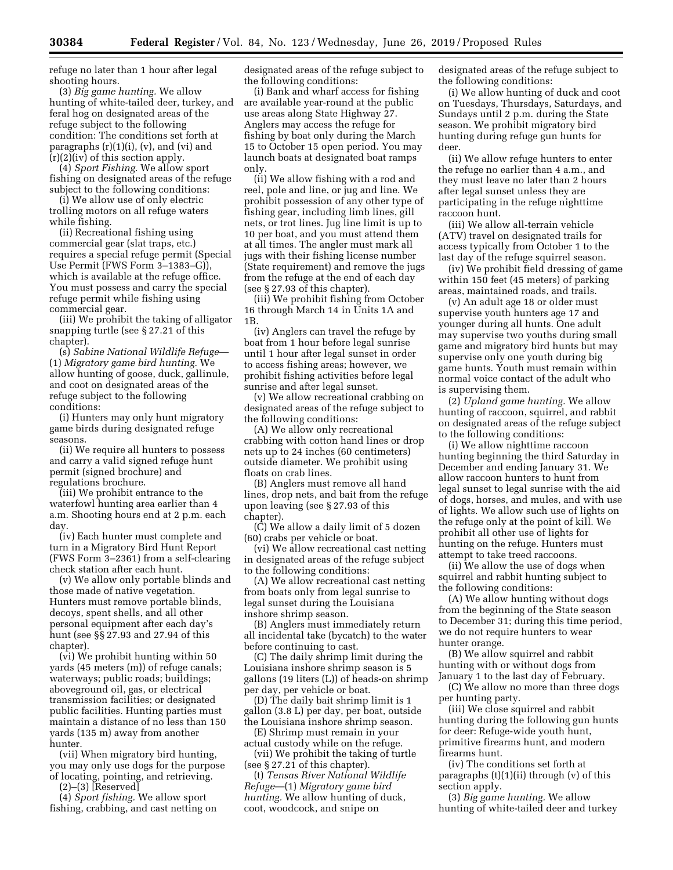refuge no later than 1 hour after legal shooting hours.

(3) *Big game hunting.* We allow hunting of white-tailed deer, turkey, and feral hog on designated areas of the refuge subject to the following condition: The conditions set forth at paragraphs (r)(1)(i), (v), and (vi) and (r)(2)(iv) of this section apply.

(4) *Sport Fishing.* We allow sport fishing on designated areas of the refuge subject to the following conditions:

(i) We allow use of only electric trolling motors on all refuge waters while fishing.

(ii) Recreational fishing using commercial gear (slat traps, etc.) requires a special refuge permit (Special Use Permit (FWS Form 3–1383–G)), which is available at the refuge office. You must possess and carry the special refuge permit while fishing using commercial gear.

(iii) We prohibit the taking of alligator snapping turtle (see § 27.21 of this chapter).

(s) *Sabine National Wildlife Refuge*— (1) *Migratory game bird hunting.* We allow hunting of goose, duck, gallinule, and coot on designated areas of the refuge subject to the following conditions:

(i) Hunters may only hunt migratory game birds during designated refuge seasons.

(ii) We require all hunters to possess and carry a valid signed refuge hunt permit (signed brochure) and regulations brochure.

(iii) We prohibit entrance to the waterfowl hunting area earlier than 4 a.m. Shooting hours end at 2 p.m. each day.

(iv) Each hunter must complete and turn in a Migratory Bird Hunt Report (FWS Form 3–2361) from a self-clearing check station after each hunt.

(v) We allow only portable blinds and those made of native vegetation. Hunters must remove portable blinds, decoys, spent shells, and all other personal equipment after each day's hunt (see §§ 27.93 and 27.94 of this chapter).

(vi) We prohibit hunting within 50 yards (45 meters (m)) of refuge canals; waterways; public roads; buildings; aboveground oil, gas, or electrical transmission facilities; or designated public facilities. Hunting parties must maintain a distance of no less than 150 yards (135 m) away from another hunter.

(vii) When migratory bird hunting, you may only use dogs for the purpose of locating, pointing, and retrieving.

 $(2)$ – $(3)$  [Reserved]

(4) *Sport fishing.* We allow sport fishing, crabbing, and cast netting on designated areas of the refuge subject to the following conditions:

(i) Bank and wharf access for fishing are available year-round at the public use areas along State Highway 27. Anglers may access the refuge for fishing by boat only during the March 15 to October 15 open period. You may launch boats at designated boat ramps only.

(ii) We allow fishing with a rod and reel, pole and line, or jug and line. We prohibit possession of any other type of fishing gear, including limb lines, gill nets, or trot lines. Jug line limit is up to 10 per boat, and you must attend them at all times. The angler must mark all jugs with their fishing license number (State requirement) and remove the jugs from the refuge at the end of each day (see § 27.93 of this chapter).

(iii) We prohibit fishing from October 16 through March 14 in Units 1A and 1B.

(iv) Anglers can travel the refuge by boat from 1 hour before legal sunrise until 1 hour after legal sunset in order to access fishing areas; however, we prohibit fishing activities before legal sunrise and after legal sunset.

(v) We allow recreational crabbing on designated areas of the refuge subject to the following conditions:

(A) We allow only recreational crabbing with cotton hand lines or drop nets up to 24 inches (60 centimeters) outside diameter. We prohibit using floats on crab lines.

(B) Anglers must remove all hand lines, drop nets, and bait from the refuge upon leaving (see § 27.93 of this chapter).

(C) We allow a daily limit of 5 dozen (60) crabs per vehicle or boat.

(vi) We allow recreational cast netting in designated areas of the refuge subject to the following conditions:

(A) We allow recreational cast netting from boats only from legal sunrise to legal sunset during the Louisiana inshore shrimp season.

(B) Anglers must immediately return all incidental take (bycatch) to the water before continuing to cast.

(C) The daily shrimp limit during the Louisiana inshore shrimp season is 5 gallons (19 liters (L)) of heads-on shrimp per day, per vehicle or boat.

(D) The daily bait shrimp limit is 1 gallon (3.8 L) per day, per boat, outside the Louisiana inshore shrimp season.

(E) Shrimp must remain in your

actual custody while on the refuge. (vii) We prohibit the taking of turtle (see § 27.21 of this chapter).

(t) *Tensas River National Wildlife Refuge*—(1) *Migratory game bird hunting.* We allow hunting of duck, coot, woodcock, and snipe on

designated areas of the refuge subject to the following conditions:

(i) We allow hunting of duck and coot on Tuesdays, Thursdays, Saturdays, and Sundays until 2 p.m. during the State season. We prohibit migratory bird hunting during refuge gun hunts for deer.

(ii) We allow refuge hunters to enter the refuge no earlier than 4 a.m., and they must leave no later than 2 hours after legal sunset unless they are participating in the refuge nighttime raccoon hunt.

(iii) We allow all-terrain vehicle (ATV) travel on designated trails for access typically from October 1 to the last day of the refuge squirrel season.

(iv) We prohibit field dressing of game within 150 feet (45 meters) of parking areas, maintained roads, and trails.

(v) An adult age 18 or older must supervise youth hunters age 17 and younger during all hunts. One adult may supervise two youths during small game and migratory bird hunts but may supervise only one youth during big game hunts. Youth must remain within normal voice contact of the adult who is supervising them.

(2) *Upland game hunting.* We allow hunting of raccoon, squirrel, and rabbit on designated areas of the refuge subject to the following conditions:

(i) We allow nighttime raccoon hunting beginning the third Saturday in December and ending January 31. We allow raccoon hunters to hunt from legal sunset to legal sunrise with the aid of dogs, horses, and mules, and with use of lights. We allow such use of lights on the refuge only at the point of kill. We prohibit all other use of lights for hunting on the refuge. Hunters must attempt to take treed raccoons.

(ii) We allow the use of dogs when squirrel and rabbit hunting subject to the following conditions:

(A) We allow hunting without dogs from the beginning of the State season to December 31; during this time period, we do not require hunters to wear hunter orange.

(B) We allow squirrel and rabbit hunting with or without dogs from January 1 to the last day of February.

(C) We allow no more than three dogs per hunting party.

(iii) We close squirrel and rabbit hunting during the following gun hunts for deer: Refuge-wide youth hunt, primitive firearms hunt, and modern firearms hunt.

(iv) The conditions set forth at paragraphs (t)(1)(ii) through (v) of this section apply.

(3) *Big game hunting.* We allow hunting of white-tailed deer and turkey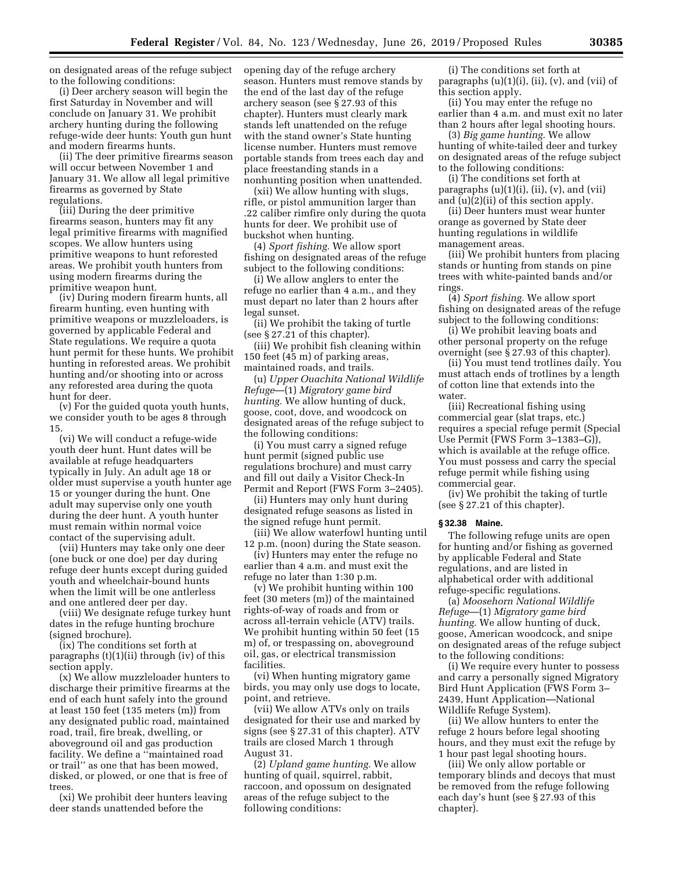on designated areas of the refuge subject to the following conditions:

(i) Deer archery season will begin the first Saturday in November and will conclude on January 31. We prohibit archery hunting during the following refuge-wide deer hunts: Youth gun hunt and modern firearms hunts.

(ii) The deer primitive firearms season will occur between November 1 and January 31. We allow all legal primitive firearms as governed by State regulations.

(iii) During the deer primitive firearms season, hunters may fit any legal primitive firearms with magnified scopes. We allow hunters using primitive weapons to hunt reforested areas. We prohibit youth hunters from using modern firearms during the primitive weapon hunt.

(iv) During modern firearm hunts, all firearm hunting, even hunting with primitive weapons or muzzleloaders, is governed by applicable Federal and State regulations. We require a quota hunt permit for these hunts. We prohibit hunting in reforested areas. We prohibit hunting and/or shooting into or across any reforested area during the quota hunt for deer.

(v) For the guided quota youth hunts, we consider youth to be ages 8 through 15.

(vi) We will conduct a refuge-wide youth deer hunt. Hunt dates will be available at refuge headquarters typically in July. An adult age 18 or older must supervise a youth hunter age 15 or younger during the hunt. One adult may supervise only one youth during the deer hunt. A youth hunter must remain within normal voice contact of the supervising adult.

(vii) Hunters may take only one deer (one buck or one doe) per day during refuge deer hunts except during guided youth and wheelchair-bound hunts when the limit will be one antlerless and one antlered deer per day.

(viii) We designate refuge turkey hunt dates in the refuge hunting brochure (signed brochure).

(ix) The conditions set forth at paragraphs (t)(1)(ii) through (iv) of this section apply.

(x) We allow muzzleloader hunters to discharge their primitive firearms at the end of each hunt safely into the ground at least 150 feet (135 meters (m)) from any designated public road, maintained road, trail, fire break, dwelling, or aboveground oil and gas production facility. We define a ''maintained road or trail'' as one that has been mowed, disked, or plowed, or one that is free of trees.

(xi) We prohibit deer hunters leaving deer stands unattended before the

opening day of the refuge archery season. Hunters must remove stands by the end of the last day of the refuge archery season (see § 27.93 of this chapter). Hunters must clearly mark stands left unattended on the refuge with the stand owner's State hunting license number. Hunters must remove portable stands from trees each day and place freestanding stands in a nonhunting position when unattended.

(xii) We allow hunting with slugs, rifle, or pistol ammunition larger than .22 caliber rimfire only during the quota hunts for deer. We prohibit use of buckshot when hunting.

(4) *Sport fishing.* We allow sport fishing on designated areas of the refuge subject to the following conditions:

(i) We allow anglers to enter the refuge no earlier than 4 a.m., and they must depart no later than 2 hours after legal sunset.

(ii) We prohibit the taking of turtle (see § 27.21 of this chapter).

(iii) We prohibit fish cleaning within 150 feet (45 m) of parking areas, maintained roads, and trails.

(u) *Upper Ouachita National Wildlife Refuge*—(1) *Migratory game bird hunting.* We allow hunting of duck, goose, coot, dove, and woodcock on designated areas of the refuge subject to the following conditions:

(i) You must carry a signed refuge hunt permit (signed public use regulations brochure) and must carry and fill out daily a Visitor Check-In Permit and Report (FWS Form 3–2405).

(ii) Hunters may only hunt during designated refuge seasons as listed in the signed refuge hunt permit.

(iii) We allow waterfowl hunting until 12 p.m. (noon) during the State season.

(iv) Hunters may enter the refuge no earlier than 4 a.m. and must exit the refuge no later than 1:30 p.m.

(v) We prohibit hunting within 100 feet (30 meters (m)) of the maintained rights-of-way of roads and from or across all-terrain vehicle (ATV) trails. We prohibit hunting within 50 feet (15 m) of, or trespassing on, aboveground oil, gas, or electrical transmission facilities.

(vi) When hunting migratory game birds, you may only use dogs to locate, point, and retrieve.

(vii) We allow ATVs only on trails designated for their use and marked by signs (see § 27.31 of this chapter). ATV trails are closed March 1 through August 31.

(2) *Upland game hunting.* We allow hunting of quail, squirrel, rabbit, raccoon, and opossum on designated areas of the refuge subject to the following conditions:

(i) The conditions set forth at paragraphs (u)(1)(i), (ii), (v), and (vii) of this section apply.

(ii) You may enter the refuge no earlier than 4 a.m. and must exit no later than 2 hours after legal shooting hours.

(3) *Big game hunting.* We allow hunting of white-tailed deer and turkey on designated areas of the refuge subject to the following conditions:

(i) The conditions set forth at paragraphs  $(u)(1)(i)$ ,  $(ii)$ ,  $(v)$ , and  $(vii)$ and (u)(2)(ii) of this section apply.

(ii) Deer hunters must wear hunter orange as governed by State deer hunting regulations in wildlife management areas.

(iii) We prohibit hunters from placing stands or hunting from stands on pine trees with white-painted bands and/or rings.

(4) *Sport fishing.* We allow sport fishing on designated areas of the refuge subject to the following conditions:

(i) We prohibit leaving boats and other personal property on the refuge overnight (see § 27.93 of this chapter).

(ii) You must tend trotlines daily. You must attach ends of trotlines by a length of cotton line that extends into the water.

(iii) Recreational fishing using commercial gear (slat traps, etc.) requires a special refuge permit (Special Use Permit (FWS Form 3–1383–G)), which is available at the refuge office. You must possess and carry the special refuge permit while fishing using commercial gear.

(iv) We prohibit the taking of turtle (see § 27.21 of this chapter).

## **§ 32.38 Maine.**

The following refuge units are open for hunting and/or fishing as governed by applicable Federal and State regulations, and are listed in alphabetical order with additional refuge-specific regulations.

(a) *Moosehorn National Wildlife Refuge*—(1) *Migratory game bird hunting.* We allow hunting of duck, goose, American woodcock, and snipe on designated areas of the refuge subject to the following conditions:

(i) We require every hunter to possess and carry a personally signed Migratory Bird Hunt Application (FWS Form 3– 2439, Hunt Application—National Wildlife Refuge System).

(ii) We allow hunters to enter the refuge 2 hours before legal shooting hours, and they must exit the refuge by 1 hour past legal shooting hours.

(iii) We only allow portable or temporary blinds and decoys that must be removed from the refuge following each day's hunt (see § 27.93 of this chapter).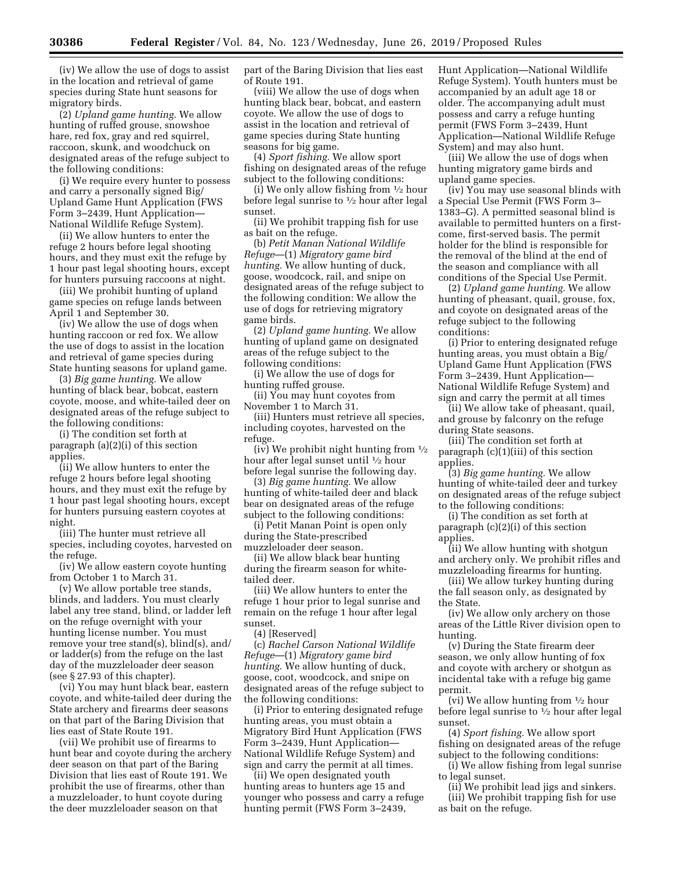(iv) We allow the use of dogs to assist in the location and retrieval of game species during State hunt seasons for migratory birds.

(2) *Upland game hunting.* We allow hunting of ruffed grouse, snowshoe hare, red fox, gray and red squirrel, raccoon, skunk, and woodchuck on designated areas of the refuge subject to the following conditions:

(i) We require every hunter to possess and carry a personally signed Big/ Upland Game Hunt Application (FWS Form 3–2439, Hunt Application— National Wildlife Refuge System).

(ii) We allow hunters to enter the refuge 2 hours before legal shooting hours, and they must exit the refuge by 1 hour past legal shooting hours, except for hunters pursuing raccoons at night.

(iii) We prohibit hunting of upland game species on refuge lands between April 1 and September 30.

(iv) We allow the use of dogs when hunting raccoon or red fox. We allow the use of dogs to assist in the location and retrieval of game species during State hunting seasons for upland game.

(3) *Big game hunting.* We allow hunting of black bear, bobcat, eastern coyote, moose, and white-tailed deer on designated areas of the refuge subject to the following conditions:

(i) The condition set forth at paragraph (a)(2)(i) of this section applies.

(ii) We allow hunters to enter the refuge 2 hours before legal shooting hours, and they must exit the refuge by 1 hour past legal shooting hours, except for hunters pursuing eastern coyotes at night.

(iii) The hunter must retrieve all species, including coyotes, harvested on the refuge.

(iv) We allow eastern coyote hunting from October 1 to March 31.

(v) We allow portable tree stands, blinds, and ladders. You must clearly label any tree stand, blind, or ladder left on the refuge overnight with your hunting license number. You must remove your tree stand(s), blind(s), and/ or ladder(s) from the refuge on the last day of the muzzleloader deer season (see § 27.93 of this chapter).

(vi) You may hunt black bear, eastern coyote, and white-tailed deer during the State archery and firearms deer seasons on that part of the Baring Division that lies east of State Route 191.

(vii) We prohibit use of firearms to hunt bear and coyote during the archery deer season on that part of the Baring Division that lies east of Route 191. We prohibit the use of firearms, other than a muzzleloader, to hunt coyote during the deer muzzleloader season on that

part of the Baring Division that lies east of Route 191.

(viii) We allow the use of dogs when hunting black bear, bobcat, and eastern coyote. We allow the use of dogs to assist in the location and retrieval of game species during State hunting seasons for big game.

(4) *Sport fishing.* We allow sport fishing on designated areas of the refuge subject to the following conditions:

(i) We only allow fishing from  $\frac{1}{2}$  hour before legal sunrise to  $\frac{1}{2}$  hour after legal sunset.

(ii) We prohibit trapping fish for use as bait on the refuge.

(b) *Petit Manan National Wildlife Refuge*—(1) *Migratory game bird hunting.* We allow hunting of duck, goose, woodcock, rail, and snipe on designated areas of the refuge subject to the following condition: We allow the use of dogs for retrieving migratory game birds.

(2) *Upland game hunting.* We allow hunting of upland game on designated areas of the refuge subject to the following conditions:

(i) We allow the use of dogs for hunting ruffed grouse.

(ii) You may hunt coyotes from November 1 to March 31.

(iii) Hunters must retrieve all species, including coyotes, harvested on the refuge.

(iv) We prohibit night hunting from  $\frac{1}{2}$ hour after legal sunset until 1⁄2 hour before legal sunrise the following day.

(3) *Big game hunting.* We allow hunting of white-tailed deer and black bear on designated areas of the refuge subject to the following conditions:

(i) Petit Manan Point is open only during the State-prescribed muzzleloader deer season.

(ii) We allow black bear hunting during the firearm season for whitetailed deer.

(iii) We allow hunters to enter the refuge 1 hour prior to legal sunrise and remain on the refuge 1 hour after legal sunset.

(4) [Reserved]

(c) *Rachel Carson National Wildlife Refuge*—(1) *Migratory game bird hunting.* We allow hunting of duck, goose, coot, woodcock, and snipe on designated areas of the refuge subject to the following conditions:

(i) Prior to entering designated refuge hunting areas, you must obtain a Migratory Bird Hunt Application (FWS Form 3–2439, Hunt Application— National Wildlife Refuge System) and sign and carry the permit at all times.

(ii) We open designated youth hunting areas to hunters age 15 and younger who possess and carry a refuge hunting permit (FWS Form 3–2439,

Hunt Application—National Wildlife Refuge System). Youth hunters must be accompanied by an adult age 18 or older. The accompanying adult must possess and carry a refuge hunting permit (FWS Form 3–2439, Hunt Application—National Wildlife Refuge System) and may also hunt.

(iii) We allow the use of dogs when hunting migratory game birds and upland game species.

(iv) You may use seasonal blinds with a Special Use Permit (FWS Form 3– 1383–G). A permitted seasonal blind is available to permitted hunters on a firstcome, first-served basis. The permit holder for the blind is responsible for the removal of the blind at the end of the season and compliance with all conditions of the Special Use Permit.

(2) *Upland game hunting.* We allow hunting of pheasant, quail, grouse, fox, and coyote on designated areas of the refuge subject to the following conditions:

(i) Prior to entering designated refuge hunting areas, you must obtain a Big/ Upland Game Hunt Application (FWS Form 3–2439, Hunt Application— National Wildlife Refuge System) and sign and carry the permit at all times

(ii) We allow take of pheasant, quail, and grouse by falconry on the refuge during State seasons.

(iii) The condition set forth at paragraph (c)(1)(iii) of this section applies.

(3) *Big game hunting.* We allow hunting of white-tailed deer and turkey on designated areas of the refuge subject to the following conditions:

(i) The condition as set forth at paragraph (c)(2)(i) of this section applies.

(ii) We allow hunting with shotgun and archery only. We prohibit rifles and muzzleloading firearms for hunting.

(iii) We allow turkey hunting during the fall season only, as designated by the State.

(iv) We allow only archery on those areas of the Little River division open to hunting.

(v) During the State firearm deer season, we only allow hunting of fox and coyote with archery or shotgun as incidental take with a refuge big game permit.

(vi) We allow hunting from 1⁄2 hour before legal sunrise to 1⁄2 hour after legal sunset.

(4) *Sport fishing.* We allow sport fishing on designated areas of the refuge subject to the following conditions:

(i) We allow fishing from legal sunrise to legal sunset.

(ii) We prohibit lead jigs and sinkers.

(iii) We prohibit trapping fish for use as bait on the refuge.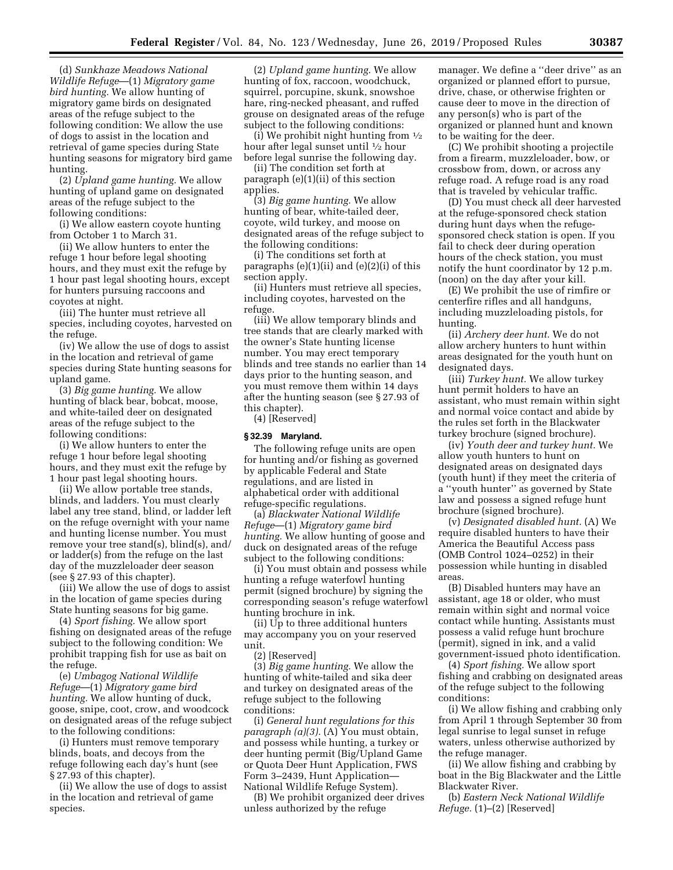(d) *Sunkhaze Meadows National Wildlife Refuge*—(1) *Migratory game bird hunting.* We allow hunting of migratory game birds on designated areas of the refuge subject to the following condition: We allow the use of dogs to assist in the location and retrieval of game species during State hunting seasons for migratory bird game hunting.

(2) *Upland game hunting.* We allow hunting of upland game on designated areas of the refuge subject to the following conditions:

(i) We allow eastern coyote hunting from October 1 to March 31.

(ii) We allow hunters to enter the refuge 1 hour before legal shooting hours, and they must exit the refuge by 1 hour past legal shooting hours, except for hunters pursuing raccoons and coyotes at night.

(iii) The hunter must retrieve all species, including coyotes, harvested on the refuge.

(iv) We allow the use of dogs to assist in the location and retrieval of game species during State hunting seasons for upland game.

(3) *Big game hunting.* We allow hunting of black bear, bobcat, moose, and white-tailed deer on designated areas of the refuge subject to the following conditions:

(i) We allow hunters to enter the refuge 1 hour before legal shooting hours, and they must exit the refuge by 1 hour past legal shooting hours.

(ii) We allow portable tree stands, blinds, and ladders. You must clearly label any tree stand, blind, or ladder left on the refuge overnight with your name and hunting license number. You must remove your tree stand(s), blind(s), and/ or ladder(s) from the refuge on the last day of the muzzleloader deer season (see § 27.93 of this chapter).

(iii) We allow the use of dogs to assist in the location of game species during State hunting seasons for big game.

(4) *Sport fishing.* We allow sport fishing on designated areas of the refuge subject to the following condition: We prohibit trapping fish for use as bait on the refuge.

(e) *Umbagog National Wildlife Refuge*—(1) *Migratory game bird hunting.* We allow hunting of duck, goose, snipe, coot, crow, and woodcock on designated areas of the refuge subject to the following conditions:

(i) Hunters must remove temporary blinds, boats, and decoys from the refuge following each day's hunt (see § 27.93 of this chapter).

(ii) We allow the use of dogs to assist in the location and retrieval of game species.

(2) *Upland game hunting.* We allow hunting of fox, raccoon, woodchuck, squirrel, porcupine, skunk, snowshoe hare, ring-necked pheasant, and ruffed grouse on designated areas of the refuge subject to the following conditions:

(i) We prohibit night hunting from  $\frac{1}{2}$ hour after legal sunset until 1⁄2 hour before legal sunrise the following day.

(ii) The condition set forth at paragraph (e)(1)(ii) of this section applies.

(3) *Big game hunting.* We allow hunting of bear, white-tailed deer, coyote, wild turkey, and moose on designated areas of the refuge subject to the following conditions:

(i) The conditions set forth at paragraphs  $(e)(1)(ii)$  and  $(e)(2)(i)$  of this section apply.

(ii) Hunters must retrieve all species, including coyotes, harvested on the refuge.

(iii) We allow temporary blinds and tree stands that are clearly marked with the owner's State hunting license number. You may erect temporary blinds and tree stands no earlier than 14 days prior to the hunting season, and you must remove them within 14 days after the hunting season (see § 27.93 of this chapter).

(4) [Reserved]

## **§ 32.39 Maryland.**

The following refuge units are open for hunting and/or fishing as governed by applicable Federal and State regulations, and are listed in alphabetical order with additional refuge-specific regulations.

(a) *Blackwater National Wildlife Refuge*—(1) *Migratory game bird hunting.* We allow hunting of goose and duck on designated areas of the refuge subject to the following conditions:

(i) You must obtain and possess while hunting a refuge waterfowl hunting permit (signed brochure) by signing the corresponding season's refuge waterfowl hunting brochure in ink.

(ii) Up to three additional hunters may accompany you on your reserved unit.

(2) [Reserved]

(3) *Big game hunting.* We allow the hunting of white-tailed and sika deer and turkey on designated areas of the refuge subject to the following conditions:

(i) *General hunt regulations for this paragraph (a)(3).* (A) You must obtain, and possess while hunting, a turkey or deer hunting permit (Big/Upland Game or Quota Deer Hunt Application, FWS Form 3–2439, Hunt Application— National Wildlife Refuge System).

(B) We prohibit organized deer drives unless authorized by the refuge

manager. We define a ''deer drive'' as an organized or planned effort to pursue, drive, chase, or otherwise frighten or cause deer to move in the direction of any person(s) who is part of the organized or planned hunt and known to be waiting for the deer.

(C) We prohibit shooting a projectile from a firearm, muzzleloader, bow, or crossbow from, down, or across any refuge road. A refuge road is any road that is traveled by vehicular traffic.

(D) You must check all deer harvested at the refuge-sponsored check station during hunt days when the refugesponsored check station is open. If you fail to check deer during operation hours of the check station, you must notify the hunt coordinator by 12 p.m. (noon) on the day after your kill.

(E) We prohibit the use of rimfire or centerfire rifles and all handguns, including muzzleloading pistols, for hunting.

(ii) *Archery deer hunt.* We do not allow archery hunters to hunt within areas designated for the youth hunt on designated days.

(iii) *Turkey hunt.* We allow turkey hunt permit holders to have an assistant, who must remain within sight and normal voice contact and abide by the rules set forth in the Blackwater turkey brochure (signed brochure).

(iv) *Youth deer and turkey hunt.* We allow youth hunters to hunt on designated areas on designated days (youth hunt) if they meet the criteria of a ''youth hunter'' as governed by State law and possess a signed refuge hunt brochure (signed brochure).

(v) *Designated disabled hunt.* (A) We require disabled hunters to have their America the Beautiful Access pass (OMB Control 1024–0252) in their possession while hunting in disabled areas.

(B) Disabled hunters may have an assistant, age 18 or older, who must remain within sight and normal voice contact while hunting. Assistants must possess a valid refuge hunt brochure (permit), signed in ink, and a valid government-issued photo identification.

(4) *Sport fishing.* We allow sport fishing and crabbing on designated areas of the refuge subject to the following conditions:

(i) We allow fishing and crabbing only from April 1 through September 30 from legal sunrise to legal sunset in refuge waters, unless otherwise authorized by the refuge manager.

(ii) We allow fishing and crabbing by boat in the Big Blackwater and the Little Blackwater River.

(b) *Eastern Neck National Wildlife Refuge.* (1)–(2) [Reserved]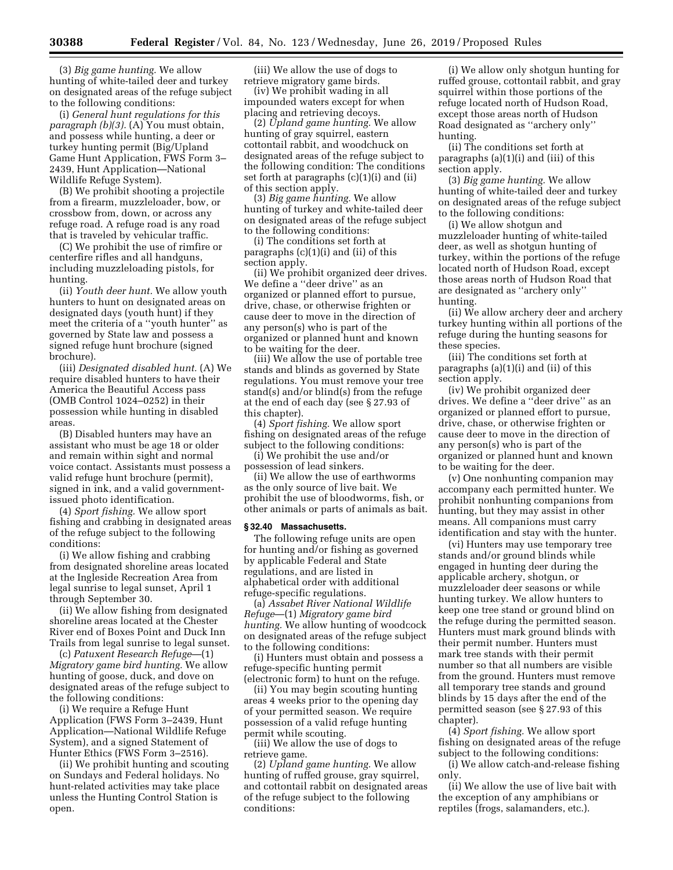(3) *Big game hunting.* We allow hunting of white-tailed deer and turkey on designated areas of the refuge subject to the following conditions:

(i) *General hunt regulations for this paragraph (b)(3).* (A) You must obtain, and possess while hunting, a deer or turkey hunting permit (Big/Upland Game Hunt Application, FWS Form 3– 2439, Hunt Application—National Wildlife Refuge System).

(B) We prohibit shooting a projectile from a firearm, muzzleloader, bow, or crossbow from, down, or across any refuge road. A refuge road is any road that is traveled by vehicular traffic.

(C) We prohibit the use of rimfire or centerfire rifles and all handguns, including muzzleloading pistols, for hunting.

(ii) *Youth deer hunt.* We allow youth hunters to hunt on designated areas on designated days (youth hunt) if they meet the criteria of a ''youth hunter'' as governed by State law and possess a signed refuge hunt brochure (signed brochure).

(iii) *Designated disabled hunt.* (A) We require disabled hunters to have their America the Beautiful Access pass (OMB Control 1024–0252) in their possession while hunting in disabled areas.

(B) Disabled hunters may have an assistant who must be age 18 or older and remain within sight and normal voice contact. Assistants must possess a valid refuge hunt brochure (permit), signed in ink, and a valid governmentissued photo identification.

(4) *Sport fishing.* We allow sport fishing and crabbing in designated areas of the refuge subject to the following conditions:

(i) We allow fishing and crabbing from designated shoreline areas located at the Ingleside Recreation Area from legal sunrise to legal sunset, April 1 through September 30.

(ii) We allow fishing from designated shoreline areas located at the Chester River end of Boxes Point and Duck Inn Trails from legal sunrise to legal sunset.

(c) *Patuxent Research Refuge*—(1) *Migratory game bird hunting.* We allow hunting of goose, duck, and dove on designated areas of the refuge subject to the following conditions:

(i) We require a Refuge Hunt Application (FWS Form 3–2439, Hunt Application—National Wildlife Refuge System), and a signed Statement of Hunter Ethics (FWS Form 3–2516).

(ii) We prohibit hunting and scouting on Sundays and Federal holidays. No hunt-related activities may take place unless the Hunting Control Station is open.

(iii) We allow the use of dogs to retrieve migratory game birds.

(iv) We prohibit wading in all impounded waters except for when placing and retrieving decoys.

(2) *Upland game hunting.* We allow hunting of gray squirrel, eastern cottontail rabbit, and woodchuck on designated areas of the refuge subject to the following condition: The conditions set forth at paragraphs (c)(1)(i) and (ii) of this section apply.

(3) *Big game hunting.* We allow hunting of turkey and white-tailed deer on designated areas of the refuge subject to the following conditions:

(i) The conditions set forth at paragraphs  $(c)(1)(i)$  and  $(ii)$  of this section apply.

(ii) We prohibit organized deer drives. We define a ''deer drive'' as an organized or planned effort to pursue, drive, chase, or otherwise frighten or cause deer to move in the direction of any person(s) who is part of the organized or planned hunt and known to be waiting for the deer.

(iii) We allow the use of portable tree stands and blinds as governed by State regulations. You must remove your tree stand(s) and/or blind(s) from the refuge at the end of each day (see § 27.93 of this chapter).

(4) *Sport fishing.* We allow sport fishing on designated areas of the refuge subject to the following conditions:

(i) We prohibit the use and/or possession of lead sinkers.

(ii) We allow the use of earthworms as the only source of live bait. We prohibit the use of bloodworms, fish, or other animals or parts of animals as bait.

#### **§ 32.40 Massachusetts.**

The following refuge units are open for hunting and/or fishing as governed by applicable Federal and State regulations, and are listed in alphabetical order with additional refuge-specific regulations.

(a) *Assabet River National Wildlife Refuge*—(1) *Migratory game bird hunting.* We allow hunting of woodcock on designated areas of the refuge subject to the following conditions:

(i) Hunters must obtain and possess a refuge-specific hunting permit (electronic form) to hunt on the refuge.

(ii) You may begin scouting hunting areas 4 weeks prior to the opening day of your permitted season. We require possession of a valid refuge hunting permit while scouting.

(iii) We allow the use of dogs to retrieve game.

(2) *Upland game hunting.* We allow hunting of ruffed grouse, gray squirrel, and cottontail rabbit on designated areas of the refuge subject to the following conditions:

(i) We allow only shotgun hunting for ruffed grouse, cottontail rabbit, and gray squirrel within those portions of the refuge located north of Hudson Road, except those areas north of Hudson Road designated as ''archery only'' hunting.

(ii) The conditions set forth at paragraphs (a)(1)(i) and (iii) of this section apply.

(3) *Big game hunting.* We allow hunting of white-tailed deer and turkey on designated areas of the refuge subject to the following conditions:

(i) We allow shotgun and muzzleloader hunting of white-tailed deer, as well as shotgun hunting of turkey, within the portions of the refuge located north of Hudson Road, except those areas north of Hudson Road that are designated as ''archery only'' hunting.

(ii) We allow archery deer and archery turkey hunting within all portions of the refuge during the hunting seasons for these species.

(iii) The conditions set forth at paragraphs (a)(1)(i) and (ii) of this section apply.

(iv) We prohibit organized deer drives. We define a ''deer drive'' as an organized or planned effort to pursue, drive, chase, or otherwise frighten or cause deer to move in the direction of any person(s) who is part of the organized or planned hunt and known to be waiting for the deer.

(v) One nonhunting companion may accompany each permitted hunter. We prohibit nonhunting companions from hunting, but they may assist in other means. All companions must carry identification and stay with the hunter.

(vi) Hunters may use temporary tree stands and/or ground blinds while engaged in hunting deer during the applicable archery, shotgun, or muzzleloader deer seasons or while hunting turkey. We allow hunters to keep one tree stand or ground blind on the refuge during the permitted season. Hunters must mark ground blinds with their permit number. Hunters must mark tree stands with their permit number so that all numbers are visible from the ground. Hunters must remove all temporary tree stands and ground blinds by 15 days after the end of the permitted season (see § 27.93 of this chapter).

(4) *Sport fishing.* We allow sport fishing on designated areas of the refuge subject to the following conditions:

(i) We allow catch-and-release fishing only.

(ii) We allow the use of live bait with the exception of any amphibians or reptiles (frogs, salamanders, etc.).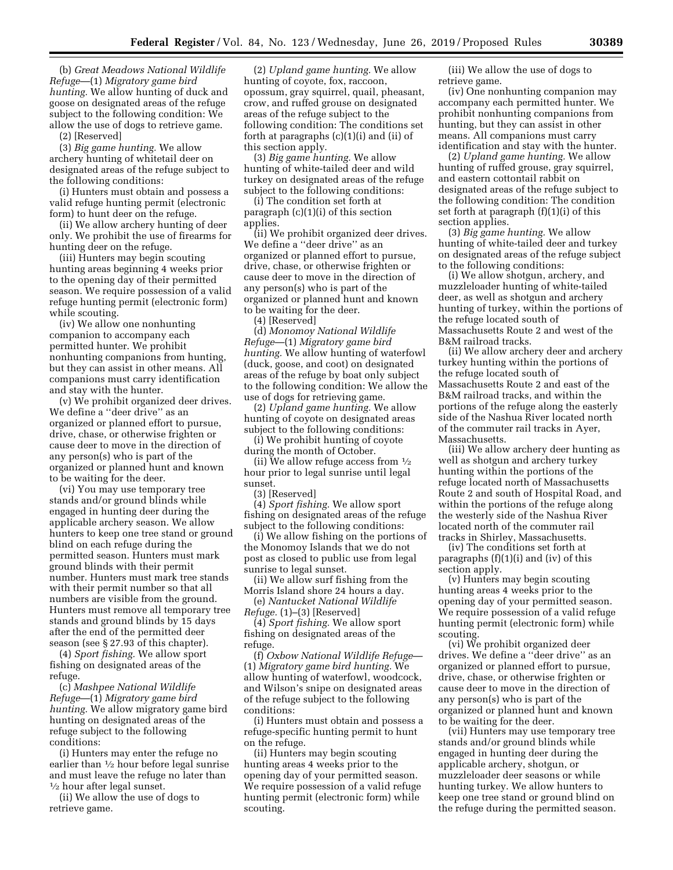(b) *Great Meadows National Wildlife Refuge*—(1) *Migratory game bird hunting.* We allow hunting of duck and goose on designated areas of the refuge subject to the following condition: We allow the use of dogs to retrieve game.

(2) [Reserved]

(3) *Big game hunting.* We allow archery hunting of whitetail deer on designated areas of the refuge subject to the following conditions:

(i) Hunters must obtain and possess a valid refuge hunting permit (electronic form) to hunt deer on the refuge.

(ii) We allow archery hunting of deer only. We prohibit the use of firearms for hunting deer on the refuge.

(iii) Hunters may begin scouting hunting areas beginning 4 weeks prior to the opening day of their permitted season. We require possession of a valid refuge hunting permit (electronic form) while scouting.

(iv) We allow one nonhunting companion to accompany each permitted hunter. We prohibit nonhunting companions from hunting, but they can assist in other means. All companions must carry identification and stay with the hunter.

(v) We prohibit organized deer drives. We define a ''deer drive'' as an organized or planned effort to pursue, drive, chase, or otherwise frighten or cause deer to move in the direction of any person(s) who is part of the organized or planned hunt and known to be waiting for the deer.

(vi) You may use temporary tree stands and/or ground blinds while engaged in hunting deer during the applicable archery season. We allow hunters to keep one tree stand or ground blind on each refuge during the permitted season. Hunters must mark ground blinds with their permit number. Hunters must mark tree stands with their permit number so that all numbers are visible from the ground. Hunters must remove all temporary tree stands and ground blinds by 15 days after the end of the permitted deer season (see § 27.93 of this chapter).

(4) *Sport fishing.* We allow sport fishing on designated areas of the refuge.

(c) *Mashpee National Wildlife Refuge*—(1) *Migratory game bird hunting.* We allow migratory game bird hunting on designated areas of the refuge subject to the following conditions:

(i) Hunters may enter the refuge no earlier than 1⁄2 hour before legal sunrise and must leave the refuge no later than 1⁄2 hour after legal sunset.

(ii) We allow the use of dogs to retrieve game.

(2) *Upland game hunting.* We allow hunting of coyote, fox, raccoon, opossum, gray squirrel, quail, pheasant, crow, and ruffed grouse on designated areas of the refuge subject to the following condition: The conditions set forth at paragraphs (c)(1)(i) and (ii) of this section apply.

(3) *Big game hunting.* We allow hunting of white-tailed deer and wild turkey on designated areas of the refuge subject to the following conditions:

(i) The condition set forth at paragraph (c)(1)(i) of this section applies.

(ii) We prohibit organized deer drives. We define a ''deer drive'' as an organized or planned effort to pursue, drive, chase, or otherwise frighten or cause deer to move in the direction of any person(s) who is part of the organized or planned hunt and known to be waiting for the deer.

(4) [Reserved]

(d) *Monomoy National Wildlife Refuge*—(1) *Migratory game bird hunting.* We allow hunting of waterfowl (duck, goose, and coot) on designated areas of the refuge by boat only subject to the following condition: We allow the use of dogs for retrieving game.

(2) *Upland game hunting.* We allow hunting of coyote on designated areas subject to the following conditions:

(i) We prohibit hunting of coyote during the month of October.

(ii) We allow refuge access from  $\frac{1}{2}$ hour prior to legal sunrise until legal sunset.

(3) [Reserved]

(4) *Sport fishing.* We allow sport fishing on designated areas of the refuge subject to the following conditions:

(i) We allow fishing on the portions of the Monomoy Islands that we do not post as closed to public use from legal sunrise to legal sunset.

(ii) We allow surf fishing from the Morris Island shore 24 hours a day.

(e) *Nantucket National Wildlife Refuge.* (1)–(3) [Reserved]

(4) *Sport fishing.* We allow sport fishing on designated areas of the refuge.

(f) *Oxbow National Wildlife Refuge*— (1) *Migratory game bird hunting.* We allow hunting of waterfowl, woodcock, and Wilson's snipe on designated areas of the refuge subject to the following conditions:

(i) Hunters must obtain and possess a refuge-specific hunting permit to hunt on the refuge.

(ii) Hunters may begin scouting hunting areas 4 weeks prior to the opening day of your permitted season. We require possession of a valid refuge hunting permit (electronic form) while scouting.

(iii) We allow the use of dogs to retrieve game.

(iv) One nonhunting companion may accompany each permitted hunter. We prohibit nonhunting companions from hunting, but they can assist in other means. All companions must carry identification and stay with the hunter.

(2) *Upland game hunting.* We allow hunting of ruffed grouse, gray squirrel, and eastern cottontail rabbit on designated areas of the refuge subject to the following condition: The condition set forth at paragraph (f)(1)(i) of this section applies.

(3) *Big game hunting.* We allow hunting of white-tailed deer and turkey on designated areas of the refuge subject to the following conditions:

(i) We allow shotgun, archery, and muzzleloader hunting of white-tailed deer, as well as shotgun and archery hunting of turkey, within the portions of the refuge located south of Massachusetts Route 2 and west of the B&M railroad tracks.

(ii) We allow archery deer and archery turkey hunting within the portions of the refuge located south of Massachusetts Route 2 and east of the B&M railroad tracks, and within the portions of the refuge along the easterly side of the Nashua River located north of the commuter rail tracks in Ayer, Massachusetts.

(iii) We allow archery deer hunting as well as shotgun and archery turkey hunting within the portions of the refuge located north of Massachusetts Route 2 and south of Hospital Road, and within the portions of the refuge along the westerly side of the Nashua River located north of the commuter rail tracks in Shirley, Massachusetts.

(iv) The conditions set forth at paragraphs (f)(1)(i) and (iv) of this section apply.

(v) Hunters may begin scouting hunting areas 4 weeks prior to the opening day of your permitted season. We require possession of a valid refuge hunting permit (electronic form) while scouting.

(vi) We prohibit organized deer drives. We define a ''deer drive'' as an organized or planned effort to pursue, drive, chase, or otherwise frighten or cause deer to move in the direction of any person(s) who is part of the organized or planned hunt and known to be waiting for the deer.

(vii) Hunters may use temporary tree stands and/or ground blinds while engaged in hunting deer during the applicable archery, shotgun, or muzzleloader deer seasons or while hunting turkey. We allow hunters to keep one tree stand or ground blind on the refuge during the permitted season.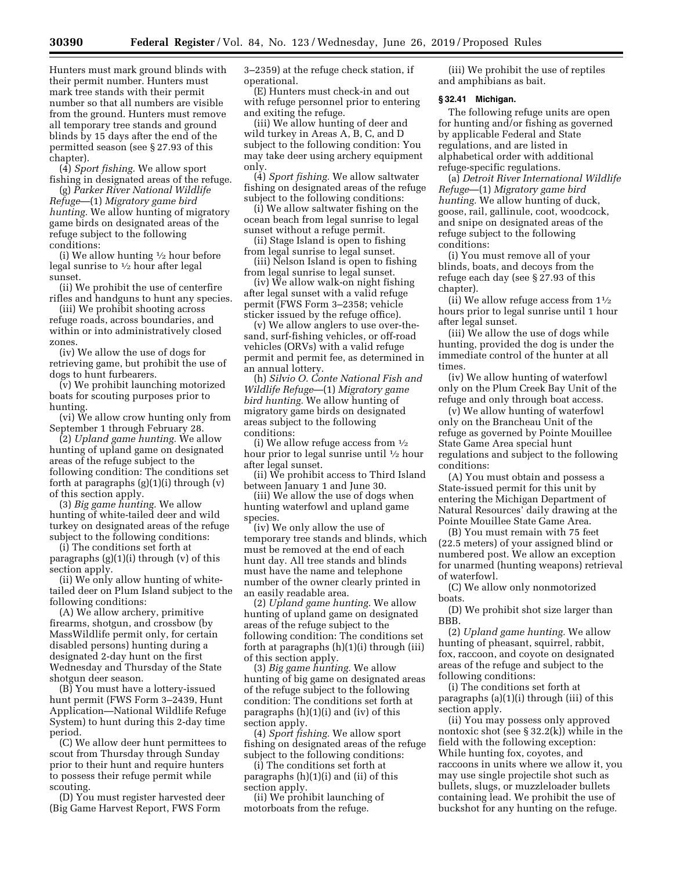Hunters must mark ground blinds with their permit number. Hunters must mark tree stands with their permit number so that all numbers are visible from the ground. Hunters must remove all temporary tree stands and ground blinds by 15 days after the end of the permitted season (see § 27.93 of this chapter).

(4) *Sport fishing.* We allow sport fishing in designated areas of the refuge.

(g) *Parker River National Wildlife Refuge*—(1) *Migratory game bird hunting.* We allow hunting of migratory game birds on designated areas of the refuge subject to the following conditions:

(i) We allow hunting  $\frac{1}{2}$  hour before legal sunrise to 1⁄2 hour after legal sunset.

(ii) We prohibit the use of centerfire rifles and handguns to hunt any species.

(iii) We prohibit shooting across refuge roads, across boundaries, and within or into administratively closed zones.

(iv) We allow the use of dogs for retrieving game, but prohibit the use of dogs to hunt furbearers.

(v) We prohibit launching motorized boats for scouting purposes prior to hunting.

(vi) We allow crow hunting only from September 1 through February 28.

(2) *Upland game hunting.* We allow hunting of upland game on designated areas of the refuge subject to the following condition: The conditions set forth at paragraphs (g)(1)(i) through (v) of this section apply.

(3) *Big game hunting.* We allow hunting of white-tailed deer and wild turkey on designated areas of the refuge subject to the following conditions:

(i) The conditions set forth at paragraphs (g)(1)(i) through (v) of this section apply.

(ii) We only allow hunting of whitetailed deer on Plum Island subject to the following conditions:

(A) We allow archery, primitive firearms, shotgun, and crossbow (by MassWildlife permit only, for certain disabled persons) hunting during a designated 2-day hunt on the first Wednesday and Thursday of the State shotgun deer season.

(B) You must have a lottery-issued hunt permit (FWS Form 3–2439, Hunt Application—National Wildlife Refuge System) to hunt during this 2-day time period.

(C) We allow deer hunt permittees to scout from Thursday through Sunday prior to their hunt and require hunters to possess their refuge permit while scouting.

(D) You must register harvested deer (Big Game Harvest Report, FWS Form

3–2359) at the refuge check station, if operational.

(E) Hunters must check-in and out with refuge personnel prior to entering and exiting the refuge.

(iii) We allow hunting of deer and wild turkey in Areas A, B, C, and D subject to the following condition: You may take deer using archery equipment only.

(4) *Sport fishing.* We allow saltwater fishing on designated areas of the refuge subject to the following conditions:

(i) We allow saltwater fishing on the ocean beach from legal sunrise to legal sunset without a refuge permit.

(ii) Stage Island is open to fishing from legal sunrise to legal sunset.

(iii) Nelson Island is open to fishing from legal sunrise to legal sunset.

(iv) We allow walk-on night fishing after legal sunset with a valid refuge permit (FWS Form 3–2358; vehicle sticker issued by the refuge office).

(v) We allow anglers to use over-thesand, surf-fishing vehicles, or off-road vehicles (ORVs) with a valid refuge permit and permit fee, as determined in an annual lottery.

(h) *Silvio O. Conte National Fish and Wildlife Refuge*—(1) *Migratory game bird hunting.* We allow hunting of migratory game birds on designated areas subject to the following conditions:

(i) We allow refuge access from  $\frac{1}{2}$ hour prior to legal sunrise until 1⁄2 hour after legal sunset.

(ii) We prohibit access to Third Island between January 1 and June 30.

(iii) We allow the use of dogs when hunting waterfowl and upland game species.

(iv) We only allow the use of temporary tree stands and blinds, which must be removed at the end of each hunt day. All tree stands and blinds must have the name and telephone number of the owner clearly printed in an easily readable area.

(2) *Upland game hunting.* We allow hunting of upland game on designated areas of the refuge subject to the following condition: The conditions set forth at paragraphs (h)(1)(i) through (iii) of this section apply.

(3) *Big game hunting.* We allow hunting of big game on designated areas of the refuge subject to the following condition: The conditions set forth at paragraphs (h)(1)(i) and (iv) of this section apply.

(4) *Sport fishing.* We allow sport fishing on designated areas of the refuge subject to the following conditions:

(i) The conditions set forth at paragraphs (h)(1)(i) and (ii) of this section apply.

(ii) We prohibit launching of motorboats from the refuge.

(iii) We prohibit the use of reptiles and amphibians as bait.

## **§ 32.41 Michigan.**

The following refuge units are open for hunting and/or fishing as governed by applicable Federal and State regulations, and are listed in alphabetical order with additional refuge-specific regulations.

(a) *Detroit River International Wildlife Refuge*—(1) *Migratory game bird hunting.* We allow hunting of duck, goose, rail, gallinule, coot, woodcock, and snipe on designated areas of the refuge subject to the following conditions:

(i) You must remove all of your blinds, boats, and decoys from the refuge each day (see § 27.93 of this chapter).

(ii) We allow refuge access from  $1\frac{1}{2}$ hours prior to legal sunrise until 1 hour after legal sunset.

(iii) We allow the use of dogs while hunting, provided the dog is under the immediate control of the hunter at all times.

(iv) We allow hunting of waterfowl only on the Plum Creek Bay Unit of the refuge and only through boat access.

(v) We allow hunting of waterfowl only on the Brancheau Unit of the refuge as governed by Pointe Mouillee State Game Area special hunt regulations and subject to the following conditions:

(A) You must obtain and possess a State-issued permit for this unit by entering the Michigan Department of Natural Resources' daily drawing at the Pointe Mouillee State Game Area.

(B) You must remain with 75 feet (22.5 meters) of your assigned blind or numbered post. We allow an exception for unarmed (hunting weapons) retrieval of waterfowl.

(C) We allow only nonmotorized boats.

(D) We prohibit shot size larger than BBB.

(2) *Upland game hunting.* We allow hunting of pheasant, squirrel, rabbit, fox, raccoon, and coyote on designated areas of the refuge and subject to the following conditions:

(i) The conditions set forth at paragraphs (a)(1)(i) through (iii) of this section apply.

(ii) You may possess only approved nontoxic shot (see § 32.2(k)) while in the field with the following exception: While hunting fox, coyotes, and raccoons in units where we allow it, you may use single projectile shot such as bullets, slugs, or muzzleloader bullets containing lead. We prohibit the use of buckshot for any hunting on the refuge.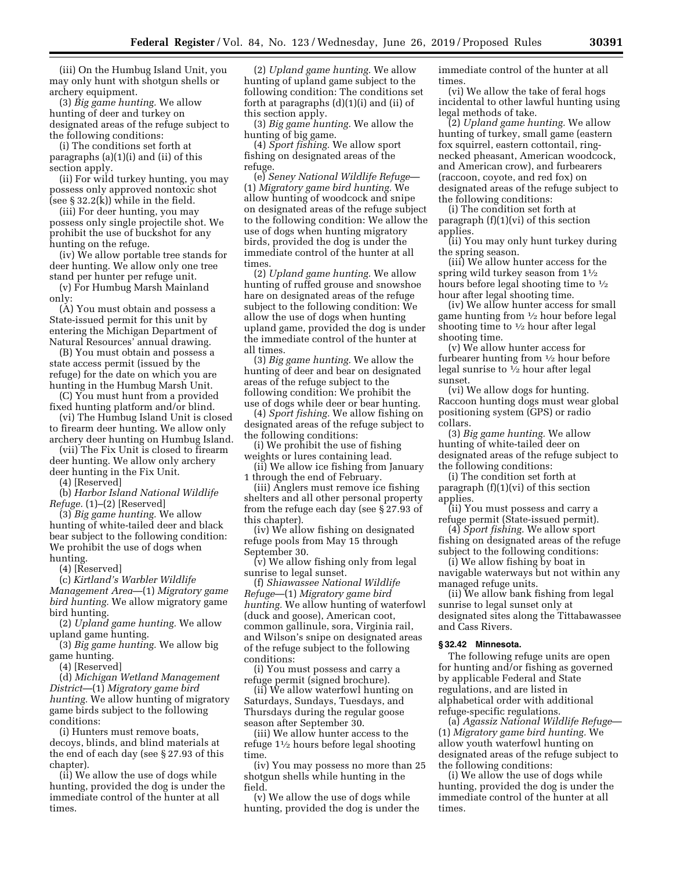(iii) On the Humbug Island Unit, you may only hunt with shotgun shells or archery equipment.

(3) *Big game hunting.* We allow hunting of deer and turkey on designated areas of the refuge subject to the following conditions:

(i) The conditions set forth at paragraphs (a)(1)(i) and (ii) of this section apply.

(ii) For wild turkey hunting, you may possess only approved nontoxic shot (see  $\S 32.2(k)$ ) while in the field.

(iii) For deer hunting, you may possess only single projectile shot. We prohibit the use of buckshot for any hunting on the refuge.

(iv) We allow portable tree stands for deer hunting. We allow only one tree stand per hunter per refuge unit.

(v) For Humbug Marsh Mainland only:

(A) You must obtain and possess a State-issued permit for this unit by entering the Michigan Department of Natural Resources' annual drawing.

(B) You must obtain and possess a state access permit (issued by the refuge) for the date on which you are hunting in the Humbug Marsh Unit.

(C) You must hunt from a provided fixed hunting platform and/or blind.

(vi) The Humbug Island Unit is closed to firearm deer hunting. We allow only archery deer hunting on Humbug Island.

(vii) The Fix Unit is closed to firearm deer hunting. We allow only archery deer hunting in the Fix Unit.

(4) [Reserved]

(b) *Harbor Island National Wildlife Refuge.* (1)–(2) [Reserved]

(3) *Big game hunting.* We allow hunting of white-tailed deer and black bear subject to the following condition: We prohibit the use of dogs when hunting.

(4) [Reserved]

(c) *Kirtland's Warbler Wildlife Management Area*—(1) *Migratory game bird hunting.* We allow migratory game bird hunting.

(2) *Upland game hunting.* We allow upland game hunting.

(3) *Big game hunting.* We allow big game hunting.

(4) [Reserved]

(d) *Michigan Wetland Management District*—(1) *Migratory game bird hunting.* We allow hunting of migratory game birds subject to the following conditions:

(i) Hunters must remove boats, decoys, blinds, and blind materials at the end of each day (see § 27.93 of this chapter).

(ii) We allow the use of dogs while hunting, provided the dog is under the immediate control of the hunter at all times.

(2) *Upland game hunting.* We allow hunting of upland game subject to the following condition: The conditions set forth at paragraphs (d)(1)(i) and (ii) of this section apply.

(3) *Big game hunting.* We allow the hunting of big game.

(4) *Sport fishing.* We allow sport fishing on designated areas of the refuge.

(e) *Seney National Wildlife Refuge*— (1) *Migratory game bird hunting.* We allow hunting of woodcock and snipe on designated areas of the refuge subject to the following condition: We allow the use of dogs when hunting migratory birds, provided the dog is under the immediate control of the hunter at all times.

(2) *Upland game hunting.* We allow hunting of ruffed grouse and snowshoe hare on designated areas of the refuge subject to the following condition: We allow the use of dogs when hunting upland game, provided the dog is under the immediate control of the hunter at all times.

(3) *Big game hunting.* We allow the hunting of deer and bear on designated areas of the refuge subject to the following condition: We prohibit the use of dogs while deer or bear hunting.

(4) *Sport fishing.* We allow fishing on designated areas of the refuge subject to the following conditions:

(i) We prohibit the use of fishing weights or lures containing lead.

(ii) We allow ice fishing from January 1 through the end of February.

(iii) Anglers must remove ice fishing shelters and all other personal property from the refuge each day (see § 27.93 of this chapter).

(iv) We allow fishing on designated refuge pools from May 15 through September 30.

(v) We allow fishing only from legal sunrise to legal sunset.

(f) *Shiawassee National Wildlife Refuge*—(1) *Migratory game bird hunting.* We allow hunting of waterfowl (duck and goose), American coot, common gallinule, sora, Virginia rail, and Wilson's snipe on designated areas of the refuge subject to the following conditions:

(i) You must possess and carry a refuge permit (signed brochure).

(ii) We allow waterfowl hunting on Saturdays, Sundays, Tuesdays, and Thursdays during the regular goose season after September 30.

(iii) We allow hunter access to the refuge 11⁄2 hours before legal shooting time.

(iv) You may possess no more than 25 shotgun shells while hunting in the field.

(v) We allow the use of dogs while hunting, provided the dog is under the immediate control of the hunter at all times.

(vi) We allow the take of feral hogs incidental to other lawful hunting using legal methods of take.

(2) *Upland game hunting.* We allow hunting of turkey, small game (eastern fox squirrel, eastern cottontail, ringnecked pheasant, American woodcock, and American crow), and furbearers (raccoon, coyote, and red fox) on designated areas of the refuge subject to the following conditions:

(i) The condition set forth at paragraph (f)(1)(vi) of this section applies.

(ii) You may only hunt turkey during the spring season.

(iii) We allow hunter access for the spring wild turkey season from  $1\frac{1}{2}$ hours before legal shooting time to 1⁄2 hour after legal shooting time.

(iv) We allow hunter access for small game hunting from 1⁄2 hour before legal shooting time to  $\frac{1}{2}$  hour after legal shooting time.

(v) We allow hunter access for furbearer hunting from 1⁄2 hour before legal sunrise to 1⁄2 hour after legal sunset.

(vi) We allow dogs for hunting. Raccoon hunting dogs must wear global positioning system (GPS) or radio collars.

(3) *Big game hunting.* We allow hunting of white-tailed deer on designated areas of the refuge subject to the following conditions:

(i) The condition set forth at paragraph (f)(1)(vi) of this section applies.

(ii) You must possess and carry a refuge permit (State-issued permit).

(4) *Sport fishing.* We allow sport fishing on designated areas of the refuge subject to the following conditions:

(i) We allow fishing by boat in navigable waterways but not within any managed refuge units.

(ii) We allow bank fishing from legal sunrise to legal sunset only at designated sites along the Tittabawassee and Cass Rivers.

# **§ 32.42 Minnesota.**

The following refuge units are open for hunting and/or fishing as governed by applicable Federal and State regulations, and are listed in alphabetical order with additional refuge-specific regulations.

(a) *Agassiz National Wildlife Refuge*— (1) *Migratory game bird hunting.* We allow youth waterfowl hunting on designated areas of the refuge subject to the following conditions:

(i) We allow the use of dogs while hunting, provided the dog is under the immediate control of the hunter at all times.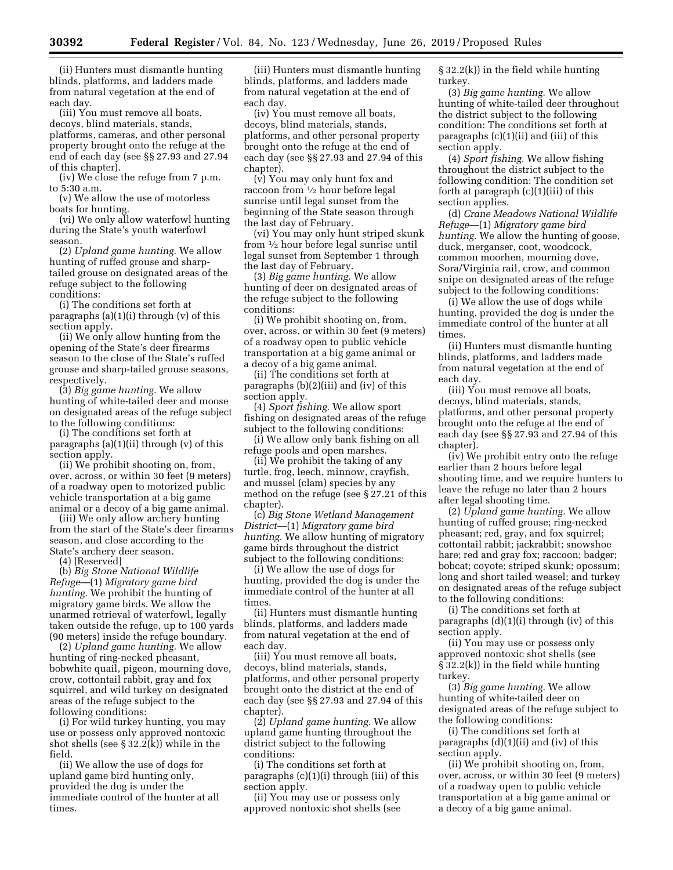(ii) Hunters must dismantle hunting blinds, platforms, and ladders made from natural vegetation at the end of each day.

(iii) You must remove all boats, decoys, blind materials, stands, platforms, cameras, and other personal property brought onto the refuge at the end of each day (see §§ 27.93 and 27.94 of this chapter).

(iv) We close the refuge from 7 p.m. to 5:30 a.m.

(v) We allow the use of motorless boats for hunting.

(vi) We only allow waterfowl hunting during the State's youth waterfowl season.

(2) *Upland game hunting.* We allow hunting of ruffed grouse and sharptailed grouse on designated areas of the refuge subject to the following conditions:

(i) The conditions set forth at paragraphs  $(a)(1)(i)$  through  $(v)$  of this section apply.

(ii) We only allow hunting from the opening of the State's deer firearms season to the close of the State's ruffed grouse and sharp-tailed grouse seasons, respectively.

(3) *Big game hunting.* We allow hunting of white-tailed deer and moose on designated areas of the refuge subject to the following conditions:

(i) The conditions set forth at paragraphs (a)(1)(ii) through (v) of this section apply.

(ii) We prohibit shooting on, from, over, across, or within 30 feet (9 meters) of a roadway open to motorized public vehicle transportation at a big game animal or a decoy of a big game animal.

(iii) We only allow archery hunting from the start of the State's deer firearms season, and close according to the State's archery deer season.

(4) [Reserved]

(b) *Big Stone National Wildlife Refuge*—(1) *Migratory game bird hunting.* We prohibit the hunting of migratory game birds. We allow the unarmed retrieval of waterfowl, legally taken outside the refuge, up to 100 yards (90 meters) inside the refuge boundary.

(2) *Upland game hunting.* We allow hunting of ring-necked pheasant, bobwhite quail, pigeon, mourning dove, crow, cottontail rabbit, gray and fox squirrel, and wild turkey on designated areas of the refuge subject to the following conditions:

(i) For wild turkey hunting, you may use or possess only approved nontoxic shot shells (see § 32.2(k)) while in the field.

(ii) We allow the use of dogs for upland game bird hunting only, provided the dog is under the immediate control of the hunter at all times.

(iii) Hunters must dismantle hunting blinds, platforms, and ladders made from natural vegetation at the end of each day.

(iv) You must remove all boats, decoys, blind materials, stands, platforms, and other personal property brought onto the refuge at the end of each day (see §§ 27.93 and 27.94 of this chapter).

(v) You may only hunt fox and raccoon from 1⁄2 hour before legal sunrise until legal sunset from the beginning of the State season through the last day of February.

(vi) You may only hunt striped skunk from 1⁄2 hour before legal sunrise until legal sunset from September 1 through the last day of February.

(3) *Big game hunting.* We allow hunting of deer on designated areas of the refuge subject to the following conditions:

(i) We prohibit shooting on, from, over, across, or within 30 feet (9 meters) of a roadway open to public vehicle transportation at a big game animal or a decoy of a big game animal.

(ii) The conditions set forth at paragraphs (b)(2)(iii) and (iv) of this section apply.

(4) *Sport fishing.* We allow sport fishing on designated areas of the refuge subject to the following conditions:

(i) We allow only bank fishing on all refuge pools and open marshes.

(ii) We prohibit the taking of any turtle, frog, leech, minnow, crayfish, and mussel (clam) species by any method on the refuge (see § 27.21 of this chapter).

(c) *Big Stone Wetland Management District*—(1) *Migratory game bird hunting.* We allow hunting of migratory game birds throughout the district subject to the following conditions:

(i) We allow the use of dogs for hunting, provided the dog is under the immediate control of the hunter at all times.

(ii) Hunters must dismantle hunting blinds, platforms, and ladders made from natural vegetation at the end of each day.

(iii) You must remove all boats, decoys, blind materials, stands, platforms, and other personal property brought onto the district at the end of each day (see §§ 27.93 and 27.94 of this chanter).

(2) *Upland game hunting.* We allow upland game hunting throughout the district subject to the following conditions:

(i) The conditions set forth at paragraphs (c)(1)(i) through (iii) of this section apply.

(ii) You may use or possess only approved nontoxic shot shells (see § 32.2(k)) in the field while hunting turkey.

(3) *Big game hunting.* We allow hunting of white-tailed deer throughout the district subject to the following condition: The conditions set forth at paragraphs (c)(1)(ii) and (iii) of this section apply.

(4) *Sport fishing.* We allow fishing throughout the district subject to the following condition: The condition set forth at paragraph (c)(1)(iii) of this section applies.

(d) *Crane Meadows National Wildlife Refuge*—(1) *Migratory game bird hunting.* We allow the hunting of goose, duck, merganser, coot, woodcock, common moorhen, mourning dove, Sora/Virginia rail, crow, and common snipe on designated areas of the refuge subject to the following conditions:

(i) We allow the use of dogs while hunting, provided the dog is under the immediate control of the hunter at all times.

(ii) Hunters must dismantle hunting blinds, platforms, and ladders made from natural vegetation at the end of each day.

(iii) You must remove all boats, decoys, blind materials, stands, platforms, and other personal property brought onto the refuge at the end of each day (see §§ 27.93 and 27.94 of this chapter).

(iv) We prohibit entry onto the refuge earlier than 2 hours before legal shooting time, and we require hunters to leave the refuge no later than 2 hours after legal shooting time.

(2) *Upland game hunting.* We allow hunting of ruffed grouse; ring-necked pheasant; red, gray, and fox squirrel; cottontail rabbit; jackrabbit; snowshoe hare; red and gray fox; raccoon; badger; bobcat; coyote; striped skunk; opossum; long and short tailed weasel; and turkey on designated areas of the refuge subject to the following conditions:

(i) The conditions set forth at paragraphs (d)(1)(i) through (iv) of this section apply.

(ii) You may use or possess only approved nontoxic shot shells (see § 32.2(k)) in the field while hunting turkey.

(3) *Big game hunting.* We allow hunting of white-tailed deer on designated areas of the refuge subject to the following conditions:

(i) The conditions set forth at paragraphs  $(d)(1)(ii)$  and  $(iv)$  of this section apply.

(ii) We prohibit shooting on, from, over, across, or within 30 feet (9 meters) of a roadway open to public vehicle transportation at a big game animal or a decoy of a big game animal.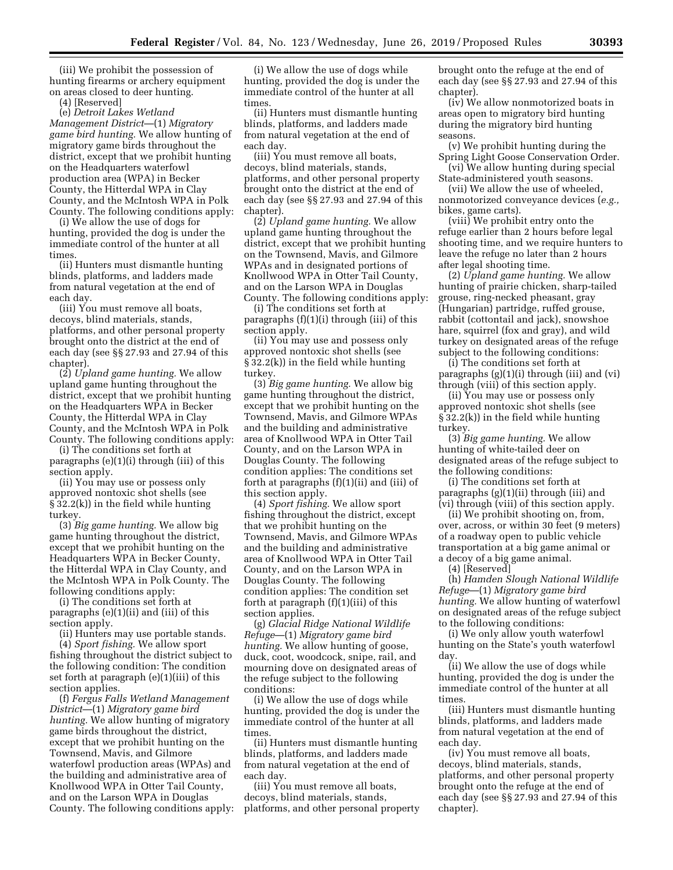(iii) We prohibit the possession of hunting firearms or archery equipment on areas closed to deer hunting.

(4) [Reserved]

(e) *Detroit Lakes Wetland Management District*—(1) *Migratory game bird hunting.* We allow hunting of migratory game birds throughout the district, except that we prohibit hunting on the Headquarters waterfowl production area (WPA) in Becker County, the Hitterdal WPA in Clay County, and the McIntosh WPA in Polk County. The following conditions apply:

(i) We allow the use of dogs for hunting, provided the dog is under the immediate control of the hunter at all times.

(ii) Hunters must dismantle hunting blinds, platforms, and ladders made from natural vegetation at the end of each day.

(iii) You must remove all boats, decoys, blind materials, stands, platforms, and other personal property brought onto the district at the end of each day (see §§ 27.93 and 27.94 of this chapter).

(2) *Upland game hunting.* We allow upland game hunting throughout the district, except that we prohibit hunting on the Headquarters WPA in Becker County, the Hitterdal WPA in Clay County, and the McIntosh WPA in Polk County. The following conditions apply:

(i) The conditions set forth at paragraphs (e)(1)(i) through (iii) of this section apply.

(ii) You may use or possess only approved nontoxic shot shells (see § 32.2(k)) in the field while hunting turkey.

(3) *Big game hunting.* We allow big game hunting throughout the district, except that we prohibit hunting on the Headquarters WPA in Becker County, the Hitterdal WPA in Clay County, and the McIntosh WPA in Polk County. The following conditions apply:

(i) The conditions set forth at paragraphs (e)(1)(ii) and (iii) of this section apply.

(ii) Hunters may use portable stands. (4) *Sport fishing.* We allow sport fishing throughout the district subject to the following condition: The condition set forth at paragraph (e)(1)(iii) of this section applies.

(f) *Fergus Falls Wetland Management District*—(1) *Migratory game bird hunting.* We allow hunting of migratory game birds throughout the district, except that we prohibit hunting on the Townsend, Mavis, and Gilmore waterfowl production areas (WPAs) and the building and administrative area of Knollwood WPA in Otter Tail County, and on the Larson WPA in Douglas County. The following conditions apply:

(i) We allow the use of dogs while hunting, provided the dog is under the immediate control of the hunter at all times.

(ii) Hunters must dismantle hunting blinds, platforms, and ladders made from natural vegetation at the end of each day.

(iii) You must remove all boats, decoys, blind materials, stands, platforms, and other personal property brought onto the district at the end of each day (see §§ 27.93 and 27.94 of this chapter).

(2) *Upland game hunting.* We allow upland game hunting throughout the district, except that we prohibit hunting on the Townsend, Mavis, and Gilmore WPAs and in designated portions of Knollwood WPA in Otter Tail County, and on the Larson WPA in Douglas County. The following conditions apply:

(i) The conditions set forth at paragraphs (f)(1)(i) through (iii) of this section apply.

(ii) You may use and possess only approved nontoxic shot shells (see § 32.2(k)) in the field while hunting turkey.

(3) *Big game hunting.* We allow big game hunting throughout the district, except that we prohibit hunting on the Townsend, Mavis, and Gilmore WPAs and the building and administrative area of Knollwood WPA in Otter Tail County, and on the Larson WPA in Douglas County. The following condition applies: The conditions set forth at paragraphs (f)(1)(ii) and (iii) of this section apply.

(4) *Sport fishing.* We allow sport fishing throughout the district, except that we prohibit hunting on the Townsend, Mavis, and Gilmore WPAs and the building and administrative area of Knollwood WPA in Otter Tail County, and on the Larson WPA in Douglas County. The following condition applies: The condition set forth at paragraph (f)(1)(iii) of this section applies.

(g) *Glacial Ridge National Wildlife Refuge*—(1) *Migratory game bird hunting.* We allow hunting of goose, duck, coot, woodcock, snipe, rail, and mourning dove on designated areas of the refuge subject to the following conditions:

(i) We allow the use of dogs while hunting, provided the dog is under the immediate control of the hunter at all times.

(ii) Hunters must dismantle hunting blinds, platforms, and ladders made from natural vegetation at the end of each day.

(iii) You must remove all boats, decoys, blind materials, stands, platforms, and other personal property brought onto the refuge at the end of each day (see §§ 27.93 and 27.94 of this chapter).

(iv) We allow nonmotorized boats in areas open to migratory bird hunting during the migratory bird hunting seasons.

(v) We prohibit hunting during the Spring Light Goose Conservation Order.

(vi) We allow hunting during special State-administered youth seasons.

(vii) We allow the use of wheeled, nonmotorized conveyance devices (*e.g.,*  bikes, game carts).

(viii) We prohibit entry onto the refuge earlier than 2 hours before legal shooting time, and we require hunters to leave the refuge no later than 2 hours after legal shooting time.

(2) *Upland game hunting.* We allow hunting of prairie chicken, sharp-tailed grouse, ring-necked pheasant, gray (Hungarian) partridge, ruffed grouse, rabbit (cottontail and jack), snowshoe hare, squirrel (fox and gray), and wild turkey on designated areas of the refuge subject to the following conditions:

(i) The conditions set forth at paragraphs (g)(1)(i) through (iii) and (vi) through (viii) of this section apply.

(ii) You may use or possess only approved nontoxic shot shells (see § 32.2(k)) in the field while hunting turkey.

(3) *Big game hunting.* We allow hunting of white-tailed deer on designated areas of the refuge subject to the following conditions:

(i) The conditions set forth at paragraphs (g)(1)(ii) through (iii) and (vi) through (viii) of this section apply.

(ii) We prohibit shooting on, from, over, across, or within 30 feet (9 meters) of a roadway open to public vehicle transportation at a big game animal or a decoy of a big game animal.

(4) [Reserved]

(h) *Hamden Slough National Wildlife Refuge*—(1) *Migratory game bird hunting.* We allow hunting of waterfowl on designated areas of the refuge subject to the following conditions:

(i) We only allow youth waterfowl hunting on the State's youth waterfowl day.

(ii) We allow the use of dogs while hunting, provided the dog is under the immediate control of the hunter at all times.

(iii) Hunters must dismantle hunting blinds, platforms, and ladders made from natural vegetation at the end of each day.

(iv) You must remove all boats, decoys, blind materials, stands, platforms, and other personal property brought onto the refuge at the end of each day (see §§ 27.93 and 27.94 of this chapter).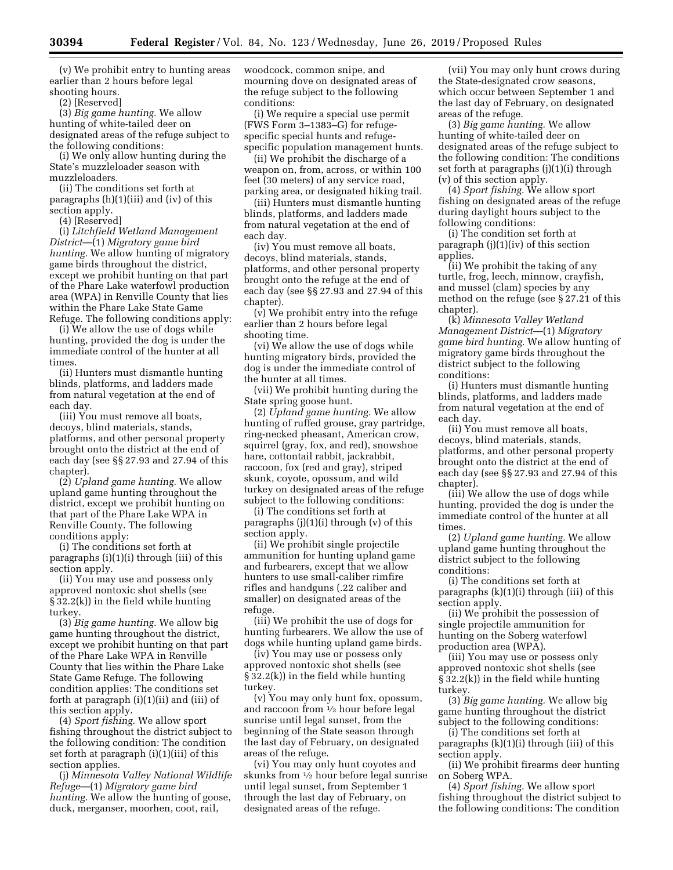(v) We prohibit entry to hunting areas earlier than 2 hours before legal shooting hours.

(2) [Reserved]

(3) *Big game hunting.* We allow hunting of white-tailed deer on designated areas of the refuge subject to the following conditions:

(i) We only allow hunting during the State's muzzleloader season with muzzleloaders.

(ii) The conditions set forth at paragraphs (h)(1)(iii) and (iv) of this section apply.

(4) [Reserved]

(i) *Litchfield Wetland Management District*—(1) *Migratory game bird hunting.* We allow hunting of migratory game birds throughout the district, except we prohibit hunting on that part of the Phare Lake waterfowl production area (WPA) in Renville County that lies within the Phare Lake State Game Refuge. The following conditions apply:

(i) We allow the use of dogs while hunting, provided the dog is under the immediate control of the hunter at all times.

(ii) Hunters must dismantle hunting blinds, platforms, and ladders made from natural vegetation at the end of each day.

(iii) You must remove all boats, decoys, blind materials, stands, platforms, and other personal property brought onto the district at the end of each day (see §§ 27.93 and 27.94 of this chapter).

(2) *Upland game hunting.* We allow upland game hunting throughout the district, except we prohibit hunting on that part of the Phare Lake WPA in Renville County. The following conditions apply:

(i) The conditions set forth at paragraphs (i)(1)(i) through (iii) of this section apply.

(ii) You may use and possess only approved nontoxic shot shells (see § 32.2(k)) in the field while hunting turkey.

(3) *Big game hunting.* We allow big game hunting throughout the district, except we prohibit hunting on that part of the Phare Lake WPA in Renville County that lies within the Phare Lake State Game Refuge. The following condition applies: The conditions set forth at paragraph (i)(1)(ii) and (iii) of this section apply.

(4) *Sport fishing.* We allow sport fishing throughout the district subject to the following condition: The condition set forth at paragraph (i)(1)(iii) of this section applies.

(j) *Minnesota Valley National Wildlife Refuge*—(1) *Migratory game bird hunting.* We allow the hunting of goose, duck, merganser, moorhen, coot, rail,

woodcock, common snipe, and mourning dove on designated areas of the refuge subject to the following conditions:

(i) We require a special use permit (FWS Form 3–1383–G) for refugespecific special hunts and refugespecific population management hunts.

(ii) We prohibit the discharge of a weapon on, from, across, or within 100 feet (30 meters) of any service road, parking area, or designated hiking trail.

(iii) Hunters must dismantle hunting blinds, platforms, and ladders made from natural vegetation at the end of each day.

(iv) You must remove all boats, decoys, blind materials, stands, platforms, and other personal property brought onto the refuge at the end of each day (see §§ 27.93 and 27.94 of this chapter).

(v) We prohibit entry into the refuge earlier than 2 hours before legal shooting time.

(vi) We allow the use of dogs while hunting migratory birds, provided the dog is under the immediate control of the hunter at all times.

(vii) We prohibit hunting during the State spring goose hunt.

(2) *Upland game hunting.* We allow hunting of ruffed grouse, gray partridge, ring-necked pheasant, American crow, squirrel (gray, fox, and red), snowshoe hare, cottontail rabbit, jackrabbit, raccoon, fox (red and gray), striped skunk, coyote, opossum, and wild turkey on designated areas of the refuge subject to the following conditions:

(i) The conditions set forth at paragraphs  $(j)(1)(i)$  through  $(v)$  of this section apply.

(ii) We prohibit single projectile ammunition for hunting upland game and furbearers, except that we allow hunters to use small-caliber rimfire rifles and handguns (.22 caliber and smaller) on designated areas of the refuge.

(iii) We prohibit the use of dogs for hunting furbearers. We allow the use of dogs while hunting upland game birds.

(iv) You may use or possess only approved nontoxic shot shells (see § 32.2(k)) in the field while hunting turkey.

(v) You may only hunt fox, opossum, and raccoon from 1⁄2 hour before legal sunrise until legal sunset, from the beginning of the State season through the last day of February, on designated areas of the refuge.

(vi) You may only hunt coyotes and skunks from 1⁄2 hour before legal sunrise until legal sunset, from September 1 through the last day of February, on designated areas of the refuge.

(vii) You may only hunt crows during the State-designated crow seasons, which occur between September 1 and the last day of February, on designated areas of the refuge.

(3) *Big game hunting.* We allow hunting of white-tailed deer on designated areas of the refuge subject to the following condition: The conditions set forth at paragraphs (j)(1)(i) through (v) of this section apply.

(4) *Sport fishing.* We allow sport fishing on designated areas of the refuge during daylight hours subject to the following conditions:

(i) The condition set forth at paragraph (j)(1)(iv) of this section applies.

(ii) We prohibit the taking of any turtle, frog, leech, minnow, crayfish, and mussel (clam) species by any method on the refuge (see § 27.21 of this chapter).

(k) *Minnesota Valley Wetland Management District*—(1) *Migratory game bird hunting.* We allow hunting of migratory game birds throughout the district subject to the following conditions:

(i) Hunters must dismantle hunting blinds, platforms, and ladders made from natural vegetation at the end of each day.

(ii) You must remove all boats, decoys, blind materials, stands, platforms, and other personal property brought onto the district at the end of each day (see §§ 27.93 and 27.94 of this chapter).

(iii) We allow the use of dogs while hunting, provided the dog is under the immediate control of the hunter at all times.

(2) *Upland game hunting.* We allow upland game hunting throughout the district subject to the following conditions:

(i) The conditions set forth at paragraphs (k)(1)(i) through (iii) of this section apply.

(ii) We prohibit the possession of single projectile ammunition for hunting on the Soberg waterfowl production area (WPA).

(iii) You may use or possess only approved nontoxic shot shells (see § 32.2(k)) in the field while hunting turkey.

(3) *Big game hunting.* We allow big game hunting throughout the district subject to the following conditions:

(i) The conditions set forth at paragraphs (k)(1)(i) through (iii) of this section apply.

(ii) We prohibit firearms deer hunting on Soberg WPA.

(4) *Sport fishing.* We allow sport fishing throughout the district subject to the following conditions: The condition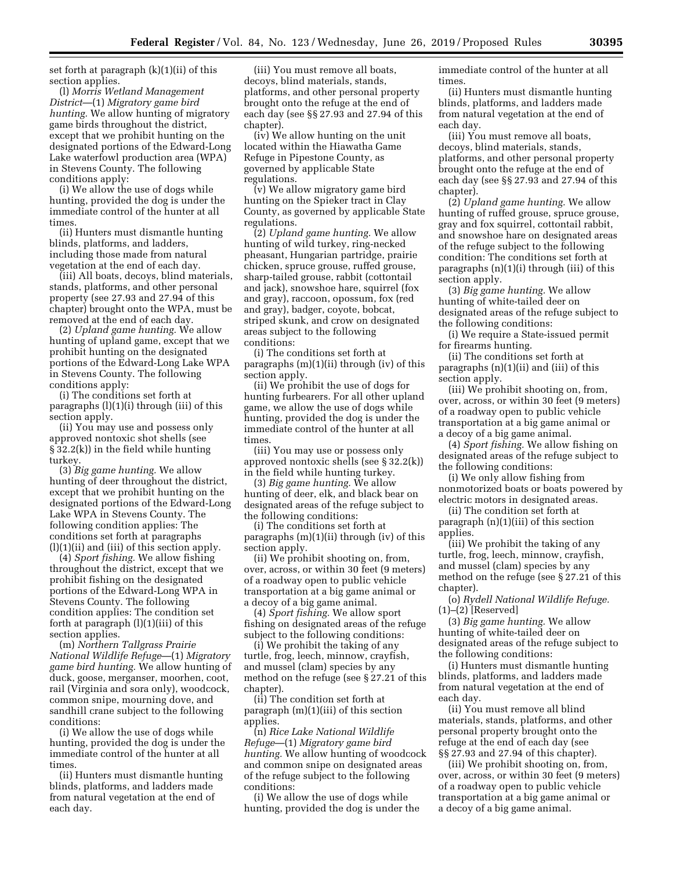set forth at paragraph (k)(1)(ii) of this section applies.

(l) *Morris Wetland Management District*—(1) *Migratory game bird hunting.* We allow hunting of migratory game birds throughout the district, except that we prohibit hunting on the designated portions of the Edward-Long Lake waterfowl production area (WPA) in Stevens County. The following conditions apply:

(i) We allow the use of dogs while hunting, provided the dog is under the immediate control of the hunter at all times.

(ii) Hunters must dismantle hunting blinds, platforms, and ladders, including those made from natural vegetation at the end of each day.

(iii) All boats, decoys, blind materials, stands, platforms, and other personal property (see 27.93 and 27.94 of this chapter) brought onto the WPA, must be removed at the end of each day.

(2) *Upland game hunting.* We allow hunting of upland game, except that we prohibit hunting on the designated portions of the Edward-Long Lake WPA in Stevens County. The following conditions apply:

(i) The conditions set forth at paragraphs (l)(1)(i) through (iii) of this section apply.

(ii) You may use and possess only approved nontoxic shot shells (see § 32.2(k)) in the field while hunting turkey.

(3) *Big game hunting.* We allow hunting of deer throughout the district, except that we prohibit hunting on the designated portions of the Edward-Long Lake WPA in Stevens County. The following condition applies: The conditions set forth at paragraphs (l)(1)(ii) and (iii) of this section apply.

(4) *Sport fishing.* We allow fishing throughout the district, except that we prohibit fishing on the designated portions of the Edward-Long WPA in Stevens County. The following condition applies: The condition set forth at paragraph (l)(1)(iii) of this section applies.

(m) *Northern Tallgrass Prairie National Wildlife Refuge*—(1) *Migratory game bird hunting.* We allow hunting of duck, goose, merganser, moorhen, coot, rail (Virginia and sora only), woodcock, common snipe, mourning dove, and sandhill crane subject to the following conditions:

(i) We allow the use of dogs while hunting, provided the dog is under the immediate control of the hunter at all times.

(ii) Hunters must dismantle hunting blinds, platforms, and ladders made from natural vegetation at the end of each day.

(iii) You must remove all boats, decoys, blind materials, stands, platforms, and other personal property brought onto the refuge at the end of each day (see §§ 27.93 and 27.94 of this chapter).

(iv) We allow hunting on the unit located within the Hiawatha Game Refuge in Pipestone County, as governed by applicable State regulations.

(v) We allow migratory game bird hunting on the Spieker tract in Clay County, as governed by applicable State regulations.

(2) *Upland game hunting.* We allow hunting of wild turkey, ring-necked pheasant, Hungarian partridge, prairie chicken, spruce grouse, ruffed grouse, sharp-tailed grouse, rabbit (cottontail and jack), snowshoe hare, squirrel (fox and gray), raccoon, opossum, fox (red and gray), badger, coyote, bobcat, striped skunk, and crow on designated areas subject to the following conditions:

(i) The conditions set forth at paragraphs (m)(1)(ii) through (iv) of this section apply.

(ii) We prohibit the use of dogs for hunting furbearers. For all other upland game, we allow the use of dogs while hunting, provided the dog is under the immediate control of the hunter at all times.

(iii) You may use or possess only approved nontoxic shells (see § 32.2(k)) in the field while hunting turkey.

(3) *Big game hunting.* We allow hunting of deer, elk, and black bear on designated areas of the refuge subject to the following conditions:

(i) The conditions set forth at paragraphs (m)(1)(ii) through (iv) of this section apply.

(ii) We prohibit shooting on, from, over, across, or within 30 feet (9 meters) of a roadway open to public vehicle transportation at a big game animal or a decoy of a big game animal.

(4) *Sport fishing.* We allow sport fishing on designated areas of the refuge subject to the following conditions:

(i) We prohibit the taking of any turtle, frog, leech, minnow, crayfish, and mussel (clam) species by any method on the refuge (see § 27.21 of this chapter).

(ii) The condition set forth at paragraph (m)(1)(iii) of this section applies.

(n) *Rice Lake National Wildlife Refuge*—(1) *Migratory game bird hunting.* We allow hunting of woodcock and common snipe on designated areas of the refuge subject to the following conditions:

(i) We allow the use of dogs while hunting, provided the dog is under the immediate control of the hunter at all times.

(ii) Hunters must dismantle hunting blinds, platforms, and ladders made from natural vegetation at the end of each day.

(iii) You must remove all boats, decoys, blind materials, stands, platforms, and other personal property brought onto the refuge at the end of each day (see §§ 27.93 and 27.94 of this chapter).

(2) *Upland game hunting.* We allow hunting of ruffed grouse, spruce grouse, gray and fox squirrel, cottontail rabbit, and snowshoe hare on designated areas of the refuge subject to the following condition: The conditions set forth at paragraphs (n)(1)(i) through (iii) of this section apply.

(3) *Big game hunting.* We allow hunting of white-tailed deer on designated areas of the refuge subject to the following conditions:

(i) We require a State-issued permit for firearms hunting.

(ii) The conditions set forth at paragraphs (n)(1)(ii) and (iii) of this section apply.

(iii) We prohibit shooting on, from, over, across, or within 30 feet (9 meters) of a roadway open to public vehicle transportation at a big game animal or a decoy of a big game animal.

(4) *Sport fishing.* We allow fishing on designated areas of the refuge subject to the following conditions:

(i) We only allow fishing from nonmotorized boats or boats powered by electric motors in designated areas.

(ii) The condition set forth at paragraph (n)(1)(iii) of this section applies.

(iii) We prohibit the taking of any turtle, frog, leech, minnow, crayfish, and mussel (clam) species by any method on the refuge (see § 27.21 of this chapter).

(o) *Rydell National Wildlife Refuge.*  (1)–(2) [Reserved]

(3) *Big game hunting.* We allow hunting of white-tailed deer on designated areas of the refuge subject to the following conditions:

(i) Hunters must dismantle hunting blinds, platforms, and ladders made from natural vegetation at the end of each day.

(ii) You must remove all blind materials, stands, platforms, and other personal property brought onto the refuge at the end of each day (see §§ 27.93 and 27.94 of this chapter).

(iii) We prohibit shooting on, from, over, across, or within 30 feet (9 meters) of a roadway open to public vehicle transportation at a big game animal or a decoy of a big game animal.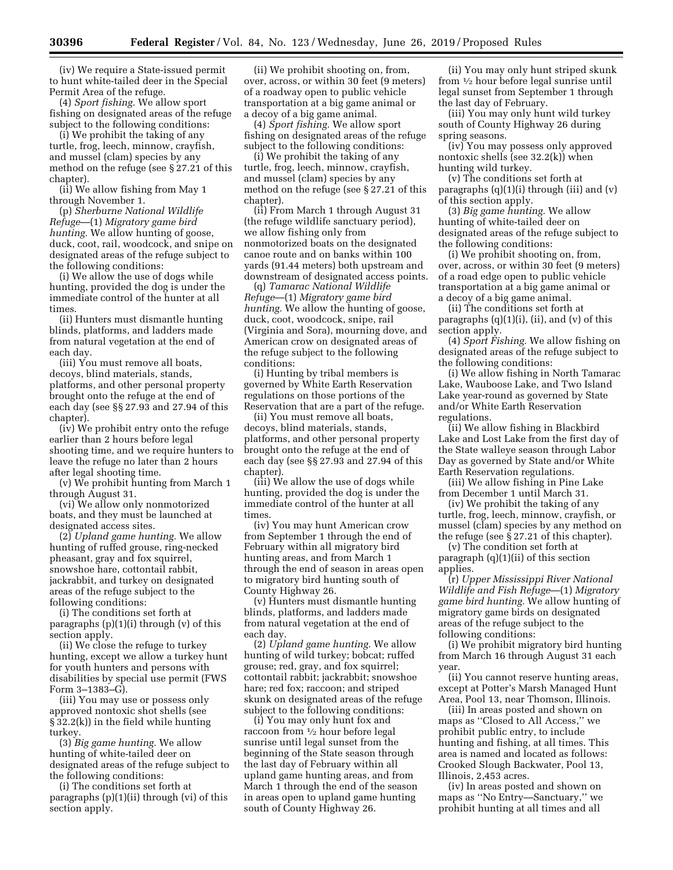(iv) We require a State-issued permit to hunt white-tailed deer in the Special Permit Area of the refuge.

(4) *Sport fishing.* We allow sport fishing on designated areas of the refuge subject to the following conditions:

(i) We prohibit the taking of any turtle, frog, leech, minnow, crayfish, and mussel (clam) species by any method on the refuge (see § 27.21 of this chapter).

(ii) We allow fishing from May 1 through November 1.

(p) *Sherburne National Wildlife Refuge*—(1) *Migratory game bird hunting.* We allow hunting of goose, duck, coot, rail, woodcock, and snipe on designated areas of the refuge subject to the following conditions:

(i) We allow the use of dogs while hunting, provided the dog is under the immediate control of the hunter at all times.

(ii) Hunters must dismantle hunting blinds, platforms, and ladders made from natural vegetation at the end of each day.

(iii) You must remove all boats, decoys, blind materials, stands, platforms, and other personal property brought onto the refuge at the end of each day (see §§ 27.93 and 27.94 of this chapter).

(iv) We prohibit entry onto the refuge earlier than 2 hours before legal shooting time, and we require hunters to leave the refuge no later than 2 hours after legal shooting time.

(v) We prohibit hunting from March 1 through August 31.

(vi) We allow only nonmotorized boats, and they must be launched at designated access sites.

(2) *Upland game hunting.* We allow hunting of ruffed grouse, ring-necked pheasant, gray and fox squirrel, snowshoe hare, cottontail rabbit, jackrabbit, and turkey on designated areas of the refuge subject to the following conditions:

(i) The conditions set forth at paragraphs  $(p)(1)(i)$  through  $(v)$  of this section apply.

(ii) We close the refuge to turkey hunting, except we allow a turkey hunt for youth hunters and persons with disabilities by special use permit (FWS Form 3–1383–G).

(iii) You may use or possess only approved nontoxic shot shells (see § 32.2(k)) in the field while hunting turkey.

(3) *Big game hunting.* We allow hunting of white-tailed deer on designated areas of the refuge subject to the following conditions:

(i) The conditions set forth at paragraphs (p)(1)(ii) through (vi) of this section apply.

(ii) We prohibit shooting on, from, over, across, or within 30 feet (9 meters) of a roadway open to public vehicle transportation at a big game animal or a decoy of a big game animal.

(4) *Sport fishing.* We allow sport fishing on designated areas of the refuge subject to the following conditions:

(i) We prohibit the taking of any turtle, frog, leech, minnow, crayfish, and mussel (clam) species by any method on the refuge (see § 27.21 of this chapter).

(ii) From March 1 through August 31 (the refuge wildlife sanctuary period), we allow fishing only from nonmotorized boats on the designated canoe route and on banks within 100 yards (91.44 meters) both upstream and downstream of designated access points.

(q) *Tamarac National Wildlife Refuge*—(1) *Migratory game bird hunting.* We allow the hunting of goose, duck, coot, woodcock, snipe, rail (Virginia and Sora), mourning dove, and American crow on designated areas of the refuge subject to the following conditions:

(i) Hunting by tribal members is governed by White Earth Reservation regulations on those portions of the Reservation that are a part of the refuge.

(ii) You must remove all boats, decoys, blind materials, stands, platforms, and other personal property brought onto the refuge at the end of each day (see §§ 27.93 and 27.94 of this chapter).

(iii) We allow the use of dogs while hunting, provided the dog is under the immediate control of the hunter at all times.

(iv) You may hunt American crow from September 1 through the end of February within all migratory bird hunting areas, and from March 1 through the end of season in areas open to migratory bird hunting south of County Highway 26.

(v) Hunters must dismantle hunting blinds, platforms, and ladders made from natural vegetation at the end of each day.

(2) *Upland game hunting.* We allow hunting of wild turkey; bobcat; ruffed grouse; red, gray, and fox squirrel; cottontail rabbit; jackrabbit; snowshoe hare; red fox; raccoon; and striped skunk on designated areas of the refuge subject to the following conditions:

(i) You may only hunt fox and raccoon from 1⁄2 hour before legal sunrise until legal sunset from the beginning of the State season through the last day of February within all upland game hunting areas, and from March 1 through the end of the season in areas open to upland game hunting south of County Highway 26.

(ii) You may only hunt striped skunk from 1⁄2 hour before legal sunrise until legal sunset from September 1 through the last day of February.

(iii) You may only hunt wild turkey south of County Highway 26 during spring seasons.

(iv) You may possess only approved nontoxic shells (see 32.2(k)) when hunting wild turkey.

(v) The conditions set forth at paragraphs  $(q)(1)(i)$  through (iii) and  $(v)$ of this section apply.

(3) *Big game hunting.* We allow hunting of white-tailed deer on designated areas of the refuge subject to the following conditions:

(i) We prohibit shooting on, from, over, across, or within 30 feet (9 meters) of a road edge open to public vehicle transportation at a big game animal or a decoy of a big game animal.

(ii) The conditions set forth at paragraphs  $(q)(1)(i)$ ,  $(ii)$ , and  $(v)$  of this section apply.

(4) *Sport Fishing.* We allow fishing on designated areas of the refuge subject to the following conditions:

(i) We allow fishing in North Tamarac Lake, Wauboose Lake, and Two Island Lake year-round as governed by State and/or White Earth Reservation regulations.

(ii) We allow fishing in Blackbird Lake and Lost Lake from the first day of the State walleye season through Labor Day as governed by State and/or White Earth Reservation regulations.

(iii) We allow fishing in Pine Lake from December 1 until March 31.

(iv) We prohibit the taking of any turtle, frog, leech, minnow, crayfish, or mussel (clam) species by any method on the refuge (see § 27.21 of this chapter).

(v) The condition set forth at paragraph (q)(1)(ii) of this section applies.

(r) *Upper Mississippi River National Wildlife and Fish Refuge*—(1) *Migratory game bird hunting.* We allow hunting of migratory game birds on designated areas of the refuge subject to the following conditions:

(i) We prohibit migratory bird hunting from March 16 through August 31 each year.

(ii) You cannot reserve hunting areas, except at Potter's Marsh Managed Hunt Area, Pool 13, near Thomson, Illinois.

(iii) In areas posted and shown on maps as ''Closed to All Access,'' we prohibit public entry, to include hunting and fishing, at all times. This area is named and located as follows: Crooked Slough Backwater, Pool 13, Illinois, 2,453 acres.

(iv) In areas posted and shown on maps as ''No Entry—Sanctuary,'' we prohibit hunting at all times and all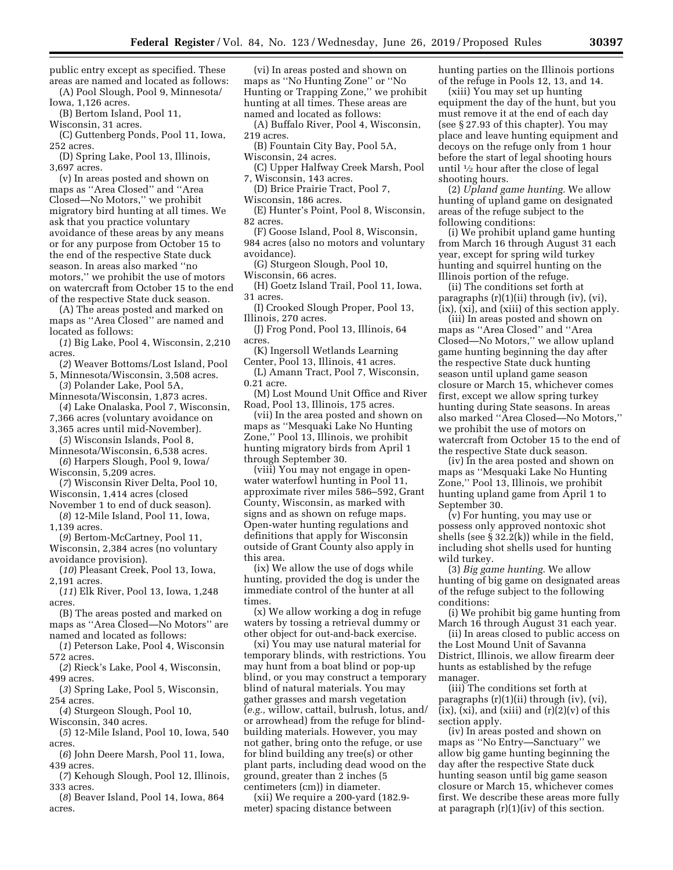public entry except as specified. These areas are named and located as follows: (A) Pool Slough, Pool 9, Minnesota/

Iowa, 1,126 acres.

(B) Bertom Island, Pool 11,

Wisconsin, 31 acres.

(C) Guttenberg Ponds, Pool 11, Iowa, 252 acres.

(D) Spring Lake, Pool 13, Illinois, 3,697 acres.

(v) In areas posted and shown on maps as ''Area Closed'' and ''Area Closed—No Motors,'' we prohibit migratory bird hunting at all times. We ask that you practice voluntary avoidance of these areas by any means or for any purpose from October 15 to the end of the respective State duck season. In areas also marked ''no motors,'' we prohibit the use of motors on watercraft from October 15 to the end of the respective State duck season.

(A) The areas posted and marked on maps as ''Area Closed'' are named and located as follows:

(*1*) Big Lake, Pool 4, Wisconsin, 2,210 acres.

(*2*) Weaver Bottoms/Lost Island, Pool 5, Minnesota/Wisconsin, 3,508 acres.

- (*3*) Polander Lake, Pool 5A, Minnesota/Wisconsin, 1,873 acres.
- (*4*) Lake Onalaska, Pool 7, Wisconsin,

7,366 acres (voluntary avoidance on

3,365 acres until mid-November). (*5*) Wisconsin Islands, Pool 8,

Minnesota/Wisconsin, 6,538 acres. (*6*) Harpers Slough, Pool 9, Iowa/

Wisconsin, 5,209 acres.

(*7*) Wisconsin River Delta, Pool 10,

Wisconsin, 1,414 acres (closed

November 1 to end of duck season). (*8*) 12-Mile Island, Pool 11, Iowa, 1,139 acres.

(*9*) Bertom-McCartney, Pool 11,

Wisconsin, 2,384 acres (no voluntary avoidance provision).

(*10*) Pleasant Creek, Pool 13, Iowa, 2,191 acres.

(*11*) Elk River, Pool 13, Iowa, 1,248 acres.

(B) The areas posted and marked on maps as ''Area Closed—No Motors'' are named and located as follows:

(*1*) Peterson Lake, Pool 4, Wisconsin 572 acres.

(*2*) Rieck's Lake, Pool 4, Wisconsin, 499 acres.

(*3*) Spring Lake, Pool 5, Wisconsin, 254 acres.

(*4*) Sturgeon Slough, Pool 10,

Wisconsin, 340 acres. (*5*) 12-Mile Island, Pool 10, Iowa, 540

acres. (*6*) John Deere Marsh, Pool 11, Iowa,

439 acres. (*7*) Kehough Slough, Pool 12, Illinois, 333 acres.

(*8*) Beaver Island, Pool 14, Iowa, 864 acres.

(vi) In areas posted and shown on maps as ''No Hunting Zone'' or ''No Hunting or Trapping Zone,'' we prohibit hunting at all times. These areas are named and located as follows:

(A) Buffalo River, Pool 4, Wisconsin, 219 acres.

(B) Fountain City Bay, Pool 5A, Wisconsin, 24 acres.

(C) Upper Halfway Creek Marsh, Pool

7, Wisconsin, 143 acres. (D) Brice Prairie Tract, Pool 7,

Wisconsin, 186 acres.

(E) Hunter's Point, Pool 8, Wisconsin, 82 acres.

(F) Goose Island, Pool 8, Wisconsin, 984 acres (also no motors and voluntary avoidance).

(G) Sturgeon Slough, Pool 10,

Wisconsin, 66 acres.

(H) Goetz Island Trail, Pool 11, Iowa, 31 acres.

(I) Crooked Slough Proper, Pool 13, Illinois, 270 acres.

(J) Frog Pond, Pool 13, Illinois, 64 acres.

(K) Ingersoll Wetlands Learning Center, Pool 13, Illinois, 41 acres.

(L) Amann Tract, Pool 7, Wisconsin, 0.21 acre.

(M) Lost Mound Unit Office and River Road, Pool 13, Illinois, 175 acres.

(vii) In the area posted and shown on maps as ''Mesquaki Lake No Hunting Zone,'' Pool 13, Illinois, we prohibit hunting migratory birds from April 1 through September 30.

(viii) You may not engage in openwater waterfowl hunting in Pool 11, approximate river miles 586–592, Grant County, Wisconsin, as marked with signs and as shown on refuge maps. Open-water hunting regulations and definitions that apply for Wisconsin outside of Grant County also apply in this area.

(ix) We allow the use of dogs while hunting, provided the dog is under the immediate control of the hunter at all times.

(x) We allow working a dog in refuge waters by tossing a retrieval dummy or other object for out-and-back exercise.

(xi) You may use natural material for temporary blinds, with restrictions. You may hunt from a boat blind or pop-up blind, or you may construct a temporary blind of natural materials. You may gather grasses and marsh vegetation (*e.g.,* willow, cattail, bulrush, lotus, and/ or arrowhead) from the refuge for blindbuilding materials. However, you may not gather, bring onto the refuge, or use for blind building any tree(s) or other plant parts, including dead wood on the ground, greater than 2 inches (5 centimeters (cm)) in diameter.

(xii) We require a 200-yard (182.9 meter) spacing distance between

hunting parties on the Illinois portions of the refuge in Pools 12, 13, and 14.

(xiii) You may set up hunting equipment the day of the hunt, but you must remove it at the end of each day (see § 27.93 of this chapter). You may place and leave hunting equipment and decoys on the refuge only from 1 hour before the start of legal shooting hours until 1⁄2 hour after the close of legal shooting hours.

(2) *Upland game hunting.* We allow hunting of upland game on designated areas of the refuge subject to the following conditions:

(i) We prohibit upland game hunting from March 16 through August 31 each year, except for spring wild turkey hunting and squirrel hunting on the Illinois portion of the refuge.

(ii) The conditions set forth at paragraphs (r)(1)(ii) through (iv), (vi), (ix), (xi), and (xiii) of this section apply.

(iii) In areas posted and shown on maps as ''Area Closed'' and ''Area Closed—No Motors,'' we allow upland game hunting beginning the day after the respective State duck hunting season until upland game season closure or March 15, whichever comes first, except we allow spring turkey hunting during State seasons. In areas also marked ''Area Closed—No Motors,'' we prohibit the use of motors on watercraft from October 15 to the end of the respective State duck season.

(iv) In the area posted and shown on maps as ''Mesquaki Lake No Hunting Zone,'' Pool 13, Illinois, we prohibit hunting upland game from April 1 to September 30.

(v) For hunting, you may use or possess only approved nontoxic shot shells (see  $\S 32.2(k)$ ) while in the field, including shot shells used for hunting wild turkey.

(3) *Big game hunting.* We allow hunting of big game on designated areas of the refuge subject to the following conditions:

(i) We prohibit big game hunting from March 16 through August 31 each year.

(ii) In areas closed to public access on the Lost Mound Unit of Savanna District, Illinois, we allow firearm deer hunts as established by the refuge manager.

(iii) The conditions set forth at paragraphs (r)(1)(ii) through (iv), (vi),  $(ix)$ ,  $(xi)$ , and  $(xiii)$  and  $(r)(2)(v)$  of this section apply.

(iv) In areas posted and shown on maps as ''No Entry—Sanctuary'' we allow big game hunting beginning the day after the respective State duck hunting season until big game season closure or March 15, whichever comes first. We describe these areas more fully at paragraph (r)(1)(iv) of this section.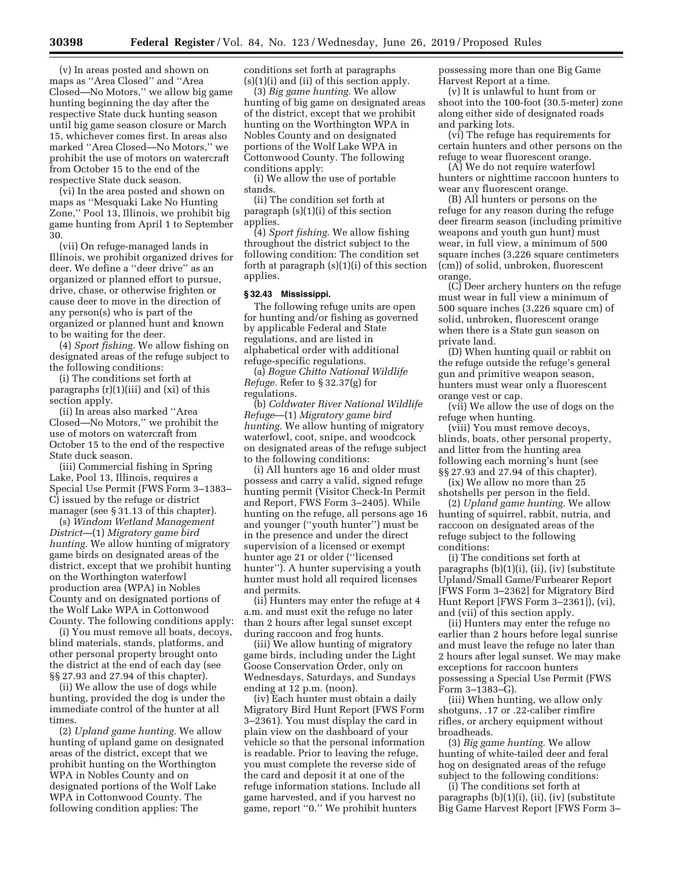(v) In areas posted and shown on maps as ''Area Closed'' and ''Area Closed—No Motors,'' we allow big game hunting beginning the day after the respective State duck hunting season until big game season closure or March 15, whichever comes first. In areas also marked ''Area Closed—No Motors,'' we prohibit the use of motors on watercraft from October 15 to the end of the respective State duck season.

(vi) In the area posted and shown on maps as ''Mesquaki Lake No Hunting Zone,'' Pool 13, Illinois, we prohibit big game hunting from April 1 to September 30.

(vii) On refuge-managed lands in Illinois, we prohibit organized drives for deer. We define a ''deer drive'' as an organized or planned effort to pursue, drive, chase, or otherwise frighten or cause deer to move in the direction of any person(s) who is part of the organized or planned hunt and known to be waiting for the deer.

(4) *Sport fishing.* We allow fishing on designated areas of the refuge subject to the following conditions:

(i) The conditions set forth at paragraphs (r)(1)(iii) and (xi) of this section apply.

(ii) In areas also marked ''Area Closed—No Motors,'' we prohibit the use of motors on watercraft from October 15 to the end of the respective State duck season.

(iii) Commercial fishing in Spring Lake, Pool 13, Illinois, requires a Special Use Permit (FWS Form 3–1383– C) issued by the refuge or district manager (see § 31.13 of this chapter).

(s) *Windom Wetland Management District*—(1) *Migratory game bird hunting.* We allow hunting of migratory game birds on designated areas of the district, except that we prohibit hunting on the Worthington waterfowl production area (WPA) in Nobles County and on designated portions of the Wolf Lake WPA in Cottonwood County. The following conditions apply:

(i) You must remove all boats, decoys, blind materials, stands, platforms, and other personal property brought onto the district at the end of each day (see §§ 27.93 and 27.94 of this chapter).

(ii) We allow the use of dogs while hunting, provided the dog is under the immediate control of the hunter at all times.

(2) *Upland game hunting.* We allow hunting of upland game on designated areas of the district, except that we prohibit hunting on the Worthington WPA in Nobles County and on designated portions of the Wolf Lake WPA in Cottonwood County. The following condition applies: The

conditions set forth at paragraphs  $(s)(1)(i)$  and  $(ii)$  of this section apply.

(3) *Big game hunting.* We allow hunting of big game on designated areas of the district, except that we prohibit hunting on the Worthington WPA in Nobles County and on designated portions of the Wolf Lake WPA in Cottonwood County. The following conditions apply:

(i) We allow the use of portable stands.

(ii) The condition set forth at paragraph (s)(1)(i) of this section applies.

(4) *Sport fishing.* We allow fishing throughout the district subject to the following condition: The condition set forth at paragraph (s)(1)(i) of this section applies.

# **§ 32.43 Mississippi.**

The following refuge units are open for hunting and/or fishing as governed by applicable Federal and State regulations, and are listed in alphabetical order with additional refuge-specific regulations.

(a) *Bogue Chitto National Wildlife Refuge.* Refer to § 32.37(g) for regulations.

(b) *Coldwater River National Wildlife Refuge*—(1) *Migratory game bird hunting.* We allow hunting of migratory waterfowl, coot, snipe, and woodcock on designated areas of the refuge subject to the following conditions:

(i) All hunters age 16 and older must possess and carry a valid, signed refuge hunting permit (Visitor Check-In Permit and Report, FWS Form 3–2405). While hunting on the refuge, all persons age 16 and younger (''youth hunter'') must be in the presence and under the direct supervision of a licensed or exempt hunter age 21 or older (''licensed hunter''). A hunter supervising a youth hunter must hold all required licenses and permits.

(ii) Hunters may enter the refuge at 4 a.m. and must exit the refuge no later than 2 hours after legal sunset except during raccoon and frog hunts.

(iii) We allow hunting of migratory game birds, including under the Light Goose Conservation Order, only on Wednesdays, Saturdays, and Sundays ending at 12 p.m. (noon).

(iv) Each hunter must obtain a daily Migratory Bird Hunt Report (FWS Form 3–2361). You must display the card in plain view on the dashboard of your vehicle so that the personal information is readable. Prior to leaving the refuge, you must complete the reverse side of the card and deposit it at one of the refuge information stations. Include all game harvested, and if you harvest no game, report ''0.'' We prohibit hunters

possessing more than one Big Game Harvest Report at a time.

(v) It is unlawful to hunt from or shoot into the 100-foot (30.5-meter) zone along either side of designated roads and parking lots.

(vi) The refuge has requirements for certain hunters and other persons on the refuge to wear fluorescent orange.

(A) We do not require waterfowl hunters or nighttime raccoon hunters to wear any fluorescent orange.

(B) All hunters or persons on the refuge for any reason during the refuge deer firearm season (including primitive weapons and youth gun hunt) must wear, in full view, a minimum of 500 square inches (3,226 square centimeters (cm)) of solid, unbroken, fluorescent orange.

(C) Deer archery hunters on the refuge must wear in full view a minimum of 500 square inches (3,226 square cm) of solid, unbroken, fluorescent orange when there is a State gun season on private land.

(D) When hunting quail or rabbit on the refuge outside the refuge's general gun and primitive weapon season, hunters must wear only a fluorescent orange vest or cap.

(vii) We allow the use of dogs on the refuge when hunting.

(viii) You must remove decoys, blinds, boats, other personal property, and litter from the hunting area following each morning's hunt (see §§ 27.93 and 27.94 of this chapter). (ix) We allow no more than 25

shotshells per person in the field.

(2) *Upland game hunting.* We allow hunting of squirrel, rabbit, nutria, and raccoon on designated areas of the refuge subject to the following conditions:

(i) The conditions set forth at paragraphs (b)(1)(i), (ii), (iv) (substitute Upland/Small Game/Furbearer Report [FWS Form 3–2362] for Migratory Bird Hunt Report [FWS Form 3–2361]), (vi), and (vii) of this section apply.

(ii) Hunters may enter the refuge no earlier than 2 hours before legal sunrise and must leave the refuge no later than 2 hours after legal sunset. We may make exceptions for raccoon hunters possessing a Special Use Permit (FWS Form 3–1383–G).

(iii) When hunting, we allow only shotguns, .17 or .22-caliber rimfire rifles, or archery equipment without broadheads.

(3) *Big game hunting.* We allow hunting of white-tailed deer and feral hog on designated areas of the refuge subject to the following conditions:

(i) The conditions set forth at paragraphs (b)(1)(i), (ii), (iv) (substitute Big Game Harvest Report [FWS Form 3–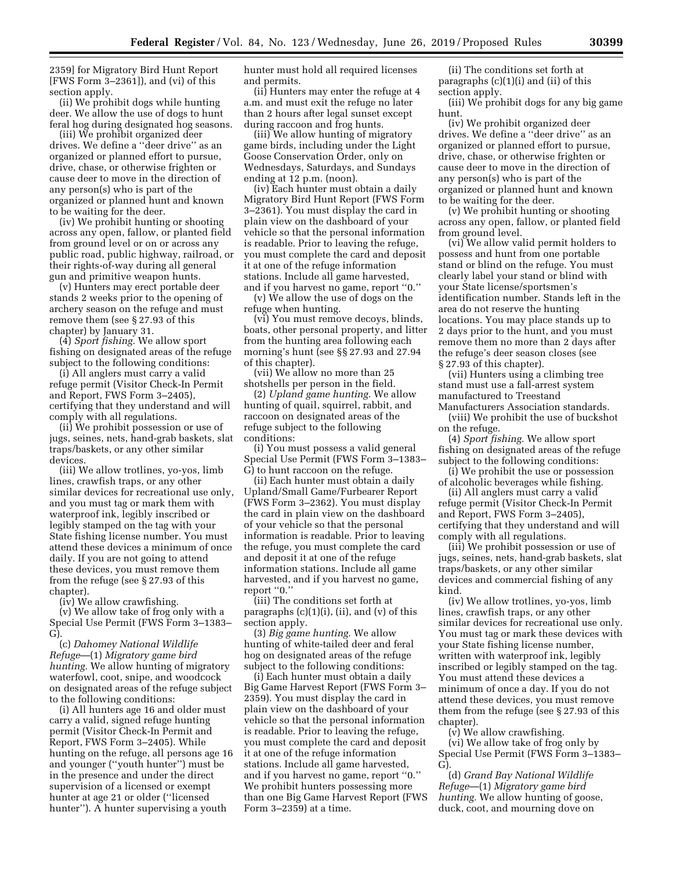2359] for Migratory Bird Hunt Report [FWS Form 3–2361]), and (vi) of this section apply.

(ii) We prohibit dogs while hunting deer. We allow the use of dogs to hunt feral hog during designated hog seasons.

(iii) We prohibit organized deer drives. We define a ''deer drive'' as an organized or planned effort to pursue, drive, chase, or otherwise frighten or cause deer to move in the direction of any person(s) who is part of the organized or planned hunt and known to be waiting for the deer.

(iv) We prohibit hunting or shooting across any open, fallow, or planted field from ground level or on or across any public road, public highway, railroad, or their rights-of-way during all general gun and primitive weapon hunts.

(v) Hunters may erect portable deer stands 2 weeks prior to the opening of archery season on the refuge and must remove them (see § 27.93 of this chapter) by January 31.

(4) *Sport fishing.* We allow sport fishing on designated areas of the refuge subject to the following conditions:

(i) All anglers must carry a valid refuge permit (Visitor Check-In Permit and Report, FWS Form 3–2405), certifying that they understand and will comply with all regulations.

(ii) We prohibit possession or use of jugs, seines, nets, hand-grab baskets, slat traps/baskets, or any other similar devices.

(iii) We allow trotlines, yo-yos, limb lines, crawfish traps, or any other similar devices for recreational use only, and you must tag or mark them with waterproof ink, legibly inscribed or legibly stamped on the tag with your State fishing license number. You must attend these devices a minimum of once daily. If you are not going to attend these devices, you must remove them from the refuge (see § 27.93 of this chapter).

(iv) We allow crawfishing.

(v) We allow take of frog only with a Special Use Permit (FWS Form 3–1383– G).

(c) *Dahomey National Wildlife Refuge*—(1) *Migratory game bird hunting.* We allow hunting of migratory waterfowl, coot, snipe, and woodcock on designated areas of the refuge subject to the following conditions:

(i) All hunters age 16 and older must carry a valid, signed refuge hunting permit (Visitor Check-In Permit and Report, FWS Form 3–2405). While hunting on the refuge, all persons age 16 and younger (''youth hunter'') must be in the presence and under the direct supervision of a licensed or exempt hunter at age 21 or older (''licensed hunter''). A hunter supervising a youth

hunter must hold all required licenses and permits.

(ii) Hunters may enter the refuge at 4 a.m. and must exit the refuge no later than 2 hours after legal sunset except during raccoon and frog hunts.

(iii) We allow hunting of migratory game birds, including under the Light Goose Conservation Order, only on Wednesdays, Saturdays, and Sundays ending at 12 p.m. (noon).

(iv) Each hunter must obtain a daily Migratory Bird Hunt Report (FWS Form 3–2361). You must display the card in plain view on the dashboard of your vehicle so that the personal information is readable. Prior to leaving the refuge, you must complete the card and deposit it at one of the refuge information stations. Include all game harvested, and if you harvest no game, report ''0.''

(v) We allow the use of dogs on the refuge when hunting.

(vi) You must remove decoys, blinds, boats, other personal property, and litter from the hunting area following each morning's hunt (see §§ 27.93 and 27.94 of this chapter).

(vii) We allow no more than 25 shotshells per person in the field.

(2) *Upland game hunting.* We allow hunting of quail, squirrel, rabbit, and raccoon on designated areas of the refuge subject to the following conditions:

(i) You must possess a valid general Special Use Permit (FWS Form 3–1383– G) to hunt raccoon on the refuge.

(ii) Each hunter must obtain a daily Upland/Small Game/Furbearer Report (FWS Form 3–2362). You must display the card in plain view on the dashboard of your vehicle so that the personal information is readable. Prior to leaving the refuge, you must complete the card and deposit it at one of the refuge information stations. Include all game harvested, and if you harvest no game, report ''0.''

(iii) The conditions set forth at paragraphs (c)(1)(i), (ii), and (v) of this section apply.

(3) *Big game hunting.* We allow hunting of white-tailed deer and feral hog on designated areas of the refuge subject to the following conditions:

(i) Each hunter must obtain a daily Big Game Harvest Report (FWS Form 3– 2359). You must display the card in plain view on the dashboard of your vehicle so that the personal information is readable. Prior to leaving the refuge, you must complete the card and deposit it at one of the refuge information stations. Include all game harvested, and if you harvest no game, report ''0.'' We prohibit hunters possessing more than one Big Game Harvest Report (FWS Form 3–2359) at a time.

(ii) The conditions set forth at paragraphs (c)(1)(i) and (ii) of this section apply.

(iii) We prohibit dogs for any big game hunt.

(iv) We prohibit organized deer drives. We define a ''deer drive'' as an organized or planned effort to pursue, drive, chase, or otherwise frighten or cause deer to move in the direction of any person(s) who is part of the organized or planned hunt and known to be waiting for the deer.

(v) We prohibit hunting or shooting across any open, fallow, or planted field from ground level.

(vi) We allow valid permit holders to possess and hunt from one portable stand or blind on the refuge. You must clearly label your stand or blind with your State license/sportsmen's identification number. Stands left in the area do not reserve the hunting locations. You may place stands up to 2 days prior to the hunt, and you must remove them no more than 2 days after the refuge's deer season closes (see § 27.93 of this chapter).

(vii) Hunters using a climbing tree stand must use a fall-arrest system manufactured to Treestand Manufacturers Association standards.

(viii) We prohibit the use of buckshot on the refuge.

(4) *Sport fishing.* We allow sport fishing on designated areas of the refuge subject to the following conditions:

(i) We prohibit the use or possession of alcoholic beverages while fishing.

(ii) All anglers must carry a valid refuge permit (Visitor Check-In Permit and Report, FWS Form 3–2405), certifying that they understand and will comply with all regulations.

(iii) We prohibit possession or use of jugs, seines, nets, hand-grab baskets, slat traps/baskets, or any other similar devices and commercial fishing of any kind.

(iv) We allow trotlines, yo-yos, limb lines, crawfish traps, or any other similar devices for recreational use only. You must tag or mark these devices with your State fishing license number, written with waterproof ink, legibly inscribed or legibly stamped on the tag. You must attend these devices a minimum of once a day. If you do not attend these devices, you must remove them from the refuge (see § 27.93 of this chapter).

(v) We allow crawfishing. (vi) We allow take of frog only by Special Use Permit (FWS Form 3–1383– G).

(d) *Grand Bay National Wildlife Refuge*—(1) *Migratory game bird hunting.* We allow hunting of goose, duck, coot, and mourning dove on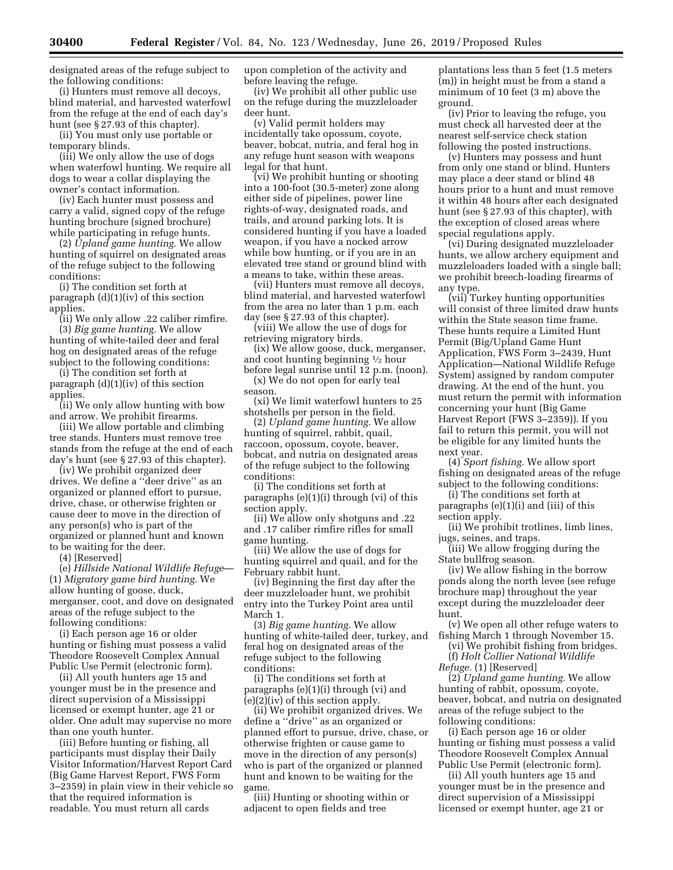designated areas of the refuge subject to the following conditions:

(i) Hunters must remove all decoys, blind material, and harvested waterfowl from the refuge at the end of each day's hunt (see § 27.93 of this chapter).

(ii) You must only use portable or temporary blinds.

(iii) We only allow the use of dogs when waterfowl hunting. We require all dogs to wear a collar displaying the owner's contact information.

(iv) Each hunter must possess and carry a valid, signed copy of the refuge hunting brochure (signed brochure) while participating in refuge hunts.

(2) *Upland game hunting.* We allow hunting of squirrel on designated areas of the refuge subject to the following conditions:

(i) The condition set forth at paragraph (d)(1)(iv) of this section applies.

(ii) We only allow .22 caliber rimfire. (3) *Big game hunting.* We allow hunting of white-tailed deer and feral hog on designated areas of the refuge subject to the following conditions:

(i) The condition set forth at paragraph (d)(1)(iv) of this section applies.

(ii) We only allow hunting with bow and arrow. We prohibit firearms.

(iii) We allow portable and climbing tree stands. Hunters must remove tree stands from the refuge at the end of each day's hunt (see § 27.93 of this chapter).

(iv) We prohibit organized deer drives. We define a ''deer drive'' as an organized or planned effort to pursue, drive, chase, or otherwise frighten or cause deer to move in the direction of any person(s) who is part of the organized or planned hunt and known to be waiting for the deer.

(4) [Reserved]

(e) *Hillside National Wildlife Refuge*— (1) *Migratory game bird hunting.* We allow hunting of goose, duck, merganser, coot, and dove on designated areas of the refuge subject to the following conditions:

(i) Each person age 16 or older hunting or fishing must possess a valid Theodore Roosevelt Complex Annual Public Use Permit (electronic form).

(ii) All youth hunters age 15 and younger must be in the presence and direct supervision of a Mississippi licensed or exempt hunter, age 21 or older. One adult may supervise no more than one youth hunter.

(iii) Before hunting or fishing, all participants must display their Daily Visitor Information/Harvest Report Card (Big Game Harvest Report, FWS Form 3–2359) in plain view in their vehicle so that the required information is readable. You must return all cards

upon completion of the activity and before leaving the refuge.

(iv) We prohibit all other public use on the refuge during the muzzleloader deer hunt.

(v) Valid permit holders may incidentally take opossum, coyote, beaver, bobcat, nutria, and feral hog in any refuge hunt season with weapons legal for that hunt.

(vi) We prohibit hunting or shooting into a 100-foot (30.5-meter) zone along either side of pipelines, power line rights-of-way, designated roads, and trails, and around parking lots. It is considered hunting if you have a loaded weapon, if you have a nocked arrow while bow hunting, or if you are in an elevated tree stand or ground blind with a means to take, within these areas.

(vii) Hunters must remove all decoys, blind material, and harvested waterfowl from the area no later than 1 p.m. each day (see § 27.93 of this chapter).

(viii) We allow the use of dogs for retrieving migratory birds.

(ix) We allow goose, duck, merganser, and coot hunting beginning 1⁄2 hour

before legal sunrise until 12 p.m. (noon). (x) We do not open for early teal season.

(xi) We limit waterfowl hunters to 25 shotshells per person in the field.

(2) *Upland game hunting.* We allow hunting of squirrel, rabbit, quail, raccoon, opossum, coyote, beaver, bobcat, and nutria on designated areas of the refuge subject to the following conditions:

(i) The conditions set forth at paragraphs (e)(1)(i) through (vi) of this section apply.

(ii) We allow only shotguns and .22 and .17 caliber rimfire rifles for small game hunting.

(iii) We allow the use of dogs for hunting squirrel and quail, and for the February rabbit hunt.

(iv) Beginning the first day after the deer muzzleloader hunt, we prohibit entry into the Turkey Point area until March 1.

(3) *Big game hunting.* We allow hunting of white-tailed deer, turkey, and feral hog on designated areas of the refuge subject to the following conditions:

(i) The conditions set forth at paragraphs (e)(1)(i) through (vi) and (e)(2)(iv) of this section apply.

(ii) We prohibit organized drives. We define a ''drive'' as an organized or planned effort to pursue, drive, chase, or otherwise frighten or cause game to move in the direction of any person(s) who is part of the organized or planned hunt and known to be waiting for the game.

(iii) Hunting or shooting within or adjacent to open fields and tree

plantations less than 5 feet (1.5 meters (m)) in height must be from a stand a minimum of 10 feet (3 m) above the ground.

(iv) Prior to leaving the refuge, you must check all harvested deer at the nearest self-service check station following the posted instructions.

(v) Hunters may possess and hunt from only one stand or blind. Hunters may place a deer stand or blind 48 hours prior to a hunt and must remove it within 48 hours after each designated hunt (see § 27.93 of this chapter), with the exception of closed areas where special regulations apply.

(vi) During designated muzzleloader hunts, we allow archery equipment and muzzleloaders loaded with a single ball; we prohibit breech-loading firearms of any type.

(vii) Turkey hunting opportunities will consist of three limited draw hunts within the State season time frame. These hunts require a Limited Hunt Permit (Big/Upland Game Hunt Application, FWS Form 3–2439, Hunt Application—National Wildlife Refuge System) assigned by random computer drawing. At the end of the hunt, you must return the permit with information concerning your hunt (Big Game Harvest Report (FWS 3–2359)). If you fail to return this permit, you will not be eligible for any limited hunts the next year.

(4) *Sport fishing.* We allow sport fishing on designated areas of the refuge subject to the following conditions:

(i) The conditions set forth at paragraphs (e)(1)(i) and (iii) of this section apply.

(ii) We prohibit trotlines, limb lines, jugs, seines, and traps.

(iii) We allow frogging during the State bullfrog season.

(iv) We allow fishing in the borrow ponds along the north levee (see refuge brochure map) throughout the year except during the muzzleloader deer hunt.

(v) We open all other refuge waters to fishing March 1 through November 15.

(vi) We prohibit fishing from bridges. (f) *Holt Collier National Wildlife Refuge.* (1) [Reserved]

(2) *Upland game hunting.* We allow hunting of rabbit, opossum, coyote, beaver, bobcat, and nutria on designated areas of the refuge subject to the following conditions:

(i) Each person age 16 or older hunting or fishing must possess a valid Theodore Roosevelt Complex Annual Public Use Permit (electronic form).

(ii) All youth hunters age 15 and younger must be in the presence and direct supervision of a Mississippi licensed or exempt hunter, age 21 or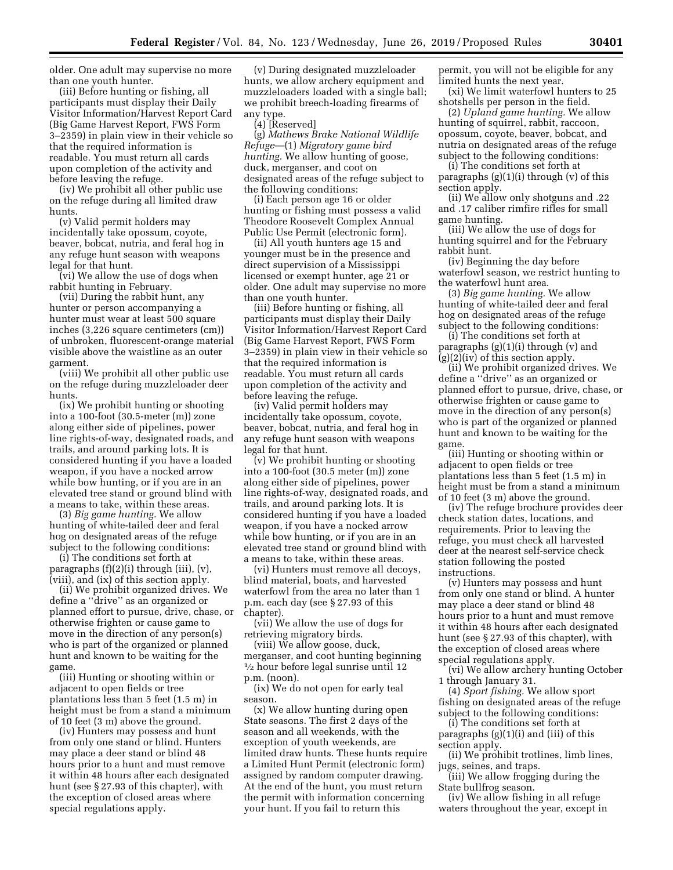older. One adult may supervise no more than one youth hunter.

(iii) Before hunting or fishing, all participants must display their Daily Visitor Information/Harvest Report Card (Big Game Harvest Report, FWS Form 3–2359) in plain view in their vehicle so that the required information is readable. You must return all cards upon completion of the activity and before leaving the refuge.

(iv) We prohibit all other public use on the refuge during all limited draw hunts.

(v) Valid permit holders may incidentally take opossum, coyote, beaver, bobcat, nutria, and feral hog in any refuge hunt season with weapons legal for that hunt.

(vi) We allow the use of dogs when rabbit hunting in February.

(vii) During the rabbit hunt, any hunter or person accompanying a hunter must wear at least 500 square inches (3,226 square centimeters (cm)) of unbroken, fluorescent-orange material visible above the waistline as an outer garment.

(viii) We prohibit all other public use on the refuge during muzzleloader deer hunts.

(ix) We prohibit hunting or shooting into a 100-foot (30.5-meter (m)) zone along either side of pipelines, power line rights-of-way, designated roads, and trails, and around parking lots. It is considered hunting if you have a loaded weapon, if you have a nocked arrow while bow hunting, or if you are in an elevated tree stand or ground blind with a means to take, within these areas.

(3) *Big game hunting.* We allow hunting of white-tailed deer and feral hog on designated areas of the refuge subject to the following conditions:

(i) The conditions set forth at paragraphs (f)(2)(i) through (iii), (v), (viii), and (ix) of this section apply.

(ii) We prohibit organized drives. We define a ''drive'' as an organized or planned effort to pursue, drive, chase, or otherwise frighten or cause game to move in the direction of any person(s) who is part of the organized or planned hunt and known to be waiting for the game.

(iii) Hunting or shooting within or adjacent to open fields or tree plantations less than 5 feet (1.5 m) in height must be from a stand a minimum of 10 feet (3 m) above the ground.

(iv) Hunters may possess and hunt from only one stand or blind. Hunters may place a deer stand or blind 48 hours prior to a hunt and must remove it within 48 hours after each designated hunt (see § 27.93 of this chapter), with the exception of closed areas where special regulations apply.

(v) During designated muzzleloader hunts, we allow archery equipment and muzzleloaders loaded with a single ball; we prohibit breech-loading firearms of any type.

(4) [Reserved]

(g) *Mathews Brake National Wildlife Refuge*—(1) *Migratory game bird hunting.* We allow hunting of goose, duck, merganser, and coot on designated areas of the refuge subject to the following conditions:

(i) Each person age 16 or older hunting or fishing must possess a valid Theodore Roosevelt Complex Annual Public Use Permit (electronic form).

(ii) All youth hunters age 15 and younger must be in the presence and direct supervision of a Mississippi licensed or exempt hunter, age 21 or older. One adult may supervise no more than one youth hunter.

(iii) Before hunting or fishing, all participants must display their Daily Visitor Information/Harvest Report Card (Big Game Harvest Report, FWS Form 3–2359) in plain view in their vehicle so that the required information is readable. You must return all cards upon completion of the activity and before leaving the refuge.

(iv) Valid permit holders may incidentally take opossum, coyote, beaver, bobcat, nutria, and feral hog in any refuge hunt season with weapons legal for that hunt.

(v) We prohibit hunting or shooting into a 100-foot (30.5 meter (m)) zone along either side of pipelines, power line rights-of-way, designated roads, and trails, and around parking lots. It is considered hunting if you have a loaded weapon, if you have a nocked arrow while bow hunting, or if you are in an elevated tree stand or ground blind with a means to take, within these areas.

(vi) Hunters must remove all decoys, blind material, boats, and harvested waterfowl from the area no later than 1 p.m. each day (see § 27.93 of this chapter).

(vii) We allow the use of dogs for retrieving migratory birds.

(viii) We allow goose, duck, merganser, and coot hunting beginning 1⁄2 hour before legal sunrise until 12 p.m. (noon).

(ix) We do not open for early teal season.

(x) We allow hunting during open State seasons. The first 2 days of the season and all weekends, with the exception of youth weekends, are limited draw hunts. These hunts require a Limited Hunt Permit (electronic form) assigned by random computer drawing. At the end of the hunt, you must return the permit with information concerning your hunt. If you fail to return this

permit, you will not be eligible for any limited hunts the next year.

(xi) We limit waterfowl hunters to 25 shotshells per person in the field.

(2) *Upland game hunting.* We allow hunting of squirrel, rabbit, raccoon, opossum, coyote, beaver, bobcat, and nutria on designated areas of the refuge subject to the following conditions:

(i) The conditions set forth at paragraphs  $(g)(1)(i)$  through  $(v)$  of this section apply.

(ii) We allow only shotguns and .22 and .17 caliber rimfire rifles for small game hunting.

(iii) We allow the use of dogs for hunting squirrel and for the February rabbit hunt.

(iv) Beginning the day before waterfowl season, we restrict hunting to the waterfowl hunt area.

(3) *Big game hunting.* We allow hunting of white-tailed deer and feral hog on designated areas of the refuge subject to the following conditions:

(i) The conditions set forth at paragraphs (g)(1)(i) through (v) and (g)(2)(iv) of this section apply.

(ii) We prohibit organized drives. We define a ''drive'' as an organized or planned effort to pursue, drive, chase, or otherwise frighten or cause game to move in the direction of any person(s) who is part of the organized or planned hunt and known to be waiting for the game.

(iii) Hunting or shooting within or adjacent to open fields or tree plantations less than 5 feet (1.5 m) in height must be from a stand a minimum of 10 feet (3 m) above the ground.

(iv) The refuge brochure provides deer check station dates, locations, and requirements. Prior to leaving the refuge, you must check all harvested deer at the nearest self-service check station following the posted instructions.

(v) Hunters may possess and hunt from only one stand or blind. A hunter may place a deer stand or blind 48 hours prior to a hunt and must remove it within 48 hours after each designated hunt (see § 27.93 of this chapter), with the exception of closed areas where special regulations apply.

(vi) We allow archery hunting October 1 through January 31.

(4) *Sport fishing.* We allow sport fishing on designated areas of the refuge subject to the following conditions:

(i) The conditions set forth at paragraphs (g)(1)(i) and (iii) of this section apply.

(ii) We prohibit trotlines, limb lines, jugs, seines, and traps.

(iii) We allow frogging during the State bullfrog season.

(iv) We allow fishing in all refuge waters throughout the year, except in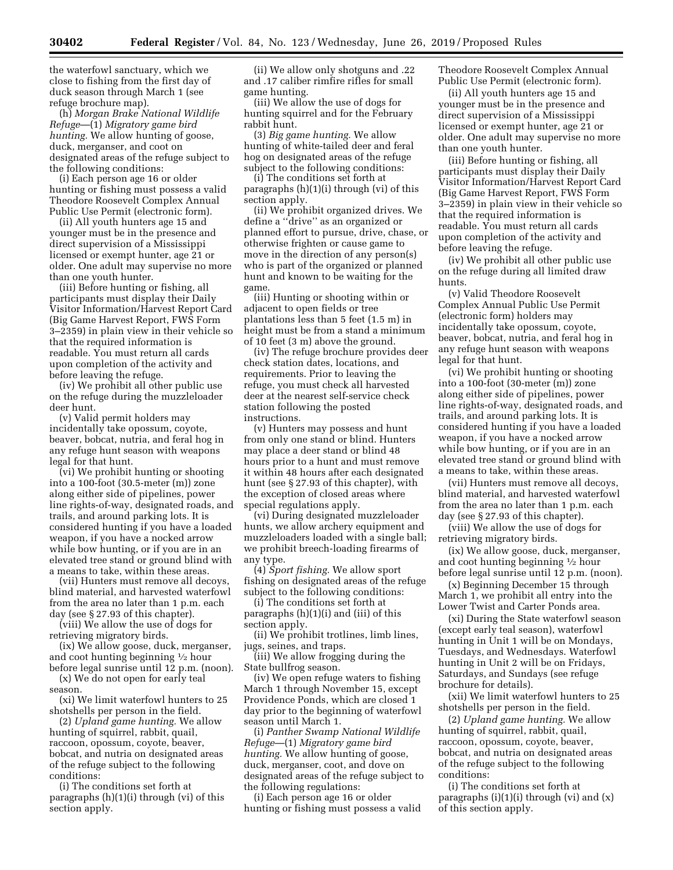the waterfowl sanctuary, which we close to fishing from the first day of duck season through March 1 (see refuge brochure map).

(h) *Morgan Brake National Wildlife Refuge*—(1) *Migratory game bird hunting.* We allow hunting of goose, duck, merganser, and coot on designated areas of the refuge subject to the following conditions:

(i) Each person age 16 or older hunting or fishing must possess a valid Theodore Roosevelt Complex Annual Public Use Permit (electronic form).

(ii) All youth hunters age 15 and younger must be in the presence and direct supervision of a Mississippi licensed or exempt hunter, age 21 or older. One adult may supervise no more than one youth hunter.

(iii) Before hunting or fishing, all participants must display their Daily Visitor Information/Harvest Report Card (Big Game Harvest Report, FWS Form 3–2359) in plain view in their vehicle so that the required information is readable. You must return all cards upon completion of the activity and before leaving the refuge.

(iv) We prohibit all other public use on the refuge during the muzzleloader deer hunt.

(v) Valid permit holders may incidentally take opossum, coyote, beaver, bobcat, nutria, and feral hog in any refuge hunt season with weapons legal for that hunt.

(vi) We prohibit hunting or shooting into a 100-foot (30.5-meter (m)) zone along either side of pipelines, power line rights-of-way, designated roads, and trails, and around parking lots. It is considered hunting if you have a loaded weapon, if you have a nocked arrow while bow hunting, or if you are in an elevated tree stand or ground blind with a means to take, within these areas.

(vii) Hunters must remove all decoys, blind material, and harvested waterfowl from the area no later than 1 p.m. each day (see § 27.93 of this chapter).

(viii) We allow the use of dogs for retrieving migratory birds.

(ix) We allow goose, duck, merganser, and coot hunting beginning 1⁄2 hour before legal sunrise until 12 p.m. (noon).

(x) We do not open for early teal season.

(xi) We limit waterfowl hunters to 25 shotshells per person in the field.

(2) *Upland game hunting.* We allow hunting of squirrel, rabbit, quail, raccoon, opossum, coyote, beaver, bobcat, and nutria on designated areas of the refuge subject to the following conditions:

(i) The conditions set forth at paragraphs (h)(1)(i) through (vi) of this section apply.

(ii) We allow only shotguns and .22 and .17 caliber rimfire rifles for small game hunting.

(iii) We allow the use of dogs for hunting squirrel and for the February rabbit hunt.

(3) *Big game hunting.* We allow hunting of white-tailed deer and feral hog on designated areas of the refuge subject to the following conditions:

(i) The conditions set forth at paragraphs (h)(1)(i) through (vi) of this section apply.

(ii) We prohibit organized drives. We define a ''drive'' as an organized or planned effort to pursue, drive, chase, or otherwise frighten or cause game to move in the direction of any person(s) who is part of the organized or planned hunt and known to be waiting for the game.

(iii) Hunting or shooting within or adjacent to open fields or tree plantations less than 5 feet (1.5 m) in height must be from a stand a minimum of 10 feet (3 m) above the ground.

(iv) The refuge brochure provides deer check station dates, locations, and requirements. Prior to leaving the refuge, you must check all harvested deer at the nearest self-service check station following the posted instructions.

(v) Hunters may possess and hunt from only one stand or blind. Hunters may place a deer stand or blind 48 hours prior to a hunt and must remove it within 48 hours after each designated hunt (see § 27.93 of this chapter), with the exception of closed areas where special regulations apply.

(vi) During designated muzzleloader hunts, we allow archery equipment and muzzleloaders loaded with a single ball; we prohibit breech-loading firearms of any type.

(4) *Sport fishing.* We allow sport fishing on designated areas of the refuge subject to the following conditions:

(i) The conditions set forth at paragraphs (h)(1)(i) and (iii) of this section apply.

(ii) We prohibit trotlines, limb lines, jugs, seines, and traps.

(iii) We allow frogging during the State bullfrog season.

(iv) We open refuge waters to fishing March 1 through November 15, except Providence Ponds, which are closed 1 day prior to the beginning of waterfowl season until March 1.

(i) *Panther Swamp National Wildlife Refuge*—(1) *Migratory game bird hunting.* We allow hunting of goose, duck, merganser, coot, and dove on designated areas of the refuge subject to the following regulations:

(i) Each person age 16 or older hunting or fishing must possess a valid Theodore Roosevelt Complex Annual Public Use Permit (electronic form).

(ii) All youth hunters age 15 and younger must be in the presence and direct supervision of a Mississippi licensed or exempt hunter, age 21 or older. One adult may supervise no more than one youth hunter.

(iii) Before hunting or fishing, all participants must display their Daily Visitor Information/Harvest Report Card (Big Game Harvest Report, FWS Form 3–2359) in plain view in their vehicle so that the required information is readable. You must return all cards upon completion of the activity and before leaving the refuge.

(iv) We prohibit all other public use on the refuge during all limited draw hunts.

(v) Valid Theodore Roosevelt Complex Annual Public Use Permit (electronic form) holders may incidentally take opossum, coyote, beaver, bobcat, nutria, and feral hog in any refuge hunt season with weapons legal for that hunt.

(vi) We prohibit hunting or shooting into a 100-foot (30-meter (m)) zone along either side of pipelines, power line rights-of-way, designated roads, and trails, and around parking lots. It is considered hunting if you have a loaded weapon, if you have a nocked arrow while bow hunting, or if you are in an elevated tree stand or ground blind with a means to take, within these areas.

(vii) Hunters must remove all decoys, blind material, and harvested waterfowl from the area no later than 1 p.m. each day (see § 27.93 of this chapter).

(viii) We allow the use of dogs for retrieving migratory birds.

(ix) We allow goose, duck, merganser, and coot hunting beginning 1⁄2 hour before legal sunrise until 12 p.m. (noon).

(x) Beginning December 15 through March 1, we prohibit all entry into the Lower Twist and Carter Ponds area.

(xi) During the State waterfowl season (except early teal season), waterfowl hunting in Unit 1 will be on Mondays, Tuesdays, and Wednesdays. Waterfowl hunting in Unit 2 will be on Fridays, Saturdays, and Sundays (see refuge brochure for details).

(xii) We limit waterfowl hunters to 25 shotshells per person in the field.

(2) *Upland game hunting.* We allow hunting of squirrel, rabbit, quail, raccoon, opossum, coyote, beaver, bobcat, and nutria on designated areas of the refuge subject to the following conditions:

(i) The conditions set forth at paragraphs  $(i)(1)(i)$  through  $(vi)$  and  $(x)$ of this section apply.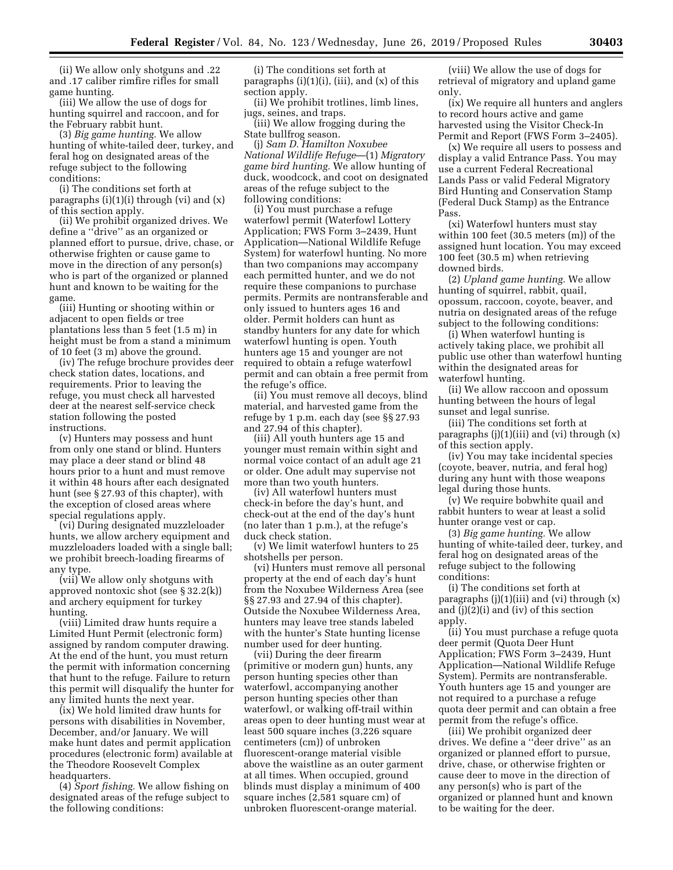(ii) We allow only shotguns and .22 and .17 caliber rimfire rifles for small game hunting.

(iii) We allow the use of dogs for hunting squirrel and raccoon, and for the February rabbit hunt.

(3) *Big game hunting.* We allow hunting of white-tailed deer, turkey, and feral hog on designated areas of the refuge subject to the following conditions:

(i) The conditions set forth at paragraphs  $(i)(1)(i)$  through  $(vi)$  and  $(x)$ of this section apply.

(ii) We prohibit organized drives. We define a ''drive'' as an organized or planned effort to pursue, drive, chase, or otherwise frighten or cause game to move in the direction of any person(s) who is part of the organized or planned hunt and known to be waiting for the game.

(iii) Hunting or shooting within or adjacent to open fields or tree plantations less than 5 feet (1.5 m) in height must be from a stand a minimum of 10 feet (3 m) above the ground.

(iv) The refuge brochure provides deer check station dates, locations, and requirements. Prior to leaving the refuge, you must check all harvested deer at the nearest self-service check station following the posted instructions.

(v) Hunters may possess and hunt from only one stand or blind. Hunters may place a deer stand or blind 48 hours prior to a hunt and must remove it within 48 hours after each designated hunt (see § 27.93 of this chapter), with the exception of closed areas where special regulations apply.

(vi) During designated muzzleloader hunts, we allow archery equipment and muzzleloaders loaded with a single ball; we prohibit breech-loading firearms of any type.

(vii) We allow only shotguns with approved nontoxic shot (see § 32.2(k)) and archery equipment for turkey hunting.

(viii) Limited draw hunts require a Limited Hunt Permit (electronic form) assigned by random computer drawing. At the end of the hunt, you must return the permit with information concerning that hunt to the refuge. Failure to return this permit will disqualify the hunter for any limited hunts the next year.

(ix) We hold limited draw hunts for persons with disabilities in November, December, and/or January. We will make hunt dates and permit application procedures (electronic form) available at the Theodore Roosevelt Complex headquarters.

(4) *Sport fishing.* We allow fishing on designated areas of the refuge subject to the following conditions:

(i) The conditions set forth at paragraphs (i)(1)(i), (iii), and (x) of this section apply.

(ii) We prohibit trotlines, limb lines, jugs, seines, and traps.

(iii) We allow frogging during the State bullfrog season.

(j) *Sam D. Hamilton Noxubee National Wildlife Refuge*—(1) *Migratory game bird hunting.* We allow hunting of duck, woodcock, and coot on designated areas of the refuge subject to the following conditions:

(i) You must purchase a refuge waterfowl permit (Waterfowl Lottery Application; FWS Form 3–2439, Hunt Application—National Wildlife Refuge System) for waterfowl hunting. No more than two companions may accompany each permitted hunter, and we do not require these companions to purchase permits. Permits are nontransferable and only issued to hunters ages 16 and older. Permit holders can hunt as standby hunters for any date for which waterfowl hunting is open. Youth hunters age 15 and younger are not required to obtain a refuge waterfowl permit and can obtain a free permit from the refuge's office.

(ii) You must remove all decoys, blind material, and harvested game from the refuge by 1 p.m. each day (see §§ 27.93 and 27.94 of this chapter).

(iii) All youth hunters age 15 and younger must remain within sight and normal voice contact of an adult age 21 or older. One adult may supervise not more than two youth hunters.

(iv) All waterfowl hunters must check-in before the day's hunt, and check-out at the end of the day's hunt (no later than 1 p.m.), at the refuge's duck check station.

(v) We limit waterfowl hunters to 25 shotshells per person.

(vi) Hunters must remove all personal property at the end of each day's hunt from the Noxubee Wilderness Area (see §§ 27.93 and 27.94 of this chapter). Outside the Noxubee Wilderness Area, hunters may leave tree stands labeled with the hunter's State hunting license number used for deer hunting.

(vii) During the deer firearm (primitive or modern gun) hunts, any person hunting species other than waterfowl, accompanying another person hunting species other than waterfowl, or walking off-trail within areas open to deer hunting must wear at least 500 square inches (3,226 square centimeters (cm)) of unbroken fluorescent-orange material visible above the waistline as an outer garment at all times. When occupied, ground blinds must display a minimum of 400 square inches (2,581 square cm) of unbroken fluorescent-orange material.

(viii) We allow the use of dogs for retrieval of migratory and upland game only.

(ix) We require all hunters and anglers to record hours active and game harvested using the Visitor Check-In Permit and Report (FWS Form 3–2405).

(x) We require all users to possess and display a valid Entrance Pass. You may use a current Federal Recreational Lands Pass or valid Federal Migratory Bird Hunting and Conservation Stamp (Federal Duck Stamp) as the Entrance Pass.

(xi) Waterfowl hunters must stay within 100 feet (30.5 meters (m)) of the assigned hunt location. You may exceed 100 feet (30.5 m) when retrieving downed birds.

(2) *Upland game hunting.* We allow hunting of squirrel, rabbit, quail, opossum, raccoon, coyote, beaver, and nutria on designated areas of the refuge subject to the following conditions:

(i) When waterfowl hunting is actively taking place, we prohibit all public use other than waterfowl hunting within the designated areas for waterfowl hunting.

(ii) We allow raccoon and opossum hunting between the hours of legal sunset and legal sunrise.

(iii) The conditions set forth at paragraphs  $(j)(1)(iii)$  and  $(vi)$  through  $(x)$ of this section apply.

(iv) You may take incidental species (coyote, beaver, nutria, and feral hog) during any hunt with those weapons legal during those hunts.

(v) We require bobwhite quail and rabbit hunters to wear at least a solid hunter orange vest or cap.

(3) *Big game hunting.* We allow hunting of white-tailed deer, turkey, and feral hog on designated areas of the refuge subject to the following conditions:

(i) The conditions set forth at paragraphs  $(j)(1)(iii)$  and  $(vi)$  through  $(x)$ and (j)(2)(i) and (iv) of this section apply.

(ii) You must purchase a refuge quota deer permit (Quota Deer Hunt Application; FWS Form 3–2439, Hunt Application—National Wildlife Refuge System). Permits are nontransferable. Youth hunters age 15 and younger are not required to a purchase a refuge quota deer permit and can obtain a free permit from the refuge's office.

(iii) We prohibit organized deer drives. We define a ''deer drive'' as an organized or planned effort to pursue, drive, chase, or otherwise frighten or cause deer to move in the direction of any person(s) who is part of the organized or planned hunt and known to be waiting for the deer.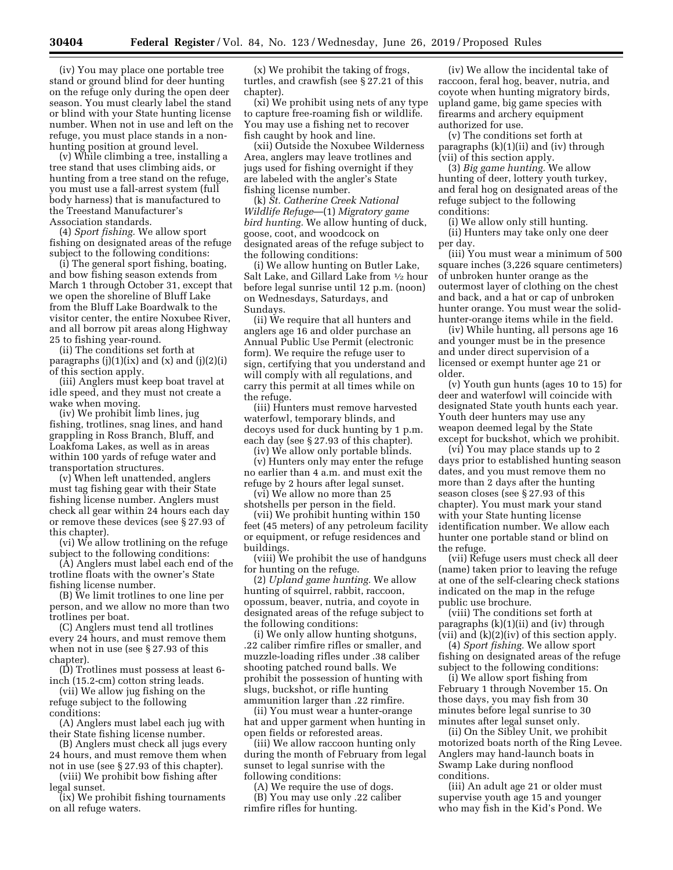(iv) You may place one portable tree stand or ground blind for deer hunting on the refuge only during the open deer season. You must clearly label the stand or blind with your State hunting license number. When not in use and left on the refuge, you must place stands in a nonhunting position at ground level.

(v) While climbing a tree, installing a tree stand that uses climbing aids, or hunting from a tree stand on the refuge, you must use a fall-arrest system (full body harness) that is manufactured to the Treestand Manufacturer's Association standards.

(4) *Sport fishing.* We allow sport fishing on designated areas of the refuge subject to the following conditions:

(i) The general sport fishing, boating, and bow fishing season extends from March 1 through October 31, except that we open the shoreline of Bluff Lake from the Bluff Lake Boardwalk to the visitor center, the entire Noxubee River, and all borrow pit areas along Highway 25 to fishing year-round.

(ii) The conditions set forth at paragraphs  $(j)(1)(ix)$  and  $(x)$  and  $(j)(2)(i)$ of this section apply.

(iii) Anglers must keep boat travel at idle speed, and they must not create a wake when moving.

(iv) We prohibit limb lines, jug fishing, trotlines, snag lines, and hand grappling in Ross Branch, Bluff, and Loakfoma Lakes, as well as in areas within 100 yards of refuge water and transportation structures.

(v) When left unattended, anglers must tag fishing gear with their State fishing license number. Anglers must check all gear within 24 hours each day or remove these devices (see § 27.93 of this chapter).

(vi) We allow trotlining on the refuge subject to the following conditions:

(A) Anglers must label each end of the trotline floats with the owner's State fishing license number.

(B) We limit trotlines to one line per person, and we allow no more than two trotlines per boat.

(C) Anglers must tend all trotlines every 24 hours, and must remove them when not in use (see § 27.93 of this chapter).

(D) Trotlines must possess at least 6 inch (15.2-cm) cotton string leads.

(vii) We allow jug fishing on the refuge subject to the following conditions:

(A) Anglers must label each jug with their State fishing license number.

(B) Anglers must check all jugs every 24 hours, and must remove them when not in use (see § 27.93 of this chapter).

(viii) We prohibit bow fishing after legal sunset.

(ix) We prohibit fishing tournaments on all refuge waters.

(x) We prohibit the taking of frogs, turtles, and crawfish (see § 27.21 of this chapter).

(xi) We prohibit using nets of any type to capture free-roaming fish or wildlife. You may use a fishing net to recover fish caught by hook and line.

(xii) Outside the Noxubee Wilderness Area, anglers may leave trotlines and jugs used for fishing overnight if they are labeled with the angler's State fishing license number.

(k) *St. Catherine Creek National Wildlife Refuge*—(1) *Migratory game bird hunting.* We allow hunting of duck, goose, coot, and woodcock on designated areas of the refuge subject to the following conditions:

(i) We allow hunting on Butler Lake, Salt Lake, and Gillard Lake from 1⁄2 hour before legal sunrise until 12 p.m. (noon) on Wednesdays, Saturdays, and Sundays.

(ii) We require that all hunters and anglers age 16 and older purchase an Annual Public Use Permit (electronic form). We require the refuge user to sign, certifying that you understand and will comply with all regulations, and carry this permit at all times while on the refuge.

(iii) Hunters must remove harvested waterfowl, temporary blinds, and decoys used for duck hunting by 1 p.m. each day (see § 27.93 of this chapter).

(iv) We allow only portable blinds.

(v) Hunters only may enter the refuge no earlier than 4 a.m. and must exit the refuge by 2 hours after legal sunset.

(vi) We allow no more than 25 shotshells per person in the field.

(vii) We prohibit hunting within 150 feet (45 meters) of any petroleum facility or equipment, or refuge residences and buildings.

(viii) We prohibit the use of handguns for hunting on the refuge.

(2) *Upland game hunting.* We allow hunting of squirrel, rabbit, raccoon, opossum, beaver, nutria, and coyote in designated areas of the refuge subject to the following conditions:

(i) We only allow hunting shotguns, .22 caliber rimfire rifles or smaller, and muzzle-loading rifles under .38 caliber shooting patched round balls. We prohibit the possession of hunting with slugs, buckshot, or rifle hunting ammunition larger than .22 rimfire.

(ii) You must wear a hunter-orange hat and upper garment when hunting in open fields or reforested areas.

(iii) We allow raccoon hunting only during the month of February from legal sunset to legal sunrise with the following conditions:

(A) We require the use of dogs. (B) You may use only .22 caliber rimfire rifles for hunting.

(iv) We allow the incidental take of raccoon, feral hog, beaver, nutria, and coyote when hunting migratory birds, upland game, big game species with firearms and archery equipment authorized for use.

(v) The conditions set forth at paragraphs (k)(1)(ii) and (iv) through (vii) of this section apply.

(3) *Big game hunting.* We allow hunting of deer, lottery youth turkey, and feral hog on designated areas of the refuge subject to the following conditions:

(i) We allow only still hunting. (ii) Hunters may take only one deer per day.

(iii) You must wear a minimum of 500 square inches (3,226 square centimeters) of unbroken hunter orange as the outermost layer of clothing on the chest and back, and a hat or cap of unbroken hunter orange. You must wear the solidhunter-orange items while in the field.

(iv) While hunting, all persons age 16 and younger must be in the presence and under direct supervision of a licensed or exempt hunter age 21 or older.

(v) Youth gun hunts (ages 10 to 15) for deer and waterfowl will coincide with designated State youth hunts each year. Youth deer hunters may use any weapon deemed legal by the State except for buckshot, which we prohibit.

(vi) You may place stands up to 2 days prior to established hunting season dates, and you must remove them no more than 2 days after the hunting season closes (see § 27.93 of this chapter). You must mark your stand with your State hunting license identification number. We allow each hunter one portable stand or blind on the refuge.

(vii) Refuge users must check all deer (name) taken prior to leaving the refuge at one of the self-clearing check stations indicated on the map in the refuge public use brochure.

(viii) The conditions set forth at paragraphs  $(k)(1)(ii)$  and  $(iv)$  through  $(vii)$  and  $(k)(2)(iv)$  of this section apply.

(4) *Sport fishing.* We allow sport fishing on designated areas of the refuge subject to the following conditions:

(i) We allow sport fishing from February 1 through November 15. On those days, you may fish from 30 minutes before legal sunrise to 30 minutes after legal sunset only.

(ii) On the Sibley Unit, we prohibit motorized boats north of the Ring Levee. Anglers may hand-launch boats in Swamp Lake during nonflood conditions.

(iii) An adult age 21 or older must supervise youth age 15 and younger who may fish in the Kid's Pond. We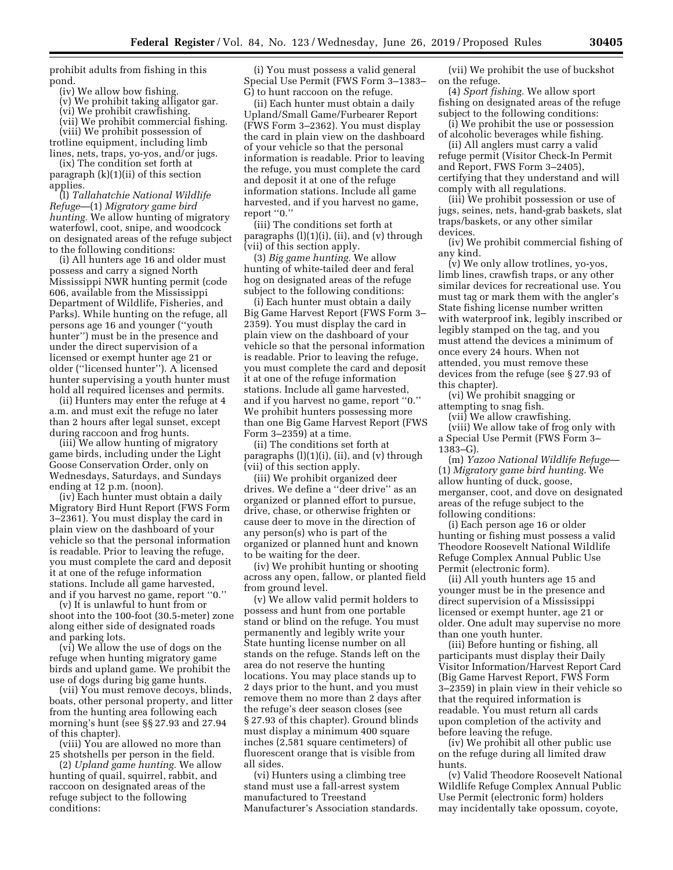prohibit adults from fishing in this pond.

(iv) We allow bow fishing.

(v) We prohibit taking alligator gar.

(vi) We prohibit crawfishing.

(vii) We prohibit commercial fishing. (viii) We prohibit possession of trotline equipment, including limb

lines, nets, traps, yo-yos, and/or jugs. (ix) The condition set forth at

paragraph (k)(1)(ii) of this section applies.

(l) *Tallahatchie National Wildlife Refuge*—(1) *Migratory game bird hunting.* We allow hunting of migratory waterfowl, coot, snipe, and woodcock on designated areas of the refuge subject to the following conditions:

(i) All hunters age 16 and older must possess and carry a signed North Mississippi NWR hunting permit (code 606, available from the Mississippi Department of Wildlife, Fisheries, and Parks). While hunting on the refuge, all persons age 16 and younger (''youth hunter'') must be in the presence and under the direct supervision of a licensed or exempt hunter age 21 or older (''licensed hunter''). A licensed hunter supervising a youth hunter must hold all required licenses and permits.

(ii) Hunters may enter the refuge at 4 a.m. and must exit the refuge no later than 2 hours after legal sunset, except during raccoon and frog hunts.

(iii) We allow hunting of migratory game birds, including under the Light Goose Conservation Order, only on Wednesdays, Saturdays, and Sundays ending at 12 p.m. (noon).

(iv) Each hunter must obtain a daily Migratory Bird Hunt Report (FWS Form 3–2361). You must display the card in plain view on the dashboard of your vehicle so that the personal information is readable. Prior to leaving the refuge, you must complete the card and deposit it at one of the refuge information stations. Include all game harvested, and if you harvest no game, report ''0.''

(v) It is unlawful to hunt from or shoot into the 100-foot (30.5-meter) zone along either side of designated roads and parking lots.

(vi) We allow the use of dogs on the refuge when hunting migratory game birds and upland game. We prohibit the use of dogs during big game hunts.

(vii) You must remove decoys, blinds, boats, other personal property, and litter from the hunting area following each morning's hunt (see §§ 27.93 and 27.94 of this chapter).

(viii) You are allowed no more than 25 shotshells per person in the field.

(2) *Upland game hunting.* We allow hunting of quail, squirrel, rabbit, and raccoon on designated areas of the refuge subject to the following conditions:

(i) You must possess a valid general Special Use Permit (FWS Form 3–1383– G) to hunt raccoon on the refuge.

(ii) Each hunter must obtain a daily Upland/Small Game/Furbearer Report (FWS Form 3–2362). You must display the card in plain view on the dashboard of your vehicle so that the personal information is readable. Prior to leaving the refuge, you must complete the card and deposit it at one of the refuge information stations. Include all game harvested, and if you harvest no game, report ''0.''

(iii) The conditions set forth at paragraphs (l)(1)(i), (ii), and (v) through (vii) of this section apply.

(3) *Big game hunting.* We allow hunting of white-tailed deer and feral hog on designated areas of the refuge subject to the following conditions:

(i) Each hunter must obtain a daily Big Game Harvest Report (FWS Form 3– 2359). You must display the card in plain view on the dashboard of your vehicle so that the personal information is readable. Prior to leaving the refuge, you must complete the card and deposit it at one of the refuge information stations. Include all game harvested, and if you harvest no game, report ''0.'' We prohibit hunters possessing more than one Big Game Harvest Report (FWS Form 3–2359) at a time.

(ii) The conditions set forth at paragraphs (l)(1)(i), (ii), and (v) through (vii) of this section apply.

(iii) We prohibit organized deer drives. We define a ''deer drive'' as an organized or planned effort to pursue, drive, chase, or otherwise frighten or cause deer to move in the direction of any person(s) who is part of the organized or planned hunt and known to be waiting for the deer.

(iv) We prohibit hunting or shooting across any open, fallow, or planted field from ground level.

(v) We allow valid permit holders to possess and hunt from one portable stand or blind on the refuge. You must permanently and legibly write your State hunting license number on all stands on the refuge. Stands left on the area do not reserve the hunting locations. You may place stands up to 2 days prior to the hunt, and you must remove them no more than 2 days after the refuge's deer season closes (see § 27.93 of this chapter). Ground blinds must display a minimum 400 square inches (2,581 square centimeters) of fluorescent orange that is visible from all sides.

(vi) Hunters using a climbing tree stand must use a fall-arrest system manufactured to Treestand Manufacturer's Association standards.

(vii) We prohibit the use of buckshot on the refuge.

(4) *Sport fishing.* We allow sport fishing on designated areas of the refuge subject to the following conditions:

(i) We prohibit the use or possession of alcoholic beverages while fishing.

(ii) All anglers must carry a valid refuge permit (Visitor Check-In Permit and Report, FWS Form 3–2405), certifying that they understand and will comply with all regulations.

(iii) We prohibit possession or use of jugs, seines, nets, hand-grab baskets, slat traps/baskets, or any other similar devices.

(iv) We prohibit commercial fishing of any kind.

(v) We only allow trotlines, yo-yos, limb lines, crawfish traps, or any other similar devices for recreational use. You must tag or mark them with the angler's State fishing license number written with waterproof ink, legibly inscribed or legibly stamped on the tag, and you must attend the devices a minimum of once every 24 hours. When not attended, you must remove these devices from the refuge (see § 27.93 of this chapter).

(vi) We prohibit snagging or attempting to snag fish.

(vii) We allow crawfishing. (viii) We allow take of frog only with a Special Use Permit (FWS Form 3– 1383–G).

(m) *Yazoo National Wildlife Refuge*— (1) *Migratory game bird hunting.* We allow hunting of duck, goose, merganser, coot, and dove on designated areas of the refuge subject to the following conditions:

(i) Each person age 16 or older hunting or fishing must possess a valid Theodore Roosevelt National Wildlife Refuge Complex Annual Public Use Permit (electronic form).

(ii) All youth hunters age 15 and younger must be in the presence and direct supervision of a Mississippi licensed or exempt hunter, age 21 or older. One adult may supervise no more than one youth hunter.

(iii) Before hunting or fishing, all participants must display their Daily Visitor Information/Harvest Report Card (Big Game Harvest Report, FWS Form 3–2359) in plain view in their vehicle so that the required information is readable. You must return all cards upon completion of the activity and before leaving the refuge.

(iv) We prohibit all other public use on the refuge during all limited draw hunts.

(v) Valid Theodore Roosevelt National Wildlife Refuge Complex Annual Public Use Permit (electronic form) holders may incidentally take opossum, coyote,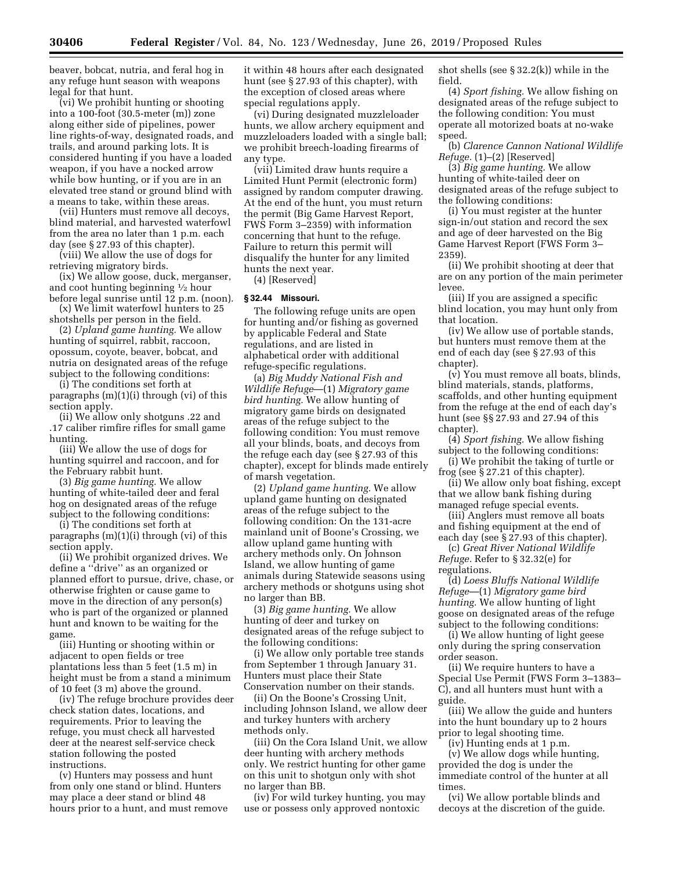beaver, bobcat, nutria, and feral hog in any refuge hunt season with weapons legal for that hunt.

(vi) We prohibit hunting or shooting into a 100-foot (30.5-meter (m)) zone along either side of pipelines, power line rights-of-way, designated roads, and trails, and around parking lots. It is considered hunting if you have a loaded weapon, if you have a nocked arrow while bow hunting, or if you are in an elevated tree stand or ground blind with a means to take, within these areas.

(vii) Hunters must remove all decoys, blind material, and harvested waterfowl from the area no later than 1 p.m. each day (see § 27.93 of this chapter).

(viii) We allow the use of dogs for retrieving migratory birds.

(ix) We allow goose, duck, merganser, and coot hunting beginning 1⁄2 hour before legal sunrise until 12 p.m. (noon).

(x) We limit waterfowl hunters to 25 shotshells per person in the field.

(2) *Upland game hunting.* We allow hunting of squirrel, rabbit, raccoon, opossum, coyote, beaver, bobcat, and nutria on designated areas of the refuge subject to the following conditions:

(i) The conditions set forth at paragraphs (m)(1)(i) through (vi) of this section apply.

(ii) We allow only shotguns .22 and .17 caliber rimfire rifles for small game hunting.

(iii) We allow the use of dogs for hunting squirrel and raccoon, and for the February rabbit hunt.

(3) *Big game hunting.* We allow hunting of white-tailed deer and feral hog on designated areas of the refuge subject to the following conditions:

(i) The conditions set forth at paragraphs (m)(1)(i) through (vi) of this section apply.

(ii) We prohibit organized drives. We define a ''drive'' as an organized or planned effort to pursue, drive, chase, or otherwise frighten or cause game to move in the direction of any person(s) who is part of the organized or planned hunt and known to be waiting for the game.

(iii) Hunting or shooting within or adjacent to open fields or tree plantations less than 5 feet (1.5 m) in height must be from a stand a minimum of 10 feet (3 m) above the ground.

(iv) The refuge brochure provides deer check station dates, locations, and requirements. Prior to leaving the refuge, you must check all harvested deer at the nearest self-service check station following the posted instructions.

(v) Hunters may possess and hunt from only one stand or blind. Hunters may place a deer stand or blind 48 hours prior to a hunt, and must remove it within 48 hours after each designated hunt (see § 27.93 of this chapter), with the exception of closed areas where special regulations apply.

(vi) During designated muzzleloader hunts, we allow archery equipment and muzzleloaders loaded with a single ball; we prohibit breech-loading firearms of any type.

(vii) Limited draw hunts require a Limited Hunt Permit (electronic form) assigned by random computer drawing. At the end of the hunt, you must return the permit (Big Game Harvest Report, FWS Form 3–2359) with information concerning that hunt to the refuge. Failure to return this permit will disqualify the hunter for any limited hunts the next year.

(4) [Reserved]

### **§ 32.44 Missouri.**

The following refuge units are open for hunting and/or fishing as governed by applicable Federal and State regulations, and are listed in alphabetical order with additional refuge-specific regulations.

(a) *Big Muddy National Fish and Wildlife Refuge*—(1) *Migratory game bird hunting.* We allow hunting of migratory game birds on designated areas of the refuge subject to the following condition: You must remove all your blinds, boats, and decoys from the refuge each day (see § 27.93 of this chapter), except for blinds made entirely of marsh vegetation.

(2) *Upland game hunting.* We allow upland game hunting on designated areas of the refuge subject to the following condition: On the 131-acre mainland unit of Boone's Crossing, we allow upland game hunting with archery methods only. On Johnson Island, we allow hunting of game animals during Statewide seasons using archery methods or shotguns using shot no larger than BB.

(3) *Big game hunting.* We allow hunting of deer and turkey on designated areas of the refuge subject to the following conditions:

(i) We allow only portable tree stands from September 1 through January 31. Hunters must place their State Conservation number on their stands.

(ii) On the Boone's Crossing Unit, including Johnson Island, we allow deer and turkey hunters with archery methods only.

(iii) On the Cora Island Unit, we allow deer hunting with archery methods only. We restrict hunting for other game on this unit to shotgun only with shot no larger than BB.

(iv) For wild turkey hunting, you may use or possess only approved nontoxic

shot shells (see § 32.2(k)) while in the field.

(4) *Sport fishing.* We allow fishing on designated areas of the refuge subject to the following condition: You must operate all motorized boats at no-wake speed.

(b) *Clarence Cannon National Wildlife Refuge.* (1)–(2) [Reserved]

(3) *Big game hunting.* We allow hunting of white-tailed deer on designated areas of the refuge subject to the following conditions:

(i) You must register at the hunter sign-in/out station and record the sex and age of deer harvested on the Big Game Harvest Report (FWS Form 3– 2359).

(ii) We prohibit shooting at deer that are on any portion of the main perimeter levee.

(iii) If you are assigned a specific blind location, you may hunt only from that location.

(iv) We allow use of portable stands, but hunters must remove them at the end of each day (see § 27.93 of this chapter).

(v) You must remove all boats, blinds, blind materials, stands, platforms, scaffolds, and other hunting equipment from the refuge at the end of each day's hunt (see §§ 27.93 and 27.94 of this chapter).

(4) *Sport fishing.* We allow fishing subject to the following conditions:

(i) We prohibit the taking of turtle or frog (see § 27.21 of this chapter).

(ii) We allow only boat fishing, except that we allow bank fishing during managed refuge special events.

(iii) Anglers must remove all boats and fishing equipment at the end of each day (see § 27.93 of this chapter).

(c) *Great River National Wildlife Refuge.* Refer to § 32.32(e) for regulations.

(d) *Loess Bluffs National Wildlife Refuge*—(1) *Migratory game bird hunting.* We allow hunting of light goose on designated areas of the refuge subject to the following conditions:

(i) We allow hunting of light geese only during the spring conservation order season.

(ii) We require hunters to have a Special Use Permit (FWS Form 3–1383– C), and all hunters must hunt with a guide.

(iii) We allow the guide and hunters into the hunt boundary up to 2 hours prior to legal shooting time.

(iv) Hunting ends at 1 p.m.

(v) We allow dogs while hunting, provided the dog is under the immediate control of the hunter at all times.

(vi) We allow portable blinds and decoys at the discretion of the guide.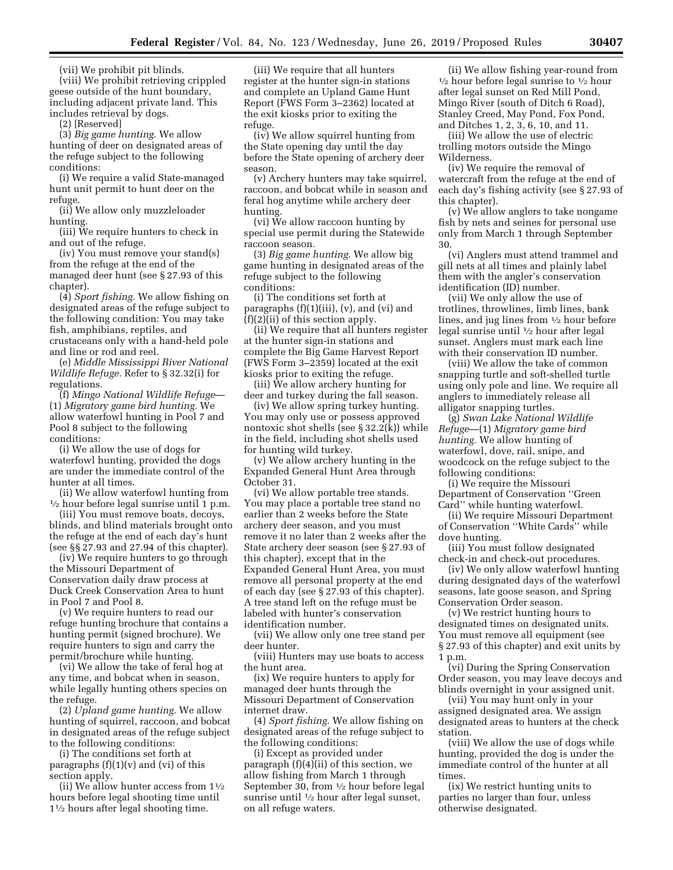(vii) We prohibit pit blinds.

(viii) We prohibit retrieving crippled geese outside of the hunt boundary, including adjacent private land. This includes retrieval by dogs.

(2) [Reserved]

(3) *Big game hunting.* We allow hunting of deer on designated areas of the refuge subject to the following conditions:

(i) We require a valid State-managed hunt unit permit to hunt deer on the refuge.

(ii) We allow only muzzleloader hunting.

(iii) We require hunters to check in and out of the refuge.

(iv) You must remove your stand(s) from the refuge at the end of the managed deer hunt (see § 27.93 of this chapter).

(4) *Sport fishing.* We allow fishing on designated areas of the refuge subject to the following condition: You may take fish, amphibians, reptiles, and crustaceans only with a hand-held pole and line or rod and reel.

(e) *Middle Mississippi River National Wildlife Refuge.* Refer to § 32.32(i) for regulations.

(f) *Mingo National Wildlife Refuge*— (1) *Migratory game bird hunting.* We allow waterfowl hunting in Pool 7 and Pool 8 subject to the following conditions:

(i) We allow the use of dogs for waterfowl hunting, provided the dogs are under the immediate control of the hunter at all times.

(ii) We allow waterfowl hunting from 1⁄2 hour before legal sunrise until 1 p.m.

(iii) You must remove boats, decoys, blinds, and blind materials brought onto the refuge at the end of each day's hunt (see §§ 27.93 and 27.94 of this chapter).

(iv) We require hunters to go through the Missouri Department of Conservation daily draw process at Duck Creek Conservation Area to hunt in Pool 7 and Pool 8.

(v) We require hunters to read our refuge hunting brochure that contains a hunting permit (signed brochure). We require hunters to sign and carry the permit/brochure while hunting.

(vi) We allow the take of feral hog at any time, and bobcat when in season, while legally hunting others species on the refuge.

(2) *Upland game hunting.* We allow hunting of squirrel, raccoon, and bobcat in designated areas of the refuge subject to the following conditions:

(i) The conditions set forth at paragraphs  $(f)(1)(v)$  and  $(vi)$  of this section apply.

(ii) We allow hunter access from  $1\frac{1}{2}$ hours before legal shooting time until 11⁄2 hours after legal shooting time.

(iii) We require that all hunters register at the hunter sign-in stations and complete an Upland Game Hunt Report (FWS Form 3–2362) located at the exit kiosks prior to exiting the refuge.

(iv) We allow squirrel hunting from the State opening day until the day before the State opening of archery deer season.

(v) Archery hunters may take squirrel, raccoon, and bobcat while in season and feral hog anytime while archery deer hunting.

(vi) We allow raccoon hunting by special use permit during the Statewide raccoon season.

(3) *Big game hunting.* We allow big game hunting in designated areas of the refuge subject to the following conditions:

(i) The conditions set forth at paragraphs  $(f)(1)(iii)$ ,  $(v)$ , and  $(vi)$  and (f)(2)(ii) of this section apply.

(ii) We require that all hunters register at the hunter sign-in stations and complete the Big Game Harvest Report (FWS Form 3–2359) located at the exit kiosks prior to exiting the refuge.

(iii) We allow archery hunting for deer and turkey during the fall season.

(iv) We allow spring turkey hunting. You may only use or possess approved nontoxic shot shells (see § 32.2(k)) while in the field, including shot shells used for hunting wild turkey.

(v) We allow archery hunting in the Expanded General Hunt Area through October 31.

(vi) We allow portable tree stands. You may place a portable tree stand no earlier than 2 weeks before the State archery deer season, and you must remove it no later than 2 weeks after the State archery deer season (see § 27.93 of this chapter), except that in the Expanded General Hunt Area, you must remove all personal property at the end of each day (see § 27.93 of this chapter). A tree stand left on the refuge must be labeled with hunter's conservation identification number.

(vii) We allow only one tree stand per deer hunter.

(viii) Hunters may use boats to access the hunt area.

(ix) We require hunters to apply for managed deer hunts through the Missouri Department of Conservation internet draw.

(4) *Sport fishing.* We allow fishing on designated areas of the refuge subject to the following conditions:

(i) Except as provided under paragraph (f)(4)(ii) of this section, we allow fishing from March 1 through September 30, from 1⁄2 hour before legal sunrise until 1⁄2 hour after legal sunset, on all refuge waters.

(ii) We allow fishing year-round from  $\frac{1}{2}$  hour before legal sunrise to  $\frac{1}{2}$  hour after legal sunset on Red Mill Pond, Mingo River (south of Ditch 6 Road), Stanley Creed, May Pond, Fox Pond, and Ditches 1, 2, 3, 6, 10, and 11.

(iii) We allow the use of electric trolling motors outside the Mingo Wilderness.

(iv) We require the removal of watercraft from the refuge at the end of each day's fishing activity (see § 27.93 of this chapter).

(v) We allow anglers to take nongame fish by nets and seines for personal use only from March 1 through September 30.

(vi) Anglers must attend trammel and gill nets at all times and plainly label them with the angler's conservation identification (ID) number.

(vii) We only allow the use of trotlines, throwlines, limb lines, bank lines, and jug lines from 1⁄2 hour before legal sunrise until 1⁄2 hour after legal sunset. Anglers must mark each line with their conservation ID number.

(viii) We allow the take of common snapping turtle and soft-shelled turtle using only pole and line. We require all anglers to immediately release all alligator snapping turtles.

(g) *Swan Lake National Wildlife Refuge*—(1) *Migratory game bird hunting.* We allow hunting of waterfowl, dove, rail, snipe, and woodcock on the refuge subject to the following conditions:

(i) We require the Missouri Department of Conservation ''Green Card'' while hunting waterfowl.

(ii) We require Missouri Department of Conservation ''White Cards'' while dove hunting.

(iii) You must follow designated check-in and check-out procedures.

(iv) We only allow waterfowl hunting during designated days of the waterfowl seasons, late goose season, and Spring Conservation Order season.

(v) We restrict hunting hours to designated times on designated units. You must remove all equipment (see § 27.93 of this chapter) and exit units by 1 p.m.

(vi) During the Spring Conservation Order season, you may leave decoys and blinds overnight in your assigned unit.

(vii) You may hunt only in your assigned designated area. We assign designated areas to hunters at the check station.

(viii) We allow the use of dogs while hunting, provided the dog is under the immediate control of the hunter at all times.

(ix) We restrict hunting units to parties no larger than four, unless otherwise designated.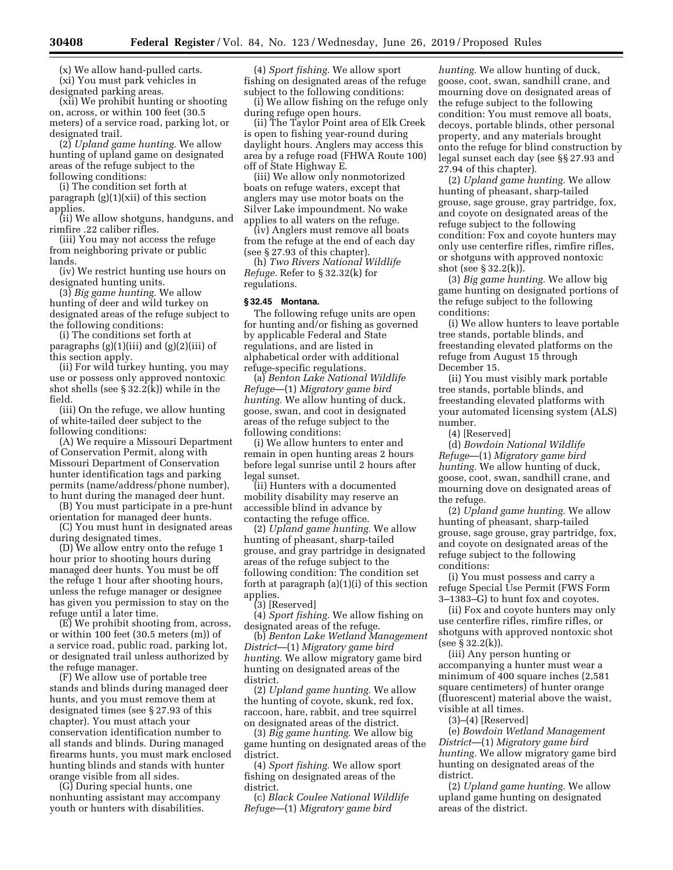(x) We allow hand-pulled carts. (xi) You must park vehicles in designated parking areas.

(xii) We prohibit hunting or shooting on, across, or within 100 feet (30.5 meters) of a service road, parking lot, or designated trail.

(2) *Upland game hunting.* We allow hunting of upland game on designated areas of the refuge subject to the following conditions:

(i) The condition set forth at paragraph (g)(1)(xii) of this section applies.

(ii) We allow shotguns, handguns, and rimfire .22 caliber rifles.

(iii) You may not access the refuge from neighboring private or public lands.

(iv) We restrict hunting use hours on designated hunting units.

(3) *Big game hunting.* We allow hunting of deer and wild turkey on designated areas of the refuge subject to the following conditions:

(i) The conditions set forth at paragraphs (g)(1)(iii) and (g)(2)(iii) of this section apply.

(ii) For wild turkey hunting, you may use or possess only approved nontoxic shot shells (see § 32.2(k)) while in the field.

(iii) On the refuge, we allow hunting of white-tailed deer subject to the following conditions:

(A) We require a Missouri Department of Conservation Permit, along with Missouri Department of Conservation hunter identification tags and parking permits (name/address/phone number), to hunt during the managed deer hunt.

(B) You must participate in a pre-hunt orientation for managed deer hunts.

(C) You must hunt in designated areas during designated times.

(D) We allow entry onto the refuge 1 hour prior to shooting hours during managed deer hunts. You must be off the refuge 1 hour after shooting hours, unless the refuge manager or designee has given you permission to stay on the refuge until a later time.

(E) We prohibit shooting from, across, or within 100 feet (30.5 meters (m)) of a service road, public road, parking lot, or designated trail unless authorized by the refuge manager.

(F) We allow use of portable tree stands and blinds during managed deer hunts, and you must remove them at designated times (see § 27.93 of this chapter). You must attach your conservation identification number to all stands and blinds. During managed firearms hunts, you must mark enclosed hunting blinds and stands with hunter orange visible from all sides.

(G) During special hunts, one nonhunting assistant may accompany youth or hunters with disabilities.

(4) *Sport fishing.* We allow sport fishing on designated areas of the refuge subject to the following conditions:

(i) We allow fishing on the refuge only during refuge open hours.

(ii) The Taylor Point area of Elk Creek is open to fishing year-round during daylight hours. Anglers may access this area by a refuge road (FHWA Route 100) off of State Highway E.

(iii) We allow only nonmotorized boats on refuge waters, except that anglers may use motor boats on the Silver Lake impoundment. No wake applies to all waters on the refuge.

(iv) Anglers must remove all boats from the refuge at the end of each day (see § 27.93 of this chapter).

(h) *Two Rivers National Wildlife Refuge.* Refer to § 32.32(k) for regulations.

## **§ 32.45 Montana.**

The following refuge units are open for hunting and/or fishing as governed by applicable Federal and State regulations, and are listed in alphabetical order with additional refuge-specific regulations.

(a) *Benton Lake National Wildlife Refuge*—(1) *Migratory game bird hunting.* We allow hunting of duck, goose, swan, and coot in designated areas of the refuge subject to the following conditions:

(i) We allow hunters to enter and remain in open hunting areas 2 hours before legal sunrise until 2 hours after legal sunset.

(ii) Hunters with a documented mobility disability may reserve an accessible blind in advance by contacting the refuge office.

(2) *Upland game hunting.* We allow hunting of pheasant, sharp-tailed grouse, and gray partridge in designated areas of the refuge subject to the following condition: The condition set forth at paragraph (a)(1)(i) of this section applies.

(3) [Reserved]

(4) *Sport fishing.* We allow fishing on designated areas of the refuge.

(b) *Benton Lake Wetland Management District*—(1) *Migratory game bird hunting.* We allow migratory game bird hunting on designated areas of the district.

(2) *Upland game hunting.* We allow the hunting of coyote, skunk, red fox, raccoon, hare, rabbit, and tree squirrel on designated areas of the district.

(3) *Big game hunting.* We allow big game hunting on designated areas of the district.

(4) *Sport fishing.* We allow sport fishing on designated areas of the district.

(c) *Black Coulee National Wildlife Refuge*—(1) *Migratory game bird* 

*hunting.* We allow hunting of duck, goose, coot, swan, sandhill crane, and mourning dove on designated areas of the refuge subject to the following condition: You must remove all boats, decoys, portable blinds, other personal property, and any materials brought onto the refuge for blind construction by legal sunset each day (see §§ 27.93 and 27.94 of this chapter).

(2) *Upland game hunting.* We allow hunting of pheasant, sharp-tailed grouse, sage grouse, gray partridge, fox, and coyote on designated areas of the refuge subject to the following condition: Fox and coyote hunters may only use centerfire rifles, rimfire rifles, or shotguns with approved nontoxic shot (see § 32.2(k)).

(3) *Big game hunting.* We allow big game hunting on designated portions of the refuge subject to the following conditions:

(i) We allow hunters to leave portable tree stands, portable blinds, and freestanding elevated platforms on the refuge from August 15 through December 15.

(ii) You must visibly mark portable tree stands, portable blinds, and freestanding elevated platforms with your automated licensing system (ALS) number.

(4) [Reserved]

(d) *Bowdoin National Wildlife Refuge*—(1) *Migratory game bird hunting.* We allow hunting of duck, goose, coot, swan, sandhill crane, and mourning dove on designated areas of the refuge.

(2) *Upland game hunting.* We allow hunting of pheasant, sharp-tailed grouse, sage grouse, gray partridge, fox, and coyote on designated areas of the refuge subject to the following conditions:

(i) You must possess and carry a refuge Special Use Permit (FWS Form 3–1383–G) to hunt fox and coyotes.

(ii) Fox and coyote hunters may only use centerfire rifles, rimfire rifles, or shotguns with approved nontoxic shot (see § 32.2(k)).

(iii) Any person hunting or accompanying a hunter must wear a minimum of 400 square inches (2,581 square centimeters) of hunter orange (fluorescent) material above the waist, visible at all times.

(3)–(4) [Reserved]

(e) *Bowdoin Wetland Management District*—(1) *Migratory game bird hunting.* We allow migratory game bird hunting on designated areas of the district.

(2) *Upland game hunting.* We allow upland game hunting on designated areas of the district.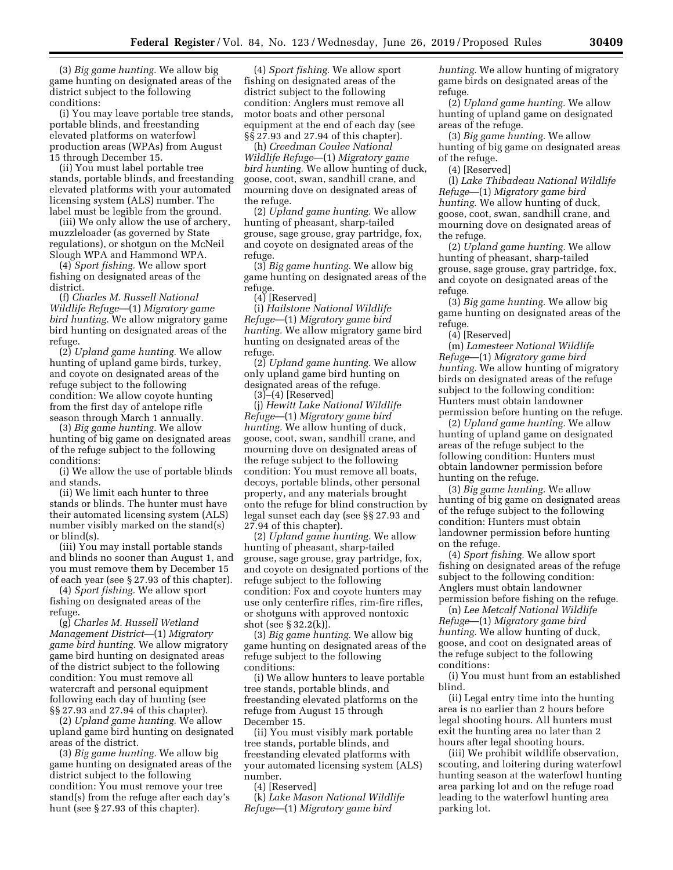(3) *Big game hunting.* We allow big game hunting on designated areas of the district subject to the following conditions:

(i) You may leave portable tree stands, portable blinds, and freestanding elevated platforms on waterfowl production areas (WPAs) from August 15 through December 15.

(ii) You must label portable tree stands, portable blinds, and freestanding elevated platforms with your automated licensing system (ALS) number. The label must be legible from the ground.

(iii) We only allow the use of archery, muzzleloader (as governed by State regulations), or shotgun on the McNeil Slough WPA and Hammond WPA.

(4) *Sport fishing.* We allow sport fishing on designated areas of the district.

(f) *Charles M. Russell National Wildlife Refuge*—(1) *Migratory game bird hunting.* We allow migratory game bird hunting on designated areas of the refuge.

(2) *Upland game hunting.* We allow hunting of upland game birds, turkey, and coyote on designated areas of the refuge subject to the following condition: We allow coyote hunting from the first day of antelope rifle season through March 1 annually.

(3) *Big game hunting.* We allow hunting of big game on designated areas of the refuge subject to the following conditions:

(i) We allow the use of portable blinds and stands.

(ii) We limit each hunter to three stands or blinds. The hunter must have their automated licensing system (ALS) number visibly marked on the stand(s) or blind(s).

(iii) You may install portable stands and blinds no sooner than August 1, and you must remove them by December 15 of each year (see § 27.93 of this chapter).

(4) *Sport fishing.* We allow sport fishing on designated areas of the refuge.

(g) *Charles M. Russell Wetland Management District*—(1) *Migratory game bird hunting.* We allow migratory game bird hunting on designated areas of the district subject to the following condition: You must remove all watercraft and personal equipment following each day of hunting (see §§ 27.93 and 27.94 of this chapter).

(2) *Upland game hunting.* We allow upland game bird hunting on designated areas of the district.

(3) *Big game hunting.* We allow big game hunting on designated areas of the district subject to the following condition: You must remove your tree stand(s) from the refuge after each day's hunt (see § 27.93 of this chapter).

(4) *Sport fishing.* We allow sport fishing on designated areas of the district subject to the following condition: Anglers must remove all motor boats and other personal equipment at the end of each day (see §§ 27.93 and 27.94 of this chapter).

(h) *Creedman Coulee National Wildlife Refuge*—(1) *Migratory game bird hunting.* We allow hunting of duck, goose, coot, swan, sandhill crane, and mourning dove on designated areas of the refuge.

(2) *Upland game hunting.* We allow hunting of pheasant, sharp-tailed grouse, sage grouse, gray partridge, fox, and coyote on designated areas of the refuge.

(3) *Big game hunting.* We allow big game hunting on designated areas of the refuge.

 $(4)$  [Reserved]

(i) *Hailstone National Wildlife Refuge*—(1) *Migratory game bird hunting.* We allow migratory game bird hunting on designated areas of the refuge.

(2) *Upland game hunting.* We allow only upland game bird hunting on designated areas of the refuge.

(3)–(4) [Reserved]

(j) *Hewitt Lake National Wildlife Refuge*—(1) *Migratory game bird hunting.* We allow hunting of duck, goose, coot, swan, sandhill crane, and mourning dove on designated areas of the refuge subject to the following condition: You must remove all boats, decoys, portable blinds, other personal property, and any materials brought onto the refuge for blind construction by legal sunset each day (see §§ 27.93 and 27.94 of this chapter).

(2) *Upland game hunting.* We allow hunting of pheasant, sharp-tailed grouse, sage grouse, gray partridge, fox, and coyote on designated portions of the refuge subject to the following condition: Fox and coyote hunters may use only centerfire rifles, rim-fire rifles, or shotguns with approved nontoxic shot (see § 32.2(k)).

(3) *Big game hunting.* We allow big game hunting on designated areas of the refuge subject to the following conditions:

(i) We allow hunters to leave portable tree stands, portable blinds, and freestanding elevated platforms on the refuge from August 15 through December 15.

(ii) You must visibly mark portable tree stands, portable blinds, and freestanding elevated platforms with your automated licensing system (ALS) number.

(4) [Reserved]

(k) *Lake Mason National Wildlife Refuge*—(1) *Migratory game bird* 

*hunting.* We allow hunting of migratory game birds on designated areas of the refuge.

(2) *Upland game hunting.* We allow hunting of upland game on designated areas of the refuge.

(3) *Big game hunting.* We allow hunting of big game on designated areas of the refuge.

(4) [Reserved]

(l) *Lake Thibadeau National Wildlife Refuge*—(1) *Migratory game bird hunting.* We allow hunting of duck, goose, coot, swan, sandhill crane, and mourning dove on designated areas of the refuge.

(2) *Upland game hunting.* We allow hunting of pheasant, sharp-tailed grouse, sage grouse, gray partridge, fox, and coyote on designated areas of the refuge.

(3) *Big game hunting.* We allow big game hunting on designated areas of the refuge.

(4) [Reserved]

(m) *Lamesteer National Wildlife Refuge*—(1) *Migratory game bird hunting.* We allow hunting of migratory birds on designated areas of the refuge subject to the following condition: Hunters must obtain landowner permission before hunting on the refuge.

(2) *Upland game hunting.* We allow hunting of upland game on designated areas of the refuge subject to the following condition: Hunters must obtain landowner permission before hunting on the refuge.

(3) *Big game hunting.* We allow hunting of big game on designated areas of the refuge subject to the following condition: Hunters must obtain landowner permission before hunting on the refuge.

(4) *Sport fishing.* We allow sport fishing on designated areas of the refuge subject to the following condition: Anglers must obtain landowner permission before fishing on the refuge.

(n) *Lee Metcalf National Wildlife Refuge*—(1) *Migratory game bird hunting.* We allow hunting of duck, goose, and coot on designated areas of the refuge subject to the following conditions:

(i) You must hunt from an established blind.

(ii) Legal entry time into the hunting area is no earlier than 2 hours before legal shooting hours. All hunters must exit the hunting area no later than 2 hours after legal shooting hours.

(iii) We prohibit wildlife observation, scouting, and loitering during waterfowl hunting season at the waterfowl hunting area parking lot and on the refuge road leading to the waterfowl hunting area parking lot.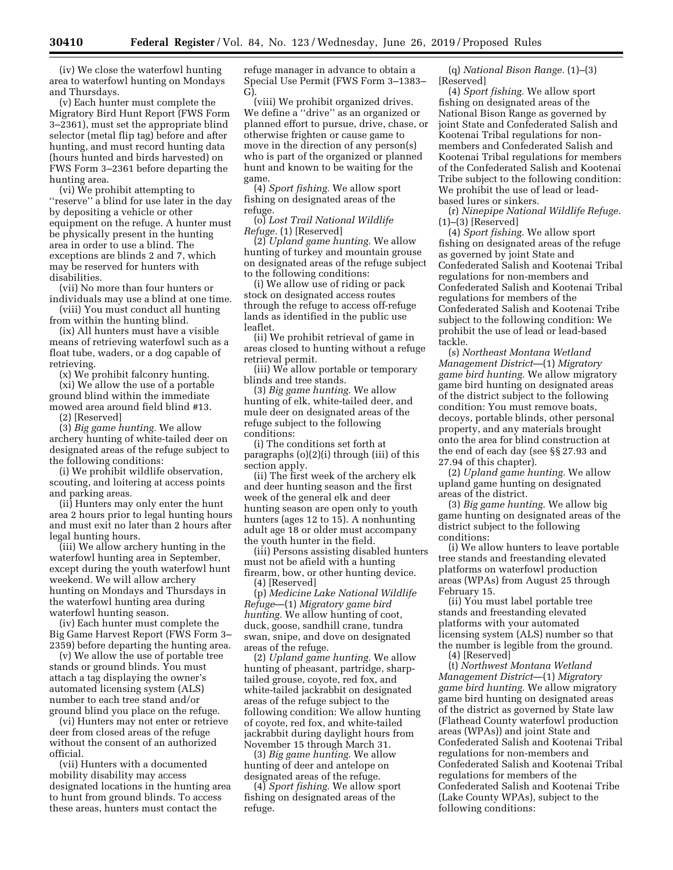(iv) We close the waterfowl hunting area to waterfowl hunting on Mondays and Thursdays.

(v) Each hunter must complete the Migratory Bird Hunt Report (FWS Form 3–2361), must set the appropriate blind selector (metal flip tag) before and after hunting, and must record hunting data (hours hunted and birds harvested) on FWS Form 3–2361 before departing the hunting area.

(vi) We prohibit attempting to ''reserve'' a blind for use later in the day by depositing a vehicle or other equipment on the refuge. A hunter must be physically present in the hunting area in order to use a blind. The exceptions are blinds 2 and 7, which may be reserved for hunters with disabilities.

(vii) No more than four hunters or individuals may use a blind at one time.

(viii) You must conduct all hunting from within the hunting blind.

(ix) All hunters must have a visible means of retrieving waterfowl such as a float tube, waders, or a dog capable of retrieving.

(x) We prohibit falconry hunting.

(xi) We allow the use of a portable ground blind within the immediate mowed area around field blind #13.

(2) [Reserved]

(3) *Big game hunting.* We allow archery hunting of white-tailed deer on designated areas of the refuge subject to the following conditions:

(i) We prohibit wildlife observation, scouting, and loitering at access points and parking areas.

(ii) Hunters may only enter the hunt area 2 hours prior to legal hunting hours and must exit no later than 2 hours after legal hunting hours.

(iii) We allow archery hunting in the waterfowl hunting area in September, except during the youth waterfowl hunt weekend. We will allow archery hunting on Mondays and Thursdays in the waterfowl hunting area during waterfowl hunting season.

(iv) Each hunter must complete the Big Game Harvest Report (FWS Form 3– 2359) before departing the hunting area.

(v) We allow the use of portable tree stands or ground blinds. You must attach a tag displaying the owner's automated licensing system (ALS) number to each tree stand and/or ground blind you place on the refuge.

(vi) Hunters may not enter or retrieve deer from closed areas of the refuge without the consent of an authorized official.

(vii) Hunters with a documented mobility disability may access designated locations in the hunting area to hunt from ground blinds. To access these areas, hunters must contact the

refuge manager in advance to obtain a Special Use Permit (FWS Form 3–1383– G).

(viii) We prohibit organized drives. We define a ''drive'' as an organized or planned effort to pursue, drive, chase, or otherwise frighten or cause game to move in the direction of any person(s) who is part of the organized or planned hunt and known to be waiting for the game.

(4) *Sport fishing.* We allow sport fishing on designated areas of the refuge.

(o) *Lost Trail National Wildlife Refuge.* (1) [Reserved]

(2) *Upland game hunting.* We allow hunting of turkey and mountain grouse on designated areas of the refuge subject to the following conditions:

(i) We allow use of riding or pack stock on designated access routes through the refuge to access off-refuge lands as identified in the public use leaflet.

(ii) We prohibit retrieval of game in areas closed to hunting without a refuge retrieval permit.

(iii) We allow portable or temporary blinds and tree stands.

(3) *Big game hunting.* We allow hunting of elk, white-tailed deer, and mule deer on designated areas of the refuge subject to the following conditions:

(i) The conditions set forth at paragraphs (o)(2)(i) through (iii) of this section apply.

(ii) The first week of the archery elk and deer hunting season and the first week of the general elk and deer hunting season are open only to youth hunters (ages 12 to 15). A nonhunting adult age 18 or older must accompany the youth hunter in the field.

(iii) Persons assisting disabled hunters must not be afield with a hunting firearm, bow, or other hunting device. (4) [Reserved]

(p) *Medicine Lake National Wildlife Refuge*—(1) *Migratory game bird hunting.* We allow hunting of coot, duck, goose, sandhill crane, tundra swan, snipe, and dove on designated areas of the refuge.

(2) *Upland game hunting.* We allow hunting of pheasant, partridge, sharptailed grouse, coyote, red fox, and white-tailed jackrabbit on designated areas of the refuge subject to the following condition: We allow hunting of coyote, red fox, and white-tailed jackrabbit during daylight hours from November 15 through March 31.

(3) *Big game hunting.* We allow hunting of deer and antelope on designated areas of the refuge.

(4) *Sport fishing.* We allow sport fishing on designated areas of the refuge.

(q) *National Bison Range.* (1)–(3) [Reserved]

(4) *Sport fishing.* We allow sport fishing on designated areas of the National Bison Range as governed by joint State and Confederated Salish and Kootenai Tribal regulations for nonmembers and Confederated Salish and Kootenai Tribal regulations for members of the Confederated Salish and Kootenai Tribe subject to the following condition: We prohibit the use of lead or leadbased lures or sinkers.

(r) *Ninepipe National Wildlife Refuge.*  (1)–(3) [Reserved]

(4) *Sport fishing.* We allow sport fishing on designated areas of the refuge as governed by joint State and Confederated Salish and Kootenai Tribal regulations for non-members and Confederated Salish and Kootenai Tribal regulations for members of the Confederated Salish and Kootenai Tribe subject to the following condition: We prohibit the use of lead or lead-based tackle.

(s) *Northeast Montana Wetland Management District*—(1) *Migratory game bird hunting.* We allow migratory game bird hunting on designated areas of the district subject to the following condition: You must remove boats, decoys, portable blinds, other personal property, and any materials brought onto the area for blind construction at the end of each day (see §§ 27.93 and 27.94 of this chapter).

(2) *Upland game hunting.* We allow upland game hunting on designated areas of the district.

(3) *Big game hunting.* We allow big game hunting on designated areas of the district subject to the following conditions:

(i) We allow hunters to leave portable tree stands and freestanding elevated platforms on waterfowl production areas (WPAs) from August 25 through February 15.

(ii) You must label portable tree stands and freestanding elevated platforms with your automated licensing system (ALS) number so that the number is legible from the ground.

(4) [Reserved]

(t) *Northwest Montana Wetland Management District*—(1) *Migratory game bird hunting.* We allow migratory game bird hunting on designated areas of the district as governed by State law (Flathead County waterfowl production areas (WPAs)) and joint State and Confederated Salish and Kootenai Tribal regulations for non-members and Confederated Salish and Kootenai Tribal regulations for members of the Confederated Salish and Kootenai Tribe (Lake County WPAs), subject to the following conditions: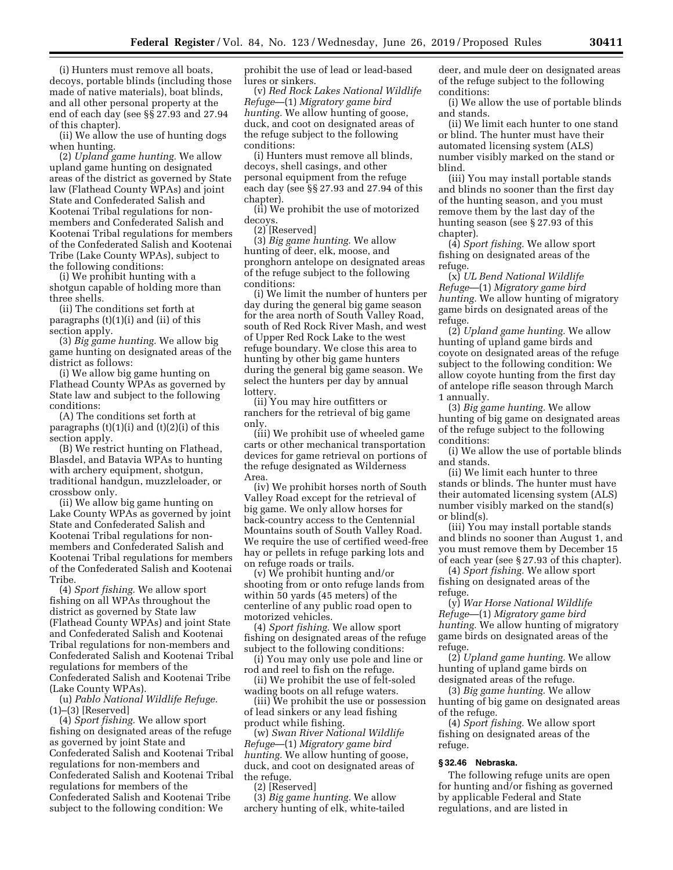(i) Hunters must remove all boats, decoys, portable blinds (including those made of native materials), boat blinds, and all other personal property at the end of each day (see §§ 27.93 and 27.94 of this chapter).

(ii) We allow the use of hunting dogs when hunting.

(2) *Upland game hunting.* We allow upland game hunting on designated areas of the district as governed by State law (Flathead County WPAs) and joint State and Confederated Salish and Kootenai Tribal regulations for nonmembers and Confederated Salish and Kootenai Tribal regulations for members of the Confederated Salish and Kootenai Tribe (Lake County WPAs), subject to the following conditions:

(i) We prohibit hunting with a shotgun capable of holding more than three shells.

(ii) The conditions set forth at paragraphs (t)(1)(i) and (ii) of this section apply.

(3) *Big game hunting.* We allow big game hunting on designated areas of the district as follows:

(i) We allow big game hunting on Flathead County WPAs as governed by State law and subject to the following conditions:

(A) The conditions set forth at paragraphs  $(t)(1)(i)$  and  $(t)(2)(i)$  of this section apply.

(B) We restrict hunting on Flathead, Blasdel, and Batavia WPAs to hunting with archery equipment, shotgun, traditional handgun, muzzleloader, or crossbow only.

(ii) We allow big game hunting on Lake County WPAs as governed by joint State and Confederated Salish and Kootenai Tribal regulations for nonmembers and Confederated Salish and Kootenai Tribal regulations for members of the Confederated Salish and Kootenai Tribe.

(4) *Sport fishing.* We allow sport fishing on all WPAs throughout the district as governed by State law (Flathead County WPAs) and joint State and Confederated Salish and Kootenai Tribal regulations for non-members and Confederated Salish and Kootenai Tribal regulations for members of the Confederated Salish and Kootenai Tribe (Lake County WPAs).

(u) *Pablo National Wildlife Refuge.*  (1)–(3) [Reserved]

(4) *Sport fishing.* We allow sport fishing on designated areas of the refuge as governed by joint State and Confederated Salish and Kootenai Tribal regulations for non-members and Confederated Salish and Kootenai Tribal regulations for members of the Confederated Salish and Kootenai Tribe subject to the following condition: We

prohibit the use of lead or lead-based lures or sinkers.

(v) *Red Rock Lakes National Wildlife Refuge*—(1) *Migratory game bird hunting.* We allow hunting of goose, duck, and coot on designated areas of the refuge subject to the following conditions:

(i) Hunters must remove all blinds, decoys, shell casings, and other personal equipment from the refuge each day (see §§ 27.93 and 27.94 of this chapter).

(ii) We prohibit the use of motorized decoys.

(2) [Reserved]

(3) *Big game hunting.* We allow hunting of deer, elk, moose, and pronghorn antelope on designated areas of the refuge subject to the following conditions:

(i) We limit the number of hunters per day during the general big game season for the area north of South Valley Road, south of Red Rock River Mash, and west of Upper Red Rock Lake to the west refuge boundary. We close this area to hunting by other big game hunters during the general big game season. We select the hunters per day by annual lottery.

(ii) You may hire outfitters or ranchers for the retrieval of big game only.

(iii) We prohibit use of wheeled game carts or other mechanical transportation devices for game retrieval on portions of the refuge designated as Wilderness Area.

(iv) We prohibit horses north of South Valley Road except for the retrieval of big game. We only allow horses for back-country access to the Centennial Mountains south of South Valley Road. We require the use of certified weed-free hay or pellets in refuge parking lots and on refuge roads or trails.

(v) We prohibit hunting and/or shooting from or onto refuge lands from within 50 yards (45 meters) of the centerline of any public road open to motorized vehicles.

(4) *Sport fishing.* We allow sport fishing on designated areas of the refuge subject to the following conditions:

(i) You may only use pole and line or rod and reel to fish on the refuge.

(ii) We prohibit the use of felt-soled wading boots on all refuge waters.

(iii) We prohibit the use or possession of lead sinkers or any lead fishing product while fishing.

(w) *Swan River National Wildlife Refuge*—(1) *Migratory game bird hunting.* We allow hunting of goose, duck, and coot on designated areas of the refuge.

(2) [Reserved]

(3) *Big game hunting.* We allow archery hunting of elk, white-tailed deer, and mule deer on designated areas of the refuge subject to the following conditions:

(i) We allow the use of portable blinds and stands.

(ii) We limit each hunter to one stand or blind. The hunter must have their automated licensing system (ALS) number visibly marked on the stand or blind.

(iii) You may install portable stands and blinds no sooner than the first day of the hunting season, and you must remove them by the last day of the hunting season (see § 27.93 of this chapter).

(4) *Sport fishing.* We allow sport fishing on designated areas of the refuge.

(x) *UL Bend National Wildlife Refuge*—(1) *Migratory game bird hunting.* We allow hunting of migratory game birds on designated areas of the refuge.

(2) *Upland game hunting.* We allow hunting of upland game birds and coyote on designated areas of the refuge subject to the following condition: We allow coyote hunting from the first day of antelope rifle season through March 1 annually.

(3) *Big game hunting.* We allow hunting of big game on designated areas of the refuge subject to the following conditions:

(i) We allow the use of portable blinds and stands.

(ii) We limit each hunter to three stands or blinds. The hunter must have their automated licensing system (ALS) number visibly marked on the stand(s) or blind(s).

(iii) You may install portable stands and blinds no sooner than August 1, and you must remove them by December 15 of each year (see § 27.93 of this chapter).

(4) *Sport fishing.* We allow sport fishing on designated areas of the refuge.

(y) *War Horse National Wildlife Refuge*—(1) *Migratory game bird hunting.* We allow hunting of migratory game birds on designated areas of the refuge.

(2) *Upland game hunting.* We allow hunting of upland game birds on designated areas of the refuge.

(3) *Big game hunting.* We allow hunting of big game on designated areas of the refuge.

(4) *Sport fishing.* We allow sport fishing on designated areas of the refuge.

## **§ 32.46 Nebraska.**

The following refuge units are open for hunting and/or fishing as governed by applicable Federal and State regulations, and are listed in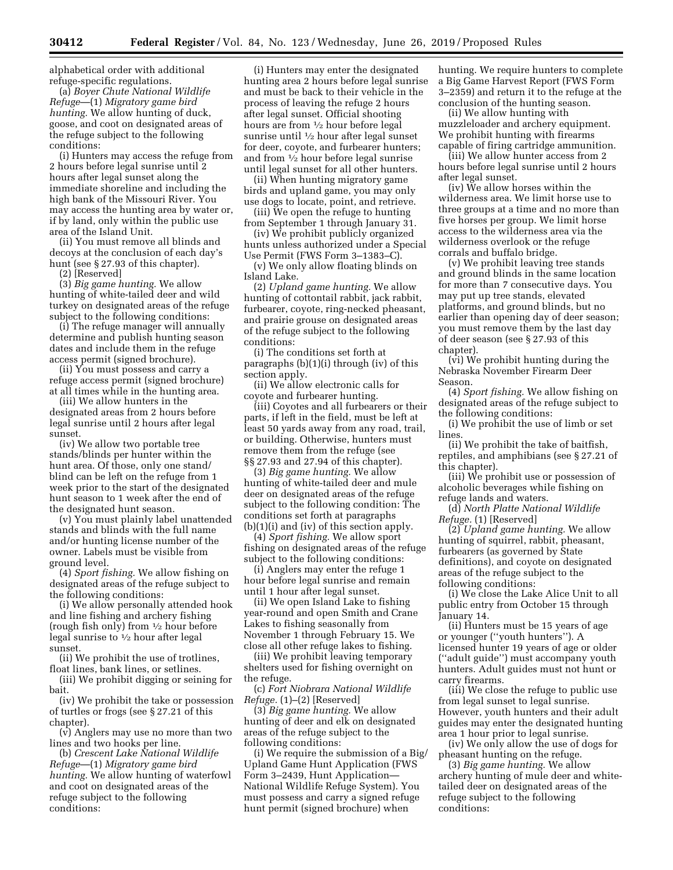alphabetical order with additional refuge-specific regulations.

(a) *Boyer Chute National Wildlife Refuge*—(1) *Migratory game bird hunting.* We allow hunting of duck, goose, and coot on designated areas of the refuge subject to the following conditions:

(i) Hunters may access the refuge from 2 hours before legal sunrise until 2 hours after legal sunset along the immediate shoreline and including the high bank of the Missouri River. You may access the hunting area by water or, if by land, only within the public use area of the Island Unit.

(ii) You must remove all blinds and decoys at the conclusion of each day's hunt (see § 27.93 of this chapter).

(2) [Reserved]

(3) *Big game hunting.* We allow hunting of white-tailed deer and wild turkey on designated areas of the refuge subject to the following conditions:

(i) The refuge manager will annually determine and publish hunting season dates and include them in the refuge access permit (signed brochure).

(ii) You must possess and carry a refuge access permit (signed brochure) at all times while in the hunting area.

(iii) We allow hunters in the designated areas from 2 hours before legal sunrise until 2 hours after legal sunset.

(iv) We allow two portable tree stands/blinds per hunter within the hunt area. Of those, only one stand/ blind can be left on the refuge from 1 week prior to the start of the designated hunt season to 1 week after the end of the designated hunt season.

(v) You must plainly label unattended stands and blinds with the full name and/or hunting license number of the owner. Labels must be visible from ground level.

(4) *Sport fishing.* We allow fishing on designated areas of the refuge subject to the following conditions:

(i) We allow personally attended hook and line fishing and archery fishing (rough fish only) from 1⁄2 hour before legal sunrise to 1⁄2 hour after legal sunset.

(ii) We prohibit the use of trotlines, float lines, bank lines, or setlines.

(iii) We prohibit digging or seining for bait.

(iv) We prohibit the take or possession of turtles or frogs (see § 27.21 of this chapter).

(v) Anglers may use no more than two lines and two hooks per line.

(b) *Crescent Lake National Wildlife Refuge*—(1) *Migratory game bird hunting.* We allow hunting of waterfowl and coot on designated areas of the refuge subject to the following conditions:

(i) Hunters may enter the designated hunting area 2 hours before legal sunrise and must be back to their vehicle in the process of leaving the refuge 2 hours after legal sunset. Official shooting hours are from 1⁄2 hour before legal sunrise until 1⁄2 hour after legal sunset for deer, coyote, and furbearer hunters; and from 1⁄2 hour before legal sunrise until legal sunset for all other hunters.

(ii) When hunting migratory game birds and upland game, you may only use dogs to locate, point, and retrieve.

(iii) We open the refuge to hunting from September 1 through January 31.

(iv) We prohibit publicly organized hunts unless authorized under a Special Use Permit (FWS Form 3–1383–C).

(v) We only allow floating blinds on Island Lake.

(2) *Upland game hunting.* We allow hunting of cottontail rabbit, jack rabbit, furbearer, coyote, ring-necked pheasant, and prairie grouse on designated areas of the refuge subject to the following conditions:

(i) The conditions set forth at paragraphs (b)(1)(i) through (iv) of this section apply.

(ii) We allow electronic calls for coyote and furbearer hunting.

(iii) Coyotes and all furbearers or their parts, if left in the field, must be left at least 50 yards away from any road, trail, or building. Otherwise, hunters must remove them from the refuge (see §§ 27.93 and 27.94 of this chapter).

(3) *Big game hunting.* We allow hunting of white-tailed deer and mule deer on designated areas of the refuge subject to the following condition: The conditions set forth at paragraphs (b)(1)(i) and (iv) of this section apply.

(4) *Sport fishing.* We allow sport fishing on designated areas of the refuge subject to the following conditions:

(i) Anglers may enter the refuge 1 hour before legal sunrise and remain until 1 hour after legal sunset.

(ii) We open Island Lake to fishing year-round and open Smith and Crane Lakes to fishing seasonally from November 1 through February 15. We close all other refuge lakes to fishing.

(iii) We prohibit leaving temporary shelters used for fishing overnight on the refuge.

(c) *Fort Niobrara National Wildlife Refuge.* (1)–(2) [Reserved]

(3) *Big game hunting.* We allow hunting of deer and elk on designated areas of the refuge subject to the following conditions:

(i) We require the submission of a Big/ Upland Game Hunt Application (FWS Form 3–2439, Hunt Application— National Wildlife Refuge System). You must possess and carry a signed refuge hunt permit (signed brochure) when

hunting. We require hunters to complete a Big Game Harvest Report (FWS Form 3–2359) and return it to the refuge at the conclusion of the hunting season.

(ii) We allow hunting with muzzleloader and archery equipment. We prohibit hunting with firearms capable of firing cartridge ammunition.

(iii) We allow hunter access from 2 hours before legal sunrise until 2 hours after legal sunset.

(iv) We allow horses within the wilderness area. We limit horse use to three groups at a time and no more than five horses per group. We limit horse access to the wilderness area via the wilderness overlook or the refuge corrals and buffalo bridge.

(v) We prohibit leaving tree stands and ground blinds in the same location for more than 7 consecutive days. You may put up tree stands, elevated platforms, and ground blinds, but no earlier than opening day of deer season; you must remove them by the last day of deer season (see § 27.93 of this chapter).

(vi) We prohibit hunting during the Nebraska November Firearm Deer Season.

(4) *Sport fishing.* We allow fishing on designated areas of the refuge subject to the following conditions:

(i) We prohibit the use of limb or set lines.

(ii) We prohibit the take of baitfish, reptiles, and amphibians (see § 27.21 of this chapter).

(iii) We prohibit use or possession of alcoholic beverages while fishing on refuge lands and waters.

(d) *North Platte National Wildlife Refuge.* (1) [Reserved]

(2) *Upland game hunting.* We allow hunting of squirrel, rabbit, pheasant, furbearers (as governed by State definitions), and coyote on designated areas of the refuge subject to the following conditions:

(i) We close the Lake Alice Unit to all public entry from October 15 through January 14.

(ii) Hunters must be 15 years of age or younger (''youth hunters''). A licensed hunter 19 years of age or older (''adult guide'') must accompany youth hunters. Adult guides must not hunt or carry firearms.

(iii) We close the refuge to public use from legal sunset to legal sunrise. However, youth hunters and their adult guides may enter the designated hunting area 1 hour prior to legal sunrise.

(iv) We only allow the use of dogs for pheasant hunting on the refuge.

(3) *Big game hunting.* We allow archery hunting of mule deer and whitetailed deer on designated areas of the refuge subject to the following conditions: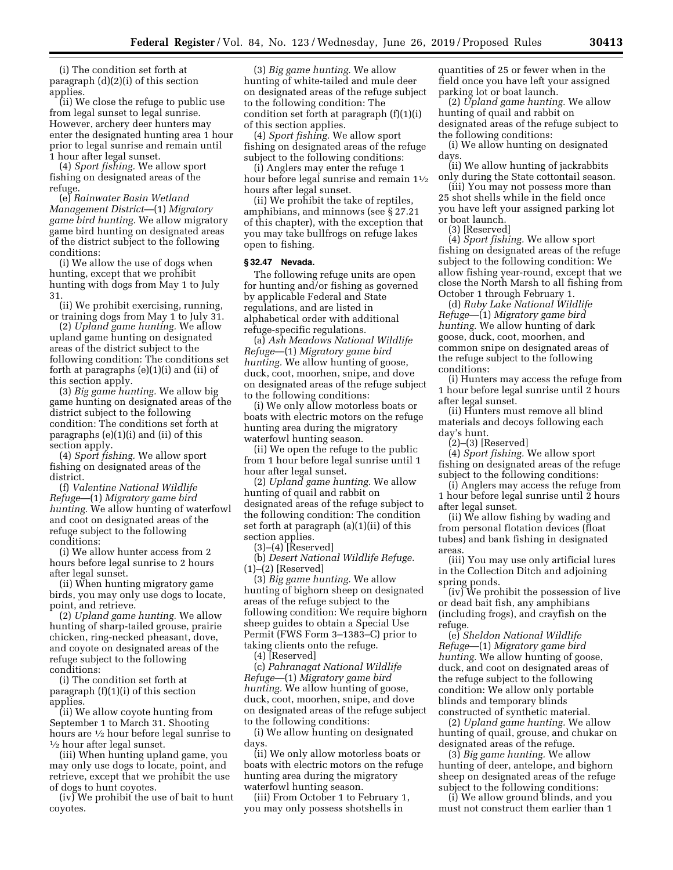(i) The condition set forth at paragraph (d)(2)(i) of this section applies.

(ii) We close the refuge to public use from legal sunset to legal sunrise. However, archery deer hunters may enter the designated hunting area 1 hour prior to legal sunrise and remain until 1 hour after legal sunset.

(4) *Sport fishing.* We allow sport fishing on designated areas of the refuge.

(e) *Rainwater Basin Wetland Management District*—(1) *Migratory game bird hunting.* We allow migratory game bird hunting on designated areas of the district subject to the following conditions:

(i) We allow the use of dogs when hunting, except that we prohibit hunting with dogs from May 1 to July 31.

(ii) We prohibit exercising, running, or training dogs from May 1 to July 31.

(2) *Upland game hunting.* We allow upland game hunting on designated areas of the district subject to the following condition: The conditions set forth at paragraphs (e)(1)(i) and (ii) of this section apply.

(3) *Big game hunting.* We allow big game hunting on designated areas of the district subject to the following condition: The conditions set forth at paragraphs (e)(1)(i) and (ii) of this section apply.

(4) *Sport fishing.* We allow sport fishing on designated areas of the district.

(f) *Valentine National Wildlife Refuge*—(1) *Migratory game bird hunting.* We allow hunting of waterfowl and coot on designated areas of the refuge subject to the following conditions:

(i) We allow hunter access from 2 hours before legal sunrise to 2 hours after legal sunset.

(ii) When hunting migratory game birds, you may only use dogs to locate, point, and retrieve.

(2) *Upland game hunting.* We allow hunting of sharp-tailed grouse, prairie chicken, ring-necked pheasant, dove, and coyote on designated areas of the refuge subject to the following conditions:

(i) The condition set forth at paragraph (f)(1)(i) of this section applies.

(ii) We allow coyote hunting from September 1 to March 31. Shooting hours are  $\frac{1}{2}$  hour before legal sunrise to  $\frac{1}{2}$  hour after legal sunset.

(iii) When hunting upland game, you may only use dogs to locate, point, and retrieve, except that we prohibit the use of dogs to hunt coyotes.

(iv) We prohibit the use of bait to hunt coyotes.

(3) *Big game hunting.* We allow hunting of white-tailed and mule deer on designated areas of the refuge subject to the following condition: The condition set forth at paragraph (f)(1)(i) of this section applies.

(4) *Sport fishing.* We allow sport fishing on designated areas of the refuge subject to the following conditions:

(i) Anglers may enter the refuge 1 hour before legal sunrise and remain  $1\frac{1}{2}$ hours after legal sunset.

(ii) We prohibit the take of reptiles, amphibians, and minnows (see § 27.21 of this chapter), with the exception that you may take bullfrogs on refuge lakes open to fishing.

#### **§ 32.47 Nevada.**

The following refuge units are open for hunting and/or fishing as governed by applicable Federal and State regulations, and are listed in alphabetical order with additional refuge-specific regulations.

(a) *Ash Meadows National Wildlife Refuge*—(1) *Migratory game bird hunting.* We allow hunting of goose, duck, coot, moorhen, snipe, and dove on designated areas of the refuge subject to the following conditions:

(i) We only allow motorless boats or boats with electric motors on the refuge hunting area during the migratory waterfowl hunting season.

(ii) We open the refuge to the public from 1 hour before legal sunrise until 1 hour after legal sunset.

(2) *Upland game hunting.* We allow hunting of quail and rabbit on designated areas of the refuge subject to the following condition: The condition set forth at paragraph (a)(1)(ii) of this section applies.

(3)–(4) [Reserved]

(b) *Desert National Wildlife Refuge.*  (1)–(2) [Reserved]

(3) *Big game hunting.* We allow hunting of bighorn sheep on designated areas of the refuge subject to the following condition: We require bighorn sheep guides to obtain a Special Use Permit (FWS Form 3–1383–C) prior to taking clients onto the refuge.

(4) [Reserved]

(c) *Pahranagat National Wildlife Refuge*—(1) *Migratory game bird hunting.* We allow hunting of goose, duck, coot, moorhen, snipe, and dove on designated areas of the refuge subject to the following conditions:

(i) We allow hunting on designated days.

(ii) We only allow motorless boats or boats with electric motors on the refuge hunting area during the migratory waterfowl hunting season.

(iii) From October 1 to February 1, you may only possess shotshells in

quantities of 25 or fewer when in the field once you have left your assigned parking lot or boat launch.

(2) *Upland game hunting.* We allow hunting of quail and rabbit on designated areas of the refuge subject to the following conditions:

(i) We allow hunting on designated days.

(ii) We allow hunting of jackrabbits only during the State cottontail season.

(iii) You may not possess more than 25 shot shells while in the field once you have left your assigned parking lot or boat launch.

(3) [Reserved]

(4) *Sport fishing.* We allow sport fishing on designated areas of the refuge subject to the following condition: We allow fishing year-round, except that we close the North Marsh to all fishing from October 1 through February 1.

(d) *Ruby Lake National Wildlife Refuge*—(1) *Migratory game bird hunting.* We allow hunting of dark goose, duck, coot, moorhen, and common snipe on designated areas of the refuge subject to the following conditions:

(i) Hunters may access the refuge from 1 hour before legal sunrise until 2 hours after legal sunset.

(ii) Hunters must remove all blind materials and decoys following each day's hunt.

(2)–(3) [Reserved]

(4) *Sport fishing.* We allow sport fishing on designated areas of the refuge subject to the following conditions:

(i) Anglers may access the refuge from 1 hour before legal sunrise until 2 hours after legal sunset.

(ii) We allow fishing by wading and from personal flotation devices (float tubes) and bank fishing in designated areas

(iii) You may use only artificial lures in the Collection Ditch and adjoining spring ponds.

(iv) We prohibit the possession of live or dead bait fish, any amphibians (including frogs), and crayfish on the refuge.

(e) *Sheldon National Wildlife Refuge*—(1) *Migratory game bird hunting.* We allow hunting of goose, duck, and coot on designated areas of the refuge subject to the following condition: We allow only portable blinds and temporary blinds constructed of synthetic material.

(2) *Upland game hunting.* We allow hunting of quail, grouse, and chukar on designated areas of the refuge.

(3) *Big game hunting.* We allow hunting of deer, antelope, and bighorn sheep on designated areas of the refuge subject to the following conditions:

(i) We allow ground blinds, and you must not construct them earlier than 1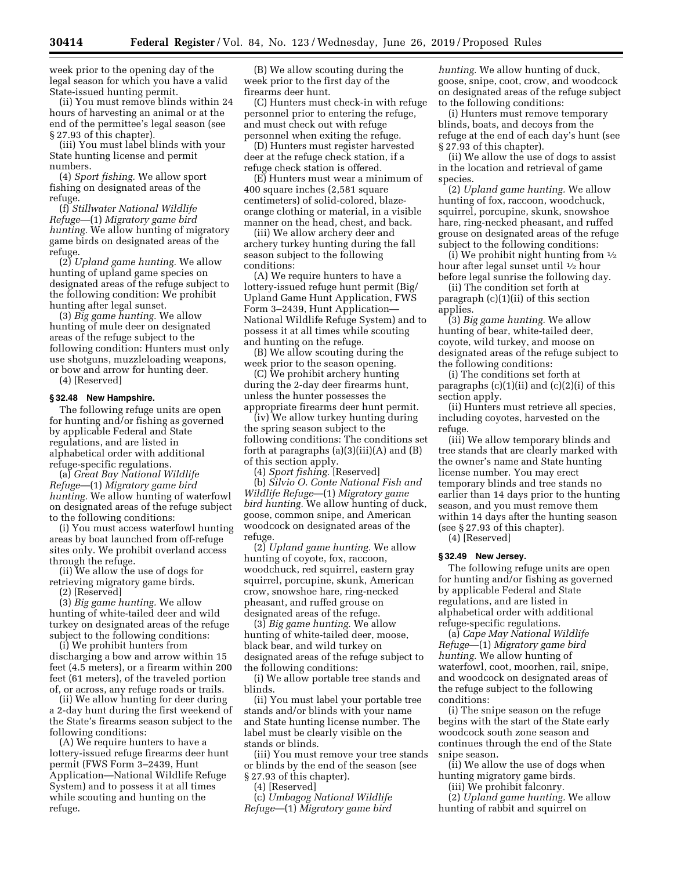week prior to the opening day of the legal season for which you have a valid State-issued hunting permit.

(ii) You must remove blinds within 24 hours of harvesting an animal or at the end of the permittee's legal season (see § 27.93 of this chapter).

(iii) You must label blinds with your State hunting license and permit numbers.

(4) *Sport fishing.* We allow sport fishing on designated areas of the refuge.

(f) *Stillwater National Wildlife Refuge*—(1) *Migratory game bird hunting.* We allow hunting of migratory game birds on designated areas of the refuge.

(2) *Upland game hunting.* We allow hunting of upland game species on designated areas of the refuge subject to the following condition: We prohibit hunting after legal sunset.

(3) *Big game hunting.* We allow hunting of mule deer on designated areas of the refuge subject to the following condition: Hunters must only use shotguns, muzzleloading weapons, or bow and arrow for hunting deer. (4) [Reserved]

# **§ 32.48 New Hampshire.**

The following refuge units are open for hunting and/or fishing as governed by applicable Federal and State regulations, and are listed in alphabetical order with additional refuge-specific regulations.

(a) *Great Bay National Wildlife Refuge*—(1) *Migratory game bird hunting.* We allow hunting of waterfowl on designated areas of the refuge subject to the following conditions:

(i) You must access waterfowl hunting areas by boat launched from off-refuge sites only. We prohibit overland access through the refuge.

(ii) We allow the use of dogs for retrieving migratory game birds. (2) [Reserved]

(3) *Big game hunting.* We allow hunting of white-tailed deer and wild turkey on designated areas of the refuge subject to the following conditions:

(i) We prohibit hunters from discharging a bow and arrow within 15 feet (4.5 meters), or a firearm within 200 feet (61 meters), of the traveled portion of, or across, any refuge roads or trails.

(ii) We allow hunting for deer during a 2-day hunt during the first weekend of the State's firearms season subject to the following conditions:

(A) We require hunters to have a lottery-issued refuge firearms deer hunt permit (FWS Form 3–2439, Hunt Application—National Wildlife Refuge System) and to possess it at all times while scouting and hunting on the refuge.

(B) We allow scouting during the week prior to the first day of the firearms deer hunt.

(C) Hunters must check-in with refuge personnel prior to entering the refuge, and must check out with refuge personnel when exiting the refuge.

(D) Hunters must register harvested deer at the refuge check station, if a refuge check station is offered.

(E) Hunters must wear a minimum of 400 square inches (2,581 square centimeters) of solid-colored, blazeorange clothing or material, in a visible manner on the head, chest, and back.

(iii) We allow archery deer and archery turkey hunting during the fall season subject to the following conditions:

(A) We require hunters to have a lottery-issued refuge hunt permit (Big/ Upland Game Hunt Application, FWS Form 3–2439, Hunt Application— National Wildlife Refuge System) and to possess it at all times while scouting and hunting on the refuge.

(B) We allow scouting during the week prior to the season opening.

(C) We prohibit archery hunting during the 2-day deer firearms hunt, unless the hunter possesses the appropriate firearms deer hunt permit.

(iv) We allow turkey hunting during the spring season subject to the following conditions: The conditions set forth at paragraphs  $(a)(3)(iii)(A)$  and  $(B)$ of this section apply.

(4) *Sport fishing.* [Reserved]

(b) *Silvio O. Conte National Fish and Wildlife Refuge*—(1) *Migratory game bird hunting.* We allow hunting of duck, goose, common snipe, and American woodcock on designated areas of the refuge.

(2) *Upland game hunting.* We allow hunting of coyote, fox, raccoon, woodchuck, red squirrel, eastern gray squirrel, porcupine, skunk, American crow, snowshoe hare, ring-necked pheasant, and ruffed grouse on designated areas of the refuge.

(3) *Big game hunting.* We allow hunting of white-tailed deer, moose, black bear, and wild turkey on designated areas of the refuge subject to the following conditions:

(i) We allow portable tree stands and blinds.

(ii) You must label your portable tree stands and/or blinds with your name and State hunting license number. The label must be clearly visible on the stands or blinds.

(iii) You must remove your tree stands or blinds by the end of the season (see § 27.93 of this chapter).

(4) [Reserved]

(c) *Umbagog National Wildlife Refuge*—(1) *Migratory game bird* 

*hunting.* We allow hunting of duck, goose, snipe, coot, crow, and woodcock on designated areas of the refuge subject to the following conditions:

(i) Hunters must remove temporary blinds, boats, and decoys from the refuge at the end of each day's hunt (see § 27.93 of this chapter).

(ii) We allow the use of dogs to assist in the location and retrieval of game species.

(2) *Upland game hunting.* We allow hunting of fox, raccoon, woodchuck, squirrel, porcupine, skunk, snowshoe hare, ring-necked pheasant, and ruffed grouse on designated areas of the refuge subject to the following conditions:

(i) We prohibit night hunting from  $\frac{1}{2}$ hour after legal sunset until 1⁄2 hour before legal sunrise the following day.

(ii) The condition set forth at paragraph (c)(1)(ii) of this section applies.

(3) *Big game hunting.* We allow hunting of bear, white-tailed deer, coyote, wild turkey, and moose on designated areas of the refuge subject to the following conditions:

(i) The conditions set forth at paragraphs  $(c)(1)(ii)$  and  $(c)(2)(i)$  of this section apply.

(ii) Hunters must retrieve all species, including coyotes, harvested on the refuge.

(iii) We allow temporary blinds and tree stands that are clearly marked with the owner's name and State hunting license number. You may erect temporary blinds and tree stands no earlier than 14 days prior to the hunting season, and you must remove them within 14 days after the hunting season (see § 27.93 of this chapter).

(4) [Reserved]

#### **§ 32.49 New Jersey.**

The following refuge units are open for hunting and/or fishing as governed by applicable Federal and State regulations, and are listed in alphabetical order with additional refuge-specific regulations.

(a) *Cape May National Wildlife Refuge*—(1) *Migratory game bird hunting.* We allow hunting of waterfowl, coot, moorhen, rail, snipe, and woodcock on designated areas of the refuge subject to the following conditions:

(i) The snipe season on the refuge begins with the start of the State early woodcock south zone season and continues through the end of the State snipe season.

(ii) We allow the use of dogs when hunting migratory game birds.

(iii) We prohibit falconry.

(2) *Upland game hunting.* We allow hunting of rabbit and squirrel on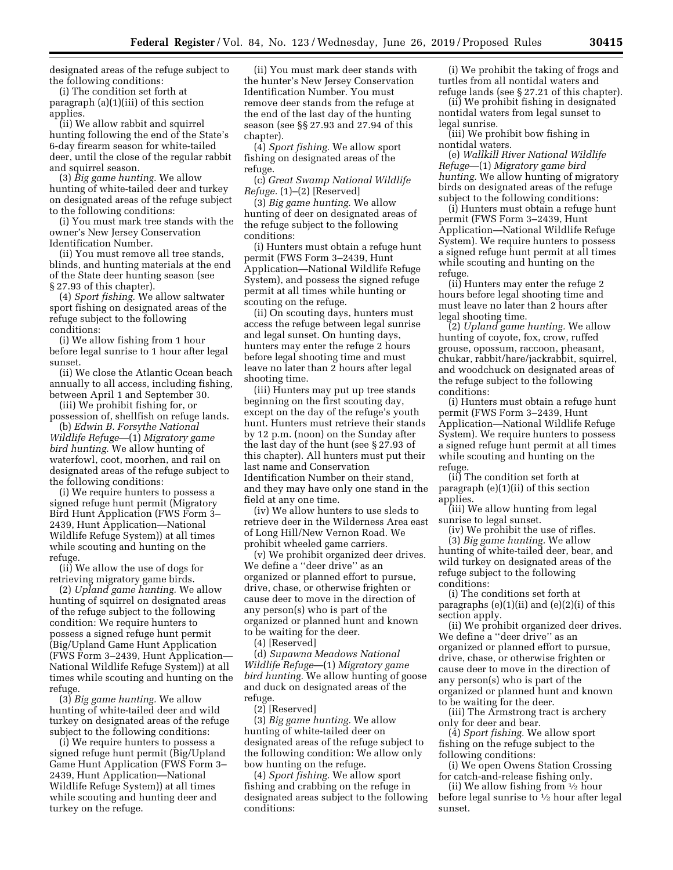designated areas of the refuge subject to the following conditions:

(i) The condition set forth at paragraph (a)(1)(iii) of this section applies.

(ii) We allow rabbit and squirrel hunting following the end of the State's 6-day firearm season for white-tailed deer, until the close of the regular rabbit and squirrel season.

(3) *Big game hunting.* We allow hunting of white-tailed deer and turkey on designated areas of the refuge subject to the following conditions:

(i) You must mark tree stands with the owner's New Jersey Conservation Identification Number.

(ii) You must remove all tree stands, blinds, and hunting materials at the end of the State deer hunting season (see § 27.93 of this chapter).

(4) *Sport fishing.* We allow saltwater sport fishing on designated areas of the refuge subject to the following conditions:

(i) We allow fishing from 1 hour before legal sunrise to 1 hour after legal sunset.

(ii) We close the Atlantic Ocean beach annually to all access, including fishing, between April 1 and September 30.

(iii) We prohibit fishing for, or possession of, shellfish on refuge lands.

(b) *Edwin B. Forsythe National Wildlife Refuge*—(1) *Migratory game bird hunting.* We allow hunting of waterfowl, coot, moorhen, and rail on designated areas of the refuge subject to the following conditions:

(i) We require hunters to possess a signed refuge hunt permit (Migratory Bird Hunt Application (FWS Form 3– 2439, Hunt Application—National Wildlife Refuge System)) at all times while scouting and hunting on the refuge.

(ii) We allow the use of dogs for retrieving migratory game birds.

(2) *Upland game hunting.* We allow hunting of squirrel on designated areas of the refuge subject to the following condition: We require hunters to possess a signed refuge hunt permit (Big/Upland Game Hunt Application (FWS Form 3–2439, Hunt Application— National Wildlife Refuge System)) at all times while scouting and hunting on the refuge.

(3) *Big game hunting.* We allow hunting of white-tailed deer and wild turkey on designated areas of the refuge subject to the following conditions:

(i) We require hunters to possess a signed refuge hunt permit (Big/Upland Game Hunt Application (FWS Form 3– 2439, Hunt Application—National Wildlife Refuge System)) at all times while scouting and hunting deer and turkey on the refuge.

(ii) You must mark deer stands with the hunter's New Jersey Conservation Identification Number. You must remove deer stands from the refuge at the end of the last day of the hunting season (see §§ 27.93 and 27.94 of this chapter).

(4) *Sport fishing.* We allow sport fishing on designated areas of the refuge.

(c) *Great Swamp National Wildlife Refuge.* (1)–(2) [Reserved]

(3) *Big game hunting.* We allow hunting of deer on designated areas of the refuge subject to the following conditions:

(i) Hunters must obtain a refuge hunt permit (FWS Form 3–2439, Hunt Application—National Wildlife Refuge System), and possess the signed refuge permit at all times while hunting or scouting on the refuge.

(ii) On scouting days, hunters must access the refuge between legal sunrise and legal sunset. On hunting days, hunters may enter the refuge 2 hours before legal shooting time and must leave no later than 2 hours after legal shooting time.

(iii) Hunters may put up tree stands beginning on the first scouting day, except on the day of the refuge's youth hunt. Hunters must retrieve their stands by 12 p.m. (noon) on the Sunday after the last day of the hunt (see § 27.93 of this chapter). All hunters must put their last name and Conservation Identification Number on their stand, and they may have only one stand in the field at any one time.

(iv) We allow hunters to use sleds to retrieve deer in the Wilderness Area east of Long Hill/New Vernon Road. We prohibit wheeled game carriers.

(v) We prohibit organized deer drives. We define a ''deer drive'' as an organized or planned effort to pursue, drive, chase, or otherwise frighten or cause deer to move in the direction of any person(s) who is part of the organized or planned hunt and known to be waiting for the deer.

(4) [Reserved]

(d) *Supawna Meadows National Wildlife Refuge*—(1) *Migratory game bird hunting.* We allow hunting of goose and duck on designated areas of the refuge.

(2) [Reserved]

(3) *Big game hunting.* We allow hunting of white-tailed deer on designated areas of the refuge subject to the following condition: We allow only bow hunting on the refuge.

(4) *Sport fishing.* We allow sport fishing and crabbing on the refuge in designated areas subject to the following conditions:

(i) We prohibit the taking of frogs and turtles from all nontidal waters and refuge lands (see § 27.21 of this chapter).

(ii) We prohibit fishing in designated nontidal waters from legal sunset to legal sunrise.

(iii) We prohibit bow fishing in nontidal waters.

(e) *Wallkill River National Wildlife Refuge*—(1) *Migratory game bird hunting.* We allow hunting of migratory birds on designated areas of the refuge subject to the following conditions:

(i) Hunters must obtain a refuge hunt permit (FWS Form 3–2439, Hunt Application—National Wildlife Refuge System). We require hunters to possess a signed refuge hunt permit at all times while scouting and hunting on the refuge.

(ii) Hunters may enter the refuge 2 hours before legal shooting time and must leave no later than 2 hours after legal shooting time.

(2) *Upland game hunting.* We allow hunting of coyote, fox, crow, ruffed grouse, opossum, raccoon, pheasant, chukar, rabbit/hare/jackrabbit, squirrel, and woodchuck on designated areas of the refuge subject to the following conditions:

(i) Hunters must obtain a refuge hunt permit (FWS Form 3–2439, Hunt Application—National Wildlife Refuge System). We require hunters to possess a signed refuge hunt permit at all times while scouting and hunting on the refuge.

(ii) The condition set forth at paragraph (e)(1)(ii) of this section applies.

(iii) We allow hunting from legal sunrise to legal sunset.

(iv) We prohibit the use of rifles. (3) *Big game hunting.* We allow hunting of white-tailed deer, bear, and wild turkey on designated areas of the refuge subject to the following conditions:

(i) The conditions set forth at paragraphs (e)(1)(ii) and (e)(2)(i) of this section apply.

(ii) We prohibit organized deer drives. We define a ''deer drive'' as an organized or planned effort to pursue, drive, chase, or otherwise frighten or cause deer to move in the direction of any person(s) who is part of the organized or planned hunt and known to be waiting for the deer.

(iii) The Armstrong tract is archery only for deer and bear.

(4) *Sport fishing.* We allow sport fishing on the refuge subject to the following conditions:

(i) We open Owens Station Crossing for catch-and-release fishing only.

(ii) We allow fishing from 1⁄2 hour before legal sunrise to 1⁄2 hour after legal sunset.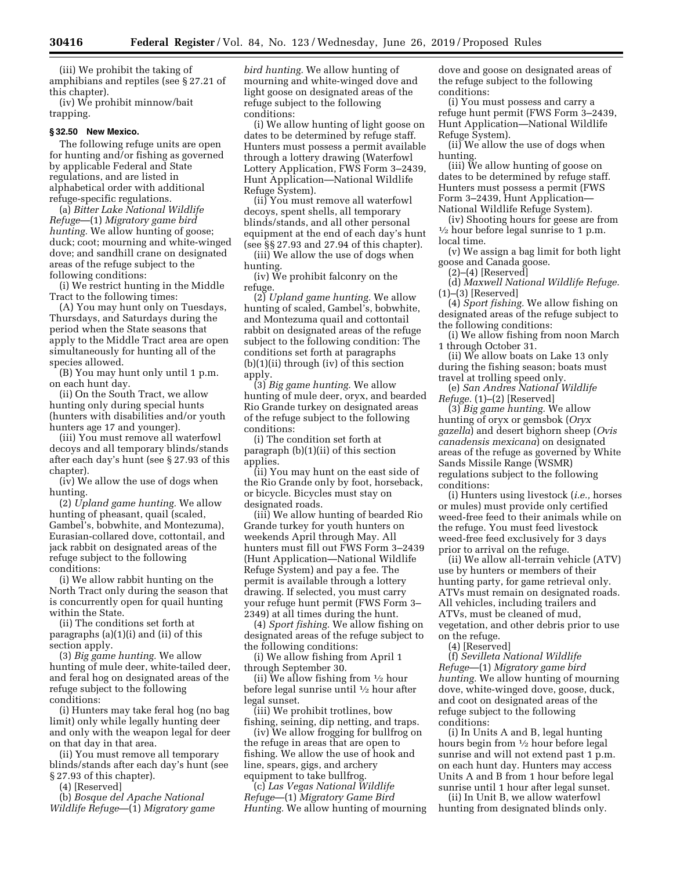(iii) We prohibit the taking of amphibians and reptiles (see § 27.21 of this chapter).

(iv) We prohibit minnow/bait trapping.

## **§ 32.50 New Mexico.**

The following refuge units are open for hunting and/or fishing as governed by applicable Federal and State regulations, and are listed in alphabetical order with additional refuge-specific regulations.

(a) *Bitter Lake National Wildlife Refuge*—(1) *Migratory game bird hunting.* We allow hunting of goose; duck; coot; mourning and white-winged dove; and sandhill crane on designated areas of the refuge subject to the following conditions:

(i) We restrict hunting in the Middle Tract to the following times:

(A) You may hunt only on Tuesdays, Thursdays, and Saturdays during the period when the State seasons that apply to the Middle Tract area are open simultaneously for hunting all of the species allowed.

(B) You may hunt only until 1 p.m. on each hunt day.

(ii) On the South Tract, we allow hunting only during special hunts (hunters with disabilities and/or youth hunters age 17 and younger).

(iii) You must remove all waterfowl decoys and all temporary blinds/stands after each day's hunt (see § 27.93 of this chapter).

(iv) We allow the use of dogs when hunting.

(2) *Upland game hunting.* We allow hunting of pheasant, quail (scaled, Gambel's, bobwhite, and Montezuma), Eurasian-collared dove, cottontail, and jack rabbit on designated areas of the refuge subject to the following conditions:

(i) We allow rabbit hunting on the North Tract only during the season that is concurrently open for quail hunting within the State.

(ii) The conditions set forth at paragraphs (a)(1)(i) and (ii) of this section apply.

(3) *Big game hunting.* We allow hunting of mule deer, white-tailed deer, and feral hog on designated areas of the refuge subject to the following conditions:

(i) Hunters may take feral hog (no bag limit) only while legally hunting deer and only with the weapon legal for deer on that day in that area.

(ii) You must remove all temporary blinds/stands after each day's hunt (see § 27.93 of this chapter).

(4) [Reserved]

(b) *Bosque del Apache National Wildlife Refuge*—(1) *Migratory game*  *bird hunting.* We allow hunting of mourning and white-winged dove and light goose on designated areas of the refuge subject to the following conditions:

(i) We allow hunting of light goose on dates to be determined by refuge staff. Hunters must possess a permit available through a lottery drawing (Waterfowl Lottery Application, FWS Form 3–2439, Hunt Application—National Wildlife Refuge System).

(ii) You must remove all waterfowl decoys, spent shells, all temporary blinds/stands, and all other personal equipment at the end of each day's hunt (see §§ 27.93 and 27.94 of this chapter).

(iii) We allow the use of dogs when hunting.

(iv) We prohibit falconry on the refuge.

(2) *Upland game hunting.* We allow hunting of scaled, Gambel's, bobwhite, and Montezuma quail and cottontail rabbit on designated areas of the refuge subject to the following condition: The conditions set forth at paragraphs (b)(1)(ii) through (iv) of this section apply.

(3) *Big game hunting.* We allow hunting of mule deer, oryx, and bearded Rio Grande turkey on designated areas of the refuge subject to the following conditions:

(i) The condition set forth at paragraph (b)(1)(ii) of this section applies.

(ii) You may hunt on the east side of the Rio Grande only by foot, horseback, or bicycle. Bicycles must stay on designated roads.

(iii) We allow hunting of bearded Rio Grande turkey for youth hunters on weekends April through May. All hunters must fill out FWS Form 3–2439 (Hunt Application—National Wildlife Refuge System) and pay a fee. The permit is available through a lottery drawing. If selected, you must carry your refuge hunt permit (FWS Form 3– 2349) at all times during the hunt.

(4) *Sport fishing.* We allow fishing on designated areas of the refuge subject to the following conditions:

(i) We allow fishing from April 1 through September 30.

(ii) We allow fishing from  $\frac{1}{2}$  hour before legal sunrise until 1⁄2 hour after legal sunset.

(iii) We prohibit trotlines, bow fishing, seining, dip netting, and traps.

(iv) We allow frogging for bullfrog on the refuge in areas that are open to fishing. We allow the use of hook and line, spears, gigs, and archery equipment to take bullfrog.

(c) *Las Vegas National Wildlife Refuge*—(1) *Migratory Game Bird Hunting.* We allow hunting of mourning dove and goose on designated areas of the refuge subject to the following conditions:

(i) You must possess and carry a refuge hunt permit (FWS Form 3–2439, Hunt Application—National Wildlife Refuge System).

(ii) We allow the use of dogs when hunting.

(iii) We allow hunting of goose on dates to be determined by refuge staff. Hunters must possess a permit (FWS Form 3–2439, Hunt Application—

National Wildlife Refuge System).  $\frac{1}{2}$  hour before legal sunrise to 1 p.m. local time.

(v) We assign a bag limit for both light goose and Canada goose.

(2)–(4) [Reserved]

(d) *Maxwell National Wildlife Refuge.*   $(1)$ – $(3)$  [Reserved]

(4) *Sport fishing.* We allow fishing on designated areas of the refuge subject to the following conditions:

(i) We allow fishing from noon March 1 through October 31.

(ii) We allow boats on Lake 13 only during the fishing season; boats must travel at trolling speed only.

(e) *San Andres National Wildlife Refuge.* (1)–(2) [Reserved]

(3) *Big game hunting.* We allow hunting of oryx or gemsbok (*Oryx gazella*) and desert bighorn sheep (*Ovis canadensis mexicana*) on designated areas of the refuge as governed by White Sands Missile Range (WSMR) regulations subject to the following conditions:

(i) Hunters using livestock (*i.e.,* horses or mules) must provide only certified weed-free feed to their animals while on the refuge. You must feed livestock weed-free feed exclusively for 3 days prior to arrival on the refuge.

(ii) We allow all-terrain vehicle (ATV) use by hunters or members of their hunting party, for game retrieval only. ATVs must remain on designated roads. All vehicles, including trailers and ATVs, must be cleaned of mud, vegetation, and other debris prior to use on the refuge.

(4) [Reserved]

(f) *Sevilleta National Wildlife Refuge*—(1) *Migratory game bird hunting.* We allow hunting of mourning dove, white-winged dove, goose, duck, and coot on designated areas of the refuge subject to the following conditions:

(i) In Units A and B, legal hunting hours begin from 1⁄2 hour before legal sunrise and will not extend past 1 p.m. on each hunt day. Hunters may access Units A and B from 1 hour before legal sunrise until 1 hour after legal sunset.

(ii) In Unit B, we allow waterfowl hunting from designated blinds only.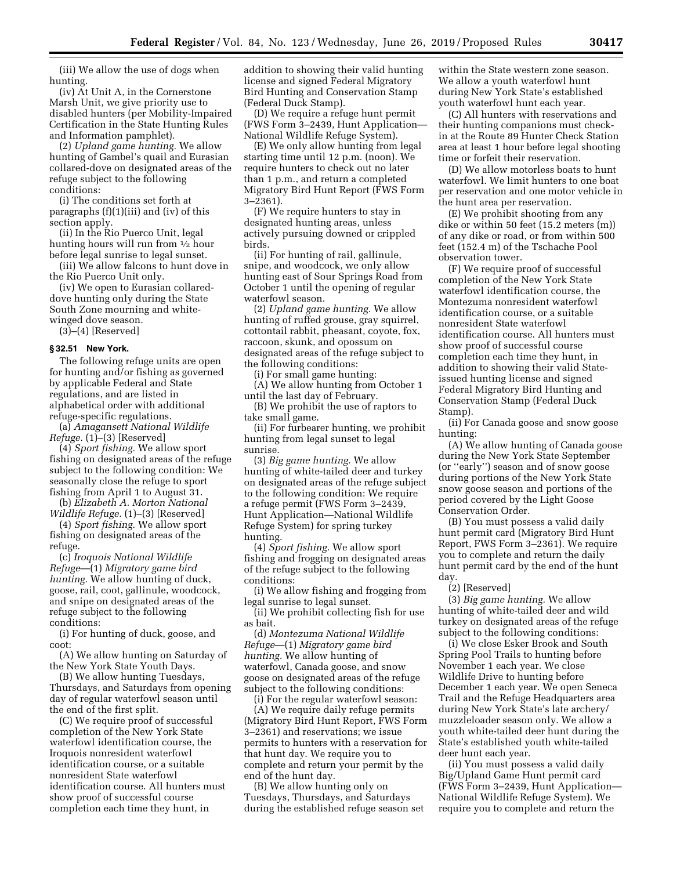(iii) We allow the use of dogs when hunting.

(iv) At Unit A, in the Cornerstone Marsh Unit, we give priority use to disabled hunters (per Mobility-Impaired Certification in the State Hunting Rules and Information pamphlet).

(2) *Upland game hunting.* We allow hunting of Gambel's quail and Eurasian collared-dove on designated areas of the refuge subject to the following conditions:

(i) The conditions set forth at paragraphs (f)(1)(iii) and (iv) of this section apply.

(ii) In the Rio Puerco Unit, legal hunting hours will run from 1⁄2 hour before legal sunrise to legal sunset.

(iii) We allow falcons to hunt dove in the Rio Puerco Unit only.

(iv) We open to Eurasian collareddove hunting only during the State South Zone mourning and whitewinged dove season.

 $(3)$ – $(4)$  [Reserved]

# **§ 32.51 New York.**

The following refuge units are open for hunting and/or fishing as governed by applicable Federal and State regulations, and are listed in alphabetical order with additional refuge-specific regulations.

(a) *Amagansett National Wildlife Refuge.* (1)–(3) [Reserved]

(4) *Sport fishing.* We allow sport fishing on designated areas of the refuge subject to the following condition: We seasonally close the refuge to sport fishing from April 1 to August 31.

(b) *Elizabeth A. Morton National Wildlife Refuge.* (1)–(3) [Reserved]

(4) *Sport fishing.* We allow sport fishing on designated areas of the refuge.

(c) *Iroquois National Wildlife Refuge*—(1) *Migratory game bird hunting.* We allow hunting of duck, goose, rail, coot, gallinule, woodcock, and snipe on designated areas of the refuge subject to the following conditions:

(i) For hunting of duck, goose, and coot:

(A) We allow hunting on Saturday of the New York State Youth Days.

(B) We allow hunting Tuesdays, Thursdays, and Saturdays from opening day of regular waterfowl season until the end of the first split.

(C) We require proof of successful completion of the New York State waterfowl identification course, the Iroquois nonresident waterfowl identification course, or a suitable nonresident State waterfowl identification course. All hunters must show proof of successful course completion each time they hunt, in

addition to showing their valid hunting license and signed Federal Migratory Bird Hunting and Conservation Stamp (Federal Duck Stamp).

(D) We require a refuge hunt permit (FWS Form 3–2439, Hunt Application— National Wildlife Refuge System).

(E) We only allow hunting from legal starting time until 12 p.m. (noon). We require hunters to check out no later than 1 p.m., and return a completed Migratory Bird Hunt Report (FWS Form 3–2361).

(F) We require hunters to stay in designated hunting areas, unless actively pursuing downed or crippled birds.

(ii) For hunting of rail, gallinule, snipe, and woodcock, we only allow hunting east of Sour Springs Road from October 1 until the opening of regular waterfowl season.

(2) *Upland game hunting.* We allow hunting of ruffed grouse, gray squirrel, cottontail rabbit, pheasant, coyote, fox, raccoon, skunk, and opossum on designated areas of the refuge subject to the following conditions:

(i) For small game hunting: (A) We allow hunting from October 1 until the last day of February.

(B) We prohibit the use of raptors to take small game.

(ii) For furbearer hunting, we prohibit hunting from legal sunset to legal sunrise.

(3) *Big game hunting.* We allow hunting of white-tailed deer and turkey on designated areas of the refuge subject to the following condition: We require a refuge permit (FWS Form 3–2439, Hunt Application—National Wildlife Refuge System) for spring turkey hunting.

(4) *Sport fishing.* We allow sport fishing and frogging on designated areas of the refuge subject to the following conditions:

(i) We allow fishing and frogging from legal sunrise to legal sunset.

(ii) We prohibit collecting fish for use as bait.

(d) *Montezuma National Wildlife Refuge*—(1) *Migratory game bird hunting.* We allow hunting of waterfowl, Canada goose, and snow goose on designated areas of the refuge subject to the following conditions:

(i) For the regular waterfowl season: (A) We require daily refuge permits (Migratory Bird Hunt Report, FWS Form 3–2361) and reservations; we issue permits to hunters with a reservation for that hunt day. We require you to complete and return your permit by the end of the hunt day.

(B) We allow hunting only on Tuesdays, Thursdays, and Saturdays during the established refuge season set within the State western zone season. We allow a youth waterfowl hunt during New York State's established youth waterfowl hunt each year.

(C) All hunters with reservations and their hunting companions must checkin at the Route 89 Hunter Check Station area at least 1 hour before legal shooting time or forfeit their reservation.

(D) We allow motorless boats to hunt waterfowl. We limit hunters to one boat per reservation and one motor vehicle in the hunt area per reservation.

(E) We prohibit shooting from any dike or within 50 feet (15.2 meters (m)) of any dike or road, or from within 500 feet (152.4 m) of the Tschache Pool observation tower.

(F) We require proof of successful completion of the New York State waterfowl identification course, the Montezuma nonresident waterfowl identification course, or a suitable nonresident State waterfowl identification course. All hunters must show proof of successful course completion each time they hunt, in addition to showing their valid Stateissued hunting license and signed Federal Migratory Bird Hunting and Conservation Stamp (Federal Duck Stamp).

(ii) For Canada goose and snow goose hunting:

(A) We allow hunting of Canada goose during the New York State September (or ''early'') season and of snow goose during portions of the New York State snow goose season and portions of the period covered by the Light Goose Conservation Order.

(B) You must possess a valid daily hunt permit card (Migratory Bird Hunt Report, FWS Form 3–2361). We require you to complete and return the daily hunt permit card by the end of the hunt day.

(2) [Reserved]

(3) *Big game hunting.* We allow hunting of white-tailed deer and wild turkey on designated areas of the refuge subject to the following conditions:

(i) We close Esker Brook and South Spring Pool Trails to hunting before November 1 each year. We close Wildlife Drive to hunting before December 1 each year. We open Seneca Trail and the Refuge Headquarters area during New York State's late archery/ muzzleloader season only. We allow a youth white-tailed deer hunt during the State's established youth white-tailed deer hunt each year.

(ii) You must possess a valid daily Big/Upland Game Hunt permit card (FWS Form 3–2439, Hunt Application— National Wildlife Refuge System). We require you to complete and return the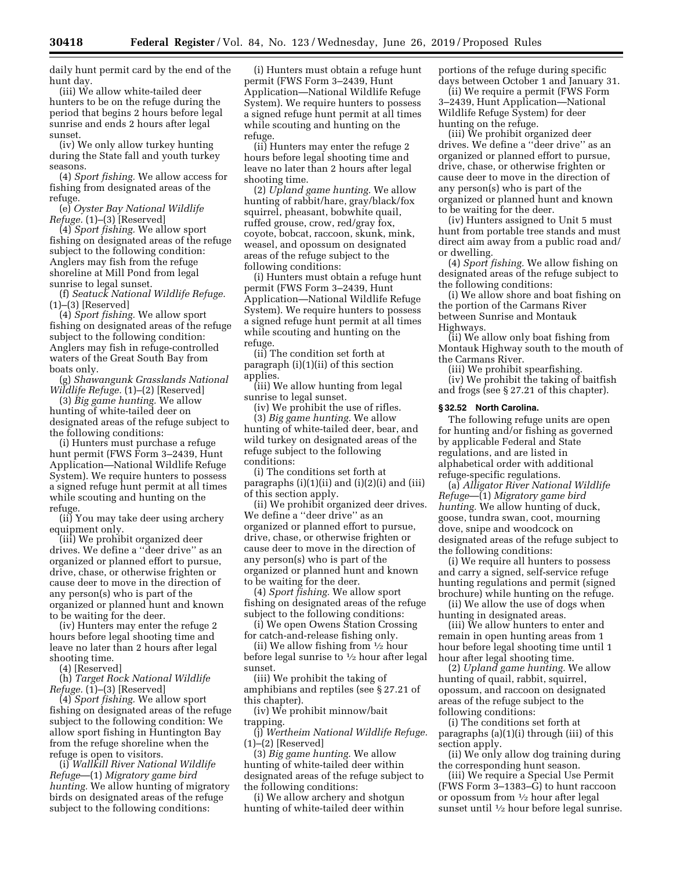daily hunt permit card by the end of the hunt day.

(iii) We allow white-tailed deer hunters to be on the refuge during the period that begins 2 hours before legal sunrise and ends 2 hours after legal sunset.

(iv) We only allow turkey hunting during the State fall and youth turkey seasons.

(4) *Sport fishing.* We allow access for fishing from designated areas of the refuge.

(e) *Oyster Bay National Wildlife Refuge.* (1)–(3) [Reserved]

(4) *Sport fishing.* We allow sport fishing on designated areas of the refuge subject to the following condition: Anglers may fish from the refuge shoreline at Mill Pond from legal sunrise to legal sunset.

(f) *Seatuck National Wildlife Refuge.*  (1)–(3) [Reserved]

(4) *Sport fishing.* We allow sport fishing on designated areas of the refuge subject to the following condition: Anglers may fish in refuge-controlled waters of the Great South Bay from boats only.

(g) *Shawangunk Grasslands National Wildlife Refuge.* (1)–(2) [Reserved]

(3) *Big game hunting.* We allow hunting of white-tailed deer on designated areas of the refuge subject to the following conditions:

(i) Hunters must purchase a refuge hunt permit (FWS Form 3–2439, Hunt Application—National Wildlife Refuge System). We require hunters to possess a signed refuge hunt permit at all times while scouting and hunting on the refuge.

(ii) You may take deer using archery equipment only.

(iii) We prohibit organized deer drives. We define a ''deer drive'' as an organized or planned effort to pursue, drive, chase, or otherwise frighten or cause deer to move in the direction of any person(s) who is part of the organized or planned hunt and known to be waiting for the deer.

(iv) Hunters may enter the refuge 2 hours before legal shooting time and leave no later than 2 hours after legal shooting time.

(4) [Reserved]

(h) *Target Rock National Wildlife Refuge.* (1)–(3) [Reserved]

(4) *Sport fishing.* We allow sport fishing on designated areas of the refuge subject to the following condition: We allow sport fishing in Huntington Bay from the refuge shoreline when the refuge is open to visitors.

(i) *Wallkill River National Wildlife Refuge*—(1) *Migratory game bird hunting.* We allow hunting of migratory birds on designated areas of the refuge subject to the following conditions:

(i) Hunters must obtain a refuge hunt permit (FWS Form 3–2439, Hunt Application—National Wildlife Refuge System). We require hunters to possess a signed refuge hunt permit at all times while scouting and hunting on the refuge.

(ii) Hunters may enter the refuge 2 hours before legal shooting time and leave no later than 2 hours after legal shooting time.

(2) *Upland game hunting.* We allow hunting of rabbit/hare, gray/black/fox squirrel, pheasant, bobwhite quail, ruffed grouse, crow, red/gray fox, coyote, bobcat, raccoon, skunk, mink, weasel, and opossum on designated areas of the refuge subject to the following conditions:

(i) Hunters must obtain a refuge hunt permit (FWS Form 3–2439, Hunt Application—National Wildlife Refuge System). We require hunters to possess a signed refuge hunt permit at all times while scouting and hunting on the refuge.

(ii) The condition set forth at paragraph (i)(1)(ii) of this section applies.

(iii) We allow hunting from legal sunrise to legal sunset.

(iv) We prohibit the use of rifles.

(3) *Big game hunting.* We allow hunting of white-tailed deer, bear, and wild turkey on designated areas of the refuge subject to the following conditions:

(i) The conditions set forth at paragraphs  $(i)(1)(ii)$  and  $(i)(2)(i)$  and  $(iii)$ of this section apply.

(ii) We prohibit organized deer drives. We define a ''deer drive'' as an organized or planned effort to pursue, drive, chase, or otherwise frighten or cause deer to move in the direction of any person(s) who is part of the organized or planned hunt and known to be waiting for the deer.

(4) *Sport fishing.* We allow sport fishing on designated areas of the refuge subject to the following conditions:

(i) We open Owens Station Crossing for catch-and-release fishing only.

(ii) We allow fishing from 1⁄2 hour before legal sunrise to  $\frac{1}{2}$  hour after legal sunset.

(iii) We prohibit the taking of amphibians and reptiles (see § 27.21 of this chapter).

(iv) We prohibit minnow/bait trapping.

(j) *Wertheim National Wildlife Refuge.*  (1)–(2) [Reserved]

(3) *Big game hunting.* We allow hunting of white-tailed deer within designated areas of the refuge subject to the following conditions:

(i) We allow archery and shotgun hunting of white-tailed deer within

portions of the refuge during specific days between October 1 and January 31.

(ii) We require a permit (FWS Form 3–2439, Hunt Application—National Wildlife Refuge System) for deer hunting on the refuge.

(iii) We prohibit organized deer drives. We define a ''deer drive'' as an organized or planned effort to pursue, drive, chase, or otherwise frighten or cause deer to move in the direction of any person(s) who is part of the organized or planned hunt and known to be waiting for the deer.

(iv) Hunters assigned to Unit 5 must hunt from portable tree stands and must direct aim away from a public road and/ or dwelling.

(4) *Sport fishing.* We allow fishing on designated areas of the refuge subject to the following conditions:

(i) We allow shore and boat fishing on the portion of the Carmans River between Sunrise and Montauk Highways.

(ii) We allow only boat fishing from Montauk Highway south to the mouth of the Carmans River.

(iii) We prohibit spearfishing. (iv) We prohibit the taking of baitfish and frogs (see § 27.21 of this chapter).

#### **§ 32.52 North Carolina.**

The following refuge units are open for hunting and/or fishing as governed by applicable Federal and State regulations, and are listed in alphabetical order with additional refuge-specific regulations.

(a) *Alligator River National Wildlife Refuge*—(1) *Migratory game bird hunting.* We allow hunting of duck, goose, tundra swan, coot, mourning dove, snipe and woodcock on designated areas of the refuge subject to the following conditions:

(i) We require all hunters to possess and carry a signed, self-service refuge hunting regulations and permit (signed brochure) while hunting on the refuge.

(ii) We allow the use of dogs when hunting in designated areas.

(iii) We allow hunters to enter and remain in open hunting areas from 1 hour before legal shooting time until 1 hour after legal shooting time.

(2) *Upland game hunting.* We allow hunting of quail, rabbit, squirrel, opossum, and raccoon on designated areas of the refuge subject to the following conditions:

(i) The conditions set forth at paragraphs (a)(1)(i) through (iii) of this section apply.

(ii) We only allow dog training during the corresponding hunt season.

(iii) We require a Special Use Permit (FWS Form 3–1383–G) to hunt raccoon or opossum from  $\frac{1}{2}$  hour after legal sunset until 1/2 hour before legal sunrise.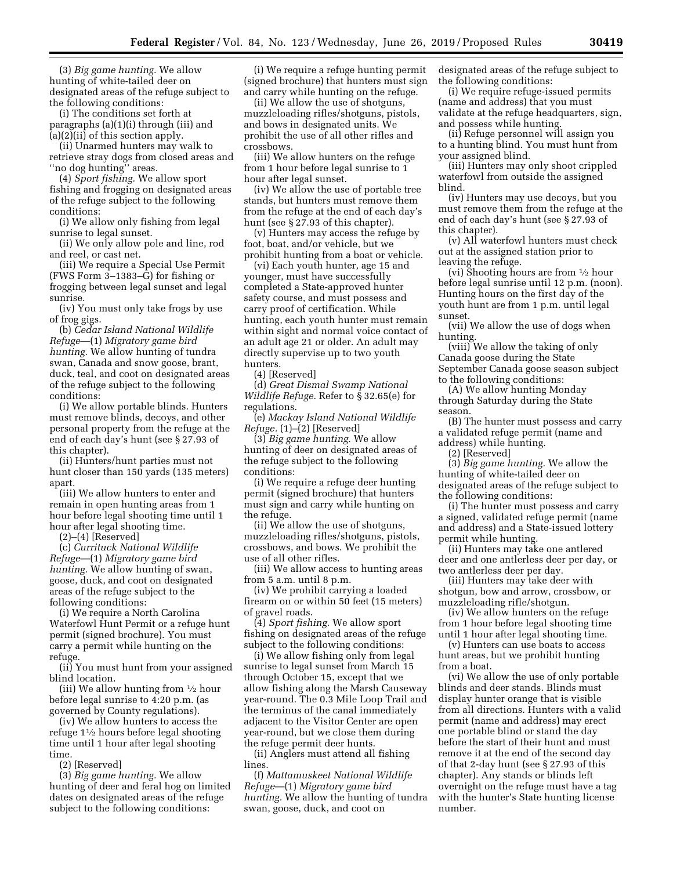(3) *Big game hunting.* We allow hunting of white-tailed deer on designated areas of the refuge subject to the following conditions:

(i) The conditions set forth at paragraphs (a)(1)(i) through (iii) and (a)(2)(ii) of this section apply.

(ii) Unarmed hunters may walk to retrieve stray dogs from closed areas and ''no dog hunting'' areas.

(4) *Sport fishing.* We allow sport fishing and frogging on designated areas of the refuge subject to the following conditions:

(i) We allow only fishing from legal sunrise to legal sunset.

(ii) We only allow pole and line, rod and reel, or cast net.

(iii) We require a Special Use Permit (FWS Form 3–1383–G) for fishing or frogging between legal sunset and legal sunrise.

(iv) You must only take frogs by use of frog gigs.

(b) *Cedar Island National Wildlife Refuge*—(1) *Migratory game bird hunting.* We allow hunting of tundra swan, Canada and snow goose, brant, duck, teal, and coot on designated areas of the refuge subject to the following conditions:

(i) We allow portable blinds. Hunters must remove blinds, decoys, and other personal property from the refuge at the end of each day's hunt (see § 27.93 of this chapter).

(ii) Hunters/hunt parties must not hunt closer than 150 yards (135 meters) apart.

(iii) We allow hunters to enter and remain in open hunting areas from 1 hour before legal shooting time until 1 hour after legal shooting time.

(2)–(4) [Reserved]

(c) *Currituck National Wildlife Refuge*—(1) *Migratory game bird hunting.* We allow hunting of swan, goose, duck, and coot on designated areas of the refuge subject to the following conditions:

(i) We require a North Carolina Waterfowl Hunt Permit or a refuge hunt permit (signed brochure). You must carry a permit while hunting on the refuge.

(ii) You must hunt from your assigned blind location.

(iii) We allow hunting from  $\frac{1}{2}$  hour before legal sunrise to 4:20 p.m. (as governed by County regulations).

(iv) We allow hunters to access the refuge 11⁄2 hours before legal shooting time until 1 hour after legal shooting time.

(2) [Reserved]

(3) *Big game hunting.* We allow hunting of deer and feral hog on limited dates on designated areas of the refuge subject to the following conditions:

(i) We require a refuge hunting permit (signed brochure) that hunters must sign and carry while hunting on the refuge.

(ii) We allow the use of shotguns, muzzleloading rifles/shotguns, pistols, and bows in designated units. We prohibit the use of all other rifles and crossbows.

(iii) We allow hunters on the refuge from 1 hour before legal sunrise to 1 hour after legal sunset.

(iv) We allow the use of portable tree stands, but hunters must remove them from the refuge at the end of each day's hunt (see § 27.93 of this chapter).

(v) Hunters may access the refuge by foot, boat, and/or vehicle, but we prohibit hunting from a boat or vehicle.

(vi) Each youth hunter, age 15 and younger, must have successfully completed a State-approved hunter safety course, and must possess and carry proof of certification. While hunting, each youth hunter must remain within sight and normal voice contact of an adult age 21 or older. An adult may directly supervise up to two youth hunters.

(4) [Reserved]

(d) *Great Dismal Swamp National Wildlife Refuge.* Refer to § 32.65(e) for regulations.

(e) *Mackay Island National Wildlife Refuge.* (1)–(2) [Reserved]

(3) *Big game hunting.* We allow hunting of deer on designated areas of the refuge subject to the following conditions:

(i) We require a refuge deer hunting permit (signed brochure) that hunters must sign and carry while hunting on the refuge.

(ii) We allow the use of shotguns, muzzleloading rifles/shotguns, pistols, crossbows, and bows. We prohibit the use of all other rifles.

(iii) We allow access to hunting areas from 5 a.m. until 8 p.m.

(iv) We prohibit carrying a loaded firearm on or within 50 feet (15 meters) of gravel roads.

(4) *Sport fishing.* We allow sport fishing on designated areas of the refuge subject to the following conditions:

(i) We allow fishing only from legal sunrise to legal sunset from March 15 through October 15, except that we allow fishing along the Marsh Causeway year-round. The 0.3 Mile Loop Trail and the terminus of the canal immediately adjacent to the Visitor Center are open year-round, but we close them during the refuge permit deer hunts.

(ii) Anglers must attend all fishing lines.

(f) *Mattamuskeet National Wildlife Refuge*—(1) *Migratory game bird hunting.* We allow the hunting of tundra swan, goose, duck, and coot on

designated areas of the refuge subject to the following conditions:

(i) We require refuge-issued permits (name and address) that you must validate at the refuge headquarters, sign, and possess while hunting.

(ii) Refuge personnel will assign you to a hunting blind. You must hunt from your assigned blind.

(iii) Hunters may only shoot crippled waterfowl from outside the assigned blind.

(iv) Hunters may use decoys, but you must remove them from the refuge at the end of each day's hunt (see § 27.93 of this chapter).

(v) All waterfowl hunters must check out at the assigned station prior to leaving the refuge.

(vi) Shooting hours are from 1⁄2 hour before legal sunrise until 12 p.m. (noon). Hunting hours on the first day of the youth hunt are from 1 p.m. until legal sunset.

(vii) We allow the use of dogs when hunting.

(viii) We allow the taking of only Canada goose during the State September Canada goose season subject to the following conditions:

(A) We allow hunting Monday through Saturday during the State season.

(B) The hunter must possess and carry a validated refuge permit (name and address) while hunting.

(2) [Reserved]

(3) *Big game hunting.* We allow the hunting of white-tailed deer on designated areas of the refuge subject to the following conditions:

(i) The hunter must possess and carry a signed, validated refuge permit (name and address) and a State-issued lottery permit while hunting.

(ii) Hunters may take one antlered deer and one antlerless deer per day, or two antlerless deer per day.

(iii) Hunters may take deer with shotgun, bow and arrow, crossbow, or muzzleloading rifle/shotgun.

(iv) We allow hunters on the refuge from 1 hour before legal shooting time until 1 hour after legal shooting time.

(v) Hunters can use boats to access hunt areas, but we prohibit hunting from a boat.

(vi) We allow the use of only portable blinds and deer stands. Blinds must display hunter orange that is visible from all directions. Hunters with a valid permit (name and address) may erect one portable blind or stand the day before the start of their hunt and must remove it at the end of the second day of that 2-day hunt (see § 27.93 of this chapter). Any stands or blinds left overnight on the refuge must have a tag with the hunter's State hunting license number.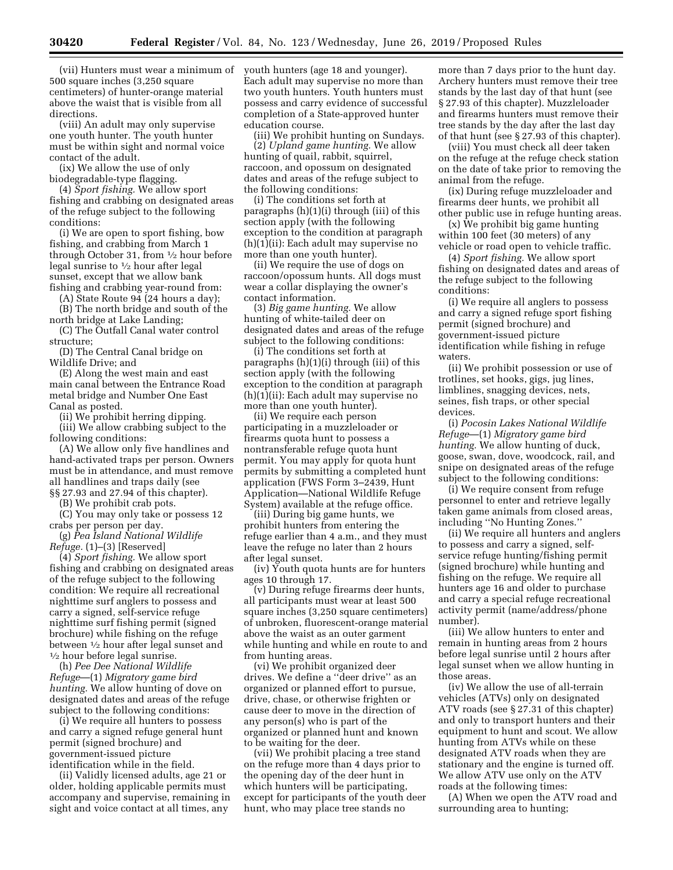(vii) Hunters must wear a minimum of 500 square inches (3,250 square centimeters) of hunter-orange material above the waist that is visible from all directions.

(viii) An adult may only supervise one youth hunter. The youth hunter must be within sight and normal voice contact of the adult.

(ix) We allow the use of only biodegradable-type flagging.

(4) *Sport fishing.* We allow sport fishing and crabbing on designated areas of the refuge subject to the following conditions:

(i) We are open to sport fishing, bow fishing, and crabbing from March 1 through October 31, from 1⁄2 hour before legal sunrise to 1⁄2 hour after legal sunset, except that we allow bank fishing and crabbing year-round from:

(A) State Route  $94$  (24 hours a day);

(B) The north bridge and south of the north bridge at Lake Landing;

(C) The Outfall Canal water control structure;

(D) The Central Canal bridge on Wildlife Drive; and

(E) Along the west main and east main canal between the Entrance Road metal bridge and Number One East Canal as posted.

(ii) We prohibit herring dipping.

(iii) We allow crabbing subject to the following conditions:

(A) We allow only five handlines and hand-activated traps per person. Owners must be in attendance, and must remove all handlines and traps daily (see §§ 27.93 and 27.94 of this chapter).

(B) We prohibit crab pots.

(C) You may only take or possess 12 crabs per person per day.

(g) *Pea Island National Wildlife Refuge.* (1)–(3) [Reserved]

(4) *Sport fishing.* We allow sport fishing and crabbing on designated areas of the refuge subject to the following condition: We require all recreational nighttime surf anglers to possess and carry a signed, self-service refuge nighttime surf fishing permit (signed brochure) while fishing on the refuge between 1⁄2 hour after legal sunset and 1⁄2 hour before legal sunrise.

(h) *Pee Dee National Wildlife Refuge*—(1) *Migratory game bird hunting.* We allow hunting of dove on designated dates and areas of the refuge subject to the following conditions:

(i) We require all hunters to possess and carry a signed refuge general hunt permit (signed brochure) and government-issued picture identification while in the field.

(ii) Validly licensed adults, age 21 or older, holding applicable permits must accompany and supervise, remaining in sight and voice contact at all times, any

youth hunters (age 18 and younger). Each adult may supervise no more than two youth hunters. Youth hunters must possess and carry evidence of successful completion of a State-approved hunter education course.

(iii) We prohibit hunting on Sundays.

(2) *Upland game hunting.* We allow hunting of quail, rabbit, squirrel, raccoon, and opossum on designated dates and areas of the refuge subject to the following conditions:

(i) The conditions set forth at paragraphs (h)(1)(i) through (iii) of this section apply (with the following exception to the condition at paragraph  $(h)(1)(ii)$ : Each adult may supervise no more than one youth hunter).

(ii) We require the use of dogs on raccoon/opossum hunts. All dogs must wear a collar displaying the owner's contact information.

(3) *Big game hunting.* We allow hunting of white-tailed deer on designated dates and areas of the refuge subject to the following conditions:

(i) The conditions set forth at paragraphs (h)(1)(i) through (iii) of this section apply (with the following exception to the condition at paragraph (h)(1)(ii): Each adult may supervise no more than one youth hunter).

(ii) We require each person participating in a muzzleloader or firearms quota hunt to possess a nontransferable refuge quota hunt permit. You may apply for quota hunt permits by submitting a completed hunt application (FWS Form 3–2439, Hunt Application—National Wildlife Refuge System) available at the refuge office.

(iii) During big game hunts, we prohibit hunters from entering the refuge earlier than 4 a.m., and they must leave the refuge no later than 2 hours after legal sunset.

(iv) Youth quota hunts are for hunters ages 10 through 17.

(v) During refuge firearms deer hunts, all participants must wear at least 500 square inches (3,250 square centimeters) of unbroken, fluorescent-orange material above the waist as an outer garment while hunting and while en route to and from hunting areas.

(vi) We prohibit organized deer drives. We define a ''deer drive'' as an organized or planned effort to pursue, drive, chase, or otherwise frighten or cause deer to move in the direction of any person(s) who is part of the organized or planned hunt and known to be waiting for the deer.

(vii) We prohibit placing a tree stand on the refuge more than 4 days prior to the opening day of the deer hunt in which hunters will be participating, except for participants of the youth deer hunt, who may place tree stands no

more than 7 days prior to the hunt day. Archery hunters must remove their tree stands by the last day of that hunt (see § 27.93 of this chapter). Muzzleloader and firearms hunters must remove their tree stands by the day after the last day of that hunt (see § 27.93 of this chapter).

(viii) You must check all deer taken on the refuge at the refuge check station on the date of take prior to removing the animal from the refuge.

(ix) During refuge muzzleloader and firearms deer hunts, we prohibit all other public use in refuge hunting areas.

(x) We prohibit big game hunting within 100 feet (30 meters) of any vehicle or road open to vehicle traffic.

(4) *Sport fishing.* We allow sport fishing on designated dates and areas of the refuge subject to the following conditions:

(i) We require all anglers to possess and carry a signed refuge sport fishing permit (signed brochure) and government-issued picture identification while fishing in refuge waters.

(ii) We prohibit possession or use of trotlines, set hooks, gigs, jug lines, limblines, snagging devices, nets, seines, fish traps, or other special devices.

(i) *Pocosin Lakes National Wildlife Refuge*—(1) *Migratory game bird hunting.* We allow hunting of duck, goose, swan, dove, woodcock, rail, and snipe on designated areas of the refuge subject to the following conditions:

(i) We require consent from refuge personnel to enter and retrieve legally taken game animals from closed areas, including ''No Hunting Zones.''

(ii) We require all hunters and anglers to possess and carry a signed, selfservice refuge hunting/fishing permit (signed brochure) while hunting and fishing on the refuge. We require all hunters age 16 and older to purchase and carry a special refuge recreational activity permit (name/address/phone number).

(iii) We allow hunters to enter and remain in hunting areas from 2 hours before legal sunrise until 2 hours after legal sunset when we allow hunting in those areas.

(iv) We allow the use of all-terrain vehicles (ATVs) only on designated ATV roads (see § 27.31 of this chapter) and only to transport hunters and their equipment to hunt and scout. We allow hunting from ATVs while on these designated ATV roads when they are stationary and the engine is turned off. We allow ATV use only on the ATV roads at the following times:

(A) When we open the ATV road and surrounding area to hunting;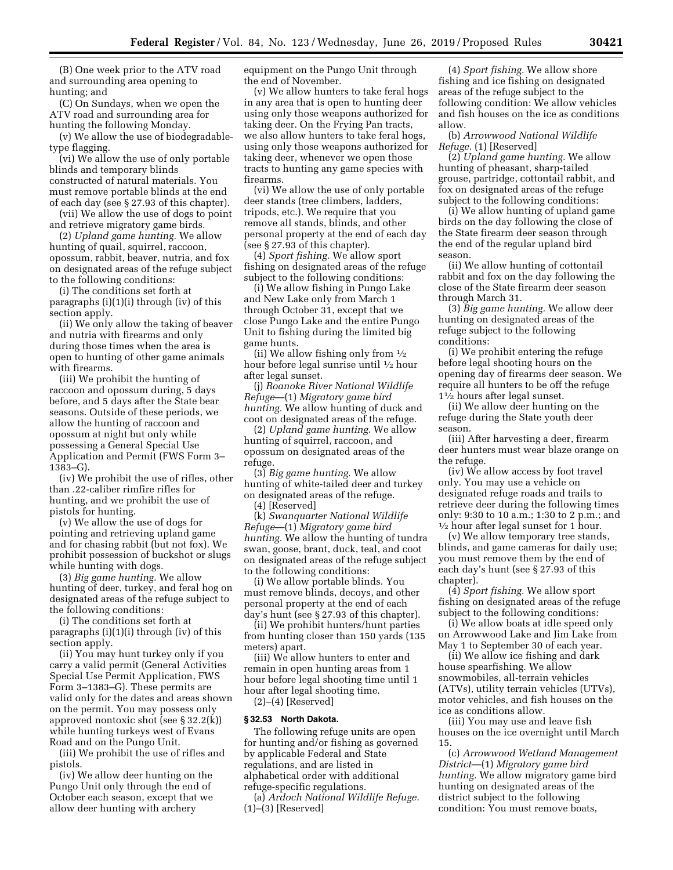(B) One week prior to the ATV road and surrounding area opening to hunting; and

(C) On Sundays, when we open the ATV road and surrounding area for hunting the following Monday.

(v) We allow the use of biodegradabletype flagging.

(vi) We allow the use of only portable blinds and temporary blinds constructed of natural materials. You must remove portable blinds at the end of each day (see § 27.93 of this chapter).

(vii) We allow the use of dogs to point and retrieve migratory game birds.

(2) *Upland game hunting.* We allow hunting of quail, squirrel, raccoon, opossum, rabbit, beaver, nutria, and fox on designated areas of the refuge subject to the following conditions:

(i) The conditions set forth at paragraphs (i)(1)(i) through (iv) of this section apply.

(ii) We only allow the taking of beaver and nutria with firearms and only during those times when the area is open to hunting of other game animals with firearms.

(iii) We prohibit the hunting of raccoon and opossum during, 5 days before, and 5 days after the State bear seasons. Outside of these periods, we allow the hunting of raccoon and opossum at night but only while possessing a General Special Use Application and Permit (FWS Form 3– 1383–G).

(iv) We prohibit the use of rifles, other than .22-caliber rimfire rifles for hunting, and we prohibit the use of pistols for hunting.

(v) We allow the use of dogs for pointing and retrieving upland game and for chasing rabbit (but not fox). We prohibit possession of buckshot or slugs while hunting with dogs.

(3) *Big game hunting.* We allow hunting of deer, turkey, and feral hog on designated areas of the refuge subject to the following conditions:

(i) The conditions set forth at paragraphs (i)(1)(i) through (iv) of this section apply.

(ii) You may hunt turkey only if you carry a valid permit (General Activities Special Use Permit Application, FWS Form 3–1383–G). These permits are valid only for the dates and areas shown on the permit. You may possess only approved nontoxic shot (see § 32.2(k)) while hunting turkeys west of Evans Road and on the Pungo Unit.

(iii) We prohibit the use of rifles and pistols.

(iv) We allow deer hunting on the Pungo Unit only through the end of October each season, except that we allow deer hunting with archery

equipment on the Pungo Unit through the end of November.

(v) We allow hunters to take feral hogs in any area that is open to hunting deer using only those weapons authorized for taking deer. On the Frying Pan tracts, we also allow hunters to take feral hogs, using only those weapons authorized for taking deer, whenever we open those tracts to hunting any game species with firearms.

(vi) We allow the use of only portable deer stands (tree climbers, ladders, tripods, etc.). We require that you remove all stands, blinds, and other personal property at the end of each day (see § 27.93 of this chapter).

(4) *Sport fishing.* We allow sport fishing on designated areas of the refuge subject to the following conditions:

(i) We allow fishing in Pungo Lake and New Lake only from March 1 through October 31, except that we close Pungo Lake and the entire Pungo Unit to fishing during the limited big game hunts.

(ii) We allow fishing only from  $\frac{1}{2}$ hour before legal sunrise until 1⁄2 hour after legal sunset.

(j) *Roanoke River National Wildlife Refuge*—(1) *Migratory game bird hunting.* We allow hunting of duck and coot on designated areas of the refuge.

(2) *Upland game hunting.* We allow hunting of squirrel, raccoon, and opossum on designated areas of the refuge.

(3) *Big game hunting.* We allow hunting of white-tailed deer and turkey on designated areas of the refuge.

(4) [Reserved]

(k) *Swanquarter National Wildlife Refuge*—(1) *Migratory game bird hunting.* We allow the hunting of tundra swan, goose, brant, duck, teal, and coot on designated areas of the refuge subject to the following conditions:

(i) We allow portable blinds. You must remove blinds, decoys, and other personal property at the end of each day's hunt (see § 27.93 of this chapter).

(ii) We prohibit hunters/hunt parties from hunting closer than 150 yards (135 meters) apart.

(iii) We allow hunters to enter and remain in open hunting areas from 1 hour before legal shooting time until 1 hour after legal shooting time.

(2)–(4) [Reserved]

## **§ 32.53 North Dakota.**

The following refuge units are open for hunting and/or fishing as governed by applicable Federal and State regulations, and are listed in alphabetical order with additional refuge-specific regulations.

(a) *Ardoch National Wildlife Refuge.*  (1)–(3) [Reserved]

(4) *Sport fishing.* We allow shore fishing and ice fishing on designated areas of the refuge subject to the following condition: We allow vehicles and fish houses on the ice as conditions allow.

(b) *Arrowwood National Wildlife Refuge.* (1) [Reserved]

(2) *Upland game hunting.* We allow hunting of pheasant, sharp-tailed grouse, partridge, cottontail rabbit, and fox on designated areas of the refuge subject to the following conditions:

(i) We allow hunting of upland game birds on the day following the close of the State firearm deer season through the end of the regular upland bird season.

(ii) We allow hunting of cottontail rabbit and fox on the day following the close of the State firearm deer season through March 31.

(3) *Big game hunting.* We allow deer hunting on designated areas of the refuge subject to the following conditions:

(i) We prohibit entering the refuge before legal shooting hours on the opening day of firearms deer season. We require all hunters to be off the refuge 11⁄2 hours after legal sunset.

(ii) We allow deer hunting on the refuge during the State youth deer season.

(iii) After harvesting a deer, firearm deer hunters must wear blaze orange on the refuge.

(iv) We allow access by foot travel only. You may use a vehicle on designated refuge roads and trails to retrieve deer during the following times only: 9:30 to 10 a.m.; 1:30 to 2 p.m.; and  $\frac{1}{2}$  hour after legal sunset for 1 hour.

(v) We allow temporary tree stands, blinds, and game cameras for daily use; you must remove them by the end of each day's hunt (see § 27.93 of this chapter).

(4) *Sport fishing.* We allow sport fishing on designated areas of the refuge subject to the following conditions:

(i) We allow boats at idle speed only on Arrowwood Lake and Jim Lake from May 1 to September 30 of each year.

(ii) We allow ice fishing and dark house spearfishing. We allow snowmobiles, all-terrain vehicles (ATVs), utility terrain vehicles (UTVs), motor vehicles, and fish houses on the ice as conditions allow.

(iii) You may use and leave fish houses on the ice overnight until March 15.

(c) *Arrowwood Wetland Management District*—(1) *Migratory game bird hunting.* We allow migratory game bird hunting on designated areas of the district subject to the following condition: You must remove boats,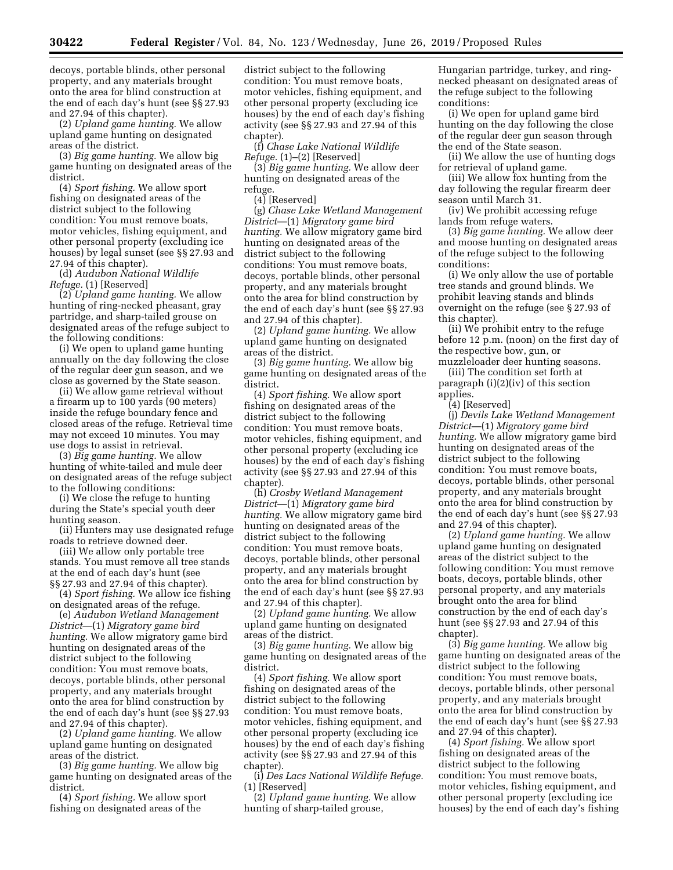decoys, portable blinds, other personal property, and any materials brought onto the area for blind construction at the end of each day's hunt (see §§ 27.93 and 27.94 of this chapter).

(2) *Upland game hunting.* We allow upland game hunting on designated areas of the district.

(3) *Big game hunting.* We allow big game hunting on designated areas of the district.

(4) *Sport fishing.* We allow sport fishing on designated areas of the district subject to the following condition: You must remove boats, motor vehicles, fishing equipment, and other personal property (excluding ice houses) by legal sunset (see §§ 27.93 and 27.94 of this chapter).

(d) *Audubon National Wildlife Refuge.* (1) [Reserved]

(2) *Upland game hunting.* We allow hunting of ring-necked pheasant, gray partridge, and sharp-tailed grouse on designated areas of the refuge subject to the following conditions:

(i) We open to upland game hunting annually on the day following the close of the regular deer gun season, and we close as governed by the State season.

(ii) We allow game retrieval without a firearm up to 100 yards (90 meters) inside the refuge boundary fence and closed areas of the refuge. Retrieval time may not exceed 10 minutes. You may use dogs to assist in retrieval.

(3) *Big game hunting.* We allow hunting of white-tailed and mule deer on designated areas of the refuge subject to the following conditions:

(i) We close the refuge to hunting during the State's special youth deer hunting season.

(ii) Hunters may use designated refuge roads to retrieve downed deer.

(iii) We allow only portable tree stands. You must remove all tree stands at the end of each day's hunt (see §§ 27.93 and 27.94 of this chapter).

(4) *Sport fishing.* We allow ice fishing on designated areas of the refuge.

(e) *Audubon Wetland Management District*—(1) *Migratory game bird hunting.* We allow migratory game bird hunting on designated areas of the district subject to the following condition: You must remove boats, decoys, portable blinds, other personal property, and any materials brought onto the area for blind construction by the end of each day's hunt (see §§ 27.93 and 27.94 of this chapter).

(2) *Upland game hunting.* We allow upland game hunting on designated areas of the district.

(3) *Big game hunting.* We allow big game hunting on designated areas of the district.

(4) *Sport fishing.* We allow sport fishing on designated areas of the

district subject to the following condition: You must remove boats, motor vehicles, fishing equipment, and other personal property (excluding ice houses) by the end of each day's fishing activity (see §§ 27.93 and 27.94 of this chapter).

(f) *Chase Lake National Wildlife Refuge.* (1)–(2) [Reserved]

(3) *Big game hunting.* We allow deer hunting on designated areas of the refuge.

(4) [Reserved]

(g) *Chase Lake Wetland Management District*—(1) *Migratory game bird hunting.* We allow migratory game bird hunting on designated areas of the district subject to the following conditions: You must remove boats, decoys, portable blinds, other personal property, and any materials brought onto the area for blind construction by the end of each day's hunt (see §§ 27.93 and 27.94 of this chapter).

(2) *Upland game hunting.* We allow upland game hunting on designated areas of the district.

(3) *Big game hunting.* We allow big game hunting on designated areas of the district.

(4) *Sport fishing.* We allow sport fishing on designated areas of the district subject to the following condition: You must remove boats, motor vehicles, fishing equipment, and other personal property (excluding ice houses) by the end of each day's fishing activity (see §§ 27.93 and 27.94 of this chapter).

(h) *Crosby Wetland Management District*—(1) *Migratory game bird hunting.* We allow migratory game bird hunting on designated areas of the district subject to the following condition: You must remove boats, decoys, portable blinds, other personal property, and any materials brought onto the area for blind construction by the end of each day's hunt (see §§ 27.93 and 27.94 of this chapter).

(2) *Upland game hunting.* We allow upland game hunting on designated areas of the district.

(3) *Big game hunting.* We allow big game hunting on designated areas of the district.

(4) *Sport fishing.* We allow sport fishing on designated areas of the district subject to the following condition: You must remove boats, motor vehicles, fishing equipment, and other personal property (excluding ice houses) by the end of each day's fishing activity (see §§ 27.93 and 27.94 of this chapter).

(i) *Des Lacs National Wildlife Refuge.*  (1) [Reserved]

(2) *Upland game hunting.* We allow hunting of sharp-tailed grouse,

Hungarian partridge, turkey, and ringnecked pheasant on designated areas of the refuge subject to the following conditions:

(i) We open for upland game bird hunting on the day following the close of the regular deer gun season through the end of the State season.

(ii) We allow the use of hunting dogs for retrieval of upland game.

(iii) We allow fox hunting from the day following the regular firearm deer season until March 31.

(iv) We prohibit accessing refuge lands from refuge waters.

(3) *Big game hunting.* We allow deer and moose hunting on designated areas of the refuge subject to the following conditions:

(i) We only allow the use of portable tree stands and ground blinds. We prohibit leaving stands and blinds overnight on the refuge (see § 27.93 of this chapter).

(ii) We prohibit entry to the refuge before 12 p.m. (noon) on the first day of the respective bow, gun, or

muzzleloader deer hunting seasons. (iii) The condition set forth at paragraph (i)(2)(iv) of this section applies.

(4) [Reserved]

(j) *Devils Lake Wetland Management District*—(1) *Migratory game bird hunting.* We allow migratory game bird hunting on designated areas of the district subject to the following condition: You must remove boats, decoys, portable blinds, other personal property, and any materials brought onto the area for blind construction by the end of each day's hunt (see §§ 27.93 and 27.94 of this chapter).

(2) *Upland game hunting.* We allow upland game hunting on designated areas of the district subject to the following condition: You must remove boats, decoys, portable blinds, other personal property, and any materials brought onto the area for blind construction by the end of each day's hunt (see §§ 27.93 and 27.94 of this chapter).

(3) *Big game hunting.* We allow big game hunting on designated areas of the district subject to the following condition: You must remove boats, decoys, portable blinds, other personal property, and any materials brought onto the area for blind construction by the end of each day's hunt (see §§ 27.93 and 27.94 of this chapter).

(4) *Sport fishing.* We allow sport fishing on designated areas of the district subject to the following condition: You must remove boats, motor vehicles, fishing equipment, and other personal property (excluding ice houses) by the end of each day's fishing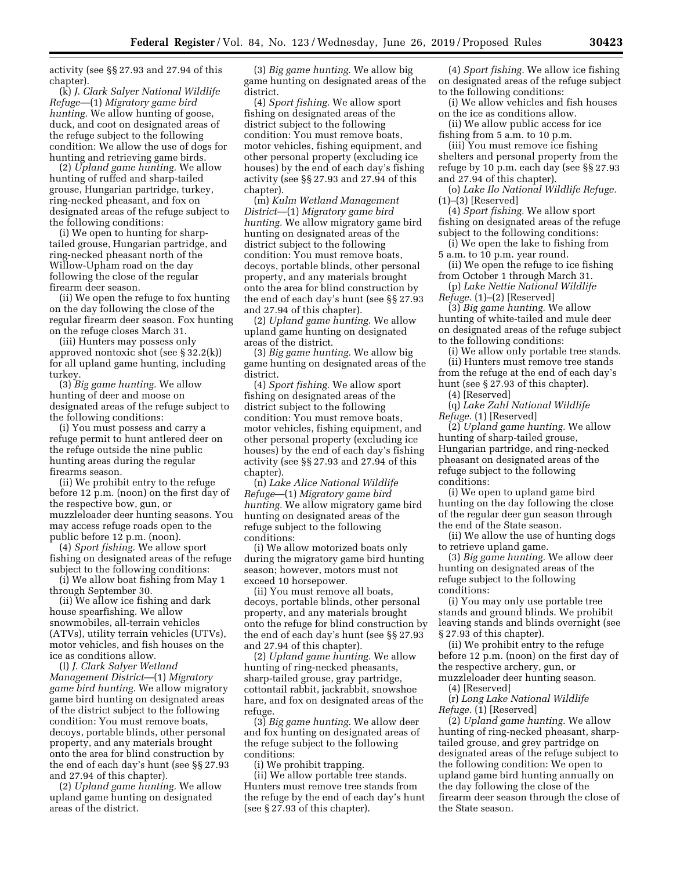activity (see §§ 27.93 and 27.94 of this chapter).

(k) *J. Clark Salyer National Wildlife Refuge*—(1) *Migratory game bird hunting.* We allow hunting of goose, duck, and coot on designated areas of the refuge subject to the following condition: We allow the use of dogs for hunting and retrieving game birds.

(2) *Upland game hunting.* We allow hunting of ruffed and sharp-tailed grouse, Hungarian partridge, turkey, ring-necked pheasant, and fox on designated areas of the refuge subject to the following conditions:

(i) We open to hunting for sharptailed grouse, Hungarian partridge, and ring-necked pheasant north of the Willow-Upham road on the day following the close of the regular firearm deer season.

(ii) We open the refuge to fox hunting on the day following the close of the regular firearm deer season. Fox hunting on the refuge closes March 31.

(iii) Hunters may possess only approved nontoxic shot (see § 32.2(k)) for all upland game hunting, including turkey.

(3) *Big game hunting.* We allow hunting of deer and moose on designated areas of the refuge subject to the following conditions:

(i) You must possess and carry a refuge permit to hunt antlered deer on the refuge outside the nine public hunting areas during the regular firearms season.

(ii) We prohibit entry to the refuge before 12 p.m. (noon) on the first day of the respective bow, gun, or muzzleloader deer hunting seasons. You may access refuge roads open to the public before 12 p.m. (noon).

(4) *Sport fishing.* We allow sport fishing on designated areas of the refuge subject to the following conditions:

(i) We allow boat fishing from May 1 through September 30.

(ii) We allow ice fishing and dark house spearfishing. We allow snowmobiles, all-terrain vehicles (ATVs), utility terrain vehicles (UTVs), motor vehicles, and fish houses on the ice as conditions allow.

(l) *J. Clark Salyer Wetland Management District*—(1) *Migratory game bird hunting.* We allow migratory game bird hunting on designated areas of the district subject to the following condition: You must remove boats, decoys, portable blinds, other personal property, and any materials brought onto the area for blind construction by the end of each day's hunt (see §§ 27.93 and 27.94 of this chapter).

(2) *Upland game hunting.* We allow upland game hunting on designated areas of the district.

(3) *Big game hunting.* We allow big game hunting on designated areas of the district.

(4) *Sport fishing.* We allow sport fishing on designated areas of the district subject to the following condition: You must remove boats, motor vehicles, fishing equipment, and other personal property (excluding ice houses) by the end of each day's fishing activity (see §§ 27.93 and 27.94 of this chapter).

(m) *Kulm Wetland Management District*—(1) *Migratory game bird hunting.* We allow migratory game bird hunting on designated areas of the district subject to the following condition: You must remove boats, decoys, portable blinds, other personal property, and any materials brought onto the area for blind construction by the end of each day's hunt (see §§ 27.93 and 27.94 of this chapter).

(2) *Upland game hunting.* We allow upland game hunting on designated areas of the district.

(3) *Big game hunting.* We allow big game hunting on designated areas of the district.

(4) *Sport fishing.* We allow sport fishing on designated areas of the district subject to the following condition: You must remove boats, motor vehicles, fishing equipment, and other personal property (excluding ice houses) by the end of each day's fishing activity (see §§ 27.93 and 27.94 of this chapter).

(n) *Lake Alice National Wildlife Refuge*—(1) *Migratory game bird hunting.* We allow migratory game bird hunting on designated areas of the refuge subject to the following conditions:

(i) We allow motorized boats only during the migratory game bird hunting season; however, motors must not exceed 10 horsepower.

(ii) You must remove all boats, decoys, portable blinds, other personal property, and any materials brought onto the refuge for blind construction by the end of each day's hunt (see §§ 27.93 and 27.94 of this chapter).

(2) *Upland game hunting.* We allow hunting of ring-necked pheasants, sharp-tailed grouse, gray partridge, cottontail rabbit, jackrabbit, snowshoe hare, and fox on designated areas of the refuge.

(3) *Big game hunting.* We allow deer and fox hunting on designated areas of the refuge subject to the following conditions:

(i) We prohibit trapping.

(ii) We allow portable tree stands. Hunters must remove tree stands from the refuge by the end of each day's hunt (see § 27.93 of this chapter).

(4) *Sport fishing.* We allow ice fishing on designated areas of the refuge subject to the following conditions:

(i) We allow vehicles and fish houses on the ice as conditions allow.

(ii) We allow public access for ice fishing from 5 a.m. to 10 p.m.

(iii) You must remove ice fishing shelters and personal property from the refuge by 10 p.m. each day (see §§ 27.93 and 27.94 of this chapter).

(o) *Lake Ilo National Wildlife Refuge.*   $(1)$ – $(3)$  [Reserved]

(4) *Sport fishing.* We allow sport fishing on designated areas of the refuge subject to the following conditions:

(i) We open the lake to fishing from 5 a.m. to 10 p.m. year round.

(ii) We open the refuge to ice fishing from October 1 through March 31.

(p) *Lake Nettie National Wildlife Refuge.* (1)–(2) [Reserved]

(3) *Big game hunting.* We allow hunting of white-tailed and mule deer on designated areas of the refuge subject to the following conditions:

(i) We allow only portable tree stands. (ii) Hunters must remove tree stands from the refuge at the end of each day's hunt (see § 27.93 of this chapter).

(4) [Reserved]

(q) *Lake Zahl National Wildlife Refuge.* (1) [Reserved]

(2) *Upland game hunting.* We allow hunting of sharp-tailed grouse, Hungarian partridge, and ring-necked pheasant on designated areas of the refuge subject to the following conditions:

(i) We open to upland game bird hunting on the day following the close of the regular deer gun season through the end of the State season.

(ii) We allow the use of hunting dogs to retrieve upland game.

(3) *Big game hunting.* We allow deer hunting on designated areas of the refuge subject to the following conditions:

(i) You may only use portable tree stands and ground blinds. We prohibit leaving stands and blinds overnight (see § 27.93 of this chapter).

(ii) We prohibit entry to the refuge before 12 p.m. (noon) on the first day of the respective archery, gun, or muzzleloader deer hunting season.

(4) [Reserved]

(r) *Long Lake National Wildlife Refuge.* (1) [Reserved]

(2) *Upland game hunting.* We allow hunting of ring-necked pheasant, sharptailed grouse, and grey partridge on designated areas of the refuge subject to the following condition: We open to upland game bird hunting annually on the day following the close of the firearm deer season through the close of the State season.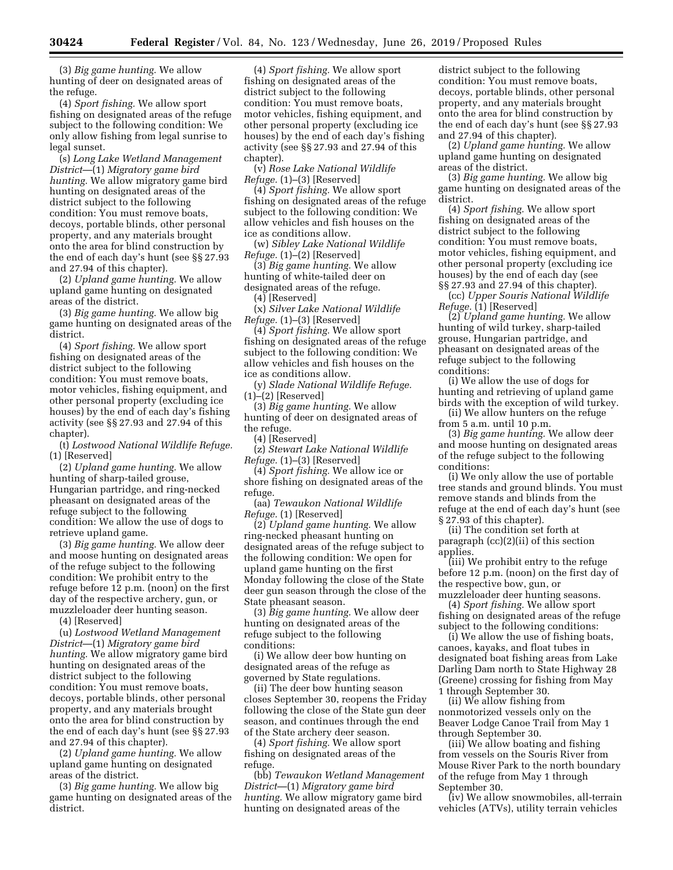(3) *Big game hunting.* We allow hunting of deer on designated areas of the refuge.

(4) *Sport fishing.* We allow sport fishing on designated areas of the refuge subject to the following condition: We only allow fishing from legal sunrise to legal sunset.

(s) *Long Lake Wetland Management District*—(1) *Migratory game bird hunting.* We allow migratory game bird hunting on designated areas of the district subject to the following condition: You must remove boats, decoys, portable blinds, other personal property, and any materials brought onto the area for blind construction by the end of each day's hunt (see §§ 27.93 and 27.94 of this chapter).

(2) *Upland game hunting.* We allow upland game hunting on designated areas of the district.

(3) *Big game hunting.* We allow big game hunting on designated areas of the district.

(4) *Sport fishing.* We allow sport fishing on designated areas of the district subject to the following condition: You must remove boats, motor vehicles, fishing equipment, and other personal property (excluding ice houses) by the end of each day's fishing activity (see §§ 27.93 and 27.94 of this chapter).

(t) *Lostwood National Wildlife Refuge.*  (1) [Reserved]

(2) *Upland game hunting.* We allow hunting of sharp-tailed grouse, Hungarian partridge, and ring-necked pheasant on designated areas of the refuge subject to the following condition: We allow the use of dogs to retrieve upland game.

(3) *Big game hunting.* We allow deer and moose hunting on designated areas of the refuge subject to the following condition: We prohibit entry to the refuge before 12 p.m. (noon) on the first day of the respective archery, gun, or muzzleloader deer hunting season.

(4) [Reserved]

(u) *Lostwood Wetland Management District*—(1) *Migratory game bird hunting.* We allow migratory game bird hunting on designated areas of the district subject to the following condition: You must remove boats, decoys, portable blinds, other personal property, and any materials brought onto the area for blind construction by the end of each day's hunt (see §§ 27.93 and 27.94 of this chapter).

(2) *Upland game hunting.* We allow upland game hunting on designated areas of the district.

(3) *Big game hunting.* We allow big game hunting on designated areas of the district.

(4) *Sport fishing.* We allow sport fishing on designated areas of the district subject to the following condition: You must remove boats, motor vehicles, fishing equipment, and other personal property (excluding ice houses) by the end of each day's fishing activity (see §§ 27.93 and 27.94 of this chapter).

(v) *Rose Lake National Wildlife Refuge.* (1)–(3) [Reserved]

(4) *Sport fishing.* We allow sport fishing on designated areas of the refuge subject to the following condition: We allow vehicles and fish houses on the ice as conditions allow.

(w) *Sibley Lake National Wildlife Refuge.* (1)–(2) [Reserved]

(3) *Big game hunting.* We allow hunting of white-tailed deer on designated areas of the refuge. (4) [Reserved]

(x) *Silver Lake National Wildlife Refuge.* (1)–(3) [Reserved]

(4) *Sport fishing.* We allow sport fishing on designated areas of the refuge subject to the following condition: We allow vehicles and fish houses on the ice as conditions allow.

(y) *Slade National Wildlife Refuge.*  (1)–(2) [Reserved]

(3) *Big game hunting.* We allow hunting of deer on designated areas of the refuge.

(4) [Reserved]

(z) *Stewart Lake National Wildlife Refuge.* (1)–(3) [Reserved]

(4) *Sport fishing.* We allow ice or shore fishing on designated areas of the refuge.

(aa) *Tewaukon National Wildlife Refuge.* (1) [Reserved]

(2) *Upland game hunting.* We allow ring-necked pheasant hunting on designated areas of the refuge subject to the following condition: We open for upland game hunting on the first Monday following the close of the State deer gun season through the close of the State pheasant season.

(3) *Big game hunting.* We allow deer hunting on designated areas of the refuge subject to the following conditions:

(i) We allow deer bow hunting on designated areas of the refuge as governed by State regulations.

(ii) The deer bow hunting season closes September 30, reopens the Friday following the close of the State gun deer season, and continues through the end of the State archery deer season.

(4) *Sport fishing.* We allow sport fishing on designated areas of the refuge.

(bb) *Tewaukon Wetland Management District*—(1) *Migratory game bird hunting.* We allow migratory game bird hunting on designated areas of the

district subject to the following condition: You must remove boats, decoys, portable blinds, other personal property, and any materials brought onto the area for blind construction by the end of each day's hunt (see §§ 27.93 and 27.94 of this chapter).

(2) *Upland game hunting.* We allow upland game hunting on designated areas of the district.

(3) *Big game hunting.* We allow big game hunting on designated areas of the district.

(4) *Sport fishing.* We allow sport fishing on designated areas of the district subject to the following condition: You must remove boats, motor vehicles, fishing equipment, and other personal property (excluding ice houses) by the end of each day (see §§ 27.93 and 27.94 of this chapter).

(cc) *Upper Souris National Wildlife Refuge.* (1) [Reserved]

(2) *Upland game hunting.* We allow hunting of wild turkey, sharp-tailed grouse, Hungarian partridge, and pheasant on designated areas of the refuge subject to the following conditions:

(i) We allow the use of dogs for hunting and retrieving of upland game birds with the exception of wild turkey.

(ii) We allow hunters on the refuge from 5 a.m. until 10 p.m.

(3) *Big game hunting.* We allow deer and moose hunting on designated areas of the refuge subject to the following conditions:

(i) We only allow the use of portable tree stands and ground blinds. You must remove stands and blinds from the refuge at the end of each day's hunt (see § 27.93 of this chapter).

(ii) The condition set forth at paragraph (cc)(2)(ii) of this section applies.

(iii) We prohibit entry to the refuge before 12 p.m. (noon) on the first day of the respective bow, gun, or muzzleloader deer hunting seasons.

(4) *Sport fishing.* We allow sport fishing on designated areas of the refuge subject to the following conditions:

(i) We allow the use of fishing boats, canoes, kayaks, and float tubes in designated boat fishing areas from Lake Darling Dam north to State Highway 28 (Greene) crossing for fishing from May 1 through September 30.

(ii) We allow fishing from nonmotorized vessels only on the Beaver Lodge Canoe Trail from May 1 through September 30.

(iii) We allow boating and fishing from vessels on the Souris River from Mouse River Park to the north boundary of the refuge from May 1 through September 30.

(iv) We allow snowmobiles, all-terrain vehicles (ATVs), utility terrain vehicles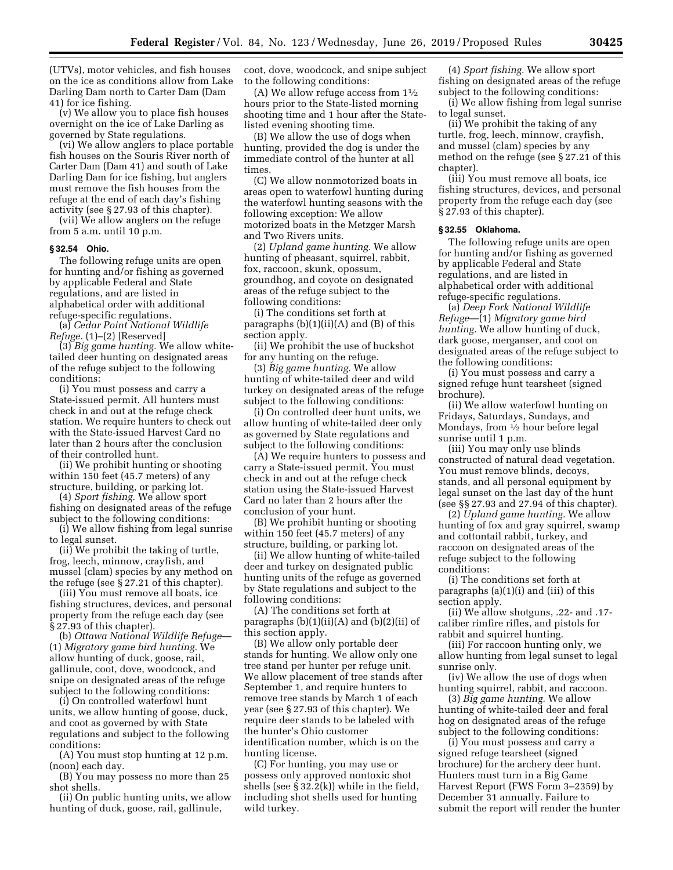(UTVs), motor vehicles, and fish houses on the ice as conditions allow from Lake Darling Dam north to Carter Dam (Dam 41) for ice fishing.

(v) We allow you to place fish houses overnight on the ice of Lake Darling as governed by State regulations.

(vi) We allow anglers to place portable fish houses on the Souris River north of Carter Dam (Dam 41) and south of Lake Darling Dam for ice fishing, but anglers must remove the fish houses from the refuge at the end of each day's fishing activity (see § 27.93 of this chapter).

(vii) We allow anglers on the refuge from 5 a.m. until 10 p.m.

# **§ 32.54 Ohio.**

The following refuge units are open for hunting and/or fishing as governed by applicable Federal and State regulations, and are listed in alphabetical order with additional refuge-specific regulations.

(a) *Cedar Point National Wildlife Refuge.* (1)–(2) [Reserved]

(3) *Big game hunting.* We allow whitetailed deer hunting on designated areas of the refuge subject to the following conditions:

(i) You must possess and carry a State-issued permit. All hunters must check in and out at the refuge check station. We require hunters to check out with the State-issued Harvest Card no later than 2 hours after the conclusion of their controlled hunt.

(ii) We prohibit hunting or shooting within 150 feet (45.7 meters) of any structure, building, or parking lot.

(4) *Sport fishing.* We allow sport fishing on designated areas of the refuge subject to the following conditions:

(i) We allow fishing from legal sunrise to legal sunset.

(ii) We prohibit the taking of turtle, frog, leech, minnow, crayfish, and mussel (clam) species by any method on the refuge (see § 27.21 of this chapter).

(iii) You must remove all boats, ice fishing structures, devices, and personal property from the refuge each day (see § 27.93 of this chapter)

(b) *Ottawa National Wildlife Refuge*— (1) *Migratory game bird hunting.* We allow hunting of duck, goose, rail, gallinule, coot, dove, woodcock, and snipe on designated areas of the refuge subject to the following conditions:

(i) On controlled waterfowl hunt units, we allow hunting of goose, duck, and coot as governed by with State regulations and subject to the following conditions:

(A) You must stop hunting at 12 p.m. (noon) each day.

(B) You may possess no more than 25 shot shells.

(ii) On public hunting units, we allow hunting of duck, goose, rail, gallinule,

coot, dove, woodcock, and snipe subject to the following conditions:

(A) We allow refuge access from  $1\frac{1}{2}$ hours prior to the State-listed morning shooting time and 1 hour after the Statelisted evening shooting time.

(B) We allow the use of dogs when hunting, provided the dog is under the immediate control of the hunter at all times.

(C) We allow nonmotorized boats in areas open to waterfowl hunting during the waterfowl hunting seasons with the following exception: We allow motorized boats in the Metzger Marsh and Two Rivers units.

(2) *Upland game hunting.* We allow hunting of pheasant, squirrel, rabbit, fox, raccoon, skunk, opossum, groundhog, and coyote on designated areas of the refuge subject to the following conditions:

(i) The conditions set forth at paragraphs  $(b)(1)(ii)(A)$  and  $(B)$  of this section apply.

(ii) We prohibit the use of buckshot for any hunting on the refuge.

(3) *Big game hunting.* We allow hunting of white-tailed deer and wild turkey on designated areas of the refuge subject to the following conditions:

(i) On controlled deer hunt units, we allow hunting of white-tailed deer only as governed by State regulations and subject to the following conditions:

(A) We require hunters to possess and carry a State-issued permit. You must check in and out at the refuge check station using the State-issued Harvest Card no later than 2 hours after the conclusion of your hunt.

(B) We prohibit hunting or shooting within 150 feet (45.7 meters) of any structure, building, or parking lot.

(ii) We allow hunting of white-tailed deer and turkey on designated public hunting units of the refuge as governed by State regulations and subject to the following conditions:

(A) The conditions set forth at paragraphs (b)(1)(ii)(A) and (b)(2)(ii) of this section apply.

(B) We allow only portable deer stands for hunting. We allow only one tree stand per hunter per refuge unit. We allow placement of tree stands after September 1, and require hunters to remove tree stands by March 1 of each year (see § 27.93 of this chapter). We require deer stands to be labeled with the hunter's Ohio customer identification number, which is on the hunting license.

(C) For hunting, you may use or possess only approved nontoxic shot shells (see § 32.2(k)) while in the field, including shot shells used for hunting wild turkey.

(4) *Sport fishing.* We allow sport fishing on designated areas of the refuge subject to the following conditions:

(i) We allow fishing from legal sunrise to legal sunset.

(ii) We prohibit the taking of any turtle, frog, leech, minnow, crayfish, and mussel (clam) species by any method on the refuge (see § 27.21 of this chapter).

(iii) You must remove all boats, ice fishing structures, devices, and personal property from the refuge each day (see § 27.93 of this chapter).

### **§ 32.55 Oklahoma.**

The following refuge units are open for hunting and/or fishing as governed by applicable Federal and State regulations, and are listed in alphabetical order with additional refuge-specific regulations.

(a) *Deep Fork National Wildlife Refuge*—(1) *Migratory game bird hunting.* We allow hunting of duck, dark goose, merganser, and coot on designated areas of the refuge subject to the following conditions:

(i) You must possess and carry a signed refuge hunt tearsheet (signed brochure).

(ii) We allow waterfowl hunting on Fridays, Saturdays, Sundays, and Mondays, from  $\frac{1}{2}$  hour before legal sunrise until 1 p.m.

(iii) You may only use blinds constructed of natural dead vegetation. You must remove blinds, decoys, stands, and all personal equipment by legal sunset on the last day of the hunt (see §§ 27.93 and 27.94 of this chapter).

(2) *Upland game hunting.* We allow hunting of fox and gray squirrel, swamp and cottontail rabbit, turkey, and raccoon on designated areas of the refuge subject to the following conditions:

(i) The conditions set forth at paragraphs (a)(1)(i) and (iii) of this section apply.

(ii) We allow shotguns, .22- and .17 caliber rimfire rifles, and pistols for rabbit and squirrel hunting.

(iii) For raccoon hunting only, we allow hunting from legal sunset to legal sunrise only.

(iv) We allow the use of dogs when hunting squirrel, rabbit, and raccoon.

(3) *Big game hunting.* We allow hunting of white-tailed deer and feral hog on designated areas of the refuge subject to the following conditions:

(i) You must possess and carry a signed refuge tearsheet (signed brochure) for the archery deer hunt. Hunters must turn in a Big Game Harvest Report (FWS Form 3–2359) by December 31 annually. Failure to submit the report will render the hunter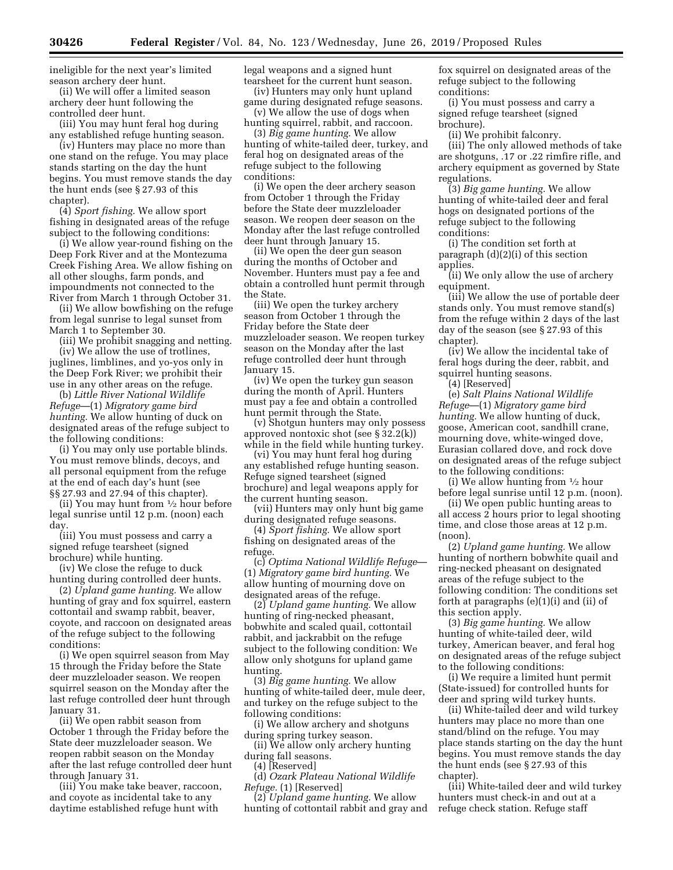ineligible for the next year's limited season archery deer hunt.

(ii) We will offer a limited season archery deer hunt following the controlled deer hunt.

(iii) You may hunt feral hog during any established refuge hunting season.

(iv) Hunters may place no more than one stand on the refuge. You may place stands starting on the day the hunt begins. You must remove stands the day the hunt ends (see § 27.93 of this chapter).

(4) *Sport fishing.* We allow sport fishing in designated areas of the refuge subject to the following conditions:

(i) We allow year-round fishing on the Deep Fork River and at the Montezuma Creek Fishing Area. We allow fishing on all other sloughs, farm ponds, and impoundments not connected to the River from March 1 through October 31.

(ii) We allow bowfishing on the refuge from legal sunrise to legal sunset from March 1 to September 30.

(iii) We prohibit snagging and netting. (iv) We allow the use of trotlines, juglines, limblines, and yo-yos only in the Deep Fork River; we prohibit their use in any other areas on the refuge.

(b) *Little River National Wildlife Refuge*—(1) *Migratory game bird hunting.* We allow hunting of duck on designated areas of the refuge subject to the following conditions:

(i) You may only use portable blinds. You must remove blinds, decoys, and all personal equipment from the refuge at the end of each day's hunt (see §§ 27.93 and 27.94 of this chapter).

(ii) You may hunt from  $\frac{1}{2}$  hour before legal sunrise until 12 p.m. (noon) each day.

(iii) You must possess and carry a signed refuge tearsheet (signed brochure) while hunting.

(iv) We close the refuge to duck hunting during controlled deer hunts.

(2) *Upland game hunting.* We allow hunting of gray and fox squirrel, eastern cottontail and swamp rabbit, beaver, coyote, and raccoon on designated areas of the refuge subject to the following conditions:

(i) We open squirrel season from May 15 through the Friday before the State deer muzzleloader season. We reopen squirrel season on the Monday after the last refuge controlled deer hunt through January 31.

(ii) We open rabbit season from October 1 through the Friday before the State deer muzzleloader season. We reopen rabbit season on the Monday after the last refuge controlled deer hunt through January 31.

(iii) You make take beaver, raccoon, and coyote as incidental take to any daytime established refuge hunt with

legal weapons and a signed hunt tearsheet for the current hunt season.

(iv) Hunters may only hunt upland game during designated refuge seasons.

(v) We allow the use of dogs when hunting squirrel, rabbit, and raccoon.

(3) *Big game hunting.* We allow hunting of white-tailed deer, turkey, and feral hog on designated areas of the refuge subject to the following conditions:

(i) We open the deer archery season from October 1 through the Friday before the State deer muzzleloader season. We reopen deer season on the Monday after the last refuge controlled deer hunt through January 15.

(ii) We open the deer gun season during the months of October and November. Hunters must pay a fee and obtain a controlled hunt permit through the State.

(iii) We open the turkey archery season from October 1 through the Friday before the State deer muzzleloader season. We reopen turkey season on the Monday after the last refuge controlled deer hunt through January 15.

(iv) We open the turkey gun season during the month of April. Hunters must pay a fee and obtain a controlled hunt permit through the State.

(v) Shotgun hunters may only possess approved nontoxic shot (see § 32.2(k)) while in the field while hunting turkey.

(vi) You may hunt feral hog during any established refuge hunting season. Refuge signed tearsheet (signed brochure) and legal weapons apply for the current hunting season.

(vii) Hunters may only hunt big game during designated refuge seasons.

(4) *Sport fishing.* We allow sport fishing on designated areas of the refuge.

(c) *Optima National Wildlife Refuge*— (1) *Migratory game bird hunting.* We allow hunting of mourning dove on designated areas of the refuge.

(2) *Upland game hunting.* We allow hunting of ring-necked pheasant, bobwhite and scaled quail, cottontail rabbit, and jackrabbit on the refuge subject to the following condition: We allow only shotguns for upland game hunting.

(3) *Big game hunting.* We allow hunting of white-tailed deer, mule deer, and turkey on the refuge subject to the following conditions:

(i) We allow archery and shotguns during spring turkey season.

(ii) We allow only archery hunting during fall seasons.

(4) [Reserved]

(d) *Ozark Plateau National Wildlife Refuge.* (1) [Reserved]

(2) *Upland game hunting.* We allow hunting of cottontail rabbit and gray and fox squirrel on designated areas of the refuge subject to the following conditions:

(i) You must possess and carry a signed refuge tearsheet (signed brochure).

(ii) We prohibit falconry.

(iii) The only allowed methods of take are shotguns, .17 or .22 rimfire rifle, and archery equipment as governed by State regulations.

(3) *Big game hunting.* We allow hunting of white-tailed deer and feral hogs on designated portions of the refuge subject to the following conditions:

(i) The condition set forth at paragraph (d)(2)(i) of this section applies.

(ii) We only allow the use of archery equipment.

(iii) We allow the use of portable deer stands only. You must remove stand(s) from the refuge within 2 days of the last day of the season (see § 27.93 of this chapter).

(iv) We allow the incidental take of feral hogs during the deer, rabbit, and squirrel hunting seasons.

(4) [Reserved]

(e) *Salt Plains National Wildlife Refuge*—(1) *Migratory game bird hunting.* We allow hunting of duck, goose, American coot, sandhill crane, mourning dove, white-winged dove, Eurasian collared dove, and rock dove on designated areas of the refuge subject to the following conditions:

(i) We allow hunting from 1⁄2 hour before legal sunrise until 12 p.m. (noon).

(ii) We open public hunting areas to all access 2 hours prior to legal shooting time, and close those areas at 12 p.m. (noon).

(2) *Upland game hunting.* We allow hunting of northern bobwhite quail and ring-necked pheasant on designated areas of the refuge subject to the following condition: The conditions set forth at paragraphs (e)(1)(i) and (ii) of this section apply.

(3) *Big game hunting.* We allow hunting of white-tailed deer, wild turkey, American beaver, and feral hog on designated areas of the refuge subject to the following conditions:

(i) We require a limited hunt permit (State-issued) for controlled hunts for deer and spring wild turkey hunts.

(ii) White-tailed deer and wild turkey hunters may place no more than one stand/blind on the refuge. You may place stands starting on the day the hunt begins. You must remove stands the day the hunt ends (see § 27.93 of this chapter).

(iii) White-tailed deer and wild turkey hunters must check-in and out at a refuge check station. Refuge staff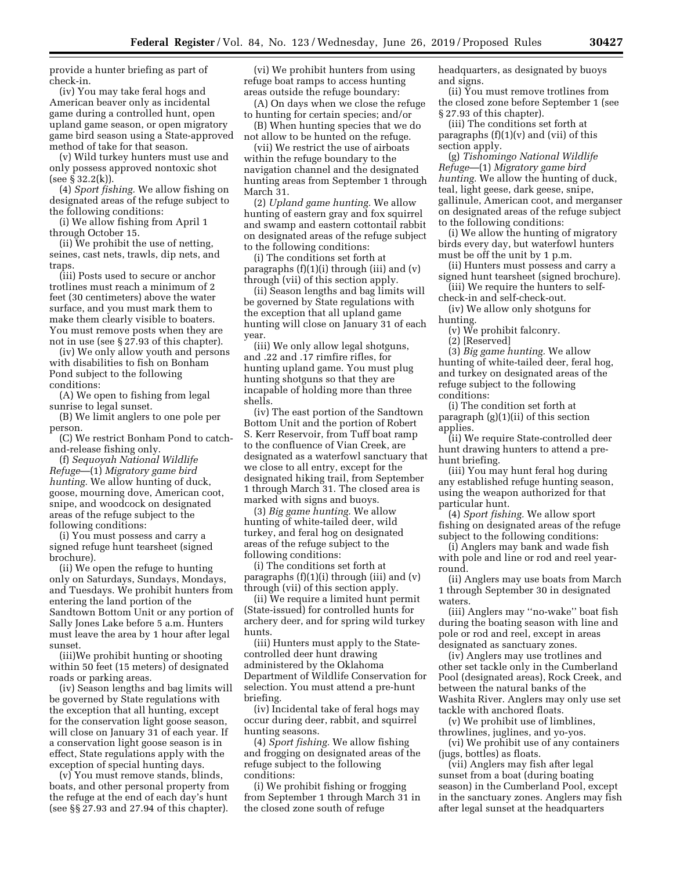provide a hunter briefing as part of check-in.

(iv) You may take feral hogs and American beaver only as incidental game during a controlled hunt, open upland game season, or open migratory game bird season using a State-approved method of take for that season.

(v) Wild turkey hunters must use and only possess approved nontoxic shot (see § 32.2(k)).

(4) *Sport fishing.* We allow fishing on designated areas of the refuge subject to the following conditions:

(i) We allow fishing from April 1 through October 15.

(ii) We prohibit the use of netting, seines, cast nets, trawls, dip nets, and traps.

(iii) Posts used to secure or anchor trotlines must reach a minimum of 2 feet (30 centimeters) above the water surface, and you must mark them to make them clearly visible to boaters. You must remove posts when they are not in use (see § 27.93 of this chapter).

(iv) We only allow youth and persons with disabilities to fish on Bonham Pond subject to the following conditions:

(A) We open to fishing from legal sunrise to legal sunset.

(B) We limit anglers to one pole per person.

(C) We restrict Bonham Pond to catchand-release fishing only.

(f) *Sequoyah National Wildlife Refuge*—(1) *Migratory game bird hunting.* We allow hunting of duck, goose, mourning dove, American coot, snipe, and woodcock on designated areas of the refuge subject to the following conditions:

(i) You must possess and carry a signed refuge hunt tearsheet (signed brochure).

(ii) We open the refuge to hunting only on Saturdays, Sundays, Mondays, and Tuesdays. We prohibit hunters from entering the land portion of the Sandtown Bottom Unit or any portion of Sally Jones Lake before 5 a.m. Hunters must leave the area by 1 hour after legal sunset.

(iii)We prohibit hunting or shooting within 50 feet (15 meters) of designated roads or parking areas.

(iv) Season lengths and bag limits will be governed by State regulations with the exception that all hunting, except for the conservation light goose season, will close on January 31 of each year. If a conservation light goose season is in effect, State regulations apply with the exception of special hunting days.

(v) You must remove stands, blinds, boats, and other personal property from the refuge at the end of each day's hunt (see §§ 27.93 and 27.94 of this chapter).

(vi) We prohibit hunters from using refuge boat ramps to access hunting areas outside the refuge boundary:

(A) On days when we close the refuge to hunting for certain species; and/or

(B) When hunting species that we do not allow to be hunted on the refuge.

(vii) We restrict the use of airboats within the refuge boundary to the navigation channel and the designated hunting areas from September 1 through March 31.

(2) *Upland game hunting.* We allow hunting of eastern gray and fox squirrel and swamp and eastern cottontail rabbit on designated areas of the refuge subject to the following conditions:

(i) The conditions set forth at paragraphs  $(f)(1)(i)$  through (iii) and  $(v)$ through (vii) of this section apply.

(ii) Season lengths and bag limits will be governed by State regulations with the exception that all upland game hunting will close on January 31 of each **vear** 

(iii) We only allow legal shotguns, and .22 and .17 rimfire rifles, for hunting upland game. You must plug hunting shotguns so that they are incapable of holding more than three shells.

(iv) The east portion of the Sandtown Bottom Unit and the portion of Robert S. Kerr Reservoir, from Tuff boat ramp to the confluence of Vian Creek, are designated as a waterfowl sanctuary that we close to all entry, except for the designated hiking trail, from September 1 through March 31. The closed area is marked with signs and buoys.

(3) *Big game hunting.* We allow hunting of white-tailed deer, wild turkey, and feral hog on designated areas of the refuge subject to the following conditions:

(i) The conditions set forth at paragraphs  $(f)(1)(i)$  through (iii) and  $(v)$ through (vii) of this section apply.

(ii) We require a limited hunt permit (State-issued) for controlled hunts for archery deer, and for spring wild turkey hunts.

(iii) Hunters must apply to the Statecontrolled deer hunt drawing administered by the Oklahoma Department of Wildlife Conservation for selection. You must attend a pre-hunt briefing.

(iv) Incidental take of feral hogs may occur during deer, rabbit, and squirrel hunting seasons.

(4) *Sport fishing.* We allow fishing and frogging on designated areas of the refuge subject to the following conditions:

(i) We prohibit fishing or frogging from September 1 through March 31 in the closed zone south of refuge

headquarters, as designated by buoys and signs.

(ii) You must remove trotlines from the closed zone before September 1 (see § 27.93 of this chapter).

(iii) The conditions set forth at paragraphs  $(f)(1)(v)$  and  $(vii)$  of this section apply.

(g) *Tishomingo National Wildlife Refuge*—(1) *Migratory game bird hunting.* We allow the hunting of duck, teal, light geese, dark geese, snipe, gallinule, American coot, and merganser on designated areas of the refuge subject to the following conditions:

(i) We allow the hunting of migratory birds every day, but waterfowl hunters must be off the unit by 1 p.m.

(ii) Hunters must possess and carry a signed hunt tearsheet (signed brochure).

(iii) We require the hunters to selfcheck-in and self-check-out.

(iv) We allow only shotguns for hunting.

(v) We prohibit falconry.

(2) [Reserved]

(3) *Big game hunting.* We allow hunting of white-tailed deer, feral hog, and turkey on designated areas of the refuge subject to the following conditions:

(i) The condition set forth at paragraph (g)(1)(ii) of this section applies.

(ii) We require State-controlled deer hunt drawing hunters to attend a prehunt briefing.

(iii) You may hunt feral hog during any established refuge hunting season, using the weapon authorized for that particular hunt.

(4) *Sport fishing.* We allow sport fishing on designated areas of the refuge subject to the following conditions:

(i) Anglers may bank and wade fish with pole and line or rod and reel yearround.

(ii) Anglers may use boats from March 1 through September 30 in designated waters.

(iii) Anglers may ''no-wake'' boat fish during the boating season with line and pole or rod and reel, except in areas designated as sanctuary zones.

(iv) Anglers may use trotlines and other set tackle only in the Cumberland Pool (designated areas), Rock Creek, and between the natural banks of the Washita River. Anglers may only use set tackle with anchored floats.

(v) We prohibit use of limblines, throwlines, juglines, and yo-yos.

(vi) We prohibit use of any containers (jugs, bottles) as floats.

(vii) Anglers may fish after legal sunset from a boat (during boating season) in the Cumberland Pool, except in the sanctuary zones. Anglers may fish after legal sunset at the headquarters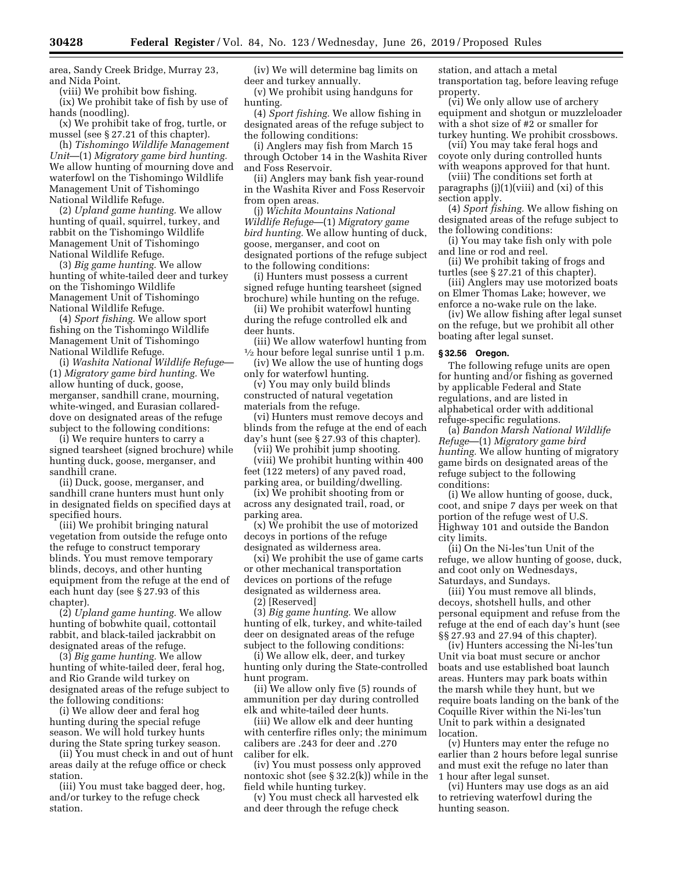area, Sandy Creek Bridge, Murray 23, and Nida Point.

(viii) We prohibit bow fishing.

(ix) We prohibit take of fish by use of hands (noodling).

(x) We prohibit take of frog, turtle, or mussel (see § 27.21 of this chapter).

(h) *Tishomingo Wildlife Management Unit*—(1) *Migratory game bird hunting.*  We allow hunting of mourning dove and waterfowl on the Tishomingo Wildlife Management Unit of Tishomingo National Wildlife Refuge.

(2) *Upland game hunting.* We allow hunting of quail, squirrel, turkey, and rabbit on the Tishomingo Wildlife Management Unit of Tishomingo National Wildlife Refuge.

(3) *Big game hunting.* We allow hunting of white-tailed deer and turkey on the Tishomingo Wildlife Management Unit of Tishomingo National Wildlife Refuge.

(4) *Sport fishing.* We allow sport fishing on the Tishomingo Wildlife Management Unit of Tishomingo National Wildlife Refuge.

(i) *Washita National Wildlife Refuge*— (1) *Migratory game bird hunting.* We allow hunting of duck, goose, merganser, sandhill crane, mourning, white-winged, and Eurasian collareddove on designated areas of the refuge subject to the following conditions:

(i) We require hunters to carry a signed tearsheet (signed brochure) while hunting duck, goose, merganser, and sandhill crane.

(ii) Duck, goose, merganser, and sandhill crane hunters must hunt only in designated fields on specified days at specified hours.

(iii) We prohibit bringing natural vegetation from outside the refuge onto the refuge to construct temporary blinds. You must remove temporary blinds, decoys, and other hunting equipment from the refuge at the end of each hunt day (see § 27.93 of this chapter).

(2) *Upland game hunting.* We allow hunting of bobwhite quail, cottontail rabbit, and black-tailed jackrabbit on designated areas of the refuge.

(3) *Big game hunting.* We allow hunting of white-tailed deer, feral hog, and Rio Grande wild turkey on designated areas of the refuge subject to the following conditions:

(i) We allow deer and feral hog hunting during the special refuge season. We will hold turkey hunts during the State spring turkey season.

(ii) You must check in and out of hunt areas daily at the refuge office or check station.

(iii) You must take bagged deer, hog, and/or turkey to the refuge check station.

(iv) We will determine bag limits on deer and turkey annually.

(v) We prohibit using handguns for hunting.

(4) *Sport fishing.* We allow fishing in designated areas of the refuge subject to the following conditions:

(i) Anglers may fish from March 15 through October 14 in the Washita River and Foss Reservoir.

(ii) Anglers may bank fish year-round in the Washita River and Foss Reservoir from open areas.

(j) *Wichita Mountains National Wildlife Refuge*—(1) *Migratory game bird hunting.* We allow hunting of duck, goose, merganser, and coot on designated portions of the refuge subject to the following conditions:

(i) Hunters must possess a current signed refuge hunting tearsheet (signed brochure) while hunting on the refuge.

(ii) We prohibit waterfowl hunting during the refuge controlled elk and deer hunts.

(iii) We allow waterfowl hunting from 1⁄2 hour before legal sunrise until 1 p.m.

(iv) We allow the use of hunting dogs only for waterfowl hunting.

(v) You may only build blinds constructed of natural vegetation materials from the refuge.

(vi) Hunters must remove decoys and blinds from the refuge at the end of each day's hunt (see § 27.93 of this chapter).

(vii) We prohibit jump shooting.

(viii) We prohibit hunting within 400 feet (122 meters) of any paved road, parking area, or building/dwelling.

(ix) We prohibit shooting from or across any designated trail, road, or parking area.

(x) We prohibit the use of motorized decoys in portions of the refuge designated as wilderness area.

(xi) We prohibit the use of game carts or other mechanical transportation devices on portions of the refuge designated as wilderness area.

(2) [Reserved]

(3) *Big game hunting.* We allow hunting of elk, turkey, and white-tailed deer on designated areas of the refuge subject to the following conditions:

(i) We allow elk, deer, and turkey hunting only during the State-controlled hunt program.

(ii) We allow only five (5) rounds of ammunition per day during controlled elk and white-tailed deer hunts.

(iii) We allow elk and deer hunting with centerfire rifles only; the minimum calibers are .243 for deer and .270 caliber for elk.

(iv) You must possess only approved nontoxic shot (see § 32.2(k)) while in the field while hunting turkey.

(v) You must check all harvested elk and deer through the refuge check

station, and attach a metal transportation tag, before leaving refuge property.

(vi) We only allow use of archery equipment and shotgun or muzzleloader with a shot size of #2 or smaller for turkey hunting. We prohibit crossbows.

(vii) You may take feral hogs and coyote only during controlled hunts

with weapons approved for that hunt. (viii) The conditions set forth at paragraphs (j)(1)(viii) and (xi) of this

section apply. (4) *Sport fishing.* We allow fishing on

designated areas of the refuge subject to the following conditions:

(i) You may take fish only with pole and line or rod and reel.

(ii) We prohibit taking of frogs and turtles (see § 27.21 of this chapter).

(iii) Anglers may use motorized boats on Elmer Thomas Lake; however, we enforce a no-wake rule on the lake.

(iv) We allow fishing after legal sunset on the refuge, but we prohibit all other boating after legal sunset.

#### **§ 32.56 Oregon.**

The following refuge units are open for hunting and/or fishing as governed by applicable Federal and State regulations, and are listed in alphabetical order with additional refuge-specific regulations.

(a) *Bandon Marsh National Wildlife Refuge*—(1) *Migratory game bird hunting.* We allow hunting of migratory game birds on designated areas of the refuge subject to the following conditions:

(i) We allow hunting of goose, duck, coot, and snipe 7 days per week on that portion of the refuge west of U.S. Highway 101 and outside the Bandon city limits.

(ii) On the Ni-les'tun Unit of the refuge, we allow hunting of goose, duck, and coot only on Wednesdays, Saturdays, and Sundays.

(iii) You must remove all blinds, decoys, shotshell hulls, and other personal equipment and refuse from the refuge at the end of each day's hunt (see §§ 27.93 and 27.94 of this chapter).

(iv) Hunters accessing the Ni-les'tun Unit via boat must secure or anchor boats and use established boat launch areas. Hunters may park boats within the marsh while they hunt, but we require boats landing on the bank of the Coquille River within the Ni-les'tun Unit to park within a designated location.

(v) Hunters may enter the refuge no earlier than 2 hours before legal sunrise and must exit the refuge no later than 1 hour after legal sunset.

(vi) Hunters may use dogs as an aid to retrieving waterfowl during the hunting season.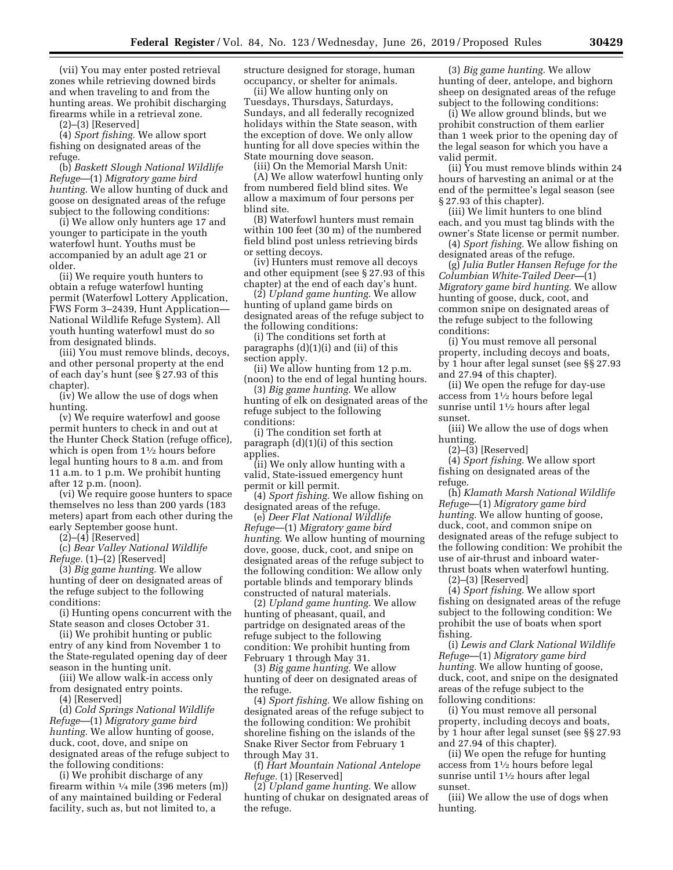(vii) You may enter posted retrieval zones while retrieving downed birds and when traveling to and from the hunting areas. We prohibit discharging firearms while in a retrieval zone.

(2)–(3) [Reserved]

(4) *Sport fishing.* We allow sport fishing on designated areas of the refuge.

(b) *Baskett Slough National Wildlife Refuge*—(1) *Migratory game bird hunting.* We allow hunting of duck and goose on designated areas of the refuge subject to the following conditions:

(i) We allow only hunters age 17 and younger to participate in the youth waterfowl hunt. Youths must be accompanied by an adult age 21 or older.

(ii) We require youth hunters to obtain a refuge waterfowl hunting permit (Waterfowl Lottery Application, FWS Form 3–2439, Hunt Application— National Wildlife Refuge System). All youth hunting waterfowl must do so from designated blinds.

(iii) You must remove blinds, decoys, and other personal property at the end of each day's hunt (see § 27.93 of this chapter).

(iv) We allow the use of dogs when hunting.

(v) We require waterfowl and goose permit hunters to check in and out at the Hunter Check Station (refuge office), which is open from  $1\frac{1}{2}$  hours before legal hunting hours to 8 a.m. and from 11 a.m. to 1 p.m. We prohibit hunting after 12 p.m. (noon).

(vi) We require goose hunters to space themselves no less than 200 yards (183 meters) apart from each other during the early September goose hunt.

(2)–(4) [Reserved]

(c) *Bear Valley National Wildlife Refuge.* (1)–(2) [Reserved]

(3) *Big game hunting.* We allow hunting of deer on designated areas of the refuge subject to the following conditions:

(i) Hunting opens concurrent with the State season and closes October 31.

(ii) We prohibit hunting or public entry of any kind from November 1 to the State-regulated opening day of deer season in the hunting unit.

(iii) We allow walk-in access only from designated entry points.

(4) [Reserved]

(d) *Cold Springs National Wildlife Refuge*—(1) *Migratory game bird hunting.* We allow hunting of goose, duck, coot, dove, and snipe on designated areas of the refuge subject to the following conditions:

(i) We prohibit discharge of any firearm within  $\frac{1}{4}$  mile (396 meters (m)) of any maintained building or Federal facility, such as, but not limited to, a

structure designed for storage, human occupancy, or shelter for animals.

(ii) We allow hunting only on Tuesdays, Thursdays, Saturdays, Sundays, and all federally recognized holidays within the State season, with the exception of dove. We only allow hunting for all dove species within the State mourning dove season.

(iii) On the Memorial Marsh Unit:

(A) We allow waterfowl hunting only from numbered field blind sites. We allow a maximum of four persons per blind site.

(B) Waterfowl hunters must remain within 100 feet (30 m) of the numbered field blind post unless retrieving birds or setting decoys.

(iv) Hunters must remove all decoys and other equipment (see § 27.93 of this chapter) at the end of each day's hunt.

(2) *Upland game hunting.* We allow hunting of upland game birds on designated areas of the refuge subject to the following conditions:

(i) The conditions set forth at paragraphs (d)(1)(i) and (ii) of this section apply.

(ii) We allow hunting from 12 p.m. (noon) to the end of legal hunting hours.

(3) *Big game hunting.* We allow hunting of elk on designated areas of the refuge subject to the following conditions:

(i) The condition set forth at paragraph  $(d)(1)(i)$  of this section applies.

(ii) We only allow hunting with a valid, State-issued emergency hunt permit or kill permit.

(4) *Sport fishing.* We allow fishing on designated areas of the refuge.

(e) *Deer Flat National Wildlife Refuge*—(1) *Migratory game bird hunting.* We allow hunting of mourning dove, goose, duck, coot, and snipe on designated areas of the refuge subject to the following condition: We allow only portable blinds and temporary blinds constructed of natural materials.

(2) *Upland game hunting.* We allow hunting of pheasant, quail, and partridge on designated areas of the refuge subject to the following condition: We prohibit hunting from February 1 through May 31.

(3) *Big game hunting.* We allow hunting of deer on designated areas of the refuge.

(4) *Sport fishing.* We allow fishing on designated areas of the refuge subject to the following condition: We prohibit shoreline fishing on the islands of the Snake River Sector from February 1 through May 31.

(f) *Hart Mountain National Antelope Refuge.* (1) [Reserved]

(2) *Upland game hunting.* We allow hunting of chukar on designated areas of the refuge.

(3) *Big game hunting.* We allow hunting of deer, antelope, and bighorn sheep on designated areas of the refuge subject to the following conditions:

(i) We allow ground blinds, but we prohibit construction of them earlier than 1 week prior to the opening day of the legal season for which you have a valid permit.

(ii) You must remove blinds within 24 hours of harvesting an animal or at the end of the permittee's legal season (see § 27.93 of this chapter).

(iii) We limit hunters to one blind each, and you must tag blinds with the owner's State license or permit number.

(4) *Sport fishing.* We allow fishing on designated areas of the refuge.

(g) *Julia Butler Hansen Refuge for the Columbian White-Tailed Deer*—(1) *Migratory game bird hunting.* We allow hunting of goose, duck, coot, and common snipe on designated areas of the refuge subject to the following conditions:

(i) You must remove all personal property, including decoys and boats, by 1 hour after legal sunset (see §§ 27.93 and 27.94 of this chapter).

(ii) We open the refuge for day-use access from 11⁄2 hours before legal sunrise until 11⁄2 hours after legal sunset.

(iii) We allow the use of dogs when hunting.

 $(2)$ – $(\overline{3})$  [Reserved]

(4) *Sport fishing.* We allow sport fishing on designated areas of the refuge.

(h) *Klamath Marsh National Wildlife Refuge*—(1) *Migratory game bird hunting.* We allow hunting of goose, duck, coot, and common snipe on designated areas of the refuge subject to the following condition: We prohibit the use of air-thrust and inboard waterthrust boats when waterfowl hunting.

(2)–(3) [Reserved]

(4) *Sport fishing.* We allow sport fishing on designated areas of the refuge subject to the following condition: We prohibit the use of boats when sport fishing.

(i) *Lewis and Clark National Wildlife Refuge*—(1) *Migratory game bird hunting.* We allow hunting of goose, duck, coot, and snipe on the designated areas of the refuge subject to the following conditions:

(i) You must remove all personal property, including decoys and boats, by 1 hour after legal sunset (see §§ 27.93 and 27.94 of this chapter).

(ii) We open the refuge for hunting access from 11⁄2 hours before legal sunrise until 11⁄2 hours after legal sunset.

(iii) We allow the use of dogs when hunting.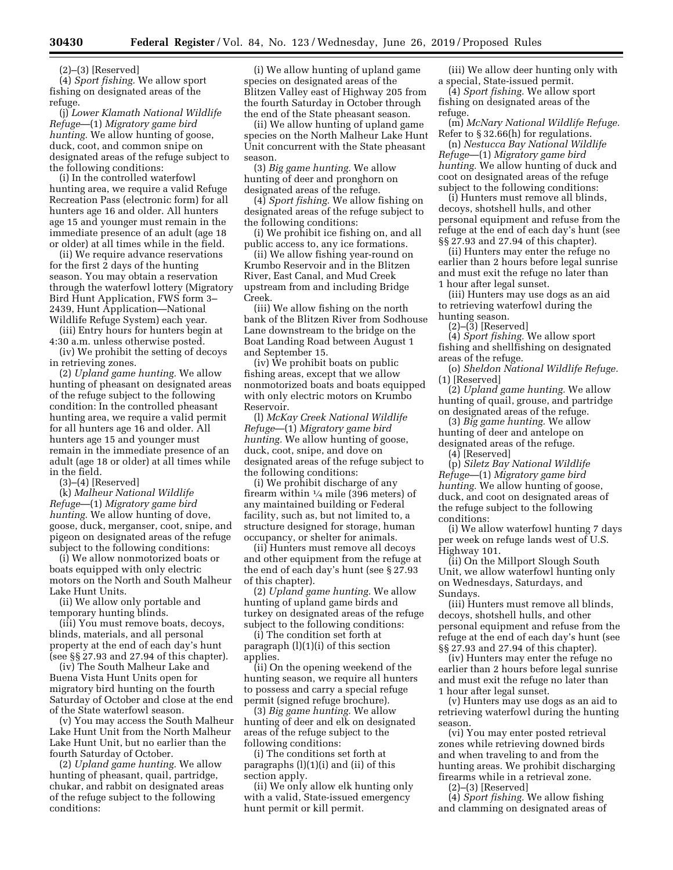(2)–(3) [Reserved]

(4) *Sport fishing.* We allow sport fishing on designated areas of the refuge.

(j) *Lower Klamath National Wildlife Refuge*—(1) *Migratory game bird hunting.* We allow hunting of goose, duck, coot, and common snipe on designated areas of the refuge subject to the following conditions:

(i) In the controlled waterfowl hunting area, we require a valid Refuge Recreation Pass (electronic form) for all hunters age 16 and older. All hunters age 15 and younger must remain in the immediate presence of an adult (age 18 or older) at all times while in the field.

(ii) We require advance reservations for the first 2 days of the hunting season. You may obtain a reservation through the waterfowl lottery (Migratory Bird Hunt Application, FWS form 3– 2439, Hunt Application—National Wildlife Refuge System) each year.

(iii) Entry hours for hunters begin at 4:30 a.m. unless otherwise posted.

(iv) We prohibit the setting of decoys in retrieving zones.

(2) *Upland game hunting.* We allow hunting of pheasant on designated areas of the refuge subject to the following condition: In the controlled pheasant hunting area, we require a valid permit for all hunters age 16 and older. All hunters age 15 and younger must remain in the immediate presence of an adult (age 18 or older) at all times while in the field.

(3)–(4) [Reserved]

(k) *Malheur National Wildlife Refuge*—(1) *Migratory game bird hunting.* We allow hunting of dove, goose, duck, merganser, coot, snipe, and pigeon on designated areas of the refuge subject to the following conditions:

(i) We allow nonmotorized boats or boats equipped with only electric motors on the North and South Malheur Lake Hunt Units.

(ii) We allow only portable and temporary hunting blinds.

(iii) You must remove boats, decoys, blinds, materials, and all personal property at the end of each day's hunt (see §§ 27.93 and 27.94 of this chapter).

(iv) The South Malheur Lake and Buena Vista Hunt Units open for migratory bird hunting on the fourth Saturday of October and close at the end of the State waterfowl season.

(v) You may access the South Malheur Lake Hunt Unit from the North Malheur Lake Hunt Unit, but no earlier than the fourth Saturday of October.

(2) *Upland game hunting.* We allow hunting of pheasant, quail, partridge, chukar, and rabbit on designated areas of the refuge subject to the following conditions:

(i) We allow hunting of upland game species on designated areas of the Blitzen Valley east of Highway 205 from the fourth Saturday in October through the end of the State pheasant season.

(ii) We allow hunting of upland game species on the North Malheur Lake Hunt Unit concurrent with the State pheasant season.

(3) *Big game hunting.* We allow hunting of deer and pronghorn on designated areas of the refuge.

(4) *Sport fishing.* We allow fishing on designated areas of the refuge subject to the following conditions:

(i) We prohibit ice fishing on, and all public access to, any ice formations.

(ii) We allow fishing year-round on Krumbo Reservoir and in the Blitzen River, East Canal, and Mud Creek upstream from and including Bridge Creek.

(iii) We allow fishing on the north bank of the Blitzen River from Sodhouse Lane downstream to the bridge on the Boat Landing Road between August 1 and September 15.

(iv) We prohibit boats on public fishing areas, except that we allow nonmotorized boats and boats equipped with only electric motors on Krumbo Reservoir.

(l) *McKay Creek National Wildlife Refuge*—(1) *Migratory game bird hunting.* We allow hunting of goose, duck, coot, snipe, and dove on designated areas of the refuge subject to the following conditions:

(i) We prohibit discharge of any firearm within 1⁄4 mile (396 meters) of any maintained building or Federal facility, such as, but not limited to, a structure designed for storage, human occupancy, or shelter for animals.

(ii) Hunters must remove all decoys and other equipment from the refuge at the end of each day's hunt (see § 27.93 of this chapter).

(2) *Upland game hunting.* We allow hunting of upland game birds and turkey on designated areas of the refuge subject to the following conditions:

(i) The condition set forth at paragraph (l)(1)(i) of this section applies.

(ii) On the opening weekend of the hunting season, we require all hunters to possess and carry a special refuge permit (signed refuge brochure).

(3) *Big game hunting.* We allow hunting of deer and elk on designated areas of the refuge subject to the following conditions:

(i) The conditions set forth at paragraphs  $(l)(1)(i)$  and  $(ii)$  of this section apply.

(ii) We only allow elk hunting only with a valid, State-issued emergency hunt permit or kill permit.

(iii) We allow deer hunting only with a special, State-issued permit.

(4) *Sport fishing.* We allow sport fishing on designated areas of the refuge.

(m) *McNary National Wildlife Refuge.*  Refer to § 32.66(h) for regulations.

(n) *Nestucca Bay National Wildlife Refuge*—(1) *Migratory game bird hunting.* We allow hunting of duck and coot on designated areas of the refuge subject to the following conditions:

(i) Hunters must remove all blinds, decoys, shotshell hulls, and other personal equipment and refuse from the refuge at the end of each day's hunt (see §§ 27.93 and 27.94 of this chapter).

(ii) Hunters may enter the refuge no earlier than 2 hours before legal sunrise and must exit the refuge no later than 1 hour after legal sunset.

(iii) Hunters may use dogs as an aid to retrieving waterfowl during the hunting season.

(2)–(3) [Reserved]

(4) *Sport fishing.* We allow sport fishing and shellfishing on designated areas of the refuge.

(o) *Sheldon National Wildlife Refuge.*  (1) [Reserved]

(2) *Upland game hunting.* We allow hunting of quail, grouse, and partridge on designated areas of the refuge.

(3) *Big game hunting.* We allow hunting of deer and antelope on designated areas of the refuge.

(4) [Reserved]

(p) *Siletz Bay National Wildlife Refuge*—(1) *Migratory game bird hunting.* We allow hunting of goose, duck, and coot on designated areas of the refuge subject to the following conditions:

(i) We allow waterfowl hunting 7 days per week on refuge lands west of U.S. Highway 101.

(ii) On the Millport Slough South Unit, we allow waterfowl hunting only on Wednesdays, Saturdays, and Sundays.

(iii) Hunters must remove all blinds, decoys, shotshell hulls, and other personal equipment and refuse from the refuge at the end of each day's hunt (see §§ 27.93 and 27.94 of this chapter).

(iv) Hunters may enter the refuge no earlier than 2 hours before legal sunrise and must exit the refuge no later than 1 hour after legal sunset.

(v) Hunters may use dogs as an aid to retrieving waterfowl during the hunting season.

(vi) You may enter posted retrieval zones while retrieving downed birds and when traveling to and from the hunting areas. We prohibit discharging firearms while in a retrieval zone.

(2)–(3) [Reserved]

(4) *Sport fishing.* We allow fishing and clamming on designated areas of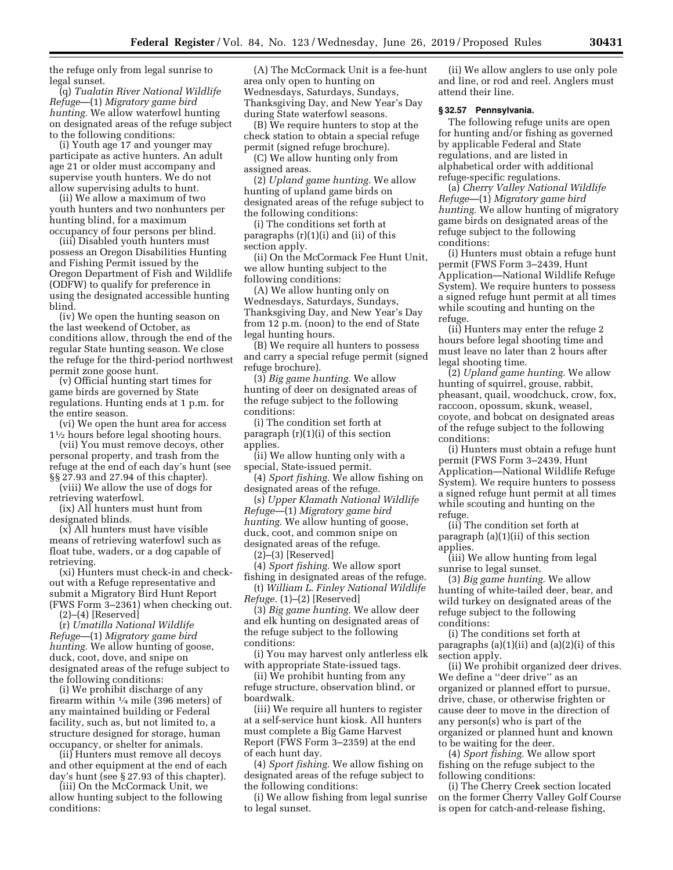the refuge only from legal sunrise to legal sunset.

(q) *Tualatin River National Wildlife Refuge*—(1) *Migratory game bird hunting.* We allow waterfowl hunting on designated areas of the refuge subject to the following conditions:

(i) Youth age 17 and younger may participate as active hunters. An adult age 21 or older must accompany and supervise youth hunters. We do not allow supervising adults to hunt.

(ii) We allow a maximum of two youth hunters and two nonhunters per hunting blind, for a maximum occupancy of four persons per blind.

(iii) Disabled youth hunters must possess an Oregon Disabilities Hunting and Fishing Permit issued by the Oregon Department of Fish and Wildlife (ODFW) to qualify for preference in using the designated accessible hunting blind.

(iv) We open the hunting season on the last weekend of October, as conditions allow, through the end of the regular State hunting season. We close the refuge for the third-period northwest permit zone goose hunt.

(v) Official hunting start times for game birds are governed by State regulations. Hunting ends at 1 p.m. for the entire season.

(vi) We open the hunt area for access 11⁄2 hours before legal shooting hours.

(vii) You must remove decoys, other personal property, and trash from the refuge at the end of each day's hunt (see §§ 27.93 and 27.94 of this chapter).

(viii) We allow the use of dogs for retrieving waterfowl.

(ix) All hunters must hunt from designated blinds.

(x) All hunters must have visible means of retrieving waterfowl such as float tube, waders, or a dog capable of retrieving.

(xi) Hunters must check-in and checkout with a Refuge representative and submit a Migratory Bird Hunt Report (FWS Form 3–2361) when checking out.

 $(2)–(4)$  [Reserved]

(r) *Umatilla National Wildlife Refuge*—(1) *Migratory game bird hunting.* We allow hunting of goose, duck, coot, dove, and snipe on designated areas of the refuge subject to the following conditions:

(i) We prohibit discharge of any firearm within 1⁄4 mile (396 meters) of any maintained building or Federal facility, such as, but not limited to, a structure designed for storage, human occupancy, or shelter for animals.

(ii) Hunters must remove all decoys and other equipment at the end of each day's hunt (see § 27.93 of this chapter).

(iii) On the McCormack Unit, we allow hunting subject to the following conditions:

(A) The McCormack Unit is a fee-hunt area only open to hunting on Wednesdays, Saturdays, Sundays, Thanksgiving Day, and New Year's Day during State waterfowl seasons.

(B) We require hunters to stop at the check station to obtain a special refuge permit (signed refuge brochure).

(C) We allow hunting only from assigned areas.

(2) *Upland game hunting.* We allow hunting of upland game birds on designated areas of the refuge subject to the following conditions:

(i) The conditions set forth at paragraphs (r)(1)(i) and (ii) of this section apply.

(ii) On the McCormack Fee Hunt Unit, we allow hunting subject to the following conditions:

(A) We allow hunting only on Wednesdays, Saturdays, Sundays, Thanksgiving Day, and New Year's Day from 12 p.m. (noon) to the end of State legal hunting hours.

(B) We require all hunters to possess and carry a special refuge permit (signed refuge brochure).

(3) *Big game hunting.* We allow hunting of deer on designated areas of the refuge subject to the following conditions:

(i) The condition set forth at paragraph (r)(1)(i) of this section applies.

(ii) We allow hunting only with a special, State-issued permit.

(4) *Sport fishing.* We allow fishing on designated areas of the refuge.

(s) *Upper Klamath National Wildlife Refuge*—(1) *Migratory game bird hunting.* We allow hunting of goose, duck, coot, and common snipe on designated areas of the refuge.

(2)–(3) [Reserved]

(4) *Sport fishing.* We allow sport fishing in designated areas of the refuge.

(t) *William L. Finley National Wildlife Refuge.* (1)–(2) [Reserved]

(3) *Big game hunting.* We allow deer and elk hunting on designated areas of the refuge subject to the following conditions:

(i) You may harvest only antlerless elk with appropriate State-issued tags.

(ii) We prohibit hunting from any refuge structure, observation blind, or boardwalk.

(iii) We require all hunters to register at a self-service hunt kiosk. All hunters must complete a Big Game Harvest Report (FWS Form 3–2359) at the end of each hunt day.

(4) *Sport fishing.* We allow fishing on designated areas of the refuge subject to the following conditions:

(i) We allow fishing from legal sunrise to legal sunset.

(ii) We allow anglers to use only pole and line, or rod and reel. Anglers must attend their line.

# **§ 32.57 Pennsylvania.**

The following refuge units are open for hunting and/or fishing as governed by applicable Federal and State regulations, and are listed in alphabetical order with additional refuge-specific regulations.

(a) *Cherry Valley National Wildlife Refuge*—(1) *Migratory game bird hunting.* We allow hunting of migratory game birds on designated areas of the refuge subject to the following conditions:

(i) Hunters must obtain a refuge hunt permit (FWS Form 3–2439, Hunt Application—National Wildlife Refuge System). We require hunters to possess a signed refuge hunt permit at all times while scouting and hunting on the refuge.

(ii) Hunters may enter the refuge 2 hours before legal shooting time and must leave no later than 2 hours after legal shooting time.

(2) *Upland game hunting.* We allow hunting of squirrel, grouse, rabbit, pheasant, quail, woodchuck, crow, fox, raccoon, opossum, skunk, weasel, coyote, and bobcat on designated areas of the refuge subject to the following conditions:

(i) Hunters must obtain a refuge hunt permit (FWS Form 3–2439, Hunt Application—National Wildlife Refuge System). We require hunters to possess a signed refuge hunt permit at all times while scouting and hunting on the refuge.

(ii) The condition set forth at paragraph (a)(1)(ii) of this section applies.

(iii) We allow hunting from legal sunrise to legal sunset.

(3) *Big game hunting.* We allow hunting of white-tailed deer, bear, and wild turkey on designated areas of the refuge subject to the following conditions:

(i) The conditions set forth at paragraphs  $(a)(1)(ii)$  and  $(a)(2)(i)$  of this section apply.

(ii) We prohibit organized deer drives. We define a ''deer drive'' as an organized or planned effort to pursue, drive, chase, or otherwise frighten or cause deer to move in the direction of any person(s) who is part of the organized or planned hunt and known to be waiting for the deer.

(4) *Sport fishing.* We allow sport fishing on the refuge subject to the following conditions:

(i) The Cherry Creek section located on the former Cherry Valley Golf Course is open for catch-and-release fishing,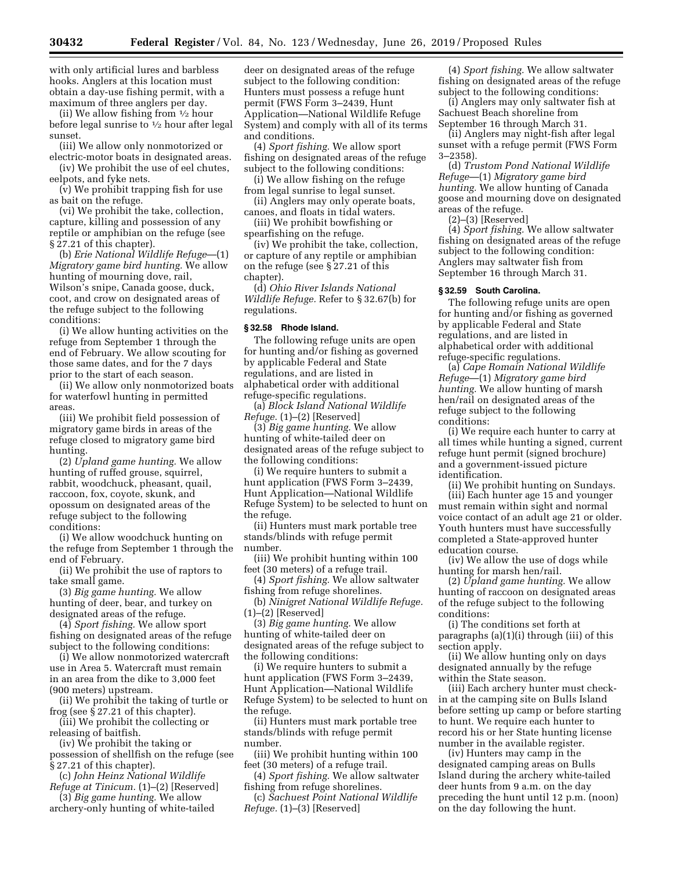with only artificial lures and barbless hooks. Anglers at this location must obtain a day-use fishing permit, with a maximum of three anglers per day.

(ii) We allow fishing from  $\frac{1}{2}$  hour before legal sunrise to  $\frac{1}{2}$  hour after legal sunset.

(iii) We allow only nonmotorized or electric-motor boats in designated areas.

(iv) We prohibit the use of eel chutes, eelpots, and fyke nets.

(v) We prohibit trapping fish for use as bait on the refuge.

(vi) We prohibit the take, collection, capture, killing and possession of any reptile or amphibian on the refuge (see § 27.21 of this chapter).

(b) *Erie National Wildlife Refuge*—(1) *Migratory game bird hunting.* We allow hunting of mourning dove, rail, Wilson's snipe, Canada goose, duck, coot, and crow on designated areas of the refuge subject to the following conditions:

(i) We allow hunting activities on the refuge from September 1 through the end of February. We allow scouting for those same dates, and for the 7 days prior to the start of each season.

(ii) We allow only nonmotorized boats for waterfowl hunting in permitted areas.

(iii) We prohibit field possession of migratory game birds in areas of the refuge closed to migratory game bird hunting.

(2) *Upland game hunting.* We allow hunting of ruffed grouse, squirrel, rabbit, woodchuck, pheasant, quail, raccoon, fox, coyote, skunk, and opossum on designated areas of the refuge subject to the following conditions:

(i) We allow woodchuck hunting on the refuge from September 1 through the end of February.

(ii) We prohibit the use of raptors to take small game.

(3) *Big game hunting.* We allow hunting of deer, bear, and turkey on designated areas of the refuge.

(4) *Sport fishing.* We allow sport fishing on designated areas of the refuge subject to the following conditions:

(i) We allow nonmotorized watercraft use in Area 5. Watercraft must remain in an area from the dike to 3,000 feet (900 meters) upstream.

(ii) We prohibit the taking of turtle or frog (see § 27.21 of this chapter).

(iii) We prohibit the collecting or releasing of baitfish.

(iv) We prohibit the taking or possession of shellfish on the refuge (see § 27.21 of this chapter).

(c) *John Heinz National Wildlife Refuge at Tinicum.* (1)–(2) [Reserved]

(3) *Big game hunting.* We allow archery-only hunting of white-tailed deer on designated areas of the refuge subject to the following condition: Hunters must possess a refuge hunt permit (FWS Form 3–2439, Hunt Application—National Wildlife Refuge System) and comply with all of its terms and conditions.

(4) *Sport fishing.* We allow sport fishing on designated areas of the refuge subject to the following conditions:

(i) We allow fishing on the refuge from legal sunrise to legal sunset.

(ii) Anglers may only operate boats, canoes, and floats in tidal waters.

(iii) We prohibit bowfishing or spearfishing on the refuge.

(iv) We prohibit the take, collection, or capture of any reptile or amphibian on the refuge (see § 27.21 of this chapter).

(d) *Ohio River Islands National Wildlife Refuge.* Refer to § 32.67(b) for regulations.

# **§ 32.58 Rhode Island.**

The following refuge units are open for hunting and/or fishing as governed by applicable Federal and State regulations, and are listed in alphabetical order with additional refuge-specific regulations.

(a) *Block Island National Wildlife Refuge.* (1)–(2) [Reserved]

(3) *Big game hunting.* We allow hunting of white-tailed deer on designated areas of the refuge subject to the following conditions:

(i) We require hunters to submit a hunt application (FWS Form 3–2439, Hunt Application—National Wildlife Refuge System) to be selected to hunt on the refuge.

(ii) Hunters must mark portable tree stands/blinds with refuge permit number.

(iii) We prohibit hunting within 100 feet (30 meters) of a refuge trail.

(4) *Sport fishing.* We allow saltwater fishing from refuge shorelines.

(b) *Ninigret National Wildlife Refuge.*  (1)–(2) [Reserved]

(3) *Big game hunting.* We allow hunting of white-tailed deer on designated areas of the refuge subject to the following conditions:

(i) We require hunters to submit a hunt application (FWS Form 3–2439, Hunt Application—National Wildlife Refuge System) to be selected to hunt on the refuge.

(ii) Hunters must mark portable tree stands/blinds with refuge permit number.

(iii) We prohibit hunting within 100 feet (30 meters) of a refuge trail.

(4) *Sport fishing.* We allow saltwater fishing from refuge shorelines.

(c) *Sachuest Point National Wildlife Refuge.* (1)–(3) [Reserved]

(4) *Sport fishing.* We allow saltwater fishing on designated areas of the refuge subject to the following conditions:

(i) Anglers may only saltwater fish at Sachuest Beach shoreline from September 16 through March 31.

(ii) Anglers may night-fish after legal sunset with a refuge permit (FWS Form 3–2358).

(d) *Trustom Pond National Wildlife Refuge*—(1) *Migratory game bird hunting.* We allow hunting of Canada goose and mourning dove on designated areas of the refuge.

(2)–(3) [Reserved]

(4) *Sport fishing.* We allow saltwater fishing on designated areas of the refuge subject to the following condition: Anglers may saltwater fish from September 16 through March 31.

#### **§ 32.59 South Carolina.**

The following refuge units are open for hunting and/or fishing as governed by applicable Federal and State regulations, and are listed in alphabetical order with additional refuge-specific regulations.

(a) *Cape Romain National Wildlife Refuge*—(1) *Migratory game bird hunting.* We allow hunting of marsh hen/rail on designated areas of the refuge subject to the following conditions:

(i) We require each hunter to carry at all times while hunting a signed, current refuge hunt permit (signed brochure) and a government-issued picture identification.

(ii) We prohibit hunting on Sundays. (iii) Each hunter age 15 and younger must remain within sight and normal voice contact of an adult age 21 or older. Youth hunters must have successfully completed a State-approved hunter education course.

(iv) We allow the use of dogs while hunting for marsh hen/rail.

(2) *Upland game hunting.* We allow hunting of raccoon on designated areas of the refuge subject to the following conditions:

(i) The conditions set forth at paragraphs (a)(1)(i) through (iii) of this section apply.

(ii) We allow hunting only on days designated annually by the refuge within the State season.

(iii) Each archery hunter must checkin at the camping site on Bulls Island before setting up camp or before starting to hunt. We require each hunter to record his or her State hunting license number in the available register.

(iv) Hunters may camp in the designated camping areas on Bulls Island during the archery white-tailed deer hunts from 9 a.m. on the day preceding the hunt until 12 p.m. (noon) on the day following the hunt.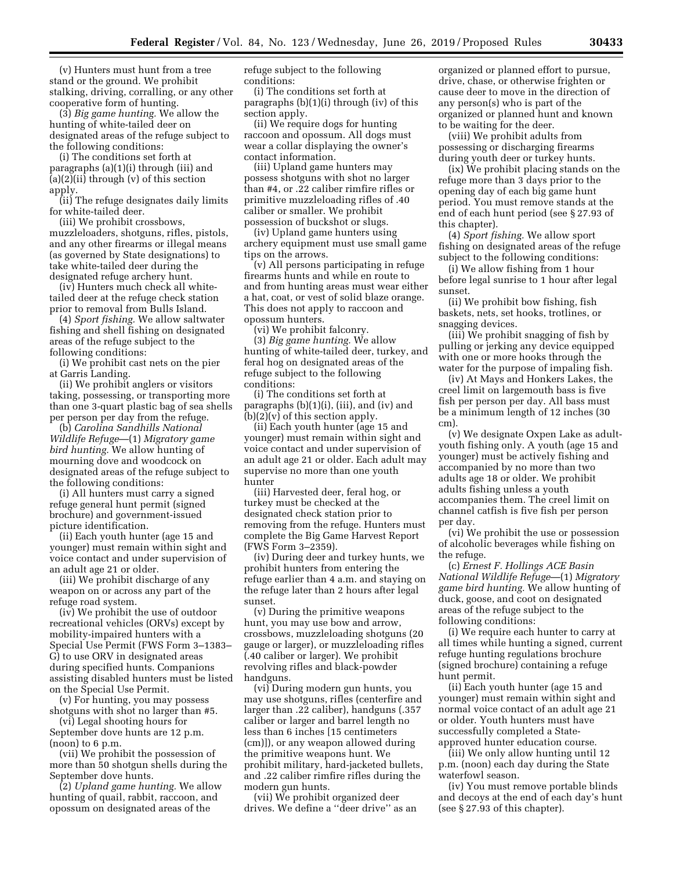(v) Hunters must hunt from a tree stand or the ground. We prohibit stalking, driving, corralling, or any other cooperative form of hunting.

(3) *Big game hunting.* We allow the hunting of white-tailed deer on designated areas of the refuge subject to the following conditions:

(i) The conditions set forth at paragraphs (a)(1)(i) through (iii) and  $(a)(2)(ii)$  through  $(v)$  of this section apply.

(ii) The refuge designates daily limits for white-tailed deer.

(iii) We prohibit crossbows, muzzleloaders, shotguns, rifles, pistols, and any other firearms or illegal means (as governed by State designations) to take white-tailed deer during the designated refuge archery hunt.

(iv) Hunters much check all whitetailed deer at the refuge check station prior to removal from Bulls Island.

(4) *Sport fishing.* We allow saltwater fishing and shell fishing on designated areas of the refuge subject to the following conditions:

(i) We prohibit cast nets on the pier at Garris Landing.

(ii) We prohibit anglers or visitors taking, possessing, or transporting more than one 3-quart plastic bag of sea shells per person per day from the refuge.

(b) *Carolina Sandhills National Wildlife Refuge*—(1) *Migratory game bird hunting.* We allow hunting of mourning dove and woodcock on designated areas of the refuge subject to the following conditions:

(i) All hunters must carry a signed refuge general hunt permit (signed brochure) and government-issued picture identification.

(ii) Each youth hunter (age 15 and younger) must remain within sight and voice contact and under supervision of an adult age 21 or older.

(iii) We prohibit discharge of any weapon on or across any part of the refuge road system.

(iv) We prohibit the use of outdoor recreational vehicles (ORVs) except by mobility-impaired hunters with a Special Use Permit (FWS Form 3–1383– G) to use ORV in designated areas during specified hunts. Companions assisting disabled hunters must be listed on the Special Use Permit.

(v) For hunting, you may possess shotguns with shot no larger than #5.

(vi) Legal shooting hours for September dove hunts are 12 p.m. (noon) to 6 p.m.

(vii) We prohibit the possession of more than 50 shotgun shells during the September dove hunts.

(2) *Upland game hunting.* We allow hunting of quail, rabbit, raccoon, and opossum on designated areas of the

refuge subject to the following conditions:

(i) The conditions set forth at paragraphs (b)(1)(i) through (iv) of this section apply.

(ii) We require dogs for hunting raccoon and opossum. All dogs must wear a collar displaying the owner's contact information.

(iii) Upland game hunters may possess shotguns with shot no larger than #4, or .22 caliber rimfire rifles or primitive muzzleloading rifles of .40 caliber or smaller. We prohibit possession of buckshot or slugs.

(iv) Upland game hunters using archery equipment must use small game tips on the arrows.

(v) All persons participating in refuge firearms hunts and while en route to and from hunting areas must wear either a hat, coat, or vest of solid blaze orange. This does not apply to raccoon and opossum hunters.

(vi) We prohibit falconry.

(3) *Big game hunting.* We allow hunting of white-tailed deer, turkey, and feral hog on designated areas of the refuge subject to the following conditions:

(i) The conditions set forth at paragraphs (b)(1)(i), (iii), and (iv) and (b)(2)(v) of this section apply.

(ii) Each youth hunter (age 15 and younger) must remain within sight and voice contact and under supervision of an adult age 21 or older. Each adult may supervise no more than one youth hunter

(iii) Harvested deer, feral hog, or turkey must be checked at the designated check station prior to removing from the refuge. Hunters must complete the Big Game Harvest Report (FWS Form 3–2359).

(iv) During deer and turkey hunts, we prohibit hunters from entering the refuge earlier than 4 a.m. and staying on the refuge later than 2 hours after legal sunset.

(v) During the primitive weapons hunt, you may use bow and arrow, crossbows, muzzleloading shotguns (20 gauge or larger), or muzzleloading rifles (.40 caliber or larger). We prohibit revolving rifles and black-powder handguns.

(vi) During modern gun hunts, you may use shotguns, rifles (centerfire and larger than .22 caliber), handguns (.357 caliber or larger and barrel length no less than 6 inches [15 centimeters (cm)]), or any weapon allowed during the primitive weapons hunt. We prohibit military, hard-jacketed bullets, and .22 caliber rimfire rifles during the modern gun hunts.

(vii) We prohibit organized deer drives. We define a ''deer drive'' as an

organized or planned effort to pursue, drive, chase, or otherwise frighten or cause deer to move in the direction of any person(s) who is part of the organized or planned hunt and known to be waiting for the deer.

(viii) We prohibit adults from possessing or discharging firearms during youth deer or turkey hunts.

(ix) We prohibit placing stands on the refuge more than 3 days prior to the opening day of each big game hunt period. You must remove stands at the end of each hunt period (see § 27.93 of this chapter).

(4) *Sport fishing.* We allow sport fishing on designated areas of the refuge subject to the following conditions:

(i) We allow fishing from 1 hour before legal sunrise to 1 hour after legal sunset.

(ii) We prohibit bow fishing, fish baskets, nets, set hooks, trotlines, or snagging devices.

(iii) We prohibit snagging of fish by pulling or jerking any device equipped with one or more hooks through the water for the purpose of impaling fish.

(iv) At Mays and Honkers Lakes, the creel limit on largemouth bass is five fish per person per day. All bass must be a minimum length of 12 inches (30 cm).

(v) We designate Oxpen Lake as adultyouth fishing only. A youth (age 15 and younger) must be actively fishing and accompanied by no more than two adults age 18 or older. We prohibit adults fishing unless a youth accompanies them. The creel limit on channel catfish is five fish per person per day.

(vi) We prohibit the use or possession of alcoholic beverages while fishing on the refuge.

(c) *Ernest F. Hollings ACE Basin National Wildlife Refuge*—(1) *Migratory game bird hunting.* We allow hunting of duck, goose, and coot on designated areas of the refuge subject to the following conditions:

(i) We require each hunter to carry at all times while hunting a signed, current refuge hunting regulations brochure (signed brochure) containing a refuge hunt permit.

(ii) Each youth hunter (age 15 and younger) must remain within sight and normal voice contact of an adult age 21 or older. Youth hunters must have successfully completed a Stateapproved hunter education course.

(iii) We only allow hunting until 12 p.m. (noon) each day during the State waterfowl season.

(iv) You must remove portable blinds and decoys at the end of each day's hunt (see § 27.93 of this chapter).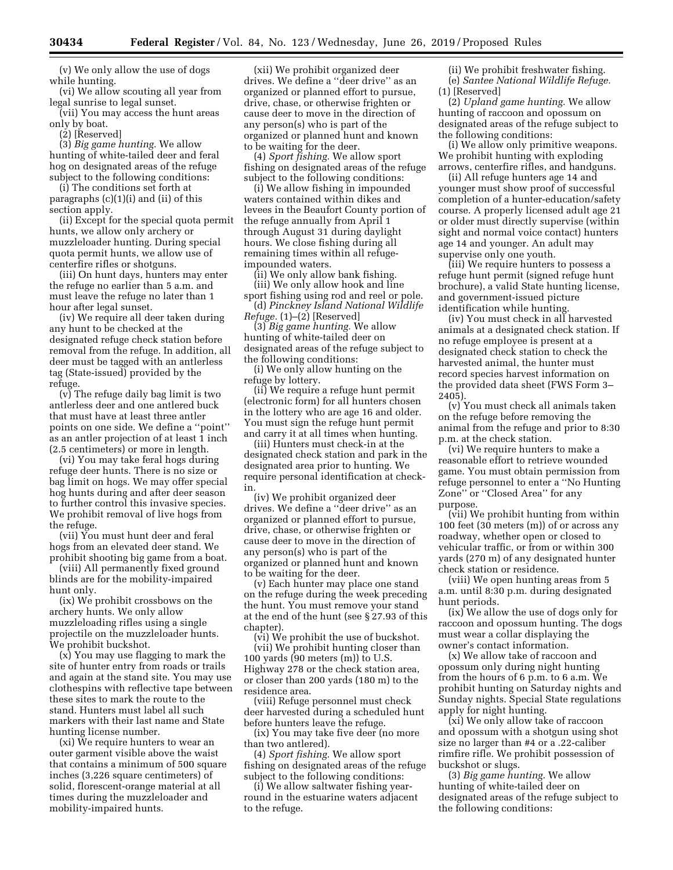(v) We only allow the use of dogs while hunting.

(vi) We allow scouting all year from legal sunrise to legal sunset.

(vii) You may access the hunt areas only by boat.

(2) [Reserved]

(3) *Big game hunting.* We allow hunting of white-tailed deer and feral hog on designated areas of the refuge subject to the following conditions:

(i) The conditions set forth at paragraphs (c)(1)(i) and (ii) of this section apply.

(ii) Except for the special quota permit hunts, we allow only archery or muzzleloader hunting. During special quota permit hunts, we allow use of centerfire rifles or shotguns.

(iii) On hunt days, hunters may enter the refuge no earlier than 5 a.m. and must leave the refuge no later than 1 hour after legal sunset.

(iv) We require all deer taken during any hunt to be checked at the designated refuge check station before removal from the refuge. In addition, all deer must be tagged with an antlerless tag (State-issued) provided by the refuge.

(v) The refuge daily bag limit is two antlerless deer and one antlered buck that must have at least three antler points on one side. We define a ''point'' as an antler projection of at least 1 inch (2.5 centimeters) or more in length.

(vi) You may take feral hogs during refuge deer hunts. There is no size or bag limit on hogs. We may offer special hog hunts during and after deer season to further control this invasive species. We prohibit removal of live hogs from the refuge.

(vii) You must hunt deer and feral hogs from an elevated deer stand. We prohibit shooting big game from a boat.

(viii) All permanently fixed ground blinds are for the mobility-impaired hunt only.

(ix) We prohibit crossbows on the archery hunts. We only allow muzzleloading rifles using a single projectile on the muzzleloader hunts. We prohibit buckshot.

(x) You may use flagging to mark the site of hunter entry from roads or trails and again at the stand site. You may use clothespins with reflective tape between these sites to mark the route to the stand. Hunters must label all such markers with their last name and State hunting license number.

(xi) We require hunters to wear an outer garment visible above the waist that contains a minimum of 500 square inches (3,226 square centimeters) of solid, florescent-orange material at all times during the muzzleloader and mobility-impaired hunts.

(xii) We prohibit organized deer drives. We define a ''deer drive'' as an organized or planned effort to pursue, drive, chase, or otherwise frighten or cause deer to move in the direction of any person(s) who is part of the organized or planned hunt and known to be waiting for the deer.

(4) *Sport fishing.* We allow sport fishing on designated areas of the refuge subject to the following conditions:

(i) We allow fishing in impounded waters contained within dikes and levees in the Beaufort County portion of the refuge annually from April 1 through August 31 during daylight hours. We close fishing during all remaining times within all refugeimpounded waters.

(ii) We only allow bank fishing. (iii) We only allow hook and line

sport fishing using rod and reel or pole. (d) *Pinckney Island National Wildlife* 

*Refuge.* (1)–(2) [Reserved]

(3) *Big game hunting.* We allow hunting of white-tailed deer on designated areas of the refuge subject to the following conditions:

(i) We only allow hunting on the refuge by lottery.

(ii) We require a refuge hunt permit (electronic form) for all hunters chosen in the lottery who are age 16 and older. You must sign the refuge hunt permit and carry it at all times when hunting.

(iii) Hunters must check-in at the designated check station and park in the designated area prior to hunting. We require personal identification at checkin.

(iv) We prohibit organized deer drives. We define a ''deer drive'' as an organized or planned effort to pursue, drive, chase, or otherwise frighten or cause deer to move in the direction of any person(s) who is part of the organized or planned hunt and known to be waiting for the deer.

(v) Each hunter may place one stand on the refuge during the week preceding the hunt. You must remove your stand at the end of the hunt (see § 27.93 of this chapter).

(vi) We prohibit the use of buckshot. (vii) We prohibit hunting closer than 100 yards (90 meters (m)) to U.S. Highway 278 or the check station area, or closer than 200 yards (180 m) to the residence area.

(viii) Refuge personnel must check deer harvested during a scheduled hunt before hunters leave the refuge.

(ix) You may take five deer (no more than two antlered).

(4) *Sport fishing.* We allow sport fishing on designated areas of the refuge subject to the following conditions:

(i) We allow saltwater fishing yearround in the estuarine waters adjacent to the refuge.

(ii) We prohibit freshwater fishing. (e) *Santee National Wildlife Refuge.*  (1) [Reserved]

(2) *Upland game hunting.* We allow hunting of raccoon and opossum on designated areas of the refuge subject to the following conditions:

(i) We allow only primitive weapons. We prohibit hunting with exploding arrows, centerfire rifles, and handguns.

(ii) All refuge hunters age 14 and younger must show proof of successful completion of a hunter-education/safety course. A properly licensed adult age 21 or older must directly supervise (within sight and normal voice contact) hunters age 14 and younger. An adult may supervise only one youth.

(iii) We require hunters to possess a refuge hunt permit (signed refuge hunt brochure), a valid State hunting license, and government-issued picture identification while hunting.

(iv) You must check in all harvested animals at a designated check station. If no refuge employee is present at a designated check station to check the harvested animal, the hunter must record species harvest information on the provided data sheet (FWS Form 3– 2405).

(v) You must check all animals taken on the refuge before removing the animal from the refuge and prior to 8:30 p.m. at the check station.

(vi) We require hunters to make a reasonable effort to retrieve wounded game. You must obtain permission from refuge personnel to enter a ''No Hunting Zone'' or ''Closed Area'' for any purpose.

(vii) We prohibit hunting from within 100 feet (30 meters (m)) of or across any roadway, whether open or closed to vehicular traffic, or from or within 300 yards (270 m) of any designated hunter check station or residence.

(viii) We open hunting areas from 5 a.m. until 8:30 p.m. during designated hunt periods.

(ix) We allow the use of dogs only for raccoon and opossum hunting. The dogs must wear a collar displaying the owner's contact information.

(x) We allow take of raccoon and opossum only during night hunting from the hours of 6 p.m. to 6 a.m. We prohibit hunting on Saturday nights and Sunday nights. Special State regulations apply for night hunting.

(xi) We only allow take of raccoon and opossum with a shotgun using shot size no larger than #4 or a .22-caliber rimfire rifle. We prohibit possession of buckshot or slugs.

(3) *Big game hunting.* We allow hunting of white-tailed deer on designated areas of the refuge subject to the following conditions: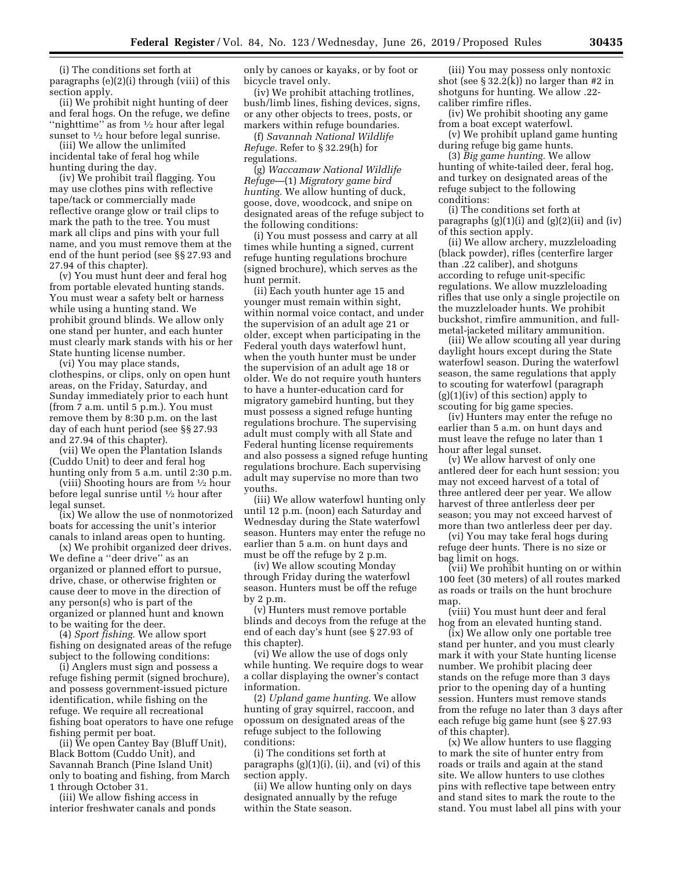(i) The conditions set forth at paragraphs (e)(2)(i) through (viii) of this section apply.

(ii) We prohibit night hunting of deer and feral hogs. On the refuge, we define "nighttime" as from  $\frac{1}{2}$  hour after legal sunset to  $\frac{1}{2}$  hour before legal sunrise.

(iii) We allow the unlimited incidental take of feral hog while hunting during the day.

(iv) We prohibit trail flagging. You may use clothes pins with reflective tape/tack or commercially made reflective orange glow or trail clips to mark the path to the tree. You must mark all clips and pins with your full name, and you must remove them at the end of the hunt period (see §§ 27.93 and 27.94 of this chapter).

(v) You must hunt deer and feral hog from portable elevated hunting stands. You must wear a safety belt or harness while using a hunting stand. We prohibit ground blinds. We allow only one stand per hunter, and each hunter must clearly mark stands with his or her State hunting license number.

(vi) You may place stands, clothespins, or clips, only on open hunt areas, on the Friday, Saturday, and Sunday immediately prior to each hunt (from 7 a.m. until 5 p.m.). You must remove them by 8:30 p.m. on the last day of each hunt period (see §§ 27.93 and 27.94 of this chapter).

(vii) We open the Plantation Islands (Cuddo Unit) to deer and feral hog hunting only from 5 a.m. until 2:30 p.m.

(viii) Shooting hours are from 1⁄2 hour before legal sunrise until 1⁄2 hour after legal sunset.

(ix) We allow the use of nonmotorized boats for accessing the unit's interior canals to inland areas open to hunting.

(x) We prohibit organized deer drives. We define a ''deer drive'' as an organized or planned effort to pursue, drive, chase, or otherwise frighten or cause deer to move in the direction of any person(s) who is part of the organized or planned hunt and known to be waiting for the deer.

(4) *Sport fishing.* We allow sport fishing on designated areas of the refuge subject to the following conditions:

(i) Anglers must sign and possess a refuge fishing permit (signed brochure), and possess government-issued picture identification, while fishing on the refuge. We require all recreational fishing boat operators to have one refuge fishing permit per boat.

(ii) We open Cantey Bay (Bluff Unit), Black Bottom (Cuddo Unit), and Savannah Branch (Pine Island Unit) only to boating and fishing, from March 1 through October 31.

(iii) We allow fishing access in interior freshwater canals and ponds only by canoes or kayaks, or by foot or bicycle travel only.

(iv) We prohibit attaching trotlines, bush/limb lines, fishing devices, signs, or any other objects to trees, posts, or markers within refuge boundaries.

(f) *Savannah National Wildlife Refuge.* Refer to § 32.29(h) for regulations.

(g) *Waccamaw National Wildlife Refuge*—(1) *Migratory game bird hunting.* We allow hunting of duck, goose, dove, woodcock, and snipe on designated areas of the refuge subject to the following conditions:

(i) You must possess and carry at all times while hunting a signed, current refuge hunting regulations brochure (signed brochure), which serves as the hunt permit.

(ii) Each youth hunter age 15 and younger must remain within sight, within normal voice contact, and under the supervision of an adult age 21 or older, except when participating in the Federal youth days waterfowl hunt, when the youth hunter must be under the supervision of an adult age 18 or older. We do not require youth hunters to have a hunter-education card for migratory gamebird hunting, but they must possess a signed refuge hunting regulations brochure. The supervising adult must comply with all State and Federal hunting license requirements and also possess a signed refuge hunting regulations brochure. Each supervising adult may supervise no more than two youths.

(iii) We allow waterfowl hunting only until 12 p.m. (noon) each Saturday and Wednesday during the State waterfowl season. Hunters may enter the refuge no earlier than 5 a.m. on hunt days and must be off the refuge by 2 p.m.

(iv) We allow scouting Monday through Friday during the waterfowl season. Hunters must be off the refuge by 2 p.m.

(v) Hunters must remove portable blinds and decoys from the refuge at the end of each day's hunt (see § 27.93 of this chapter).

(vi) We allow the use of dogs only while hunting. We require dogs to wear a collar displaying the owner's contact information.

(2) *Upland game hunting.* We allow hunting of gray squirrel, raccoon, and opossum on designated areas of the refuge subject to the following conditions:

(i) The conditions set forth at paragraphs (g)(1)(i), (ii), and (vi) of this section apply.

(ii) We allow hunting only on days designated annually by the refuge within the State season.

(iii) You may possess only nontoxic shot (see  $\S 32.2(k)$ ) no larger than #2 in shotguns for hunting. We allow .22 caliber rimfire rifles.

(iv) We prohibit shooting any game from a boat except waterfowl.

(v) We prohibit upland game hunting during refuge big game hunts.

(3) *Big game hunting.* We allow hunting of white-tailed deer, feral hog, and turkey on designated areas of the refuge subject to the following conditions:

(i) The conditions set forth at paragraphs  $(g)(1)(i)$  and  $(g)(2)(ii)$  and  $(iv)$ of this section apply.

(ii) We allow archery, muzzleloading (black powder), rifles (centerfire larger than .22 caliber), and shotguns according to refuge unit-specific regulations. We allow muzzleloading rifles that use only a single projectile on the muzzleloader hunts. We prohibit buckshot, rimfire ammunition, and fullmetal-jacketed military ammunition.

(iii) We allow scouting all year during daylight hours except during the State waterfowl season. During the waterfowl season, the same regulations that apply to scouting for waterfowl (paragraph  $(g)(1)(iv)$  of this section) apply to scouting for big game species.

(iv) Hunters may enter the refuge no earlier than 5 a.m. on hunt days and must leave the refuge no later than 1 hour after legal sunset.

(v) We allow harvest of only one antlered deer for each hunt session; you may not exceed harvest of a total of three antlered deer per year. We allow harvest of three antlerless deer per season; you may not exceed harvest of more than two antlerless deer per day.

(vi) You may take feral hogs during refuge deer hunts. There is no size or bag limit on hogs.

(vii) We prohibit hunting on or within 100 feet (30 meters) of all routes marked as roads or trails on the hunt brochure map.

(viii) You must hunt deer and feral hog from an elevated hunting stand.

(ix) We allow only one portable tree stand per hunter, and you must clearly mark it with your State hunting license number. We prohibit placing deer stands on the refuge more than 3 days prior to the opening day of a hunting session. Hunters must remove stands from the refuge no later than 3 days after each refuge big game hunt (see § 27.93 of this chapter).

(x) We allow hunters to use flagging to mark the site of hunter entry from roads or trails and again at the stand site. We allow hunters to use clothes pins with reflective tape between entry and stand sites to mark the route to the stand. You must label all pins with your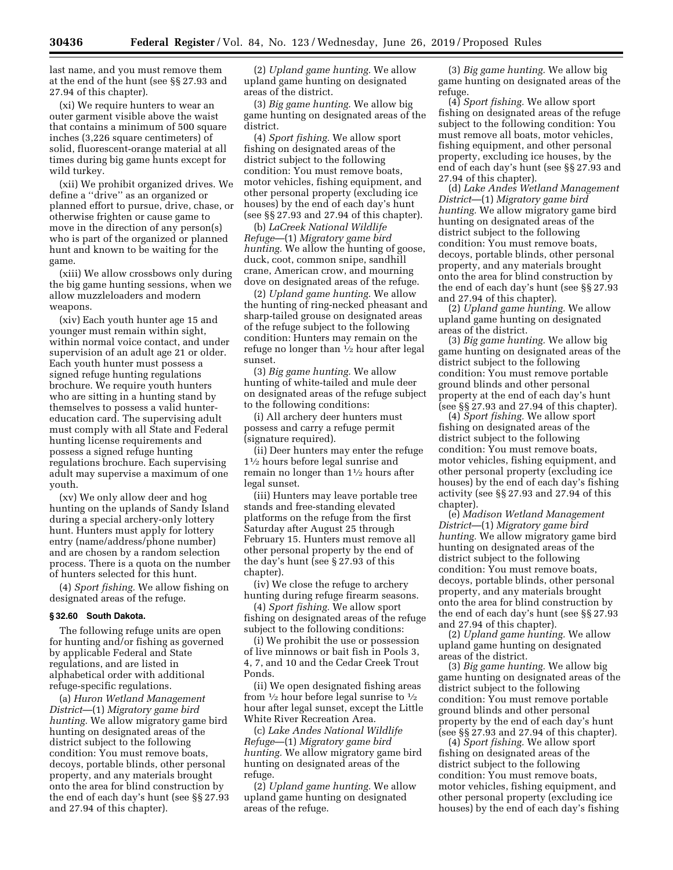last name, and you must remove them at the end of the hunt (see §§ 27.93 and 27.94 of this chapter).

(xi) We require hunters to wear an outer garment visible above the waist that contains a minimum of 500 square inches (3,226 square centimeters) of solid, fluorescent-orange material at all times during big game hunts except for wild turkey.

(xii) We prohibit organized drives. We define a ''drive'' as an organized or planned effort to pursue, drive, chase, or otherwise frighten or cause game to move in the direction of any person(s) who is part of the organized or planned hunt and known to be waiting for the game.

(xiii) We allow crossbows only during the big game hunting sessions, when we allow muzzleloaders and modern weapons.

(xiv) Each youth hunter age 15 and younger must remain within sight, within normal voice contact, and under supervision of an adult age 21 or older. Each youth hunter must possess a signed refuge hunting regulations brochure. We require youth hunters who are sitting in a hunting stand by themselves to possess a valid huntereducation card. The supervising adult must comply with all State and Federal hunting license requirements and possess a signed refuge hunting regulations brochure. Each supervising adult may supervise a maximum of one youth.

(xv) We only allow deer and hog hunting on the uplands of Sandy Island during a special archery-only lottery hunt. Hunters must apply for lottery entry (name/address/phone number) and are chosen by a random selection process. There is a quota on the number of hunters selected for this hunt.

(4) *Sport fishing.* We allow fishing on designated areas of the refuge.

### **§ 32.60 South Dakota.**

The following refuge units are open for hunting and/or fishing as governed by applicable Federal and State regulations, and are listed in alphabetical order with additional refuge-specific regulations.

(a) *Huron Wetland Management District*—(1) *Migratory game bird hunting.* We allow migratory game bird hunting on designated areas of the district subject to the following condition: You must remove boats, decoys, portable blinds, other personal property, and any materials brought onto the area for blind construction by the end of each day's hunt (see §§ 27.93 and 27.94 of this chapter).

(2) *Upland game hunting.* We allow upland game hunting on designated areas of the district.

(3) *Big game hunting.* We allow big game hunting on designated areas of the district.

(4) *Sport fishing.* We allow sport fishing on designated areas of the district subject to the following condition: You must remove boats, motor vehicles, fishing equipment, and other personal property (excluding ice houses) by the end of each day's hunt (see §§ 27.93 and 27.94 of this chapter).

(b) *LaCreek National Wildlife Refuge*—(1) *Migratory game bird hunting.* We allow the hunting of goose, duck, coot, common snipe, sandhill crane, American crow, and mourning dove on designated areas of the refuge.

(2) *Upland game hunting.* We allow the hunting of ring-necked pheasant and sharp-tailed grouse on designated areas of the refuge subject to the following condition: Hunters may remain on the refuge no longer than 1⁄2 hour after legal sunset.

(3) *Big game hunting.* We allow hunting of white-tailed and mule deer on designated areas of the refuge subject to the following conditions:

(i) All archery deer hunters must possess and carry a refuge permit (signature required).

(ii) Deer hunters may enter the refuge 11⁄2 hours before legal sunrise and remain no longer than 11⁄2 hours after legal sunset.

(iii) Hunters may leave portable tree stands and free-standing elevated platforms on the refuge from the first Saturday after August 25 through February 15. Hunters must remove all other personal property by the end of the day's hunt (see § 27.93 of this chapter).

(iv) We close the refuge to archery hunting during refuge firearm seasons.

(4) *Sport fishing.* We allow sport fishing on designated areas of the refuge subject to the following conditions:

(i) We prohibit the use or possession of live minnows or bait fish in Pools 3, 4, 7, and 10 and the Cedar Creek Trout Ponds.

(ii) We open designated fishing areas from  $\frac{1}{2}$  hour before legal sunrise to  $\frac{1}{2}$ hour after legal sunset, except the Little White River Recreation Area.

(c) *Lake Andes National Wildlife Refuge*—(1) *Migratory game bird hunting.* We allow migratory game bird hunting on designated areas of the refuge.

(2) *Upland game hunting.* We allow upland game hunting on designated areas of the refuge.

(3) *Big game hunting.* We allow big game hunting on designated areas of the refuge.

(4) *Sport fishing.* We allow sport fishing on designated areas of the refuge subject to the following condition: You must remove all boats, motor vehicles, fishing equipment, and other personal property, excluding ice houses, by the end of each day's hunt (see §§ 27.93 and 27.94 of this chapter).

(d) *Lake Andes Wetland Management District*—(1) *Migratory game bird hunting.* We allow migratory game bird hunting on designated areas of the district subject to the following condition: You must remove boats, decoys, portable blinds, other personal property, and any materials brought onto the area for blind construction by the end of each day's hunt (see §§ 27.93 and 27.94 of this chapter).

(2) *Upland game hunting.* We allow upland game hunting on designated areas of the district.

(3) *Big game hunting.* We allow big game hunting on designated areas of the district subject to the following condition: You must remove portable ground blinds and other personal property at the end of each day's hunt (see §§ 27.93 and 27.94 of this chapter).

(4) *Sport fishing.* We allow sport fishing on designated areas of the district subject to the following condition: You must remove boats, motor vehicles, fishing equipment, and other personal property (excluding ice houses) by the end of each day's fishing activity (see §§ 27.93 and 27.94 of this chapter).

(e) *Madison Wetland Management District*—(1) *Migratory game bird hunting.* We allow migratory game bird hunting on designated areas of the district subject to the following condition: You must remove boats, decoys, portable blinds, other personal property, and any materials brought onto the area for blind construction by the end of each day's hunt (see §§ 27.93 and 27.94 of this chapter).

(2) *Upland game hunting.* We allow upland game hunting on designated areas of the district.

(3) *Big game hunting.* We allow big game hunting on designated areas of the district subject to the following condition: You must remove portable ground blinds and other personal property by the end of each day's hunt (see §§ 27.93 and 27.94 of this chapter).

(4) *Sport fishing.* We allow sport fishing on designated areas of the district subject to the following condition: You must remove boats, motor vehicles, fishing equipment, and other personal property (excluding ice houses) by the end of each day's fishing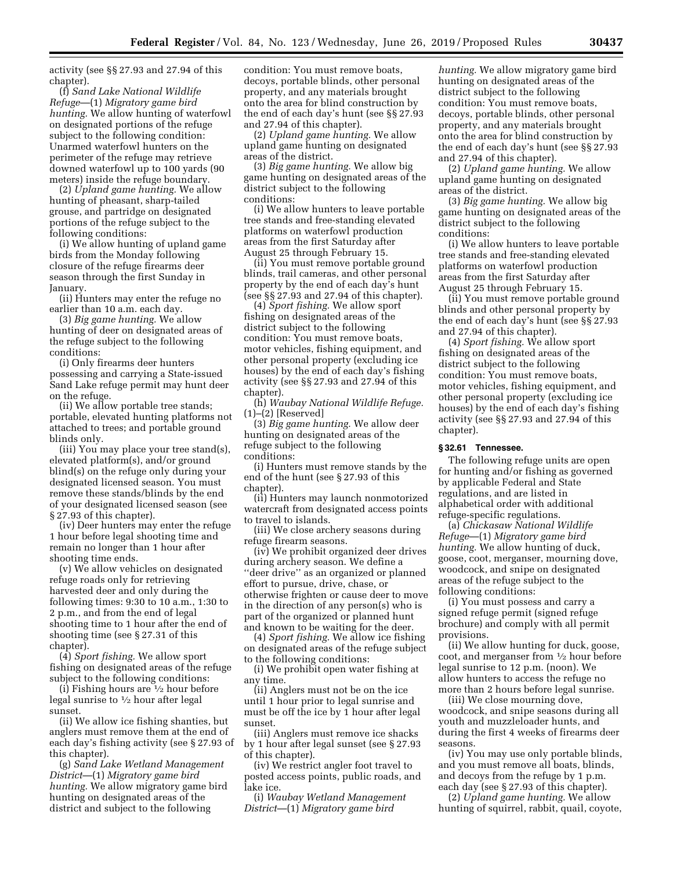activity (see §§ 27.93 and 27.94 of this chapter).

(f) *Sand Lake National Wildlife Refuge*—(1) *Migratory game bird hunting.* We allow hunting of waterfowl on designated portions of the refuge subject to the following condition: Unarmed waterfowl hunters on the perimeter of the refuge may retrieve downed waterfowl up to 100 yards (90 meters) inside the refuge boundary.

(2) *Upland game hunting.* We allow hunting of pheasant, sharp-tailed grouse, and partridge on designated portions of the refuge subject to the following conditions:

(i) We allow hunting of upland game birds from the Monday following closure of the refuge firearms deer season through the first Sunday in January.

(ii) Hunters may enter the refuge no earlier than 10 a.m. each day.

(3) *Big game hunting.* We allow hunting of deer on designated areas of the refuge subject to the following conditions:

(i) Only firearms deer hunters possessing and carrying a State-issued Sand Lake refuge permit may hunt deer on the refuge.

(ii) We allow portable tree stands; portable, elevated hunting platforms not attached to trees; and portable ground blinds only.

(iii) You may place your tree stand(s), elevated platform(s), and/or ground blind(s) on the refuge only during your designated licensed season. You must remove these stands/blinds by the end of your designated licensed season (see § 27.93 of this chapter).

(iv) Deer hunters may enter the refuge 1 hour before legal shooting time and remain no longer than 1 hour after shooting time ends.

(v) We allow vehicles on designated refuge roads only for retrieving harvested deer and only during the following times: 9:30 to 10 a.m., 1:30 to 2 p.m., and from the end of legal shooting time to 1 hour after the end of shooting time (see § 27.31 of this chapter).

(4) *Sport fishing.* We allow sport fishing on designated areas of the refuge subject to the following conditions:

(i) Fishing hours are 1⁄2 hour before legal sunrise to  $\frac{1}{2}$  hour after legal sunset.

(ii) We allow ice fishing shanties, but anglers must remove them at the end of each day's fishing activity (see § 27.93 of this chapter).

(g) *Sand Lake Wetland Management District*—(1) *Migratory game bird hunting.* We allow migratory game bird hunting on designated areas of the district and subject to the following

condition: You must remove boats, decoys, portable blinds, other personal property, and any materials brought onto the area for blind construction by the end of each day's hunt (see §§ 27.93 and 27.94 of this chapter).

(2) *Upland game hunting.* We allow upland game hunting on designated areas of the district.

(3) *Big game hunting.* We allow big game hunting on designated areas of the district subject to the following conditions:

(i) We allow hunters to leave portable tree stands and free-standing elevated platforms on waterfowl production areas from the first Saturday after August 25 through February 15.

(ii) You must remove portable ground blinds, trail cameras, and other personal property by the end of each day's hunt (see §§ 27.93 and 27.94 of this chapter).

(4) *Sport fishing.* We allow sport fishing on designated areas of the district subject to the following condition: You must remove boats, motor vehicles, fishing equipment, and other personal property (excluding ice houses) by the end of each day's fishing activity (see §§ 27.93 and 27.94 of this chapter).

(h) *Waubay National Wildlife Refuge.*  (1)–(2) [Reserved]

(3) *Big game hunting.* We allow deer hunting on designated areas of the refuge subject to the following conditions:

(i) Hunters must remove stands by the end of the hunt (see § 27.93 of this chapter).

(ii) Hunters may launch nonmotorized watercraft from designated access points to travel to islands.

(iii) We close archery seasons during refuge firearm seasons.

(iv) We prohibit organized deer drives during archery season. We define a ''deer drive'' as an organized or planned effort to pursue, drive, chase, or otherwise frighten or cause deer to move in the direction of any person(s) who is part of the organized or planned hunt and known to be waiting for the deer.

(4) *Sport fishing.* We allow ice fishing on designated areas of the refuge subject to the following conditions:

(i) We prohibit open water fishing at any time.

(ii) Anglers must not be on the ice until 1 hour prior to legal sunrise and must be off the ice by 1 hour after legal sunset.

(iii) Anglers must remove ice shacks by 1 hour after legal sunset (see § 27.93 of this chapter).

(iv) We restrict angler foot travel to posted access points, public roads, and lake ice.

(i) *Waubay Wetland Management District*—(1) *Migratory game bird* 

*hunting.* We allow migratory game bird hunting on designated areas of the district subject to the following condition: You must remove boats, decoys, portable blinds, other personal property, and any materials brought onto the area for blind construction by the end of each day's hunt (see §§ 27.93 and 27.94 of this chapter).

(2) *Upland game hunting.* We allow upland game hunting on designated areas of the district.

(3) *Big game hunting.* We allow big game hunting on designated areas of the district subject to the following conditions:

(i) We allow hunters to leave portable tree stands and free-standing elevated platforms on waterfowl production areas from the first Saturday after August 25 through February 15.

(ii) You must remove portable ground blinds and other personal property by the end of each day's hunt (see §§ 27.93 and 27.94 of this chapter).

(4) *Sport fishing.* We allow sport fishing on designated areas of the district subject to the following condition: You must remove boats, motor vehicles, fishing equipment, and other personal property (excluding ice houses) by the end of each day's fishing activity (see §§ 27.93 and 27.94 of this chapter).

# **§ 32.61 Tennessee.**

The following refuge units are open for hunting and/or fishing as governed by applicable Federal and State regulations, and are listed in alphabetical order with additional refuge-specific regulations.

(a) *Chickasaw National Wildlife Refuge*—(1) *Migratory game bird hunting.* We allow hunting of duck, goose, coot, merganser, mourning dove, woodcock, and snipe on designated areas of the refuge subject to the following conditions:

(i) You must possess and carry a signed refuge permit (signed refuge brochure) and comply with all permit provisions.

(ii) We allow hunting for duck, goose, coot, and merganser from 1⁄2 hour before legal sunrise to 12 p.m. (noon). We allow hunters to access the refuge no more than 2 hours before legal sunrise.

(iii) We close mourning dove, woodcock, and snipe seasons during all youth and muzzleloader hunts, and during the first 4 weeks of firearms deer seasons.

(iv) You may use only portable blinds, and you must remove all boats, blinds, and decoys from the refuge by 1 p.m. each day (see § 27.93 of this chapter).

(2) *Upland game hunting.* We allow hunting of squirrel, rabbit, quail, coyote,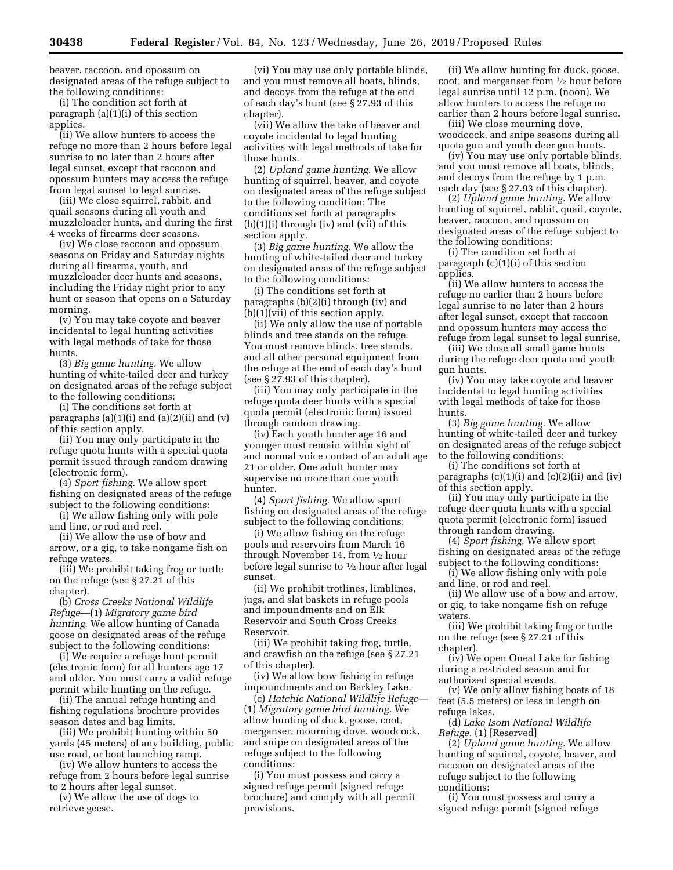beaver, raccoon, and opossum on designated areas of the refuge subject to the following conditions:

(i) The condition set forth at paragraph (a)(1)(i) of this section applies.

(ii) We allow hunters to access the refuge no more than 2 hours before legal sunrise to no later than 2 hours after legal sunset, except that raccoon and opossum hunters may access the refuge from legal sunset to legal sunrise.

(iii) We close squirrel, rabbit, and quail seasons during all youth and muzzleloader hunts, and during the first 4 weeks of firearms deer seasons.

(iv) We close raccoon and opossum seasons on Friday and Saturday nights during all firearms, youth, and muzzleloader deer hunts and seasons, including the Friday night prior to any hunt or season that opens on a Saturday morning.

(v) You may take coyote and beaver incidental to legal hunting activities with legal methods of take for those hunts.

(3) *Big game hunting.* We allow hunting of white-tailed deer and turkey on designated areas of the refuge subject to the following conditions:

(i) The conditions set forth at paragraphs  $(a)(1)(i)$  and  $(a)(2)(ii)$  and  $(v)$ of this section apply.

(ii) You may only participate in the refuge quota hunts with a special quota permit issued through random drawing (electronic form).

(4) *Sport fishing.* We allow sport fishing on designated areas of the refuge subject to the following conditions:

(i) We allow fishing only with pole and line, or rod and reel.

(ii) We allow the use of bow and arrow, or a gig, to take nongame fish on refuge waters.

(iii) We prohibit taking frog or turtle on the refuge (see § 27.21 of this chapter).

(b) *Cross Creeks National Wildlife Refuge*—(1) *Migratory game bird hunting.* We allow hunting of Canada goose on designated areas of the refuge subject to the following conditions:

(i) We require a refuge hunt permit (electronic form) for all hunters age 17 and older. You must carry a valid refuge permit while hunting on the refuge.

(ii) The annual refuge hunting and fishing regulations brochure provides season dates and bag limits.

(iii) We prohibit hunting within 50 yards (45 meters) of any building, public use road, or boat launching ramp.

(iv) We allow hunters to access the refuge from 2 hours before legal sunrise to 2 hours after legal sunset.

(v) We allow the use of dogs to retrieve geese.

(vi) You may use only portable blinds, and you must remove all boats, blinds, and decoys from the refuge at the end of each day's hunt (see § 27.93 of this chapter).

(vii) We allow the take of beaver and coyote incidental to legal hunting activities with legal methods of take for those hunts.

(2) *Upland game hunting.* We allow hunting of squirrel, beaver, and coyote on designated areas of the refuge subject to the following condition: The conditions set forth at paragraphs  $(b)(1)(i)$  through  $(iv)$  and  $(vii)$  of this section apply.

(3) *Big game hunting.* We allow the hunting of white-tailed deer and turkey on designated areas of the refuge subject to the following conditions:

(i) The conditions set forth at paragraphs (b)(2)(i) through (iv) and (b)(1)(vii) of this section apply.

(ii) We only allow the use of portable blinds and tree stands on the refuge. You must remove blinds, tree stands, and all other personal equipment from the refuge at the end of each day's hunt (see § 27.93 of this chapter).

(iii) You may only participate in the refuge quota deer hunts with a special quota permit (electronic form) issued through random drawing.

(iv) Each youth hunter age 16 and younger must remain within sight of and normal voice contact of an adult age 21 or older. One adult hunter may supervise no more than one youth hunter.

(4) *Sport fishing.* We allow sport fishing on designated areas of the refuge subject to the following conditions:

(i) We allow fishing on the refuge pools and reservoirs from March 16 through November 14, from 1⁄2 hour before legal sunrise to 1⁄2 hour after legal sunset.

(ii) We prohibit trotlines, limblines, jugs, and slat baskets in refuge pools and impoundments and on Elk Reservoir and South Cross Creeks Reservoir.

(iii) We prohibit taking frog, turtle, and crawfish on the refuge (see § 27.21 of this chapter).

(iv) We allow bow fishing in refuge impoundments and on Barkley Lake.

(c) *Hatchie National Wildlife Refuge*— (1) *Migratory game bird hunting.* We allow hunting of duck, goose, coot, merganser, mourning dove, woodcock, and snipe on designated areas of the refuge subject to the following conditions:

(i) You must possess and carry a signed refuge permit (signed refuge brochure) and comply with all permit provisions.

(ii) We allow hunting for duck, goose, coot, and merganser from 1⁄2 hour before legal sunrise until 12 p.m. (noon). We allow hunters to access the refuge no earlier than 2 hours before legal sunrise.

(iii) We close mourning dove, woodcock, and snipe seasons during all quota gun and youth deer gun hunts.

(iv) You may use only portable blinds, and you must remove all boats, blinds, and decoys from the refuge by 1 p.m. each day (see § 27.93 of this chapter).

(2) *Upland game hunting.* We allow hunting of squirrel, rabbit, quail, coyote, beaver, raccoon, and opossum on designated areas of the refuge subject to the following conditions:

(i) The condition set forth at paragraph (c)(1)(i) of this section applies.

(ii) We allow hunters to access the refuge no earlier than 2 hours before legal sunrise to no later than 2 hours after legal sunset, except that raccoon and opossum hunters may access the refuge from legal sunset to legal sunrise.

(iii) We close all small game hunts during the refuge deer quota and youth gun hunts.

(iv) You may take coyote and beaver incidental to legal hunting activities with legal methods of take for those hunts.

(3) *Big game hunting.* We allow hunting of white-tailed deer and turkey on designated areas of the refuge subject to the following conditions:

(i) The conditions set forth at paragraphs (c)(1)(i) and (c)(2)(ii) and (iv) of this section apply.

(ii) You may only participate in the refuge deer quota hunts with a special quota permit (electronic form) issued through random drawing.

(4) *Sport fishing.* We allow sport fishing on designated areas of the refuge subject to the following conditions:

(i) We allow fishing only with pole and line, or rod and reel.

(ii) We allow use of a bow and arrow, or gig, to take nongame fish on refuge waters.

(iii) We prohibit taking frog or turtle on the refuge (see § 27.21 of this chapter).

(iv) We open Oneal Lake for fishing during a restricted season and for authorized special events.

(v) We only allow fishing boats of 18 feet (5.5 meters) or less in length on refuge lakes.

(d) *Lake Isom National Wildlife Refuge.* (1) [Reserved]

(2) *Upland game hunting.* We allow hunting of squirrel, coyote, beaver, and raccoon on designated areas of the refuge subject to the following conditions:

(i) You must possess and carry a signed refuge permit (signed refuge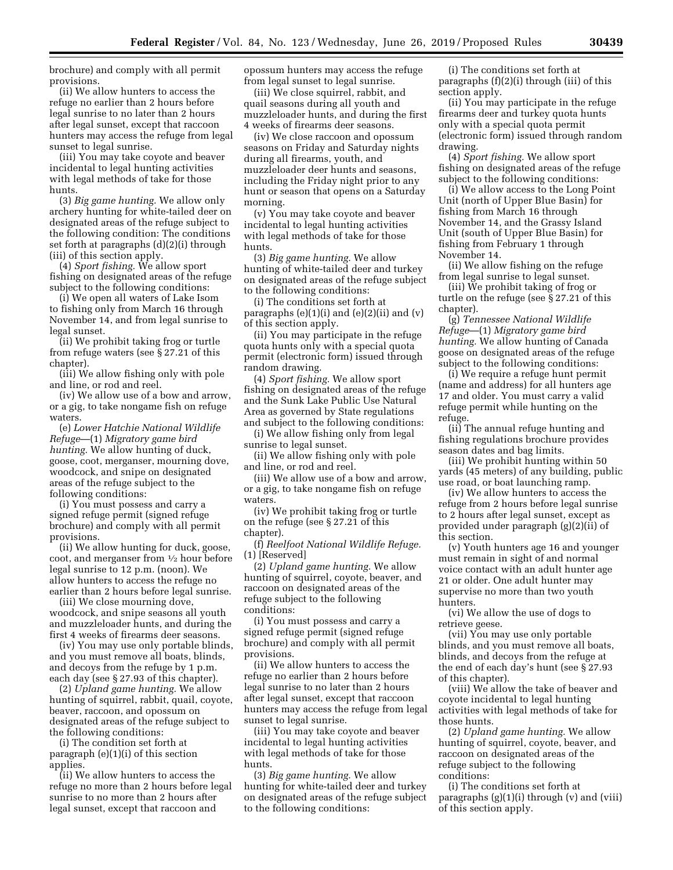brochure) and comply with all permit provisions.

(ii) We allow hunters to access the refuge no earlier than 2 hours before legal sunrise to no later than 2 hours after legal sunset, except that raccoon hunters may access the refuge from legal sunset to legal sunrise.

(iii) You may take coyote and beaver incidental to legal hunting activities with legal methods of take for those hunts.

(3) *Big game hunting.* We allow only archery hunting for white-tailed deer on designated areas of the refuge subject to the following condition: The conditions set forth at paragraphs (d)(2)(i) through (iii) of this section apply.

(4) *Sport fishing.* We allow sport fishing on designated areas of the refuge subject to the following conditions:

(i) We open all waters of Lake Isom to fishing only from March 16 through November 14, and from legal sunrise to legal sunset.

(ii) We prohibit taking frog or turtle from refuge waters (see § 27.21 of this chapter).

(iii) We allow fishing only with pole and line, or rod and reel.

(iv) We allow use of a bow and arrow, or a gig, to take nongame fish on refuge waters.

(e) *Lower Hatchie National Wildlife Refuge*—(1) *Migratory game bird hunting.* We allow hunting of duck, goose, coot, merganser, mourning dove, woodcock, and snipe on designated areas of the refuge subject to the following conditions:

(i) You must possess and carry a signed refuge permit (signed refuge brochure) and comply with all permit provisions.

(ii) We allow hunting for duck, goose, coot, and merganser from 1⁄2 hour before legal sunrise to 12 p.m. (noon). We allow hunters to access the refuge no earlier than 2 hours before legal sunrise.

(iii) We close mourning dove, woodcock, and snipe seasons all youth and muzzleloader hunts, and during the first 4 weeks of firearms deer seasons.

(iv) You may use only portable blinds, and you must remove all boats, blinds, and decoys from the refuge by 1 p.m. each day (see § 27.93 of this chapter).

(2) *Upland game hunting.* We allow hunting of squirrel, rabbit, quail, coyote, beaver, raccoon, and opossum on designated areas of the refuge subject to the following conditions:

(i) The condition set forth at paragraph (e)(1)(i) of this section applies.

(ii) We allow hunters to access the refuge no more than 2 hours before legal sunrise to no more than 2 hours after legal sunset, except that raccoon and

opossum hunters may access the refuge from legal sunset to legal sunrise.

(iii) We close squirrel, rabbit, and quail seasons during all youth and muzzleloader hunts, and during the first 4 weeks of firearms deer seasons.

(iv) We close raccoon and opossum seasons on Friday and Saturday nights during all firearms, youth, and muzzleloader deer hunts and seasons, including the Friday night prior to any hunt or season that opens on a Saturday morning.

(v) You may take coyote and beaver incidental to legal hunting activities with legal methods of take for those hunts.

(3) *Big game hunting.* We allow hunting of white-tailed deer and turkey on designated areas of the refuge subject to the following conditions:

(i) The conditions set forth at paragraphs  $(e)(1)(i)$  and  $(e)(2)(ii)$  and  $(v)$ of this section apply.

(ii) You may participate in the refuge quota hunts only with a special quota permit (electronic form) issued through random drawing.

(4) *Sport fishing.* We allow sport fishing on designated areas of the refuge and the Sunk Lake Public Use Natural Area as governed by State regulations and subject to the following conditions:

(i) We allow fishing only from legal sunrise to legal sunset.

(ii) We allow fishing only with pole and line, or rod and reel.

(iii) We allow use of a bow and arrow, or a gig, to take nongame fish on refuge waters.

(iv) We prohibit taking frog or turtle on the refuge (see § 27.21 of this chapter).

(f) *Reelfoot National Wildlife Refuge.*  (1) [Reserved]

(2) *Upland game hunting.* We allow hunting of squirrel, coyote, beaver, and raccoon on designated areas of the refuge subject to the following conditions:

(i) You must possess and carry a signed refuge permit (signed refuge brochure) and comply with all permit provisions.

(ii) We allow hunters to access the refuge no earlier than 2 hours before legal sunrise to no later than 2 hours after legal sunset, except that raccoon hunters may access the refuge from legal sunset to legal sunrise.

(iii) You may take coyote and beaver incidental to legal hunting activities with legal methods of take for those hunts.

(3) *Big game hunting.* We allow hunting for white-tailed deer and turkey on designated areas of the refuge subject to the following conditions:

(i) The conditions set forth at paragraphs (f)(2)(i) through (iii) of this section apply.

(ii) You may participate in the refuge firearms deer and turkey quota hunts only with a special quota permit (electronic form) issued through random drawing.

(4) *Sport fishing.* We allow sport fishing on designated areas of the refuge subject to the following conditions:

(i) We allow access to the Long Point Unit (north of Upper Blue Basin) for fishing from March 16 through November 14, and the Grassy Island Unit (south of Upper Blue Basin) for fishing from February 1 through November 14.

(ii) We allow fishing on the refuge from legal sunrise to legal sunset.

(iii) We prohibit taking of frog or turtle on the refuge (see § 27.21 of this chapter).

(g) *Tennessee National Wildlife Refuge*—(1) *Migratory game bird hunting.* We allow hunting of Canada goose on designated areas of the refuge subject to the following conditions:

(i) We require a refuge hunt permit (name and address) for all hunters age 17 and older. You must carry a valid refuge permit while hunting on the refuge.

(ii) The annual refuge hunting and fishing regulations brochure provides season dates and bag limits.

(iii) We prohibit hunting within 50 yards (45 meters) of any building, public use road, or boat launching ramp.

(iv) We allow hunters to access the refuge from 2 hours before legal sunrise to 2 hours after legal sunset, except as provided under paragraph (g)(2)(ii) of this section.

(v) Youth hunters age 16 and younger must remain in sight of and normal voice contact with an adult hunter age 21 or older. One adult hunter may supervise no more than two youth hunters.

(vi) We allow the use of dogs to retrieve geese.

(vii) You may use only portable blinds, and you must remove all boats, blinds, and decoys from the refuge at the end of each day's hunt (see § 27.93 of this chapter).

(viii) We allow the take of beaver and coyote incidental to legal hunting activities with legal methods of take for those hunts.

(2) *Upland game hunting.* We allow hunting of squirrel, coyote, beaver, and raccoon on designated areas of the refuge subject to the following conditions:

(i) The conditions set forth at paragraphs  $(g)(1)(i)$  through  $(v)$  and  $(vii)$ of this section apply.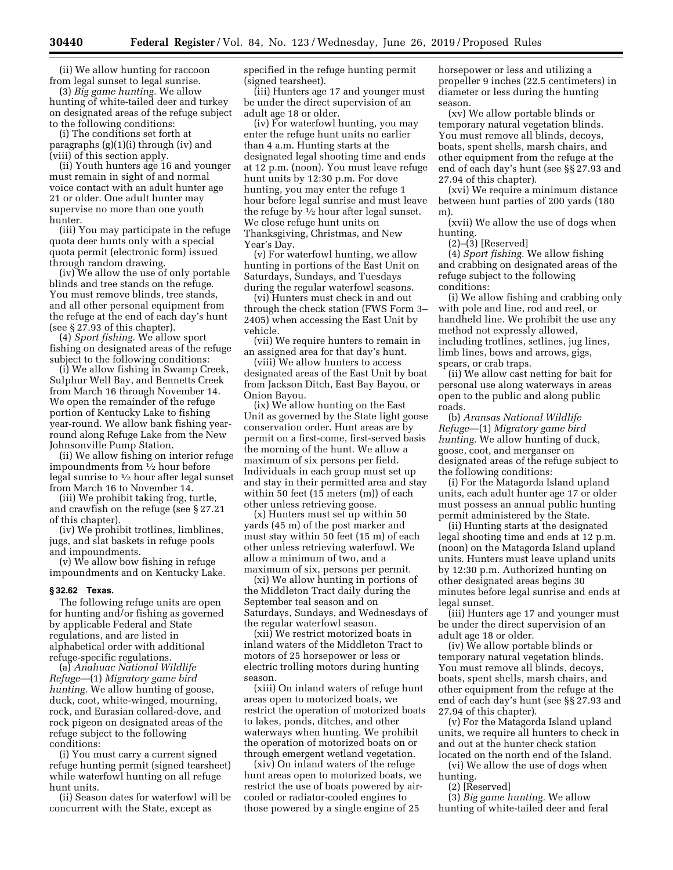(ii) We allow hunting for raccoon from legal sunset to legal sunrise.

(3) *Big game hunting.* We allow hunting of white-tailed deer and turkey on designated areas of the refuge subject to the following conditions:

(i) The conditions set forth at paragraphs (g)(1)(i) through (iv) and (viii) of this section apply.

(ii) Youth hunters age 16 and younger must remain in sight of and normal voice contact with an adult hunter age 21 or older. One adult hunter may supervise no more than one youth hunter.

(iii) You may participate in the refuge quota deer hunts only with a special quota permit (electronic form) issued through random drawing.

(iv) We allow the use of only portable blinds and tree stands on the refuge. You must remove blinds, tree stands, and all other personal equipment from the refuge at the end of each day's hunt (see § 27.93 of this chapter).

(4) *Sport fishing.* We allow sport fishing on designated areas of the refuge subject to the following conditions:

(i) We allow fishing in Swamp Creek, Sulphur Well Bay, and Bennetts Creek from March 16 through November 14. We open the remainder of the refuge portion of Kentucky Lake to fishing year-round. We allow bank fishing yearround along Refuge Lake from the New Johnsonville Pump Station.

(ii) We allow fishing on interior refuge impoundments from 1⁄2 hour before legal sunrise to 1⁄2 hour after legal sunset from March 16 to November 14.

(iii) We prohibit taking frog, turtle, and crawfish on the refuge (see § 27.21 of this chapter).

(iv) We prohibit trotlines, limblines, jugs, and slat baskets in refuge pools and impoundments.

(v) We allow bow fishing in refuge impoundments and on Kentucky Lake.

### **§ 32.62 Texas.**

The following refuge units are open for hunting and/or fishing as governed by applicable Federal and State regulations, and are listed in alphabetical order with additional refuge-specific regulations.

(a) *Anahuac National Wildlife Refuge*—(1) *Migratory game bird hunting.* We allow hunting of goose, duck, coot, white-winged, mourning, rock, and Eurasian collared-dove, and rock pigeon on designated areas of the refuge subject to the following conditions:

(i) You must carry a current signed refuge hunting permit (signed tearsheet) while waterfowl hunting on all refuge hunt units.

(ii) Season dates for waterfowl will be concurrent with the State, except as

specified in the refuge hunting permit (signed tearsheet).

(iii) Hunters age 17 and younger must be under the direct supervision of an adult age 18 or older.

(iv) For waterfowl hunting, you may enter the refuge hunt units no earlier than 4 a.m. Hunting starts at the designated legal shooting time and ends at 12 p.m. (noon). You must leave refuge hunt units by 12:30 p.m. For dove hunting, you may enter the refuge 1 hour before legal sunrise and must leave the refuge by  $\frac{1}{2}$  hour after legal sunset. We close refuge hunt units on Thanksgiving, Christmas, and New Year's Day.

(v) For waterfowl hunting, we allow hunting in portions of the East Unit on Saturdays, Sundays, and Tuesdays during the regular waterfowl seasons.

(vi) Hunters must check in and out through the check station (FWS Form 3– 2405) when accessing the East Unit by vehicle.

(vii) We require hunters to remain in an assigned area for that day's hunt.

(viii) We allow hunters to access designated areas of the East Unit by boat from Jackson Ditch, East Bay Bayou, or Onion Bayou.

(ix) We allow hunting on the East Unit as governed by the State light goose conservation order. Hunt areas are by permit on a first-come, first-served basis the morning of the hunt. We allow a maximum of six persons per field. Individuals in each group must set up and stay in their permitted area and stay within 50 feet (15 meters (m)) of each other unless retrieving goose.

(x) Hunters must set up within 50 yards (45 m) of the post marker and must stay within 50 feet (15 m) of each other unless retrieving waterfowl. We allow a minimum of two, and a maximum of six, persons per permit.

(xi) We allow hunting in portions of the Middleton Tract daily during the September teal season and on Saturdays, Sundays, and Wednesdays of the regular waterfowl season.

(xii) We restrict motorized boats in inland waters of the Middleton Tract to motors of 25 horsepower or less or electric trolling motors during hunting season.

(xiii) On inland waters of refuge hunt areas open to motorized boats, we restrict the operation of motorized boats to lakes, ponds, ditches, and other waterways when hunting. We prohibit the operation of motorized boats on or through emergent wetland vegetation.

(xiv) On inland waters of the refuge hunt areas open to motorized boats, we restrict the use of boats powered by aircooled or radiator-cooled engines to those powered by a single engine of 25

horsepower or less and utilizing a propeller 9 inches (22.5 centimeters) in diameter or less during the hunting season.

(xv) We allow portable blinds or temporary natural vegetation blinds. You must remove all blinds, decoys, boats, spent shells, marsh chairs, and other equipment from the refuge at the end of each day's hunt (see §§ 27.93 and 27.94 of this chapter).

(xvi) We require a minimum distance between hunt parties of 200 yards (180 m).

(xvii) We allow the use of dogs when hunting.

 $(2)$ – $(\overline{3})$  [Reserved]

(4) *Sport fishing.* We allow fishing and crabbing on designated areas of the refuge subject to the following conditions:

(i) We allow fishing and crabbing only with pole and line, rod and reel, or handheld line. We prohibit the use any method not expressly allowed, including trotlines, setlines, jug lines, limb lines, bows and arrows, gigs, spears, or crab traps.

(ii) We allow cast netting for bait for personal use along waterways in areas open to the public and along public roads.

(b) *Aransas National Wildlife Refuge*—(1) *Migratory game bird hunting.* We allow hunting of duck, goose, coot, and merganser on designated areas of the refuge subject to the following conditions:

(i) For the Matagorda Island upland units, each adult hunter age 17 or older must possess an annual public hunting permit administered by the State.

(ii) Hunting starts at the designated legal shooting time and ends at 12 p.m. (noon) on the Matagorda Island upland units. Hunters must leave upland units by 12:30 p.m. Authorized hunting on other designated areas begins 30 minutes before legal sunrise and ends at legal sunset.

(iii) Hunters age 17 and younger must be under the direct supervision of an adult age 18 or older.

(iv) We allow portable blinds or temporary natural vegetation blinds. You must remove all blinds, decoys, boats, spent shells, marsh chairs, and other equipment from the refuge at the end of each day's hunt (see §§ 27.93 and 27.94 of this chapter).

(v) For the Matagorda Island upland units, we require all hunters to check in and out at the hunter check station located on the north end of the Island.

(vi) We allow the use of dogs when hunting.

(2) [Reserved]

(3) *Big game hunting.* We allow hunting of white-tailed deer and feral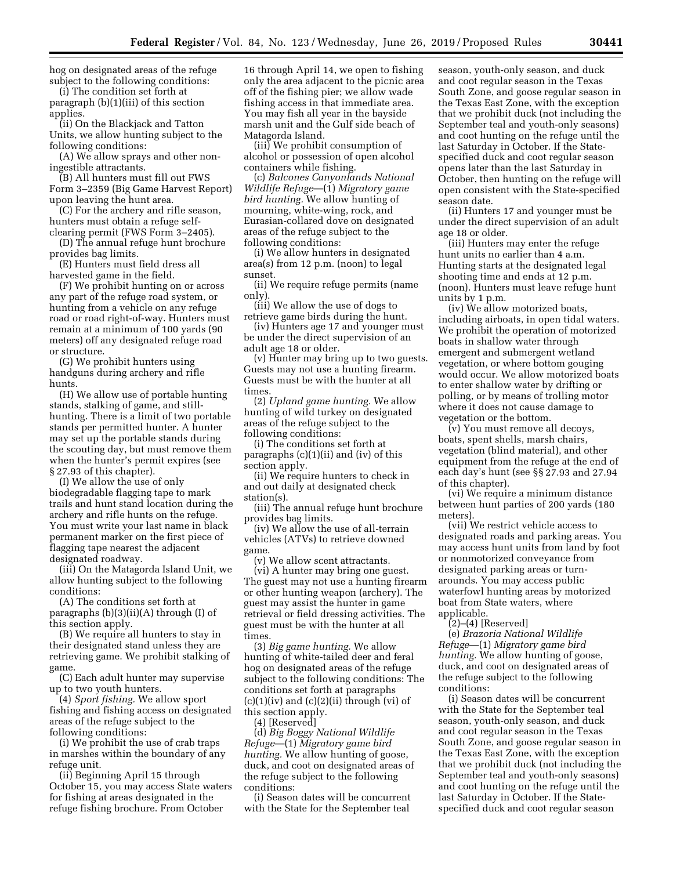hog on designated areas of the refuge subject to the following conditions:

(i) The condition set forth at paragraph (b)(1)(iii) of this section applies.

(ii) On the Blackjack and Tatton Units, we allow hunting subject to the following conditions:

(A) We allow sprays and other noningestible attractants.

(B) All hunters must fill out FWS Form 3–2359 (Big Game Harvest Report) upon leaving the hunt area.

(C) For the archery and rifle season, hunters must obtain a refuge selfclearing permit (FWS Form 3–2405).

(D) The annual refuge hunt brochure provides bag limits.

(E) Hunters must field dress all harvested game in the field.

(F) We prohibit hunting on or across any part of the refuge road system, or hunting from a vehicle on any refuge road or road right-of-way. Hunters must remain at a minimum of 100 yards (90 meters) off any designated refuge road or structure.

(G) We prohibit hunters using handguns during archery and rifle hunts.

(H) We allow use of portable hunting stands, stalking of game, and stillhunting. There is a limit of two portable stands per permitted hunter. A hunter may set up the portable stands during the scouting day, but must remove them when the hunter's permit expires (see § 27.93 of this chapter).

(I) We allow the use of only biodegradable flagging tape to mark trails and hunt stand location during the archery and rifle hunts on the refuge. You must write your last name in black permanent marker on the first piece of flagging tape nearest the adjacent designated roadway.

(iii) On the Matagorda Island Unit, we allow hunting subject to the following conditions:

(A) The conditions set forth at paragraphs (b)(3)(ii)(A) through (I) of this section apply.

(B) We require all hunters to stay in their designated stand unless they are retrieving game. We prohibit stalking of game.

(C) Each adult hunter may supervise up to two youth hunters.

(4) *Sport fishing.* We allow sport fishing and fishing access on designated areas of the refuge subject to the following conditions:

(i) We prohibit the use of crab traps in marshes within the boundary of any refuge unit.

(ii) Beginning April 15 through October 15, you may access State waters for fishing at areas designated in the refuge fishing brochure. From October

16 through April 14, we open to fishing only the area adjacent to the picnic area off of the fishing pier; we allow wade fishing access in that immediate area. You may fish all year in the bayside marsh unit and the Gulf side beach of Matagorda Island.

(iii) We prohibit consumption of alcohol or possession of open alcohol containers while fishing.

(c) *Balcones Canyonlands National Wildlife Refuge*—(1) *Migratory game bird hunting.* We allow hunting of mourning, white-wing, rock, and Eurasian-collared dove on designated areas of the refuge subject to the following conditions:

(i) We allow hunters in designated area(s) from 12 p.m. (noon) to legal sunset.

(ii) We require refuge permits (name only).

(iii) We allow the use of dogs to retrieve game birds during the hunt.

(iv) Hunters age 17 and younger must be under the direct supervision of an adult age 18 or older.

(v) Hunter may bring up to two guests. Guests may not use a hunting firearm. Guests must be with the hunter at all times.

(2) *Upland game hunting.* We allow hunting of wild turkey on designated areas of the refuge subject to the following conditions:

(i) The conditions set forth at paragraphs (c)(1)(ii) and (iv) of this section apply.

(ii) We require hunters to check in and out daily at designated check station(s).

(iii) The annual refuge hunt brochure provides bag limits.

(iv) We allow the use of all-terrain vehicles (ATVs) to retrieve downed game.

(v) We allow scent attractants. (vi) A hunter may bring one guest. The guest may not use a hunting firearm or other hunting weapon (archery). The guest may assist the hunter in game retrieval or field dressing activities. The guest must be with the hunter at all times.

(3) *Big game hunting.* We allow hunting of white-tailed deer and feral hog on designated areas of the refuge subject to the following conditions: The conditions set forth at paragraphs  $(c)(1)(iv)$  and  $(c)(2)(ii)$  through  $(vi)$  of this section apply.

(4) [Reserved]

(d) *Big Boggy National Wildlife Refuge*—(1) *Migratory game bird hunting.* We allow hunting of goose, duck, and coot on designated areas of the refuge subject to the following conditions:

(i) Season dates will be concurrent with the State for the September teal

season, youth-only season, and duck and coot regular season in the Texas South Zone, and goose regular season in the Texas East Zone, with the exception that we prohibit duck (not including the September teal and youth-only seasons) and coot hunting on the refuge until the last Saturday in October. If the Statespecified duck and coot regular season opens later than the last Saturday in October, then hunting on the refuge will open consistent with the State-specified season date.

(ii) Hunters 17 and younger must be under the direct supervision of an adult age 18 or older.

(iii) Hunters may enter the refuge hunt units no earlier than 4 a.m. Hunting starts at the designated legal shooting time and ends at 12 p.m. (noon). Hunters must leave refuge hunt units by 1 p.m.

(iv) We allow motorized boats, including airboats, in open tidal waters. We prohibit the operation of motorized boats in shallow water through emergent and submergent wetland vegetation, or where bottom gouging would occur. We allow motorized boats to enter shallow water by drifting or polling, or by means of trolling motor where it does not cause damage to vegetation or the bottom.

(v) You must remove all decoys, boats, spent shells, marsh chairs, vegetation (blind material), and other equipment from the refuge at the end of each day's hunt (see §§ 27.93 and 27.94 of this chapter).

(vi) We require a minimum distance between hunt parties of 200 yards (180 meters).

(vii) We restrict vehicle access to designated roads and parking areas. You may access hunt units from land by foot or nonmotorized conveyance from designated parking areas or turnarounds. You may access public waterfowl hunting areas by motorized boat from State waters, where applicable.

 $(2)$ – $(4)$  [Reserved]

(e) *Brazoria National Wildlife Refuge*—(1) *Migratory game bird hunting.* We allow hunting of goose, duck, and coot on designated areas of the refuge subject to the following conditions:

(i) Season dates will be concurrent with the State for the September teal season, youth-only season, and duck and coot regular season in the Texas South Zone, and goose regular season in the Texas East Zone, with the exception that we prohibit duck (not including the September teal and youth-only seasons) and coot hunting on the refuge until the last Saturday in October. If the Statespecified duck and coot regular season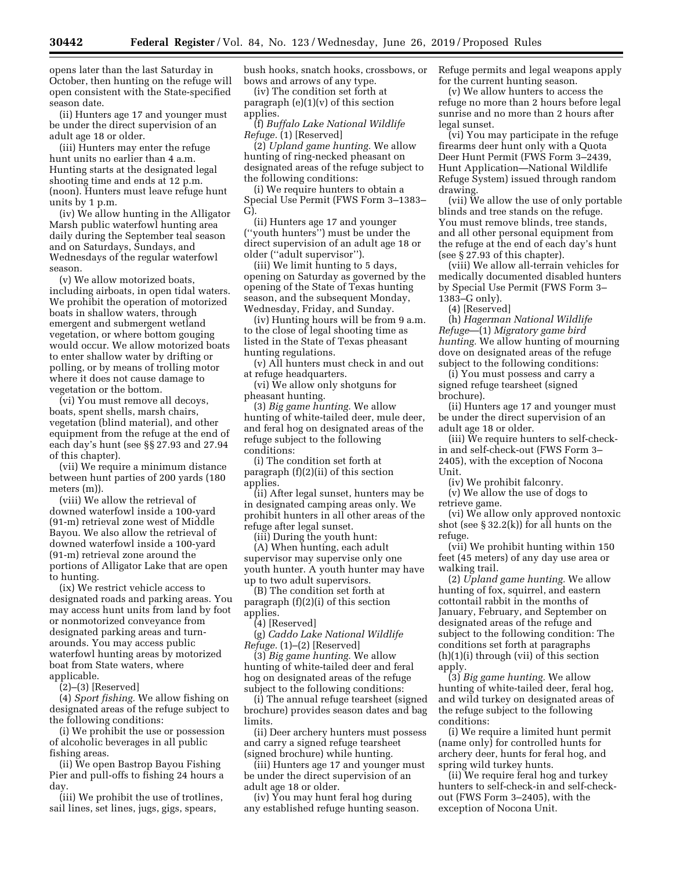opens later than the last Saturday in October, then hunting on the refuge will open consistent with the State-specified season date.

(ii) Hunters age 17 and younger must be under the direct supervision of an adult age 18 or older.

(iii) Hunters may enter the refuge hunt units no earlier than 4 a.m. Hunting starts at the designated legal shooting time and ends at 12 p.m. (noon). Hunters must leave refuge hunt units by 1 p.m.

(iv) We allow hunting in the Alligator Marsh public waterfowl hunting area daily during the September teal season and on Saturdays, Sundays, and Wednesdays of the regular waterfowl season.

(v) We allow motorized boats, including airboats, in open tidal waters. We prohibit the operation of motorized boats in shallow waters, through emergent and submergent wetland vegetation, or where bottom gouging would occur. We allow motorized boats to enter shallow water by drifting or polling, or by means of trolling motor where it does not cause damage to vegetation or the bottom.

(vi) You must remove all decoys, boats, spent shells, marsh chairs, vegetation (blind material), and other equipment from the refuge at the end of each day's hunt (see §§ 27.93 and 27.94 of this chapter).

(vii) We require a minimum distance between hunt parties of 200 yards (180 meters (m)).

(viii) We allow the retrieval of downed waterfowl inside a 100-yard (91-m) retrieval zone west of Middle Bayou. We also allow the retrieval of downed waterfowl inside a 100-yard (91-m) retrieval zone around the portions of Alligator Lake that are open to hunting.

(ix) We restrict vehicle access to designated roads and parking areas. You may access hunt units from land by foot or nonmotorized conveyance from designated parking areas and turnarounds. You may access public waterfowl hunting areas by motorized boat from State waters, where applicable.

 $(2)$ – $(3)$  [Reserved]

(4) *Sport fishing.* We allow fishing on designated areas of the refuge subject to the following conditions:

(i) We prohibit the use or possession of alcoholic beverages in all public fishing areas.

(ii) We open Bastrop Bayou Fishing Pier and pull-offs to fishing 24 hours a day.

(iii) We prohibit the use of trotlines, sail lines, set lines, jugs, gigs, spears,

bush hooks, snatch hooks, crossbows, or bows and arrows of any type.

(iv) The condition set forth at paragraph (e)(1)(v) of this section applies.

(f) *Buffalo Lake National Wildlife Refuge.* (1) [Reserved]

(2) *Upland game hunting.* We allow hunting of ring-necked pheasant on designated areas of the refuge subject to the following conditions:

(i) We require hunters to obtain a Special Use Permit (FWS Form 3–1383– G).

(ii) Hunters age 17 and younger (''youth hunters'') must be under the direct supervision of an adult age 18 or older (''adult supervisor'').

(iii) We limit hunting to 5 days, opening on Saturday as governed by the opening of the State of Texas hunting season, and the subsequent Monday, Wednesday, Friday, and Sunday.

(iv) Hunting hours will be from 9 a.m. to the close of legal shooting time as listed in the State of Texas pheasant hunting regulations.

(v) All hunters must check in and out at refuge headquarters.

(vi) We allow only shotguns for pheasant hunting.

(3) *Big game hunting.* We allow hunting of white-tailed deer, mule deer, and feral hog on designated areas of the refuge subject to the following conditions:

(i) The condition set forth at paragraph (f)(2)(ii) of this section applies.

(ii) After legal sunset, hunters may be in designated camping areas only. We prohibit hunters in all other areas of the refuge after legal sunset.

(iii) During the youth hunt:

(A) When hunting, each adult supervisor may supervise only one youth hunter. A youth hunter may have up to two adult supervisors.

(B) The condition set forth at paragraph (f)(2)(i) of this section applies.

(4) [Reserved]

(g) *Caddo Lake National Wildlife Refuge.* (1)–(2) [Reserved]

(3) *Big game hunting.* We allow hunting of white-tailed deer and feral hog on designated areas of the refuge subject to the following conditions:

(i) The annual refuge tearsheet (signed brochure) provides season dates and bag limits.

(ii) Deer archery hunters must possess and carry a signed refuge tearsheet (signed brochure) while hunting.

(iii) Hunters age 17 and younger must be under the direct supervision of an adult age 18 or older.

(iv) You may hunt feral hog during any established refuge hunting season. Refuge permits and legal weapons apply for the current hunting season.

(v) We allow hunters to access the refuge no more than 2 hours before legal sunrise and no more than 2 hours after legal sunset.

(vi) You may participate in the refuge firearms deer hunt only with a Quota Deer Hunt Permit (FWS Form 3–2439, Hunt Application—National Wildlife Refuge System) issued through random drawing.

(vii) We allow the use of only portable blinds and tree stands on the refuge. You must remove blinds, tree stands, and all other personal equipment from the refuge at the end of each day's hunt (see § 27.93 of this chapter).

(viii) We allow all-terrain vehicles for medically documented disabled hunters by Special Use Permit (FWS Form 3– 1383–G only).

(4) [Reserved]

(h) *Hagerman National Wildlife Refuge*—(1) *Migratory game bird hunting.* We allow hunting of mourning dove on designated areas of the refuge subject to the following conditions:

(i) You must possess and carry a signed refuge tearsheet (signed brochure).

(ii) Hunters age 17 and younger must be under the direct supervision of an adult age 18 or older.

(iii) We require hunters to self-checkin and self-check-out (FWS Form 3– 2405), with the exception of Nocona Unit.

(iv) We prohibit falconry.

(v) We allow the use of dogs to retrieve game.

(vi) We allow only approved nontoxic shot (see § 32.2(k)) for all hunts on the refuge.

(vii) We prohibit hunting within 150 feet (45 meters) of any day use area or walking trail.

(2) *Upland game hunting.* We allow hunting of fox, squirrel, and eastern cottontail rabbit in the months of January, February, and September on designated areas of the refuge and subject to the following condition: The conditions set forth at paragraphs (h)(1)(i) through (vii) of this section apply.

(3) *Big game hunting.* We allow hunting of white-tailed deer, feral hog, and wild turkey on designated areas of the refuge subject to the following conditions:

(i) We require a limited hunt permit (name only) for controlled hunts for archery deer, hunts for feral hog, and spring wild turkey hunts.

(ii) We require feral hog and turkey hunters to self-check-in and self-checkout (FWS Form 3–2405), with the exception of Nocona Unit.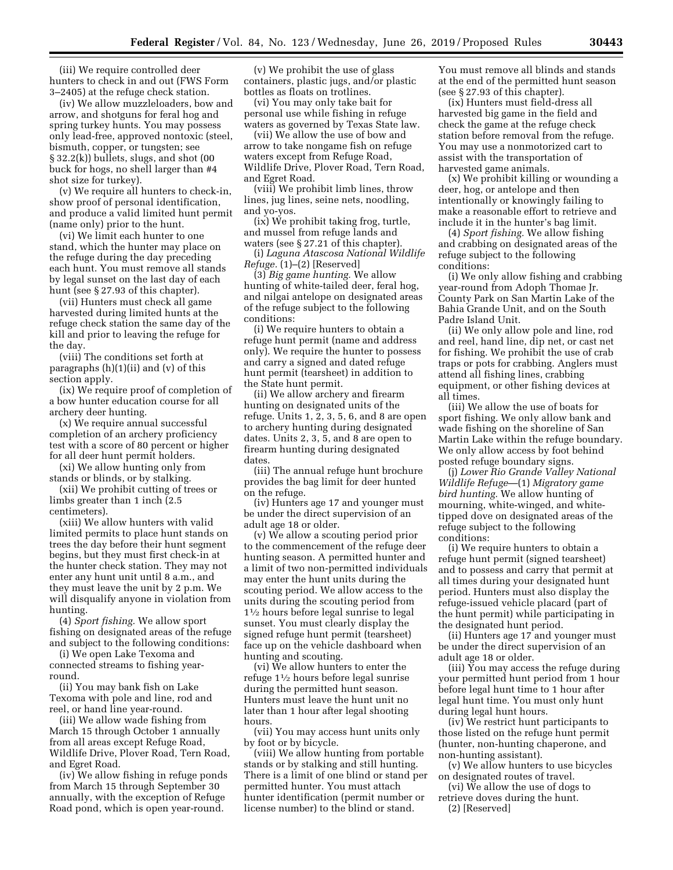(iii) We require controlled deer hunters to check in and out (FWS Form 3–2405) at the refuge check station.

(iv) We allow muzzleloaders, bow and arrow, and shotguns for feral hog and spring turkey hunts. You may possess only lead-free, approved nontoxic (steel, bismuth, copper, or tungsten; see § 32.2(k)) bullets, slugs, and shot (00 buck for hogs, no shell larger than #4 shot size for turkey).

(v) We require all hunters to check-in, show proof of personal identification, and produce a valid limited hunt permit (name only) prior to the hunt.

(vi) We limit each hunter to one stand, which the hunter may place on the refuge during the day preceding each hunt. You must remove all stands by legal sunset on the last day of each hunt (see § 27.93 of this chapter).

(vii) Hunters must check all game harvested during limited hunts at the refuge check station the same day of the kill and prior to leaving the refuge for the day.

(viii) The conditions set forth at paragraphs (h)(1)(ii) and (v) of this section apply.

(ix) We require proof of completion of a bow hunter education course for all archery deer hunting.

(x) We require annual successful completion of an archery proficiency test with a score of 80 percent or higher for all deer hunt permit holders.

(xi) We allow hunting only from stands or blinds, or by stalking.

(xii) We prohibit cutting of trees or limbs greater than 1 inch (2.5 centimeters).

(xiii) We allow hunters with valid limited permits to place hunt stands on trees the day before their hunt segment begins, but they must first check-in at the hunter check station. They may not enter any hunt unit until 8 a.m., and they must leave the unit by 2 p.m. We will disqualify anyone in violation from hunting.

(4) *Sport fishing.* We allow sport fishing on designated areas of the refuge and subject to the following conditions:

(i) We open Lake Texoma and connected streams to fishing yearround.

(ii) You may bank fish on Lake Texoma with pole and line, rod and reel, or hand line year-round.

(iii) We allow wade fishing from March 15 through October 1 annually from all areas except Refuge Road, Wildlife Drive, Plover Road, Tern Road, and Egret Road.

(iv) We allow fishing in refuge ponds from March 15 through September 30 annually, with the exception of Refuge Road pond, which is open year-round.

(v) We prohibit the use of glass containers, plastic jugs, and/or plastic bottles as floats on trotlines.

(vi) You may only take bait for personal use while fishing in refuge waters as governed by Texas State law.

(vii) We allow the use of bow and arrow to take nongame fish on refuge waters except from Refuge Road, Wildlife Drive, Plover Road, Tern Road, and Egret Road.

(viii) We prohibit limb lines, throw lines, jug lines, seine nets, noodling, and yo-yos.

(ix) We prohibit taking frog, turtle, and mussel from refuge lands and waters (see § 27.21 of this chapter).

(i) *Laguna Atascosa National Wildlife Refuge.* (1)–(2) [Reserved]

(3) *Big game hunting.* We allow hunting of white-tailed deer, feral hog, and nilgai antelope on designated areas of the refuge subject to the following conditions:

(i) We require hunters to obtain a refuge hunt permit (name and address only). We require the hunter to possess and carry a signed and dated refuge hunt permit (tearsheet) in addition to the State hunt permit.

(ii) We allow archery and firearm hunting on designated units of the refuge. Units 1, 2, 3, 5, 6, and 8 are open to archery hunting during designated dates. Units 2, 3, 5, and 8 are open to firearm hunting during designated dates.

(iii) The annual refuge hunt brochure provides the bag limit for deer hunted on the refuge.

(iv) Hunters age 17 and younger must be under the direct supervision of an adult age 18 or older.

(v) We allow a scouting period prior to the commencement of the refuge deer hunting season. A permitted hunter and a limit of two non-permitted individuals may enter the hunt units during the scouting period. We allow access to the units during the scouting period from 11⁄2 hours before legal sunrise to legal sunset. You must clearly display the signed refuge hunt permit (tearsheet) face up on the vehicle dashboard when hunting and scouting.

(vi) We allow hunters to enter the refuge 11⁄2 hours before legal sunrise during the permitted hunt season. Hunters must leave the hunt unit no later than 1 hour after legal shooting hours.

(vii) You may access hunt units only by foot or by bicycle.

(viii) We allow hunting from portable stands or by stalking and still hunting. There is a limit of one blind or stand per permitted hunter. You must attach hunter identification (permit number or license number) to the blind or stand.

You must remove all blinds and stands at the end of the permitted hunt season (see § 27.93 of this chapter).

(ix) Hunters must field-dress all harvested big game in the field and check the game at the refuge check station before removal from the refuge. You may use a nonmotorized cart to assist with the transportation of harvested game animals.

(x) We prohibit killing or wounding a deer, hog, or antelope and then intentionally or knowingly failing to make a reasonable effort to retrieve and include it in the hunter's bag limit.

(4) *Sport fishing.* We allow fishing and crabbing on designated areas of the refuge subject to the following conditions:

(i) We only allow fishing and crabbing year-round from Adoph Thomae Jr. County Park on San Martin Lake of the Bahia Grande Unit, and on the South Padre Island Unit.

(ii) We only allow pole and line, rod and reel, hand line, dip net, or cast net for fishing. We prohibit the use of crab traps or pots for crabbing. Anglers must attend all fishing lines, crabbing equipment, or other fishing devices at all times.

(iii) We allow the use of boats for sport fishing. We only allow bank and wade fishing on the shoreline of San Martin Lake within the refuge boundary. We only allow access by foot behind posted refuge boundary signs.

(j) *Lower Rio Grande Valley National Wildlife Refuge*—(1) *Migratory game bird hunting.* We allow hunting of mourning, white-winged, and whitetipped dove on designated areas of the refuge subject to the following conditions:

(i) We require hunters to obtain a refuge hunt permit (signed tearsheet) and to possess and carry that permit at all times during your designated hunt period. Hunters must also display the refuge-issued vehicle placard (part of the hunt permit) while participating in the designated hunt period.

(ii) Hunters age 17 and younger must be under the direct supervision of an adult age 18 or older.

(iii) You may access the refuge during your permitted hunt period from 1 hour before legal hunt time to 1 hour after legal hunt time. You must only hunt during legal hunt hours.

(iv) We restrict hunt participants to those listed on the refuge hunt permit (hunter, non-hunting chaperone, and non-hunting assistant).

(v) We allow hunters to use bicycles on designated routes of travel.

(vi) We allow the use of dogs to retrieve doves during the hunt.

(2) [Reserved]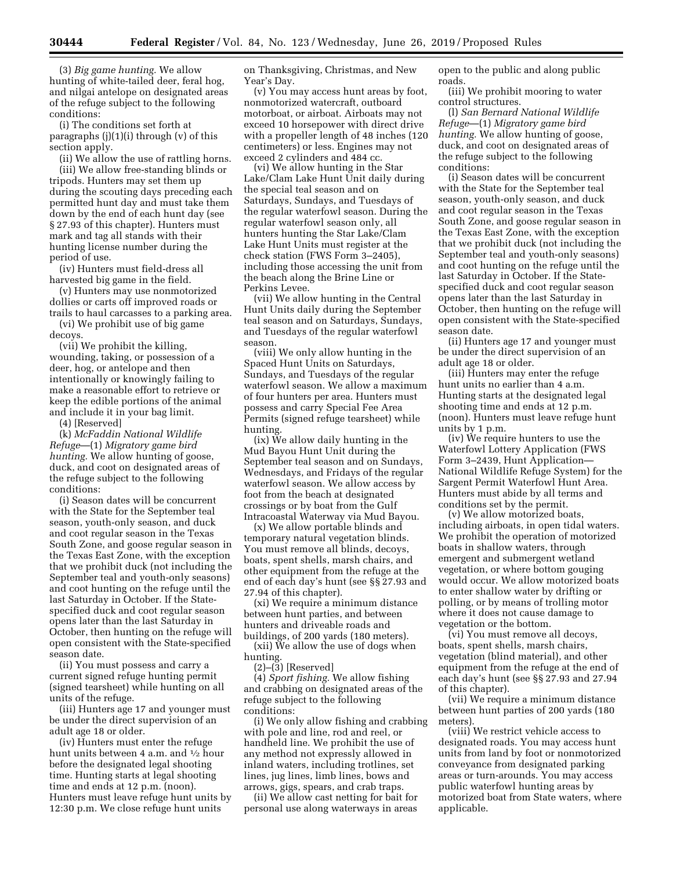(3) *Big game hunting.* We allow hunting of white-tailed deer, feral hog, and nilgai antelope on designated areas of the refuge subject to the following conditions:

(i) The conditions set forth at paragraphs  $(j)(1)(i)$  through  $(v)$  of this section apply.

(ii) We allow the use of rattling horns. (iii) We allow free-standing blinds or tripods. Hunters may set them up during the scouting days preceding each permitted hunt day and must take them down by the end of each hunt day (see § 27.93 of this chapter). Hunters must mark and tag all stands with their hunting license number during the period of use.

(iv) Hunters must field-dress all harvested big game in the field.

(v) Hunters may use nonmotorized dollies or carts off improved roads or trails to haul carcasses to a parking area.

(vi) We prohibit use of big game decoys.

(vii) We prohibit the killing, wounding, taking, or possession of a deer, hog, or antelope and then intentionally or knowingly failing to make a reasonable effort to retrieve or keep the edible portions of the animal and include it in your bag limit.

(4) [Reserved]

(k) *McFaddin National Wildlife Refuge*—(1) *Migratory game bird hunting.* We allow hunting of goose, duck, and coot on designated areas of the refuge subject to the following conditions:

(i) Season dates will be concurrent with the State for the September teal season, youth-only season, and duck and coot regular season in the Texas South Zone, and goose regular season in the Texas East Zone, with the exception that we prohibit duck (not including the September teal and youth-only seasons) and coot hunting on the refuge until the last Saturday in October. If the Statespecified duck and coot regular season opens later than the last Saturday in October, then hunting on the refuge will open consistent with the State-specified season date.

(ii) You must possess and carry a current signed refuge hunting permit (signed tearsheet) while hunting on all units of the refuge.

(iii) Hunters age 17 and younger must be under the direct supervision of an adult age 18 or older.

(iv) Hunters must enter the refuge hunt units between 4 a.m. and 1⁄2 hour before the designated legal shooting time. Hunting starts at legal shooting time and ends at 12 p.m. (noon). Hunters must leave refuge hunt units by 12:30 p.m. We close refuge hunt units

on Thanksgiving, Christmas, and New Year's Day.

(v) You may access hunt areas by foot, nonmotorized watercraft, outboard motorboat, or airboat. Airboats may not exceed 10 horsepower with direct drive with a propeller length of 48 inches (120 centimeters) or less. Engines may not exceed 2 cylinders and 484 cc.

(vi) We allow hunting in the Star Lake/Clam Lake Hunt Unit daily during the special teal season and on Saturdays, Sundays, and Tuesdays of the regular waterfowl season. During the regular waterfowl season only, all hunters hunting the Star Lake/Clam Lake Hunt Units must register at the check station (FWS Form 3–2405), including those accessing the unit from the beach along the Brine Line or Perkins Levee.

(vii) We allow hunting in the Central Hunt Units daily during the September teal season and on Saturdays, Sundays, and Tuesdays of the regular waterfowl season.

(viii) We only allow hunting in the Spaced Hunt Units on Saturdays, Sundays, and Tuesdays of the regular waterfowl season. We allow a maximum of four hunters per area. Hunters must possess and carry Special Fee Area Permits (signed refuge tearsheet) while hunting.

(ix) We allow daily hunting in the Mud Bayou Hunt Unit during the September teal season and on Sundays, Wednesdays, and Fridays of the regular waterfowl season. We allow access by foot from the beach at designated crossings or by boat from the Gulf Intracoastal Waterway via Mud Bayou.

(x) We allow portable blinds and temporary natural vegetation blinds. You must remove all blinds, decoys, boats, spent shells, marsh chairs, and other equipment from the refuge at the end of each day's hunt (see §§ 27.93 and 27.94 of this chapter).

(xi) We require a minimum distance between hunt parties, and between hunters and driveable roads and buildings, of 200 yards (180 meters).

(xii) We allow the use of dogs when hunting.

 $(2)$ – $(3)$  [Reserved]

(4) *Sport fishing.* We allow fishing and crabbing on designated areas of the refuge subject to the following conditions:

(i) We only allow fishing and crabbing with pole and line, rod and reel, or handheld line. We prohibit the use of any method not expressly allowed in inland waters, including trotlines, set lines, jug lines, limb lines, bows and arrows, gigs, spears, and crab traps.

(ii) We allow cast netting for bait for personal use along waterways in areas

open to the public and along public roads.

(iii) We prohibit mooring to water control structures.

(l) *San Bernard National Wildlife Refuge*—(1) *Migratory game bird hunting.* We allow hunting of goose, duck, and coot on designated areas of the refuge subject to the following conditions:

(i) Season dates will be concurrent with the State for the September teal season, youth-only season, and duck and coot regular season in the Texas South Zone, and goose regular season in the Texas East Zone, with the exception that we prohibit duck (not including the September teal and youth-only seasons) and coot hunting on the refuge until the last Saturday in October. If the Statespecified duck and coot regular season opens later than the last Saturday in October, then hunting on the refuge will open consistent with the State-specified season date.

(ii) Hunters age 17 and younger must be under the direct supervision of an adult age 18 or older.

(iii) Hunters may enter the refuge hunt units no earlier than 4 a.m. Hunting starts at the designated legal shooting time and ends at 12 p.m. (noon). Hunters must leave refuge hunt units by 1 p.m.

(iv) We require hunters to use the Waterfowl Lottery Application (FWS Form 3–2439, Hunt Application— National Wildlife Refuge System) for the Sargent Permit Waterfowl Hunt Area. Hunters must abide by all terms and conditions set by the permit.

(v) We allow motorized boats, including airboats, in open tidal waters. We prohibit the operation of motorized boats in shallow waters, through emergent and submergent wetland vegetation, or where bottom gouging would occur. We allow motorized boats to enter shallow water by drifting or polling, or by means of trolling motor where it does not cause damage to vegetation or the bottom.

(vi) You must remove all decoys, boats, spent shells, marsh chairs, vegetation (blind material), and other equipment from the refuge at the end of each day's hunt (see §§ 27.93 and 27.94 of this chapter).

(vii) We require a minimum distance between hunt parties of 200 yards (180 meters).

(viii) We restrict vehicle access to designated roads. You may access hunt units from land by foot or nonmotorized conveyance from designated parking areas or turn-arounds. You may access public waterfowl hunting areas by motorized boat from State waters, where applicable.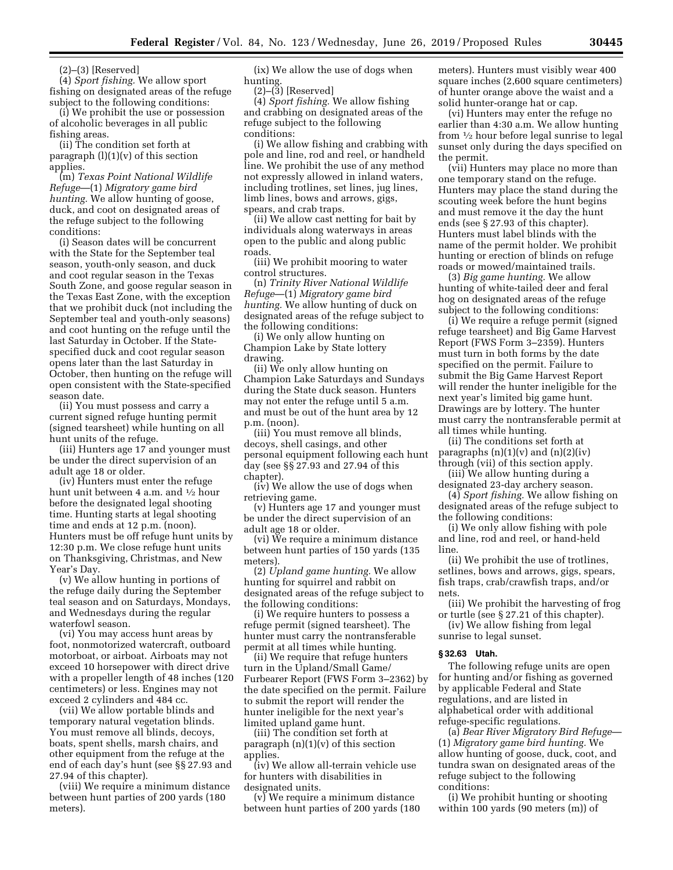$(2)$ – $(3)$  [Reserved]

(4) *Sport fishing.* We allow sport fishing on designated areas of the refuge subject to the following conditions:

(i) We prohibit the use or possession of alcoholic beverages in all public fishing areas.

(ii) The condition set forth at paragraph  $(l)(1)(v)$  of this section applies.

(m) *Texas Point National Wildlife Refuge*—(1) *Migratory game bird hunting.* We allow hunting of goose, duck, and coot on designated areas of the refuge subject to the following conditions:

(i) Season dates will be concurrent with the State for the September teal season, youth-only season, and duck and coot regular season in the Texas South Zone, and goose regular season in the Texas East Zone, with the exception that we prohibit duck (not including the September teal and youth-only seasons) and coot hunting on the refuge until the last Saturday in October. If the Statespecified duck and coot regular season opens later than the last Saturday in October, then hunting on the refuge will open consistent with the State-specified season date.

(ii) You must possess and carry a current signed refuge hunting permit (signed tearsheet) while hunting on all hunt units of the refuge.

(iii) Hunters age 17 and younger must be under the direct supervision of an adult age 18 or older.

(iv) Hunters must enter the refuge hunt unit between 4 a.m. and 1⁄2 hour before the designated legal shooting time. Hunting starts at legal shooting time and ends at 12 p.m. (noon). Hunters must be off refuge hunt units by 12:30 p.m. We close refuge hunt units on Thanksgiving, Christmas, and New Year's Day.

(v) We allow hunting in portions of the refuge daily during the September teal season and on Saturdays, Mondays, and Wednesdays during the regular waterfowl season.

(vi) You may access hunt areas by foot, nonmotorized watercraft, outboard motorboat, or airboat. Airboats may not exceed 10 horsepower with direct drive with a propeller length of 48 inches (120 centimeters) or less. Engines may not exceed 2 cylinders and 484 cc.

(vii) We allow portable blinds and temporary natural vegetation blinds. You must remove all blinds, decoys, boats, spent shells, marsh chairs, and other equipment from the refuge at the end of each day's hunt (see §§ 27.93 and 27.94 of this chapter).

(viii) We require a minimum distance between hunt parties of 200 yards (180 meters).

(ix) We allow the use of dogs when hunting.

(2)–(3) [Reserved]

(4) *Sport fishing.* We allow fishing and crabbing on designated areas of the refuge subject to the following conditions:

(i) We allow fishing and crabbing with pole and line, rod and reel, or handheld line. We prohibit the use of any method not expressly allowed in inland waters, including trotlines, set lines, jug lines, limb lines, bows and arrows, gigs, spears, and crab traps.

(ii) We allow cast netting for bait by individuals along waterways in areas open to the public and along public roads.

(iii) We prohibit mooring to water control structures.

(n) *Trinity River National Wildlife Refuge*—(1) *Migratory game bird hunting.* We allow hunting of duck on designated areas of the refuge subject to the following conditions:

(i) We only allow hunting on Champion Lake by State lottery drawing.

(ii) We only allow hunting on Champion Lake Saturdays and Sundays during the State duck season. Hunters may not enter the refuge until 5 a.m. and must be out of the hunt area by 12 p.m. (noon).

(iii) You must remove all blinds, decoys, shell casings, and other personal equipment following each hunt day (see §§ 27.93 and 27.94 of this chapter).

(iv) We allow the use of dogs when retrieving game.

(v) Hunters age 17 and younger must be under the direct supervision of an adult age 18 or older.

(vi) We require a minimum distance between hunt parties of 150 yards (135 meters).

(2) *Upland game hunting.* We allow hunting for squirrel and rabbit on designated areas of the refuge subject to the following conditions:

(i) We require hunters to possess a refuge permit (signed tearsheet). The hunter must carry the nontransferable permit at all times while hunting.

(ii) We require that refuge hunters turn in the Upland/Small Game/ Furbearer Report (FWS Form 3–2362) by the date specified on the permit. Failure to submit the report will render the hunter ineligible for the next year's limited upland game hunt.

(iii) The condition set forth at paragraph  $(n)(1)(v)$  of this section applies.

(iv) We allow all-terrain vehicle use for hunters with disabilities in designated units.

(v) We require a minimum distance between hunt parties of 200 yards (180 meters). Hunters must visibly wear 400 square inches (2,600 square centimeters) of hunter orange above the waist and a solid hunter-orange hat or cap.

(vi) Hunters may enter the refuge no earlier than 4:30 a.m. We allow hunting from 1⁄2 hour before legal sunrise to legal sunset only during the days specified on the permit.

(vii) Hunters may place no more than one temporary stand on the refuge. Hunters may place the stand during the scouting week before the hunt begins and must remove it the day the hunt ends (see § 27.93 of this chapter). Hunters must label blinds with the name of the permit holder. We prohibit hunting or erection of blinds on refuge roads or mowed/maintained trails.

(3) *Big game hunting.* We allow hunting of white-tailed deer and feral hog on designated areas of the refuge subject to the following conditions:

(i) We require a refuge permit (signed refuge tearsheet) and Big Game Harvest Report (FWS Form 3–2359). Hunters must turn in both forms by the date specified on the permit. Failure to submit the Big Game Harvest Report will render the hunter ineligible for the next year's limited big game hunt. Drawings are by lottery. The hunter must carry the nontransferable permit at all times while hunting.

(ii) The conditions set forth at paragraphs  $(n)(1)(v)$  and  $(n)(2)(iv)$ through (vii) of this section apply.

(iii) We allow hunting during a designated 23-day archery season.

(4) *Sport fishing.* We allow fishing on designated areas of the refuge subject to the following conditions:

(i) We only allow fishing with pole and line, rod and reel, or hand-held line.

(ii) We prohibit the use of trotlines, setlines, bows and arrows, gigs, spears, fish traps, crab/crawfish traps, and/or nets.

(iii) We prohibit the harvesting of frog or turtle (see § 27.21 of this chapter).

(iv) We allow fishing from legal sunrise to legal sunset.

# **§ 32.63 Utah.**

The following refuge units are open for hunting and/or fishing as governed by applicable Federal and State regulations, and are listed in alphabetical order with additional refuge-specific regulations.

(a) *Bear River Migratory Bird Refuge*— (1) *Migratory game bird hunting.* We allow hunting of goose, duck, coot, and tundra swan on designated areas of the refuge subject to the following conditions:

(i) We prohibit hunting or shooting within 100 yards (90 meters (m)) of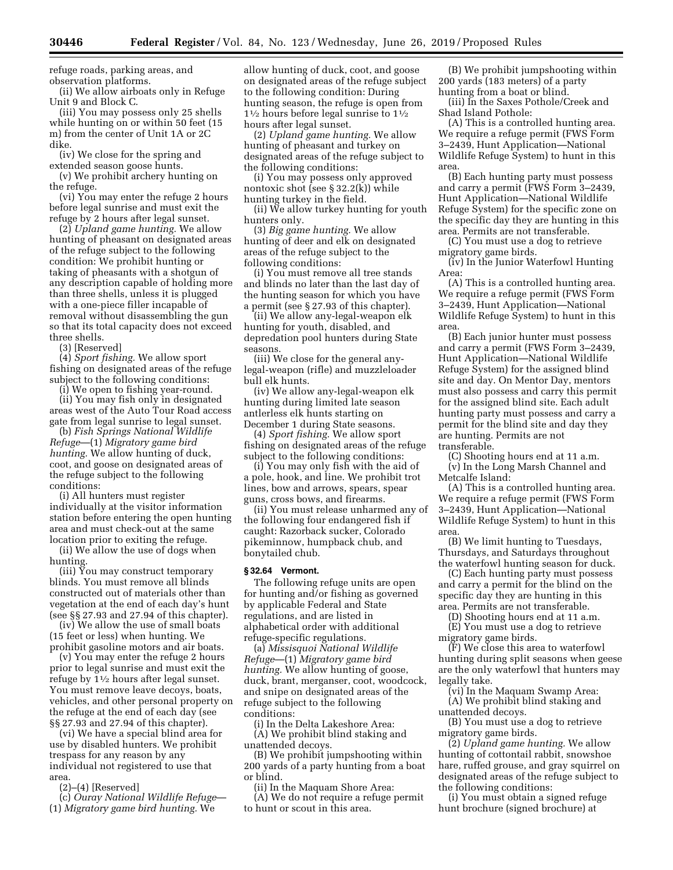refuge roads, parking areas, and observation platforms.

(ii) We allow airboats only in Refuge Unit 9 and Block C.

(iii) You may possess only 25 shells while hunting on or within 50 feet (15 m) from the center of Unit 1A or 2C dike.

(iv) We close for the spring and extended season goose hunts.

(v) We prohibit archery hunting on the refuge.

(vi) You may enter the refuge 2 hours before legal sunrise and must exit the refuge by 2 hours after legal sunset.

(2) *Upland game hunting.* We allow hunting of pheasant on designated areas of the refuge subject to the following condition: We prohibit hunting or taking of pheasants with a shotgun of any description capable of holding more than three shells, unless it is plugged with a one-piece filler incapable of removal without disassembling the gun so that its total capacity does not exceed three shells.

(3) [Reserved]

(4) *Sport fishing.* We allow sport fishing on designated areas of the refuge subject to the following conditions:

(i) We open to fishing year-round. (ii) You may fish only in designated areas west of the Auto Tour Road access gate from legal sunrise to legal sunset.

(b) *Fish Springs National Wildlife Refuge*—(1) *Migratory game bird hunting.* We allow hunting of duck, coot, and goose on designated areas of the refuge subject to the following conditions:

(i) All hunters must register individually at the visitor information station before entering the open hunting area and must check-out at the same location prior to exiting the refuge.

(ii) We allow the use of dogs when hunting.

(iii) You may construct temporary blinds. You must remove all blinds constructed out of materials other than vegetation at the end of each day's hunt (see §§ 27.93 and 27.94 of this chapter).

(iv) We allow the use of small boats (15 feet or less) when hunting. We prohibit gasoline motors and air boats.

(v) You may enter the refuge 2 hours prior to legal sunrise and must exit the refuge by 11⁄2 hours after legal sunset. You must remove leave decoys, boats, vehicles, and other personal property on the refuge at the end of each day (see §§ 27.93 and 27.94 of this chapter).

(vi) We have a special blind area for use by disabled hunters. We prohibit trespass for any reason by any individual not registered to use that area.

(2)–(4) [Reserved]

(c) *Ouray National Wildlife Refuge*— (1) *Migratory game bird hunting.* We

allow hunting of duck, coot, and goose on designated areas of the refuge subject to the following condition: During hunting season, the refuge is open from 11⁄2 hours before legal sunrise to 11⁄2 hours after legal sunset.

(2) *Upland game hunting.* We allow hunting of pheasant and turkey on designated areas of the refuge subject to the following conditions:

(i) You may possess only approved nontoxic shot (see § 32.2(k)) while hunting turkey in the field.

(ii) We allow turkey hunting for youth hunters only.

(3) *Big game hunting.* We allow hunting of deer and elk on designated areas of the refuge subject to the following conditions:

(i) You must remove all tree stands and blinds no later than the last day of the hunting season for which you have a permit (see § 27.93 of this chapter).

(ii) We allow any-legal-weapon elk hunting for youth, disabled, and depredation pool hunters during State seasons.

(iii) We close for the general anylegal-weapon (rifle) and muzzleloader bull elk hunts.

(iv) We allow any-legal-weapon elk hunting during limited late season antlerless elk hunts starting on December 1 during State seasons.

(4) *Sport fishing.* We allow sport fishing on designated areas of the refuge subject to the following conditions:

(i) You may only fish with the aid of a pole, hook, and line. We prohibit trot lines, bow and arrows, spears, spear guns, cross bows, and firearms.

(ii) You must release unharmed any of the following four endangered fish if caught: Razorback sucker, Colorado pikeminnow, humpback chub, and bonytailed chub.

#### **§ 32.64 Vermont.**

The following refuge units are open for hunting and/or fishing as governed by applicable Federal and State regulations, and are listed in alphabetical order with additional refuge-specific regulations.

(a) *Missisquoi National Wildlife Refuge*—(1) *Migratory game bird hunting.* We allow hunting of goose, duck, brant, merganser, coot, woodcock, and snipe on designated areas of the refuge subject to the following conditions:

(i) In the Delta Lakeshore Area: (A) We prohibit blind staking and unattended decoys.

(B) We prohibit jumpshooting within

200 yards of a party hunting from a boat or blind. (ii) In the Maquam Shore Area:

(A) We do not require a refuge permit to hunt or scout in this area.

(B) We prohibit jumpshooting within 200 yards (183 meters) of a party hunting from a boat or blind.

(iii) In the Saxes Pothole/Creek and Shad Island Pothole:

(A) This is a controlled hunting area. We require a refuge permit (FWS Form 3–2439, Hunt Application—National Wildlife Refuge System) to hunt in this area.

(B) Each hunting party must possess and carry a permit (FWS Form 3–2439, Hunt Application—National Wildlife Refuge System) for the specific zone on the specific day they are hunting in this area. Permits are not transferable.

(C) You must use a dog to retrieve migratory game birds.

(iv) In the Junior Waterfowl Hunting Area:

(A) This is a controlled hunting area. We require a refuge permit (FWS Form 3–2439, Hunt Application—National Wildlife Refuge System) to hunt in this area.

(B) Each junior hunter must possess and carry a permit (FWS Form 3–2439, Hunt Application—National Wildlife Refuge System) for the assigned blind site and day. On Mentor Day, mentors must also possess and carry this permit for the assigned blind site. Each adult hunting party must possess and carry a permit for the blind site and day they are hunting. Permits are not transferable.

(C) Shooting hours end at 11 a.m. (v) In the Long Marsh Channel and Metcalfe Island:

(A) This is a controlled hunting area. We require a refuge permit (FWS Form 3–2439, Hunt Application—National Wildlife Refuge System) to hunt in this area.

(B) We limit hunting to Tuesdays, Thursdays, and Saturdays throughout the waterfowl hunting season for duck.

(C) Each hunting party must possess and carry a permit for the blind on the specific day they are hunting in this area. Permits are not transferable.

(D) Shooting hours end at 11 a.m.

(E) You must use a dog to retrieve migratory game birds.

(F) We close this area to waterfowl hunting during split seasons when geese are the only waterfowl that hunters may legally take.

(vi) In the Maquam Swamp Area: (A) We prohibit blind staking and

unattended decoys. (B) You must use a dog to retrieve

migratory game birds.

(2) *Upland game hunting.* We allow hunting of cottontail rabbit, snowshoe hare, ruffed grouse, and gray squirrel on designated areas of the refuge subject to the following conditions:

(i) You must obtain a signed refuge hunt brochure (signed brochure) at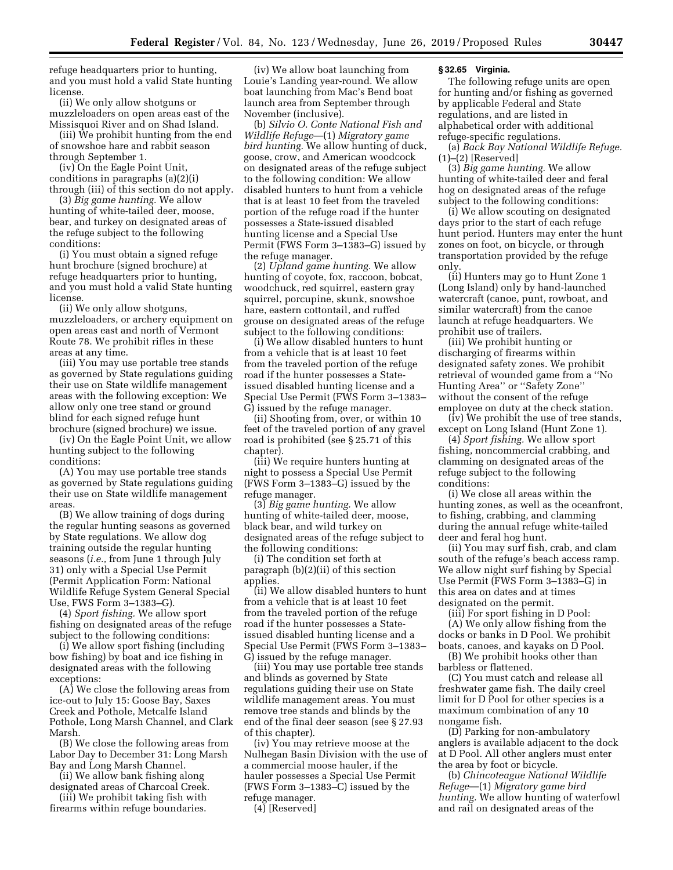refuge headquarters prior to hunting, and you must hold a valid State hunting license.

(ii) We only allow shotguns or muzzleloaders on open areas east of the Missisquoi River and on Shad Island.

(iii) We prohibit hunting from the end of snowshoe hare and rabbit season through September 1.

(iv) On the Eagle Point Unit, conditions in paragraphs (a)(2)(i) through (iii) of this section do not apply.

(3) *Big game hunting.* We allow hunting of white-tailed deer, moose, bear, and turkey on designated areas of the refuge subject to the following conditions:

(i) You must obtain a signed refuge hunt brochure (signed brochure) at refuge headquarters prior to hunting, and you must hold a valid State hunting license.

(ii) We only allow shotguns, muzzleloaders, or archery equipment on open areas east and north of Vermont Route 78. We prohibit rifles in these areas at any time.

(iii) You may use portable tree stands as governed by State regulations guiding their use on State wildlife management areas with the following exception: We allow only one tree stand or ground blind for each signed refuge hunt brochure (signed brochure) we issue.

(iv) On the Eagle Point Unit, we allow hunting subject to the following conditions:

(A) You may use portable tree stands as governed by State regulations guiding their use on State wildlife management areas.

(B) We allow training of dogs during the regular hunting seasons as governed by State regulations. We allow dog training outside the regular hunting seasons (*i.e.,* from June 1 through July 31) only with a Special Use Permit (Permit Application Form: National Wildlife Refuge System General Special Use, FWS Form 3–1383–G).

(4) *Sport fishing.* We allow sport fishing on designated areas of the refuge subject to the following conditions:

(i) We allow sport fishing (including bow fishing) by boat and ice fishing in designated areas with the following exceptions:

(A) We close the following areas from ice-out to July 15: Goose Bay, Saxes Creek and Pothole, Metcalfe Island Pothole, Long Marsh Channel, and Clark Marsh.

(B) We close the following areas from Labor Day to December 31: Long Marsh Bay and Long Marsh Channel.

(ii) We allow bank fishing along designated areas of Charcoal Creek.

(iii) We prohibit taking fish with firearms within refuge boundaries.

(iv) We allow boat launching from Louie's Landing year-round. We allow boat launching from Mac's Bend boat launch area from September through November (inclusive).

(b) *Silvio O. Conte National Fish and Wildlife Refuge*—(1) *Migratory game bird hunting.* We allow hunting of duck, goose, crow, and American woodcock on designated areas of the refuge subject to the following condition: We allow disabled hunters to hunt from a vehicle that is at least 10 feet from the traveled portion of the refuge road if the hunter possesses a State-issued disabled hunting license and a Special Use Permit (FWS Form 3–1383–G) issued by the refuge manager.

(2) *Upland game hunting.* We allow hunting of coyote, fox, raccoon, bobcat, woodchuck, red squirrel, eastern gray squirrel, porcupine, skunk, snowshoe hare, eastern cottontail, and ruffed grouse on designated areas of the refuge subject to the following conditions:

(i) We allow disabled hunters to hunt from a vehicle that is at least 10 feet from the traveled portion of the refuge road if the hunter possesses a Stateissued disabled hunting license and a Special Use Permit (FWS Form 3–1383– G) issued by the refuge manager.

(ii) Shooting from, over, or within 10 feet of the traveled portion of any gravel road is prohibited (see § 25.71 of this chapter).

(iii) We require hunters hunting at night to possess a Special Use Permit (FWS Form 3–1383–G) issued by the refuge manager.

(3) *Big game hunting.* We allow hunting of white-tailed deer, moose, black bear, and wild turkey on designated areas of the refuge subject to the following conditions:

(i) The condition set forth at paragraph (b)(2)(ii) of this section applies.

(ii) We allow disabled hunters to hunt from a vehicle that is at least 10 feet from the traveled portion of the refuge road if the hunter possesses a Stateissued disabled hunting license and a Special Use Permit (FWS Form 3–1383– G) issued by the refuge manager.

(iii) You may use portable tree stands and blinds as governed by State regulations guiding their use on State wildlife management areas. You must remove tree stands and blinds by the end of the final deer season (see § 27.93 of this chapter).

(iv) You may retrieve moose at the Nulhegan Basin Division with the use of a commercial moose hauler, if the hauler possesses a Special Use Permit (FWS Form 3–1383–C) issued by the refuge manager.

(4) [Reserved]

### **§ 32.65 Virginia.**

The following refuge units are open for hunting and/or fishing as governed by applicable Federal and State regulations, and are listed in alphabetical order with additional refuge-specific regulations.

(a) *Back Bay National Wildlife Refuge.*  (1)–(2) [Reserved]

(3) *Big game hunting.* We allow hunting of white-tailed deer and feral hog on designated areas of the refuge subject to the following conditions:

(i) We allow scouting on designated days prior to the start of each refuge hunt period. Hunters may enter the hunt zones on foot, on bicycle, or through transportation provided by the refuge only.

(ii) Hunters may go to Hunt Zone 1 (Long Island) only by hand-launched watercraft (canoe, punt, rowboat, and similar watercraft) from the canoe launch at refuge headquarters. We prohibit use of trailers.

(iii) We prohibit hunting or discharging of firearms within designated safety zones. We prohibit retrieval of wounded game from a ''No Hunting Area'' or ''Safety Zone'' without the consent of the refuge employee on duty at the check station.

(iv) We prohibit the use of tree stands, except on Long Island (Hunt Zone 1).

(4) *Sport fishing.* We allow sport fishing, noncommercial crabbing, and clamming on designated areas of the refuge subject to the following conditions:

(i) We close all areas within the hunting zones, as well as the oceanfront, to fishing, crabbing, and clamming during the annual refuge white-tailed deer and feral hog hunt.

(ii) You may surf fish, crab, and clam south of the refuge's beach access ramp. We allow night surf fishing by Special Use Permit (FWS Form 3–1383–G) in this area on dates and at times designated on the permit.

(iii) For sport fishing in D Pool: (A) We only allow fishing from the docks or banks in D Pool. We prohibit boats, canoes, and kayaks on D Pool.

(B) We prohibit hooks other than barbless or flattened.

(C) You must catch and release all freshwater game fish. The daily creel limit for D Pool for other species is a maximum combination of any 10 nongame fish.

(D) Parking for non-ambulatory anglers is available adjacent to the dock at D Pool. All other anglers must enter the area by foot or bicycle.

(b) *Chincoteague National Wildlife Refuge*—(1) *Migratory game bird hunting.* We allow hunting of waterfowl and rail on designated areas of the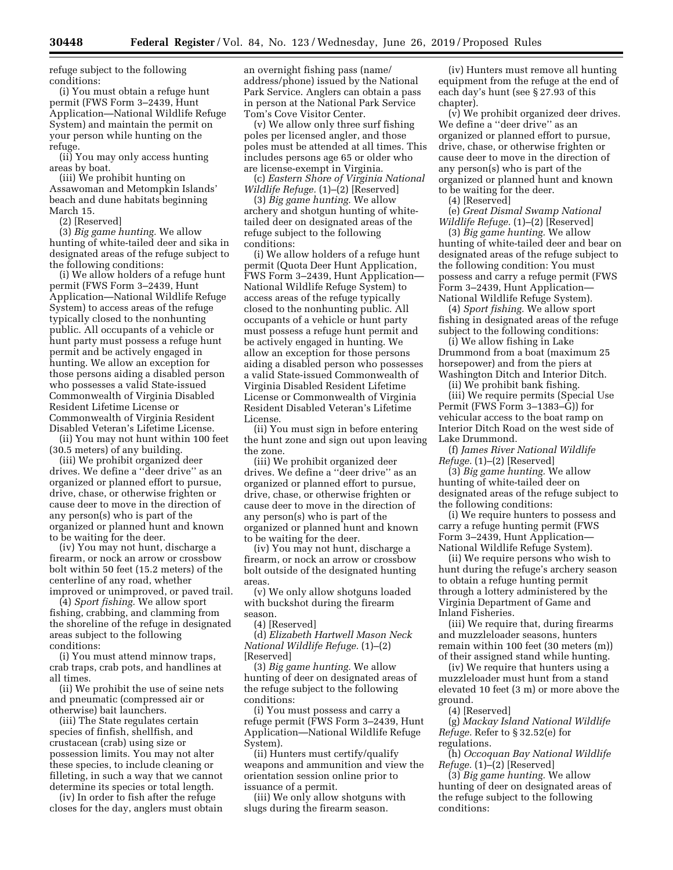refuge subject to the following conditions:

(i) You must obtain a refuge hunt permit (FWS Form 3–2439, Hunt Application—National Wildlife Refuge System) and maintain the permit on your person while hunting on the refuge.

(ii) You may only access hunting areas by boat.

(iii) We prohibit hunting on Assawoman and Metompkin Islands' beach and dune habitats beginning March 15.

(2) [Reserved]

(3) *Big game hunting.* We allow hunting of white-tailed deer and sika in designated areas of the refuge subject to the following conditions:

(i) We allow holders of a refuge hunt permit (FWS Form 3–2439, Hunt Application—National Wildlife Refuge System) to access areas of the refuge typically closed to the nonhunting public. All occupants of a vehicle or hunt party must possess a refuge hunt permit and be actively engaged in hunting. We allow an exception for those persons aiding a disabled person who possesses a valid State-issued Commonwealth of Virginia Disabled Resident Lifetime License or Commonwealth of Virginia Resident Disabled Veteran's Lifetime License.

(ii) You may not hunt within 100 feet (30.5 meters) of any building.

(iii) We prohibit organized deer drives. We define a ''deer drive'' as an organized or planned effort to pursue, drive, chase, or otherwise frighten or cause deer to move in the direction of any person(s) who is part of the organized or planned hunt and known to be waiting for the deer.

(iv) You may not hunt, discharge a firearm, or nock an arrow or crossbow bolt within 50 feet (15.2 meters) of the centerline of any road, whether improved or unimproved, or paved trail.

(4) *Sport fishing.* We allow sport fishing, crabbing, and clamming from the shoreline of the refuge in designated areas subject to the following conditions:

(i) You must attend minnow traps, crab traps, crab pots, and handlines at all times.

(ii) We prohibit the use of seine nets and pneumatic (compressed air or otherwise) bait launchers.

(iii) The State regulates certain species of finfish, shellfish, and crustacean (crab) using size or possession limits. You may not alter these species, to include cleaning or filleting, in such a way that we cannot determine its species or total length.

(iv) In order to fish after the refuge closes for the day, anglers must obtain an overnight fishing pass (name/ address/phone) issued by the National Park Service. Anglers can obtain a pass in person at the National Park Service Tom's Cove Visitor Center.

(v) We allow only three surf fishing poles per licensed angler, and those poles must be attended at all times. This includes persons age 65 or older who are license-exempt in Virginia.

(c) *Eastern Shore of Virginia National Wildlife Refuge.* (1)–(2) [Reserved]

(3) *Big game hunting.* We allow archery and shotgun hunting of whitetailed deer on designated areas of the refuge subject to the following conditions:

(i) We allow holders of a refuge hunt permit (Quota Deer Hunt Application, FWS Form 3–2439, Hunt Application— National Wildlife Refuge System) to access areas of the refuge typically closed to the nonhunting public. All occupants of a vehicle or hunt party must possess a refuge hunt permit and be actively engaged in hunting. We allow an exception for those persons aiding a disabled person who possesses a valid State-issued Commonwealth of Virginia Disabled Resident Lifetime License or Commonwealth of Virginia Resident Disabled Veteran's Lifetime License.

(ii) You must sign in before entering the hunt zone and sign out upon leaving the zone.

(iii) We prohibit organized deer drives. We define a ''deer drive'' as an organized or planned effort to pursue, drive, chase, or otherwise frighten or cause deer to move in the direction of any person(s) who is part of the organized or planned hunt and known to be waiting for the deer.

(iv) You may not hunt, discharge a firearm, or nock an arrow or crossbow bolt outside of the designated hunting areas.

(v) We only allow shotguns loaded with buckshot during the firearm season.

(4) [Reserved]

(d) *Elizabeth Hartwell Mason Neck National Wildlife Refuge.* (1)–(2) [Reserved]

(3) *Big game hunting.* We allow hunting of deer on designated areas of the refuge subject to the following conditions:

(i) You must possess and carry a refuge permit (FWS Form 3–2439, Hunt Application—National Wildlife Refuge System).

(ii) Hunters must certify/qualify weapons and ammunition and view the orientation session online prior to issuance of a permit.

(iii) We only allow shotguns with slugs during the firearm season.

(iv) Hunters must remove all hunting equipment from the refuge at the end of each day's hunt (see § 27.93 of this chapter).

(v) We prohibit organized deer drives. We define a ''deer drive'' as an organized or planned effort to pursue, drive, chase, or otherwise frighten or cause deer to move in the direction of any person(s) who is part of the organized or planned hunt and known to be waiting for the deer.

(4) [Reserved]

(e) *Great Dismal Swamp National Wildlife Refuge.* (1)–(2) [Reserved]

(3) *Big game hunting.* We allow hunting of white-tailed deer and bear on designated areas of the refuge subject to the following condition: You must possess and carry a refuge permit (FWS Form 3–2439, Hunt Application— National Wildlife Refuge System).

(4) *Sport fishing.* We allow sport fishing in designated areas of the refuge subject to the following conditions:

(i) We allow fishing in Lake Drummond from a boat (maximum 25 horsepower) and from the piers at Washington Ditch and Interior Ditch.

(ii) We prohibit bank fishing.

(iii) We require permits (Special Use Permit (FWS Form 3–1383–G)) for vehicular access to the boat ramp on Interior Ditch Road on the west side of Lake Drummond.

(f) *James River National Wildlife Refuge.* (1)–(2) [Reserved]

(3) *Big game hunting.* We allow hunting of white-tailed deer on designated areas of the refuge subject to the following conditions:

(i) We require hunters to possess and carry a refuge hunting permit (FWS Form 3–2439, Hunt Application— National Wildlife Refuge System).

(ii) We require persons who wish to hunt during the refuge's archery season to obtain a refuge hunting permit through a lottery administered by the Virginia Department of Game and Inland Fisheries.

(iii) We require that, during firearms and muzzleloader seasons, hunters remain within 100 feet (30 meters (m)) of their assigned stand while hunting.

(iv) We require that hunters using a muzzleloader must hunt from a stand elevated 10 feet (3 m) or more above the ground.

(4) [Reserved]

(g) *Mackay Island National Wildlife Refuge.* Refer to § 32.52(e) for regulations.

(h) *Occoquan Bay National Wildlife Refuge.* (1)–(2) [Reserved]

(3) *Big game hunting.* We allow hunting of deer on designated areas of the refuge subject to the following conditions: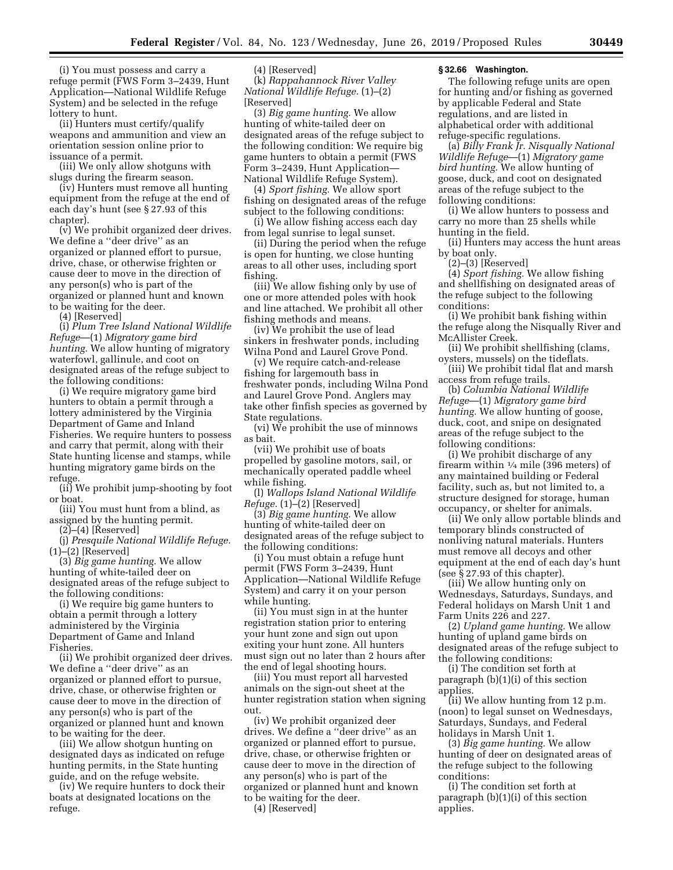(i) You must possess and carry a refuge permit (FWS Form 3–2439, Hunt Application—National Wildlife Refuge System) and be selected in the refuge lottery to hunt.

(ii) Hunters must certify/qualify weapons and ammunition and view an orientation session online prior to issuance of a permit.

(iii) We only allow shotguns with slugs during the firearm season.

(iv) Hunters must remove all hunting equipment from the refuge at the end of each day's hunt (see § 27.93 of this chapter).

(v) We prohibit organized deer drives. We define a ''deer drive'' as an organized or planned effort to pursue, drive, chase, or otherwise frighten or cause deer to move in the direction of any person(s) who is part of the organized or planned hunt and known to be waiting for the deer.

(4) [Reserved]

(i) *Plum Tree Island National Wildlife Refuge*—(1) *Migratory game bird hunting.* We allow hunting of migratory waterfowl, gallinule, and coot on designated areas of the refuge subject to the following conditions:

(i) We require migratory game bird hunters to obtain a permit through a lottery administered by the Virginia Department of Game and Inland Fisheries. We require hunters to possess and carry that permit, along with their State hunting license and stamps, while hunting migratory game birds on the refuge.

(ii) We prohibit jump-shooting by foot or boat.

(iii) You must hunt from a blind, as assigned by the hunting permit.

(2)–(4) [Reserved]

(j) *Presquile National Wildlife Refuge.*   $(1)$ – $(2)$  [Reserved]

(3) *Big game hunting.* We allow hunting of white-tailed deer on designated areas of the refuge subject to the following conditions:

(i) We require big game hunters to obtain a permit through a lottery administered by the Virginia Department of Game and Inland Fisheries.

(ii) We prohibit organized deer drives. We define a ''deer drive'' as an organized or planned effort to pursue, drive, chase, or otherwise frighten or cause deer to move in the direction of any person(s) who is part of the organized or planned hunt and known to be waiting for the deer.

(iii) We allow shotgun hunting on designated days as indicated on refuge hunting permits, in the State hunting guide, and on the refuge website.

(iv) We require hunters to dock their boats at designated locations on the refuge.

(4) [Reserved]

(k) *Rappahannock River Valley National Wildlife Refuge.* (1)–(2) [Reserved]

(3) *Big game hunting.* We allow hunting of white-tailed deer on designated areas of the refuge subject to the following condition: We require big game hunters to obtain a permit (FWS Form 3–2439, Hunt Application— National Wildlife Refuge System).

(4) *Sport fishing.* We allow sport fishing on designated areas of the refuge subject to the following conditions:

(i) We allow fishing access each day from legal sunrise to legal sunset.

(ii) During the period when the refuge is open for hunting, we close hunting areas to all other uses, including sport fishing.

(iii) We allow fishing only by use of one or more attended poles with hook and line attached. We prohibit all other fishing methods and means.

(iv) We prohibit the use of lead sinkers in freshwater ponds, including Wilna Pond and Laurel Grove Pond.

(v) We require catch-and-release fishing for largemouth bass in freshwater ponds, including Wilna Pond and Laurel Grove Pond. Anglers may take other finfish species as governed by State regulations.

(vi) We prohibit the use of minnows as bait.

(vii) We prohibit use of boats propelled by gasoline motors, sail, or mechanically operated paddle wheel while fishing.

(l) *Wallops Island National Wildlife Refuge.* (1)–(2) [Reserved]

(3) *Big game hunting.* We allow hunting of white-tailed deer on designated areas of the refuge subject to the following conditions:

(i) You must obtain a refuge hunt permit (FWS Form 3–2439, Hunt Application—National Wildlife Refuge System) and carry it on your person while hunting.

(ii) You must sign in at the hunter registration station prior to entering your hunt zone and sign out upon exiting your hunt zone. All hunters must sign out no later than 2 hours after the end of legal shooting hours.

(iii) You must report all harvested animals on the sign-out sheet at the hunter registration station when signing out.

(iv) We prohibit organized deer drives. We define a ''deer drive'' as an organized or planned effort to pursue, drive, chase, or otherwise frighten or cause deer to move in the direction of any person(s) who is part of the organized or planned hunt and known to be waiting for the deer.

(4) [Reserved]

### **§ 32.66 Washington.**

The following refuge units are open for hunting and/or fishing as governed by applicable Federal and State regulations, and are listed in alphabetical order with additional refuge-specific regulations.

(a) *Billy Frank Jr. Nisqually National Wildlife Refuge*—(1) *Migratory game bird hunting.* We allow hunting of goose, duck, and coot on designated areas of the refuge subject to the following conditions:

(i) We allow hunters to possess and carry no more than 25 shells while hunting in the field.

(ii) Hunters may access the hunt areas by boat only.

(2)–(3) [Reserved]

(4) *Sport fishing.* We allow fishing and shellfishing on designated areas of the refuge subject to the following conditions:

(i) We prohibit bank fishing within the refuge along the Nisqually River and McAllister Creek.

(ii) We prohibit shellfishing (clams, oysters, mussels) on the tideflats. (iii) We prohibit tidal flat and marsh

access from refuge trails.

(b) *Columbia National Wildlife Refuge*—(1) *Migratory game bird hunting.* We allow hunting of goose, duck, coot, and snipe on designated areas of the refuge subject to the following conditions:

(i) We prohibit discharge of any firearm within  $\frac{1}{4}$  mile (396 meters) of any maintained building or Federal facility, such as, but not limited to, a structure designed for storage, human occupancy, or shelter for animals.

(ii) We only allow portable blinds and temporary blinds constructed of nonliving natural materials. Hunters must remove all decoys and other equipment at the end of each day's hunt (see § 27.93 of this chapter).

(iii) We allow hunting only on Wednesdays, Saturdays, Sundays, and Federal holidays on Marsh Unit 1 and Farm Units 226 and 227.

(2) *Upland game hunting.* We allow hunting of upland game birds on designated areas of the refuge subject to the following conditions:

(i) The condition set forth at paragraph (b)(1)(i) of this section applies.

(ii) We allow hunting from 12 p.m. (noon) to legal sunset on Wednesdays, Saturdays, Sundays, and Federal holidays in Marsh Unit 1.

(3) *Big game hunting.* We allow hunting of deer on designated areas of the refuge subject to the following conditions:

(i) The condition set forth at paragraph (b)(1)(i) of this section applies.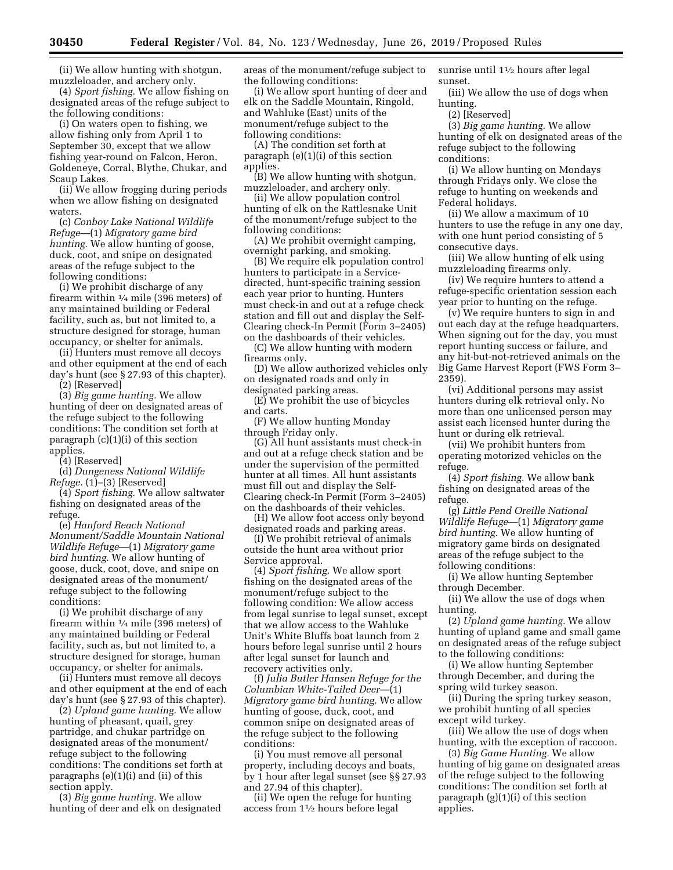(ii) We allow hunting with shotgun, muzzleloader, and archery only.

(4) *Sport fishing.* We allow fishing on designated areas of the refuge subject to the following conditions:

(i) On waters open to fishing, we allow fishing only from April 1 to September 30, except that we allow fishing year-round on Falcon, Heron, Goldeneye, Corral, Blythe, Chukar, and Scaup Lakes.

(ii) We allow frogging during periods when we allow fishing on designated waters.

(c) *Conboy Lake National Wildlife Refuge*—(1) *Migratory game bird hunting.* We allow hunting of goose, duck, coot, and snipe on designated areas of the refuge subject to the following conditions:

(i) We prohibit discharge of any firearm within 1⁄4 mile (396 meters) of any maintained building or Federal facility, such as, but not limited to, a structure designed for storage, human occupancy, or shelter for animals.

(ii) Hunters must remove all decoys and other equipment at the end of each day's hunt (see § 27.93 of this chapter).

(2) [Reserved]

(3) *Big game hunting.* We allow hunting of deer on designated areas of the refuge subject to the following conditions: The condition set forth at paragraph (c)(1)(i) of this section applies.

(4) [Reserved]

(d) *Dungeness National Wildlife Refuge.* (1)–(3) [Reserved]

(4) *Sport fishing.* We allow saltwater fishing on designated areas of the refuge.

(e) *Hanford Reach National Monument/Saddle Mountain National Wildlife Refuge*—(1) *Migratory game bird hunting.* We allow hunting of goose, duck, coot, dove, and snipe on designated areas of the monument/ refuge subject to the following conditions:

(i) We prohibit discharge of any firearm within 1⁄4 mile (396 meters) of any maintained building or Federal facility, such as, but not limited to, a structure designed for storage, human occupancy, or shelter for animals.

(ii) Hunters must remove all decoys and other equipment at the end of each day's hunt (see § 27.93 of this chapter).

(2) *Upland game hunting.* We allow hunting of pheasant, quail, grey partridge, and chukar partridge on designated areas of the monument/ refuge subject to the following conditions: The conditions set forth at paragraphs (e)(1)(i) and (ii) of this section apply.

(3) *Big game hunting.* We allow hunting of deer and elk on designated areas of the monument/refuge subject to the following conditions:

(i) We allow sport hunting of deer and elk on the Saddle Mountain, Ringold, and Wahluke (East) units of the monument/refuge subject to the following conditions:

(A) The condition set forth at paragraph (e)(1)(i) of this section applies.

(B) We allow hunting with shotgun, muzzleloader, and archery only.

(ii) We allow population control hunting of elk on the Rattlesnake Unit of the monument/refuge subject to the following conditions:

(A) We prohibit overnight camping, overnight parking, and smoking.

(B) We require elk population control hunters to participate in a Servicedirected, hunt-specific training session each year prior to hunting. Hunters must check-in and out at a refuge check station and fill out and display the Self-Clearing check-In Permit (Form 3–2405) on the dashboards of their vehicles.

(C) We allow hunting with modern firearms only.

(D) We allow authorized vehicles only on designated roads and only in designated parking areas.

(E) We prohibit the use of bicycles and carts.

(F) We allow hunting Monday through Friday only.

(G) All hunt assistants must check-in and out at a refuge check station and be under the supervision of the permitted hunter at all times. All hunt assistants must fill out and display the Self-Clearing check-In Permit (Form 3–2405) on the dashboards of their vehicles.

(H) We allow foot access only beyond designated roads and parking areas.

(I) We prohibit retrieval of animals outside the hunt area without prior Service approval.

(4) *Sport fishing.* We allow sport fishing on the designated areas of the monument/refuge subject to the following condition: We allow access from legal sunrise to legal sunset, except that we allow access to the Wahluke Unit's White Bluffs boat launch from 2 hours before legal sunrise until 2 hours after legal sunset for launch and recovery activities only.

(f) *Julia Butler Hansen Refuge for the Columbian White-Tailed Deer*—(1) *Migratory game bird hunting.* We allow hunting of goose, duck, coot, and common snipe on designated areas of the refuge subject to the following conditions:

(i) You must remove all personal property, including decoys and boats, by 1 hour after legal sunset (see §§ 27.93 and 27.94 of this chapter).

(ii) We open the refuge for hunting access from 11⁄2 hours before legal

sunrise until 11⁄2 hours after legal sunset.

(iii) We allow the use of dogs when hunting.

(2) [Reserved]

(3) *Big game hunting.* We allow hunting of elk on designated areas of the refuge subject to the following conditions:

(i) We allow hunting on Mondays through Fridays only. We close the refuge to hunting on weekends and Federal holidays.

(ii) We allow a maximum of 10 hunters to use the refuge in any one day, with one hunt period consisting of 5 consecutive days.

(iii) We allow hunting of elk using muzzleloading firearms only.

(iv) We require hunters to attend a refuge-specific orientation session each year prior to hunting on the refuge.

(v) We require hunters to sign in and out each day at the refuge headquarters. When signing out for the day, you must report hunting success or failure, and any hit-but-not-retrieved animals on the Big Game Harvest Report (FWS Form 3– 2359).

(vi) Additional persons may assist hunters during elk retrieval only. No more than one unlicensed person may assist each licensed hunter during the hunt or during elk retrieval.

(vii) We prohibit hunters from operating motorized vehicles on the refuge.

(4) *Sport fishing.* We allow bank fishing on designated areas of the refuge.

(g) *Little Pend Oreille National Wildlife Refuge*—(1) *Migratory game bird hunting.* We allow hunting of migratory game birds on designated areas of the refuge subject to the following conditions:

(i) We allow hunting September through December.

(ii) We allow the use of dogs when hunting.

(2) *Upland game hunting.* We allow hunting of upland game and small game on designated areas of the refuge subject to the following conditions:

(i) We allow hunting September through December, and during the spring wild turkey season.

(ii) During the spring turkey season, we prohibit hunting of all species except wild turkey.

(iii) We allow the use of dogs when hunting, with the exception of raccoon.

(3) *Big Game Hunting.* We allow hunting of big game on designated areas of the refuge subject to the following conditions: The condition set forth at paragraph (g)(1)(i) of this section applies.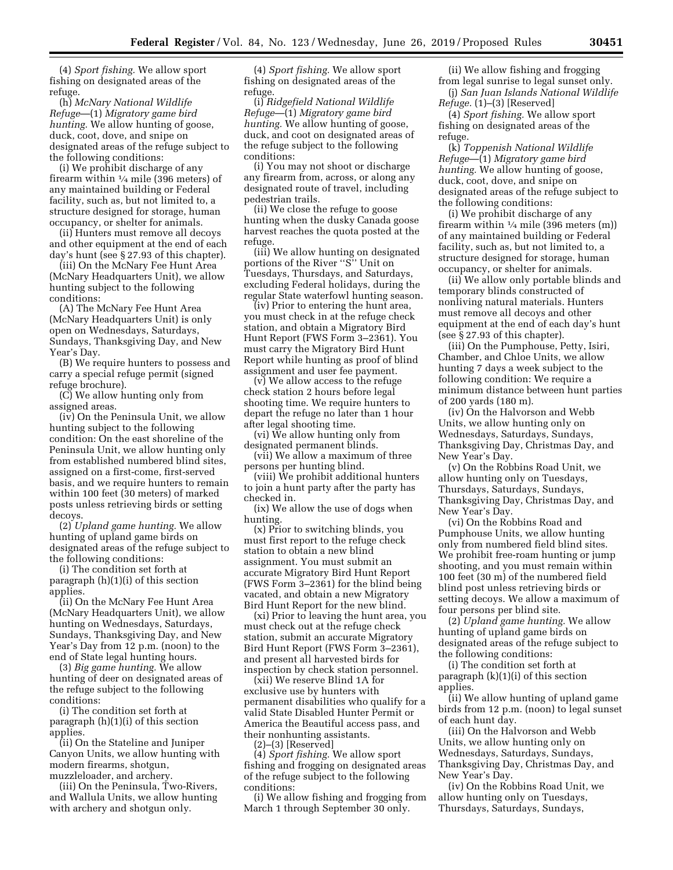(4) *Sport fishing.* We allow sport fishing on designated areas of the refuge.

(h) *McNary National Wildlife Refuge*—(1) *Migratory game bird hunting.* We allow hunting of goose, duck, coot, dove, and snipe on designated areas of the refuge subject to the following conditions:

(i) We prohibit discharge of any firearm within  $\frac{1}{4}$  mile (396 meters) of any maintained building or Federal facility, such as, but not limited to, a structure designed for storage, human occupancy, or shelter for animals.

(ii) Hunters must remove all decoys and other equipment at the end of each day's hunt (see § 27.93 of this chapter).

(iii) On the McNary Fee Hunt Area (McNary Headquarters Unit), we allow hunting subject to the following conditions:

(A) The McNary Fee Hunt Area (McNary Headquarters Unit) is only open on Wednesdays, Saturdays, Sundays, Thanksgiving Day, and New Year's Day.

(B) We require hunters to possess and carry a special refuge permit (signed refuge brochure).

(C) We allow hunting only from assigned areas.

(iv) On the Peninsula Unit, we allow hunting subject to the following condition: On the east shoreline of the Peninsula Unit, we allow hunting only from established numbered blind sites, assigned on a first-come, first-served basis, and we require hunters to remain within 100 feet (30 meters) of marked posts unless retrieving birds or setting decoys.

(2) *Upland game hunting.* We allow hunting of upland game birds on designated areas of the refuge subject to the following conditions:

(i) The condition set forth at paragraph (h)(1)(i) of this section applies.

(ii) On the McNary Fee Hunt Area (McNary Headquarters Unit), we allow hunting on Wednesdays, Saturdays, Sundays, Thanksgiving Day, and New Year's Day from 12 p.m. (noon) to the end of State legal hunting hours.

(3) *Big game hunting.* We allow hunting of deer on designated areas of the refuge subject to the following conditions:

(i) The condition set forth at paragraph (h)(1)(i) of this section applies.

(ii) On the Stateline and Juniper Canyon Units, we allow hunting with modern firearms, shotgun, muzzleloader, and archery.

(iii) On the Peninsula, Two-Rivers, and Wallula Units, we allow hunting with archery and shotgun only.

(4) *Sport fishing.* We allow sport fishing on designated areas of the refuge.

(i) *Ridgefield National Wildlife Refuge*—(1) *Migratory game bird hunting.* We allow hunting of goose, duck, and coot on designated areas of the refuge subject to the following conditions:

(i) You may not shoot or discharge any firearm from, across, or along any designated route of travel, including pedestrian trails.

(ii) We close the refuge to goose hunting when the dusky Canada goose harvest reaches the quota posted at the refuge.

(iii) We allow hunting on designated portions of the River "S" Unit on Tuesdays, Thursdays, and Saturdays, excluding Federal holidays, during the regular State waterfowl hunting season.

(iv) Prior to entering the hunt area, you must check in at the refuge check station, and obtain a Migratory Bird Hunt Report (FWS Form 3–2361). You must carry the Migratory Bird Hunt Report while hunting as proof of blind assignment and user fee payment.

(v) We allow access to the refuge check station 2 hours before legal shooting time. We require hunters to depart the refuge no later than 1 hour after legal shooting time.

(vi) We allow hunting only from designated permanent blinds.

(vii) We allow a maximum of three persons per hunting blind.

(viii) We prohibit additional hunters to join a hunt party after the party has checked in.

(ix) We allow the use of dogs when hunting.

(x) Prior to switching blinds, you must first report to the refuge check station to obtain a new blind assignment. You must submit an accurate Migratory Bird Hunt Report (FWS Form 3–2361) for the blind being vacated, and obtain a new Migratory Bird Hunt Report for the new blind.

(xi) Prior to leaving the hunt area, you must check out at the refuge check station, submit an accurate Migratory Bird Hunt Report (FWS Form 3–2361), and present all harvested birds for inspection by check station personnel.

(xii) We reserve Blind 1A for exclusive use by hunters with permanent disabilities who qualify for a valid State Disabled Hunter Permit or America the Beautiful access pass, and their nonhunting assistants.

(2)–(3) [Reserved]

(4) *Sport fishing.* We allow sport fishing and frogging on designated areas of the refuge subject to the following conditions:

(i) We allow fishing and frogging from March 1 through September 30 only.

(ii) We allow fishing and frogging from legal sunrise to legal sunset only. (j) *San Juan Islands National Wildlife* 

*Refuge.* (1)–(3) [Reserved] (4) *Sport fishing.* We allow sport fishing on designated areas of the refuge.

(k) *Toppenish National Wildlife Refuge*—(1) *Migratory game bird hunting.* We allow hunting of goose, duck, coot, dove, and snipe on designated areas of the refuge subject to the following conditions:

(i) We prohibit discharge of any firearm within  $\frac{1}{4}$  mile (396 meters (m)) of any maintained building or Federal facility, such as, but not limited to, a structure designed for storage, human occupancy, or shelter for animals.

(ii) We allow only portable blinds and temporary blinds constructed of nonliving natural materials. Hunters must remove all decoys and other equipment at the end of each day's hunt (see § 27.93 of this chapter).

(iii) On the Pumphouse, Petty, Isiri, Chamber, and Chloe Units, we allow hunting 7 days a week subject to the following condition: We require a minimum distance between hunt parties of 200 yards (180 m).

(iv) On the Halvorson and Webb Units, we allow hunting only on Wednesdays, Saturdays, Sundays, Thanksgiving Day, Christmas Day, and New Year's Day.

(v) On the Robbins Road Unit, we allow hunting only on Tuesdays, Thursdays, Saturdays, Sundays, Thanksgiving Day, Christmas Day, and New Year's Day.

(vi) On the Robbins Road and Pumphouse Units, we allow hunting only from numbered field blind sites. We prohibit free-roam hunting or jump shooting, and you must remain within 100 feet (30 m) of the numbered field blind post unless retrieving birds or setting decoys. We allow a maximum of four persons per blind site.

(2) *Upland game hunting.* We allow hunting of upland game birds on designated areas of the refuge subject to the following conditions:

(i) The condition set forth at paragraph (k)(1)(i) of this section applies.

(ii) We allow hunting of upland game birds from 12 p.m. (noon) to legal sunset of each hunt day.

(iii) On the Halvorson and Webb Units, we allow hunting only on Wednesdays, Saturdays, Sundays, Thanksgiving Day, Christmas Day, and New Year's Day.

(iv) On the Robbins Road Unit, we allow hunting only on Tuesdays, Thursdays, Saturdays, Sundays,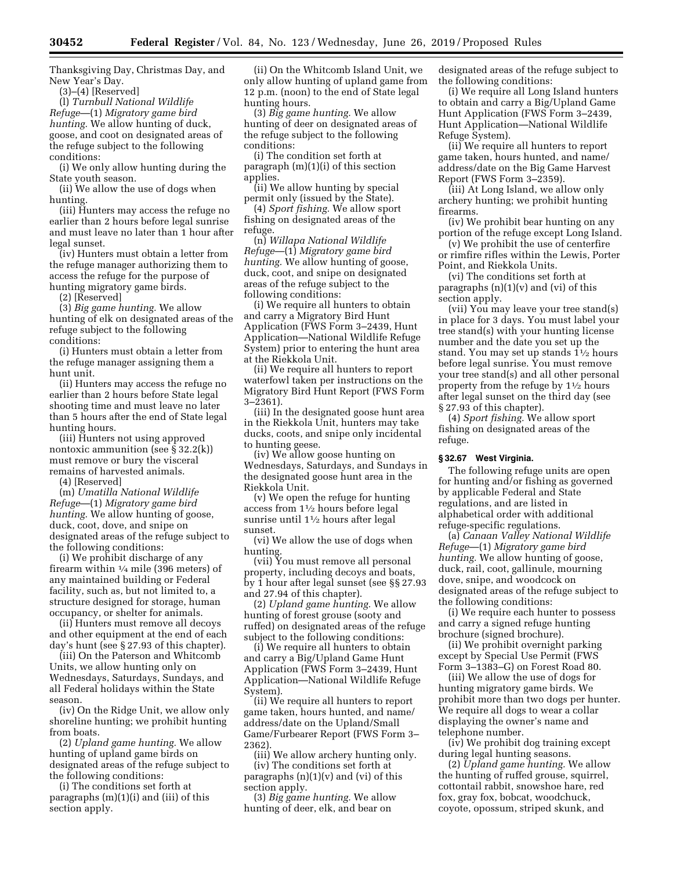Thanksgiving Day, Christmas Day, and New Year's Day.

(3)–(4) [Reserved]

(l) *Turnbull National Wildlife Refuge*—(1) *Migratory game bird hunting.* We allow hunting of duck, goose, and coot on designated areas of the refuge subject to the following conditions:

(i) We only allow hunting during the State youth season.

(ii) We allow the use of dogs when hunting.

(iii) Hunters may access the refuge no earlier than 2 hours before legal sunrise and must leave no later than 1 hour after legal sunset.

(iv) Hunters must obtain a letter from the refuge manager authorizing them to access the refuge for the purpose of hunting migratory game birds.

(2) [Reserved]

(3) *Big game hunting.* We allow hunting of elk on designated areas of the refuge subject to the following conditions:

(i) Hunters must obtain a letter from the refuge manager assigning them a hunt unit.

(ii) Hunters may access the refuge no earlier than 2 hours before State legal shooting time and must leave no later than 5 hours after the end of State legal hunting hours.

(iii) Hunters not using approved nontoxic ammunition (see § 32.2(k)) must remove or bury the visceral remains of harvested animals.

(4) [Reserved]

(m) *Umatilla National Wildlife Refuge*—(1) *Migratory game bird hunting.* We allow hunting of goose, duck, coot, dove, and snipe on designated areas of the refuge subject to the following conditions:

(i) We prohibit discharge of any firearm within 1⁄4 mile (396 meters) of any maintained building or Federal facility, such as, but not limited to, a structure designed for storage, human occupancy, or shelter for animals.

(ii) Hunters must remove all decoys and other equipment at the end of each day's hunt (see § 27.93 of this chapter).

(iii) On the Paterson and Whitcomb Units, we allow hunting only on Wednesdays, Saturdays, Sundays, and all Federal holidays within the State season.

(iv) On the Ridge Unit, we allow only shoreline hunting; we prohibit hunting from boats.

(2) *Upland game hunting.* We allow hunting of upland game birds on designated areas of the refuge subject to the following conditions:

(i) The conditions set forth at paragraphs (m)(1)(i) and (iii) of this section apply.

(ii) On the Whitcomb Island Unit, we only allow hunting of upland game from 12 p.m. (noon) to the end of State legal hunting hours.

(3) *Big game hunting.* We allow hunting of deer on designated areas of the refuge subject to the following conditions:

(i) The condition set forth at paragraph (m)(1)(i) of this section applies.

(ii) We allow hunting by special permit only (issued by the State).

(4) *Sport fishing.* We allow sport fishing on designated areas of the refuge.

(n) *Willapa National Wildlife Refuge*—(1) *Migratory game bird hunting.* We allow hunting of goose, duck, coot, and snipe on designated areas of the refuge subject to the following conditions:

(i) We require all hunters to obtain and carry a Migratory Bird Hunt Application (FWS Form 3–2439, Hunt Application—National Wildlife Refuge System) prior to entering the hunt area at the Riekkola Unit.

(ii) We require all hunters to report waterfowl taken per instructions on the Migratory Bird Hunt Report (FWS Form 3–2361).

(iii) In the designated goose hunt area in the Riekkola Unit, hunters may take ducks, coots, and snipe only incidental to hunting geese.

(iv) We allow goose hunting on Wednesdays, Saturdays, and Sundays in the designated goose hunt area in the Riekkola Unit.

(v) We open the refuge for hunting access from 11⁄2 hours before legal sunrise until 11⁄2 hours after legal sunset.

(vi) We allow the use of dogs when hunting.

(vii) You must remove all personal property, including decoys and boats, by 1 hour after legal sunset (see §§ 27.93 and 27.94 of this chapter).

(2) *Upland game hunting.* We allow hunting of forest grouse (sooty and ruffed) on designated areas of the refuge subject to the following conditions:

(i) We require all hunters to obtain and carry a Big/Upland Game Hunt Application (FWS Form 3–2439, Hunt Application—National Wildlife Refuge System).

(ii) We require all hunters to report game taken, hours hunted, and name/ address/date on the Upland/Small Game/Furbearer Report (FWS Form 3– 2362).

(iii) We allow archery hunting only.

(iv) The conditions set forth at paragraphs  $(n)(1)(v)$  and  $(vi)$  of this section apply.

(3) *Big game hunting.* We allow hunting of deer, elk, and bear on

designated areas of the refuge subject to the following conditions:

(i) We require all Long Island hunters to obtain and carry a Big/Upland Game Hunt Application (FWS Form 3–2439, Hunt Application—National Wildlife Refuge System).

(ii) We require all hunters to report game taken, hours hunted, and name/ address/date on the Big Game Harvest Report (FWS Form 3–2359).

(iii) At Long Island, we allow only archery hunting; we prohibit hunting firearms.

(iv) We prohibit bear hunting on any portion of the refuge except Long Island.

(v) We prohibit the use of centerfire or rimfire rifles within the Lewis, Porter Point, and Riekkola Units.

(vi) The conditions set forth at paragraphs  $(n)(1)(v)$  and  $(vi)$  of this section apply.

(vii) You may leave your tree stand(s) in place for 3 days. You must label your tree stand(s) with your hunting license number and the date you set up the stand. You may set up stands 11⁄2 hours before legal sunrise. You must remove your tree stand(s) and all other personal property from the refuge by  $1\frac{1}{2}$  hours after legal sunset on the third day (see § 27.93 of this chapter).

(4) *Sport fishing.* We allow sport fishing on designated areas of the refuge.

# **§ 32.67 West Virginia.**

The following refuge units are open for hunting and/or fishing as governed by applicable Federal and State regulations, and are listed in alphabetical order with additional refuge-specific regulations.

(a) *Canaan Valley National Wildlife Refuge*—(1) *Migratory game bird hunting.* We allow hunting of goose, duck, rail, coot, gallinule, mourning dove, snipe, and woodcock on designated areas of the refuge subject to the following conditions:

(i) We require each hunter to possess and carry a signed refuge hunting brochure (signed brochure).

(ii) We prohibit overnight parking except by Special Use Permit (FWS Form 3–1383–G) on Forest Road 80.

(iii) We allow the use of dogs for hunting migratory game birds. We prohibit more than two dogs per hunter. We require all dogs to wear a collar displaying the owner's name and telephone number.

(iv) We prohibit dog training except during legal hunting seasons.

(2) *Upland game hunting.* We allow the hunting of ruffed grouse, squirrel, cottontail rabbit, snowshoe hare, red fox, gray fox, bobcat, woodchuck, coyote, opossum, striped skunk, and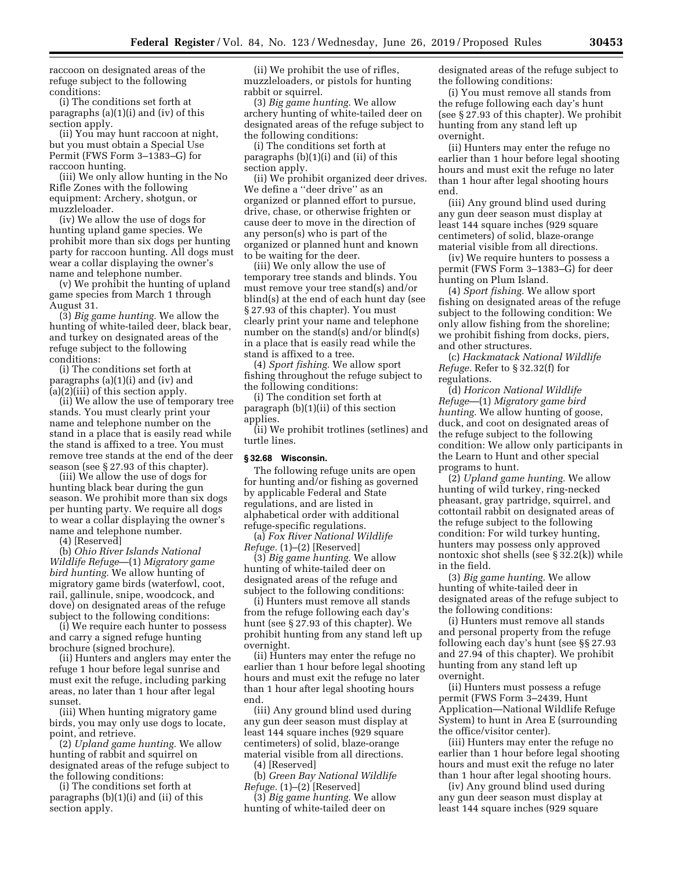raccoon on designated areas of the refuge subject to the following conditions:

(i) The conditions set forth at paragraphs (a)(1)(i) and (iv) of this section apply.

(ii) You may hunt raccoon at night, but you must obtain a Special Use Permit (FWS Form 3–1383–G) for raccoon hunting.

(iii) We only allow hunting in the No Rifle Zones with the following equipment: Archery, shotgun, or muzzleloader.

(iv) We allow the use of dogs for hunting upland game species. We prohibit more than six dogs per hunting party for raccoon hunting. All dogs must wear a collar displaying the owner's name and telephone number.

(v) We prohibit the hunting of upland game species from March 1 through August 31.

(3) *Big game hunting.* We allow the hunting of white-tailed deer, black bear, and turkey on designated areas of the refuge subject to the following conditions:

(i) The conditions set forth at paragraphs (a)(1)(i) and (iv) and (a)(2)(iii) of this section apply.

(ii) We allow the use of temporary tree stands. You must clearly print your name and telephone number on the stand in a place that is easily read while the stand is affixed to a tree. You must remove tree stands at the end of the deer season (see § 27.93 of this chapter).

(iii) We allow the use of dogs for hunting black bear during the gun season. We prohibit more than six dogs per hunting party. We require all dogs to wear a collar displaying the owner's name and telephone number.

(4) [Reserved]

(b) *Ohio River Islands National Wildlife Refuge*—(1) *Migratory game bird hunting.* We allow hunting of migratory game birds (waterfowl, coot, rail, gallinule, snipe, woodcock, and dove) on designated areas of the refuge subject to the following conditions:

(i) We require each hunter to possess and carry a signed refuge hunting brochure (signed brochure).

(ii) Hunters and anglers may enter the refuge 1 hour before legal sunrise and must exit the refuge, including parking areas, no later than 1 hour after legal sunset.

(iii) When hunting migratory game birds, you may only use dogs to locate, point, and retrieve.

(2) *Upland game hunting.* We allow hunting of rabbit and squirrel on designated areas of the refuge subject to the following conditions:

(i) The conditions set forth at paragraphs (b)(1)(i) and (ii) of this section apply.

(ii) We prohibit the use of rifles, muzzleloaders, or pistols for hunting rabbit or squirrel.

(3) *Big game hunting.* We allow archery hunting of white-tailed deer on designated areas of the refuge subject to the following conditions:

(i) The conditions set forth at paragraphs (b)(1)(i) and (ii) of this section apply.

(ii) We prohibit organized deer drives. We define a ''deer drive'' as an organized or planned effort to pursue, drive, chase, or otherwise frighten or cause deer to move in the direction of any person(s) who is part of the organized or planned hunt and known to be waiting for the deer.

(iii) We only allow the use of temporary tree stands and blinds. You must remove your tree stand(s) and/or blind(s) at the end of each hunt day (see § 27.93 of this chapter). You must clearly print your name and telephone number on the stand(s) and/or blind(s) in a place that is easily read while the stand is affixed to a tree.

(4) *Sport fishing.* We allow sport fishing throughout the refuge subject to the following conditions:

(i) The condition set forth at paragraph (b)(1)(ii) of this section applies.

(ii) We prohibit trotlines (setlines) and turtle lines.

# **§ 32.68 Wisconsin.**

The following refuge units are open for hunting and/or fishing as governed by applicable Federal and State regulations, and are listed in alphabetical order with additional refuge-specific regulations.

(a) *Fox River National Wildlife Refuge.* (1)–(2) [Reserved]

(3) *Big game hunting.* We allow hunting of white-tailed deer on designated areas of the refuge and subject to the following conditions:

(i) Hunters must remove all stands from the refuge following each day's hunt (see § 27.93 of this chapter). We prohibit hunting from any stand left up overnight.

(ii) Hunters may enter the refuge no earlier than 1 hour before legal shooting hours and must exit the refuge no later than 1 hour after legal shooting hours end.

(iii) Any ground blind used during any gun deer season must display at least 144 square inches (929 square centimeters) of solid, blaze-orange material visible from all directions.

(4) [Reserved]

(b) *Green Bay National Wildlife Refuge.* (1)–(2) [Reserved]

(3) *Big game hunting.* We allow hunting of white-tailed deer on

designated areas of the refuge subject to the following conditions:

(i) You must remove all stands from the refuge following each day's hunt (see § 27.93 of this chapter). We prohibit hunting from any stand left up overnight.

(ii) Hunters may enter the refuge no earlier than 1 hour before legal shooting hours and must exit the refuge no later than 1 hour after legal shooting hours end.

(iii) Any ground blind used during any gun deer season must display at least 144 square inches (929 square centimeters) of solid, blaze-orange material visible from all directions.

(iv) We require hunters to possess a permit (FWS Form 3–1383–G) for deer hunting on Plum Island.

(4) *Sport fishing.* We allow sport fishing on designated areas of the refuge subject to the following condition: We only allow fishing from the shoreline; we prohibit fishing from docks, piers, and other structures.

(c) *Hackmatack National Wildlife Refuge.* Refer to § 32.32(f) for regulations.

(d) *Horicon National Wildlife Refuge*—(1) *Migratory game bird hunting.* We allow hunting of goose, duck, and coot on designated areas of the refuge subject to the following condition: We allow only participants in the Learn to Hunt and other special programs to hunt.

(2) *Upland game hunting.* We allow hunting of wild turkey, ring-necked pheasant, gray partridge, squirrel, and cottontail rabbit on designated areas of the refuge subject to the following condition: For wild turkey hunting, hunters may possess only approved nontoxic shot shells (see § 32.2(k)) while in the field.

(3) *Big game hunting.* We allow hunting of white-tailed deer in designated areas of the refuge subject to the following conditions:

(i) Hunters must remove all stands and personal property from the refuge following each day's hunt (see §§ 27.93 and 27.94 of this chapter). We prohibit hunting from any stand left up overnight.

(ii) Hunters must possess a refuge permit (FWS Form 3–2439, Hunt Application—National Wildlife Refuge System) to hunt in Area E (surrounding the office/visitor center).

(iii) Hunters may enter the refuge no earlier than 1 hour before legal shooting hours and must exit the refuge no later than 1 hour after legal shooting hours.

(iv) Any ground blind used during any gun deer season must display at least 144 square inches (929 square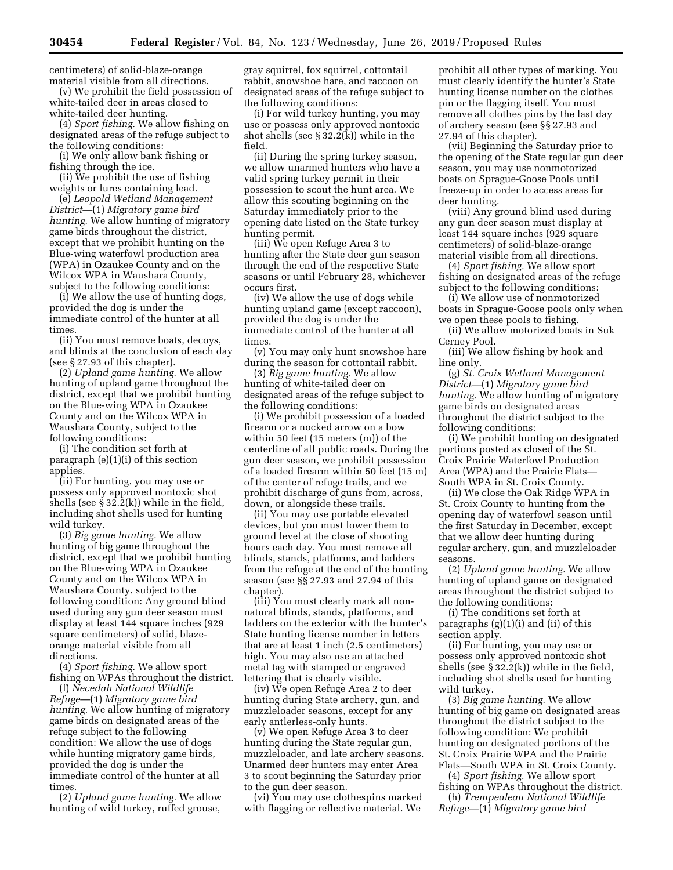centimeters) of solid-blaze-orange material visible from all directions.

(v) We prohibit the field possession of white-tailed deer in areas closed to white-tailed deer hunting.

(4) *Sport fishing.* We allow fishing on designated areas of the refuge subject to the following conditions:

(i) We only allow bank fishing or fishing through the ice.

(ii) We prohibit the use of fishing weights or lures containing lead.

(e) *Leopold Wetland Management District*—(1) *Migratory game bird hunting.* We allow hunting of migratory game birds throughout the district, except that we prohibit hunting on the Blue-wing waterfowl production area (WPA) in Ozaukee County and on the Wilcox WPA in Waushara County, subject to the following conditions:

(i) We allow the use of hunting dogs, provided the dog is under the immediate control of the hunter at all times.

(ii) You must remove boats, decoys, and blinds at the conclusion of each day (see § 27.93 of this chapter).

(2) *Upland game hunting.* We allow hunting of upland game throughout the district, except that we prohibit hunting on the Blue-wing WPA in Ozaukee County and on the Wilcox WPA in Waushara County, subject to the following conditions:

(i) The condition set forth at paragraph (e)(1)(i) of this section applies.

(ii) For hunting, you may use or possess only approved nontoxic shot shells (see § 32.2(k)) while in the field, including shot shells used for hunting wild turkey.

(3) *Big game hunting.* We allow hunting of big game throughout the district, except that we prohibit hunting on the Blue-wing WPA in Ozaukee County and on the Wilcox WPA in Waushara County, subject to the following condition: Any ground blind used during any gun deer season must display at least 144 square inches (929 square centimeters) of solid, blazeorange material visible from all directions.

(4) *Sport fishing.* We allow sport fishing on WPAs throughout the district.

(f) *Necedah National Wildlife Refuge*—(1) *Migratory game bird hunting.* We allow hunting of migratory game birds on designated areas of the refuge subject to the following condition: We allow the use of dogs while hunting migratory game birds, provided the dog is under the immediate control of the hunter at all times.

(2) *Upland game hunting.* We allow hunting of wild turkey, ruffed grouse, gray squirrel, fox squirrel, cottontail rabbit, snowshoe hare, and raccoon on designated areas of the refuge subject to the following conditions:

(i) For wild turkey hunting, you may use or possess only approved nontoxic shot shells (see § 32.2(k)) while in the field.

(ii) During the spring turkey season, we allow unarmed hunters who have a valid spring turkey permit in their possession to scout the hunt area. We allow this scouting beginning on the Saturday immediately prior to the opening date listed on the State turkey hunting permit.

(iii) We open Refuge Area 3 to hunting after the State deer gun season through the end of the respective State seasons or until February 28, whichever occurs first.

(iv) We allow the use of dogs while hunting upland game (except raccoon), provided the dog is under the immediate control of the hunter at all times.

(v) You may only hunt snowshoe hare during the season for cottontail rabbit.

(3) *Big game hunting.* We allow hunting of white-tailed deer on designated areas of the refuge subject to the following conditions:

(i) We prohibit possession of a loaded firearm or a nocked arrow on a bow within 50 feet (15 meters (m)) of the centerline of all public roads. During the gun deer season, we prohibit possession of a loaded firearm within 50 feet (15 m) of the center of refuge trails, and we prohibit discharge of guns from, across, down, or alongside these trails.

(ii) You may use portable elevated devices, but you must lower them to ground level at the close of shooting hours each day. You must remove all blinds, stands, platforms, and ladders from the refuge at the end of the hunting season (see §§ 27.93 and 27.94 of this chapter).

(iii) You must clearly mark all nonnatural blinds, stands, platforms, and ladders on the exterior with the hunter's State hunting license number in letters that are at least 1 inch (2.5 centimeters) high. You may also use an attached metal tag with stamped or engraved lettering that is clearly visible.

(iv) We open Refuge Area 2 to deer hunting during State archery, gun, and muzzleloader seasons, except for any early antlerless-only hunts.

(v) We open Refuge Area 3 to deer hunting during the State regular gun, muzzleloader, and late archery seasons. Unarmed deer hunters may enter Area 3 to scout beginning the Saturday prior to the gun deer season.

(vi) You may use clothespins marked with flagging or reflective material. We

prohibit all other types of marking. You must clearly identify the hunter's State hunting license number on the clothes pin or the flagging itself. You must remove all clothes pins by the last day of archery season (see §§ 27.93 and 27.94 of this chapter).

(vii) Beginning the Saturday prior to the opening of the State regular gun deer season, you may use nonmotorized boats on Sprague-Goose Pools until freeze-up in order to access areas for deer hunting.

(viii) Any ground blind used during any gun deer season must display at least 144 square inches (929 square centimeters) of solid-blaze-orange material visible from all directions.

(4) *Sport fishing.* We allow sport fishing on designated areas of the refuge subject to the following conditions:

(i) We allow use of nonmotorized boats in Sprague-Goose pools only when we open these pools to fishing.

(ii) We allow motorized boats in Suk Cerney Pool.

(iii) We allow fishing by hook and line only.

(g) *St. Croix Wetland Management District*—(1) *Migratory game bird hunting.* We allow hunting of migratory game birds on designated areas throughout the district subject to the following conditions:

(i) We prohibit hunting on designated portions posted as closed of the St. Croix Prairie Waterfowl Production Area (WPA) and the Prairie Flats— South WPA in St. Croix County.

(ii) We close the Oak Ridge WPA in St. Croix County to hunting from the opening day of waterfowl season until the first Saturday in December, except that we allow deer hunting during regular archery, gun, and muzzleloader seasons.

(2) *Upland game hunting.* We allow hunting of upland game on designated areas throughout the district subject to the following conditions:

(i) The conditions set forth at paragraphs  $(g)(1)(i)$  and  $(ii)$  of this section apply.

(ii) For hunting, you may use or possess only approved nontoxic shot shells (see § 32.2(k)) while in the field, including shot shells used for hunting wild turkey.

(3) *Big game hunting.* We allow hunting of big game on designated areas throughout the district subject to the following condition: We prohibit hunting on designated portions of the St. Croix Prairie WPA and the Prairie Flats—South WPA in St. Croix County.

(4) *Sport fishing.* We allow sport fishing on WPAs throughout the district.

(h) *Trempealeau National Wildlife Refuge*—(1) *Migratory game bird*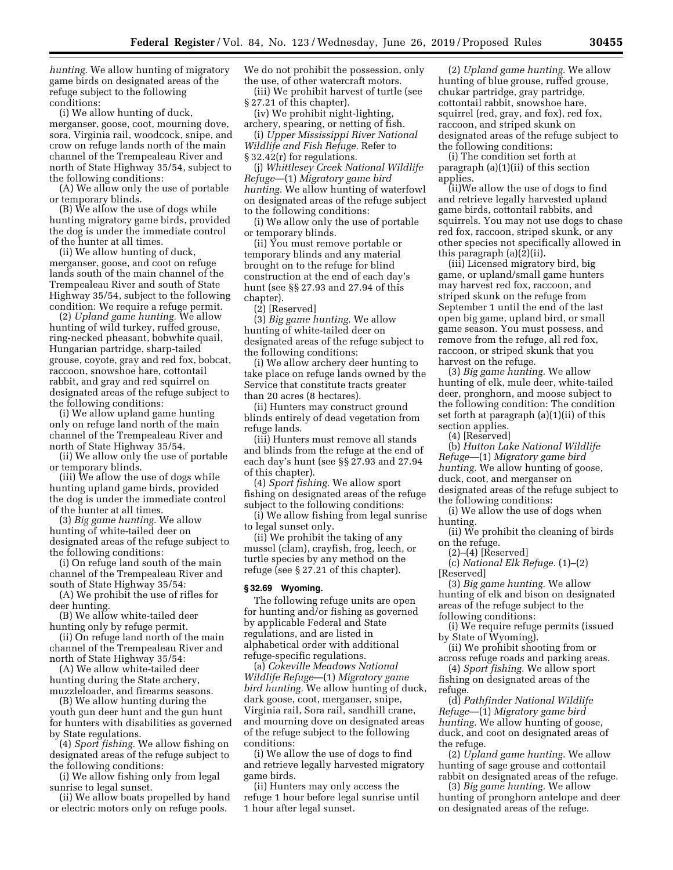*hunting.* We allow hunting of migratory game birds on designated areas of the refuge subject to the following conditions:

(i) We allow hunting of duck, merganser, goose, coot, mourning dove, sora, Virginia rail, woodcock, snipe, and crow on refuge lands north of the main channel of the Trempealeau River and north of State Highway 35/54, subject to the following conditions:

(A) We allow only the use of portable or temporary blinds.

(B) We allow the use of dogs while hunting migratory game birds, provided the dog is under the immediate control of the hunter at all times.

(ii) We allow hunting of duck, merganser, goose, and coot on refuge lands south of the main channel of the Trempealeau River and south of State Highway 35/54, subject to the following condition: We require a refuge permit.

(2) *Upland game hunting.* We allow hunting of wild turkey, ruffed grouse, ring-necked pheasant, bobwhite quail, Hungarian partridge, sharp-tailed grouse, coyote, gray and red fox, bobcat, raccoon, snowshoe hare, cottontail rabbit, and gray and red squirrel on designated areas of the refuge subject to the following conditions:

(i) We allow upland game hunting only on refuge land north of the main channel of the Trempealeau River and north of State Highway 35/54.

(ii) We allow only the use of portable or temporary blinds.

(iii) We allow the use of dogs while hunting upland game birds, provided the dog is under the immediate control of the hunter at all times.

(3) *Big game hunting.* We allow hunting of white-tailed deer on designated areas of the refuge subject to the following conditions:

(i) On refuge land south of the main channel of the Trempealeau River and south of State Highway 35/54:

(A) We prohibit the use of rifles for deer hunting.

(B) We allow white-tailed deer hunting only by refuge permit.

(ii) On refuge land north of the main channel of the Trempealeau River and north of State Highway 35/54:

(A) We allow white-tailed deer hunting during the State archery, muzzleloader, and firearms seasons.

(B) We allow hunting during the youth gun deer hunt and the gun hunt for hunters with disabilities as governed by State regulations.

(4) *Sport fishing.* We allow fishing on designated areas of the refuge subject to the following conditions:

(i) We allow fishing only from legal sunrise to legal sunset.

(ii) We allow boats propelled by hand or electric motors only on refuge pools.

We do not prohibit the possession, only the use, of other watercraft motors.

(iii) We prohibit harvest of turtle (see § 27.21 of this chapter).

(iv) We prohibit night-lighting, archery, spearing, or netting of fish.

(i) *Upper Mississippi River National Wildlife and Fish Refuge.* Refer to § 32.42(r) for regulations.

(j) *Whittlesey Creek National Wildlife Refuge*—(1) *Migratory game bird hunting.* We allow hunting of waterfowl on designated areas of the refuge subject to the following conditions:

(i) We allow only the use of portable or temporary blinds.

(ii) You must remove portable or temporary blinds and any material brought on to the refuge for blind construction at the end of each day's hunt (see §§ 27.93 and 27.94 of this chapter).

(2) [Reserved]

(3) *Big game hunting.* We allow hunting of white-tailed deer on designated areas of the refuge subject to the following conditions:

(i) We allow archery deer hunting to take place on refuge lands owned by the Service that constitute tracts greater than 20 acres (8 hectares).

(ii) Hunters may construct ground blinds entirely of dead vegetation from refuge lands.

(iii) Hunters must remove all stands and blinds from the refuge at the end of each day's hunt (see §§ 27.93 and 27.94 of this chapter).

(4) *Sport fishing.* We allow sport fishing on designated areas of the refuge subject to the following conditions:

(i) We allow fishing from legal sunrise to legal sunset only.

(ii) We prohibit the taking of any mussel (clam), crayfish, frog, leech, or turtle species by any method on the refuge (see § 27.21 of this chapter).

#### **§ 32.69 Wyoming.**

The following refuge units are open for hunting and/or fishing as governed by applicable Federal and State regulations, and are listed in alphabetical order with additional refuge-specific regulations.

(a) *Cokeville Meadows National Wildlife Refuge*—(1) *Migratory game bird hunting.* We allow hunting of duck, dark goose, coot, merganser, snipe, Virginia rail, Sora rail, sandhill crane, and mourning dove on designated areas of the refuge subject to the following conditions:

(i) We allow the use of dogs to find and retrieve legally harvested migratory game birds.

(ii) Hunters may only access the refuge 1 hour before legal sunrise until 1 hour after legal sunset.

(2) *Upland game hunting.* We allow hunting of blue grouse, ruffed grouse, chukar partridge, gray partridge, cottontail rabbit, snowshoe hare, squirrel (red, gray, and fox), red fox, raccoon, and striped skunk on designated areas of the refuge subject to the following conditions:

(i) The condition set forth at paragraph (a)(1)(ii) of this section applies.

(ii)We allow the use of dogs to find and retrieve legally harvested upland game birds, cottontail rabbits, and squirrels. You may not use dogs to chase red fox, raccoon, striped skunk, or any other species not specifically allowed in this paragraph (a)(2)(ii).

(iii) Licensed migratory bird, big game, or upland/small game hunters may harvest red fox, raccoon, and striped skunk on the refuge from September 1 until the end of the last open big game, upland bird, or small game season. You must possess, and remove from the refuge, all red fox, raccoon, or striped skunk that you harvest on the refuge.

(3) *Big game hunting.* We allow hunting of elk, mule deer, white-tailed deer, pronghorn, and moose subject to the following condition: The condition set forth at paragraph (a)(1)(ii) of this section applies.

(4) [Reserved]

(b) *Hutton Lake National Wildlife Refuge*—(1) *Migratory game bird hunting.* We allow hunting of goose, duck, coot, and merganser on designated areas of the refuge subject to the following conditions:

(i) We allow the use of dogs when hunting.

(ii) We prohibit the cleaning of birds on the refuge.

(2)–(4) [Reserved]

(c) *National Elk Refuge.* (1)–(2) [Reserved]

(3) *Big game hunting.* We allow hunting of elk and bison on designated areas of the refuge subject to the following conditions:

(i) We require refuge permits (issued by State of Wyoming).

(ii) We prohibit shooting from or across refuge roads and parking areas.

(4) *Sport fishing.* We allow sport fishing on designated areas of the refuge.

(d) *Pathfinder National Wildlife Refuge*—(1) *Migratory game bird hunting.* We allow hunting of goose, duck, and coot on designated areas of the refuge.

(2) *Upland game hunting.* We allow hunting of sage grouse and cottontail rabbit on designated areas of the refuge.

(3) *Big game hunting.* We allow hunting of pronghorn antelope and deer on designated areas of the refuge.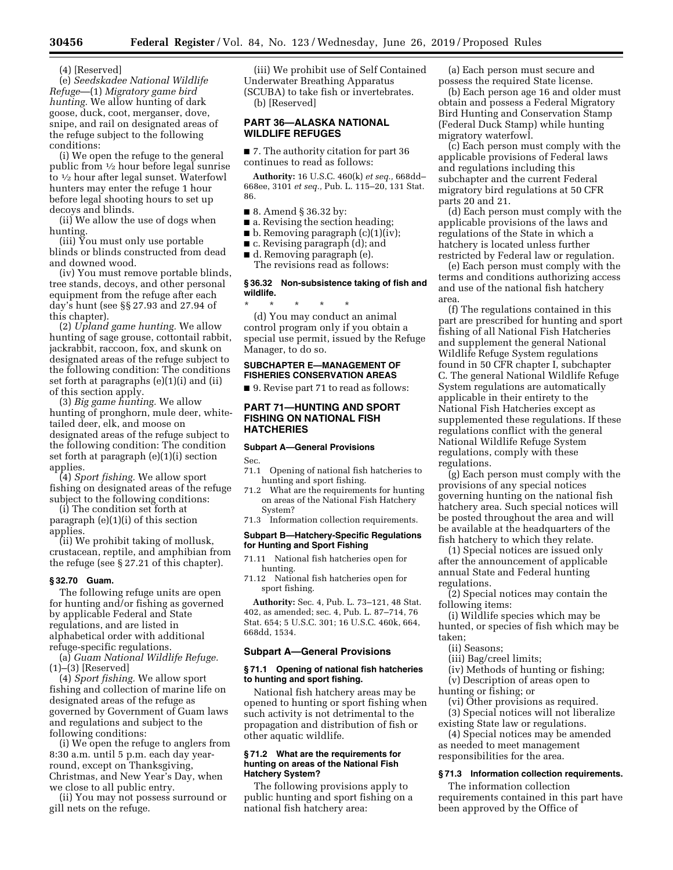(4) [Reserved]

(e) *Seedskadee National Wildlife Refuge*—(1) *Migratory game bird hunting.* We allow hunting of dark goose, duck, coot, merganser, dove, snipe, and rail on designated areas of the refuge subject to the following conditions:

(i) We open the refuge to the general public from 1⁄2 hour before legal sunrise to 1⁄2 hour after legal sunset. Waterfowl hunters may enter the refuge 1 hour before legal shooting hours to set up decoys and blinds.

(ii) We allow the use of dogs when hunting.

(iii) You must only use portable blinds or blinds constructed from dead and downed wood.

(iv) You must remove portable blinds, tree stands, decoys, and other personal equipment from the refuge after each day's hunt (see §§ 27.93 and 27.94 of this chapter).

(2) *Upland game hunting.* We allow hunting of sage grouse, cottontail rabbit, jackrabbit, raccoon, fox, and skunk on designated areas of the refuge subject to the following condition: The conditions set forth at paragraphs (e)(1)(i) and (ii) of this section apply.

(3) *Big game hunting.* We allow hunting of pronghorn, mule deer, whitetailed deer, elk, and moose on designated areas of the refuge subject to the following condition: The condition set forth at paragraph (e)(1)(i) section applies.

(4) *Sport fishing.* We allow sport fishing on designated areas of the refuge subject to the following conditions:

(i) The condition set forth at paragraph (e)(1)(i) of this section applies.

(ii) We prohibit taking of mollusk, crustacean, reptile, and amphibian from the refuge (see § 27.21 of this chapter).

### **§ 32.70 Guam.**

The following refuge units are open for hunting and/or fishing as governed by applicable Federal and State regulations, and are listed in alphabetical order with additional refuge-specific regulations.

(a) *Guam National Wildlife Refuge.*  (1)–(3) [Reserved]

(4) *Sport fishing.* We allow sport fishing and collection of marine life on designated areas of the refuge as governed by Government of Guam laws and regulations and subject to the following conditions:

(i) We open the refuge to anglers from 8:30 a.m. until 5 p.m. each day yearround, except on Thanksgiving, Christmas, and New Year's Day, when we close to all public entry.

(ii) You may not possess surround or gill nets on the refuge.

(iii) We prohibit use of Self Contained Underwater Breathing Apparatus (SCUBA) to take fish or invertebrates. (b) [Reserved]

# **PART 36—ALASKA NATIONAL WILDLIFE REFUGES**

■ 7. The authority citation for part 36 continues to read as follows:

**Authority:** 16 U.S.C. 460(k) *et seq.,* 668dd– 668ee, 3101 *et seq.,* Pub. L. 115–20, 131 Stat. 86.

■ 8. Amend § 36.32 by:

- a. Revising the section heading;
- b. Removing paragraph (c)(1)(iv);
- c. Revising paragraph (d); and
- d. Removing paragraph (e). The revisions read as follows:

#### **§ 36.32 Non-subsistence taking of fish and wildlife.**

\* \* \* \* \* (d) You may conduct an animal control program only if you obtain a special use permit, issued by the Refuge Manager, to do so.

# **SUBCHAPTER E—MANAGEMENT OF FISHERIES CONSERVATION AREAS**

■ 9. Revise part 71 to read as follows:

# **PART 71—HUNTING AND SPORT FISHING ON NATIONAL FISH HATCHERIES**

# **Subpart A—General Provisions**

Sec.

- 71.1 Opening of national fish hatcheries to hunting and sport fishing.
- 71.2 What are the requirements for hunting on areas of the National Fish Hatchery System?
- 71.3 Information collection requirements.

# **Subpart B—Hatchery-Specific Regulations for Hunting and Sport Fishing**

- 71.11 National fish hatcheries open for hunting.
- 71.12 National fish hatcheries open for sport fishing.

**Authority:** Sec. 4, Pub. L. 73–121, 48 Stat. 402, as amended; sec. 4, Pub. L. 87–714, 76 Stat. 654; 5 U.S.C. 301; 16 U.S.C. 460k, 664, 668dd, 1534.

### **Subpart A—General Provisions**

### **§ 71.1 Opening of national fish hatcheries to hunting and sport fishing.**

National fish hatchery areas may be opened to hunting or sport fishing when such activity is not detrimental to the propagation and distribution of fish or other aquatic wildlife.

# **§ 71.2 What are the requirements for hunting on areas of the National Fish Hatchery System?**

The following provisions apply to public hunting and sport fishing on a national fish hatchery area:

(a) Each person must secure and possess the required State license.

(b) Each person age 16 and older must obtain and possess a Federal Migratory Bird Hunting and Conservation Stamp (Federal Duck Stamp) while hunting migratory waterfowl.

(c) Each person must comply with the applicable provisions of Federal laws and regulations including this subchapter and the current Federal migratory bird regulations at 50 CFR parts 20 and 21.

(d) Each person must comply with the applicable provisions of the laws and regulations of the State in which a hatchery is located unless further restricted by Federal law or regulation.

(e) Each person must comply with the terms and conditions authorizing access and use of the national fish hatchery area.

(f) The regulations contained in this part are prescribed for hunting and sport fishing of all National Fish Hatcheries and supplement the general National Wildlife Refuge System regulations found in 50 CFR chapter I, subchapter C. The general National Wildlife Refuge System regulations are automatically applicable in their entirety to the National Fish Hatcheries except as supplemented these regulations. If these regulations conflict with the general National Wildlife Refuge System regulations, comply with these regulations.

(g) Each person must comply with the provisions of any special notices governing hunting on the national fish hatchery area. Such special notices will be posted throughout the area and will be available at the headquarters of the fish hatchery to which they relate.

(1) Special notices are issued only after the announcement of applicable annual State and Federal hunting regulations.

(2) Special notices may contain the following items:

(i) Wildlife species which may be hunted, or species of fish which may be taken;

- (ii) Seasons;
- (iii) Bag/creel limits;
- (iv) Methods of hunting or fishing;
- (v) Description of areas open to
- hunting or fishing; or
	- (vi) Other provisions as required.

(3) Special notices will not liberalize existing State law or regulations.

(4) Special notices may be amended as needed to meet management responsibilities for the area.

### **§ 71.3 Information collection requirements.**

The information collection requirements contained in this part have been approved by the Office of